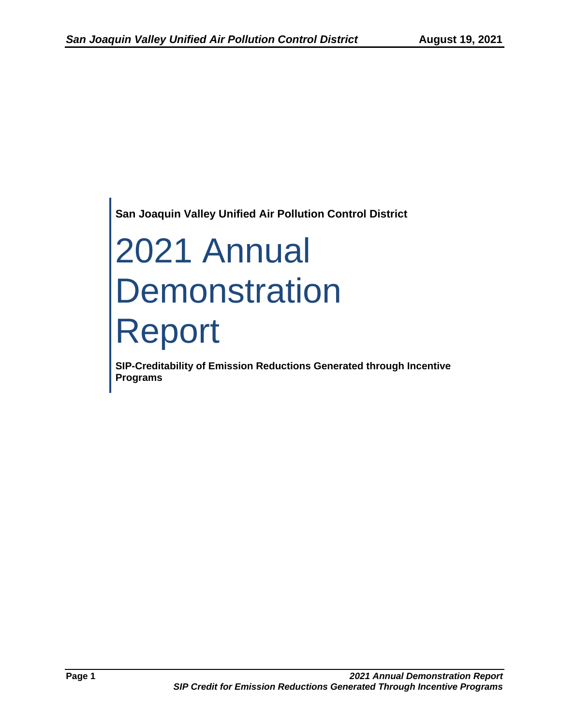**San Joaquin Valley Unified Air Pollution Control District**

# 2021 Annual **Demonstration** Report

**SIP-Creditability of Emission Reductions Generated through Incentive Programs**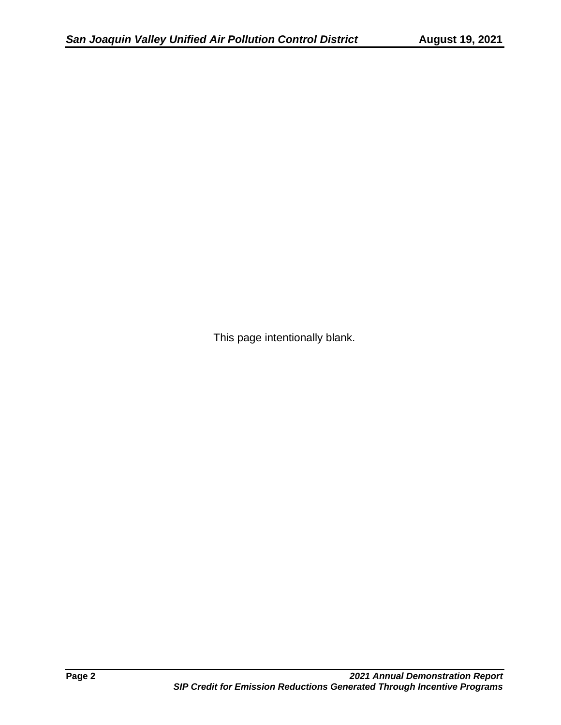This page intentionally blank.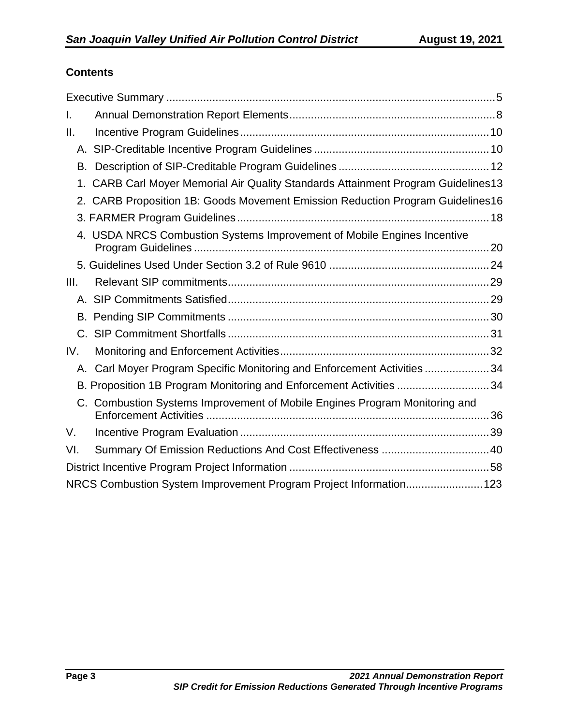# **Contents**

| L.   |                                                                                |  |
|------|--------------------------------------------------------------------------------|--|
| Ш.   |                                                                                |  |
|      |                                                                                |  |
| В.   |                                                                                |  |
|      | CARB Carl Moyer Memorial Air Quality Standards Attainment Program Guidelines13 |  |
| 2.   | CARB Proposition 1B: Goods Movement Emission Reduction Program Guidelines16    |  |
|      |                                                                                |  |
|      | 4. USDA NRCS Combustion Systems Improvement of Mobile Engines Incentive        |  |
|      |                                                                                |  |
| III. |                                                                                |  |
|      |                                                                                |  |
|      |                                                                                |  |
|      |                                                                                |  |
| IV.  |                                                                                |  |
|      | Carl Moyer Program Specific Monitoring and Enforcement Activities 34           |  |
|      | B. Proposition 1B Program Monitoring and Enforcement Activities 34             |  |
|      | C. Combustion Systems Improvement of Mobile Engines Program Monitoring and     |  |
| V.   |                                                                                |  |
| VI.  |                                                                                |  |
|      |                                                                                |  |
|      | NRCS Combustion System Improvement Program Project Information123              |  |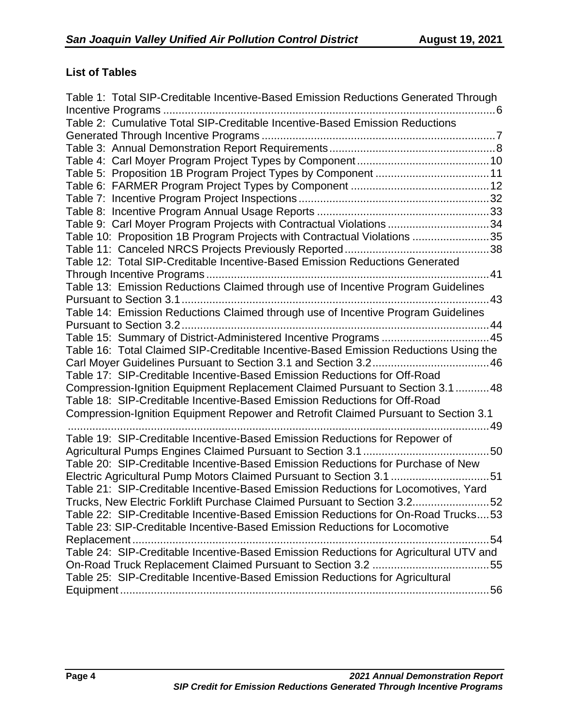# **List of Tables**

| Table 1: Total SIP-Creditable Incentive-Based Emission Reductions Generated Through   |
|---------------------------------------------------------------------------------------|
| Table 2: Cumulative Total SIP-Creditable Incentive-Based Emission Reductions          |
|                                                                                       |
|                                                                                       |
|                                                                                       |
|                                                                                       |
|                                                                                       |
|                                                                                       |
|                                                                                       |
|                                                                                       |
| Table 9: Carl Moyer Program Projects with Contractual Violations34                    |
| Table 10: Proposition 1B Program Projects with Contractual Violations 35              |
|                                                                                       |
| Table 12: Total SIP-Creditable Incentive-Based Emission Reductions Generated          |
|                                                                                       |
| Table 13: Emission Reductions Claimed through use of Incentive Program Guidelines     |
|                                                                                       |
| Table 14: Emission Reductions Claimed through use of Incentive Program Guidelines     |
|                                                                                       |
| Table 15: Summary of District-Administered Incentive Programs 45                      |
| Table 16: Total Claimed SIP-Creditable Incentive-Based Emission Reductions Using the  |
|                                                                                       |
| Table 17: SIP-Creditable Incentive-Based Emission Reductions for Off-Road             |
| Compression-Ignition Equipment Replacement Claimed Pursuant to Section 3.1  48        |
| Table 18: SIP-Creditable Incentive-Based Emission Reductions for Off-Road             |
| Compression-Ignition Equipment Repower and Retrofit Claimed Pursuant to Section 3.1   |
|                                                                                       |
| Table 19: SIP-Creditable Incentive-Based Emission Reductions for Repower of           |
|                                                                                       |
| Table 20: SIP-Creditable Incentive-Based Emission Reductions for Purchase of New      |
| Electric Agricultural Pump Motors Claimed Pursuant to Section 3.1 51                  |
| Table 21: SIP-Creditable Incentive-Based Emission Reductions for Locomotives, Yard    |
| Trucks, New Electric Forklift Purchase Claimed Pursuant to Section 3.252              |
| Table 22: SIP-Creditable Incentive-Based Emission Reductions for On-Road Trucks53     |
| Table 23: SIP-Creditable Incentive-Based Emission Reductions for Locomotive           |
| 54                                                                                    |
| Table 24: SIP-Creditable Incentive-Based Emission Reductions for Agricultural UTV and |
|                                                                                       |
| Table 25: SIP-Creditable Incentive-Based Emission Reductions for Agricultural         |
|                                                                                       |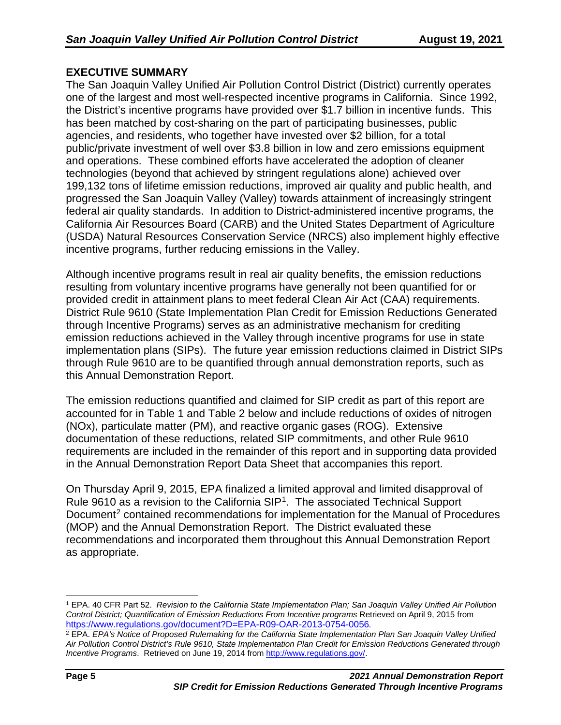#### <span id="page-4-0"></span>**EXECUTIVE SUMMARY**

The San Joaquin Valley Unified Air Pollution Control District (District) currently operates one of the largest and most well-respected incentive programs in California. Since 1992, the District's incentive programs have provided over \$1.7 billion in incentive funds. This has been matched by cost-sharing on the part of participating businesses, public agencies, and residents, who together have invested over \$2 billion, for a total public/private investment of well over \$3.8 billion in low and zero emissions equipment and operations. These combined efforts have accelerated the adoption of cleaner technologies (beyond that achieved by stringent regulations alone) achieved over 199,132 tons of lifetime emission reductions, improved air quality and public health, and progressed the San Joaquin Valley (Valley) towards attainment of increasingly stringent federal air quality standards. In addition to District-administered incentive programs, the California Air Resources Board (CARB) and the United States Department of Agriculture (USDA) Natural Resources Conservation Service (NRCS) also implement highly effective incentive programs, further reducing emissions in the Valley.

Although incentive programs result in real air quality benefits, the emission reductions resulting from voluntary incentive programs have generally not been quantified for or provided credit in attainment plans to meet federal Clean Air Act (CAA) requirements. District Rule 9610 (State Implementation Plan Credit for Emission Reductions Generated through Incentive Programs) serves as an administrative mechanism for crediting emission reductions achieved in the Valley through incentive programs for use in state implementation plans (SIPs). The future year emission reductions claimed in District SIPs through Rule 9610 are to be quantified through annual demonstration reports, such as this Annual Demonstration Report.

The emission reductions quantified and claimed for SIP credit as part of this report are accounted for in Table 1 and Table 2 below and include reductions of oxides of nitrogen (NOx), particulate matter (PM), and reactive organic gases (ROG). Extensive documentation of these reductions, related SIP commitments, and other Rule 9610 requirements are included in the remainder of this report and in supporting data provided in the Annual Demonstration Report Data Sheet that accompanies this report.

On Thursday April 9, 2015, EPA finalized a limited approval and limited disapproval of Rule 9610 as a revision to the California SIP[1](#page-4-1). The associated Technical Support Document<sup>[2](#page-4-2)</sup> contained recommendations for implementation for the Manual of Procedures (MOP) and the Annual Demonstration Report. The District evaluated these recommendations and incorporated them throughout this Annual Demonstration Report as appropriate.

<span id="page-4-1"></span> <sup>1</sup> EPA. 40 CFR Part 52. *Revision to the California State Implementation Plan; San Joaquin Valley Unified Air Pollution Control District; Quantification of Emission Reductions From Incentive programs* Retrieved on April 9, 2015 from <https://www.regulations.gov/document?D=EPA-R09-OAR-2013-0754-0056>*.* 

<span id="page-4-2"></span><sup>2</sup> EPA. *EPA's Notice of Proposed Rulemaking for the California State Implementation Plan San Joaquin Valley Unified Air Pollution Control District's Rule 9610, State Implementation Plan Credit for Emission Reductions Generated through Incentive Programs*. Retrieved on June 19, 2014 fro[m http://www.regulations.gov/.](http://www.regulations.gov/#!documentDetail;D=EPA-R09-OAR-2013-0754-0004)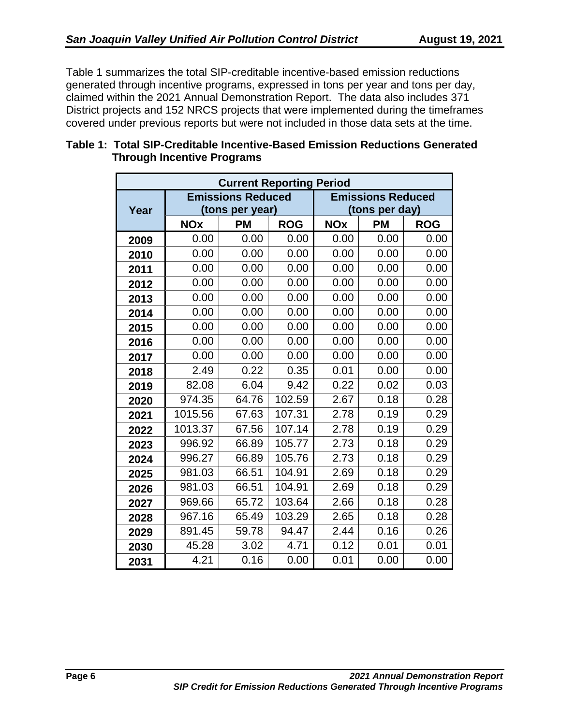Table 1 summarizes the total SIP-creditable incentive-based emission reductions generated through incentive programs, expressed in tons per year and tons per day, claimed within the 2021 Annual Demonstration Report. The data also includes 371 District projects and 152 NRCS projects that were implemented during the timeframes covered under previous reports but were not included in those data sets at the time.

| <b>Current Reporting Period</b> |                          |                 |                          |                |           |            |
|---------------------------------|--------------------------|-----------------|--------------------------|----------------|-----------|------------|
|                                 | <b>Emissions Reduced</b> |                 | <b>Emissions Reduced</b> |                |           |            |
| Year                            |                          | (tons per year) |                          | (tons per day) |           |            |
|                                 | <b>NOx</b>               | <b>PM</b>       | <b>ROG</b>               | <b>NOx</b>     | <b>PM</b> | <b>ROG</b> |
| 2009                            | 0.00                     | 0.00            | 0.00                     | 0.00           | 0.00      | 0.00       |
| 2010                            | 0.00                     | 0.00            | 0.00                     | 0.00           | 0.00      | 0.00       |
| 2011                            | 0.00                     | 0.00            | 0.00                     | 0.00           | 0.00      | 0.00       |
| 2012                            | 0.00                     | 0.00            | 0.00                     | 0.00           | 0.00      | 0.00       |
| 2013                            | 0.00                     | 0.00            | 0.00                     | 0.00           | 0.00      | 0.00       |
| 2014                            | 0.00                     | 0.00            | 0.00                     | 0.00           | 0.00      | 0.00       |
| 2015                            | 0.00                     | 0.00            | 0.00                     | 0.00           | 0.00      | 0.00       |
| 2016                            | 0.00                     | 0.00            | 0.00                     | 0.00           | 0.00      | 0.00       |
| 2017                            | 0.00                     | 0.00            | 0.00                     | 0.00           | 0.00      | 0.00       |
| 2018                            | 2.49                     | 0.22            | 0.35                     | 0.01           | 0.00      | 0.00       |
| 2019                            | 82.08                    | 6.04            | 9.42                     | 0.22           | 0.02      | 0.03       |
| 2020                            | 974.35                   | 64.76           | 102.59                   | 2.67           | 0.18      | 0.28       |
| 2021                            | 1015.56                  | 67.63           | 107.31                   | 2.78           | 0.19      | 0.29       |
| 2022                            | 1013.37                  | 67.56           | 107.14                   | 2.78           | 0.19      | 0.29       |
| 2023                            | 996.92                   | 66.89           | 105.77                   | 2.73           | 0.18      | 0.29       |
| 2024                            | 996.27                   | 66.89           | 105.76                   | 2.73           | 0.18      | 0.29       |
| 2025                            | 981.03                   | 66.51           | 104.91                   | 2.69           | 0.18      | 0.29       |
| 2026                            | 981.03                   | 66.51           | 104.91                   | 2.69           | 0.18      | 0.29       |
| 2027                            | 969.66                   | 65.72           | 103.64                   | 2.66           | 0.18      | 0.28       |
| 2028                            | 967.16                   | 65.49           | 103.29                   | 2.65           | 0.18      | 0.28       |
| 2029                            | 891.45                   | 59.78           | 94.47                    | 2.44           | 0.16      | 0.26       |
| 2030                            | 45.28                    | 3.02            | 4.71                     | 0.12           | 0.01      | 0.01       |
| 2031                            | 4.21                     | 0.16            | 0.00                     | 0.01           | 0.00      | 0.00       |

#### <span id="page-5-0"></span>**Table 1: Total SIP-Creditable Incentive-Based Emission Reductions Generated Through Incentive Programs**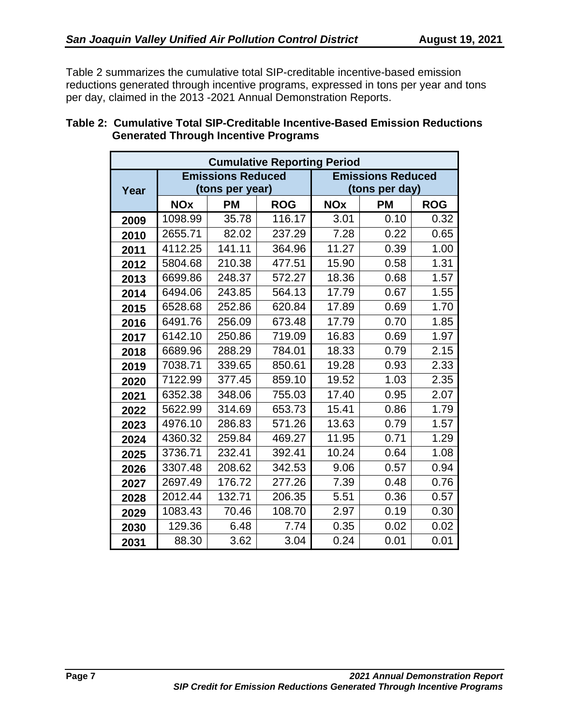Table 2 summarizes the cumulative total SIP-creditable incentive-based emission reductions generated through incentive programs, expressed in tons per year and tons per day, claimed in the 2013 -2021 Annual Demonstration Reports.

#### <span id="page-6-0"></span>**Table 2: Cumulative Total SIP-Creditable Incentive-Based Emission Reductions Generated Through Incentive Programs**

| <b>Cumulative Reporting Period</b> |                          |                 |            |                |                          |            |  |
|------------------------------------|--------------------------|-----------------|------------|----------------|--------------------------|------------|--|
|                                    | <b>Emissions Reduced</b> |                 |            |                | <b>Emissions Reduced</b> |            |  |
| Year                               |                          | (tons per year) |            | (tons per day) |                          |            |  |
|                                    | <b>NOx</b>               | <b>PM</b>       | <b>ROG</b> | <b>NOx</b>     | <b>PM</b>                | <b>ROG</b> |  |
| 2009                               | 1098.99                  | 35.78           | 116.17     | 3.01           | 0.10                     | 0.32       |  |
| 2010                               | 2655.71                  | 82.02           | 237.29     | 7.28           | 0.22                     | 0.65       |  |
| 2011                               | 4112.25                  | 141.11          | 364.96     | 11.27          | 0.39                     | 1.00       |  |
| 2012                               | 5804.68                  | 210.38          | 477.51     | 15.90          | 0.58                     | 1.31       |  |
| 2013                               | 6699.86                  | 248.37          | 572.27     | 18.36          | 0.68                     | 1.57       |  |
| 2014                               | 6494.06                  | 243.85          | 564.13     | 17.79          | 0.67                     | 1.55       |  |
| 2015                               | 6528.68                  | 252.86          | 620.84     | 17.89          | 0.69                     | 1.70       |  |
| 2016                               | 6491.76                  | 256.09          | 673.48     | 17.79          | 0.70                     | 1.85       |  |
| 2017                               | 6142.10                  | 250.86          | 719.09     | 16.83          | 0.69                     | 1.97       |  |
| 2018                               | 6689.96                  | 288.29          | 784.01     | 18.33          | 0.79                     | 2.15       |  |
| 2019                               | 7038.71                  | 339.65          | 850.61     | 19.28          | 0.93                     | 2.33       |  |
| 2020                               | 7122.99                  | 377.45          | 859.10     | 19.52          | 1.03                     | 2.35       |  |
| 2021                               | 6352.38                  | 348.06          | 755.03     | 17.40          | 0.95                     | 2.07       |  |
| 2022                               | 5622.99                  | 314.69          | 653.73     | 15.41          | 0.86                     | 1.79       |  |
| 2023                               | 4976.10                  | 286.83          | 571.26     | 13.63          | 0.79                     | 1.57       |  |
| 2024                               | 4360.32                  | 259.84          | 469.27     | 11.95          | 0.71                     | 1.29       |  |
| 2025                               | 3736.71                  | 232.41          | 392.41     | 10.24          | 0.64                     | 1.08       |  |
| 2026                               | 3307.48                  | 208.62          | 342.53     | 9.06           | 0.57                     | 0.94       |  |
| 2027                               | 2697.49                  | 176.72          | 277.26     | 7.39           | 0.48                     | 0.76       |  |
| 2028                               | 2012.44                  | 132.71          | 206.35     | 5.51           | 0.36                     | 0.57       |  |
| 2029                               | 1083.43                  | 70.46           | 108.70     | 2.97           | 0.19                     | 0.30       |  |
| 2030                               | 129.36                   | 6.48            | 7.74       | 0.35           | 0.02                     | 0.02       |  |
| 2031                               | 88.30                    | 3.62            | 3.04       | 0.24           | 0.01                     | 0.01       |  |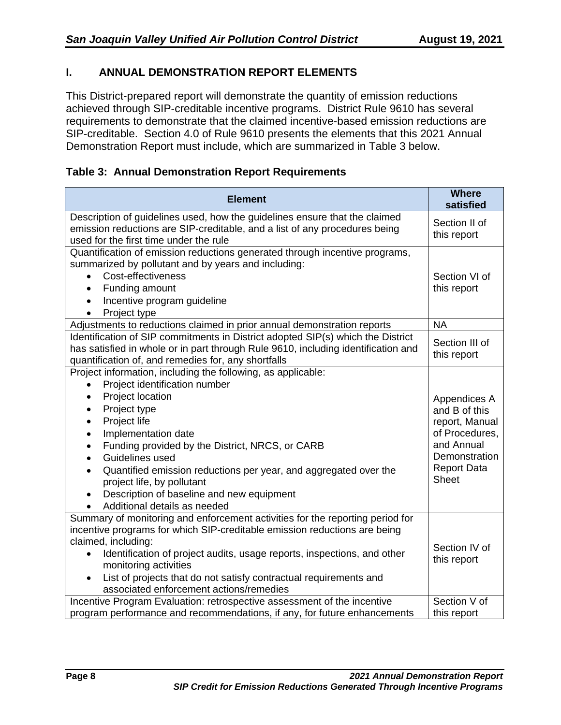## <span id="page-7-0"></span>**I. ANNUAL DEMONSTRATION REPORT ELEMENTS**

This District-prepared report will demonstrate the quantity of emission reductions achieved through SIP-creditable incentive programs. District Rule 9610 has several requirements to demonstrate that the claimed incentive-based emission reductions are SIP-creditable. Section 4.0 of Rule 9610 presents the elements that this 2021 Annual Demonstration Report must include, which are summarized in Table 3 below.

## <span id="page-7-1"></span>**Table 3: Annual Demonstration Report Requirements**

| <b>Element</b>                                                                                                                                                                                                                                                                                                                                                                                                                                                                                                                        | <b>Where</b><br>satisfied                                                                                                              |
|---------------------------------------------------------------------------------------------------------------------------------------------------------------------------------------------------------------------------------------------------------------------------------------------------------------------------------------------------------------------------------------------------------------------------------------------------------------------------------------------------------------------------------------|----------------------------------------------------------------------------------------------------------------------------------------|
| Description of guidelines used, how the guidelines ensure that the claimed<br>emission reductions are SIP-creditable, and a list of any procedures being<br>used for the first time under the rule                                                                                                                                                                                                                                                                                                                                    | Section II of<br>this report                                                                                                           |
| Quantification of emission reductions generated through incentive programs,<br>summarized by pollutant and by years and including:<br>Cost-effectiveness<br>Funding amount<br>$\bullet$<br>Incentive program guideline<br>$\bullet$<br>Project type                                                                                                                                                                                                                                                                                   | Section VI of<br>this report                                                                                                           |
| Adjustments to reductions claimed in prior annual demonstration reports                                                                                                                                                                                                                                                                                                                                                                                                                                                               | <b>NA</b>                                                                                                                              |
| Identification of SIP commitments in District adopted SIP(s) which the District<br>has satisfied in whole or in part through Rule 9610, including identification and<br>quantification of, and remedies for, any shortfalls                                                                                                                                                                                                                                                                                                           | Section III of<br>this report                                                                                                          |
| Project information, including the following, as applicable:<br>Project identification number<br>Project location<br>$\bullet$<br>Project type<br>$\bullet$<br>Project life<br>$\bullet$<br>Implementation date<br>$\bullet$<br>Funding provided by the District, NRCS, or CARB<br>$\bullet$<br>Guidelines used<br>$\bullet$<br>Quantified emission reductions per year, and aggregated over the<br>$\bullet$<br>project life, by pollutant<br>Description of baseline and new equipment<br>$\bullet$<br>Additional details as needed | Appendices A<br>and B of this<br>report, Manual<br>of Procedures,<br>and Annual<br>Demonstration<br><b>Report Data</b><br><b>Sheet</b> |
| Summary of monitoring and enforcement activities for the reporting period for<br>incentive programs for which SIP-creditable emission reductions are being<br>claimed, including:<br>Identification of project audits, usage reports, inspections, and other<br>$\bullet$<br>monitoring activities<br>List of projects that do not satisfy contractual requirements and<br>$\bullet$<br>associated enforcement actions/remedies                                                                                                       | Section IV of<br>this report<br>Section V of                                                                                           |
| Incentive Program Evaluation: retrospective assessment of the incentive<br>program performance and recommendations, if any, for future enhancements                                                                                                                                                                                                                                                                                                                                                                                   | this report                                                                                                                            |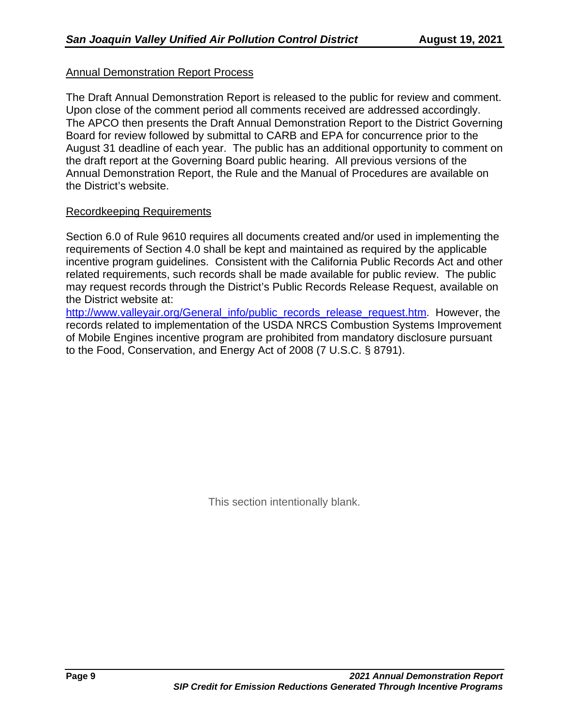## Annual Demonstration Report Process

The Draft Annual Demonstration Report is released to the public for review and comment. Upon close of the comment period all comments received are addressed accordingly. The APCO then presents the Draft Annual Demonstration Report to the District Governing Board for review followed by submittal to CARB and EPA for concurrence prior to the August 31 deadline of each year. The public has an additional opportunity to comment on the draft report at the Governing Board public hearing. All previous versions of the Annual Demonstration Report, the Rule and the Manual of Procedures are available on the District's website.

#### Recordkeeping Requirements

Section 6.0 of Rule 9610 requires all documents created and/or used in implementing the requirements of Section 4.0 shall be kept and maintained as required by the applicable incentive program guidelines. Consistent with the California Public Records Act and other related requirements, such records shall be made available for public review. The public may request records through the District's Public Records Release Request, available on the District website at:

[http://www.valleyair.org/General\\_info/public\\_records\\_release\\_request.htm.](http://www.valleyair.org/General_info/public_records_release_request.htm) However, the records related to implementation of the USDA NRCS Combustion Systems Improvement of Mobile Engines incentive program are prohibited from mandatory disclosure pursuant to the Food, Conservation, and Energy Act of 2008 (7 U.S.C. § 8791).

This section intentionally blank.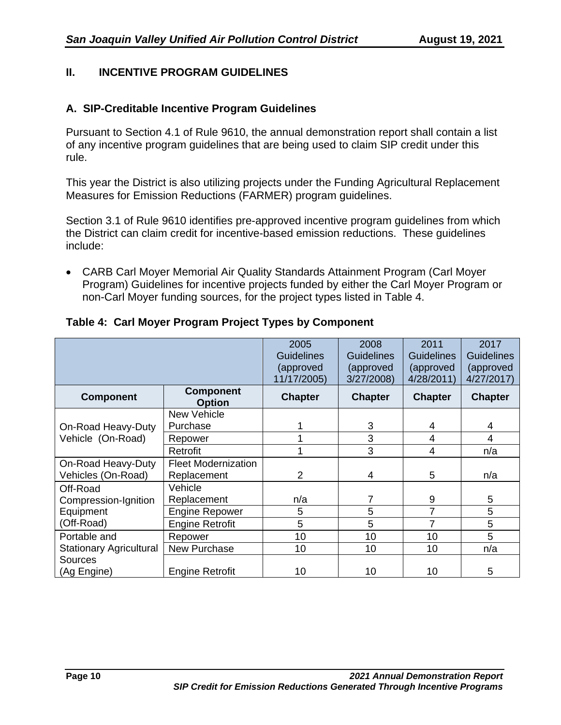## <span id="page-9-0"></span>**II. INCENTIVE PROGRAM GUIDELINES**

#### <span id="page-9-1"></span>**A. SIP-Creditable Incentive Program Guidelines**

Pursuant to Section 4.1 of Rule 9610, the annual demonstration report shall contain a list of any incentive program guidelines that are being used to claim SIP credit under this rule.

This year the District is also utilizing projects under the Funding Agricultural Replacement Measures for Emission Reductions (FARMER) program guidelines.

Section 3.1 of Rule 9610 identifies pre-approved incentive program guidelines from which the District can claim credit for incentive-based emission reductions. These guidelines include:

• CARB Carl Moyer Memorial Air Quality Standards Attainment Program (Carl Moyer Program) Guidelines for incentive projects funded by either the Carl Moyer Program or non-Carl Moyer funding sources, for the project types listed in Table 4.

|                                                |                                           | 2005<br><b>Guidelines</b><br>(approved | 2008<br><b>Guidelines</b><br>(approved | 2011<br><b>Guidelines</b><br>(approved | 2017<br><b>Guidelines</b><br>(approved |
|------------------------------------------------|-------------------------------------------|----------------------------------------|----------------------------------------|----------------------------------------|----------------------------------------|
| <b>Component</b>                               | <b>Component</b><br><b>Option</b>         | 11/17/2005)<br><b>Chapter</b>          | 3/27/2008)<br><b>Chapter</b>           | 4/28/2011)<br><b>Chapter</b>           | 4/27/2017<br><b>Chapter</b>            |
| On-Road Heavy-Duty                             | New Vehicle<br>Purchase                   |                                        | 3                                      | 4                                      | 4                                      |
| Vehicle (On-Road)                              | Repower                                   |                                        | 3                                      | 4                                      | 4                                      |
|                                                | Retrofit                                  |                                        | 3                                      | 4                                      | n/a                                    |
| On-Road Heavy-Duty<br>Vehicles (On-Road)       | <b>Fleet Modernization</b><br>Replacement | 2                                      | 4                                      | 5                                      | n/a                                    |
| Off-Road<br>Compression-Ignition               | Vehicle<br>Replacement                    | n/a                                    | 7                                      | 9                                      | 5                                      |
| Equipment                                      | <b>Engine Repower</b>                     | 5                                      | 5                                      | $\overline{7}$                         | 5                                      |
| (Off-Road)                                     | <b>Engine Retrofit</b>                    | 5                                      | 5                                      | 7                                      | 5                                      |
| Portable and                                   | Repower                                   | 10                                     | 10                                     | 10                                     | 5                                      |
| <b>Stationary Agricultural</b><br>New Purchase |                                           | 10                                     | 10                                     | 10                                     | n/a                                    |
| Sources<br>(Ag Engine)                         | <b>Engine Retrofit</b>                    | 10                                     | 10                                     | 10                                     | 5                                      |

#### <span id="page-9-2"></span>**Table 4: Carl Moyer Program Project Types by Component**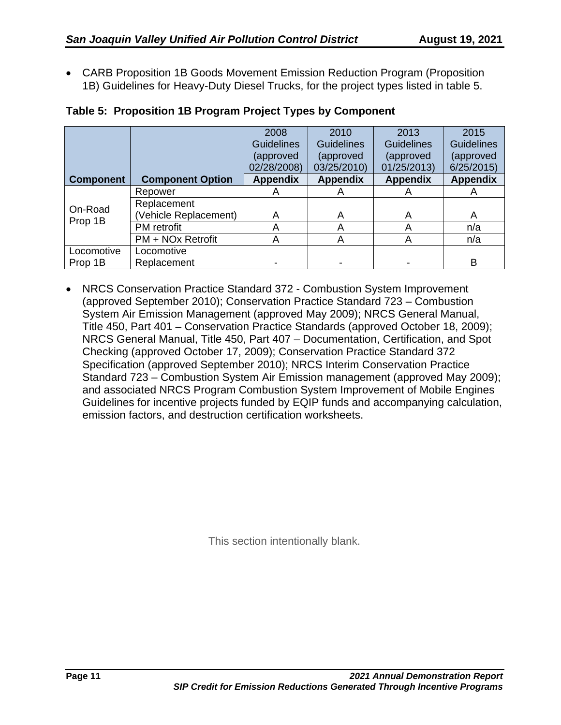• CARB Proposition 1B Goods Movement Emission Reduction Program (Proposition 1B) Guidelines for Heavy-Duty Diesel Trucks, for the project types listed in table 5.

|                  |                         | 2008              | 2010              | 2013              | 2015              |
|------------------|-------------------------|-------------------|-------------------|-------------------|-------------------|
|                  |                         | <b>Guidelines</b> | <b>Guidelines</b> | <b>Guidelines</b> | <b>Guidelines</b> |
|                  |                         | (approved         | (approved         | (approved         | (approved         |
|                  |                         | 02/28/2008)       | 03/25/2010)       | 01/25/2013        | 6/25/2015         |
| <b>Component</b> | <b>Component Option</b> | <b>Appendix</b>   | <b>Appendix</b>   | <b>Appendix</b>   | <b>Appendix</b>   |
|                  | Repower                 | A                 |                   | 宀                 | A                 |
| On-Road          | Replacement             |                   |                   |                   |                   |
| Prop 1B          | (Vehicle Replacement)   | A                 | A                 | A                 | A                 |
|                  | <b>PM</b> retrofit      | A                 |                   | A                 | n/a               |
|                  | PM + NOx Retrofit       | A                 | A                 | A                 | n/a               |
| Locomotive       | Locomotive              |                   |                   |                   |                   |
| Prop 1B          | Replacement             |                   |                   |                   | B                 |

#### <span id="page-10-0"></span>**Table 5: Proposition 1B Program Project Types by Component**

• NRCS Conservation Practice Standard 372 - Combustion System Improvement (approved September 2010); Conservation Practice Standard 723 – Combustion System Air Emission Management (approved May 2009); NRCS General Manual, Title 450, Part 401 – Conservation Practice Standards (approved October 18, 2009); NRCS General Manual, Title 450, Part 407 – Documentation, Certification, and Spot Checking (approved October 17, 2009); Conservation Practice Standard 372 Specification (approved September 2010); NRCS Interim Conservation Practice Standard 723 – Combustion System Air Emission management (approved May 2009); and associated NRCS Program Combustion System Improvement of Mobile Engines Guidelines for incentive projects funded by EQIP funds and accompanying calculation, emission factors, and destruction certification worksheets.

This section intentionally blank.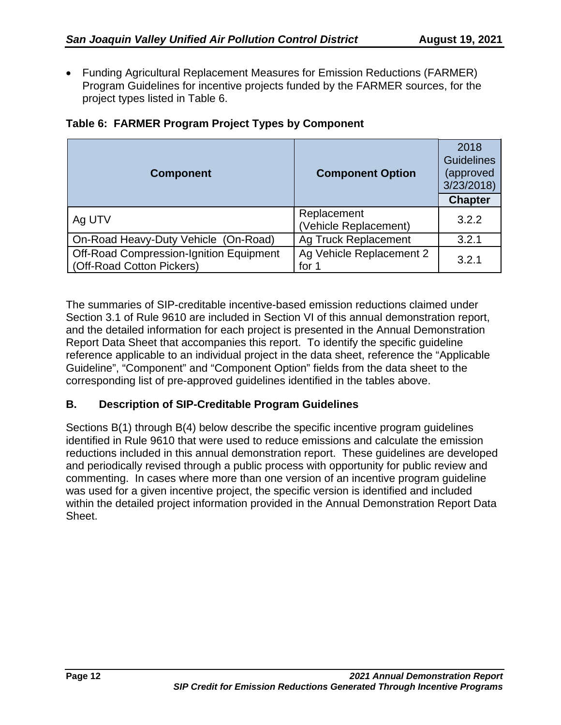• Funding Agricultural Replacement Measures for Emission Reductions (FARMER) Program Guidelines for incentive projects funded by the FARMER sources, for the project types listed in Table 6.

| <b>Component</b>                                                     | <b>Component Option</b>              | 2018<br><b>Guidelines</b><br>(approved<br>3/23/2018 |
|----------------------------------------------------------------------|--------------------------------------|-----------------------------------------------------|
|                                                                      |                                      | <b>Chapter</b>                                      |
| Ag UTV                                                               | Replacement<br>(Vehicle Replacement) | 3.2.2                                               |
| On-Road Heavy-Duty Vehicle (On-Road)                                 | <b>Ag Truck Replacement</b>          | 3.2.1                                               |
| Off-Road Compression-Ignition Equipment<br>(Off-Road Cotton Pickers) | Ag Vehicle Replacement 2<br>for 1    | 3.2.1                                               |

# <span id="page-11-1"></span>**Table 6: FARMER Program Project Types by Component**

The summaries of SIP-creditable incentive-based emission reductions claimed under Section 3.1 of Rule 9610 are included in Section VI of this annual demonstration report, and the detailed information for each project is presented in the Annual Demonstration Report Data Sheet that accompanies this report. To identify the specific guideline reference applicable to an individual project in the data sheet, reference the "Applicable Guideline", "Component" and "Component Option" fields from the data sheet to the corresponding list of pre-approved guidelines identified in the tables above.

## <span id="page-11-0"></span>**B. Description of SIP-Creditable Program Guidelines**

Sections B(1) through B(4) below describe the specific incentive program guidelines identified in Rule 9610 that were used to reduce emissions and calculate the emission reductions included in this annual demonstration report. These guidelines are developed and periodically revised through a public process with opportunity for public review and commenting. In cases where more than one version of an incentive program guideline was used for a given incentive project, the specific version is identified and included within the detailed project information provided in the Annual Demonstration Report Data Sheet.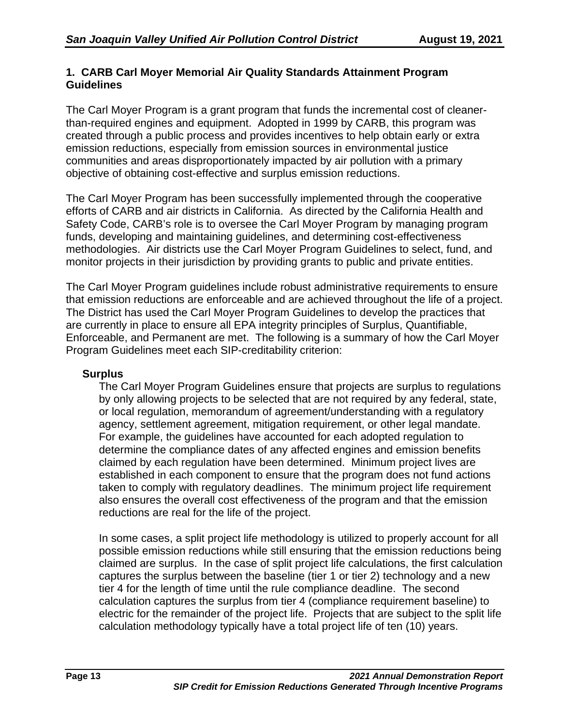#### <span id="page-12-0"></span>**1. CARB Carl Moyer Memorial Air Quality Standards Attainment Program Guidelines**

The Carl Moyer Program is a grant program that funds the incremental cost of cleanerthan-required engines and equipment. Adopted in 1999 by CARB, this program was created through a public process and provides incentives to help obtain early or extra emission reductions, especially from emission sources in environmental justice communities and areas disproportionately impacted by air pollution with a primary objective of obtaining cost-effective and surplus emission reductions.

The Carl Moyer Program has been successfully implemented through the cooperative efforts of CARB and air districts in California. As directed by the California Health and Safety Code, CARB's role is to oversee the Carl Moyer Program by managing program funds, developing and maintaining guidelines, and determining cost-effectiveness methodologies. Air districts use the Carl Moyer Program Guidelines to select, fund, and monitor projects in their jurisdiction by providing grants to public and private entities.

The Carl Moyer Program guidelines include robust administrative requirements to ensure that emission reductions are enforceable and are achieved throughout the life of a project. The District has used the Carl Moyer Program Guidelines to develop the practices that are currently in place to ensure all EPA integrity principles of Surplus, Quantifiable, Enforceable, and Permanent are met. The following is a summary of how the Carl Moyer Program Guidelines meet each SIP-creditability criterion:

## **Surplus**

The Carl Moyer Program Guidelines ensure that projects are surplus to regulations by only allowing projects to be selected that are not required by any federal, state, or local regulation, memorandum of agreement/understanding with a regulatory agency, settlement agreement, mitigation requirement, or other legal mandate. For example, the guidelines have accounted for each adopted regulation to determine the compliance dates of any affected engines and emission benefits claimed by each regulation have been determined. Minimum project lives are established in each component to ensure that the program does not fund actions taken to comply with regulatory deadlines. The minimum project life requirement also ensures the overall cost effectiveness of the program and that the emission reductions are real for the life of the project.

In some cases, a split project life methodology is utilized to properly account for all possible emission reductions while still ensuring that the emission reductions being claimed are surplus. In the case of split project life calculations, the first calculation captures the surplus between the baseline (tier 1 or tier 2) technology and a new tier 4 for the length of time until the rule compliance deadline. The second calculation captures the surplus from tier 4 (compliance requirement baseline) to electric for the remainder of the project life. Projects that are subject to the split life calculation methodology typically have a total project life of ten (10) years.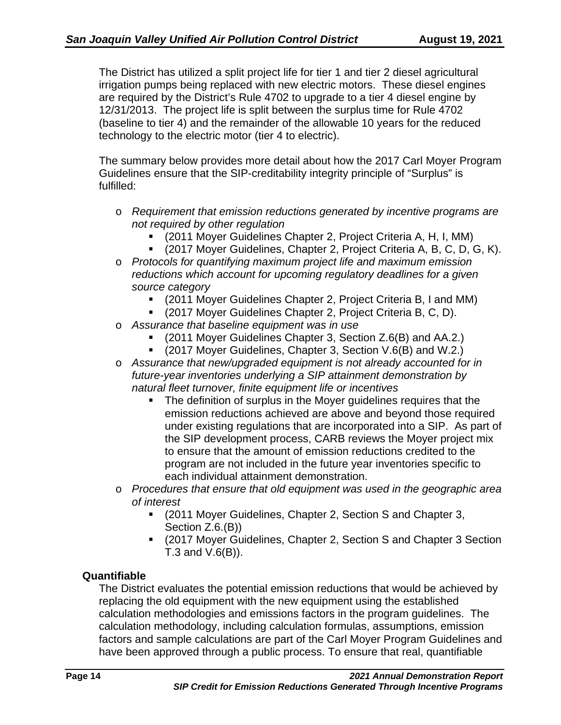The District has utilized a split project life for tier 1 and tier 2 diesel agricultural irrigation pumps being replaced with new electric motors. These diesel engines are required by the District's Rule 4702 to upgrade to a tier 4 diesel engine by 12/31/2013. The project life is split between the surplus time for Rule 4702 (baseline to tier 4) and the remainder of the allowable 10 years for the reduced technology to the electric motor (tier 4 to electric).

The summary below provides more detail about how the 2017 Carl Moyer Program Guidelines ensure that the SIP-creditability integrity principle of "Surplus" is fulfilled:

- o *Requirement that emission reductions generated by incentive programs are not required by other regulation* 
	- (2011 Moyer Guidelines Chapter 2, Project Criteria A, H, I, MM)
	- (2017 Moyer Guidelines, Chapter 2, Project Criteria A, B, C, D, G, K).
- o *Protocols for quantifying maximum project life and maximum emission reductions which account for upcoming regulatory deadlines for a given source category* 
	- (2011 Moyer Guidelines Chapter 2, Project Criteria B, I and MM)
	- (2017 Moyer Guidelines Chapter 2, Project Criteria B, C, D).
- o *Assurance that baseline equipment was in use* 
	- (2011 Moyer Guidelines Chapter 3, Section Z.6(B) and AA.2.)
	- (2017 Moyer Guidelines, Chapter 3, Section V.6(B) and W.2.)
- o *Assurance that new/upgraded equipment is not already accounted for in future-year inventories underlying a SIP attainment demonstration by natural fleet turnover, finite equipment life or incentives*
	- **The definition of surplus in the Moyer guidelines requires that the** emission reductions achieved are above and beyond those required under existing regulations that are incorporated into a SIP. As part of the SIP development process, CARB reviews the Moyer project mix to ensure that the amount of emission reductions credited to the program are not included in the future year inventories specific to each individual attainment demonstration.
- o *Procedures that ensure that old equipment was used in the geographic area of interest*
	- (2011 Moyer Guidelines, Chapter 2, Section S and Chapter 3, Section Z.6.(B))
	- (2017 Moyer Guidelines, Chapter 2, Section S and Chapter 3 Section T.3 and  $V.6(B)$ ).

## **Quantifiable**

The District evaluates the potential emission reductions that would be achieved by replacing the old equipment with the new equipment using the established calculation methodologies and emissions factors in the program guidelines. The calculation methodology, including calculation formulas, assumptions, emission factors and sample calculations are part of the Carl Moyer Program Guidelines and have been approved through a public process. To ensure that real, quantifiable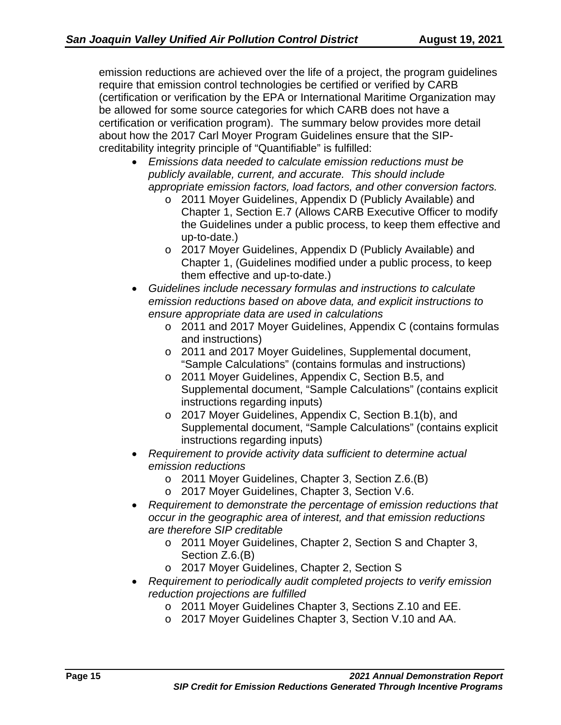emission reductions are achieved over the life of a project, the program guidelines require that emission control technologies be certified or verified by CARB (certification or verification by the EPA or International Maritime Organization may be allowed for some source categories for which CARB does not have a certification or verification program). The summary below provides more detail about how the 2017 Carl Moyer Program Guidelines ensure that the SIPcreditability integrity principle of "Quantifiable" is fulfilled:

- *Emissions data needed to calculate emission reductions must be publicly available, current, and accurate. This should include appropriate emission factors, load factors, and other conversion factors.*
	- o 2011 Moyer Guidelines, Appendix D (Publicly Available) and Chapter 1, Section E.7 (Allows CARB Executive Officer to modify the Guidelines under a public process, to keep them effective and up-to-date.)
	- o 2017 Moyer Guidelines, Appendix D (Publicly Available) and Chapter 1, (Guidelines modified under a public process, to keep them effective and up-to-date.)
- *Guidelines include necessary formulas and instructions to calculate emission reductions based on above data, and explicit instructions to ensure appropriate data are used in calculations*
	- o 2011 and 2017 Moyer Guidelines, Appendix C (contains formulas and instructions)
	- o 2011 and 2017 Moyer Guidelines, Supplemental document, "Sample Calculations" (contains formulas and instructions)
	- o 2011 Moyer Guidelines, Appendix C, Section B.5, and Supplemental document, "Sample Calculations" (contains explicit instructions regarding inputs)
	- o 2017 Moyer Guidelines, Appendix C, Section B.1(b), and Supplemental document, "Sample Calculations" (contains explicit instructions regarding inputs)
- *Requirement to provide activity data sufficient to determine actual emission reductions* 
	- o 2011 Moyer Guidelines, Chapter 3, Section Z.6.(B)
	- o 2017 Moyer Guidelines, Chapter 3, Section V.6.
- *Requirement to demonstrate the percentage of emission reductions that occur in the geographic area of interest, and that emission reductions are therefore SIP creditable* 
	- o 2011 Moyer Guidelines, Chapter 2, Section S and Chapter 3, Section Z.6.(B)
	- o 2017 Moyer Guidelines, Chapter 2, Section S
- *Requirement to periodically audit completed projects to verify emission reduction projections are fulfilled* 
	- o 2011 Moyer Guidelines Chapter 3, Sections Z.10 and EE.
	- o 2017 Moyer Guidelines Chapter 3, Section V.10 and AA.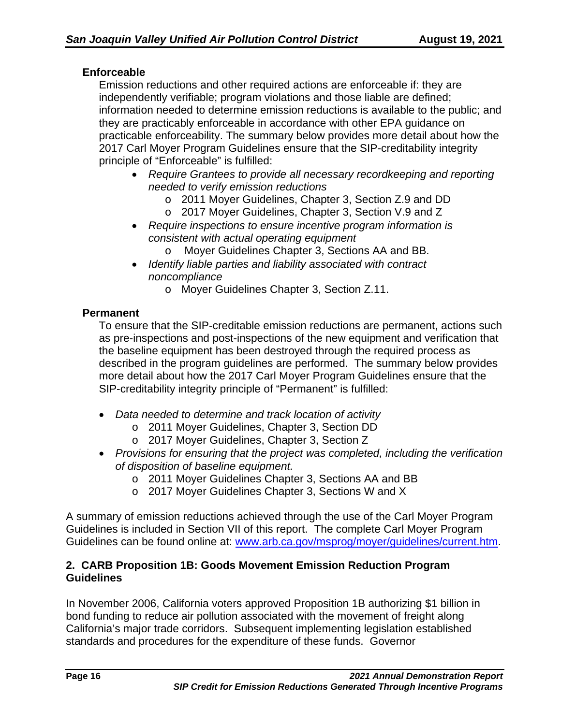## **Enforceable**

Emission reductions and other required actions are enforceable if: they are independently verifiable; program violations and those liable are defined; information needed to determine emission reductions is available to the public; and they are practicably enforceable in accordance with other EPA guidance on practicable enforceability. The summary below provides more detail about how the 2017 Carl Moyer Program Guidelines ensure that the SIP-creditability integrity principle of "Enforceable" is fulfilled:

- *Require Grantees to provide all necessary recordkeeping and reporting needed to verify emission reductions*
	- o 2011 Moyer Guidelines, Chapter 3, Section Z.9 and DD
	- o 2017 Moyer Guidelines, Chapter 3, Section V.9 and Z
- *Require inspections to ensure incentive program information is consistent with actual operating equipment*
	- o Moyer Guidelines Chapter 3, Sections AA and BB.
- *Identify liable parties and liability associated with contract noncompliance*
	- o Moyer Guidelines Chapter 3, Section Z.11.

## **Permanent**

To ensure that the SIP-creditable emission reductions are permanent, actions such as pre-inspections and post-inspections of the new equipment and verification that the baseline equipment has been destroyed through the required process as described in the program guidelines are performed. The summary below provides more detail about how the 2017 Carl Moyer Program Guidelines ensure that the SIP-creditability integrity principle of "Permanent" is fulfilled:

- *Data needed to determine and track location of activity*
	- o 2011 Moyer Guidelines, Chapter 3, Section DD
	- o 2017 Moyer Guidelines, Chapter 3, Section Z
- *Provisions for ensuring that the project was completed, including the verification of disposition of baseline equipment.* 
	- o 2011 Moyer Guidelines Chapter 3, Sections AA and BB
	- o 2017 Moyer Guidelines Chapter 3, Sections W and X

A summary of emission reductions achieved through the use of the Carl Moyer Program Guidelines is included in Section VII of this report. The complete Carl Moyer Program Guidelines can be found online at: [www.arb.ca.gov/msprog/moyer/guidelines/current.htm.](http://www.arb.ca.gov/msprog/moyer/guidelines/current.htm)

## <span id="page-15-0"></span>**2. CARB Proposition 1B: Goods Movement Emission Reduction Program Guidelines**

In November 2006, California voters approved Proposition 1B authorizing \$1 billion in bond funding to reduce air pollution associated with the movement of freight along California's major trade corridors. Subsequent implementing legislation established standards and procedures for the expenditure of these funds. Governor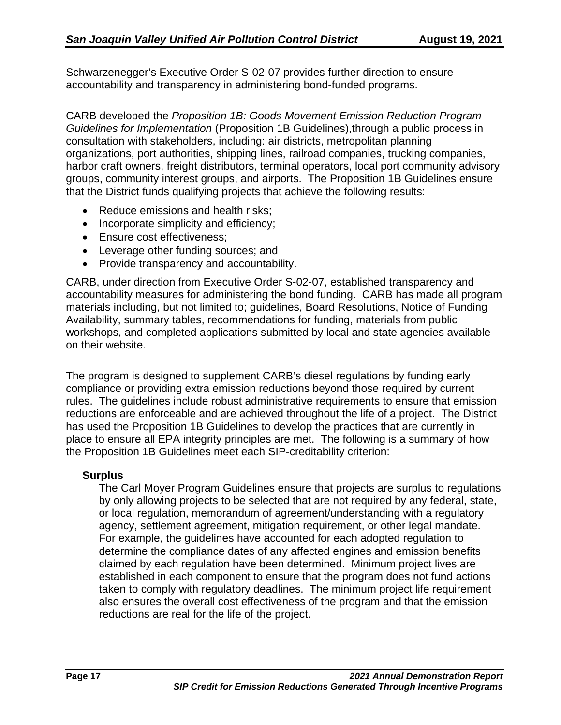Schwarzenegger's Executive Order S-02-07 provides further direction to ensure accountability and transparency in administering bond-funded programs.

CARB developed the *Proposition 1B: Goods Movement Emission Reduction Program Guidelines for Implementation* (Proposition 1B Guidelines),through a public process in consultation with stakeholders, including: air districts, metropolitan planning organizations, port authorities, shipping lines, railroad companies, trucking companies, harbor craft owners, freight distributors, terminal operators, local port community advisory groups, community interest groups, and airports. The Proposition 1B Guidelines ensure that the District funds qualifying projects that achieve the following results:

- Reduce emissions and health risks;
- Incorporate simplicity and efficiency;
- Ensure cost effectiveness;
- Leverage other funding sources; and
- Provide transparency and accountability.

CARB, under direction from Executive Order S-02-07, established transparency and accountability measures for administering the bond funding. CARB has made all program materials including, but not limited to; guidelines, Board Resolutions, Notice of Funding Availability, summary tables, recommendations for funding, materials from public workshops, and completed applications submitted by local and state agencies available on their website.

The program is designed to supplement CARB's diesel regulations by funding early compliance or providing extra emission reductions beyond those required by current rules. The guidelines include robust administrative requirements to ensure that emission reductions are enforceable and are achieved throughout the life of a project. The District has used the Proposition 1B Guidelines to develop the practices that are currently in place to ensure all EPA integrity principles are met. The following is a summary of how the Proposition 1B Guidelines meet each SIP-creditability criterion:

## **Surplus**

The Carl Moyer Program Guidelines ensure that projects are surplus to regulations by only allowing projects to be selected that are not required by any federal, state, or local regulation, memorandum of agreement/understanding with a regulatory agency, settlement agreement, mitigation requirement, or other legal mandate. For example, the guidelines have accounted for each adopted regulation to determine the compliance dates of any affected engines and emission benefits claimed by each regulation have been determined. Minimum project lives are established in each component to ensure that the program does not fund actions taken to comply with regulatory deadlines. The minimum project life requirement also ensures the overall cost effectiveness of the program and that the emission reductions are real for the life of the project.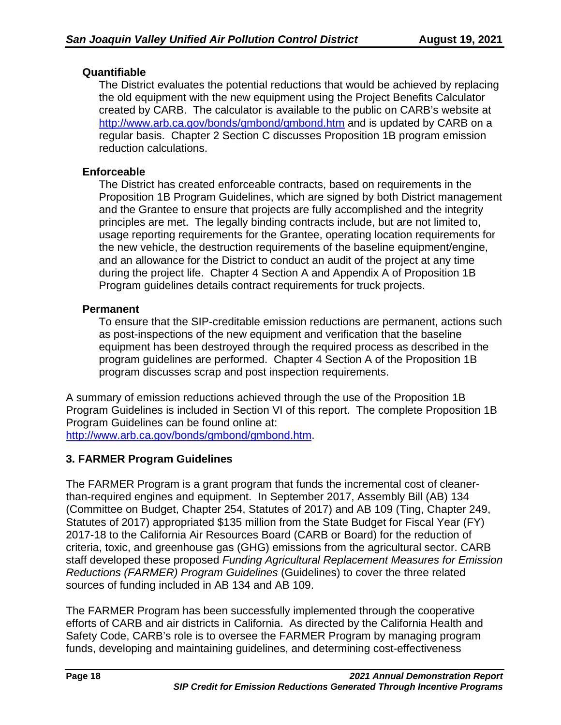## **Quantifiable**

The District evaluates the potential reductions that would be achieved by replacing the old equipment with the new equipment using the Project Benefits Calculator created by CARB. The calculator is available to the public on CARB's website at <http://www.arb.ca.gov/bonds/gmbond/gmbond.htm> and is updated by CARB on a regular basis. Chapter 2 Section C discusses Proposition 1B program emission reduction calculations.

#### **Enforceable**

The District has created enforceable contracts, based on requirements in the Proposition 1B Program Guidelines, which are signed by both District management and the Grantee to ensure that projects are fully accomplished and the integrity principles are met. The legally binding contracts include, but are not limited to, usage reporting requirements for the Grantee, operating location requirements for the new vehicle, the destruction requirements of the baseline equipment/engine, and an allowance for the District to conduct an audit of the project at any time during the project life. Chapter 4 Section A and Appendix A of Proposition 1B Program guidelines details contract requirements for truck projects.

## **Permanent**

To ensure that the SIP-creditable emission reductions are permanent, actions such as post-inspections of the new equipment and verification that the baseline equipment has been destroyed through the required process as described in the program guidelines are performed. Chapter 4 Section A of the Proposition 1B program discusses scrap and post inspection requirements.

A summary of emission reductions achieved through the use of the Proposition 1B Program Guidelines is included in Section VI of this report. The complete Proposition 1B Program Guidelines can be found online at:

<span id="page-17-0"></span>[http://www.arb.ca.gov/bonds/gmbond/gmbond.htm.](http://www.arb.ca.gov/bonds/gmbond/gmbond.htm)

# **3. FARMER Program Guidelines**

The FARMER Program is a grant program that funds the incremental cost of cleanerthan-required engines and equipment. In September 2017, Assembly Bill (AB) 134 (Committee on Budget, Chapter 254, Statutes of 2017) and AB 109 (Ting, Chapter 249, Statutes of 2017) appropriated \$135 million from the State Budget for Fiscal Year (FY) 2017-18 to the California Air Resources Board (CARB or Board) for the reduction of criteria, toxic, and greenhouse gas (GHG) emissions from the agricultural sector. CARB staff developed these proposed *Funding Agricultural Replacement Measures for Emission Reductions (FARMER) Program Guidelines* (Guidelines) to cover the three related sources of funding included in AB 134 and AB 109.

The FARMER Program has been successfully implemented through the cooperative efforts of CARB and air districts in California. As directed by the California Health and Safety Code, CARB's role is to oversee the FARMER Program by managing program funds, developing and maintaining guidelines, and determining cost-effectiveness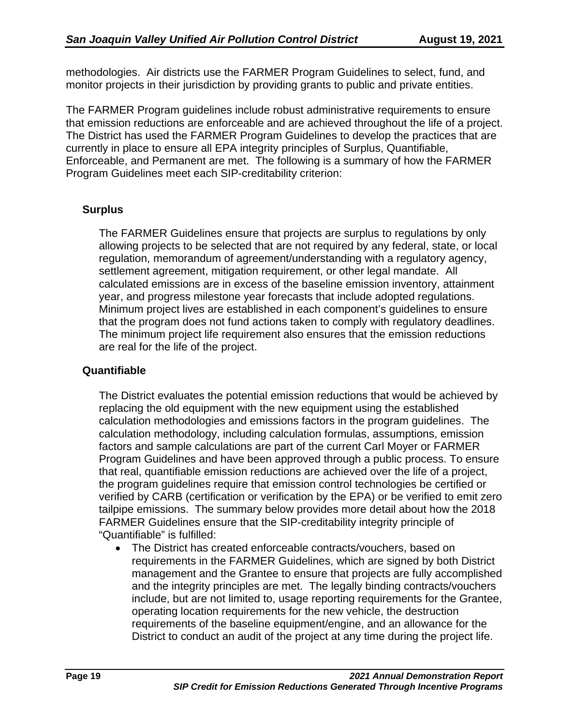methodologies. Air districts use the FARMER Program Guidelines to select, fund, and monitor projects in their jurisdiction by providing grants to public and private entities.

The FARMER Program guidelines include robust administrative requirements to ensure that emission reductions are enforceable and are achieved throughout the life of a project. The District has used the FARMER Program Guidelines to develop the practices that are currently in place to ensure all EPA integrity principles of Surplus, Quantifiable, Enforceable, and Permanent are met. The following is a summary of how the FARMER Program Guidelines meet each SIP-creditability criterion:

## **Surplus**

The FARMER Guidelines ensure that projects are surplus to regulations by only allowing projects to be selected that are not required by any federal, state, or local regulation, memorandum of agreement/understanding with a regulatory agency, settlement agreement, mitigation requirement, or other legal mandate. All calculated emissions are in excess of the baseline emission inventory, attainment year, and progress milestone year forecasts that include adopted regulations. Minimum project lives are established in each component's guidelines to ensure that the program does not fund actions taken to comply with regulatory deadlines. The minimum project life requirement also ensures that the emission reductions are real for the life of the project.

# **Quantifiable**

The District evaluates the potential emission reductions that would be achieved by replacing the old equipment with the new equipment using the established calculation methodologies and emissions factors in the program guidelines. The calculation methodology, including calculation formulas, assumptions, emission factors and sample calculations are part of the current Carl Moyer or FARMER Program Guidelines and have been approved through a public process. To ensure that real, quantifiable emission reductions are achieved over the life of a project, the program guidelines require that emission control technologies be certified or verified by CARB (certification or verification by the EPA) or be verified to emit zero tailpipe emissions. The summary below provides more detail about how the 2018 FARMER Guidelines ensure that the SIP-creditability integrity principle of "Quantifiable" is fulfilled:

• The District has created enforceable contracts/vouchers, based on requirements in the FARMER Guidelines, which are signed by both District management and the Grantee to ensure that projects are fully accomplished and the integrity principles are met. The legally binding contracts/vouchers include, but are not limited to, usage reporting requirements for the Grantee, operating location requirements for the new vehicle, the destruction requirements of the baseline equipment/engine, and an allowance for the District to conduct an audit of the project at any time during the project life.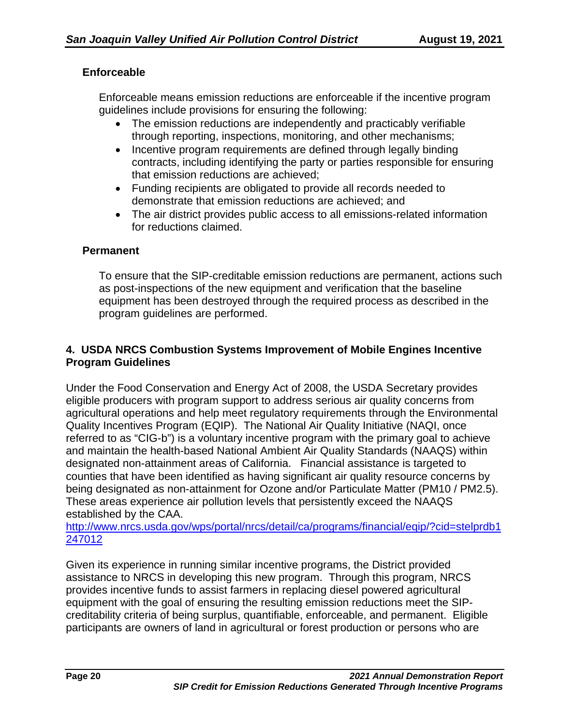## **Enforceable**

Enforceable means emission reductions are enforceable if the incentive program guidelines include provisions for ensuring the following:

- The emission reductions are independently and practicably verifiable through reporting, inspections, monitoring, and other mechanisms;
- Incentive program requirements are defined through legally binding contracts, including identifying the party or parties responsible for ensuring that emission reductions are achieved;
- Funding recipients are obligated to provide all records needed to demonstrate that emission reductions are achieved; and
- The air district provides public access to all emissions-related information for reductions claimed.

## **Permanent**

To ensure that the SIP-creditable emission reductions are permanent, actions such as post-inspections of the new equipment and verification that the baseline equipment has been destroyed through the required process as described in the program guidelines are performed.

## <span id="page-19-0"></span>**4. USDA NRCS Combustion Systems Improvement of Mobile Engines Incentive Program Guidelines**

Under the Food Conservation and Energy Act of 2008, the USDA Secretary provides eligible producers with program support to address serious air quality concerns from agricultural operations and help meet regulatory requirements through the Environmental Quality Incentives Program (EQIP). The National Air Quality Initiative (NAQI, once referred to as "CIG-b") is a voluntary incentive program with the primary goal to achieve and maintain the health-based National Ambient Air Quality Standards (NAAQS) within designated non-attainment areas of California. Financial assistance is targeted to counties that have been identified as having significant air quality resource concerns by being designated as non-attainment for Ozone and/or Particulate Matter (PM10 / PM2.5). These areas experience air pollution levels that persistently exceed the NAAQS established by the CAA.

[http://www.nrcs.usda.gov/wps/portal/nrcs/detail/ca/programs/financial/eqip/?cid=stelprdb1](http://www.nrcs.usda.gov/wps/portal/nrcs/detail/ca/programs/financial/eqip/?cid=stelprdb1247012) [247012](http://www.nrcs.usda.gov/wps/portal/nrcs/detail/ca/programs/financial/eqip/?cid=stelprdb1247012)

Given its experience in running similar incentive programs, the District provided assistance to NRCS in developing this new program. Through this program, NRCS provides incentive funds to assist farmers in replacing diesel powered agricultural equipment with the goal of ensuring the resulting emission reductions meet the SIPcreditability criteria of being surplus, quantifiable, enforceable, and permanent. Eligible participants are owners of land in agricultural or forest production or persons who are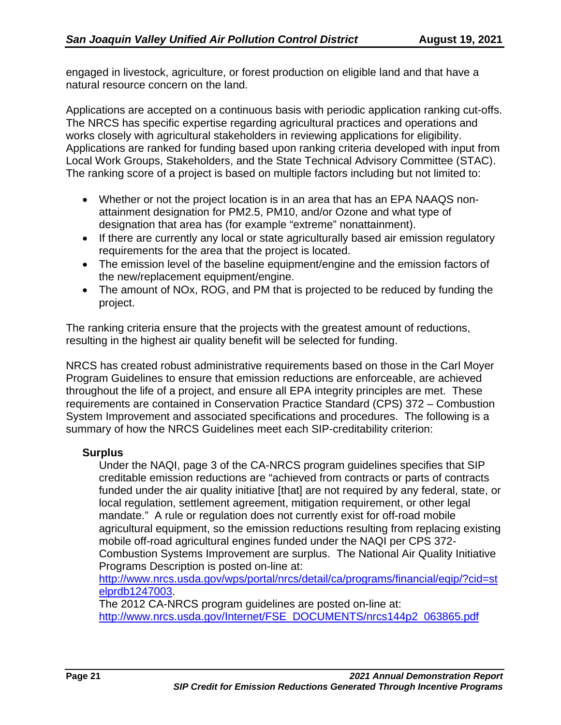engaged in livestock, agriculture, or forest production on eligible land and that have a natural resource concern on the land.

Applications are accepted on a continuous basis with periodic application ranking cut-offs. The NRCS has specific expertise regarding agricultural practices and operations and works closely with agricultural stakeholders in reviewing applications for eligibility. Applications are ranked for funding based upon ranking criteria developed with input from Local Work Groups, Stakeholders, and the State Technical Advisory Committee (STAC). The ranking score of a project is based on multiple factors including but not limited to:

- Whether or not the project location is in an area that has an EPA NAAQS nonattainment designation for PM2.5, PM10, and/or Ozone and what type of designation that area has (for example "extreme" nonattainment).
- If there are currently any local or state agriculturally based air emission regulatory requirements for the area that the project is located.
- The emission level of the baseline equipment/engine and the emission factors of the new/replacement equipment/engine.
- The amount of NOx, ROG, and PM that is projected to be reduced by funding the project.

The ranking criteria ensure that the projects with the greatest amount of reductions, resulting in the highest air quality benefit will be selected for funding.

NRCS has created robust administrative requirements based on those in the Carl Moyer Program Guidelines to ensure that emission reductions are enforceable, are achieved throughout the life of a project, and ensure all EPA integrity principles are met. These requirements are contained in Conservation Practice Standard (CPS) 372 – Combustion System Improvement and associated specifications and procedures. The following is a summary of how the NRCS Guidelines meet each SIP-creditability criterion:

## **Surplus**

Under the NAQI, page 3 of the CA-NRCS program guidelines specifies that SIP creditable emission reductions are "achieved from contracts or parts of contracts funded under the air quality initiative [that] are not required by any federal, state, or local regulation, settlement agreement, mitigation requirement, or other legal mandate." A rule or regulation does not currently exist for off-road mobile agricultural equipment, so the emission reductions resulting from replacing existing mobile off-road agricultural engines funded under the NAQI per CPS 372- Combustion Systems Improvement are surplus. The National Air Quality Initiative Programs Description is posted on-line at:

[http://www.nrcs.usda.gov/wps/portal/nrcs/detail/ca/programs/financial/eqip/?cid=st](http://www.nrcs.usda.gov/wps/portal/nrcs/detail/ca/programs/financial/eqip/?cid=stelprdb1247003) [elprdb1247003.](http://www.nrcs.usda.gov/wps/portal/nrcs/detail/ca/programs/financial/eqip/?cid=stelprdb1247003)

The 2012 CA-NRCS program guidelines are posted on-line at: [http://www.nrcs.usda.gov/Internet/FSE\\_DOCUMENTS/nrcs144p2\\_063865.pdf](http://www.nrcs.usda.gov/Internet/FSE_DOCUMENTS/nrcs144p2_063865.pdf)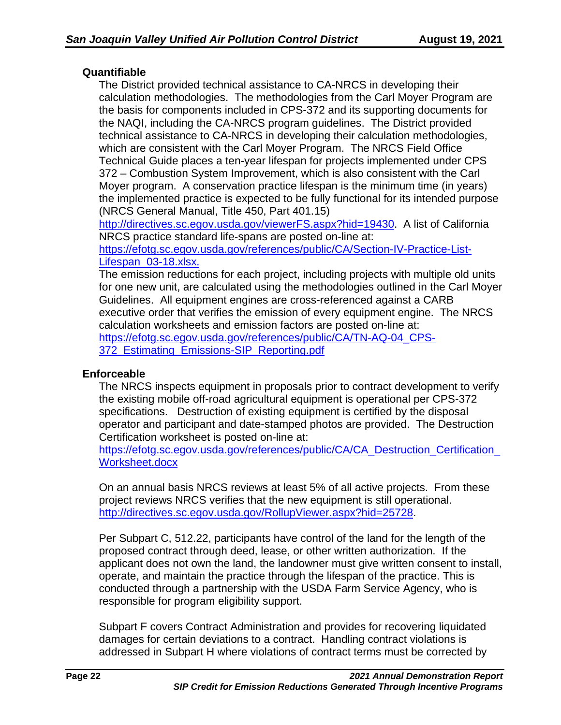#### **Quantifiable**

The District provided technical assistance to CA-NRCS in developing their calculation methodologies. The methodologies from the Carl Moyer Program are the basis for components included in CPS-372 and its supporting documents for the NAQI, including the CA-NRCS program guidelines. The District provided technical assistance to CA-NRCS in developing their calculation methodologies, which are consistent with the Carl Moyer Program. The NRCS Field Office Technical Guide places a ten-year lifespan for projects implemented under CPS 372 – Combustion System Improvement, which is also consistent with the Carl Moyer program. A conservation practice lifespan is the minimum time (in years) the implemented practice is expected to be fully functional for its intended purpose (NRCS General Manual, Title 450, Part 401.15)

[http://directives.sc.egov.usda.gov/viewerFS.aspx?hid=19430.](http://directives.sc.egov.usda.gov/viewerFS.aspx?hid=19430) A list of California NRCS practice standard life-spans are posted on-line at:

[https://efotg.sc.egov.usda.gov/references/public/CA/Section-IV-Practice-List-](https://efotg.sc.egov.usda.gov/references/public/CA/Practices_Lifespans_2012-12_CA.xlsx)Lifespan 03-18.xlsx.

The emission reductions for each project, including projects with multiple old units for one new unit, are calculated using the methodologies outlined in the Carl Moyer Guidelines. All equipment engines are cross-referenced against a CARB executive order that verifies the emission of every equipment engine. The NRCS calculation worksheets and emission factors are posted on-line at: [https://efotg.sc.egov.usda.gov/references/public/CA/TN-AQ-04\\_CPS-](https://efotg.sc.egov.usda.gov/references/public/CA/TN-AQ-04_CPS-372_Estimating_Emissions-SIP_Reporting.pdf)[372\\_Estimating\\_Emissions-SIP\\_Reporting.pdf](https://efotg.sc.egov.usda.gov/references/public/CA/TN-AQ-04_CPS-372_Estimating_Emissions-SIP_Reporting.pdf)

#### **Enforceable**

The NRCS inspects equipment in proposals prior to contract development to verify the existing mobile off-road agricultural equipment is operational per CPS-372 specifications. Destruction of existing equipment is certified by the disposal operator and participant and date-stamped photos are provided. The Destruction Certification worksheet is posted on-line at:

https://efotg.sc.egov.usda.gov/references/public/CA/CA\_Destruction\_Certification [Worksheet.docx](https://efotg.sc.egov.usda.gov/references/public/CA/CA_Destruction_Certification_Worksheet.docx)

On an annual basis NRCS reviews at least 5% of all active projects. From these project reviews NRCS verifies that the new equipment is still operational. [http://directives.sc.egov.usda.gov/RollupViewer.aspx?hid=25728.](http://directives.sc.egov.usda.gov/RollupViewer.aspx?hid=25728)

Per Subpart C, 512.22, participants have control of the land for the length of the proposed contract through deed, lease, or other written authorization. If the applicant does not own the land, the landowner must give written consent to install, operate, and maintain the practice through the lifespan of the practice. This is conducted through a partnership with the USDA Farm Service Agency, who is responsible for program eligibility support.

Subpart F covers Contract Administration and provides for recovering liquidated damages for certain deviations to a contract. Handling contract violations is addressed in Subpart H where violations of contract terms must be corrected by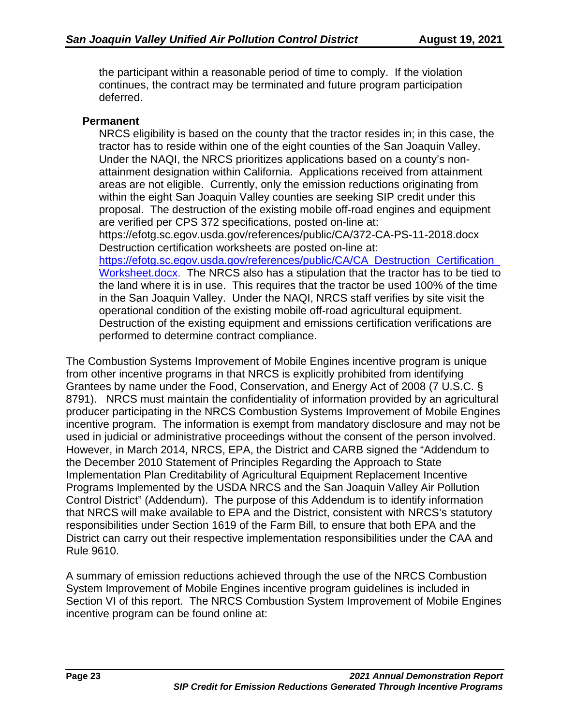the participant within a reasonable period of time to comply. If the violation continues, the contract may be terminated and future program participation deferred.

#### **Permanent**

NRCS eligibility is based on the county that the tractor resides in; in this case, the tractor has to reside within one of the eight counties of the San Joaquin Valley. Under the NAQI, the NRCS prioritizes applications based on a county's nonattainment designation within California. Applications received from attainment areas are not eligible. Currently, only the emission reductions originating from within the eight San Joaquin Valley counties are seeking SIP credit under this proposal. The destruction of the existing mobile off-road engines and equipment are verified per CPS 372 specifications, posted on-line at: https://efotg.sc.egov.usda.gov/references/public/CA/372-CA-PS-11-2018.docx Destruction certification worksheets are posted on-line at:

[https://efotg.sc.egov.usda.gov/references/public/CA/CA\\_Destruction\\_Certification\\_](https://efotg.sc.egov.usda.gov/references/public/CA/CA_Destruction_Certification_Worksheet.docx) [Worksheet.docx.](https://efotg.sc.egov.usda.gov/references/public/CA/CA_Destruction_Certification_Worksheet.docx) The NRCS also has a stipulation that the tractor has to be tied to the land where it is in use. This requires that the tractor be used 100% of the time in the San Joaquin Valley. Under the NAQI, NRCS staff verifies by site visit the operational condition of the existing mobile off-road agricultural equipment. Destruction of the existing equipment and emissions certification verifications are performed to determine contract compliance.

The Combustion Systems Improvement of Mobile Engines incentive program is unique from other incentive programs in that NRCS is explicitly prohibited from identifying Grantees by name under the Food, Conservation, and Energy Act of 2008 (7 U.S.C. § 8791). NRCS must maintain the confidentiality of information provided by an agricultural producer participating in the NRCS Combustion Systems Improvement of Mobile Engines incentive program. The information is exempt from mandatory disclosure and may not be used in judicial or administrative proceedings without the consent of the person involved. However, in March 2014, NRCS, EPA, the District and CARB signed the "Addendum to the December 2010 Statement of Principles Regarding the Approach to State Implementation Plan Creditability of Agricultural Equipment Replacement Incentive Programs Implemented by the USDA NRCS and the San Joaquin Valley Air Pollution Control District" (Addendum). The purpose of this Addendum is to identify information that NRCS will make available to EPA and the District, consistent with NRCS's statutory responsibilities under Section 1619 of the Farm Bill, to ensure that both EPA and the District can carry out their respective implementation responsibilities under the CAA and Rule 9610.

A summary of emission reductions achieved through the use of the NRCS Combustion System Improvement of Mobile Engines incentive program guidelines is included in Section VI of this report. The NRCS Combustion System Improvement of Mobile Engines incentive program can be found online at: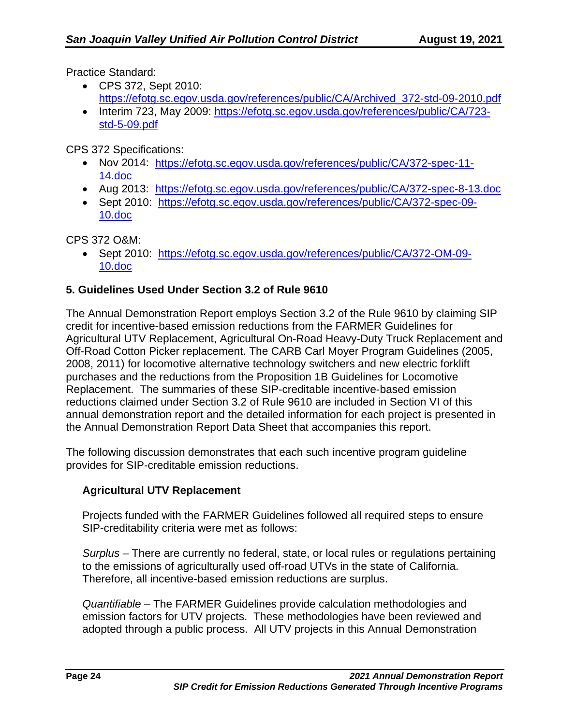Practice Standard:

- CPS 372, Sept 2010: [https://efotg.sc.egov.usda.gov/references/public/CA/Archived\\_372-std-09-2010.pdf](https://efotg.sc.egov.usda.gov/references/public/CA/Archived_372-std-09-2010.pdf)
- Interim 723, May 2009: [https://efotg.sc.egov.usda.gov/references/public/CA/723](https://efotg.sc.egov.usda.gov/references/public/CA/723-std-5-09.pdf) [std-5-09.pdf](https://efotg.sc.egov.usda.gov/references/public/CA/723-std-5-09.pdf)

CPS 372 Specifications:

- Nov 2014: [https://efotg.sc.egov.usda.gov/references/public/CA/372-spec-11-](https://efotg.sc.egov.usda.gov/references/public/CA/372-spec-11-14.doc) [14.doc](https://efotg.sc.egov.usda.gov/references/public/CA/372-spec-11-14.doc)
- Aug 2013: <https://efotg.sc.egov.usda.gov/references/public/CA/372-spec-8-13.doc>
- Sept 2010: [https://efotg.sc.egov.usda.gov/references/public/CA/372-spec-09-](https://efotg.sc.egov.usda.gov/references/public/CA/372-spec-09-10.doc) [10.doc](https://efotg.sc.egov.usda.gov/references/public/CA/372-spec-09-10.doc)

CPS 372 O&M:

• Sept 2010: [https://efotg.sc.egov.usda.gov/references/public/CA/372-OM-09-](https://efotg.sc.egov.usda.gov/references/public/CA/372-OM-09-10.doc) [10.doc](https://efotg.sc.egov.usda.gov/references/public/CA/372-OM-09-10.doc)

# <span id="page-23-0"></span>**5. Guidelines Used Under Section 3.2 of Rule 9610**

The Annual Demonstration Report employs Section 3.2 of the Rule 9610 by claiming SIP credit for incentive-based emission reductions from the FARMER Guidelines for Agricultural UTV Replacement, Agricultural On-Road Heavy-Duty Truck Replacement and Off-Road Cotton Picker replacement. The CARB Carl Moyer Program Guidelines (2005, 2008, 2011) for locomotive alternative technology switchers and new electric forklift purchases and the reductions from the Proposition 1B Guidelines for Locomotive Replacement. The summaries of these SIP-creditable incentive-based emission reductions claimed under Section 3.2 of Rule 9610 are included in Section VI of this annual demonstration report and the detailed information for each project is presented in the Annual Demonstration Report Data Sheet that accompanies this report.

The following discussion demonstrates that each such incentive program guideline provides for SIP-creditable emission reductions.

# **Agricultural UTV Replacement**

Projects funded with the FARMER Guidelines followed all required steps to ensure SIP-creditability criteria were met as follows:

*Surplus –* There are currently no federal, state, or local rules or regulations pertaining to the emissions of agriculturally used off-road UTVs in the state of California. Therefore, all incentive-based emission reductions are surplus.

*Quantifiable* – The FARMER Guidelines provide calculation methodologies and emission factors for UTV projects. These methodologies have been reviewed and adopted through a public process. All UTV projects in this Annual Demonstration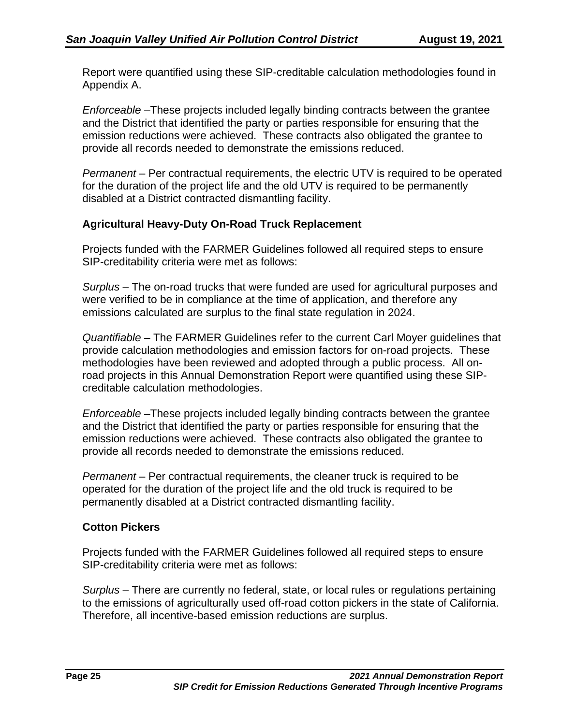Report were quantified using these SIP-creditable calculation methodologies found in Appendix A.

*Enforceable –*These projects included legally binding contracts between the grantee and the District that identified the party or parties responsible for ensuring that the emission reductions were achieved. These contracts also obligated the grantee to provide all records needed to demonstrate the emissions reduced.

*Permanent* – Per contractual requirements, the electric UTV is required to be operated for the duration of the project life and the old UTV is required to be permanently disabled at a District contracted dismantling facility.

## **Agricultural Heavy-Duty On-Road Truck Replacement**

Projects funded with the FARMER Guidelines followed all required steps to ensure SIP-creditability criteria were met as follows:

*Surplus –* The on-road trucks that were funded are used for agricultural purposes and were verified to be in compliance at the time of application, and therefore any emissions calculated are surplus to the final state regulation in 2024.

*Quantifiable* – The FARMER Guidelines refer to the current Carl Moyer guidelines that provide calculation methodologies and emission factors for on-road projects. These methodologies have been reviewed and adopted through a public process. All onroad projects in this Annual Demonstration Report were quantified using these SIPcreditable calculation methodologies.

*Enforceable –*These projects included legally binding contracts between the grantee and the District that identified the party or parties responsible for ensuring that the emission reductions were achieved. These contracts also obligated the grantee to provide all records needed to demonstrate the emissions reduced.

*Permanent* – Per contractual requirements, the cleaner truck is required to be operated for the duration of the project life and the old truck is required to be permanently disabled at a District contracted dismantling facility.

## **Cotton Pickers**

Projects funded with the FARMER Guidelines followed all required steps to ensure SIP-creditability criteria were met as follows:

*Surplus –* There are currently no federal, state, or local rules or regulations pertaining to the emissions of agriculturally used off-road cotton pickers in the state of California. Therefore, all incentive-based emission reductions are surplus.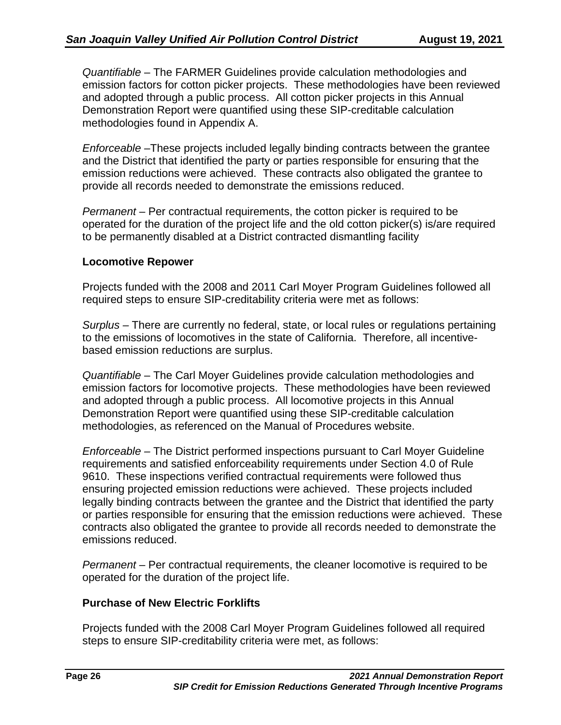*Quantifiable* – The FARMER Guidelines provide calculation methodologies and emission factors for cotton picker projects. These methodologies have been reviewed and adopted through a public process. All cotton picker projects in this Annual Demonstration Report were quantified using these SIP-creditable calculation methodologies found in Appendix A.

*Enforceable –*These projects included legally binding contracts between the grantee and the District that identified the party or parties responsible for ensuring that the emission reductions were achieved. These contracts also obligated the grantee to provide all records needed to demonstrate the emissions reduced.

*Permanent* – Per contractual requirements, the cotton picker is required to be operated for the duration of the project life and the old cotton picker(s) is/are required to be permanently disabled at a District contracted dismantling facility

## **Locomotive Repower**

Projects funded with the 2008 and 2011 Carl Moyer Program Guidelines followed all required steps to ensure SIP-creditability criteria were met as follows:

*Surplus –* There are currently no federal, state, or local rules or regulations pertaining to the emissions of locomotives in the state of California. Therefore, all incentivebased emission reductions are surplus.

*Quantifiable* – The Carl Moyer Guidelines provide calculation methodologies and emission factors for locomotive projects. These methodologies have been reviewed and adopted through a public process. All locomotive projects in this Annual Demonstration Report were quantified using these SIP-creditable calculation methodologies, as referenced on the Manual of Procedures website.

*Enforceable –* The District performed inspections pursuant to Carl Moyer Guideline requirements and satisfied enforceability requirements under Section 4.0 of Rule 9610. These inspections verified contractual requirements were followed thus ensuring projected emission reductions were achieved. These projects included legally binding contracts between the grantee and the District that identified the party or parties responsible for ensuring that the emission reductions were achieved. These contracts also obligated the grantee to provide all records needed to demonstrate the emissions reduced.

*Permanent* – Per contractual requirements, the cleaner locomotive is required to be operated for the duration of the project life.

## **Purchase of New Electric Forklifts**

Projects funded with the 2008 Carl Moyer Program Guidelines followed all required steps to ensure SIP-creditability criteria were met, as follows: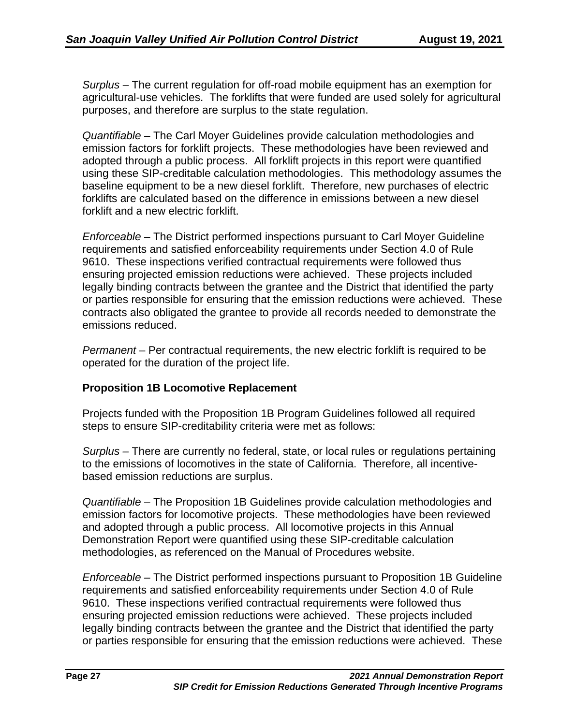*Surplus –* The current regulation for off-road mobile equipment has an exemption for agricultural-use vehicles. The forklifts that were funded are used solely for agricultural purposes, and therefore are surplus to the state regulation.

*Quantifiable* – The Carl Moyer Guidelines provide calculation methodologies and emission factors for forklift projects. These methodologies have been reviewed and adopted through a public process. All forklift projects in this report were quantified using these SIP-creditable calculation methodologies. This methodology assumes the baseline equipment to be a new diesel forklift. Therefore, new purchases of electric forklifts are calculated based on the difference in emissions between a new diesel forklift and a new electric forklift.

*Enforceable –* The District performed inspections pursuant to Carl Moyer Guideline requirements and satisfied enforceability requirements under Section 4.0 of Rule 9610. These inspections verified contractual requirements were followed thus ensuring projected emission reductions were achieved. These projects included legally binding contracts between the grantee and the District that identified the party or parties responsible for ensuring that the emission reductions were achieved. These contracts also obligated the grantee to provide all records needed to demonstrate the emissions reduced.

*Permanent* – Per contractual requirements, the new electric forklift is required to be operated for the duration of the project life.

## **Proposition 1B Locomotive Replacement**

Projects funded with the Proposition 1B Program Guidelines followed all required steps to ensure SIP-creditability criteria were met as follows:

*Surplus –* There are currently no federal, state, or local rules or regulations pertaining to the emissions of locomotives in the state of California. Therefore, all incentivebased emission reductions are surplus.

*Quantifiable* – The Proposition 1B Guidelines provide calculation methodologies and emission factors for locomotive projects. These methodologies have been reviewed and adopted through a public process. All locomotive projects in this Annual Demonstration Report were quantified using these SIP-creditable calculation methodologies, as referenced on the Manual of Procedures website.

*Enforceable –* The District performed inspections pursuant to Proposition 1B Guideline requirements and satisfied enforceability requirements under Section 4.0 of Rule 9610. These inspections verified contractual requirements were followed thus ensuring projected emission reductions were achieved. These projects included legally binding contracts between the grantee and the District that identified the party or parties responsible for ensuring that the emission reductions were achieved. These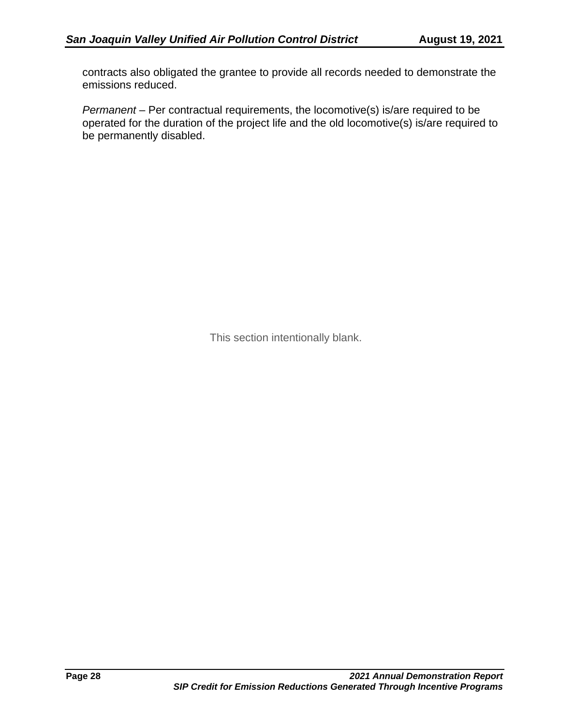contracts also obligated the grantee to provide all records needed to demonstrate the emissions reduced.

*Permanent* – Per contractual requirements, the locomotive(s) is/are required to be operated for the duration of the project life and the old locomotive(s) is/are required to be permanently disabled.

This section intentionally blank.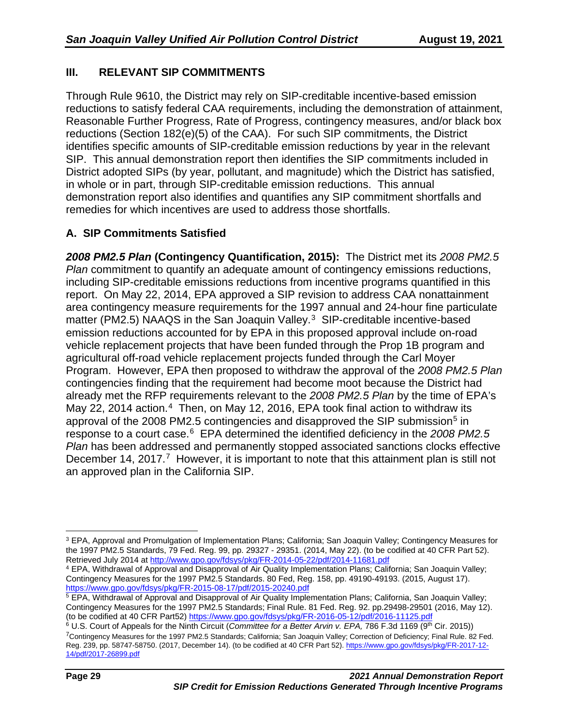# <span id="page-28-0"></span>**III. RELEVANT SIP COMMITMENTS**

Through Rule 9610, the District may rely on SIP-creditable incentive-based emission reductions to satisfy federal CAA requirements, including the demonstration of attainment, Reasonable Further Progress, Rate of Progress, contingency measures, and/or black box reductions (Section 182(e)(5) of the CAA). For such SIP commitments, the District identifies specific amounts of SIP-creditable emission reductions by year in the relevant SIP. This annual demonstration report then identifies the SIP commitments included in District adopted SIPs (by year, pollutant, and magnitude) which the District has satisfied, in whole or in part, through SIP-creditable emission reductions. This annual demonstration report also identifies and quantifies any SIP commitment shortfalls and remedies for which incentives are used to address those shortfalls.

## <span id="page-28-1"></span>**A. SIP Commitments Satisfied**

*2008 PM2.5 Plan* **(Contingency Quantification, 2015):** The District met its *2008 PM2.5 Plan* commitment to quantify an adequate amount of contingency emissions reductions, including SIP-creditable emissions reductions from incentive programs quantified in this report. On May 22, 2014, EPA approved a SIP revision to address CAA nonattainment area contingency measure requirements for the 1997 annual and 24-hour fine particulate matter (PM2.5) NAAQS in the San Joaquin Valley. [3](#page-28-2) SIP-creditable incentive-based emission reductions accounted for by EPA in this proposed approval include on-road vehicle replacement projects that have been funded through the Prop 1B program and agricultural off-road vehicle replacement projects funded through the Carl Moyer Program. However, EPA then proposed to withdraw the approval of the *2008 PM2.5 Plan*  contingencies finding that the requirement had become moot because the District had already met the RFP requirements relevant to the *2008 PM2.5 Plan* by the time of EPA's May 22, 201[4](#page-28-3) action.<sup>4</sup> Then, on May 12, 2016, EPA took final action to withdraw its approval of the 2008 PM2.[5](#page-28-4) contingencies and disapproved the SIP submission<sup>5</sup> in response to a court case.[6](#page-28-5) EPA determined the identified deficiency in the *2008 PM2.5 Plan* has been addressed and permanently stopped associated sanctions clocks effective December 14, 2017.<sup>7</sup> However, it is important to note that this attainment plan is still not an approved plan in the California SIP.

<span id="page-28-5"></span><sup>6</sup> U.S. Court of Appeals for the Ninth Circuit (*Committee for a Better Arvin v. EPA*, 786 F.3d 1169 (9<sup>th</sup> Cir. 2015))

<span id="page-28-2"></span> <sup>3</sup> EPA, Approval and Promulgation of Implementation Plans; California; San Joaquin Valley; Contingency Measures for the 1997 PM2.5 Standards, 79 Fed. Reg. 99, pp. 29327 - 29351. (2014, May 22). (to be codified at 40 CFR Part 52). Retrieved July 2014 at<http://www.gpo.gov/fdsys/pkg/FR-2014-05-22/pdf/2014-11681.pdf>

<span id="page-28-3"></span><sup>4</sup> EPA, Withdrawal of Approval and Disapproval of Air Quality Implementation Plans; California; San Joaquin Valley; Contingency Measures for the 1997 PM2.5 Standards. 80 Fed, Reg. 158, pp. 49190-49193. (2015, August 17). <https://www.gpo.gov/fdsys/pkg/FR-2015-08-17/pdf/2015-20240.pdf>

<span id="page-28-4"></span><sup>5</sup> EPA, Withdrawal of Approval and Disapproval of Air Quality Implementation Plans; California, San Joaquin Valley; Contingency Measures for the 1997 PM2.5 Standards; Final Rule. 81 Fed. Reg. 92. pp.29498-29501 (2016, May 12). (to be codified at 40 CFR Part52)<https://www.gpo.gov/fdsys/pkg/FR-2016-05-12/pdf/2016-11125.pdf>

<span id="page-28-6"></span><sup>&</sup>lt;sup>7</sup>Contingency Measures for the 1997 PM2.5 Standards; California; San Joaquin Valley; Correction of Deficiency; Final Rule. 82 Fed. Reg. 239, pp. 58747-58750. (2017, December 14). (to be codified at 40 CFR Part 52). [https://www.gpo.gov/fdsys/pkg/FR-2017-12-](https://www.gpo.gov/fdsys/pkg/FR-2017-12-14/pdf/2017-26899.pdf) [14/pdf/2017-26899.pdf](https://www.gpo.gov/fdsys/pkg/FR-2017-12-14/pdf/2017-26899.pdf)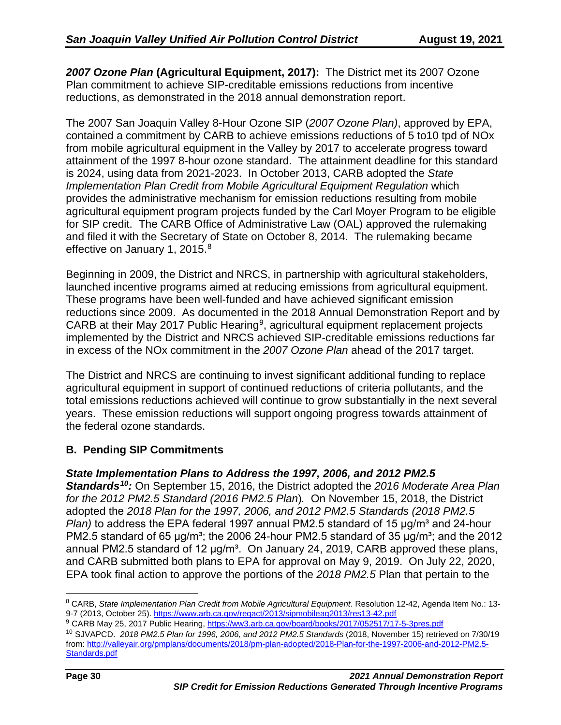*2007 Ozone Plan* **(Agricultural Equipment, 2017):** The District met its 2007 Ozone Plan commitment to achieve SIP-creditable emissions reductions from incentive reductions, as demonstrated in the 2018 annual demonstration report.

The 2007 San Joaquin Valley 8-Hour Ozone SIP (*2007 Ozone Plan)*, approved by EPA, contained a commitment by CARB to achieve emissions reductions of 5 to10 tpd of NOx from mobile agricultural equipment in the Valley by 2017 to accelerate progress toward attainment of the 1997 8-hour ozone standard. The attainment deadline for this standard is 2024, using data from 2021-2023. In October 2013, CARB adopted the *State Implementation Plan Credit from Mobile Agricultural Equipment Regulation* which provides the administrative mechanism for emission reductions resulting from mobile agricultural equipment program projects funded by the Carl Moyer Program to be eligible for SIP credit. The CARB Office of Administrative Law (OAL) approved the rulemaking and filed it with the Secretary of State on October 8, 2014. The rulemaking became effective on January 1, 2015.<sup>[8](#page-29-1)</sup>

Beginning in 2009, the District and NRCS, in partnership with agricultural stakeholders, launched incentive programs aimed at reducing emissions from agricultural equipment. These programs have been well-funded and have achieved significant emission reductions since 2009. As documented in the 2018 Annual Demonstration Report and by CARB at their May 2017 Public Hearing<sup>9</sup>, agricultural equipment replacement projects implemented by the District and NRCS achieved SIP-creditable emissions reductions far in excess of the NOx commitment in the *2007 Ozone Plan* ahead of the 2017 target.

The District and NRCS are continuing to invest significant additional funding to replace agricultural equipment in support of continued reductions of criteria pollutants, and the total emissions reductions achieved will continue to grow substantially in the next several years. These emission reductions will support ongoing progress towards attainment of the federal ozone standards.

# <span id="page-29-0"></span>**B. Pending SIP Commitments**

## *State Implementation Plans to Address the 1997, 2006, and 2012 PM2.5*

*Standards[10](#page-29-3):* On September 15, 2016, the District adopted the *2016 Moderate Area Plan for the 2012 PM2.5 Standard (2016 PM2.5 Plan*)*.* On November 15, 2018, the District adopted the *2018 Plan for the 1997, 2006, and 2012 PM2.5 Standards (2018 PM2.5 Plan)* to address the EPA federal 1997 annual PM2.5 standard of 15 μg/m<sup>3</sup> and 24-hour PM2.5 standard of 65  $\mu$ g/m<sup>3</sup>; the 2006 24-hour PM2.5 standard of 35  $\mu$ g/m<sup>3</sup>; and the 2012 annual PM2.5 standard of 12  $\mu$ g/m<sup>3</sup>. On January 24, 2019, CARB approved these plans, and CARB submitted both plans to EPA for approval on May 9, 2019. On July 22, 2020, EPA took final action to approve the portions of the *2018 PM2.5* Plan that pertain to the

<span id="page-29-2"></span><sup>9</sup> CARB May 25, 2017 Public Hearing,<https://ww3.arb.ca.gov/board/books/2017/052517/17-5-3pres.pdf>

<span id="page-29-1"></span><sup>&</sup>lt;sup>8</sup> CARB, *State Implementation Plan Credit from Mobile Agricultural Equipment*. Resolution 12-42, Agenda Item No.: 13-<br>9-7 (2013, October 25). https://www.arb.ca.gov/regact/2013/sipmobileag2013/res13-42.pdf

<span id="page-29-3"></span><sup>10</sup> SJVAPCD. *2018 PM2.5 Plan for 1996, 2006, and 2012 PM2.5 Standards* (2018, November 15) retrieved on 7/30/19 from: [http://valleyair.org/pmplans/documents/2018/pm-plan-adopted/2018-Plan-for-the-1997-2006-and-2012-PM2.5-](http://valleyair.org/pmplans/documents/2018/pm-plan-adopted/2018-Plan-for-the-1997-2006-and-2012-PM2.5-Standards.pdf) [Standards.pdf](http://valleyair.org/pmplans/documents/2018/pm-plan-adopted/2018-Plan-for-the-1997-2006-and-2012-PM2.5-Standards.pdf)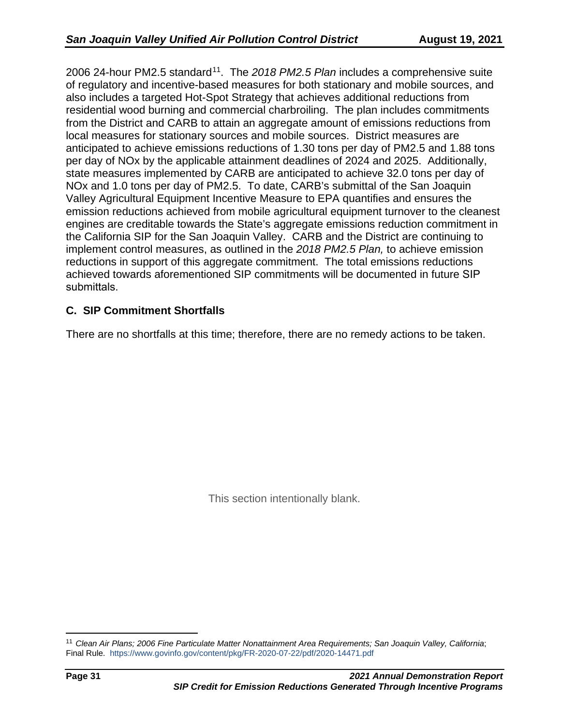2006 24-hour PM2.5 standard<sup>[11](#page-30-1)</sup>. The 2018 PM2.5 Plan includes a comprehensive suite of regulatory and incentive-based measures for both stationary and mobile sources, and also includes a targeted Hot-Spot Strategy that achieves additional reductions from residential wood burning and commercial charbroiling. The plan includes commitments from the District and CARB to attain an aggregate amount of emissions reductions from local measures for stationary sources and mobile sources. District measures are anticipated to achieve emissions reductions of 1.30 tons per day of PM2.5 and 1.88 tons per day of NOx by the applicable attainment deadlines of 2024 and 2025. Additionally, state measures implemented by CARB are anticipated to achieve 32.0 tons per day of NOx and 1.0 tons per day of PM2.5. To date, CARB's submittal of the San Joaquin Valley Agricultural Equipment Incentive Measure to EPA quantifies and ensures the emission reductions achieved from mobile agricultural equipment turnover to the cleanest engines are creditable towards the State's aggregate emissions reduction commitment in the California SIP for the San Joaquin Valley. CARB and the District are continuing to implement control measures, as outlined in the *2018 PM2.5 Plan,* to achieve emission reductions in support of this aggregate commitment. The total emissions reductions achieved towards aforementioned SIP commitments will be documented in future SIP submittals.

# <span id="page-30-0"></span>**C. SIP Commitment Shortfalls**

There are no shortfalls at this time; therefore, there are no remedy actions to be taken.

This section intentionally blank.

<span id="page-30-1"></span><sup>11</sup> *Clean Air Plans; 2006 Fine Particulate Matter Nonattainment Area Requirements; San Joaquin Valley, California*; Final Rule. https://www.govinfo.gov/content/pkg/FR-2020-07-22/pdf/2020-14471.pdf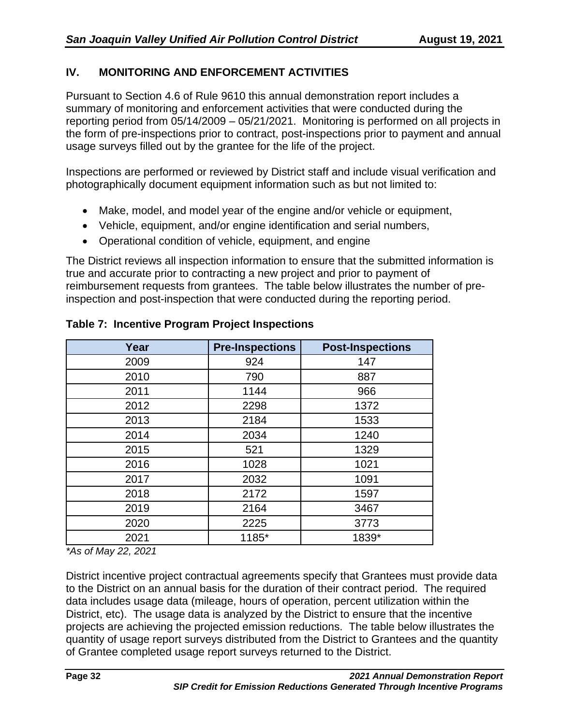## <span id="page-31-0"></span>**IV. MONITORING AND ENFORCEMENT ACTIVITIES**

Pursuant to Section 4.6 of Rule 9610 this annual demonstration report includes a summary of monitoring and enforcement activities that were conducted during the reporting period from 05/14/2009 – 05/21/2021. Monitoring is performed on all projects in the form of pre-inspections prior to contract, post-inspections prior to payment and annual usage surveys filled out by the grantee for the life of the project.

Inspections are performed or reviewed by District staff and include visual verification and photographically document equipment information such as but not limited to:

- Make, model, and model year of the engine and/or vehicle or equipment,
- Vehicle, equipment, and/or engine identification and serial numbers,
- Operational condition of vehicle, equipment, and engine

The District reviews all inspection information to ensure that the submitted information is true and accurate prior to contracting a new project and prior to payment of reimbursement requests from grantees. The table below illustrates the number of preinspection and post-inspection that were conducted during the reporting period.

| Year | <b>Pre-Inspections</b> | <b>Post-Inspections</b> |
|------|------------------------|-------------------------|
| 2009 | 924                    | 147                     |
| 2010 | 790                    | 887                     |
| 2011 | 1144                   | 966                     |
| 2012 | 2298                   | 1372                    |
| 2013 | 2184                   | 1533                    |
| 2014 | 2034                   | 1240                    |
| 2015 | 521                    | 1329                    |
| 2016 | 1028                   | 1021                    |
| 2017 | 2032                   | 1091                    |
| 2018 | 2172                   | 1597                    |
| 2019 | 2164                   | 3467                    |
| 2020 | 2225                   | 3773                    |
| 2021 | 1185*                  | 1839*                   |

#### <span id="page-31-1"></span>**Table 7: Incentive Program Project Inspections**

*\*As of May 22, 2021*

District incentive project contractual agreements specify that Grantees must provide data to the District on an annual basis for the duration of their contract period. The required data includes usage data (mileage, hours of operation, percent utilization within the District, etc). The usage data is analyzed by the District to ensure that the incentive projects are achieving the projected emission reductions. The table below illustrates the quantity of usage report surveys distributed from the District to Grantees and the quantity of Grantee completed usage report surveys returned to the District.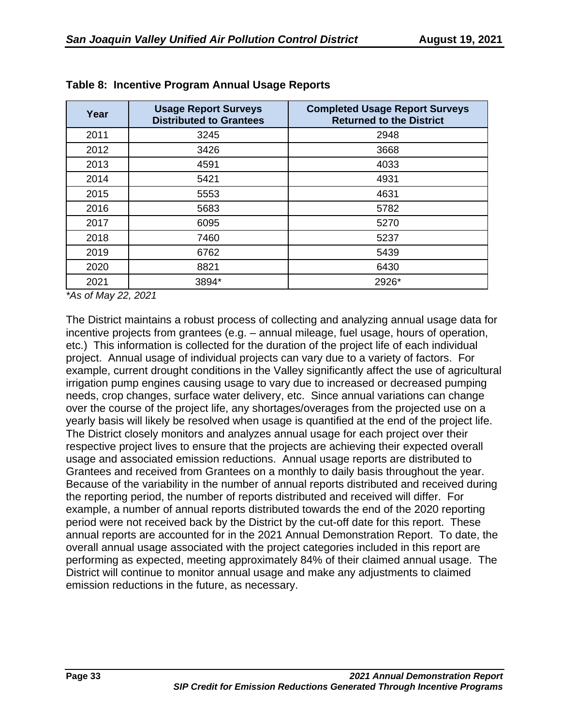| Year | <b>Usage Report Surveys</b><br><b>Distributed to Grantees</b> | <b>Completed Usage Report Surveys</b><br><b>Returned to the District</b> |
|------|---------------------------------------------------------------|--------------------------------------------------------------------------|
| 2011 | 3245                                                          | 2948                                                                     |
| 2012 | 3426                                                          | 3668                                                                     |
| 2013 | 4591                                                          | 4033                                                                     |
| 2014 | 5421                                                          | 4931                                                                     |
| 2015 | 5553                                                          | 4631                                                                     |
| 2016 | 5683                                                          | 5782                                                                     |
| 2017 | 6095                                                          | 5270                                                                     |
| 2018 | 7460                                                          | 5237                                                                     |
| 2019 | 6762                                                          | 5439                                                                     |
| 2020 | 8821                                                          | 6430                                                                     |
| 2021 | 3894*                                                         | 2926*                                                                    |

#### <span id="page-32-0"></span>**Table 8: Incentive Program Annual Usage Reports**

*\*As of May 22, 2021*

The District maintains a robust process of collecting and analyzing annual usage data for incentive projects from grantees (e.g. – annual mileage, fuel usage, hours of operation, etc.) This information is collected for the duration of the project life of each individual project. Annual usage of individual projects can vary due to a variety of factors. For example, current drought conditions in the Valley significantly affect the use of agricultural irrigation pump engines causing usage to vary due to increased or decreased pumping needs, crop changes, surface water delivery, etc. Since annual variations can change over the course of the project life, any shortages/overages from the projected use on a yearly basis will likely be resolved when usage is quantified at the end of the project life. The District closely monitors and analyzes annual usage for each project over their respective project lives to ensure that the projects are achieving their expected overall usage and associated emission reductions. Annual usage reports are distributed to Grantees and received from Grantees on a monthly to daily basis throughout the year. Because of the variability in the number of annual reports distributed and received during the reporting period, the number of reports distributed and received will differ. For example, a number of annual reports distributed towards the end of the 2020 reporting period were not received back by the District by the cut-off date for this report. These annual reports are accounted for in the 2021 Annual Demonstration Report. To date, the overall annual usage associated with the project categories included in this report are performing as expected, meeting approximately 84% of their claimed annual usage. The District will continue to monitor annual usage and make any adjustments to claimed emission reductions in the future, as necessary.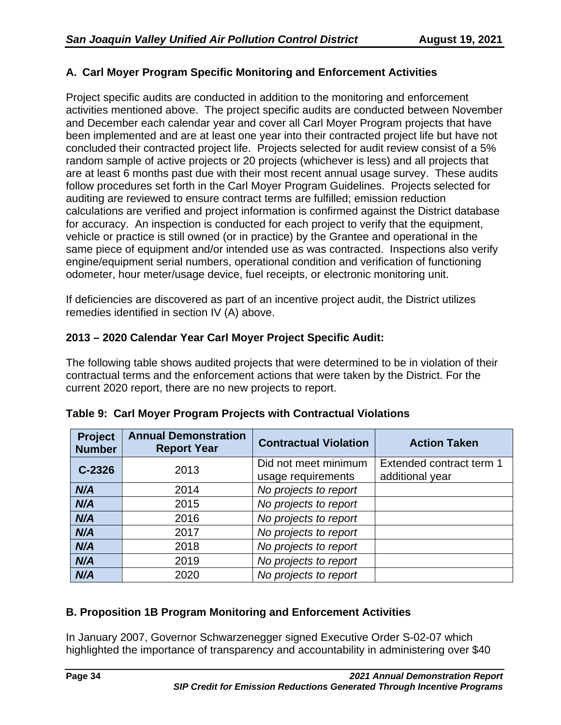# <span id="page-33-0"></span>**A. Carl Moyer Program Specific Monitoring and Enforcement Activities**

Project specific audits are conducted in addition to the monitoring and enforcement activities mentioned above. The project specific audits are conducted between November and December each calendar year and cover all Carl Moyer Program projects that have been implemented and are at least one year into their contracted project life but have not concluded their contracted project life. Projects selected for audit review consist of a 5% random sample of active projects or 20 projects (whichever is less) and all projects that are at least 6 months past due with their most recent annual usage survey. These audits follow procedures set forth in the Carl Moyer Program Guidelines. Projects selected for auditing are reviewed to ensure contract terms are fulfilled; emission reduction calculations are verified and project information is confirmed against the District database for accuracy. An inspection is conducted for each project to verify that the equipment, vehicle or practice is still owned (or in practice) by the Grantee and operational in the same piece of equipment and/or intended use as was contracted. Inspections also verify engine/equipment serial numbers, operational condition and verification of functioning odometer, hour meter/usage device, fuel receipts, or electronic monitoring unit.

If deficiencies are discovered as part of an incentive project audit, the District utilizes remedies identified in section IV (A) above.

## **2013 – 2020 Calendar Year Carl Moyer Project Specific Audit:**

The following table shows audited projects that were determined to be in violation of their contractual terms and the enforcement actions that were taken by the District. For the current 2020 report, there are no new projects to report.

| <b>Project</b><br><b>Number</b> | <b>Annual Demonstration</b><br><b>Report Year</b> | <b>Contractual Violation</b>               | <b>Action Taken</b>                         |
|---------------------------------|---------------------------------------------------|--------------------------------------------|---------------------------------------------|
| $C-2326$                        | 2013                                              | Did not meet minimum<br>usage requirements | Extended contract term 1<br>additional year |
| N/A                             | 2014                                              | No projects to report                      |                                             |
| N/A                             | 2015                                              | No projects to report                      |                                             |
| N/A                             | 2016                                              | No projects to report                      |                                             |
| N/A                             | 2017                                              | No projects to report                      |                                             |
| N/A                             | 2018                                              | No projects to report                      |                                             |
| N/A                             | 2019                                              | No projects to report                      |                                             |
| N/A                             | 2020                                              | No projects to report                      |                                             |

## <span id="page-33-2"></span>**Table 9: Carl Moyer Program Projects with Contractual Violations**

## <span id="page-33-1"></span>**B. Proposition 1B Program Monitoring and Enforcement Activities**

In January 2007, Governor Schwarzenegger signed Executive Order S-02-07 which highlighted the importance of transparency and accountability in administering over \$40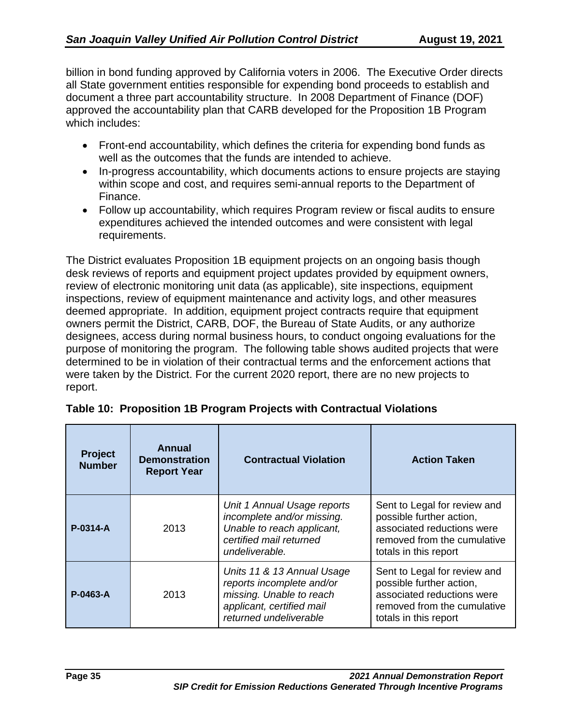billion in bond funding approved by California voters in 2006. The Executive Order directs all State government entities responsible for expending bond proceeds to establish and document a three part accountability structure. In 2008 Department of Finance (DOF) approved the accountability plan that CARB developed for the Proposition 1B Program which includes:

- Front-end accountability, which defines the criteria for expending bond funds as well as the outcomes that the funds are intended to achieve.
- In-progress accountability, which documents actions to ensure projects are staying within scope and cost, and requires semi-annual reports to the Department of Finance.
- Follow up accountability, which requires Program review or fiscal audits to ensure expenditures achieved the intended outcomes and were consistent with legal requirements.

The District evaluates Proposition 1B equipment projects on an ongoing basis though desk reviews of reports and equipment project updates provided by equipment owners, review of electronic monitoring unit data (as applicable), site inspections, equipment inspections, review of equipment maintenance and activity logs, and other measures deemed appropriate. In addition, equipment project contracts require that equipment owners permit the District, CARB, DOF, the Bureau of State Audits, or any authorize designees, access during normal business hours, to conduct ongoing evaluations for the purpose of monitoring the program. The following table shows audited projects that were determined to be in violation of their contractual terms and the enforcement actions that were taken by the District. For the current 2020 report, there are no new projects to report.

| <b>Project</b><br><b>Number</b> | Annual<br><b>Demonstration</b><br><b>Report Year</b> | <b>Contractual Violation</b>                                                                                                               | <b>Action Taken</b>                                                                                                                            |
|---------------------------------|------------------------------------------------------|--------------------------------------------------------------------------------------------------------------------------------------------|------------------------------------------------------------------------------------------------------------------------------------------------|
| $P - 0314 - A$                  | 2013                                                 | Unit 1 Annual Usage reports<br>incomplete and/or missing.<br>Unable to reach applicant,<br>certified mail returned<br>undeliverable.       | Sent to Legal for review and<br>possible further action,<br>associated reductions were<br>removed from the cumulative<br>totals in this report |
| $P - 0463 - A$                  | 2013                                                 | Units 11 & 13 Annual Usage<br>reports incomplete and/or<br>missing. Unable to reach<br>applicant, certified mail<br>returned undeliverable | Sent to Legal for review and<br>possible further action,<br>associated reductions were<br>removed from the cumulative<br>totals in this report |

<span id="page-34-0"></span>

| Table 10: Proposition 1B Program Projects with Contractual Violations |  |  |
|-----------------------------------------------------------------------|--|--|
|                                                                       |  |  |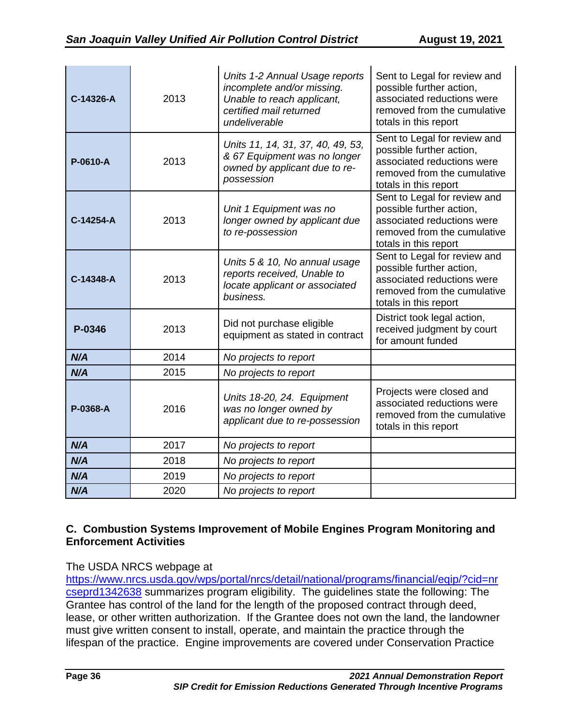| C-14326-A | 2013 | Units 1-2 Annual Usage reports<br>incomplete and/or missing.<br>Unable to reach applicant,<br>certified mail returned<br>undeliverable | Sent to Legal for review and<br>possible further action,<br>associated reductions were<br>removed from the cumulative<br>totals in this report |  |
|-----------|------|----------------------------------------------------------------------------------------------------------------------------------------|------------------------------------------------------------------------------------------------------------------------------------------------|--|
| P-0610-A  | 2013 | Units 11, 14, 31, 37, 40, 49, 53,<br>& 67 Equipment was no longer<br>owned by applicant due to re-<br>possession                       | Sent to Legal for review and<br>possible further action,<br>associated reductions were<br>removed from the cumulative<br>totals in this report |  |
| C-14254-A | 2013 | Unit 1 Equipment was no<br>longer owned by applicant due<br>to re-possession                                                           | Sent to Legal for review and<br>possible further action,<br>associated reductions were<br>removed from the cumulative<br>totals in this report |  |
| C-14348-A | 2013 | Units 5 & 10, No annual usage<br>reports received, Unable to<br>locate applicant or associated<br>business.                            | Sent to Legal for review and<br>possible further action,<br>associated reductions were<br>removed from the cumulative<br>totals in this report |  |
| P-0346    | 2013 | Did not purchase eligible<br>equipment as stated in contract                                                                           | District took legal action,<br>received judgment by court<br>for amount funded                                                                 |  |
| N/A       | 2014 | No projects to report                                                                                                                  |                                                                                                                                                |  |
| N/A       | 2015 | No projects to report                                                                                                                  |                                                                                                                                                |  |
| P-0368-A  | 2016 | Units 18-20, 24. Equipment<br>was no longer owned by<br>applicant due to re-possession                                                 | Projects were closed and<br>associated reductions were<br>removed from the cumulative<br>totals in this report                                 |  |
| N/A       | 2017 | No projects to report                                                                                                                  |                                                                                                                                                |  |
| N/A       | 2018 | No projects to report                                                                                                                  |                                                                                                                                                |  |
| N/A       | 2019 | No projects to report                                                                                                                  |                                                                                                                                                |  |
| N/A       | 2020 | No projects to report                                                                                                                  |                                                                                                                                                |  |

## <span id="page-35-0"></span>**C. Combustion Systems Improvement of Mobile Engines Program Monitoring and Enforcement Activities**

## The USDA NRCS webpage at

[https://www.nrcs.usda.gov/wps/portal/nrcs/detail/national/programs/financial/eqip/?cid=nr](https://www.nrcs.usda.gov/wps/portal/nrcs/detail/national/programs/financial/eqip/?cid=nrcseprd1342638) [cseprd1342638](https://www.nrcs.usda.gov/wps/portal/nrcs/detail/national/programs/financial/eqip/?cid=nrcseprd1342638) summarizes program eligibility. The guidelines state the following: The Grantee has control of the land for the length of the proposed contract through deed, lease, or other written authorization. If the Grantee does not own the land, the landowner must give written consent to install, operate, and maintain the practice through the lifespan of the practice. Engine improvements are covered under Conservation Practice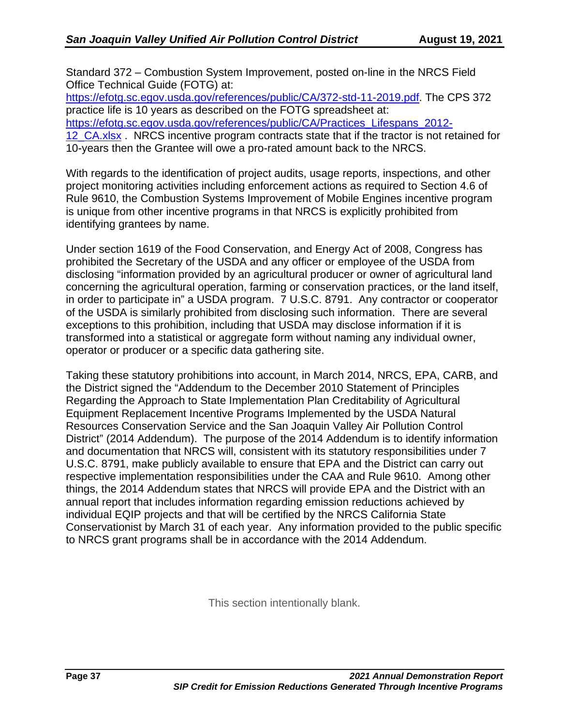Standard 372 – Combustion System Improvement, posted on-line in the NRCS Field Office Technical Guide (FOTG) at:

[https://efotg.sc.egov.usda.gov/references/public/CA/372-std-11-2019.pdf.](https://efotg.sc.egov.usda.gov/references/public/CA/372-std-11-2019.pdf) The CPS 372 practice life is 10 years as described on the FOTG spreadsheet at: [https://efotg.sc.egov.usda.gov/references/public/CA/Practices\\_Lifespans\\_2012-](https://efotg.sc.egov.usda.gov/references/public/CA/Practices_Lifespans_2012-12_CA.xlsx) 12 CA.xlsx . NRCS incentive program contracts state that if the tractor is not retained for

10-years then the Grantee will owe a pro-rated amount back to the NRCS.

With regards to the identification of project audits, usage reports, inspections, and other project monitoring activities including enforcement actions as required to Section 4.6 of Rule 9610, the Combustion Systems Improvement of Mobile Engines incentive program is unique from other incentive programs in that NRCS is explicitly prohibited from identifying grantees by name.

Under section 1619 of the Food Conservation, and Energy Act of 2008, Congress has prohibited the Secretary of the USDA and any officer or employee of the USDA from disclosing "information provided by an agricultural producer or owner of agricultural land concerning the agricultural operation, farming or conservation practices, or the land itself, in order to participate in" a USDA program. 7 U.S.C. 8791. Any contractor or cooperator of the USDA is similarly prohibited from disclosing such information. There are several exceptions to this prohibition, including that USDA may disclose information if it is transformed into a statistical or aggregate form without naming any individual owner, operator or producer or a specific data gathering site.

Taking these statutory prohibitions into account, in March 2014, NRCS, EPA, CARB, and the District signed the "Addendum to the December 2010 Statement of Principles Regarding the Approach to State Implementation Plan Creditability of Agricultural Equipment Replacement Incentive Programs Implemented by the USDA Natural Resources Conservation Service and the San Joaquin Valley Air Pollution Control District" (2014 Addendum). The purpose of the 2014 Addendum is to identify information and documentation that NRCS will, consistent with its statutory responsibilities under 7 U.S.C. 8791, make publicly available to ensure that EPA and the District can carry out respective implementation responsibilities under the CAA and Rule 9610. Among other things, the 2014 Addendum states that NRCS will provide EPA and the District with an annual report that includes information regarding emission reductions achieved by individual EQIP projects and that will be certified by the NRCS California State Conservationist by March 31 of each year. Any information provided to the public specific to NRCS grant programs shall be in accordance with the 2014 Addendum.

This section intentionally blank.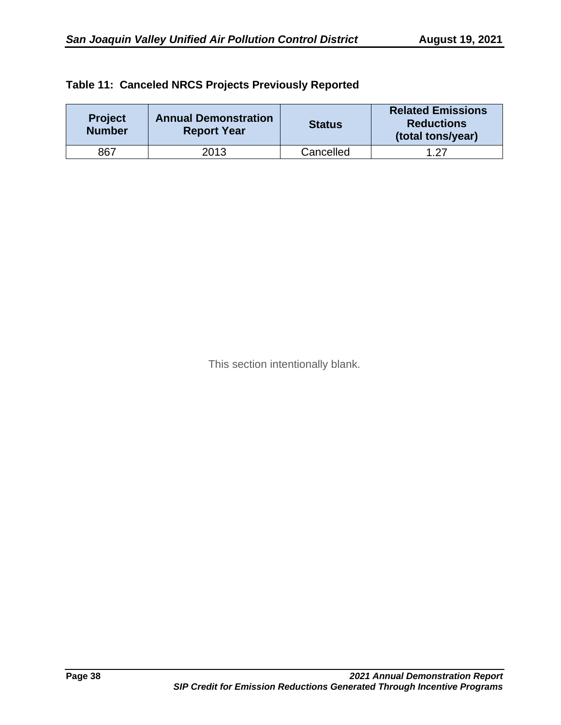| <b>Project</b><br><b>Number</b> | <b>Annual Demonstration</b><br><b>Report Year</b> | <b>Status</b> | <b>Related Emissions</b><br><b>Reductions</b><br>(total tons/year) |
|---------------------------------|---------------------------------------------------|---------------|--------------------------------------------------------------------|
| 867                             | 2013                                              | Cancelled     | 1.27                                                               |

This section intentionally blank.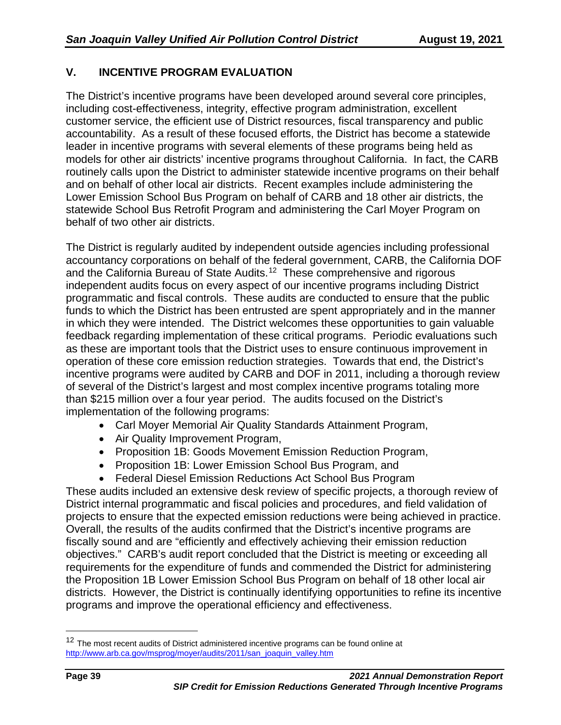## **V. INCENTIVE PROGRAM EVALUATION**

The District's incentive programs have been developed around several core principles, including cost-effectiveness, integrity, effective program administration, excellent customer service, the efficient use of District resources, fiscal transparency and public accountability. As a result of these focused efforts, the District has become a statewide leader in incentive programs with several elements of these programs being held as models for other air districts' incentive programs throughout California. In fact, the CARB routinely calls upon the District to administer statewide incentive programs on their behalf and on behalf of other local air districts. Recent examples include administering the Lower Emission School Bus Program on behalf of CARB and 18 other air districts, the statewide School Bus Retrofit Program and administering the Carl Moyer Program on behalf of two other air districts.

The District is regularly audited by independent outside agencies including professional accountancy corporations on behalf of the federal government, CARB, the California DOF and the California Bureau of State Audits.<sup>[12](#page-38-0)</sup> These comprehensive and rigorous independent audits focus on every aspect of our incentive programs including District programmatic and fiscal controls. These audits are conducted to ensure that the public funds to which the District has been entrusted are spent appropriately and in the manner in which they were intended. The District welcomes these opportunities to gain valuable feedback regarding implementation of these critical programs. Periodic evaluations such as these are important tools that the District uses to ensure continuous improvement in operation of these core emission reduction strategies. Towards that end, the District's incentive programs were audited by CARB and DOF in 2011, including a thorough review of several of the District's largest and most complex incentive programs totaling more than \$215 million over a four year period. The audits focused on the District's implementation of the following programs:

- Carl Moyer Memorial Air Quality Standards Attainment Program,
- Air Quality Improvement Program,
- Proposition 1B: Goods Movement Emission Reduction Program,
- Proposition 1B: Lower Emission School Bus Program, and
- Federal Diesel Emission Reductions Act School Bus Program

These audits included an extensive desk review of specific projects, a thorough review of District internal programmatic and fiscal policies and procedures, and field validation of projects to ensure that the expected emission reductions were being achieved in practice. Overall, the results of the audits confirmed that the District's incentive programs are fiscally sound and are "efficiently and effectively achieving their emission reduction objectives." CARB's audit report concluded that the District is meeting or exceeding all requirements for the expenditure of funds and commended the District for administering the Proposition 1B Lower Emission School Bus Program on behalf of 18 other local air districts. However, the District is continually identifying opportunities to refine its incentive programs and improve the operational efficiency and effectiveness.

<span id="page-38-0"></span><sup>&</sup>lt;sup>12</sup> The most recent audits of District administered incentive programs can be found online at [http://www.arb.ca.gov/msprog/moyer/audits/2011/san\\_joaquin\\_valley.htm](http://www.arb.ca.gov/msprog/moyer/audits/2011/san_joaquin_valley.htm)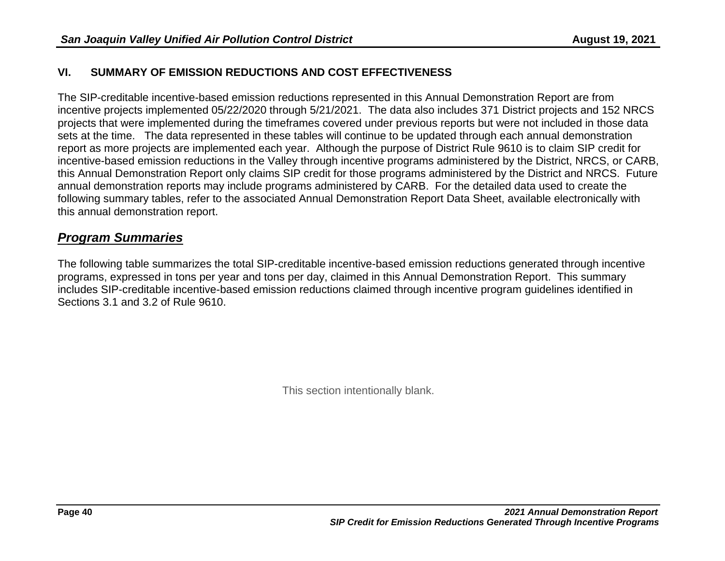## **VI. SUMMARY OF EMISSION REDUCTIONS AND COST EFFECTIVENESS**

The SIP-creditable incentive-based emission reductions represented in this Annual Demonstration Report are from incentive projects implemented 05/22/2020 through 5/21/2021. The data also includes 371 District projects and 152 NRCS projects that were implemented during the timeframes covered under previous reports but were not included in those data sets at the time. The data represented in these tables will continue to be updated through each annual demonstration report as more projects are implemented each year. Although the purpose of District Rule 9610 is to claim SIP credit for incentive-based emission reductions in the Valley through incentive programs administered by the District, NRCS, or CARB, this Annual Demonstration Report only claims SIP credit for those programs administered by the District and NRCS. Future annual demonstration reports may include programs administered by CARB. For the detailed data used to create the following summary tables, refer to the associated Annual Demonstration Report Data Sheet, available electronically with this annual demonstration report.

## *Program Summaries*

The following table summarizes the total SIP-creditable incentive-based emission reductions generated through incentive programs, expressed in tons per year and tons per day, claimed in this Annual Demonstration Report. This summary includes SIP-creditable incentive-based emission reductions claimed through incentive program guidelines identified in Sections 3.1 and 3.2 of Rule 9610.

This section intentionally blank.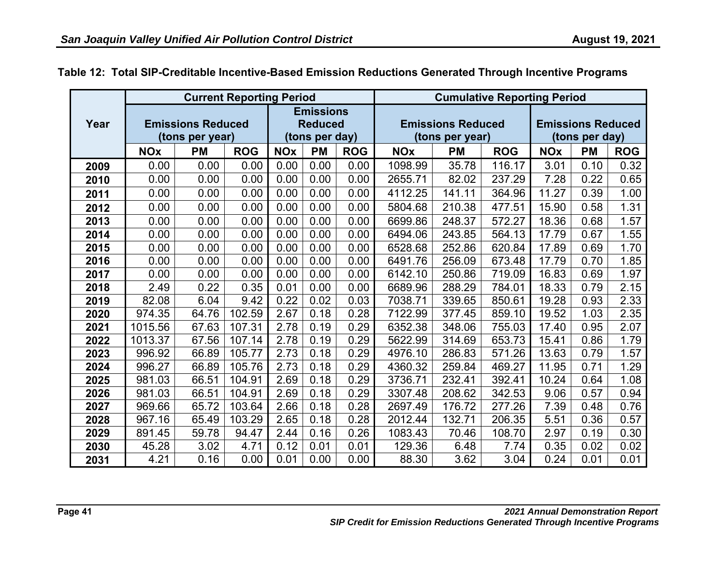|      |            |                                             | <b>Current Reporting Period</b> |                                                      |           |            | <b>Cumulative Reporting Period</b> |                                             |            |                                            |           |            |  |
|------|------------|---------------------------------------------|---------------------------------|------------------------------------------------------|-----------|------------|------------------------------------|---------------------------------------------|------------|--------------------------------------------|-----------|------------|--|
| Year |            | <b>Emissions Reduced</b><br>(tons per year) |                                 | <b>Emissions</b><br><b>Reduced</b><br>(tons per day) |           |            |                                    | <b>Emissions Reduced</b><br>(tons per year) |            | <b>Emissions Reduced</b><br>(tons per day) |           |            |  |
|      | <b>NOx</b> | <b>PM</b>                                   | <b>ROG</b>                      | <b>NOx</b>                                           | <b>PM</b> | <b>ROG</b> | <b>NOx</b>                         | <b>PM</b>                                   | <b>ROG</b> | <b>NOx</b>                                 | <b>PM</b> | <b>ROG</b> |  |
| 2009 | 0.00       | 0.00                                        | 0.00                            | 0.00                                                 | 0.00      | 0.00       | 1098.99                            | 35.78                                       | 116.17     | 3.01                                       | 0.10      | 0.32       |  |
| 2010 | 0.00       | 0.00                                        | 0.00                            | 0.00                                                 | 0.00      | 0.00       | 2655.71                            | 82.02                                       | 237.29     | 7.28                                       | 0.22      | 0.65       |  |
| 2011 | 0.00       | 0.00                                        | 0.00                            | 0.00                                                 | 0.00      | 0.00       | 4112.25                            | 141.11                                      | 364.96     | 11.27                                      | 0.39      | 1.00       |  |
| 2012 | 0.00       | 0.00                                        | 0.00                            | 0.00                                                 | 0.00      | 0.00       | 5804.68                            | 210.38                                      | 477.51     | 15.90                                      | 0.58      | 1.31       |  |
| 2013 | 0.00       | 0.00                                        | 0.00                            | 0.00                                                 | 0.00      | 0.00       | 6699.86                            | 248.37                                      | 572.27     | 18.36                                      | 0.68      | 1.57       |  |
| 2014 | 0.00       | 0.00                                        | 0.00                            | 0.00                                                 | 0.00      | 0.00       | 6494.06                            | 243.85                                      | 564.13     | 17.79                                      | 0.67      | 1.55       |  |
| 2015 | 0.00       | 0.00                                        | 0.00                            | 0.00                                                 | 0.00      | 0.00       | 6528.68                            | 252.86                                      | 620.84     | 17.89                                      | 0.69      | 1.70       |  |
| 2016 | 0.00       | 0.00                                        | 0.00                            | 0.00                                                 | 0.00      | 0.00       | 6491.76                            | 256.09                                      | 673.48     | 17.79                                      | 0.70      | 1.85       |  |
| 2017 | 0.00       | 0.00                                        | 0.00                            | 0.00                                                 | 0.00      | 0.00       | 6142.10                            | 250.86                                      | 719.09     | 16.83                                      | 0.69      | 1.97       |  |
| 2018 | 2.49       | 0.22                                        | 0.35                            | 0.01                                                 | 0.00      | 0.00       | 6689.96                            | 288.29                                      | 784.01     | 18.33                                      | 0.79      | 2.15       |  |
| 2019 | 82.08      | 6.04                                        | 9.42                            | 0.22                                                 | 0.02      | 0.03       | 7038.71                            | 339.65                                      | 850.61     | 19.28                                      | 0.93      | 2.33       |  |
| 2020 | 974.35     | 64.76                                       | 102.59                          | 2.67                                                 | 0.18      | 0.28       | 7122.99                            | 377.45                                      | 859.10     | 19.52                                      | 1.03      | 2.35       |  |
| 2021 | 1015.56    | 67.63                                       | 107.31                          | 2.78                                                 | 0.19      | 0.29       | 6352.38                            | 348.06                                      | 755.03     | 17.40                                      | 0.95      | 2.07       |  |
| 2022 | 1013.37    | 67.56                                       | 107.14                          | 2.78                                                 | 0.19      | 0.29       | 5622.99                            | 314.69                                      | 653.73     | 15.41                                      | 0.86      | 1.79       |  |
| 2023 | 996.92     | 66.89                                       | 105.77                          | 2.73                                                 | 0.18      | 0.29       | 4976.10                            | 286.83                                      | 571.26     | 13.63                                      | 0.79      | 1.57       |  |
| 2024 | 996.27     | 66.89                                       | 105.76                          | 2.73                                                 | 0.18      | 0.29       | 4360.32                            | 259.84                                      | 469.27     | 11.95                                      | 0.71      | 1.29       |  |
| 2025 | 981.03     | 66.51                                       | 104.91                          | 2.69                                                 | 0.18      | 0.29       | 3736.71                            | 232.41                                      | 392.41     | 10.24                                      | 0.64      | 1.08       |  |
| 2026 | 981.03     | 66.51                                       | 104.91                          | 2.69                                                 | 0.18      | 0.29       | 3307.48                            | 208.62                                      | 342.53     | 9.06                                       | 0.57      | 0.94       |  |
| 2027 | 969.66     | 65.72                                       | 103.64                          | 2.66                                                 | 0.18      | 0.28       | 2697.49                            | 176.72                                      | 277.26     | 7.39                                       | 0.48      | 0.76       |  |
| 2028 | 967.16     | 65.49                                       | 103.29                          | 2.65                                                 | 0.18      | 0.28       | 2012.44                            | 132.71                                      | 206.35     | 5.51                                       | 0.36      | 0.57       |  |
| 2029 | 891.45     | 59.78                                       | 94.47                           | 2.44                                                 | 0.16      | 0.26       | 1083.43                            | 70.46                                       | 108.70     | 2.97                                       | 0.19      | 0.30       |  |
| 2030 | 45.28      | 3.02                                        | 4.71                            | 0.12                                                 | 0.01      | 0.01       | 129.36                             | 6.48                                        | 7.74       | 0.35                                       | 0.02      | 0.02       |  |
| 2031 | 4.21       | 0.16                                        | 0.00                            | 0.01                                                 | 0.00      | 0.00       | 88.30                              | 3.62                                        | 3.04       | 0.24                                       | 0.01      | 0.01       |  |

### **Table 12: Total SIP-Creditable Incentive-Based Emission Reductions Generated Through Incentive Programs**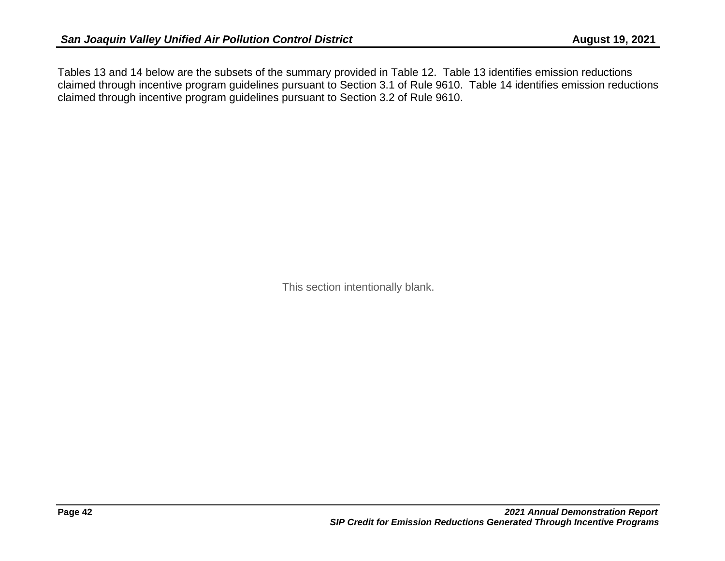Tables 13 and 14 below are the subsets of the summary provided in Table 12. Table 13 identifies emission reductions claimed through incentive program guidelines pursuant to Section 3.1 of Rule 9610. Table 14 identifies emission reductions claimed through incentive program guidelines pursuant to Section 3.2 of Rule 9610.

This section intentionally blank.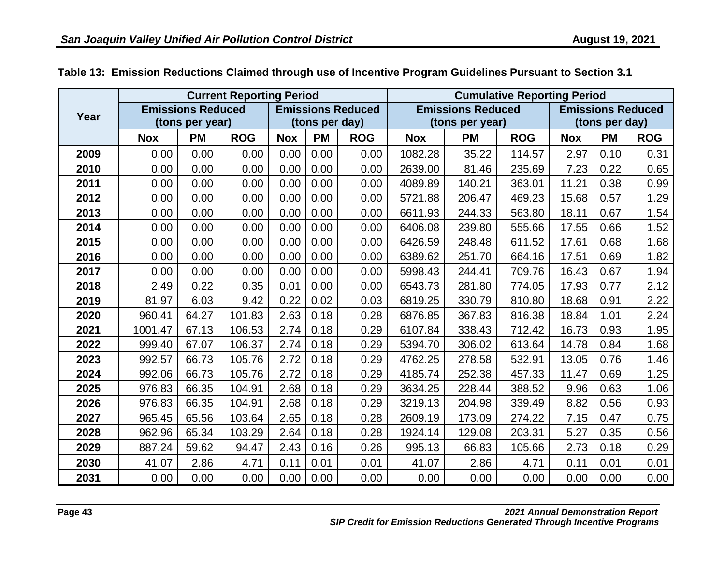| <b>Current Reporting Period</b> |            |                          |            |            |                |                          | <b>Cumulative Reporting Period</b> |                          |            |            |                |                          |  |
|---------------------------------|------------|--------------------------|------------|------------|----------------|--------------------------|------------------------------------|--------------------------|------------|------------|----------------|--------------------------|--|
| Year                            |            | <b>Emissions Reduced</b> |            |            |                | <b>Emissions Reduced</b> |                                    | <b>Emissions Reduced</b> |            |            |                | <b>Emissions Reduced</b> |  |
|                                 |            | (tons per year)          |            |            | (tons per day) |                          |                                    | (tons per year)          |            |            | (tons per day) |                          |  |
|                                 | <b>Nox</b> | <b>PM</b>                | <b>ROG</b> | <b>Nox</b> | <b>PM</b>      | <b>ROG</b>               | <b>Nox</b>                         | <b>PM</b>                | <b>ROG</b> | <b>Nox</b> | <b>PM</b>      | <b>ROG</b>               |  |
| 2009                            | 0.00       | 0.00                     | 0.00       | 0.00       | 0.00           | 0.00                     | 1082.28                            | 35.22                    | 114.57     | 2.97       | 0.10           | 0.31                     |  |
| 2010                            | 0.00       | 0.00                     | 0.00       | 0.00       | 0.00           | 0.00                     | 2639.00                            | 81.46                    | 235.69     | 7.23       | 0.22           | 0.65                     |  |
| 2011                            | 0.00       | 0.00                     | 0.00       | 0.00       | 0.00           | 0.00                     | 4089.89                            | 140.21                   | 363.01     | 11.21      | 0.38           | 0.99                     |  |
| 2012                            | 0.00       | 0.00                     | 0.00       | 0.00       | 0.00           | 0.00                     | 5721.88                            | 206.47                   | 469.23     | 15.68      | 0.57           | 1.29                     |  |
| 2013                            | 0.00       | 0.00                     | 0.00       | 0.00       | 0.00           | 0.00                     | 6611.93                            | 244.33                   | 563.80     | 18.11      | 0.67           | 1.54                     |  |
| 2014                            | 0.00       | 0.00                     | 0.00       | 0.00       | 0.00           | 0.00                     | 6406.08                            | 239.80                   | 555.66     | 17.55      | 0.66           | 1.52                     |  |
| 2015                            | 0.00       | 0.00                     | 0.00       | 0.00       | 0.00           | 0.00                     | 6426.59                            | 248.48                   | 611.52     | 17.61      | 0.68           | 1.68                     |  |
| 2016                            | 0.00       | 0.00                     | 0.00       | 0.00       | 0.00           | 0.00                     | 6389.62                            | 251.70                   | 664.16     | 17.51      | 0.69           | 1.82                     |  |
| 2017                            | 0.00       | 0.00                     | 0.00       | 0.00       | 0.00           | 0.00                     | 5998.43                            | 244.41                   | 709.76     | 16.43      | 0.67           | 1.94                     |  |
| 2018                            | 2.49       | 0.22                     | 0.35       | 0.01       | 0.00           | 0.00                     | 6543.73                            | 281.80                   | 774.05     | 17.93      | 0.77           | 2.12                     |  |
| 2019                            | 81.97      | 6.03                     | 9.42       | 0.22       | 0.02           | 0.03                     | 6819.25                            | 330.79                   | 810.80     | 18.68      | 0.91           | 2.22                     |  |
| 2020                            | 960.41     | 64.27                    | 101.83     | 2.63       | 0.18           | 0.28                     | 6876.85                            | 367.83                   | 816.38     | 18.84      | 1.01           | 2.24                     |  |
| 2021                            | 1001.47    | 67.13                    | 106.53     | 2.74       | 0.18           | 0.29                     | 6107.84                            | 338.43                   | 712.42     | 16.73      | 0.93           | 1.95                     |  |
| 2022                            | 999.40     | 67.07                    | 106.37     | 2.74       | 0.18           | 0.29                     | 5394.70                            | 306.02                   | 613.64     | 14.78      | 0.84           | 1.68                     |  |
| 2023                            | 992.57     | 66.73                    | 105.76     | 2.72       | 0.18           | 0.29                     | 4762.25                            | 278.58                   | 532.91     | 13.05      | 0.76           | 1.46                     |  |
| 2024                            | 992.06     | 66.73                    | 105.76     | 2.72       | 0.18           | 0.29                     | 4185.74                            | 252.38                   | 457.33     | 11.47      | 0.69           | 1.25                     |  |
| 2025                            | 976.83     | 66.35                    | 104.91     | 2.68       | 0.18           | 0.29                     | 3634.25                            | 228.44                   | 388.52     | 9.96       | 0.63           | 1.06                     |  |
| 2026                            | 976.83     | 66.35                    | 104.91     | 2.68       | 0.18           | 0.29                     | 3219.13                            | 204.98                   | 339.49     | 8.82       | 0.56           | 0.93                     |  |
| 2027                            | 965.45     | 65.56                    | 103.64     | 2.65       | 0.18           | 0.28                     | 2609.19                            | 173.09                   | 274.22     | 7.15       | 0.47           | 0.75                     |  |
| 2028                            | 962.96     | 65.34                    | 103.29     | 2.64       | 0.18           | 0.28                     | 1924.14                            | 129.08                   | 203.31     | 5.27       | 0.35           | 0.56                     |  |
| 2029                            | 887.24     | 59.62                    | 94.47      | 2.43       | 0.16           | 0.26                     | 995.13                             | 66.83                    | 105.66     | 2.73       | 0.18           | 0.29                     |  |
| 2030                            | 41.07      | 2.86                     | 4.71       | 0.11       | 0.01           | 0.01                     | 41.07                              | 2.86                     | 4.71       | 0.11       | 0.01           | 0.01                     |  |
| 2031                            | 0.00       | 0.00                     | 0.00       | 0.00       | 0.00           | 0.00                     | 0.00                               | 0.00                     | 0.00       | 0.00       | 0.00           | 0.00                     |  |

## **Table 13: Emission Reductions Claimed through use of Incentive Program Guidelines Pursuant to Section 3.1**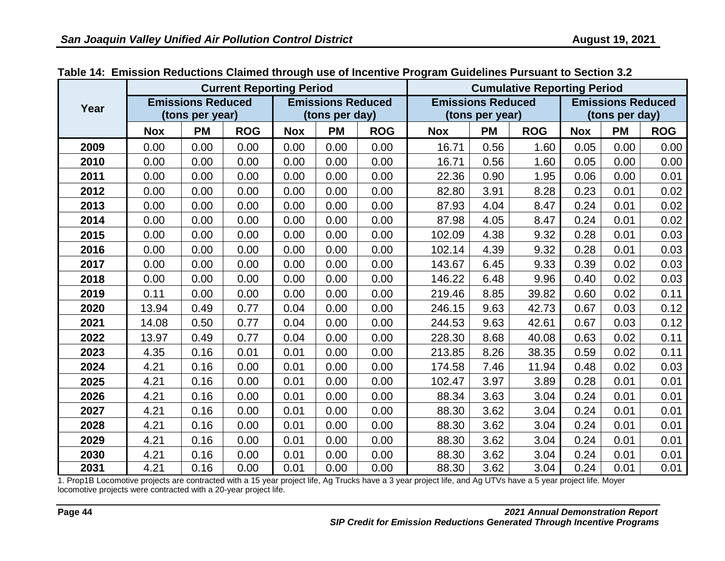|      |            |                          | <b>Current Reporting Period</b> |            |                          |            | <b>Cumulative Reporting Period</b> |                 |            |            |                          |            |
|------|------------|--------------------------|---------------------------------|------------|--------------------------|------------|------------------------------------|-----------------|------------|------------|--------------------------|------------|
| Year |            | <b>Emissions Reduced</b> |                                 |            | <b>Emissions Reduced</b> |            | <b>Emissions Reduced</b>           |                 |            |            | <b>Emissions Reduced</b> |            |
|      |            | (tons per year)          |                                 |            | (tons per day)           |            |                                    | (tons per year) |            |            | (tons per day)           |            |
|      | <b>Nox</b> | <b>PM</b>                | <b>ROG</b>                      | <b>Nox</b> | <b>PM</b>                | <b>ROG</b> | <b>Nox</b>                         | <b>PM</b>       | <b>ROG</b> | <b>Nox</b> | <b>PM</b>                | <b>ROG</b> |
| 2009 | 0.00       | 0.00                     | 0.00                            | 0.00       | 0.00                     | 0.00       | 16.71                              | 0.56            | 1.60       | 0.05       | 0.00                     | 0.00       |
| 2010 | 0.00       | 0.00                     | 0.00                            | 0.00       | 0.00                     | 0.00       | 16.71                              | 0.56            | 1.60       | 0.05       | 0.00                     | 0.00       |
| 2011 | 0.00       | 0.00                     | 0.00                            | 0.00       | 0.00                     | 0.00       | 22.36                              | 0.90            | 1.95       | 0.06       | 0.00                     | 0.01       |
| 2012 | 0.00       | 0.00                     | 0.00                            | 0.00       | 0.00                     | 0.00       | 82.80                              | 3.91            | 8.28       | 0.23       | 0.01                     | 0.02       |
| 2013 | 0.00       | 0.00                     | 0.00                            | 0.00       | 0.00                     | 0.00       | 87.93                              | 4.04            | 8.47       | 0.24       | 0.01                     | 0.02       |
| 2014 | 0.00       | 0.00                     | 0.00                            | 0.00       | 0.00                     | 0.00       | 87.98                              | 4.05            | 8.47       | 0.24       | 0.01                     | 0.02       |
| 2015 | 0.00       | 0.00                     | 0.00                            | 0.00       | 0.00                     | 0.00       | 102.09                             | 4.38            | 9.32       | 0.28       | 0.01                     | 0.03       |
| 2016 | 0.00       | 0.00                     | 0.00                            | 0.00       | 0.00                     | 0.00       | 102.14                             | 4.39            | 9.32       | 0.28       | 0.01                     | 0.03       |
| 2017 | 0.00       | 0.00                     | 0.00                            | 0.00       | 0.00                     | 0.00       | 143.67                             | 6.45            | 9.33       | 0.39       | 0.02                     | 0.03       |
| 2018 | 0.00       | 0.00                     | 0.00                            | 0.00       | 0.00                     | 0.00       | 146.22                             | 6.48            | 9.96       | 0.40       | 0.02                     | 0.03       |
| 2019 | 0.11       | 0.00                     | 0.00                            | 0.00       | 0.00                     | 0.00       | 219.46                             | 8.85            | 39.82      | 0.60       | 0.02                     | 0.11       |
| 2020 | 13.94      | 0.49                     | 0.77                            | 0.04       | 0.00                     | 0.00       | 246.15                             | 9.63            | 42.73      | 0.67       | 0.03                     | 0.12       |
| 2021 | 14.08      | 0.50                     | 0.77                            | 0.04       | 0.00                     | 0.00       | 244.53                             | 9.63            | 42.61      | 0.67       | 0.03                     | 0.12       |
| 2022 | 13.97      | 0.49                     | 0.77                            | 0.04       | 0.00                     | 0.00       | 228.30                             | 8.68            | 40.08      | 0.63       | 0.02                     | 0.11       |
| 2023 | 4.35       | 0.16                     | 0.01                            | 0.01       | 0.00                     | 0.00       | 213.85                             | 8.26            | 38.35      | 0.59       | 0.02                     | 0.11       |
| 2024 | 4.21       | 0.16                     | 0.00                            | 0.01       | 0.00                     | 0.00       | 174.58                             | 7.46            | 11.94      | 0.48       | 0.02                     | 0.03       |
| 2025 | 4.21       | 0.16                     | 0.00                            | 0.01       | 0.00                     | 0.00       | 102.47                             | 3.97            | 3.89       | 0.28       | 0.01                     | 0.01       |
| 2026 | 4.21       | 0.16                     | 0.00                            | 0.01       | 0.00                     | 0.00       | 88.34                              | 3.63            | 3.04       | 0.24       | 0.01                     | 0.01       |
| 2027 | 4.21       | 0.16                     | 0.00                            | 0.01       | 0.00                     | 0.00       | 88.30                              | 3.62            | 3.04       | 0.24       | 0.01                     | 0.01       |
| 2028 | 4.21       | 0.16                     | 0.00                            | 0.01       | 0.00                     | 0.00       | 88.30                              | 3.62            | 3.04       | 0.24       | 0.01                     | 0.01       |
| 2029 | 4.21       | 0.16                     | 0.00                            | 0.01       | 0.00                     | 0.00       | 88.30                              | 3.62            | 3.04       | 0.24       | 0.01                     | 0.01       |
| 2030 | 4.21       | 0.16                     | 0.00                            | 0.01       | 0.00                     | 0.00       | 88.30                              | 3.62            | 3.04       | 0.24       | 0.01                     | 0.01       |
| 2031 | 4.21       | 0.16                     | 0.00                            | 0.01       | 0.00                     | 0.00       | 88.30                              | 3.62            | 3.04       | 0.24       | 0.01                     | 0.01       |

**Table 14: Emission Reductions Claimed through use of Incentive Program Guidelines Pursuant to Section 3.2**

1. Prop1B Locomotive projects are contracted with a 15 year project life, Ag Trucks have a 3 year project life, and Ag UTVs have a 5 year project life. Moyer locomotive projects were contracted with a 20-year project life.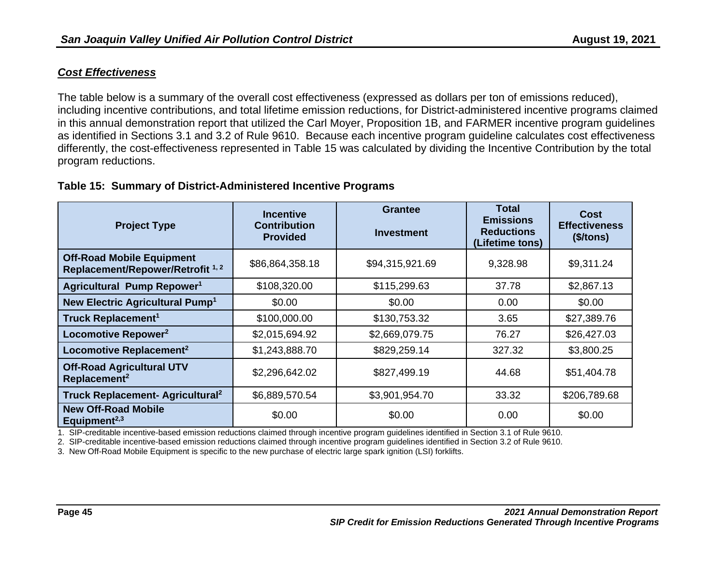#### *Cost Effectiveness*

The table below is a summary of the overall cost effectiveness (expressed as dollars per ton of emissions reduced), including incentive contributions, and total lifetime emission reductions, for District-administered incentive programs claimed in this annual demonstration report that utilized the Carl Moyer, Proposition 1B, and FARMER incentive program guidelines as identified in Sections 3.1 and 3.2 of Rule 9610. Because each incentive program guideline calculates cost effectiveness differently, the cost-effectiveness represented in Table 15 was calculated by dividing the Incentive Contribution by the total program reductions.

#### **Table 15: Summary of District-Administered Incentive Programs**

| <b>Project Type</b>                                                             | <b>Incentive</b><br><b>Contribution</b><br><b>Provided</b> | <b>Grantee</b><br><b>Investment</b> | <b>Total</b><br><b>Emissions</b><br><b>Reductions</b><br>(Lifetime tons) | Cost<br><b>Effectiveness</b><br>(\$/tons) |  |
|---------------------------------------------------------------------------------|------------------------------------------------------------|-------------------------------------|--------------------------------------------------------------------------|-------------------------------------------|--|
| <b>Off-Road Mobile Equipment</b><br>Replacement/Repower/Retrofit <sup>1,2</sup> | \$86,864,358.18                                            | \$94,315,921.69                     | 9,328.98                                                                 | \$9,311.24                                |  |
| Agricultural Pump Repower <sup>1</sup>                                          | \$108,320.00                                               | \$115,299.63                        | 37.78                                                                    | \$2,867.13                                |  |
| New Electric Agricultural Pump <sup>1</sup>                                     | \$0.00                                                     | \$0.00                              | 0.00                                                                     | \$0.00                                    |  |
| <b>Truck Replacement<sup>1</sup></b>                                            | \$100,000.00                                               | \$130,753.32                        | 3.65                                                                     | \$27,389.76                               |  |
| Locomotive Repower <sup>2</sup>                                                 | \$2,015,694.92                                             | \$2,669,079.75                      | 76.27                                                                    | \$26,427.03                               |  |
| Locomotive Replacement <sup>2</sup>                                             | \$1,243,888.70                                             | \$829,259.14                        | 327.32                                                                   | \$3,800.25                                |  |
| <b>Off-Road Agricultural UTV</b><br>Replacement <sup>2</sup>                    | \$2,296,642.02                                             | \$827,499.19                        | 44.68                                                                    | \$51,404.78                               |  |
| Truck Replacement- Agricultural <sup>2</sup>                                    | \$6,889,570.54                                             | \$3,901,954.70                      | 33.32                                                                    | \$206,789.68                              |  |
| <b>New Off-Road Mobile</b><br>Equipment <sup>2,3</sup>                          | \$0.00                                                     | \$0.00                              | 0.00                                                                     | \$0.00                                    |  |

1. SIP-creditable incentive-based emission reductions claimed through incentive program guidelines identified in Section 3.1 of Rule 9610.

2. SIP-creditable incentive-based emission reductions claimed through incentive program guidelines identified in Section 3.2 of Rule 9610.

3. New Off-Road Mobile Equipment is specific to the new purchase of electric large spark ignition (LSI) forklifts.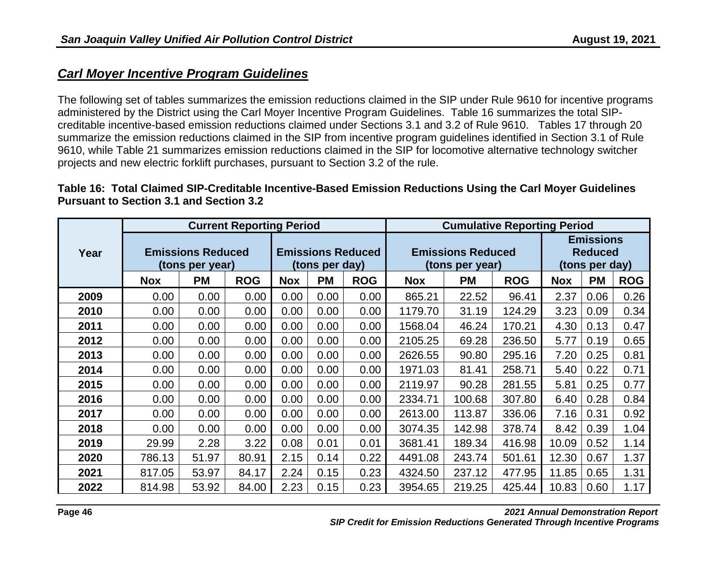# *Carl Moyer Incentive Program Guidelines*

The following set of tables summarizes the emission reductions claimed in the SIP under Rule 9610 for incentive programs administered by the District using the Carl Moyer Incentive Program Guidelines. Table 16 summarizes the total SIPcreditable incentive-based emission reductions claimed under Sections 3.1 and 3.2 of Rule 9610. Tables 17 through 20 summarize the emission reductions claimed in the SIP from incentive program guidelines identified in Section 3.1 of Rule 9610, while Table 21 summarizes emission reductions claimed in the SIP for locomotive alternative technology switcher projects and new electric forklift purchases, pursuant to Section 3.2 of the rule.

| Table 16: Total Claimed SIP-Creditable Incentive-Based Emission Reductions Using the Carl Moyer Guidelines |  |  |
|------------------------------------------------------------------------------------------------------------|--|--|
| <b>Pursuant to Section 3.1 and Section 3.2</b>                                                             |  |  |

|      |                                             |           | <b>Current Reporting Period</b> | <b>Cumulative Reporting Period</b>         |           |            |                                             |           |            |                                                      |           |            |
|------|---------------------------------------------|-----------|---------------------------------|--------------------------------------------|-----------|------------|---------------------------------------------|-----------|------------|------------------------------------------------------|-----------|------------|
| Year | <b>Emissions Reduced</b><br>(tons per year) |           |                                 | <b>Emissions Reduced</b><br>(tons per day) |           |            | <b>Emissions Reduced</b><br>(tons per year) |           |            | <b>Emissions</b><br><b>Reduced</b><br>(tons per day) |           |            |
|      | <b>Nox</b>                                  | <b>PM</b> | <b>ROG</b>                      | <b>Nox</b>                                 | <b>PM</b> | <b>ROG</b> | <b>Nox</b>                                  | <b>PM</b> | <b>ROG</b> | <b>Nox</b>                                           | <b>PM</b> | <b>ROG</b> |
| 2009 | 0.00                                        | 0.00      | 0.00                            | 0.00                                       | 0.00      | 0.00       | 865.21                                      | 22.52     | 96.41      | 2.37                                                 | 0.06      | 0.26       |
| 2010 | 0.00                                        | 0.00      | 0.00                            | 0.00                                       | 0.00      | 0.00       | 1179.70                                     | 31.19     | 124.29     | 3.23                                                 | 0.09      | 0.34       |
| 2011 | 0.00                                        | 0.00      | 0.00                            | 0.00                                       | 0.00      | 0.00       | 1568.04                                     | 46.24     | 170.21     | 4.30                                                 | 0.13      | 0.47       |
| 2012 | 0.00                                        | 0.00      | 0.00                            | 0.00                                       | 0.00      | 0.00       | 2105.25                                     | 69.28     | 236.50     | 5.77                                                 | 0.19      | 0.65       |
| 2013 | 0.00                                        | 0.00      | 0.00                            | 0.00                                       | 0.00      | 0.00       | 2626.55                                     | 90.80     | 295.16     | 7.20                                                 | 0.25      | 0.81       |
| 2014 | 0.00                                        | 0.00      | 0.00                            | 0.00                                       | 0.00      | 0.00       | 1971.03                                     | 81.41     | 258.71     | 5.40                                                 | 0.22      | 0.71       |
| 2015 | 0.00                                        | 0.00      | 0.00                            | 0.00                                       | 0.00      | 0.00       | 2119.97                                     | 90.28     | 281.55     | 5.81                                                 | 0.25      | 0.77       |
| 2016 | 0.00                                        | 0.00      | 0.00                            | 0.00                                       | 0.00      | 0.00       | 2334.71                                     | 100.68    | 307.80     | 6.40                                                 | 0.28      | 0.84       |
| 2017 | 0.00                                        | 0.00      | 0.00                            | 0.00                                       | 0.00      | 0.00       | 2613.00                                     | 113.87    | 336.06     | 7.16                                                 | 0.31      | 0.92       |
| 2018 | 0.00                                        | 0.00      | 0.00                            | 0.00                                       | 0.00      | 0.00       | 3074.35                                     | 142.98    | 378.74     | 8.42                                                 | 0.39      | 1.04       |
| 2019 | 29.99                                       | 2.28      | 3.22                            | 0.08                                       | 0.01      | 0.01       | 3681.41                                     | 189.34    | 416.98     | 10.09                                                | 0.52      | 1.14       |
| 2020 | 786.13                                      | 51.97     | 80.91                           | 2.15                                       | 0.14      | 0.22       | 4491.08                                     | 243.74    | 501.61     | 12.30                                                | 0.67      | 1.37       |
| 2021 | 817.05                                      | 53.97     | 84.17                           | 2.24                                       | 0.15      | 0.23       | 4324.50                                     | 237.12    | 477.95     | 11.85                                                | 0.65      | 1.31       |
| 2022 | 814.98                                      | 53.92     | 84.00                           | 2.23                                       | 0.15      | 0.23       | 3954.65                                     | 219.25    | 425.44     | 10.83                                                | 0.60      | 1.17       |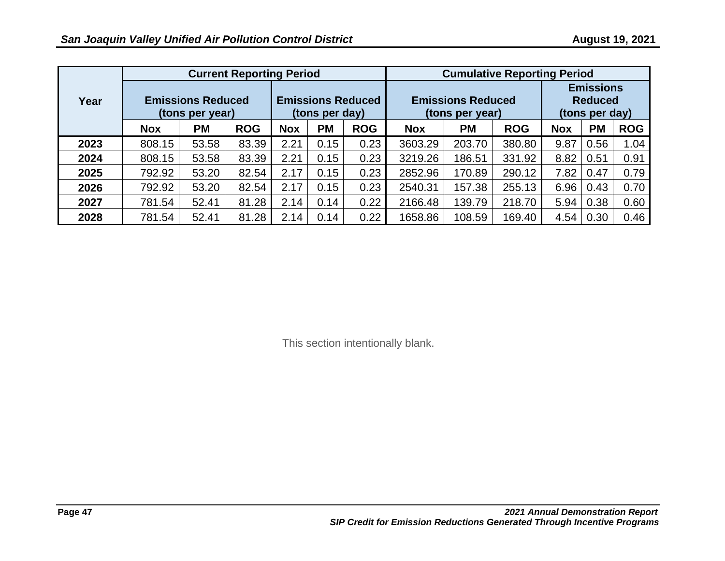|      |                                             |                                            | <b>Current Reporting Period</b> |            | <b>Cumulative Reporting Period</b>          |            |            |                                                      |            |            |           |            |
|------|---------------------------------------------|--------------------------------------------|---------------------------------|------------|---------------------------------------------|------------|------------|------------------------------------------------------|------------|------------|-----------|------------|
| Year | <b>Emissions Reduced</b><br>(tons per year) | <b>Emissions Reduced</b><br>(tons per day) |                                 |            | <b>Emissions Reduced</b><br>(tons per year) |            |            | <b>Emissions</b><br><b>Reduced</b><br>(tons per day) |            |            |           |            |
|      | <b>Nox</b>                                  | <b>PM</b>                                  | <b>ROG</b>                      | <b>Nox</b> | <b>PM</b>                                   | <b>ROG</b> | <b>Nox</b> | <b>PM</b>                                            | <b>ROG</b> | <b>Nox</b> | <b>PM</b> | <b>ROG</b> |
| 2023 | 808.15                                      | 53.58                                      | 83.39                           | 2.21       | 0.15                                        | 0.23       | 3603.29    | 203.70                                               | 380.80     | 9.87       | 0.56      | 1.04       |
| 2024 | 808.15                                      | 53.58                                      | 83.39                           | 2.21       | 0.15                                        | 0.23       | 3219.26    | 186.51                                               | 331.92     | 8.82       | 0.51      | 0.91       |
| 2025 | 792.92                                      | 53.20                                      | 82.54                           | 2.17       | 0.15                                        | 0.23       | 2852.96    | 170.89                                               | 290.12     | 7.82       | 0.47      | 0.79       |
| 2026 | 792.92                                      | 53.20                                      | 82.54                           | 2.17       | 0.15                                        | 0.23       | 2540.31    | 157.38                                               | 255.13     | 6.96       | 0.43      | 0.70       |
| 2027 | 781.54                                      | 52.41                                      | 81.28                           | 2.14       | 0.14                                        | 0.22       | 2166.48    | 139.79                                               | 218.70     | 5.94       | 0.38      | 0.60       |
| 2028 | 781.54                                      | 52.41                                      | 81.28                           | 2.14       | 0.14                                        | 0.22       | 1658.86    | 108.59                                               | 169.40     | 4.54       | 0.30      | 0.46       |

This section intentionally blank.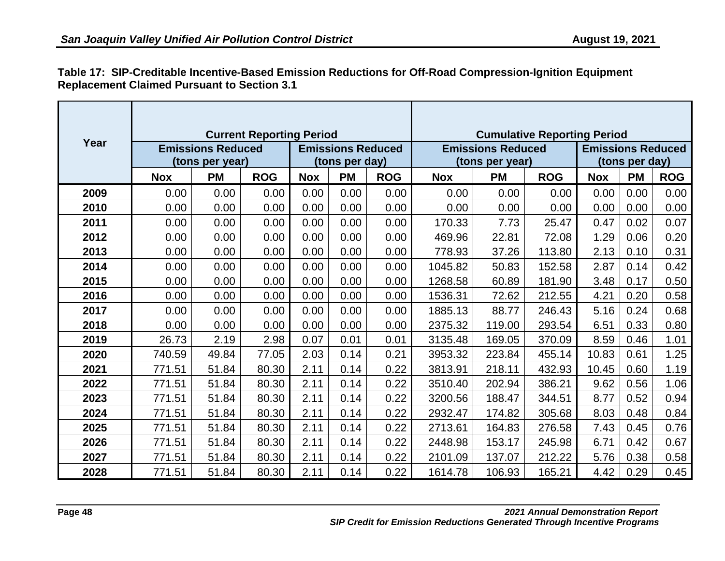| Table 17: SIP-Creditable Incentive-Based Emission Reductions for Off-Road Compression-Ignition Equipment |  |
|----------------------------------------------------------------------------------------------------------|--|
| <b>Replacement Claimed Pursuant to Section 3.1</b>                                                       |  |

|      |            |                          | <b>Current Reporting Period</b> |                |                          |            | <b>Cumulative Reporting Period</b> |                          |            |            |           |            |
|------|------------|--------------------------|---------------------------------|----------------|--------------------------|------------|------------------------------------|--------------------------|------------|------------|-----------|------------|
| Year |            | <b>Emissions Reduced</b> |                                 |                | <b>Emissions Reduced</b> |            | <b>Emissions Reduced</b>           | <b>Emissions Reduced</b> |            |            |           |            |
|      |            | (tons per year)          |                                 | (tons per day) |                          |            | (tons per year)                    | (tons per day)           |            |            |           |            |
|      | <b>Nox</b> | <b>PM</b>                | <b>ROG</b>                      | <b>Nox</b>     | <b>PM</b>                | <b>ROG</b> | <b>Nox</b>                         | <b>PM</b>                | <b>ROG</b> | <b>Nox</b> | <b>PM</b> | <b>ROG</b> |
| 2009 | 0.00       | 0.00                     | 0.00                            | 0.00           | 0.00                     | 0.00       | 0.00                               | 0.00                     | 0.00       | 0.00       | 0.00      | 0.00       |
| 2010 | 0.00       | 0.00                     | 0.00                            | 0.00           | 0.00                     | 0.00       | 0.00                               | 0.00                     | 0.00       | 0.00       | 0.00      | 0.00       |
| 2011 | 0.00       | 0.00                     | 0.00                            | 0.00           | 0.00                     | 0.00       | 170.33                             | 7.73                     | 25.47      | 0.47       | 0.02      | 0.07       |
| 2012 | 0.00       | 0.00                     | 0.00                            | 0.00           | 0.00                     | 0.00       | 469.96                             | 22.81                    | 72.08      | 1.29       | 0.06      | 0.20       |
| 2013 | 0.00       | 0.00                     | 0.00                            | 0.00           | 0.00                     | 0.00       | 778.93                             | 37.26                    | 113.80     | 2.13       | 0.10      | 0.31       |
| 2014 | 0.00       | 0.00                     | 0.00                            | 0.00           | 0.00                     | 0.00       | 1045.82                            | 50.83                    | 152.58     | 2.87       | 0.14      | 0.42       |
| 2015 | 0.00       | 0.00                     | 0.00                            | 0.00           | 0.00                     | 0.00       | 1268.58                            | 60.89                    | 181.90     | 3.48       | 0.17      | 0.50       |
| 2016 | 0.00       | 0.00                     | 0.00                            | 0.00           | 0.00                     | 0.00       | 1536.31                            | 72.62                    | 212.55     | 4.21       | 0.20      | 0.58       |
| 2017 | 0.00       | 0.00                     | 0.00                            | 0.00           | 0.00                     | 0.00       | 1885.13                            | 88.77                    | 246.43     | 5.16       | 0.24      | 0.68       |
| 2018 | 0.00       | 0.00                     | 0.00                            | 0.00           | 0.00                     | 0.00       | 2375.32                            | 119.00                   | 293.54     | 6.51       | 0.33      | 0.80       |
| 2019 | 26.73      | 2.19                     | 2.98                            | 0.07           | 0.01                     | 0.01       | 3135.48                            | 169.05                   | 370.09     | 8.59       | 0.46      | 1.01       |
| 2020 | 740.59     | 49.84                    | 77.05                           | 2.03           | 0.14                     | 0.21       | 3953.32                            | 223.84                   | 455.14     | 10.83      | 0.61      | 1.25       |
| 2021 | 771.51     | 51.84                    | 80.30                           | 2.11           | 0.14                     | 0.22       | 3813.91                            | 218.11                   | 432.93     | 10.45      | 0.60      | 1.19       |
| 2022 | 771.51     | 51.84                    | 80.30                           | 2.11           | 0.14                     | 0.22       | 3510.40                            | 202.94                   | 386.21     | 9.62       | 0.56      | 1.06       |
| 2023 | 771.51     | 51.84                    | 80.30                           | 2.11           | 0.14                     | 0.22       | 3200.56                            | 188.47                   | 344.51     | 8.77       | 0.52      | 0.94       |
| 2024 | 771.51     | 51.84                    | 80.30                           | 2.11           | 0.14                     | 0.22       | 2932.47                            | 174.82                   | 305.68     | 8.03       | 0.48      | 0.84       |
| 2025 | 771.51     | 51.84                    | 80.30                           | 2.11           | 0.14                     | 0.22       | 2713.61                            | 164.83                   | 276.58     | 7.43       | 0.45      | 0.76       |
| 2026 | 771.51     | 51.84                    | 80.30                           | 2.11           | 0.14                     | 0.22       | 2448.98                            | 153.17                   | 245.98     | 6.71       | 0.42      | 0.67       |
| 2027 | 771.51     | 51.84                    | 80.30                           | 2.11           | 0.14                     | 0.22       | 2101.09                            | 137.07                   | 212.22     | 5.76       | 0.38      | 0.58       |
| 2028 | 771.51     | 51.84                    | 80.30                           | 2.11           | 0.14                     | 0.22       | 1614.78                            | 106.93                   | 165.21     | 4.42       | 0.29      | 0.45       |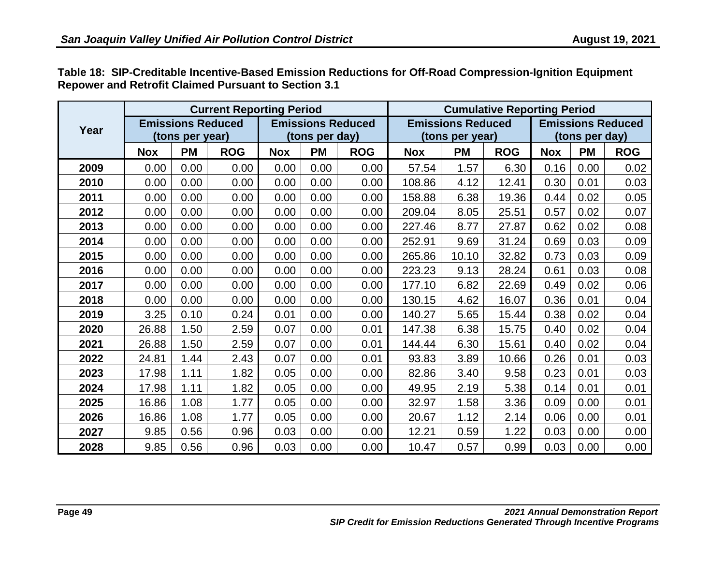|      | <b>Current Reporting Period</b> |                 |                          |            |                |                          | <b>Cumulative Reporting Period</b> |                                             |            |            |                |                          |
|------|---------------------------------|-----------------|--------------------------|------------|----------------|--------------------------|------------------------------------|---------------------------------------------|------------|------------|----------------|--------------------------|
| Year |                                 | (tons per year) | <b>Emissions Reduced</b> |            | (tons per day) | <b>Emissions Reduced</b> |                                    | <b>Emissions Reduced</b><br>(tons per year) |            |            | (tons per day) | <b>Emissions Reduced</b> |
|      | <b>Nox</b>                      | <b>PM</b>       | <b>ROG</b>               | <b>Nox</b> | <b>PM</b>      | <b>ROG</b>               | <b>Nox</b>                         | <b>PM</b>                                   | <b>ROG</b> | <b>Nox</b> | <b>PM</b>      | <b>ROG</b>               |
| 2009 | 0.00                            | 0.00            | 0.00                     | 0.00       | 0.00           | 0.00                     | 57.54                              | 1.57                                        | 6.30       | 0.16       | 0.00           | 0.02                     |
| 2010 | 0.00                            | 0.00            | 0.00                     | 0.00       | 0.00           | 0.00                     | 108.86                             | 4.12                                        | 12.41      | 0.30       | 0.01           | 0.03                     |
| 2011 | 0.00                            | 0.00            | 0.00                     | 0.00       | 0.00           | 0.00                     | 158.88                             | 6.38                                        | 19.36      | 0.44       | 0.02           | 0.05                     |
| 2012 | 0.00                            | 0.00            | 0.00                     | 0.00       | 0.00           | 0.00                     | 209.04                             | 8.05                                        | 25.51      | 0.57       | 0.02           | 0.07                     |
| 2013 | 0.00                            | 0.00            | 0.00                     | 0.00       | 0.00           | 0.00                     | 227.46                             | 8.77                                        | 27.87      | 0.62       | 0.02           | 0.08                     |
| 2014 | 0.00                            | 0.00            | 0.00                     | 0.00       | 0.00           | 0.00                     | 252.91                             | 9.69                                        | 31.24      | 0.69       | 0.03           | 0.09                     |
| 2015 | 0.00                            | 0.00            | 0.00                     | 0.00       | 0.00           | 0.00                     | 265.86                             | 10.10                                       | 32.82      | 0.73       | 0.03           | 0.09                     |
| 2016 | 0.00                            | 0.00            | 0.00                     | 0.00       | 0.00           | 0.00                     | 223.23                             | 9.13                                        | 28.24      | 0.61       | 0.03           | 0.08                     |
| 2017 | 0.00                            | 0.00            | 0.00                     | 0.00       | 0.00           | 0.00                     | 177.10                             | 6.82                                        | 22.69      | 0.49       | 0.02           | 0.06                     |
| 2018 | 0.00                            | 0.00            | 0.00                     | 0.00       | 0.00           | 0.00                     | 130.15                             | 4.62                                        | 16.07      | 0.36       | 0.01           | 0.04                     |
| 2019 | 3.25                            | 0.10            | 0.24                     | 0.01       | 0.00           | 0.00                     | 140.27                             | 5.65                                        | 15.44      | 0.38       | 0.02           | 0.04                     |
| 2020 | 26.88                           | 1.50            | 2.59                     | 0.07       | 0.00           | 0.01                     | 147.38                             | 6.38                                        | 15.75      | 0.40       | 0.02           | 0.04                     |
| 2021 | 26.88                           | 1.50            | 2.59                     | 0.07       | 0.00           | 0.01                     | 144.44                             | 6.30                                        | 15.61      | 0.40       | 0.02           | 0.04                     |
| 2022 | 24.81                           | 1.44            | 2.43                     | 0.07       | 0.00           | 0.01                     | 93.83                              | 3.89                                        | 10.66      | 0.26       | 0.01           | 0.03                     |
| 2023 | 17.98                           | 1.11            | 1.82                     | 0.05       | 0.00           | 0.00                     | 82.86                              | 3.40                                        | 9.58       | 0.23       | 0.01           | 0.03                     |
| 2024 | 17.98                           | 1.11            | 1.82                     | 0.05       | 0.00           | 0.00                     | 49.95                              | 2.19                                        | 5.38       | 0.14       | 0.01           | 0.01                     |
| 2025 | 16.86                           | 1.08            | 1.77                     | 0.05       | 0.00           | 0.00                     | 32.97                              | 1.58                                        | 3.36       | 0.09       | 0.00           | 0.01                     |
| 2026 | 16.86                           | 1.08            | 1.77                     | 0.05       | 0.00           | 0.00                     | 20.67                              | 1.12                                        | 2.14       | 0.06       | 0.00           | 0.01                     |
| 2027 | 9.85                            | 0.56            | 0.96                     | 0.03       | 0.00           | 0.00                     | 12.21                              | 0.59                                        | 1.22       | 0.03       | 0.00           | 0.00                     |
| 2028 | 9.85                            | 0.56            | 0.96                     | 0.03       | 0.00           | 0.00                     | 10.47                              | 0.57                                        | 0.99       | 0.03       | 0.00           | 0.00                     |

**Table 18: SIP-Creditable Incentive-Based Emission Reductions for Off-Road Compression-Ignition Equipment Repower and Retrofit Claimed Pursuant to Section 3.1**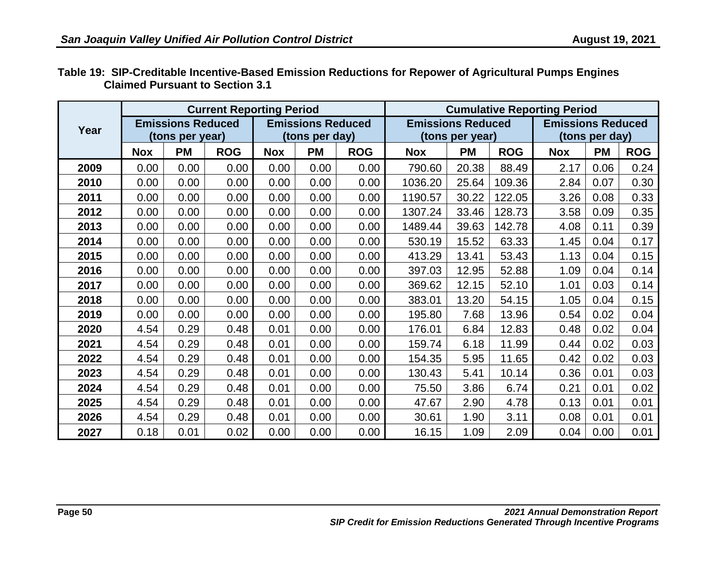|      |                                       |                                             | <b>Current Reporting Period</b> |            |                                            |            | <b>Cumulative Reporting Period</b> |                                             |            |                          |                |            |
|------|---------------------------------------|---------------------------------------------|---------------------------------|------------|--------------------------------------------|------------|------------------------------------|---------------------------------------------|------------|--------------------------|----------------|------------|
| Year |                                       | <b>Emissions Reduced</b><br>(tons per year) |                                 |            | <b>Emissions Reduced</b><br>(tons per day) |            |                                    | <b>Emissions Reduced</b><br>(tons per year) |            | <b>Emissions Reduced</b> | (tons per day) |            |
|      | <b>ROG</b><br><b>PM</b><br><b>Nox</b> |                                             |                                 | <b>Nox</b> | <b>PM</b>                                  | <b>ROG</b> | <b>Nox</b>                         | <b>PM</b>                                   | <b>ROG</b> | <b>Nox</b>               | РM             | <b>ROG</b> |
| 2009 | 0.00                                  | 0.00                                        | 0.00                            | 0.00       | 0.00                                       | 0.00       | 790.60                             | 20.38                                       | 88.49      | 2.17                     | 0.06           | 0.24       |
| 2010 | 0.00                                  | 0.00                                        | 0.00                            | 0.00       | 0.00                                       | 0.00       | 1036.20                            | 25.64                                       | 109.36     | 2.84                     | 0.07           | 0.30       |
| 2011 | 0.00                                  | 0.00                                        | 0.00                            | 0.00       | 0.00                                       | 0.00       | 1190.57                            | 30.22                                       | 122.05     | 3.26                     | 0.08           | 0.33       |
| 2012 | 0.00                                  | 0.00                                        | 0.00                            | 0.00       | 0.00                                       | 0.00       | 1307.24                            | 33.46                                       | 128.73     | 3.58                     | 0.09           | 0.35       |
| 2013 | 0.00                                  | 0.00                                        | 0.00                            | 0.00       | 0.00                                       | 0.00       | 1489.44                            | 39.63                                       | 142.78     | 4.08                     | 0.11           | 0.39       |
| 2014 | 0.00                                  | 0.00                                        | 0.00                            | 0.00       | 0.00                                       | 0.00       | 530.19                             | 15.52                                       | 63.33      | 1.45                     | 0.04           | 0.17       |
| 2015 | 0.00                                  | 0.00                                        | 0.00                            | 0.00       | 0.00                                       | 0.00       | 413.29                             | 13.41                                       | 53.43      | 1.13                     | 0.04           | 0.15       |
| 2016 | 0.00                                  | 0.00                                        | 0.00                            | 0.00       | 0.00                                       | 0.00       | 397.03                             | 12.95                                       | 52.88      | 1.09                     | 0.04           | 0.14       |
| 2017 | 0.00                                  | 0.00                                        | 0.00                            | 0.00       | 0.00                                       | 0.00       | 369.62                             | 12.15                                       | 52.10      | 1.01                     | 0.03           | 0.14       |
| 2018 | 0.00                                  | 0.00                                        | 0.00                            | 0.00       | 0.00                                       | 0.00       | 383.01                             | 13.20                                       | 54.15      | 1.05                     | 0.04           | 0.15       |
| 2019 | 0.00                                  | 0.00                                        | 0.00                            | 0.00       | 0.00                                       | 0.00       | 195.80                             | 7.68                                        | 13.96      | 0.54                     | 0.02           | 0.04       |
| 2020 | 4.54                                  | 0.29                                        | 0.48                            | 0.01       | 0.00                                       | 0.00       | 176.01                             | 6.84                                        | 12.83      | 0.48                     | 0.02           | 0.04       |
| 2021 | 4.54                                  | 0.29                                        | 0.48                            | 0.01       | 0.00                                       | 0.00       | 159.74                             | 6.18                                        | 11.99      | 0.44                     | 0.02           | 0.03       |
| 2022 | 4.54                                  | 0.29                                        | 0.48                            | 0.01       | 0.00                                       | 0.00       | 154.35                             | 5.95                                        | 11.65      | 0.42                     | 0.02           | 0.03       |
| 2023 | 4.54                                  | 0.29                                        | 0.48                            | 0.01       | 0.00                                       | 0.00       | 130.43                             | 5.41                                        | 10.14      | 0.36                     | 0.01           | 0.03       |
| 2024 | 4.54                                  | 0.29                                        | 0.48                            | 0.01       | 0.00                                       | 0.00       | 75.50                              | 3.86                                        | 6.74       | 0.21                     | 0.01           | 0.02       |
| 2025 | 4.54                                  | 0.29                                        | 0.48                            | 0.01       | 0.00                                       | 0.00       | 47.67                              | 2.90                                        | 4.78       | 0.13                     | 0.01           | 0.01       |
| 2026 | 4.54                                  | 0.29                                        | 0.48                            | 0.01       | 0.00                                       | 0.00       | 30.61                              | 1.90                                        | 3.11       | 0.08                     | 0.01           | 0.01       |
| 2027 | 0.18                                  | 0.01                                        | 0.02                            | 0.00       | 0.00                                       | 0.00       | 16.15                              | 1.09                                        | 2.09       | 0.04                     | 0.00           | 0.01       |

**Table 19: SIP-Creditable Incentive-Based Emission Reductions for Repower of Agricultural Pumps Engines Claimed Pursuant to Section 3.1**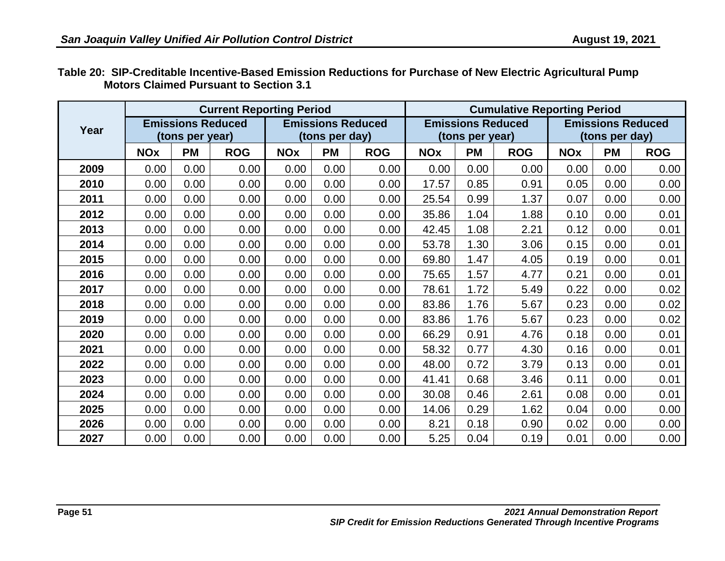| Table 20: SIP-Creditable Incentive-Based Emission Reductions for Purchase of New Electric Agricultural Pump |  |
|-------------------------------------------------------------------------------------------------------------|--|
| <b>Motors Claimed Pursuant to Section 3.1</b>                                                               |  |

|      |            |                 | <b>Current Reporting Period</b> |            |                                            |            | <b>Cumulative Reporting Period</b> |                                             |            |            |                |                          |  |
|------|------------|-----------------|---------------------------------|------------|--------------------------------------------|------------|------------------------------------|---------------------------------------------|------------|------------|----------------|--------------------------|--|
| Year |            | (tons per year) | <b>Emissions Reduced</b>        |            | <b>Emissions Reduced</b><br>(tons per day) |            |                                    | <b>Emissions Reduced</b><br>(tons per year) |            |            | (tons per day) | <b>Emissions Reduced</b> |  |
|      | <b>NOx</b> | <b>PM</b>       | <b>ROG</b>                      | <b>NOx</b> | <b>PM</b>                                  | <b>ROG</b> | <b>NOx</b>                         | <b>PM</b>                                   | <b>ROG</b> | <b>NOx</b> | <b>PM</b>      | <b>ROG</b>               |  |
| 2009 | 0.00       | 0.00            | 0.00                            | 0.00       | 0.00                                       | 0.00       | 0.00                               | 0.00                                        | 0.00       | 0.00       | 0.00           | 0.00                     |  |
| 2010 | 0.00       | 0.00            | 0.00                            | 0.00       | 0.00                                       | 0.00       | 17.57                              | 0.85                                        | 0.91       | 0.05       | 0.00           | 0.00                     |  |
| 2011 | 0.00       | 0.00            | 0.00                            | 0.00       | 0.00                                       | 0.00       | 25.54                              | 0.99                                        | 1.37       | 0.07       | 0.00           | 0.00                     |  |
| 2012 | 0.00       | 0.00            | 0.00                            | 0.00       | 0.00                                       | 0.00       | 35.86                              | 1.04                                        | 1.88       | 0.10       | 0.00           | 0.01                     |  |
| 2013 | 0.00       | 0.00            | 0.00                            | 0.00       | 0.00                                       | 0.00       | 42.45                              | 1.08                                        | 2.21       | 0.12       | 0.00           | 0.01                     |  |
| 2014 | 0.00       | 0.00            | 0.00                            | 0.00       | 0.00                                       | 0.00       | 53.78                              | 1.30                                        | 3.06       | 0.15       | 0.00           | 0.01                     |  |
| 2015 | 0.00       | 0.00            | 0.00                            | 0.00       | 0.00                                       | 0.00       | 69.80                              | 1.47                                        | 4.05       | 0.19       | 0.00           | 0.01                     |  |
| 2016 | 0.00       | 0.00            | 0.00                            | 0.00       | 0.00                                       | 0.00       | 75.65                              | 1.57                                        | 4.77       | 0.21       | 0.00           | 0.01                     |  |
| 2017 | 0.00       | 0.00            | 0.00                            | 0.00       | 0.00                                       | 0.00       | 78.61                              | 1.72                                        | 5.49       | 0.22       | 0.00           | 0.02                     |  |
| 2018 | 0.00       | 0.00            | 0.00                            | 0.00       | 0.00                                       | 0.00       | 83.86                              | 1.76                                        | 5.67       | 0.23       | 0.00           | 0.02                     |  |
| 2019 | 0.00       | 0.00            | 0.00                            | 0.00       | 0.00                                       | 0.00       | 83.86                              | 1.76                                        | 5.67       | 0.23       | 0.00           | 0.02                     |  |
| 2020 | 0.00       | 0.00            | 0.00                            | 0.00       | 0.00                                       | 0.00       | 66.29                              | 0.91                                        | 4.76       | 0.18       | 0.00           | 0.01                     |  |
| 2021 | 0.00       | 0.00            | 0.00                            | 0.00       | 0.00                                       | 0.00       | 58.32                              | 0.77                                        | 4.30       | 0.16       | 0.00           | 0.01                     |  |
| 2022 | 0.00       | 0.00            | 0.00                            | 0.00       | 0.00                                       | 0.00       | 48.00                              | 0.72                                        | 3.79       | 0.13       | 0.00           | 0.01                     |  |
| 2023 | 0.00       | 0.00            | 0.00                            | 0.00       | 0.00                                       | 0.00       | 41.41                              | 0.68                                        | 3.46       | 0.11       | 0.00           | 0.01                     |  |
| 2024 | 0.00       | 0.00            | 0.00                            | 0.00       | 0.00                                       | 0.00       | 30.08                              | 0.46                                        | 2.61       | 0.08       | 0.00           | 0.01                     |  |
| 2025 | 0.00       | 0.00            | 0.00                            | 0.00       | 0.00                                       | 0.00       | 14.06                              | 0.29                                        | 1.62       | 0.04       | 0.00           | 0.00                     |  |
| 2026 | 0.00       | 0.00            | 0.00                            | 0.00       | 0.00                                       | 0.00       | 8.21                               | 0.18                                        | 0.90       | 0.02       | 0.00           | 0.00                     |  |
| 2027 | 0.00       | 0.00            | 0.00                            | 0.00       | 0.00                                       | 0.00       | 5.25                               | 0.04                                        | 0.19       | 0.01       | 0.00           | 0.00                     |  |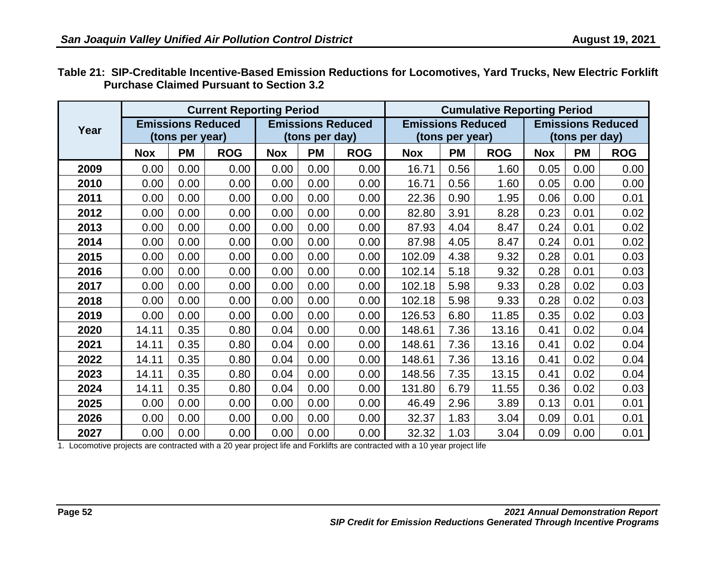| Table 21: SIP-Creditable Incentive-Based Emission Reductions for Locomotives, Yard Trucks, New Electric Forklift |  |  |
|------------------------------------------------------------------------------------------------------------------|--|--|
| <b>Purchase Claimed Pursuant to Section 3.2</b>                                                                  |  |  |

|      |            |                 | <b>Current Reporting Period</b> |            |                |                          | <b>Cumulative Reporting Period</b> |                 |            |              |                |                          |  |
|------|------------|-----------------|---------------------------------|------------|----------------|--------------------------|------------------------------------|-----------------|------------|--------------|----------------|--------------------------|--|
| Year |            | (tons per year) | <b>Emissions Reduced</b>        |            | (tons per day) | <b>Emissions Reduced</b> | <b>Emissions Reduced</b>           | (tons per year) |            |              | (tons per day) | <b>Emissions Reduced</b> |  |
|      | <b>Nox</b> | <b>PM</b>       | <b>ROG</b>                      | <b>Nox</b> | <b>PM</b>      | <b>ROG</b>               | <b>Nox</b>                         | <b>PM</b>       | <b>ROG</b> | <b>Nox</b>   | <b>PM</b>      | <b>ROG</b>               |  |
| 2009 | 0.00       | 0.00            | 0.00                            | 0.00       | 0.00           | 0.00                     | 16.71                              | 0.56            | 1.60       | 0.05         | 0.00           | 0.00                     |  |
| 2010 | 0.00       | 0.00            | 0.00                            | 0.00       | 0.00           | 0.00                     | 16.71                              | 0.56            | 1.60       | 0.05         | 0.00           | 0.00                     |  |
| 2011 | 0.00       | 0.00            | 0.00                            | 0.00       | 0.00           | 0.00                     | 22.36                              | 0.90            | 1.95       | 0.06         | 0.00           | 0.01                     |  |
| 2012 | 0.00       | 0.00            | 0.00                            | 0.00       | 0.00           | 0.00                     | 82.80                              | 3.91            | 8.28       | 0.23         | 0.01           | 0.02                     |  |
| 2013 | 0.00       | 0.00            | 0.00                            | 0.00       | 0.00           | 0.00                     | 87.93                              | 4.04            | 8.47       | 0.24         | 0.01           | 0.02                     |  |
| 2014 | 0.00       | 0.00            | 0.00                            | 0.00       | 0.00           | 0.00                     | 87.98                              | 4.05            | 8.47       | 0.24         | 0.01           | 0.02                     |  |
| 2015 | 0.00       | 0.00            | 0.00                            | 0.00       | 0.00           | 0.00                     | 102.09                             | 4.38            | 9.32       | 0.28         | 0.01           | 0.03                     |  |
| 2016 | 0.00       | 0.00            | 0.00                            | 0.00       | 0.00           | 0.00                     | 102.14                             | 5.18            | 9.32       | 0.28         | 0.01           | 0.03                     |  |
| 2017 | 0.00       | 0.00            | 0.00                            | 0.00       | 0.00           | 0.00                     | 102.18                             | 5.98            | 9.33       | 0.28         | 0.02           | 0.03                     |  |
| 2018 | 0.00       | 0.00            | 0.00                            | 0.00       | 0.00           | 0.00                     | 102.18                             | 5.98            | 9.33       | 0.28         | 0.02           | 0.03                     |  |
| 2019 | 0.00       | 0.00            | 0.00                            | 0.00       | 0.00           | 0.00                     | 126.53                             | 6.80            | 11.85      | 0.35         | 0.02           | 0.03                     |  |
| 2020 | 14.11      | 0.35            | 0.80                            | 0.04       | 0.00           | 0.00                     | 148.61                             | 7.36            | 13.16      | 0.41         | 0.02           | 0.04                     |  |
| 2021 | 14.11      | 0.35            | 0.80                            | 0.04       | 0.00           | 0.00                     | 148.61                             | 7.36            | 13.16      | 0.41         | 0.02           | 0.04                     |  |
| 2022 | 14.11      | 0.35            | 0.80                            | 0.04       | 0.00           | 0.00                     | 148.61                             | 7.36            | 13.16      | 0.41         | 0.02           | 0.04                     |  |
| 2023 | 14.11      | 0.35            | 0.80                            | 0.04       | 0.00           | 0.00                     | 148.56                             | 7.35            | 13.15      | 0.41         | 0.02           | 0.04                     |  |
| 2024 | 14.11      | 0.35            | 0.80                            | 0.04       | 0.00           | 0.00                     | 131.80                             | 6.79            | 11.55      | 0.36         | 0.02           | 0.03                     |  |
| 2025 | 0.00       | 0.00            | 0.00                            | 0.00       | 0.00           | 0.00                     | 46.49                              | 2.96            | 3.89       | 0.13         | 0.01           | 0.01                     |  |
| 2026 | 0.00       | 0.00            | 0.00                            | 0.00       | 0.00           | 0.00                     | 32.37                              | 1.83            | 3.04       | 0.09         | 0.01           | 0.01                     |  |
| 2027 | 0.00       | 0.00            | 0.00                            | 0.00       | 0.00           | 0.00                     | 32.32                              | 1.03            | 3.04       | 0.09<br>0.00 |                |                          |  |

1. Locomotive projects are contracted with a 20 year project life and Forklifts are contracted with a 10 year project life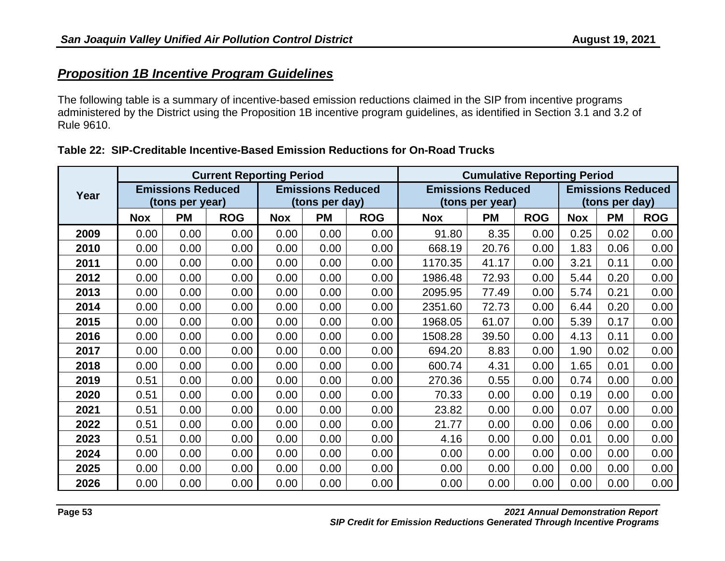# *Proposition 1B Incentive Program Guidelines*

The following table is a summary of incentive-based emission reductions claimed in the SIP from incentive programs administered by the District using the Proposition 1B incentive program guidelines, as identified in Section 3.1 and 3.2 of Rule 9610.

|      |            |                                             | <b>Current Reporting Period</b> |            |                                            |            | <b>Cumulative Reporting Period</b> |                                             |            |            |                |                          |  |
|------|------------|---------------------------------------------|---------------------------------|------------|--------------------------------------------|------------|------------------------------------|---------------------------------------------|------------|------------|----------------|--------------------------|--|
| Year |            | <b>Emissions Reduced</b><br>(tons per year) |                                 |            | <b>Emissions Reduced</b><br>(tons per day) |            |                                    | <b>Emissions Reduced</b><br>(tons per year) |            |            | (tons per day) | <b>Emissions Reduced</b> |  |
|      | <b>Nox</b> | <b>PM</b>                                   | <b>ROG</b>                      | <b>Nox</b> | РM                                         | <b>ROG</b> | <b>Nox</b>                         | <b>PM</b>                                   | <b>ROG</b> | <b>Nox</b> | <b>PM</b>      | <b>ROG</b>               |  |
| 2009 | 0.00       | 0.00                                        | 0.00                            | 0.00       | 0.00                                       | 0.00       | 91.80                              | 8.35                                        | 0.00       | 0.25       | 0.02           | 0.00                     |  |
| 2010 | 0.00       | 0.00                                        | 0.00                            | 0.00       | 0.00                                       | 0.00       | 668.19                             | 20.76                                       | 0.00       | 1.83       | 0.06           | 0.00                     |  |
| 2011 | 0.00       | 0.00                                        | 0.00                            | 0.00       | 0.00                                       | 0.00       | 1170.35                            | 41.17                                       | 0.00       | 3.21       | 0.11           | 0.00                     |  |
| 2012 | 0.00       | 0.00                                        | 0.00                            | 0.00       | 0.00                                       | 0.00       | 1986.48                            | 72.93                                       | 0.00       | 5.44       | 0.20           | 0.00                     |  |
| 2013 | 0.00       | 0.00                                        | 0.00                            | 0.00       | 0.00                                       | 0.00       | 2095.95                            | 77.49                                       | 0.00       | 5.74       | 0.21           | 0.00                     |  |
| 2014 | 0.00       | 0.00                                        | 0.00                            | 0.00       | 0.00                                       | 0.00       | 2351.60                            | 72.73                                       | 0.00       | 6.44       | 0.20           | 0.00                     |  |
| 2015 | 0.00       | 0.00                                        | 0.00                            | 0.00       | 0.00                                       | 0.00       | 1968.05                            | 61.07                                       | 0.00       | 5.39       | 0.17           | 0.00                     |  |
| 2016 | 0.00       | 0.00                                        | 0.00                            | 0.00       | 0.00                                       | 0.00       | 1508.28                            | 39.50                                       | 0.00       | 4.13       | 0.11           | 0.00                     |  |
| 2017 | 0.00       | 0.00                                        | 0.00                            | 0.00       | 0.00                                       | 0.00       | 694.20                             | 8.83                                        | 0.00       | 1.90       | 0.02           | 0.00                     |  |
| 2018 | 0.00       | 0.00                                        | 0.00                            | 0.00       | 0.00                                       | 0.00       | 600.74                             | 4.31                                        | 0.00       | 1.65       | 0.01           | 0.00                     |  |
| 2019 | 0.51       | 0.00                                        | 0.00                            | 0.00       | 0.00                                       | 0.00       | 270.36                             | 0.55                                        | 0.00       | 0.74       | 0.00           | 0.00                     |  |
| 2020 | 0.51       | 0.00                                        | 0.00                            | 0.00       | 0.00                                       | 0.00       | 70.33                              | 0.00                                        | 0.00       | 0.19       | 0.00           | 0.00                     |  |
| 2021 | 0.51       | 0.00                                        | 0.00                            | 0.00       | 0.00                                       | 0.00       | 23.82                              | 0.00                                        | 0.00       | 0.07       | 0.00           | 0.00                     |  |
| 2022 | 0.51       | 0.00                                        | 0.00                            | 0.00       | 0.00                                       | 0.00       | 21.77                              | 0.00                                        | 0.00       | 0.06       | 0.00           | 0.00                     |  |
| 2023 | 0.51       | 0.00                                        | 0.00                            | 0.00       | 0.00                                       | 0.00       | 4.16                               | 0.00                                        | 0.00       | 0.01       | 0.00           | 0.00                     |  |
| 2024 | 0.00       | 0.00                                        | 0.00                            | 0.00       | 0.00                                       | 0.00       | 0.00                               | 0.00                                        | 0.00       | 0.00       | 0.00           | 0.00                     |  |
| 2025 | 0.00       | 0.00                                        | 0.00                            | 0.00       | 0.00                                       | 0.00       | 0.00                               | 0.00                                        | 0.00       | 0.00       | 0.00           | 0.00                     |  |
| 2026 | 0.00       | 0.00                                        | 0.00                            | 0.00       | 0.00                                       | 0.00       | 0.00                               | 0.00                                        | 0.00       | 0.00       | 0.00           | 0.00                     |  |

## **Table 22: SIP-Creditable Incentive-Based Emission Reductions for On-Road Trucks**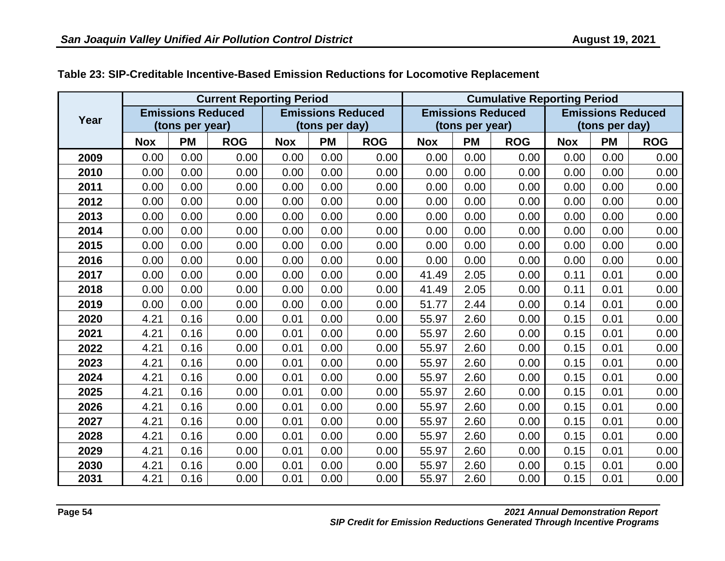|      |            |                          | <b>Current Reporting Period</b> |            |                          |            | <b>Cumulative Reporting Period</b> |                          |            |            |                          |            |  |  |
|------|------------|--------------------------|---------------------------------|------------|--------------------------|------------|------------------------------------|--------------------------|------------|------------|--------------------------|------------|--|--|
|      |            | <b>Emissions Reduced</b> |                                 |            | <b>Emissions Reduced</b> |            |                                    | <b>Emissions Reduced</b> |            |            | <b>Emissions Reduced</b> |            |  |  |
| Year |            | (tons per year)          |                                 |            | (tons per day)           |            |                                    | (tons per year)          |            |            | (tons per day)           |            |  |  |
|      | <b>Nox</b> | <b>PM</b>                | <b>ROG</b>                      | <b>Nox</b> | <b>PM</b>                | <b>ROG</b> | <b>Nox</b>                         | <b>PM</b>                | <b>ROG</b> | <b>Nox</b> | <b>PM</b>                | <b>ROG</b> |  |  |
| 2009 | 0.00       | 0.00                     | 0.00                            | 0.00       | 0.00                     | 0.00       | 0.00                               | 0.00                     | 0.00       | 0.00       | 0.00                     | 0.00       |  |  |
| 2010 | 0.00       | 0.00                     | 0.00                            | 0.00       | 0.00                     | 0.00       | 0.00                               | 0.00                     | 0.00       | 0.00       | 0.00                     | 0.00       |  |  |
| 2011 | 0.00       | 0.00                     | 0.00                            | 0.00       | 0.00                     | 0.00       | 0.00                               | 0.00                     | 0.00       | 0.00       | 0.00                     | 0.00       |  |  |
| 2012 | 0.00       | 0.00                     | 0.00                            | 0.00       | 0.00                     | 0.00       | 0.00                               | 0.00                     | 0.00       | 0.00       | 0.00                     | 0.00       |  |  |
| 2013 | 0.00       | 0.00                     | 0.00                            | 0.00       | 0.00                     | 0.00       | 0.00                               | 0.00                     | 0.00       | 0.00       | 0.00                     | 0.00       |  |  |
| 2014 | 0.00       | 0.00                     | 0.00                            | 0.00       | 0.00                     | 0.00       | 0.00                               | 0.00                     | 0.00       | 0.00       | 0.00                     | 0.00       |  |  |
| 2015 | 0.00       | 0.00                     | 0.00                            | 0.00       | 0.00                     | 0.00       | 0.00                               | 0.00                     | 0.00       | 0.00       | 0.00                     | 0.00       |  |  |
| 2016 | 0.00       | 0.00                     | 0.00                            | 0.00       | 0.00                     | 0.00       | 0.00                               | 0.00                     | 0.00       | 0.00       | 0.00                     | 0.00       |  |  |
| 2017 | 0.00       | 0.00                     | 0.00                            | 0.00       | 0.00                     | 0.00       | 41.49                              | 2.05                     | 0.00       | 0.11       | 0.01                     | 0.00       |  |  |
| 2018 | 0.00       | 0.00                     | 0.00                            | 0.00       | 0.00                     | 0.00       | 41.49                              | 2.05                     | 0.00       | 0.11       | 0.01                     | 0.00       |  |  |
| 2019 | 0.00       | 0.00                     | 0.00                            | 0.00       | 0.00                     | 0.00       | 51.77                              | 2.44                     | 0.00       | 0.14       | 0.01                     | 0.00       |  |  |
| 2020 | 4.21       | 0.16                     | 0.00                            | 0.01       | 0.00                     | 0.00       | 55.97                              | 2.60                     | 0.00       | 0.15       | 0.01                     | 0.00       |  |  |
| 2021 | 4.21       | 0.16                     | 0.00                            | 0.01       | 0.00                     | 0.00       | 55.97                              | 2.60                     | 0.00       | 0.15       | 0.01                     | 0.00       |  |  |
| 2022 | 4.21       | 0.16                     | 0.00                            | 0.01       | 0.00                     | 0.00       | 55.97                              | 2.60                     | 0.00       | 0.15       | 0.01                     | 0.00       |  |  |
| 2023 | 4.21       | 0.16                     | 0.00                            | 0.01       | 0.00                     | 0.00       | 55.97                              | 2.60                     | 0.00       | 0.15       | 0.01                     | 0.00       |  |  |
| 2024 | 4.21       | 0.16                     | 0.00                            | 0.01       | 0.00                     | 0.00       | 55.97                              | 2.60                     | 0.00       | 0.15       | 0.01                     | 0.00       |  |  |
| 2025 | 4.21       | 0.16                     | 0.00                            | 0.01       | 0.00                     | 0.00       | 55.97                              | 2.60                     | 0.00       | 0.15       | 0.01                     | 0.00       |  |  |
| 2026 | 4.21       | 0.16                     | 0.00                            | 0.01       | 0.00                     | 0.00       | 55.97                              | 2.60                     | 0.00       | 0.15       | 0.01                     | 0.00       |  |  |
| 2027 | 4.21       | 0.16                     | 0.00                            | 0.01       | 0.00                     | 0.00       | 55.97                              | 2.60                     | 0.00       | 0.15       | 0.01                     | 0.00       |  |  |
| 2028 | 4.21       | 0.16                     | 0.00                            | 0.01       | 0.00                     | 0.00       | 55.97                              | 2.60                     | 0.00       | 0.15       | 0.01                     | 0.00       |  |  |
| 2029 | 4.21       | 0.16                     | 0.00                            | 0.01       | 0.00                     | 0.00       | 55.97                              | 2.60                     | 0.00       | 0.15       | 0.01                     | 0.00       |  |  |
| 2030 | 4.21       | 0.16                     | 0.00                            | 0.01       | 0.00                     | 0.00       | 55.97                              | 2.60                     | 0.00       | 0.15       | 0.01                     | 0.00       |  |  |
| 2031 | 4.21       | 0.16                     | 0.00                            | 0.01       | 0.00                     | 0.00       | 55.97                              | 2.60                     | 0.00       | 0.15       | 0.01                     | 0.00       |  |  |

### **Table 23: SIP-Creditable Incentive-Based Emission Reductions for Locomotive Replacement**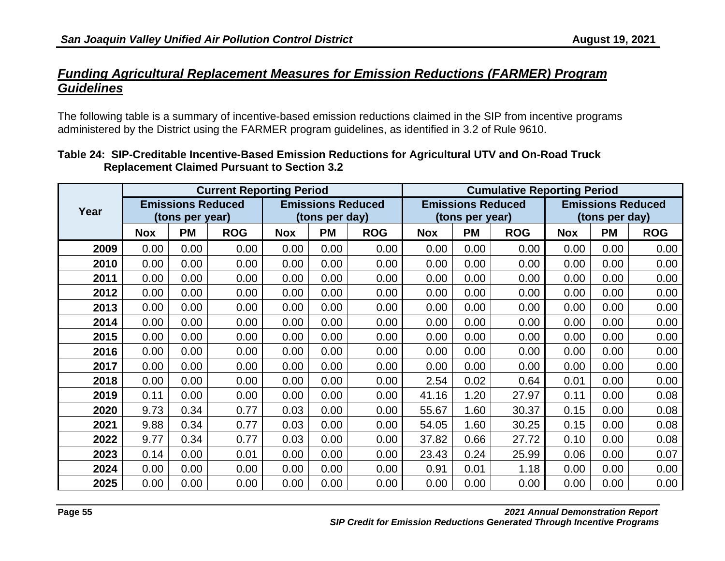## *Funding Agricultural Replacement Measures for Emission Reductions (FARMER) Program Guidelines*

The following table is a summary of incentive-based emission reductions claimed in the SIP from incentive programs administered by the District using the FARMER program guidelines, as identified in 3.2 of Rule 9610.

|      |            |                 | <b>Current Reporting Period</b> |            |                                            |            | <b>Cumulative Reporting Period</b> |                                             |            |            |                |                          |  |
|------|------------|-----------------|---------------------------------|------------|--------------------------------------------|------------|------------------------------------|---------------------------------------------|------------|------------|----------------|--------------------------|--|
| Year |            | (tons per year) | <b>Emissions Reduced</b>        |            | <b>Emissions Reduced</b><br>(tons per day) |            |                                    | <b>Emissions Reduced</b><br>(tons per year) |            |            | (tons per day) | <b>Emissions Reduced</b> |  |
|      | <b>Nox</b> | <b>PM</b>       | <b>ROG</b>                      | <b>Nox</b> | <b>PM</b>                                  | <b>ROG</b> | <b>Nox</b>                         | <b>PM</b>                                   | <b>ROG</b> | <b>Nox</b> | <b>PM</b>      | <b>ROG</b>               |  |
| 2009 | 0.00       | 0.00            | 0.00                            | 0.00       | 0.00                                       | 0.00       | 0.00                               | 0.00                                        | 0.00       | 0.00       | 0.00           | 0.00                     |  |
| 2010 | 0.00       | 0.00            | 0.00                            | 0.00       | 0.00                                       | 0.00       | 0.00                               | 0.00                                        | 0.00       | 0.00       | 0.00           | 0.00                     |  |
| 2011 | 0.00       | 0.00            | 0.00                            | 0.00       | 0.00                                       | 0.00       | 0.00                               | 0.00                                        | 0.00       | 0.00       | 0.00           | 0.00                     |  |
| 2012 | 0.00       | 0.00            | 0.00                            | 0.00       | 0.00                                       | 0.00       | 0.00                               | 0.00                                        | 0.00       | 0.00       | 0.00           | 0.00                     |  |
| 2013 | 0.00       | 0.00            | 0.00                            | 0.00       | 0.00                                       | 0.00       | 0.00                               | 0.00                                        | 0.00       | 0.00       | 0.00           | 0.00                     |  |
| 2014 | 0.00       | 0.00            | 0.00                            | 0.00       | 0.00                                       | 0.00       | 0.00                               | 0.00                                        | 0.00       | 0.00       | 0.00           | 0.00                     |  |
| 2015 | 0.00       | 0.00            | 0.00                            | 0.00       | 0.00                                       | 0.00       | 0.00                               | 0.00                                        | 0.00       | 0.00       | 0.00           | 0.00                     |  |
| 2016 | 0.00       | 0.00            | 0.00                            | 0.00       | 0.00                                       | 0.00       | 0.00                               | 0.00                                        | 0.00       | 0.00       | 0.00           | 0.00                     |  |
| 2017 | 0.00       | 0.00            | 0.00                            | 0.00       | 0.00                                       | 0.00       | 0.00                               | 0.00                                        | 0.00       | 0.00       | 0.00           | 0.00                     |  |
| 2018 | 0.00       | 0.00            | 0.00                            | 0.00       | 0.00                                       | 0.00       | 2.54                               | 0.02                                        | 0.64       | 0.01       | 0.00           | 0.00                     |  |
| 2019 | 0.11       | 0.00            | 0.00                            | 0.00       | 0.00                                       | 0.00       | 41.16                              | 1.20                                        | 27.97      | 0.11       | 0.00           | 0.08                     |  |
| 2020 | 9.73       | 0.34            | 0.77                            | 0.03       | 0.00                                       | 0.00       | 55.67                              | 1.60                                        | 30.37      | 0.15       | 0.00           | 0.08                     |  |
| 2021 | 9.88       | 0.34            | 0.77                            | 0.03       | 0.00                                       | 0.00       | 54.05                              | 1.60                                        | 30.25      | 0.15       | 0.00           | 0.08                     |  |
| 2022 | 9.77       | 0.34            | 0.77                            | 0.03       | 0.00                                       | 0.00       | 37.82<br>0.66<br>27.72             |                                             | 0.10       | 0.00       | 0.08           |                          |  |
| 2023 | 0.14       | 0.00            | 0.01                            | 0.00       | 0.00                                       | 0.00       | 23.43                              | 0.24                                        | 25.99      | 0.06       | 0.00           | 0.07                     |  |
| 2024 | 0.00       | 0.00            | 0.00                            | 0.00       | 0.00                                       | 0.00       | 0.91<br>0.01<br>1.18               |                                             | 0.00       | 0.00       | 0.00           |                          |  |
| 2025 | 0.00       | 0.00            | 0.00                            | 0.00       | 0.00                                       | 0.00       | 0.00                               | 0.00                                        | 0.00       | 0.00       | 0.00           | 0.00                     |  |

#### **Table 24: SIP-Creditable Incentive-Based Emission Reductions for Agricultural UTV and On-Road Truck Replacement Claimed Pursuant to Section 3.2**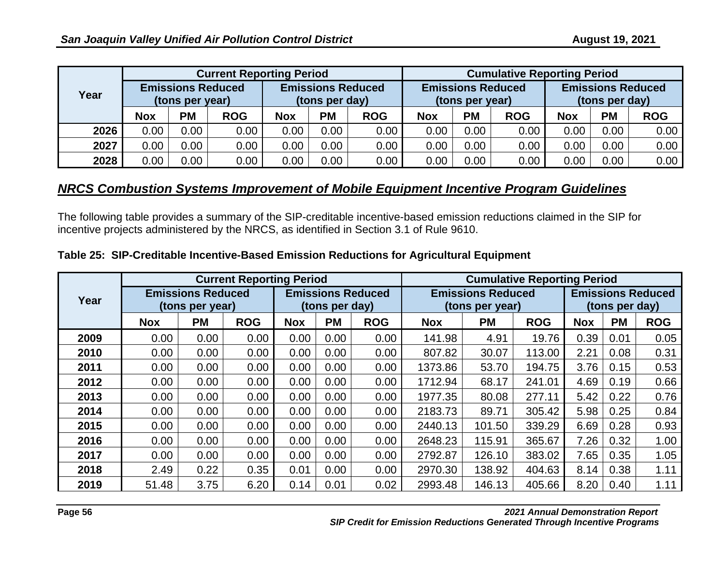|      |            |                 | <b>Current Reporting Period</b> |                                |                |                          | <b>Cumulative Reporting Period</b> |                                             |            |                                            |           |            |  |
|------|------------|-----------------|---------------------------------|--------------------------------|----------------|--------------------------|------------------------------------|---------------------------------------------|------------|--------------------------------------------|-----------|------------|--|
| Year |            | (tons per year) | <b>Emissions Reduced</b>        |                                | (tons per day) | <b>Emissions Reduced</b> |                                    | <b>Emissions Reduced</b><br>(tons per year) |            | <b>Emissions Reduced</b><br>(tons per day) |           |            |  |
|      | <b>Nox</b> | <b>PM</b>       | <b>ROG</b>                      | РM<br><b>ROG</b><br><b>Nox</b> |                |                          | <b>Nox</b>                         | РM                                          | <b>ROG</b> | <b>Nox</b>                                 | <b>PM</b> | <b>ROG</b> |  |
| 2026 | 0.00       | 0.00            | 0.00                            | 0.00                           | 0.00           | 0.00                     | 0.00                               | 0.00                                        | 0.00       | 0.00                                       | 0.00      | 0.00       |  |
| 2027 | 0.00       | 0.00            | 0.00                            | 0.00<br>0.00<br>0.00           |                |                          | 0.00                               | 0.00                                        | 0.00       | 0.00                                       | 0.00      | 0.00       |  |
| 2028 | 0.00       | 0.00            | 0.00                            | 0.00<br>0.00<br>0.00           |                |                          | 0.00                               | 0.00                                        | 0.00       | 0.00                                       | 0.00      | 0.00       |  |

# *NRCS Combustion Systems Improvement of Mobile Equipment Incentive Program Guidelines*

The following table provides a summary of the SIP-creditable incentive-based emission reductions claimed in the SIP for incentive projects administered by the NRCS, as identified in Section 3.1 of Rule 9610.

|  |  |  |  |  |  | Table 25: SIP-Creditable Incentive-Based Emission Reductions for Agricultural Equipment |
|--|--|--|--|--|--|-----------------------------------------------------------------------------------------|
|--|--|--|--|--|--|-----------------------------------------------------------------------------------------|

|      |                 |                          | <b>Current Reporting Period</b> |            |                |                          |            |                          |            | <b>Cumulative Reporting Period</b> |           |                          |  |
|------|-----------------|--------------------------|---------------------------------|------------|----------------|--------------------------|------------|--------------------------|------------|------------------------------------|-----------|--------------------------|--|
| Year |                 | <b>Emissions Reduced</b> |                                 |            | (tons per day) | <b>Emissions Reduced</b> |            | <b>Emissions Reduced</b> |            |                                    |           | <b>Emissions Reduced</b> |  |
|      | (tons per year) |                          |                                 |            |                |                          |            | (tons per year)          |            | (tons per day)                     |           |                          |  |
|      | <b>Nox</b>      | <b>PM</b>                | <b>ROG</b>                      | <b>Nox</b> | <b>PM</b>      | <b>ROG</b>               | <b>Nox</b> | <b>PM</b>                | <b>ROG</b> | <b>Nox</b>                         | <b>PM</b> | <b>ROG</b>               |  |
| 2009 | 0.00            | 0.00                     | 0.00                            | 0.00       | 0.00           | 0.00                     | 141.98     | 4.91                     | 19.76      | 0.39                               | 0.01      | 0.05                     |  |
| 2010 | 0.00            | 0.00                     | 0.00                            | 0.00       | 0.00           | 0.00                     | 807.82     | 30.07                    | 113.00     | 2.21                               | 0.08      | 0.31                     |  |
| 2011 | 0.00            | 0.00                     | 0.00                            | 0.00       | 0.00           | 0.00                     | 1373.86    | 53.70                    | 194.75     | 3.76                               | 0.15      | 0.53                     |  |
| 2012 | 0.00            | 0.00                     | 0.00                            | 0.00       | 0.00           | 0.00                     | 1712.94    | 68.17                    | 241.01     | 4.69                               | 0.19      | 0.66                     |  |
| 2013 | 0.00            | 0.00                     | 0.00                            | 0.00       | 0.00           | 0.00                     | 1977.35    | 80.08                    | 277.11     | 5.42                               | 0.22      | 0.76                     |  |
| 2014 | 0.00            | 0.00                     | 0.00                            | 0.00       | 0.00           | 0.00                     | 2183.73    | 89.71                    | 305.42     | 5.98                               | 0.25      | 0.84                     |  |
| 2015 | 0.00            | 0.00                     | 0.00                            | 0.00       | 0.00           | 0.00                     | 2440.13    | 101.50                   | 339.29     | 6.69                               | 0.28      | 0.93                     |  |
| 2016 | 0.00            | 0.00                     | 0.00                            | 0.00       | 0.00           | 0.00                     | 2648.23    | 115.91                   | 365.67     | 7.26                               | 0.32      | 1.00                     |  |
| 2017 | 0.00            | 0.00                     | 0.00                            | 0.00       | 0.00           | 0.00                     | 2792.87    | 126.10                   | 383.02     | 7.65                               | 0.35      | 1.05                     |  |
| 2018 | 2.49            | 0.22                     | 0.35                            | 0.01       | 0.00           | 0.00                     | 2970.30    | 404.63                   | 8.14       | 0.38                               | 1.11      |                          |  |
| 2019 | 51.48           | 3.75                     | 6.20                            | 0.14       | 0.01           | 0.02                     | 2993.48    | 146.13                   | 405.66     | 8.20                               | 0.40      | 1.11                     |  |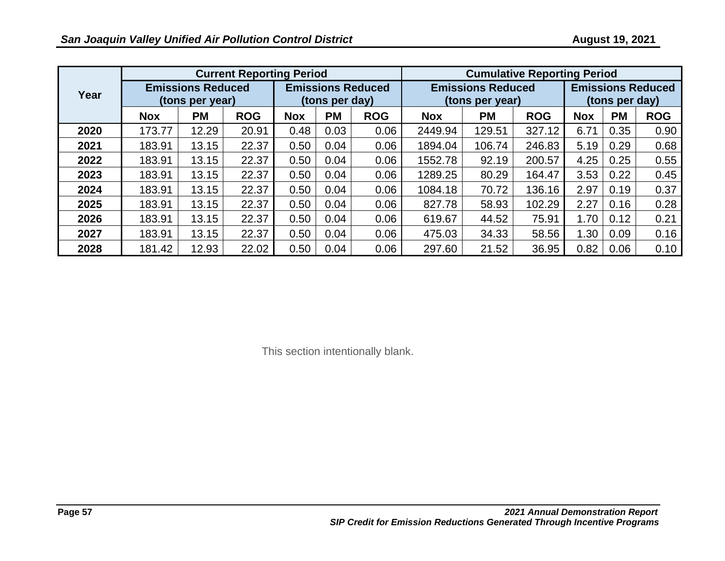|      |                                             |           | <b>Current Reporting Period</b>            |            |           |            |                                             |           | <b>Cumulative Reporting Period</b>         |            |           |            |
|------|---------------------------------------------|-----------|--------------------------------------------|------------|-----------|------------|---------------------------------------------|-----------|--------------------------------------------|------------|-----------|------------|
| Year | <b>Emissions Reduced</b><br>(tons per year) |           | <b>Emissions Reduced</b><br>(tons per day) |            |           |            | <b>Emissions Reduced</b><br>(tons per year) |           | <b>Emissions Reduced</b><br>(tons per day) |            |           |            |
|      | <b>Nox</b>                                  | <b>PM</b> | <b>ROG</b>                                 | <b>Nox</b> | <b>PM</b> | <b>ROG</b> | <b>Nox</b>                                  | <b>PM</b> | <b>ROG</b>                                 | <b>Nox</b> | <b>PM</b> | <b>ROG</b> |
| 2020 | 173.77                                      | 12.29     | 20.91                                      | 0.48       | 0.03      | 0.06       | 2449.94                                     | 129.51    | 327.12                                     | 6.71       | 0.35      | 0.90       |
| 2021 | 183.91                                      | 13.15     | 22.37                                      | 0.50       | 0.04      | 0.06       | 1894.04                                     | 106.74    | 246.83                                     | 5.19       | 0.29      | 0.68       |
| 2022 | 183.91                                      | 13.15     | 22.37                                      | 0.50       | 0.04      | 0.06       | 1552.78                                     | 92.19     | 200.57                                     | 4.25       | 0.25      | 0.55       |
| 2023 | 183.91                                      | 13.15     | 22.37                                      | 0.50       | 0.04      | 0.06       | 1289.25                                     | 80.29     | 164.47                                     | 3.53       | 0.22      | 0.45       |
| 2024 | 183.91                                      | 13.15     | 22.37                                      | 0.50       | 0.04      | 0.06       | 1084.18                                     | 70.72     | 136.16                                     | 2.97       | 0.19      | 0.37       |
| 2025 | 183.91                                      | 13.15     | 22.37                                      | 0.50       | 0.04      | 0.06       | 827.78                                      | 58.93     | 102.29                                     | 2.27       | 0.16      | 0.28       |
| 2026 | 183.91                                      | 13.15     | 22.37                                      | 0.50       | 0.04      | 0.06       | 619.67                                      | 44.52     | 75.91                                      | 1.70       | 0.12      | 0.21       |
| 2027 | 183.91                                      | 13.15     | 22.37                                      | 0.50       | 0.04      | 0.06       | 475.03                                      | 34.33     | 58.56                                      | .30        | 0.09      | 0.16       |
| 2028 | 181.42                                      | 12.93     | 22.02                                      | 0.50       | 0.04      | 0.06       | 297.60                                      | 21.52     | 36.95                                      | 0.82       | 0.06      | 0.10       |

This section intentionally blank.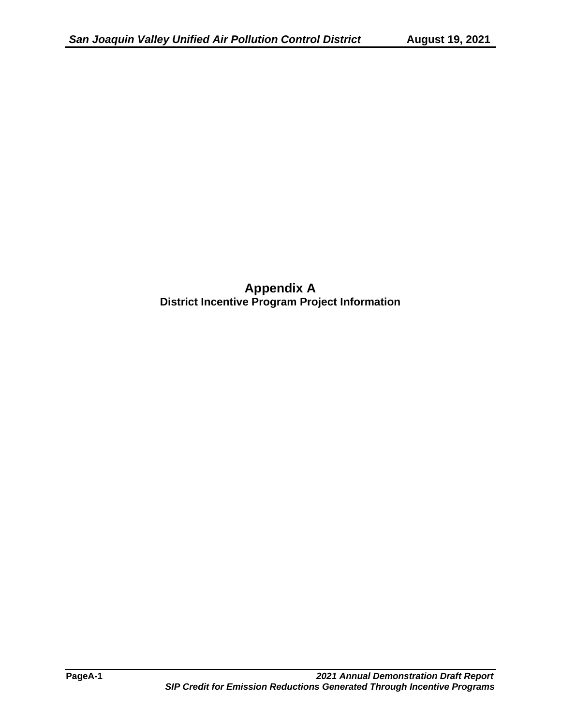**Appendix A District Incentive Program Project Information**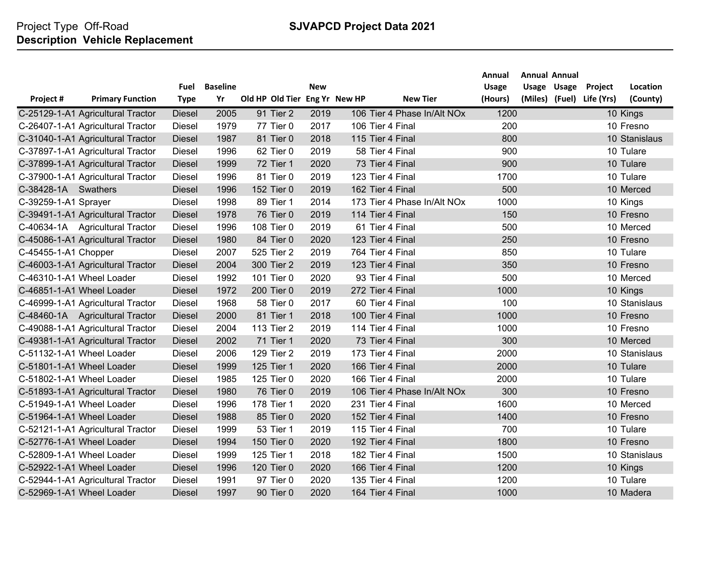|                           |                                   |               |                 |            |            |                               |                  |                             | Annual       | Annual Annual |             |                           |               |
|---------------------------|-----------------------------------|---------------|-----------------|------------|------------|-------------------------------|------------------|-----------------------------|--------------|---------------|-------------|---------------------------|---------------|
|                           |                                   | Fuel          | <b>Baseline</b> |            | <b>New</b> |                               |                  |                             | <b>Usage</b> |               | Usage Usage | Project                   | Location      |
| Project#                  | <b>Primary Function</b>           | <b>Type</b>   | Yr              |            |            | Old HP Old Tier Eng Yr New HP |                  | <b>New Tier</b>             | (Hours)      |               |             | (Miles) (Fuel) Life (Yrs) | (County)      |
|                           | C-25129-1-A1 Agricultural Tractor | <b>Diesel</b> | 2005            | 91 Tier 2  | 2019       |                               |                  | 106 Tier 4 Phase In/Alt NOx | 1200         |               |             |                           | 10 Kings      |
|                           | C-26407-1-A1 Agricultural Tractor | <b>Diesel</b> | 1979            | 77 Tier 0  | 2017       |                               | 106 Tier 4 Final |                             | 200          |               |             |                           | 10 Fresno     |
|                           | C-31040-1-A1 Agricultural Tractor | <b>Diesel</b> | 1987            | 81 Tier 0  | 2018       |                               | 115 Tier 4 Final |                             | 800          |               |             |                           | 10 Stanislaus |
|                           | C-37897-1-A1 Agricultural Tractor | <b>Diesel</b> | 1996            | 62 Tier 0  | 2019       |                               | 58 Tier 4 Final  |                             | 900          |               |             |                           | 10 Tulare     |
|                           | C-37899-1-A1 Agricultural Tractor | <b>Diesel</b> | 1999            | 72 Tier 1  | 2020       |                               | 73 Tier 4 Final  |                             | 900          |               |             |                           | 10 Tulare     |
|                           | C-37900-1-A1 Agricultural Tractor | <b>Diesel</b> | 1996            | 81 Tier 0  | 2019       |                               | 123 Tier 4 Final |                             | 1700         |               |             |                           | 10 Tulare     |
| C-38428-1A Swathers       |                                   | <b>Diesel</b> | 1996            | 152 Tier 0 | 2019       |                               | 162 Tier 4 Final |                             | 500          |               |             |                           | 10 Merced     |
| C-39259-1-A1 Sprayer      |                                   | <b>Diesel</b> | 1998            | 89 Tier 1  | 2014       |                               |                  | 173 Tier 4 Phase In/Alt NOx | 1000         |               |             |                           | 10 Kings      |
|                           | C-39491-1-A1 Agricultural Tractor | <b>Diesel</b> | 1978            | 76 Tier 0  | 2019       |                               | 114 Tier 4 Final |                             | 150          |               |             |                           | 10 Fresno     |
|                           | C-40634-1A Agricultural Tractor   | Diesel        | 1996            | 108 Tier 0 | 2019       |                               | 61 Tier 4 Final  |                             | 500          |               |             |                           | 10 Merced     |
|                           | C-45086-1-A1 Agricultural Tractor | <b>Diesel</b> | 1980            | 84 Tier 0  | 2020       |                               | 123 Tier 4 Final |                             | 250          |               |             |                           | 10 Fresno     |
| C-45455-1-A1 Chopper      |                                   | <b>Diesel</b> | 2007            | 525 Tier 2 | 2019       |                               | 764 Tier 4 Final |                             | 850          |               |             |                           | 10 Tulare     |
|                           | C-46003-1-A1 Agricultural Tractor | <b>Diesel</b> | 2004            | 300 Tier 2 | 2019       |                               | 123 Tier 4 Final |                             | 350          |               |             |                           | 10 Fresno     |
|                           | C-46310-1-A1 Wheel Loader         | Diesel        | 1992            | 101 Tier 0 | 2020       |                               | 93 Tier 4 Final  |                             | 500          |               |             |                           | 10 Merced     |
|                           | C-46851-1-A1 Wheel Loader         | <b>Diesel</b> | 1972            | 200 Tier 0 | 2019       |                               | 272 Tier 4 Final |                             | 1000         |               |             |                           | 10 Kings      |
|                           | C-46999-1-A1 Agricultural Tractor | <b>Diesel</b> | 1968            | 58 Tier 0  | 2017       |                               | 60 Tier 4 Final  |                             | 100          |               |             |                           | 10 Stanislaus |
|                           | C-48460-1A Agricultural Tractor   | <b>Diesel</b> | 2000            | 81 Tier 1  | 2018       |                               | 100 Tier 4 Final |                             | 1000         |               |             |                           | 10 Fresno     |
|                           | C-49088-1-A1 Agricultural Tractor | <b>Diesel</b> | 2004            | 113 Tier 2 | 2019       |                               | 114 Tier 4 Final |                             | 1000         |               |             |                           | 10 Fresno     |
|                           | C-49381-1-A1 Agricultural Tractor | <b>Diesel</b> | 2002            | 71 Tier 1  | 2020       |                               | 73 Tier 4 Final  |                             | 300          |               |             |                           | 10 Merced     |
|                           | C-51132-1-A1 Wheel Loader         | <b>Diesel</b> | 2006            | 129 Tier 2 | 2019       |                               | 173 Tier 4 Final |                             | 2000         |               |             |                           | 10 Stanislaus |
| C-51801-1-A1 Wheel Loader |                                   | <b>Diesel</b> | 1999            | 125 Tier 1 | 2020       |                               | 166 Tier 4 Final |                             | 2000         |               |             |                           | 10 Tulare     |
|                           | C-51802-1-A1 Wheel Loader         | Diesel        | 1985            | 125 Tier 0 | 2020       |                               | 166 Tier 4 Final |                             | 2000         |               |             |                           | 10 Tulare     |
|                           | C-51893-1-A1 Agricultural Tractor | <b>Diesel</b> | 1980            | 76 Tier 0  | 2019       |                               |                  | 106 Tier 4 Phase In/Alt NOx | 300          |               |             |                           | 10 Fresno     |
|                           | C-51949-1-A1 Wheel Loader         | <b>Diesel</b> | 1996            | 178 Tier 1 | 2020       |                               | 231 Tier 4 Final |                             | 1600         |               |             |                           | 10 Merced     |
| C-51964-1-A1 Wheel Loader |                                   | <b>Diesel</b> | 1988            | 85 Tier 0  | 2020       |                               | 152 Tier 4 Final |                             | 1400         |               |             |                           | 10 Fresno     |
|                           | C-52121-1-A1 Agricultural Tractor | <b>Diesel</b> | 1999            | 53 Tier 1  | 2019       |                               | 115 Tier 4 Final |                             | 700          |               |             |                           | 10 Tulare     |
|                           | C-52776-1-A1 Wheel Loader         | <b>Diesel</b> | 1994            | 150 Tier 0 | 2020       |                               | 192 Tier 4 Final |                             | 1800         |               |             |                           | 10 Fresno     |
|                           | C-52809-1-A1 Wheel Loader         | <b>Diesel</b> | 1999            | 125 Tier 1 | 2018       |                               | 182 Tier 4 Final |                             | 1500         |               |             |                           | 10 Stanislaus |
| C-52922-1-A1 Wheel Loader |                                   | <b>Diesel</b> | 1996            | 120 Tier 0 | 2020       |                               | 166 Tier 4 Final |                             | 1200         |               |             |                           | 10 Kings      |
|                           | C-52944-1-A1 Agricultural Tractor | <b>Diesel</b> | 1991            | 97 Tier 0  | 2020       |                               | 135 Tier 4 Final |                             | 1200         |               |             |                           | 10 Tulare     |
| C-52969-1-A1 Wheel Loader |                                   | <b>Diesel</b> | 1997            | 90 Tier 0  | 2020       |                               | 164 Tier 4 Final |                             | 1000         |               |             |                           | 10 Madera     |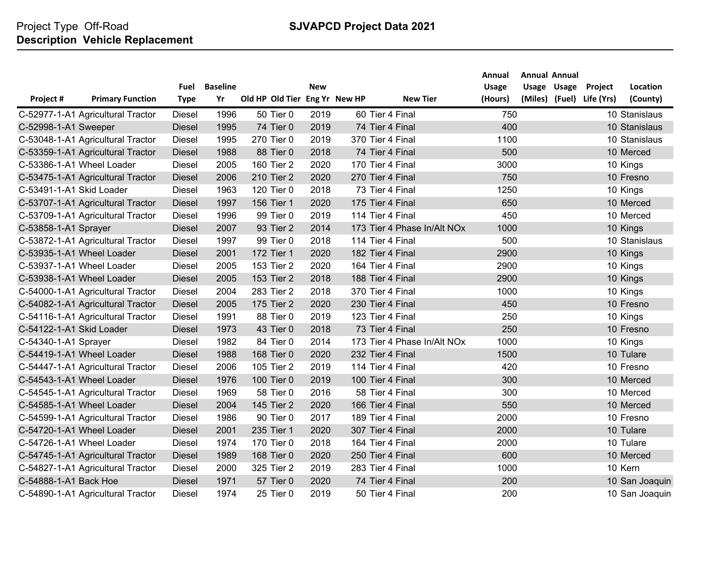|                          |                                   |               |                 |                               |           |            |                  |                             | Annual       | <b>Annual Annual</b> |             |                           |                |
|--------------------------|-----------------------------------|---------------|-----------------|-------------------------------|-----------|------------|------------------|-----------------------------|--------------|----------------------|-------------|---------------------------|----------------|
|                          |                                   | Fuel          | <b>Baseline</b> |                               |           | <b>New</b> |                  |                             | <b>Usage</b> |                      | Usage Usage | Project                   | Location       |
| Project#                 | <b>Primary Function</b>           | <b>Type</b>   | Yr              | Old HP Old Tier Eng Yr New HP |           |            |                  | <b>New Tier</b>             | (Hours)      |                      |             | (Miles) (Fuel) Life (Yrs) | (County)       |
|                          | C-52977-1-A1 Agricultural Tractor | <b>Diesel</b> | 1996            |                               | 50 Tier 0 | 2019       | 60 Tier 4 Final  |                             | 750          |                      |             |                           | 10 Stanislaus  |
| C-52998-1-A1 Sweeper     |                                   | <b>Diesel</b> | 1995            |                               | 74 Tier 0 | 2019       | 74 Tier 4 Final  |                             | 400          |                      |             |                           | 10 Stanislaus  |
|                          | C-53048-1-A1 Agricultural Tractor | Diesel        | 1995            | 270 Tier 0                    |           | 2019       | 370 Tier 4 Final |                             | 1100         |                      |             |                           | 10 Stanislaus  |
|                          | C-53359-1-A1 Agricultural Tractor | <b>Diesel</b> | 1988            | 88 Tier 0                     |           | 2018       | 74 Tier 4 Final  |                             | 500          |                      |             |                           | 10 Merced      |
|                          | C-53386-1-A1 Wheel Loader         | <b>Diesel</b> | 2005            | 160 Tier 2                    |           | 2020       | 170 Tier 4 Final |                             | 3000         |                      |             |                           | 10 Kings       |
|                          | C-53475-1-A1 Agricultural Tractor | <b>Diesel</b> | 2006            | 210 Tier 2                    |           | 2020       | 270 Tier 4 Final |                             | 750          |                      |             |                           | 10 Fresno      |
| C-53491-1-A1 Skid Loader |                                   | <b>Diesel</b> | 1963            | 120 Tier 0                    |           | 2018       | 73 Tier 4 Final  |                             | 1250         |                      |             |                           | 10 Kings       |
|                          | C-53707-1-A1 Agricultural Tractor | <b>Diesel</b> | 1997            | 156 Tier 1                    |           | 2020       | 175 Tier 4 Final |                             | 650          |                      |             |                           | 10 Merced      |
|                          | C-53709-1-A1 Agricultural Tractor | <b>Diesel</b> | 1996            |                               | 99 Tier 0 | 2019       | 114 Tier 4 Final |                             | 450          |                      |             |                           | 10 Merced      |
| C-53858-1-A1 Sprayer     |                                   | <b>Diesel</b> | 2007            |                               | 93 Tier 2 | 2014       |                  | 173 Tier 4 Phase In/Alt NOx | 1000         |                      |             |                           | 10 Kings       |
|                          | C-53872-1-A1 Agricultural Tractor | <b>Diesel</b> | 1997            |                               | 99 Tier 0 | 2018       | 114 Tier 4 Final |                             | 500          |                      |             |                           | 10 Stanislaus  |
|                          | C-53935-1-A1 Wheel Loader         | <b>Diesel</b> | 2001            | 172 Tier 1                    |           | 2020       | 182 Tier 4 Final |                             | 2900         |                      |             |                           | 10 Kings       |
|                          | C-53937-1-A1 Wheel Loader         | <b>Diesel</b> | 2005            | 153 Tier 2                    |           | 2020       | 164 Tier 4 Final |                             | 2900         |                      |             |                           | 10 Kings       |
|                          | C-53938-1-A1 Wheel Loader         | <b>Diesel</b> | 2005            | 153 Tier 2                    |           | 2018       | 188 Tier 4 Final |                             | 2900         |                      |             |                           | 10 Kings       |
|                          | C-54000-1-A1 Agricultural Tractor | Diesel        | 2004            | 283 Tier 2                    |           | 2018       | 370 Tier 4 Final |                             | 1000         |                      |             |                           | 10 Kings       |
|                          | C-54082-1-A1 Agricultural Tractor | <b>Diesel</b> | 2005            | 175 Tier 2                    |           | 2020       | 230 Tier 4 Final |                             | 450          |                      |             |                           | 10 Fresno      |
|                          | C-54116-1-A1 Agricultural Tractor | <b>Diesel</b> | 1991            | 88 Tier 0                     |           | 2019       | 123 Tier 4 Final |                             | 250          |                      |             |                           | 10 Kings       |
| C-54122-1-A1 Skid Loader |                                   | <b>Diesel</b> | 1973            | 43 Tier 0                     |           | 2018       | 73 Tier 4 Final  |                             | 250          |                      |             |                           | 10 Fresno      |
| C-54340-1-A1 Sprayer     |                                   | <b>Diesel</b> | 1982            |                               | 84 Tier 0 | 2014       |                  | 173 Tier 4 Phase In/Alt NOx | 1000         |                      |             |                           | 10 Kings       |
|                          | C-54419-1-A1 Wheel Loader         | <b>Diesel</b> | 1988            | 168 Tier 0                    |           | 2020       | 232 Tier 4 Final |                             | 1500         |                      |             |                           | 10 Tulare      |
|                          | C-54447-1-A1 Agricultural Tractor | <b>Diesel</b> | 2006            | 105 Tier 2                    |           | 2019       | 114 Tier 4 Final |                             | 420          |                      |             |                           | 10 Fresno      |
|                          | C-54543-1-A1 Wheel Loader         | <b>Diesel</b> | 1976            | 100 Tier 0                    |           | 2019       | 100 Tier 4 Final |                             | 300          |                      |             |                           | 10 Merced      |
|                          | C-54545-1-A1 Agricultural Tractor | <b>Diesel</b> | 1969            |                               | 58 Tier 0 | 2016       | 58 Tier 4 Final  |                             | 300          |                      |             |                           | 10 Merced      |
|                          | C-54585-1-A1 Wheel Loader         | <b>Diesel</b> | 2004            | 145 Tier 2                    |           | 2020       | 166 Tier 4 Final |                             | 550          |                      |             |                           | 10 Merced      |
|                          | C-54599-1-A1 Agricultural Tractor | <b>Diesel</b> | 1986            | 90 Tier 0                     |           | 2017       | 189 Tier 4 Final |                             | 2000         |                      |             |                           | 10 Fresno      |
|                          | C-54720-1-A1 Wheel Loader         | <b>Diesel</b> | 2001            | 235 Tier 1                    |           | 2020       | 307 Tier 4 Final |                             | 2000         |                      |             |                           | 10 Tulare      |
|                          | C-54726-1-A1 Wheel Loader         | <b>Diesel</b> | 1974            | 170 Tier 0                    |           | 2018       | 164 Tier 4 Final |                             | 2000         |                      |             |                           | 10 Tulare      |
|                          | C-54745-1-A1 Agricultural Tractor | <b>Diesel</b> | 1989            | 168 Tier 0                    |           | 2020       | 250 Tier 4 Final |                             | 600          |                      |             |                           | 10 Merced      |
|                          | C-54827-1-A1 Agricultural Tractor | Diesel        | 2000            | 325 Tier 2                    |           | 2019       | 283 Tier 4 Final |                             | 1000         |                      |             |                           | 10 Kern        |
| C-54888-1-A1 Back Hoe    |                                   | <b>Diesel</b> | 1971            | 57 Tier 0                     |           | 2020       | 74 Tier 4 Final  |                             | 200          |                      |             |                           | 10 San Joaquin |
|                          | C-54890-1-A1 Agricultural Tractor | <b>Diesel</b> | 1974            |                               | 25 Tier 0 | 2019       | 50 Tier 4 Final  |                             | 200          |                      |             |                           | 10 San Joaquin |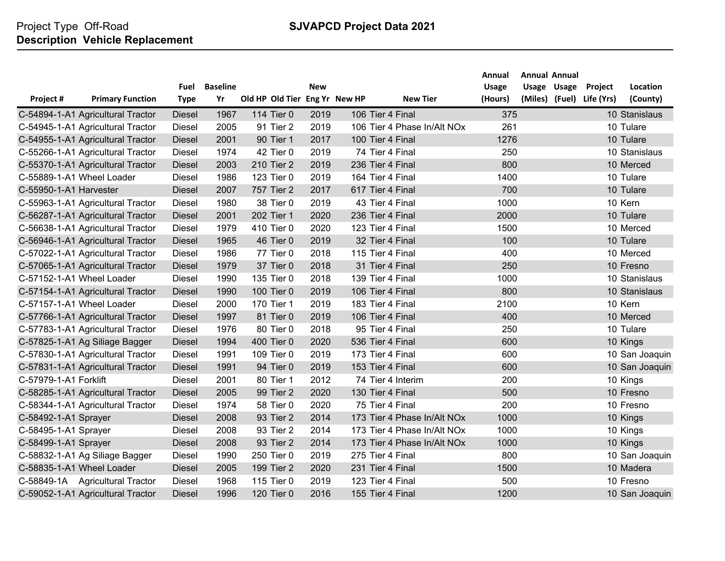|                        |                                   |               |                 |                               |            |                             | Annual       | <b>Annual Annual</b>      |  |                |
|------------------------|-----------------------------------|---------------|-----------------|-------------------------------|------------|-----------------------------|--------------|---------------------------|--|----------------|
|                        |                                   | Fuel          | <b>Baseline</b> |                               | <b>New</b> |                             | <b>Usage</b> | Usage Usage Project       |  | Location       |
| Project #              | <b>Primary Function</b>           | <b>Type</b>   | Yr              | Old HP Old Tier Eng Yr New HP |            | <b>New Tier</b>             | (Hours)      | (Miles) (Fuel) Life (Yrs) |  | (County)       |
|                        | C-54894-1-A1 Agricultural Tractor | <b>Diesel</b> | 1967            | 114 Tier 0                    | 2019       | 106 Tier 4 Final            | 375          |                           |  | 10 Stanislaus  |
|                        | C-54945-1-A1 Agricultural Tractor | <b>Diesel</b> | 2005            | 91 Tier 2                     | 2019       | 106 Tier 4 Phase In/Alt NOx | 261          |                           |  | 10 Tulare      |
|                        | C-54955-1-A1 Agricultural Tractor | <b>Diesel</b> | 2001            | 90 Tier 1                     | 2017       | 100 Tier 4 Final            | 1276         |                           |  | 10 Tulare      |
|                        | C-55266-1-A1 Agricultural Tractor | <b>Diesel</b> | 1974            | 42 Tier 0                     | 2019       | 74 Tier 4 Final             | 250          |                           |  | 10 Stanislaus  |
|                        | C-55370-1-A1 Agricultural Tractor | <b>Diesel</b> | 2003            | 210 Tier 2                    | 2019       | 236 Tier 4 Final            | 800          |                           |  | 10 Merced      |
|                        | C-55889-1-A1 Wheel Loader         | <b>Diesel</b> | 1986            | 123 Tier 0                    | 2019       | 164 Tier 4 Final            | 1400         |                           |  | 10 Tulare      |
| C-55950-1-A1 Harvester |                                   | <b>Diesel</b> | 2007            | 757 Tier 2                    | 2017       | 617 Tier 4 Final            | 700          |                           |  | 10 Tulare      |
|                        | C-55963-1-A1 Agricultural Tractor | <b>Diesel</b> | 1980            | 38 Tier 0                     | 2019       | 43 Tier 4 Final             | 1000         |                           |  | 10 Kern        |
|                        | C-56287-1-A1 Agricultural Tractor | <b>Diesel</b> | 2001            | 202 Tier 1                    | 2020       | 236 Tier 4 Final            | 2000         |                           |  | 10 Tulare      |
|                        | C-56638-1-A1 Agricultural Tractor | <b>Diesel</b> | 1979            | 410 Tier 0                    | 2020       | 123 Tier 4 Final            | 1500         |                           |  | 10 Merced      |
|                        | C-56946-1-A1 Agricultural Tractor | <b>Diesel</b> | 1965            | 46 Tier 0                     | 2019       | 32 Tier 4 Final             | 100          |                           |  | 10 Tulare      |
|                        | C-57022-1-A1 Agricultural Tractor | <b>Diesel</b> | 1986            | 77 Tier 0                     | 2018       | 115 Tier 4 Final            | 400          |                           |  | 10 Merced      |
|                        | C-57065-1-A1 Agricultural Tractor | <b>Diesel</b> | 1979            | 37 Tier 0                     | 2018       | 31 Tier 4 Final             | 250          |                           |  | 10 Fresno      |
|                        | C-57152-1-A1 Wheel Loader         | <b>Diesel</b> | 1990            | 135 Tier 0                    | 2018       | 139 Tier 4 Final            | 1000         |                           |  | 10 Stanislaus  |
|                        | C-57154-1-A1 Agricultural Tractor | <b>Diesel</b> | 1990            | 100 Tier 0                    | 2019       | 106 Tier 4 Final            | 800          |                           |  | 10 Stanislaus  |
|                        | C-57157-1-A1 Wheel Loader         | Diesel        | 2000            | 170 Tier 1                    | 2019       | 183 Tier 4 Final            | 2100         |                           |  | 10 Kern        |
|                        | C-57766-1-A1 Agricultural Tractor | <b>Diesel</b> | 1997            | 81 Tier 0                     | 2019       | 106 Tier 4 Final            | 400          |                           |  | 10 Merced      |
|                        | C-57783-1-A1 Agricultural Tractor | <b>Diesel</b> | 1976            | 80 Tier 0                     | 2018       | 95 Tier 4 Final             | 250          |                           |  | 10 Tulare      |
|                        | C-57825-1-A1 Ag Siliage Bagger    | <b>Diesel</b> | 1994            | 400 Tier 0                    | 2020       | 536 Tier 4 Final            | 600          |                           |  | 10 Kings       |
|                        | C-57830-1-A1 Agricultural Tractor | <b>Diesel</b> | 1991            | 109 Tier 0                    | 2019       | 173 Tier 4 Final            | 600          |                           |  | 10 San Joaquin |
|                        | C-57831-1-A1 Agricultural Tractor | <b>Diesel</b> | 1991            | 94 Tier 0                     | 2019       | 153 Tier 4 Final            | 600          |                           |  | 10 San Joaquin |
| C-57979-1-A1 Forklift  |                                   | <b>Diesel</b> | 2001            | 80 Tier 1                     | 2012       | 74 Tier 4 Interim           | 200          |                           |  | 10 Kings       |
|                        | C-58285-1-A1 Agricultural Tractor | <b>Diesel</b> | 2005            | 99 Tier 2                     | 2020       | 130 Tier 4 Final            | 500          |                           |  | 10 Fresno      |
|                        | C-58344-1-A1 Agricultural Tractor | <b>Diesel</b> | 1974            | 58 Tier 0                     | 2020       | 75 Tier 4 Final             | 200          |                           |  | 10 Fresno      |
| C-58492-1-A1 Sprayer   |                                   | <b>Diesel</b> | 2008            | 93 Tier 2                     | 2014       | 173 Tier 4 Phase In/Alt NOx | 1000         |                           |  | 10 Kings       |
| C-58495-1-A1 Sprayer   |                                   | <b>Diesel</b> | 2008            | 93 Tier 2                     | 2014       | 173 Tier 4 Phase In/Alt NOx | 1000         |                           |  | 10 Kings       |
| C-58499-1-A1 Sprayer   |                                   | <b>Diesel</b> | 2008            | 93 Tier 2                     | 2014       | 173 Tier 4 Phase In/Alt NOx | 1000         |                           |  | 10 Kings       |
|                        | C-58832-1-A1 Ag Siliage Bagger    | <b>Diesel</b> | 1990            | 250 Tier 0                    | 2019       | 275 Tier 4 Final            | 800          |                           |  | 10 San Joaquin |
|                        | C-58835-1-A1 Wheel Loader         | <b>Diesel</b> | 2005            | 199 Tier 2                    | 2020       | 231 Tier 4 Final            | 1500         |                           |  | 10 Madera      |
|                        | C-58849-1A Agricultural Tractor   | <b>Diesel</b> | 1968            | 115 Tier 0                    | 2019       | 123 Tier 4 Final            | 500          |                           |  | 10 Fresno      |
|                        | C-59052-1-A1 Agricultural Tractor | <b>Diesel</b> | 1996            | 120 Tier 0                    | 2016       | 155 Tier 4 Final            | 1200         |                           |  | 10 San Joaquin |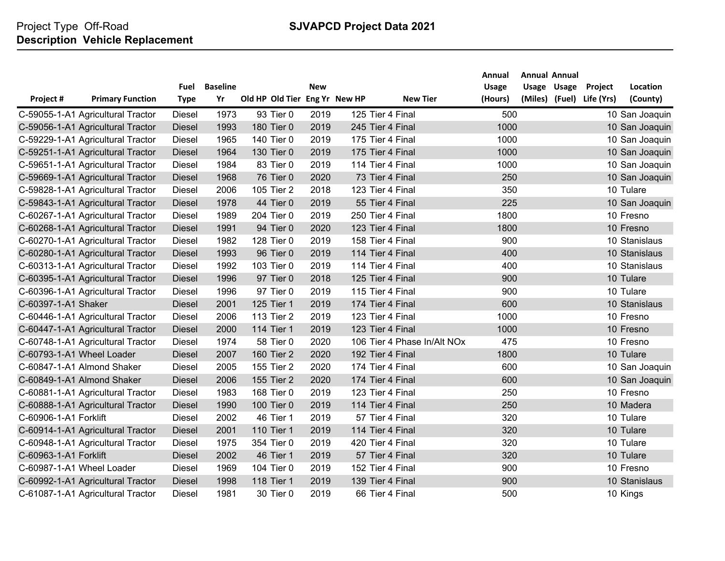|                       |                                   |               |                 |                               |            |                  |                             | Annual       | <b>Annual Annual</b> |             |                           |                |
|-----------------------|-----------------------------------|---------------|-----------------|-------------------------------|------------|------------------|-----------------------------|--------------|----------------------|-------------|---------------------------|----------------|
|                       |                                   | Fuel          | <b>Baseline</b> |                               | <b>New</b> |                  |                             | <b>Usage</b> |                      | Usage Usage | Project                   | Location       |
| Project#              | <b>Primary Function</b>           | <b>Type</b>   | Yr              | Old HP Old Tier Eng Yr New HP |            |                  | <b>New Tier</b>             | (Hours)      |                      |             | (Miles) (Fuel) Life (Yrs) | (County)       |
|                       | C-59055-1-A1 Agricultural Tractor | <b>Diesel</b> | 1973            | 93 Tier 0                     | 2019       | 125 Tier 4 Final |                             | 500          |                      |             |                           | 10 San Joaquin |
|                       | C-59056-1-A1 Agricultural Tractor | <b>Diesel</b> | 1993            | 180 Tier 0                    | 2019       | 245 Tier 4 Final |                             | 1000         |                      |             |                           | 10 San Joaquin |
|                       | C-59229-1-A1 Agricultural Tractor | <b>Diesel</b> | 1965            | 140 Tier 0                    | 2019       | 175 Tier 4 Final |                             | 1000         |                      |             |                           | 10 San Joaquin |
|                       | C-59251-1-A1 Agricultural Tractor | <b>Diesel</b> | 1964            | 130 Tier 0                    | 2019       | 175 Tier 4 Final |                             | 1000         |                      |             |                           | 10 San Joaquin |
|                       | C-59651-1-A1 Agricultural Tractor | <b>Diesel</b> | 1984            | 83 Tier 0                     | 2019       | 114 Tier 4 Final |                             | 1000         |                      |             |                           | 10 San Joaquin |
|                       | C-59669-1-A1 Agricultural Tractor | <b>Diesel</b> | 1968            | 76 Tier 0                     | 2020       | 73 Tier 4 Final  |                             | 250          |                      |             |                           | 10 San Joaquin |
|                       | C-59828-1-A1 Agricultural Tractor | <b>Diesel</b> | 2006            | 105 Tier 2                    | 2018       | 123 Tier 4 Final |                             | 350          |                      |             |                           | 10 Tulare      |
|                       | C-59843-1-A1 Agricultural Tractor | <b>Diesel</b> | 1978            | 44 Tier 0                     | 2019       | 55 Tier 4 Final  |                             | 225          |                      |             |                           | 10 San Joaquin |
|                       | C-60267-1-A1 Agricultural Tractor | <b>Diesel</b> | 1989            | 204 Tier 0                    | 2019       | 250 Tier 4 Final |                             | 1800         |                      |             |                           | 10 Fresno      |
|                       | C-60268-1-A1 Agricultural Tractor | <b>Diesel</b> | 1991            | 94 Tier 0                     | 2020       | 123 Tier 4 Final |                             | 1800         |                      |             |                           | 10 Fresno      |
|                       | C-60270-1-A1 Agricultural Tractor | <b>Diesel</b> | 1982            | 128 Tier 0                    | 2019       | 158 Tier 4 Final |                             | 900          |                      |             |                           | 10 Stanislaus  |
|                       | C-60280-1-A1 Agricultural Tractor | <b>Diesel</b> | 1993            | 96 Tier 0                     | 2019       | 114 Tier 4 Final |                             | 400          |                      |             |                           | 10 Stanislaus  |
|                       | C-60313-1-A1 Agricultural Tractor | <b>Diesel</b> | 1992            | 103 Tier 0                    | 2019       | 114 Tier 4 Final |                             | 400          |                      |             |                           | 10 Stanislaus  |
|                       | C-60395-1-A1 Agricultural Tractor | <b>Diesel</b> | 1996            | 97 Tier 0                     | 2018       | 125 Tier 4 Final |                             | 900          |                      |             |                           | 10 Tulare      |
|                       | C-60396-1-A1 Agricultural Tractor | <b>Diesel</b> | 1996            | 97 Tier 0                     | 2019       | 115 Tier 4 Final |                             | 900          |                      |             |                           | 10 Tulare      |
| C-60397-1-A1 Shaker   |                                   | <b>Diesel</b> | 2001            | 125 Tier 1                    | 2019       | 174 Tier 4 Final |                             | 600          |                      |             |                           | 10 Stanislaus  |
|                       | C-60446-1-A1 Agricultural Tractor | <b>Diesel</b> | 2006            | 113 Tier 2                    | 2019       | 123 Tier 4 Final |                             | 1000         |                      |             |                           | 10 Fresno      |
|                       | C-60447-1-A1 Agricultural Tractor | <b>Diesel</b> | 2000            | 114 Tier 1                    | 2019       | 123 Tier 4 Final |                             | 1000         |                      |             |                           | 10 Fresno      |
|                       | C-60748-1-A1 Agricultural Tractor | <b>Diesel</b> | 1974            | 58 Tier 0                     | 2020       |                  | 106 Tier 4 Phase In/Alt NOx | 475          |                      |             |                           | 10 Fresno      |
|                       | C-60793-1-A1 Wheel Loader         | <b>Diesel</b> | 2007            | 160 Tier 2                    | 2020       | 192 Tier 4 Final |                             | 1800         |                      |             |                           | 10 Tulare      |
|                       | C-60847-1-A1 Almond Shaker        | <b>Diesel</b> | 2005            | 155 Tier 2                    | 2020       | 174 Tier 4 Final |                             | 600          |                      |             |                           | 10 San Joaquin |
|                       | C-60849-1-A1 Almond Shaker        | <b>Diesel</b> | 2006            | 155 Tier 2                    | 2020       | 174 Tier 4 Final |                             | 600          |                      |             |                           | 10 San Joaquin |
|                       | C-60881-1-A1 Agricultural Tractor | <b>Diesel</b> | 1983            | 168 Tier 0                    | 2019       | 123 Tier 4 Final |                             | 250          |                      |             |                           | 10 Fresno      |
|                       | C-60888-1-A1 Agricultural Tractor | <b>Diesel</b> | 1990            | 100 Tier 0                    | 2019       | 114 Tier 4 Final |                             | 250          |                      |             |                           | 10 Madera      |
| C-60906-1-A1 Forklift |                                   | <b>Diesel</b> | 2002            | 46 Tier 1                     | 2019       | 57 Tier 4 Final  |                             | 320          |                      |             |                           | 10 Tulare      |
|                       | C-60914-1-A1 Agricultural Tractor | <b>Diesel</b> | 2001            | 110 Tier 1                    | 2019       | 114 Tier 4 Final |                             | 320          |                      |             |                           | 10 Tulare      |
|                       | C-60948-1-A1 Agricultural Tractor | <b>Diesel</b> | 1975            | 354 Tier 0                    | 2019       | 420 Tier 4 Final |                             | 320          |                      |             |                           | 10 Tulare      |
| C-60963-1-A1 Forklift |                                   | <b>Diesel</b> | 2002            | 46 Tier 1                     | 2019       | 57 Tier 4 Final  |                             | 320          |                      |             |                           | 10 Tulare      |
|                       | C-60987-1-A1 Wheel Loader         | Diesel        | 1969            | 104 Tier 0                    | 2019       | 152 Tier 4 Final |                             | 900          |                      |             |                           | 10 Fresno      |
|                       | C-60992-1-A1 Agricultural Tractor | <b>Diesel</b> | 1998            | 118 Tier 1                    | 2019       | 139 Tier 4 Final |                             | 900          |                      |             |                           | 10 Stanislaus  |
|                       | C-61087-1-A1 Agricultural Tractor | <b>Diesel</b> | 1981            | 30 Tier 0                     | 2019       | 66 Tier 4 Final  |                             | 500          |                      |             |                           | 10 Kings       |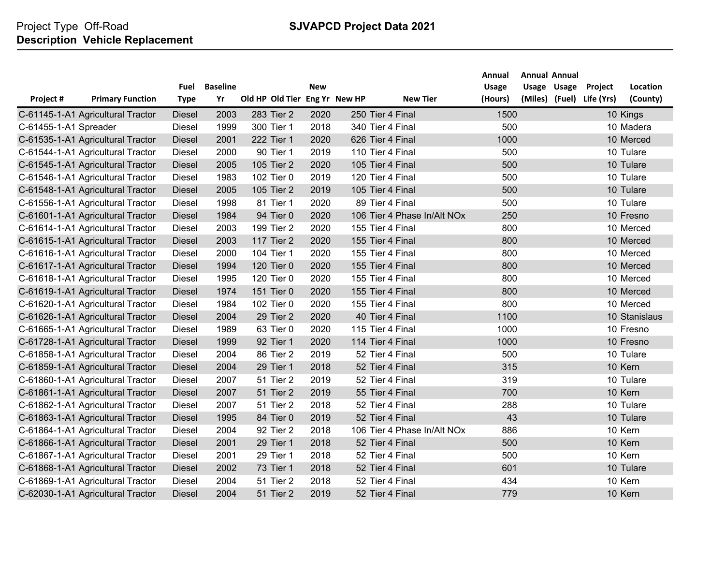|                       |                                   |               |                 |                               |            |                             | Annual       | <b>Annual Annual</b>      |               |
|-----------------------|-----------------------------------|---------------|-----------------|-------------------------------|------------|-----------------------------|--------------|---------------------------|---------------|
|                       |                                   | Fuel          | <b>Baseline</b> |                               | <b>New</b> |                             | <b>Usage</b> | Usage Usage Project       | Location      |
| Project#              | <b>Primary Function</b>           | <b>Type</b>   | Yr              | Old HP Old Tier Eng Yr New HP |            | <b>New Tier</b>             | (Hours)      | (Miles) (Fuel) Life (Yrs) | (County)      |
|                       | C-61145-1-A1 Agricultural Tractor | <b>Diesel</b> | 2003            | 283 Tier 2                    | 2020       | 250 Tier 4 Final            | 1500         |                           | 10 Kings      |
| C-61455-1-A1 Spreader |                                   | <b>Diesel</b> | 1999            | 300 Tier 1                    | 2018       | 340 Tier 4 Final            | 500          |                           | 10 Madera     |
|                       | C-61535-1-A1 Agricultural Tractor | <b>Diesel</b> | 2001            | 222 Tier 1                    | 2020       | 626 Tier 4 Final            | 1000         |                           | 10 Merced     |
|                       | C-61544-1-A1 Agricultural Tractor | <b>Diesel</b> | 2000            | 90 Tier 1                     | 2019       | 110 Tier 4 Final            | 500          |                           | 10 Tulare     |
|                       | C-61545-1-A1 Agricultural Tractor | <b>Diesel</b> | 2005            | 105 Tier 2                    | 2020       | 105 Tier 4 Final            | 500          |                           | 10 Tulare     |
|                       | C-61546-1-A1 Agricultural Tractor | <b>Diesel</b> | 1983            | 102 Tier 0                    | 2019       | 120 Tier 4 Final            | 500          |                           | 10 Tulare     |
|                       | C-61548-1-A1 Agricultural Tractor | <b>Diesel</b> | 2005            | 105 Tier 2                    | 2019       | 105 Tier 4 Final            | 500          |                           | 10 Tulare     |
|                       | C-61556-1-A1 Agricultural Tractor | <b>Diesel</b> | 1998            | 81 Tier 1                     | 2020       | 89 Tier 4 Final             | 500          |                           | 10 Tulare     |
|                       | C-61601-1-A1 Agricultural Tractor | <b>Diesel</b> | 1984            | 94 Tier 0                     | 2020       | 106 Tier 4 Phase In/Alt NOx | 250          |                           | 10 Fresno     |
|                       | C-61614-1-A1 Agricultural Tractor | <b>Diesel</b> | 2003            | 199 Tier 2                    | 2020       | 155 Tier 4 Final            | 800          |                           | 10 Merced     |
|                       | C-61615-1-A1 Agricultural Tractor | <b>Diesel</b> | 2003            | 117 Tier 2                    | 2020       | 155 Tier 4 Final            | 800          |                           | 10 Merced     |
|                       | C-61616-1-A1 Agricultural Tractor | Diesel        | 2000            | 104 Tier 1                    | 2020       | 155 Tier 4 Final            | 800          |                           | 10 Merced     |
|                       | C-61617-1-A1 Agricultural Tractor | <b>Diesel</b> | 1994            | 120 Tier 0                    | 2020       | 155 Tier 4 Final            | 800          |                           | 10 Merced     |
|                       | C-61618-1-A1 Agricultural Tractor | Diesel        | 1995            | 120 Tier 0                    | 2020       | 155 Tier 4 Final            | 800          |                           | 10 Merced     |
|                       | C-61619-1-A1 Agricultural Tractor | <b>Diesel</b> | 1974            | 151 Tier 0                    | 2020       | 155 Tier 4 Final            | 800          |                           | 10 Merced     |
|                       | C-61620-1-A1 Agricultural Tractor | <b>Diesel</b> | 1984            | 102 Tier 0                    | 2020       | 155 Tier 4 Final            | 800          |                           | 10 Merced     |
|                       | C-61626-1-A1 Agricultural Tractor | <b>Diesel</b> | 2004            | 29 Tier 2                     | 2020       | 40 Tier 4 Final             | 1100         |                           | 10 Stanislaus |
|                       | C-61665-1-A1 Agricultural Tractor | <b>Diesel</b> | 1989            | 63 Tier 0                     | 2020       | 115 Tier 4 Final            | 1000         |                           | 10 Fresno     |
|                       | C-61728-1-A1 Agricultural Tractor | <b>Diesel</b> | 1999            | 92 Tier 1                     | 2020       | 114 Tier 4 Final            | 1000         |                           | 10 Fresno     |
|                       | C-61858-1-A1 Agricultural Tractor | <b>Diesel</b> | 2004            | 86 Tier 2                     | 2019       | 52 Tier 4 Final             | 500          |                           | 10 Tulare     |
|                       | C-61859-1-A1 Agricultural Tractor | <b>Diesel</b> | 2004            | 29 Tier 1                     | 2018       | 52 Tier 4 Final             | 315          |                           | 10 Kern       |
|                       | C-61860-1-A1 Agricultural Tractor | <b>Diesel</b> | 2007            | <b>51 Tier 2</b>              | 2019       | 52 Tier 4 Final             | 319          |                           | 10 Tulare     |
|                       | C-61861-1-A1 Agricultural Tractor | <b>Diesel</b> | 2007            | <b>51 Tier 2</b>              | 2019       | 55 Tier 4 Final             | 700          |                           | 10 Kern       |
|                       | C-61862-1-A1 Agricultural Tractor | <b>Diesel</b> | 2007            | <b>51 Tier 2</b>              | 2018       | 52 Tier 4 Final             | 288          |                           | 10 Tulare     |
|                       | C-61863-1-A1 Agricultural Tractor | <b>Diesel</b> | 1995            | 84 Tier 0                     | 2019       | 52 Tier 4 Final             | 43           |                           | 10 Tulare     |
|                       | C-61864-1-A1 Agricultural Tractor | <b>Diesel</b> | 2004            | 92 Tier 2                     | 2018       | 106 Tier 4 Phase In/Alt NOx | 886          |                           | 10 Kern       |
|                       | C-61866-1-A1 Agricultural Tractor | <b>Diesel</b> | 2001            | 29 Tier 1                     | 2018       | 52 Tier 4 Final             | 500          |                           | 10 Kern       |
|                       | C-61867-1-A1 Agricultural Tractor | <b>Diesel</b> | 2001            | 29 Tier 1                     | 2018       | 52 Tier 4 Final             | 500          |                           | 10 Kern       |
|                       | C-61868-1-A1 Agricultural Tractor | <b>Diesel</b> | 2002            | 73 Tier 1                     | 2018       | 52 Tier 4 Final             | 601          |                           | 10 Tulare     |
|                       | C-61869-1-A1 Agricultural Tractor | <b>Diesel</b> | 2004            | <b>51 Tier 2</b>              | 2018       | 52 Tier 4 Final             | 434          |                           | 10 Kern       |
|                       | C-62030-1-A1 Agricultural Tractor | <b>Diesel</b> | 2004            | <b>51 Tier 2</b>              | 2019       | 52 Tier 4 Final             | 779          |                           | 10 Kern       |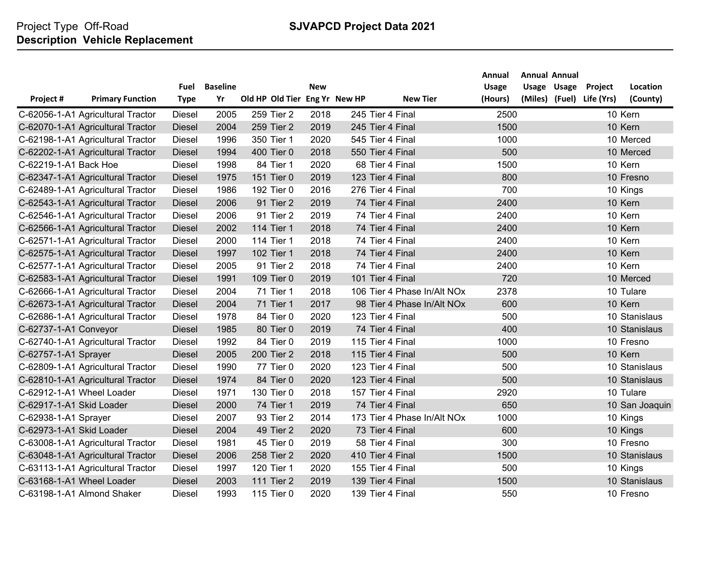|                          |                                   |               |                 |                               |            |                  |                 |                             | Annual       | Annual Annual |                           |                 |
|--------------------------|-----------------------------------|---------------|-----------------|-------------------------------|------------|------------------|-----------------|-----------------------------|--------------|---------------|---------------------------|-----------------|
|                          |                                   | Fuel          | <b>Baseline</b> |                               | <b>New</b> |                  |                 |                             | <b>Usage</b> |               | Usage Usage Project       | <b>Location</b> |
| Project#                 | <b>Primary Function</b>           | <b>Type</b>   | Yr              | Old HP Old Tier Eng Yr New HP |            |                  | <b>New Tier</b> |                             | (Hours)      |               | (Miles) (Fuel) Life (Yrs) | (County)        |
|                          | C-62056-1-A1 Agricultural Tractor | <b>Diesel</b> | 2005            | 259 Tier 2                    | 2018       | 245 Tier 4 Final |                 |                             | 2500         |               |                           | 10 Kern         |
|                          | C-62070-1-A1 Agricultural Tractor | <b>Diesel</b> | 2004            | 259 Tier 2                    | 2019       | 245 Tier 4 Final |                 |                             | 1500         |               |                           | 10 Kern         |
|                          | C-62198-1-A1 Agricultural Tractor | <b>Diesel</b> | 1996            | 350 Tier 1                    | 2020       | 545 Tier 4 Final |                 |                             | 1000         |               |                           | 10 Merced       |
|                          | C-62202-1-A1 Agricultural Tractor | <b>Diesel</b> | 1994            | 400 Tier 0                    | 2018       | 550 Tier 4 Final |                 |                             | 500          |               |                           | 10 Merced       |
| C-62219-1-A1 Back Hoe    |                                   | <b>Diesel</b> | 1998            | 84 Tier 1                     | 2020       | 68 Tier 4 Final  |                 |                             | 1500         |               |                           | 10 Kern         |
|                          | C-62347-1-A1 Agricultural Tractor | <b>Diesel</b> | 1975            | 151 Tier 0                    | 2019       | 123 Tier 4 Final |                 |                             | 800          |               |                           | 10 Fresno       |
|                          | C-62489-1-A1 Agricultural Tractor | <b>Diesel</b> | 1986            | 192 Tier 0                    | 2016       | 276 Tier 4 Final |                 |                             | 700          |               |                           | 10 Kings        |
|                          | C-62543-1-A1 Agricultural Tractor | <b>Diesel</b> | 2006            | 91 Tier 2                     | 2019       | 74 Tier 4 Final  |                 |                             | 2400         |               |                           | 10 Kern         |
|                          | C-62546-1-A1 Agricultural Tractor | <b>Diesel</b> | 2006            | 91 Tier 2                     | 2019       | 74 Tier 4 Final  |                 |                             | 2400         |               |                           | 10 Kern         |
|                          | C-62566-1-A1 Agricultural Tractor | <b>Diesel</b> | 2002            | 114 Tier 1                    | 2018       | 74 Tier 4 Final  |                 |                             | 2400         |               |                           | 10 Kern         |
|                          | C-62571-1-A1 Agricultural Tractor | <b>Diesel</b> | 2000            | 114 Tier 1                    | 2018       | 74 Tier 4 Final  |                 |                             | 2400         |               |                           | 10 Kern         |
|                          | C-62575-1-A1 Agricultural Tractor | <b>Diesel</b> | 1997            | 102 Tier 1                    | 2018       | 74 Tier 4 Final  |                 |                             | 2400         |               |                           | 10 Kern         |
|                          | C-62577-1-A1 Agricultural Tractor | <b>Diesel</b> | 2005            | 91 Tier 2                     | 2018       | 74 Tier 4 Final  |                 |                             | 2400         |               |                           | 10 Kern         |
|                          | C-62583-1-A1 Agricultural Tractor | <b>Diesel</b> | 1991            | 109 Tier 0                    | 2019       | 101 Tier 4 Final |                 |                             | 720          |               |                           | 10 Merced       |
|                          | C-62666-1-A1 Agricultural Tractor | <b>Diesel</b> | 2004            | 71 Tier 1                     | 2018       |                  |                 | 106 Tier 4 Phase In/Alt NOx | 2378         |               |                           | 10 Tulare       |
|                          | C-62673-1-A1 Agricultural Tractor | <b>Diesel</b> | 2004            | 71 Tier 1                     | 2017       |                  |                 | 98 Tier 4 Phase In/Alt NOx  | 600          |               |                           | 10 Kern         |
|                          | C-62686-1-A1 Agricultural Tractor | <b>Diesel</b> | 1978            | 84 Tier 0                     | 2020       | 123 Tier 4 Final |                 |                             | 500          |               |                           | 10 Stanislaus   |
| C-62737-1-A1 Conveyor    |                                   | <b>Diesel</b> | 1985            | 80 Tier 0                     | 2019       | 74 Tier 4 Final  |                 |                             | 400          |               |                           | 10 Stanislaus   |
|                          | C-62740-1-A1 Agricultural Tractor | <b>Diesel</b> | 1992            | 84 Tier 0                     | 2019       | 115 Tier 4 Final |                 |                             | 1000         |               |                           | 10 Fresno       |
| C-62757-1-A1 Sprayer     |                                   | <b>Diesel</b> | 2005            | 200 Tier 2                    | 2018       | 115 Tier 4 Final |                 |                             | 500          |               |                           | 10 Kern         |
|                          | C-62809-1-A1 Agricultural Tractor | <b>Diesel</b> | 1990            | 77 Tier 0                     | 2020       | 123 Tier 4 Final |                 |                             | 500          |               |                           | 10 Stanislaus   |
|                          | C-62810-1-A1 Agricultural Tractor | <b>Diesel</b> | 1974            | 84 Tier 0                     | 2020       | 123 Tier 4 Final |                 |                             | 500          |               |                           | 10 Stanislaus   |
|                          | C-62912-1-A1 Wheel Loader         | <b>Diesel</b> | 1971            | 130 Tier 0                    | 2018       | 157 Tier 4 Final |                 |                             | 2920         |               |                           | 10 Tulare       |
| C-62917-1-A1 Skid Loader |                                   | <b>Diesel</b> | 2000            | 74 Tier 1                     | 2019       | 74 Tier 4 Final  |                 |                             | 650          |               |                           | 10 San Joaquin  |
| C-62938-1-A1 Sprayer     |                                   | <b>Diesel</b> | 2007            | 93 Tier 2                     | 2014       |                  |                 | 173 Tier 4 Phase In/Alt NOx | 1000         |               |                           | 10 Kings        |
| C-62973-1-A1 Skid Loader |                                   | <b>Diesel</b> | 2004            | <b>49 Tier 2</b>              | 2020       | 73 Tier 4 Final  |                 |                             | 600          |               |                           | 10 Kings        |
|                          | C-63008-1-A1 Agricultural Tractor | <b>Diesel</b> | 1981            | 45 Tier 0                     | 2019       | 58 Tier 4 Final  |                 |                             | 300          |               |                           | 10 Fresno       |
|                          | C-63048-1-A1 Agricultural Tractor | <b>Diesel</b> | 2006            | 258 Tier 2                    | 2020       | 410 Tier 4 Final |                 |                             | 1500         |               |                           | 10 Stanislaus   |
|                          | C-63113-1-A1 Agricultural Tractor | Diesel        | 1997            | 120 Tier 1                    | 2020       | 155 Tier 4 Final |                 |                             | 500          |               |                           | 10 Kings        |
|                          | C-63168-1-A1 Wheel Loader         | <b>Diesel</b> | 2003            | <b>111 Tier 2</b>             | 2019       | 139 Tier 4 Final |                 |                             | 1500         |               |                           | 10 Stanislaus   |
|                          | C-63198-1-A1 Almond Shaker        | <b>Diesel</b> | 1993            | 115 Tier 0                    | 2020       | 139 Tier 4 Final |                 |                             | 550          |               |                           | 10 Fresno       |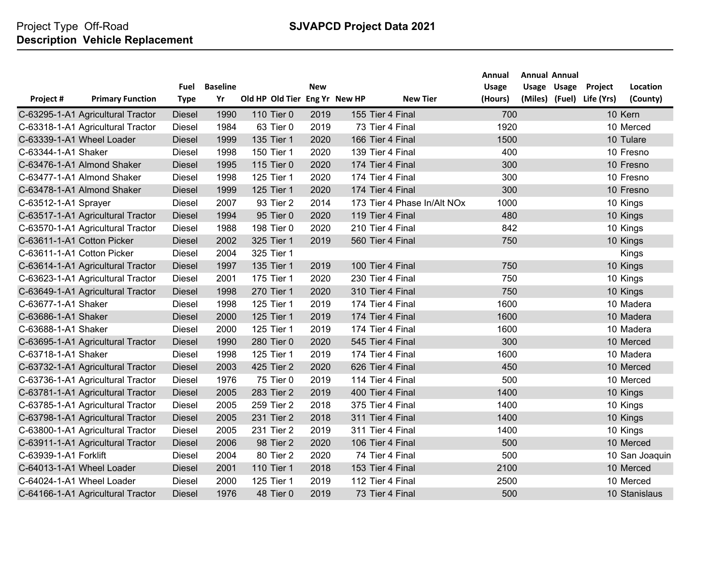|                       |                                   |               |                 |                               |            |                             | Annual       | <b>Annual Annual</b>      |                |
|-----------------------|-----------------------------------|---------------|-----------------|-------------------------------|------------|-----------------------------|--------------|---------------------------|----------------|
|                       |                                   | Fuel          | <b>Baseline</b> |                               | <b>New</b> |                             | <b>Usage</b> | Usage Usage Project       | Location       |
| Project#              | <b>Primary Function</b>           | <b>Type</b>   | Yr              | Old HP Old Tier Eng Yr New HP |            | <b>New Tier</b>             | (Hours)      | (Miles) (Fuel) Life (Yrs) | (County)       |
|                       | C-63295-1-A1 Agricultural Tractor | <b>Diesel</b> | 1990            | 110 Tier 0                    | 2019       | 155 Tier 4 Final            | 700          |                           | 10 Kern        |
|                       | C-63318-1-A1 Agricultural Tractor | Diesel        | 1984            | 63 Tier 0                     | 2019       | 73 Tier 4 Final             | 1920         |                           | 10 Merced      |
|                       | C-63339-1-A1 Wheel Loader         | <b>Diesel</b> | 1999            | 135 Tier 1                    | 2020       | 166 Tier 4 Final            | 1500         |                           | 10 Tulare      |
| C-63344-1-A1 Shaker   |                                   | Diesel        | 1998            | 150 Tier 1                    | 2020       | 139 Tier 4 Final            | 400          |                           | 10 Fresno      |
|                       | C-63476-1-A1 Almond Shaker        | <b>Diesel</b> | 1995            | 115 Tier 0                    | 2020       | 174 Tier 4 Final            | 300          |                           | 10 Fresno      |
|                       | C-63477-1-A1 Almond Shaker        | <b>Diesel</b> | 1998            | 125 Tier 1                    | 2020       | 174 Tier 4 Final            | 300          |                           | 10 Fresno      |
|                       | C-63478-1-A1 Almond Shaker        | <b>Diesel</b> | 1999            | 125 Tier 1                    | 2020       | 174 Tier 4 Final            | 300          |                           | 10 Fresno      |
| C-63512-1-A1 Sprayer  |                                   | <b>Diesel</b> | 2007            | 93 Tier 2                     | 2014       | 173 Tier 4 Phase In/Alt NOx | 1000         |                           | 10 Kings       |
|                       | C-63517-1-A1 Agricultural Tractor | <b>Diesel</b> | 1994            | 95 Tier 0                     | 2020       | 119 Tier 4 Final            | 480          |                           | 10 Kings       |
|                       | C-63570-1-A1 Agricultural Tractor | Diesel        | 1988            | 198 Tier 0                    | 2020       | 210 Tier 4 Final            | 842          |                           | 10 Kings       |
|                       | C-63611-1-A1 Cotton Picker        | <b>Diesel</b> | 2002            | 325 Tier 1                    | 2019       | 560 Tier 4 Final            | 750          |                           | 10 Kings       |
|                       | C-63611-1-A1 Cotton Picker        | <b>Diesel</b> | 2004            | 325 Tier 1                    |            |                             |              |                           | Kings          |
|                       | C-63614-1-A1 Agricultural Tractor | <b>Diesel</b> | 1997            | 135 Tier 1                    | 2019       | 100 Tier 4 Final            | 750          |                           | 10 Kings       |
|                       | C-63623-1-A1 Agricultural Tractor | <b>Diesel</b> | 2001            | 175 Tier 1                    | 2020       | 230 Tier 4 Final            | 750          |                           | 10 Kings       |
|                       | C-63649-1-A1 Agricultural Tractor | <b>Diesel</b> | 1998            | 270 Tier 1                    | 2020       | 310 Tier 4 Final            | 750          |                           | 10 Kings       |
| C-63677-1-A1 Shaker   |                                   | <b>Diesel</b> | 1998            | 125 Tier 1                    | 2019       | 174 Tier 4 Final            | 1600         |                           | 10 Madera      |
| C-63686-1-A1 Shaker   |                                   | <b>Diesel</b> | 2000            | 125 Tier 1                    | 2019       | 174 Tier 4 Final            | 1600         |                           | 10 Madera      |
| C-63688-1-A1 Shaker   |                                   | <b>Diesel</b> | 2000            | 125 Tier 1                    | 2019       | 174 Tier 4 Final            | 1600         |                           | 10 Madera      |
|                       | C-63695-1-A1 Agricultural Tractor | <b>Diesel</b> | 1990            | 280 Tier 0                    | 2020       | 545 Tier 4 Final            | 300          |                           | 10 Merced      |
| C-63718-1-A1 Shaker   |                                   | <b>Diesel</b> | 1998            | 125 Tier 1                    | 2019       | 174 Tier 4 Final            | 1600         |                           | 10 Madera      |
|                       | C-63732-1-A1 Agricultural Tractor | <b>Diesel</b> | 2003            | 425 Tier 2                    | 2020       | 626 Tier 4 Final            | 450          |                           | 10 Merced      |
|                       | C-63736-1-A1 Agricultural Tractor | <b>Diesel</b> | 1976            | 75 Tier 0                     | 2019       | 114 Tier 4 Final            | 500          |                           | 10 Merced      |
|                       | C-63781-1-A1 Agricultural Tractor | <b>Diesel</b> | 2005            | 283 Tier 2                    | 2019       | 400 Tier 4 Final            | 1400         |                           | 10 Kings       |
|                       | C-63785-1-A1 Agricultural Tractor | Diesel        | 2005            | 259 Tier 2                    | 2018       | 375 Tier 4 Final            | 1400         |                           | 10 Kings       |
|                       | C-63798-1-A1 Agricultural Tractor | <b>Diesel</b> | 2005            | 231 Tier 2                    | 2018       | 311 Tier 4 Final            | 1400         |                           | 10 Kings       |
|                       | C-63800-1-A1 Agricultural Tractor | <b>Diesel</b> | 2005            | 231 Tier 2                    | 2019       | 311 Tier 4 Final            | 1400         |                           | 10 Kings       |
|                       | C-63911-1-A1 Agricultural Tractor | <b>Diesel</b> | 2006            | 98 Tier 2                     | 2020       | 106 Tier 4 Final            | 500          |                           | 10 Merced      |
| C-63939-1-A1 Forklift |                                   | Diesel        | 2004            | 80 Tier 2                     | 2020       | 74 Tier 4 Final             | 500          |                           | 10 San Joaquin |
|                       | C-64013-1-A1 Wheel Loader         | <b>Diesel</b> | 2001            | 110 Tier 1                    | 2018       | 153 Tier 4 Final            | 2100         |                           | 10 Merced      |
|                       | C-64024-1-A1 Wheel Loader         | <b>Diesel</b> | 2000            | 125 Tier 1                    | 2019       | 112 Tier 4 Final            | 2500         |                           | 10 Merced      |
|                       | C-64166-1-A1 Agricultural Tractor | <b>Diesel</b> | 1976            | 48 Tier 0                     | 2019       | 73 Tier 4 Final             | 500          |                           | 10 Stanislaus  |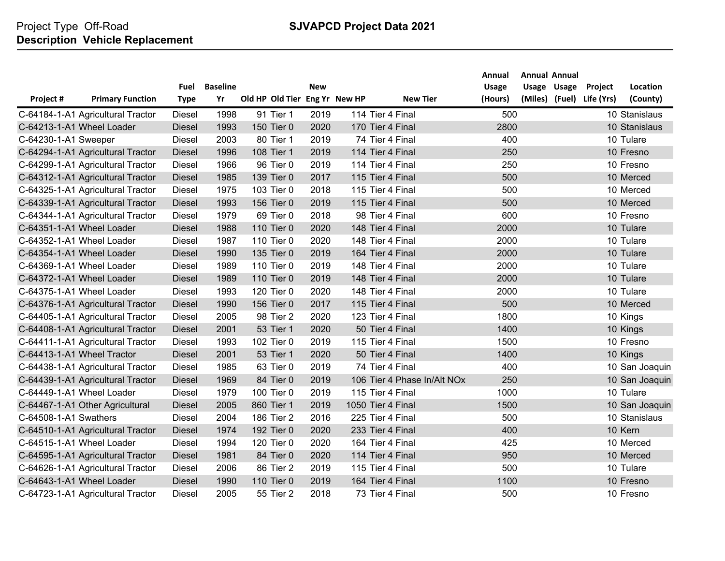|                       |                                   |               |                 |            |                               |                   |                             | Annual       | <b>Annual Annual</b> |                           |                |
|-----------------------|-----------------------------------|---------------|-----------------|------------|-------------------------------|-------------------|-----------------------------|--------------|----------------------|---------------------------|----------------|
|                       |                                   | Fuel          | <b>Baseline</b> |            | <b>New</b>                    |                   |                             | <b>Usage</b> |                      | Usage Usage Project       | Location       |
| Project#              | <b>Primary Function</b>           | <b>Type</b>   | Yr              |            | Old HP Old Tier Eng Yr New HP |                   | <b>New Tier</b>             | (Hours)      |                      | (Miles) (Fuel) Life (Yrs) | (County)       |
|                       | C-64184-1-A1 Agricultural Tractor | <b>Diesel</b> | 1998            | 91 Tier 1  | 2019                          | 114 Tier 4 Final  |                             | 500          |                      |                           | 10 Stanislaus  |
|                       | C-64213-1-A1 Wheel Loader         | <b>Diesel</b> | 1993            | 150 Tier 0 | 2020                          | 170 Tier 4 Final  |                             | 2800         |                      |                           | 10 Stanislaus  |
| C-64230-1-A1 Sweeper  |                                   | Diesel        | 2003            | 80 Tier 1  | 2019                          | 74 Tier 4 Final   |                             | 400          |                      |                           | 10 Tulare      |
|                       | C-64294-1-A1 Agricultural Tractor | <b>Diesel</b> | 1996            | 108 Tier 1 | 2019                          | 114 Tier 4 Final  |                             | 250          |                      |                           | 10 Fresno      |
|                       | C-64299-1-A1 Agricultural Tractor | <b>Diesel</b> | 1966            | 96 Tier 0  | 2019                          | 114 Tier 4 Final  |                             | 250          |                      |                           | 10 Fresno      |
|                       | C-64312-1-A1 Agricultural Tractor | <b>Diesel</b> | 1985            | 139 Tier 0 | 2017                          | 115 Tier 4 Final  |                             | 500          |                      |                           | 10 Merced      |
|                       | C-64325-1-A1 Agricultural Tractor | <b>Diesel</b> | 1975            | 103 Tier 0 | 2018                          | 115 Tier 4 Final  |                             | 500          |                      |                           | 10 Merced      |
|                       | C-64339-1-A1 Agricultural Tractor | <b>Diesel</b> | 1993            | 156 Tier 0 | 2019                          | 115 Tier 4 Final  |                             | 500          |                      |                           | 10 Merced      |
|                       | C-64344-1-A1 Agricultural Tractor | Diesel        | 1979            | 69 Tier 0  | 2018                          | 98 Tier 4 Final   |                             | 600          |                      |                           | 10 Fresno      |
|                       | C-64351-1-A1 Wheel Loader         | <b>Diesel</b> | 1988            | 110 Tier 0 | 2020                          | 148 Tier 4 Final  |                             | 2000         |                      |                           | 10 Tulare      |
|                       | C-64352-1-A1 Wheel Loader         | <b>Diesel</b> | 1987            | 110 Tier 0 | 2020                          | 148 Tier 4 Final  |                             | 2000         |                      |                           | 10 Tulare      |
|                       | C-64354-1-A1 Wheel Loader         | <b>Diesel</b> | 1990            | 135 Tier 0 | 2019                          | 164 Tier 4 Final  |                             | 2000         |                      |                           | 10 Tulare      |
|                       | C-64369-1-A1 Wheel Loader         | <b>Diesel</b> | 1989            | 110 Tier 0 | 2019                          | 148 Tier 4 Final  |                             | 2000         |                      |                           | 10 Tulare      |
|                       | C-64372-1-A1 Wheel Loader         | <b>Diesel</b> | 1989            | 110 Tier 0 | 2019                          | 148 Tier 4 Final  |                             | 2000         |                      |                           | 10 Tulare      |
|                       | C-64375-1-A1 Wheel Loader         | <b>Diesel</b> | 1993            | 120 Tier 0 | 2020                          | 148 Tier 4 Final  |                             | 2000         |                      |                           | 10 Tulare      |
|                       | C-64376-1-A1 Agricultural Tractor | <b>Diesel</b> | 1990            | 156 Tier 0 | 2017                          | 115 Tier 4 Final  |                             | 500          |                      |                           | 10 Merced      |
|                       | C-64405-1-A1 Agricultural Tractor | Diesel        | 2005            | 98 Tier 2  | 2020                          | 123 Tier 4 Final  |                             | 1800         |                      |                           | 10 Kings       |
|                       | C-64408-1-A1 Agricultural Tractor | <b>Diesel</b> | 2001            | 53 Tier 1  | 2020                          | 50 Tier 4 Final   |                             | 1400         |                      |                           | 10 Kings       |
|                       | C-64411-1-A1 Agricultural Tractor | <b>Diesel</b> | 1993            | 102 Tier 0 | 2019                          | 115 Tier 4 Final  |                             | 1500         |                      |                           | 10 Fresno      |
|                       | C-64413-1-A1 Wheel Tractor        | <b>Diesel</b> | 2001            | 53 Tier 1  | 2020                          | 50 Tier 4 Final   |                             | 1400         |                      |                           | 10 Kings       |
|                       | C-64438-1-A1 Agricultural Tractor | <b>Diesel</b> | 1985            | 63 Tier 0  | 2019                          | 74 Tier 4 Final   |                             | 400          |                      |                           | 10 San Joaquin |
|                       | C-64439-1-A1 Agricultural Tractor | <b>Diesel</b> | 1969            | 84 Tier 0  | 2019                          |                   | 106 Tier 4 Phase In/Alt NOx | 250          |                      |                           | 10 San Joaquin |
|                       | C-64449-1-A1 Wheel Loader         | <b>Diesel</b> | 1979            | 100 Tier 0 | 2019                          | 115 Tier 4 Final  |                             | 1000         |                      |                           | 10 Tulare      |
|                       | C-64467-1-A1 Other Agricultural   | <b>Diesel</b> | 2005            | 860 Tier 1 | 2019                          | 1050 Tier 4 Final |                             | 1500         |                      |                           | 10 San Joaquin |
| C-64508-1-A1 Swathers |                                   | <b>Diesel</b> | 2004            | 186 Tier 2 | 2016                          | 225 Tier 4 Final  |                             | 500          |                      |                           | 10 Stanislaus  |
|                       | C-64510-1-A1 Agricultural Tractor | <b>Diesel</b> | 1974            | 192 Tier 0 | 2020                          | 233 Tier 4 Final  |                             | 400          |                      |                           | 10 Kern        |
|                       | C-64515-1-A1 Wheel Loader         | <b>Diesel</b> | 1994            | 120 Tier 0 | 2020                          | 164 Tier 4 Final  |                             | 425          |                      |                           | 10 Merced      |
|                       | C-64595-1-A1 Agricultural Tractor | <b>Diesel</b> | 1981            | 84 Tier 0  | 2020                          | 114 Tier 4 Final  |                             | 950          |                      |                           | 10 Merced      |
|                       | C-64626-1-A1 Agricultural Tractor | Diesel        | 2006            | 86 Tier 2  | 2019                          | 115 Tier 4 Final  |                             | 500          |                      |                           | 10 Tulare      |
|                       | C-64643-1-A1 Wheel Loader         | <b>Diesel</b> | 1990            | 110 Tier 0 | 2019                          | 164 Tier 4 Final  |                             | 1100         |                      |                           | 10 Fresno      |
|                       | C-64723-1-A1 Agricultural Tractor | <b>Diesel</b> | 2005            | 55 Tier 2  | 2018                          | 73 Tier 4 Final   |                             | 500          |                      |                           | 10 Fresno      |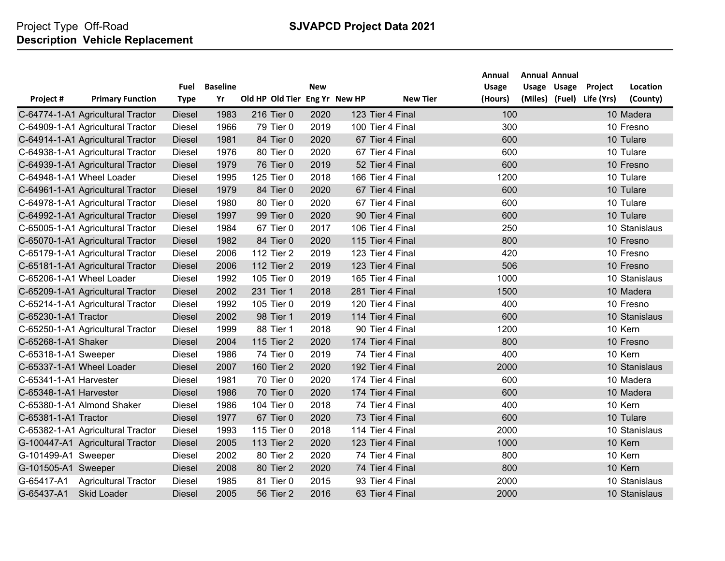|                        |                                   |               |                 |                               |            |                  | Annual                     | Annual Annual             |         |               |
|------------------------|-----------------------------------|---------------|-----------------|-------------------------------|------------|------------------|----------------------------|---------------------------|---------|---------------|
|                        |                                   | <b>Fuel</b>   | <b>Baseline</b> |                               | <b>New</b> |                  | <b>Usage</b>               | Usage Usage               | Project | Location      |
| Project#               | <b>Primary Function</b>           | <b>Type</b>   | Yr              | Old HP Old Tier Eng Yr New HP |            |                  | <b>New Tier</b><br>(Hours) | (Miles) (Fuel) Life (Yrs) |         | (County)      |
|                        | C-64774-1-A1 Agricultural Tractor | <b>Diesel</b> | 1983            | 216 Tier 0                    | 2020       | 123 Tier 4 Final | 100                        |                           |         | 10 Madera     |
|                        | C-64909-1-A1 Agricultural Tractor | <b>Diesel</b> | 1966            | 79 Tier 0                     | 2019       | 100 Tier 4 Final | 300                        |                           |         | 10 Fresno     |
|                        | C-64914-1-A1 Agricultural Tractor | <b>Diesel</b> | 1981            | 84 Tier 0                     | 2020       | 67 Tier 4 Final  | 600                        |                           |         | 10 Tulare     |
|                        | C-64938-1-A1 Agricultural Tractor | <b>Diesel</b> | 1976            | 80 Tier 0                     | 2020       | 67 Tier 4 Final  | 600                        |                           |         | 10 Tulare     |
|                        | C-64939-1-A1 Agricultural Tractor | <b>Diesel</b> | 1979            | 76 Tier 0                     | 2019       | 52 Tier 4 Final  | 600                        |                           |         | 10 Fresno     |
|                        | C-64948-1-A1 Wheel Loader         | <b>Diesel</b> | 1995            | 125 Tier 0                    | 2018       | 166 Tier 4 Final | 1200                       |                           |         | 10 Tulare     |
|                        | C-64961-1-A1 Agricultural Tractor | <b>Diesel</b> | 1979            | 84 Tier 0                     | 2020       | 67 Tier 4 Final  | 600                        |                           |         | 10 Tulare     |
|                        | C-64978-1-A1 Agricultural Tractor | <b>Diesel</b> | 1980            | 80 Tier 0                     | 2020       | 67 Tier 4 Final  | 600                        |                           |         | 10 Tulare     |
|                        | C-64992-1-A1 Agricultural Tractor | <b>Diesel</b> | 1997            | 99 Tier 0                     | 2020       | 90 Tier 4 Final  | 600                        |                           |         | 10 Tulare     |
|                        | C-65005-1-A1 Agricultural Tractor | Diesel        | 1984            | 67 Tier 0                     | 2017       | 106 Tier 4 Final | 250                        |                           |         | 10 Stanislaus |
|                        | C-65070-1-A1 Agricultural Tractor | <b>Diesel</b> | 1982            | 84 Tier 0                     | 2020       | 115 Tier 4 Final | 800                        |                           |         | 10 Fresno     |
|                        | C-65179-1-A1 Agricultural Tractor | <b>Diesel</b> | 2006            | 112 Tier 2                    | 2019       | 123 Tier 4 Final | 420                        |                           |         | 10 Fresno     |
|                        | C-65181-1-A1 Agricultural Tractor | <b>Diesel</b> | 2006            | 112 Tier 2                    | 2019       | 123 Tier 4 Final | 506                        |                           |         | 10 Fresno     |
|                        | C-65206-1-A1 Wheel Loader         | <b>Diesel</b> | 1992            | 105 Tier 0                    | 2019       | 165 Tier 4 Final | 1000                       |                           |         | 10 Stanislaus |
|                        | C-65209-1-A1 Agricultural Tractor | <b>Diesel</b> | 2002            | 231 Tier 1                    | 2018       | 281 Tier 4 Final | 1500                       |                           |         | 10 Madera     |
|                        | C-65214-1-A1 Agricultural Tractor | <b>Diesel</b> | 1992            | 105 Tier 0                    | 2019       | 120 Tier 4 Final | 400                        |                           |         | 10 Fresno     |
| C-65230-1-A1 Tractor   |                                   | <b>Diesel</b> | 2002            | 98 Tier 1                     | 2019       | 114 Tier 4 Final | 600                        |                           |         | 10 Stanislaus |
|                        | C-65250-1-A1 Agricultural Tractor | <b>Diesel</b> | 1999            | 88 Tier 1                     | 2018       | 90 Tier 4 Final  | 1200                       |                           |         | 10 Kern       |
| C-65268-1-A1 Shaker    |                                   | <b>Diesel</b> | 2004            | 115 Tier 2                    | 2020       | 174 Tier 4 Final | 800                        |                           |         | 10 Fresno     |
| C-65318-1-A1 Sweeper   |                                   | Diesel        | 1986            | 74 Tier 0                     | 2019       | 74 Tier 4 Final  | 400                        |                           |         | 10 Kern       |
|                        | C-65337-1-A1 Wheel Loader         | <b>Diesel</b> | 2007            | 160 Tier 2                    | 2020       | 192 Tier 4 Final | 2000                       |                           |         | 10 Stanislaus |
| C-65341-1-A1 Harvester |                                   | <b>Diesel</b> | 1981            | 70 Tier 0                     | 2020       | 174 Tier 4 Final | 600                        |                           |         | 10 Madera     |
| C-65348-1-A1 Harvester |                                   | <b>Diesel</b> | 1986            | 70 Tier 0                     | 2020       | 174 Tier 4 Final | 600                        |                           |         | 10 Madera     |
|                        | C-65380-1-A1 Almond Shaker        | <b>Diesel</b> | 1986            | 104 Tier 0                    | 2018       | 74 Tier 4 Final  | 400                        |                           |         | 10 Kern       |
| C-65381-1-A1 Tractor   |                                   | <b>Diesel</b> | 1977            | 67 Tier 0                     | 2020       | 73 Tier 4 Final  | 600                        |                           |         | 10 Tulare     |
|                        | C-65382-1-A1 Agricultural Tractor | <b>Diesel</b> | 1993            | 115 Tier 0                    | 2018       | 114 Tier 4 Final | 2000                       |                           |         | 10 Stanislaus |
|                        | G-100447-A1 Agricultural Tractor  | <b>Diesel</b> | 2005            | 113 Tier 2                    | 2020       | 123 Tier 4 Final | 1000                       |                           |         | 10 Kern       |
| G-101499-A1 Sweeper    |                                   | <b>Diesel</b> | 2002            | 80 Tier 2                     | 2020       | 74 Tier 4 Final  | 800                        |                           |         | 10 Kern       |
| G-101505-A1 Sweeper    |                                   | <b>Diesel</b> | 2008            | 80 Tier 2                     | 2020       | 74 Tier 4 Final  | 800                        |                           |         | 10 Kern       |
| G-65417-A1             | <b>Agricultural Tractor</b>       | <b>Diesel</b> | 1985            | 81 Tier 0                     | 2015       | 93 Tier 4 Final  | 2000                       |                           |         | 10 Stanislaus |
| G-65437-A1             | <b>Skid Loader</b>                | <b>Diesel</b> | 2005            | <b>56 Tier 2</b>              | 2016       | 63 Tier 4 Final  | 2000                       |                           |         | 10 Stanislaus |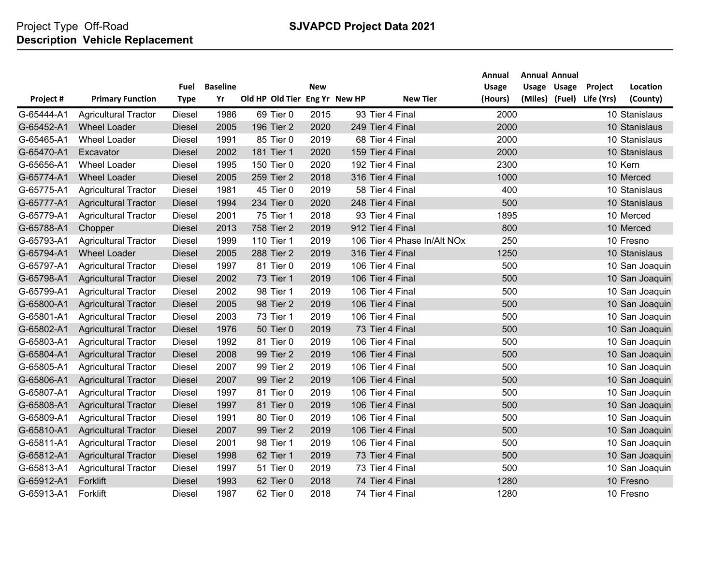|            |                             |               |                 |                               |            |                             | Annual       | Annual Annual             |         |                |
|------------|-----------------------------|---------------|-----------------|-------------------------------|------------|-----------------------------|--------------|---------------------------|---------|----------------|
|            |                             | Fuel          | <b>Baseline</b> |                               | <b>New</b> |                             | <b>Usage</b> | Usage Usage               | Project | Location       |
| Project #  | <b>Primary Function</b>     | <b>Type</b>   | Yr              | Old HP Old Tier Eng Yr New HP |            | <b>New Tier</b>             | (Hours)      | (Miles) (Fuel) Life (Yrs) |         | (County)       |
| G-65444-A1 | <b>Agricultural Tractor</b> | <b>Diesel</b> | 1986            | 69 Tier 0                     | 2015       | 93 Tier 4 Final             | 2000         |                           |         | 10 Stanislaus  |
| G-65452-A1 | <b>Wheel Loader</b>         | <b>Diesel</b> | 2005            | 196 Tier 2                    | 2020       | 249 Tier 4 Final            | 2000         |                           |         | 10 Stanislaus  |
| G-65465-A1 | <b>Wheel Loader</b>         | <b>Diesel</b> | 1991            | 85 Tier 0                     | 2019       | 68 Tier 4 Final             | 2000         |                           |         | 10 Stanislaus  |
| G-65470-A1 | Excavator                   | <b>Diesel</b> | 2002            | 181 Tier 1                    | 2020       | 159 Tier 4 Final            | 2000         |                           |         | 10 Stanislaus  |
| G-65656-A1 | <b>Wheel Loader</b>         | <b>Diesel</b> | 1995            | 150 Tier 0                    | 2020       | 192 Tier 4 Final            | 2300         |                           |         | 10 Kern        |
| G-65774-A1 | <b>Wheel Loader</b>         | <b>Diesel</b> | 2005            | 259 Tier 2                    | 2018       | 316 Tier 4 Final            | 1000         |                           |         | 10 Merced      |
| G-65775-A1 | <b>Agricultural Tractor</b> | <b>Diesel</b> | 1981            | 45 Tier 0                     | 2019       | 58 Tier 4 Final             | 400          |                           |         | 10 Stanislaus  |
| G-65777-A1 | <b>Agricultural Tractor</b> | <b>Diesel</b> | 1994            | 234 Tier 0                    | 2020       | 248 Tier 4 Final            | 500          |                           |         | 10 Stanislaus  |
| G-65779-A1 | <b>Agricultural Tractor</b> | <b>Diesel</b> | 2001            | 75 Tier 1                     | 2018       | 93 Tier 4 Final             | 1895         |                           |         | 10 Merced      |
| G-65788-A1 | Chopper                     | <b>Diesel</b> | 2013            | 758 Tier 2                    | 2019       | 912 Tier 4 Final            | 800          |                           |         | 10 Merced      |
| G-65793-A1 | <b>Agricultural Tractor</b> | <b>Diesel</b> | 1999            | 110 Tier 1                    | 2019       | 106 Tier 4 Phase In/Alt NOx | 250          |                           |         | 10 Fresno      |
| G-65794-A1 | <b>Wheel Loader</b>         | <b>Diesel</b> | 2005            | 288 Tier 2                    | 2019       | 316 Tier 4 Final            | 1250         |                           |         | 10 Stanislaus  |
| G-65797-A1 | <b>Agricultural Tractor</b> | Diesel        | 1997            | 81 Tier 0                     | 2019       | 106 Tier 4 Final            | 500          |                           |         | 10 San Joaquin |
| G-65798-A1 | <b>Agricultural Tractor</b> | <b>Diesel</b> | 2002            | 73 Tier 1                     | 2019       | 106 Tier 4 Final            | 500          |                           |         | 10 San Joaquin |
| G-65799-A1 | <b>Agricultural Tractor</b> | <b>Diesel</b> | 2002            | 98 Tier 1                     | 2019       | 106 Tier 4 Final            | 500          |                           |         | 10 San Joaquin |
| G-65800-A1 | <b>Agricultural Tractor</b> | <b>Diesel</b> | 2005            | 98 Tier 2                     | 2019       | 106 Tier 4 Final            | 500          |                           |         | 10 San Joaquin |
| G-65801-A1 | <b>Agricultural Tractor</b> | <b>Diesel</b> | 2003            | 73 Tier 1                     | 2019       | 106 Tier 4 Final            | 500          |                           |         | 10 San Joaquin |
| G-65802-A1 | <b>Agricultural Tractor</b> | <b>Diesel</b> | 1976            | 50 Tier 0                     | 2019       | 73 Tier 4 Final             | 500          |                           |         | 10 San Joaquin |
| G-65803-A1 | <b>Agricultural Tractor</b> | <b>Diesel</b> | 1992            | 81 Tier 0                     | 2019       | 106 Tier 4 Final            | 500          |                           |         | 10 San Joaquin |
| G-65804-A1 | <b>Agricultural Tractor</b> | <b>Diesel</b> | 2008            | 99 Tier 2                     | 2019       | 106 Tier 4 Final            | 500          |                           |         | 10 San Joaquin |
| G-65805-A1 | <b>Agricultural Tractor</b> | <b>Diesel</b> | 2007            | 99 Tier 2                     | 2019       | 106 Tier 4 Final            | 500          |                           |         | 10 San Joaquin |
| G-65806-A1 | <b>Agricultural Tractor</b> | <b>Diesel</b> | 2007            | 99 Tier 2                     | 2019       | 106 Tier 4 Final            | 500          |                           |         | 10 San Joaquin |
| G-65807-A1 | <b>Agricultural Tractor</b> | <b>Diesel</b> | 1997            | 81 Tier 0                     | 2019       | 106 Tier 4 Final            | 500          |                           |         | 10 San Joaquin |
| G-65808-A1 | <b>Agricultural Tractor</b> | <b>Diesel</b> | 1997            | 81 Tier 0                     | 2019       | 106 Tier 4 Final            | 500          |                           |         | 10 San Joaquin |
| G-65809-A1 | <b>Agricultural Tractor</b> | <b>Diesel</b> | 1991            | 80 Tier 0                     | 2019       | 106 Tier 4 Final            | 500          |                           |         | 10 San Joaquin |
| G-65810-A1 | <b>Agricultural Tractor</b> | <b>Diesel</b> | 2007            | 99 Tier 2                     | 2019       | 106 Tier 4 Final            | 500          |                           |         | 10 San Joaquin |
| G-65811-A1 | <b>Agricultural Tractor</b> | <b>Diesel</b> | 2001            | 98 Tier 1                     | 2019       | 106 Tier 4 Final            | 500          |                           |         | 10 San Joaquin |
| G-65812-A1 | <b>Agricultural Tractor</b> | <b>Diesel</b> | 1998            | 62 Tier 1                     | 2019       | 73 Tier 4 Final             | 500          |                           |         | 10 San Joaquin |
| G-65813-A1 | <b>Agricultural Tractor</b> | <b>Diesel</b> | 1997            | 51 Tier 0                     | 2019       | 73 Tier 4 Final             | 500          |                           |         | 10 San Joaquin |
| G-65912-A1 | Forklift                    | <b>Diesel</b> | 1993            | 62 Tier 0                     | 2018       | 74 Tier 4 Final             | 1280         |                           |         | 10 Fresno      |
| G-65913-A1 | Forklift                    | <b>Diesel</b> | 1987            | 62 Tier 0                     | 2018       | 74 Tier 4 Final             | 1280         |                           |         | 10 Fresno      |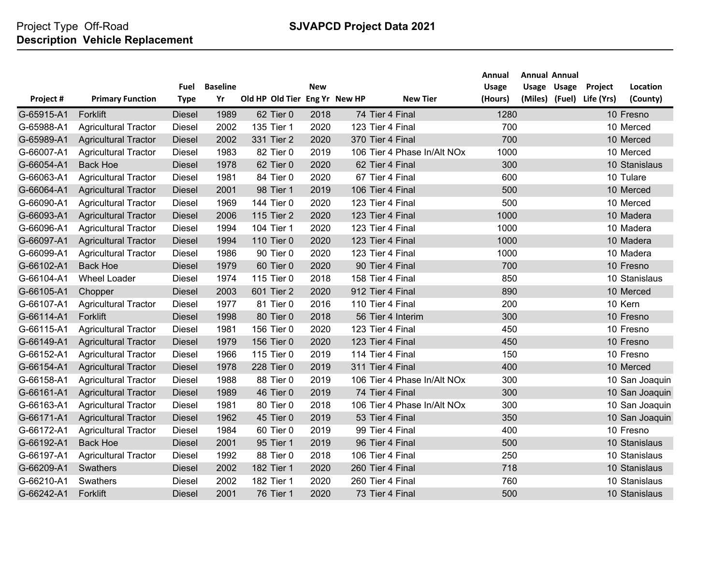|            |                             |               |                 |                               |            |                             | Annual       | <b>Annual Annual</b> |                           |                |
|------------|-----------------------------|---------------|-----------------|-------------------------------|------------|-----------------------------|--------------|----------------------|---------------------------|----------------|
|            |                             | Fuel          | <b>Baseline</b> |                               | <b>New</b> |                             | <b>Usage</b> | Usage Usage          | Project                   | Location       |
| Project#   | <b>Primary Function</b>     | <b>Type</b>   | Yr              | Old HP Old Tier Eng Yr New HP |            | <b>New Tier</b>             | (Hours)      |                      | (Miles) (Fuel) Life (Yrs) | (County)       |
| G-65915-A1 | Forklift                    | <b>Diesel</b> | 1989            | 62 Tier 0                     | 2018       | 74 Tier 4 Final             | 1280         |                      |                           | 10 Fresno      |
| G-65988-A1 | <b>Agricultural Tractor</b> | Diesel        | 2002            | 135 Tier 1                    | 2020       | 123 Tier 4 Final            | 700          |                      |                           | 10 Merced      |
| G-65989-A1 | <b>Agricultural Tractor</b> | <b>Diesel</b> | 2002            | 331 Tier 2                    | 2020       | 370 Tier 4 Final            | 700          |                      |                           | 10 Merced      |
| G-66007-A1 | <b>Agricultural Tractor</b> | Diesel        | 1983            | 82 Tier 0                     | 2019       | 106 Tier 4 Phase In/Alt NOx | 1000         |                      |                           | 10 Merced      |
| G-66054-A1 | <b>Back Hoe</b>             | <b>Diesel</b> | 1978            | 62 Tier 0                     | 2020       | 62 Tier 4 Final             | 300          |                      |                           | 10 Stanislaus  |
| G-66063-A1 | <b>Agricultural Tractor</b> | <b>Diesel</b> | 1981            | 84 Tier 0                     | 2020       | 67 Tier 4 Final             | 600          |                      |                           | 10 Tulare      |
| G-66064-A1 | <b>Agricultural Tractor</b> | <b>Diesel</b> | 2001            | 98 Tier 1                     | 2019       | 106 Tier 4 Final            | 500          |                      |                           | 10 Merced      |
| G-66090-A1 | <b>Agricultural Tractor</b> | Diesel        | 1969            | 144 Tier 0                    | 2020       | 123 Tier 4 Final            | 500          |                      |                           | 10 Merced      |
| G-66093-A1 | <b>Agricultural Tractor</b> | <b>Diesel</b> | 2006            | 115 Tier 2                    | 2020       | 123 Tier 4 Final            | 1000         |                      |                           | 10 Madera      |
| G-66096-A1 | <b>Agricultural Tractor</b> | <b>Diesel</b> | 1994            | 104 Tier 1                    | 2020       | 123 Tier 4 Final            | 1000         |                      |                           | 10 Madera      |
| G-66097-A1 | <b>Agricultural Tractor</b> | <b>Diesel</b> | 1994            | 110 Tier 0                    | 2020       | 123 Tier 4 Final            | 1000         |                      |                           | 10 Madera      |
| G-66099-A1 | <b>Agricultural Tractor</b> | Diesel        | 1986            | 90 Tier 0                     | 2020       | 123 Tier 4 Final            | 1000         |                      |                           | 10 Madera      |
| G-66102-A1 | <b>Back Hoe</b>             | <b>Diesel</b> | 1979            | 60 Tier 0                     | 2020       | 90 Tier 4 Final             | 700          |                      |                           | 10 Fresno      |
| G-66104-A1 | <b>Wheel Loader</b>         | <b>Diesel</b> | 1974            | 115 Tier 0                    | 2018       | 158 Tier 4 Final            | 850          |                      |                           | 10 Stanislaus  |
| G-66105-A1 | Chopper                     | <b>Diesel</b> | 2003            | 601 Tier 2                    | 2020       | 912 Tier 4 Final            | 890          |                      |                           | 10 Merced      |
| G-66107-A1 | <b>Agricultural Tractor</b> | <b>Diesel</b> | 1977            | 81 Tier 0                     | 2016       | 110 Tier 4 Final            | 200          |                      |                           | 10 Kern        |
| G-66114-A1 | Forklift                    | <b>Diesel</b> | 1998            | 80 Tier 0                     | 2018       | 56 Tier 4 Interim           | 300          |                      |                           | 10 Fresno      |
| G-66115-A1 | <b>Agricultural Tractor</b> | Diesel        | 1981            | 156 Tier 0                    | 2020       | 123 Tier 4 Final            | 450          |                      |                           | 10 Fresno      |
| G-66149-A1 | <b>Agricultural Tractor</b> | <b>Diesel</b> | 1979            | 156 Tier 0                    | 2020       | 123 Tier 4 Final            | 450          |                      |                           | 10 Fresno      |
| G-66152-A1 | <b>Agricultural Tractor</b> | <b>Diesel</b> | 1966            | 115 Tier 0                    | 2019       | 114 Tier 4 Final            | 150          |                      |                           | 10 Fresno      |
| G-66154-A1 | <b>Agricultural Tractor</b> | <b>Diesel</b> | 1978            | 228 Tier 0                    | 2019       | 311 Tier 4 Final            | 400          |                      |                           | 10 Merced      |
| G-66158-A1 | <b>Agricultural Tractor</b> | Diesel        | 1988            | 88 Tier 0                     | 2019       | 106 Tier 4 Phase In/Alt NOx | 300          |                      |                           | 10 San Joaquin |
| G-66161-A1 | <b>Agricultural Tractor</b> | <b>Diesel</b> | 1989            | 46 Tier 0                     | 2019       | 74 Tier 4 Final             | 300          |                      |                           | 10 San Joaquin |
| G-66163-A1 | <b>Agricultural Tractor</b> | Diesel        | 1981            | 80 Tier 0                     | 2018       | 106 Tier 4 Phase In/Alt NOx | 300          |                      |                           | 10 San Joaquin |
| G-66171-A1 | <b>Agricultural Tractor</b> | <b>Diesel</b> | 1962            | 45 Tier 0                     | 2019       | 53 Tier 4 Final             | 350          |                      |                           | 10 San Joaquin |
| G-66172-A1 | <b>Agricultural Tractor</b> | <b>Diesel</b> | 1984            | 60 Tier 0                     | 2019       | 99 Tier 4 Final             | 400          |                      |                           | 10 Fresno      |
| G-66192-A1 | <b>Back Hoe</b>             | <b>Diesel</b> | 2001            | 95 Tier 1                     | 2019       | 96 Tier 4 Final             | 500          |                      |                           | 10 Stanislaus  |
| G-66197-A1 | <b>Agricultural Tractor</b> | Diesel        | 1992            | 88 Tier 0                     | 2018       | 106 Tier 4 Final            | 250          |                      |                           | 10 Stanislaus  |
| G-66209-A1 | Swathers                    | <b>Diesel</b> | 2002            | 182 Tier 1                    | 2020       | 260 Tier 4 Final            | 718          |                      |                           | 10 Stanislaus  |
| G-66210-A1 | Swathers                    | Diesel        | 2002            | 182 Tier 1                    | 2020       | 260 Tier 4 Final            | 760          |                      |                           | 10 Stanislaus  |
| G-66242-A1 | Forklift                    | <b>Diesel</b> | 2001            | 76 Tier 1                     | 2020       | 73 Tier 4 Final             | 500          |                      |                           | 10 Stanislaus  |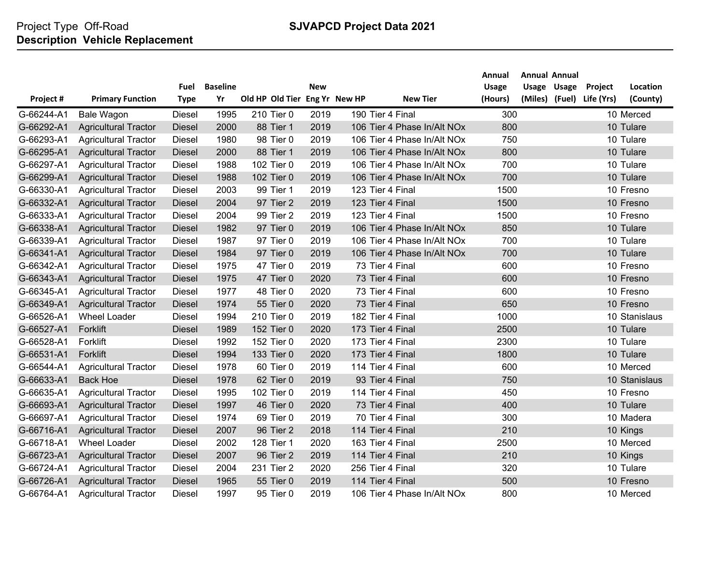|            |                             |               |                 |                               |            |                             | Annual       | <b>Annual Annual</b>      |         |               |
|------------|-----------------------------|---------------|-----------------|-------------------------------|------------|-----------------------------|--------------|---------------------------|---------|---------------|
|            |                             | Fuel          | <b>Baseline</b> |                               | <b>New</b> |                             | <b>Usage</b> | Usage Usage               | Project | Location      |
| Project #  | <b>Primary Function</b>     | <b>Type</b>   | Yr              | Old HP Old Tier Eng Yr New HP |            | <b>New Tier</b>             | (Hours)      | (Miles) (Fuel) Life (Yrs) |         | (County)      |
| G-66244-A1 | <b>Bale Wagon</b>           | Diesel        | 1995            | 210 Tier 0                    | 2019       | 190 Tier 4 Final            | 300          |                           |         | 10 Merced     |
| G-66292-A1 | <b>Agricultural Tractor</b> | <b>Diesel</b> | 2000            | 88 Tier 1                     | 2019       | 106 Tier 4 Phase In/Alt NOx | 800          |                           |         | 10 Tulare     |
| G-66293-A1 | <b>Agricultural Tractor</b> | Diesel        | 1980            | 98 Tier 0                     | 2019       | 106 Tier 4 Phase In/Alt NOx | 750          |                           |         | 10 Tulare     |
| G-66295-A1 | <b>Agricultural Tractor</b> | <b>Diesel</b> | 2000            | 88 Tier 1                     | 2019       | 106 Tier 4 Phase In/Alt NOx | 800          |                           |         | 10 Tulare     |
| G-66297-A1 | <b>Agricultural Tractor</b> | <b>Diesel</b> | 1988            | 102 Tier 0                    | 2019       | 106 Tier 4 Phase In/Alt NOx | 700          |                           |         | 10 Tulare     |
| G-66299-A1 | <b>Agricultural Tractor</b> | <b>Diesel</b> | 1988            | 102 Tier 0                    | 2019       | 106 Tier 4 Phase In/Alt NOx | 700          |                           |         | 10 Tulare     |
| G-66330-A1 | <b>Agricultural Tractor</b> | <b>Diesel</b> | 2003            | 99 Tier 1                     | 2019       | 123 Tier 4 Final            | 1500         |                           |         | 10 Fresno     |
| G-66332-A1 | <b>Agricultural Tractor</b> | <b>Diesel</b> | 2004            | 97 Tier 2                     | 2019       | 123 Tier 4 Final            | 1500         |                           |         | 10 Fresno     |
| G-66333-A1 | <b>Agricultural Tractor</b> | <b>Diesel</b> | 2004            | 99 Tier 2                     | 2019       | 123 Tier 4 Final            | 1500         |                           |         | 10 Fresno     |
| G-66338-A1 | <b>Agricultural Tractor</b> | <b>Diesel</b> | 1982            | 97 Tier 0                     | 2019       | 106 Tier 4 Phase In/Alt NOx | 850          |                           |         | 10 Tulare     |
| G-66339-A1 | <b>Agricultural Tractor</b> | <b>Diesel</b> | 1987            | 97 Tier 0                     | 2019       | 106 Tier 4 Phase In/Alt NOx | 700          |                           |         | 10 Tulare     |
| G-66341-A1 | <b>Agricultural Tractor</b> | <b>Diesel</b> | 1984            | 97 Tier 0                     | 2019       | 106 Tier 4 Phase In/Alt NOx | 700          |                           |         | 10 Tulare     |
| G-66342-A1 | <b>Agricultural Tractor</b> | Diesel        | 1975            | 47 Tier 0                     | 2019       | 73 Tier 4 Final             | 600          |                           |         | 10 Fresno     |
| G-66343-A1 | <b>Agricultural Tractor</b> | <b>Diesel</b> | 1975            | 47 Tier 0                     | 2020       | 73 Tier 4 Final             | 600          |                           |         | 10 Fresno     |
| G-66345-A1 | <b>Agricultural Tractor</b> | Diesel        | 1977            | 48 Tier 0                     | 2020       | 73 Tier 4 Final             | 600          |                           |         | 10 Fresno     |
| G-66349-A1 | <b>Agricultural Tractor</b> | <b>Diesel</b> | 1974            | 55 Tier 0                     | 2020       | 73 Tier 4 Final             | 650          |                           |         | 10 Fresno     |
| G-66526-A1 | <b>Wheel Loader</b>         | <b>Diesel</b> | 1994            | 210 Tier 0                    | 2019       | 182 Tier 4 Final            | 1000         |                           |         | 10 Stanislaus |
| G-66527-A1 | Forklift                    | <b>Diesel</b> | 1989            | 152 Tier 0                    | 2020       | 173 Tier 4 Final            | 2500         |                           |         | 10 Tulare     |
| G-66528-A1 | Forklift                    | <b>Diesel</b> | 1992            | 152 Tier 0                    | 2020       | 173 Tier 4 Final            | 2300         |                           |         | 10 Tulare     |
| G-66531-A1 | Forklift                    | <b>Diesel</b> | 1994            | 133 Tier 0                    | 2020       | 173 Tier 4 Final            | 1800         |                           |         | 10 Tulare     |
| G-66544-A1 | <b>Agricultural Tractor</b> | <b>Diesel</b> | 1978            | 60 Tier 0                     | 2019       | 114 Tier 4 Final            | 600          |                           |         | 10 Merced     |
| G-66633-A1 | <b>Back Hoe</b>             | <b>Diesel</b> | 1978            | 62 Tier 0                     | 2019       | 93 Tier 4 Final             | 750          |                           |         | 10 Stanislaus |
| G-66635-A1 | <b>Agricultural Tractor</b> | <b>Diesel</b> | 1995            | 102 Tier 0                    | 2019       | 114 Tier 4 Final            | 450          |                           |         | 10 Fresno     |
| G-66693-A1 | <b>Agricultural Tractor</b> | <b>Diesel</b> | 1997            | 46 Tier 0                     | 2020       | 73 Tier 4 Final             | 400          |                           |         | 10 Tulare     |
| G-66697-A1 | <b>Agricultural Tractor</b> | <b>Diesel</b> | 1974            | 69 Tier 0                     | 2019       | 70 Tier 4 Final             | 300          |                           |         | 10 Madera     |
| G-66716-A1 | <b>Agricultural Tractor</b> | <b>Diesel</b> | 2007            | 96 Tier 2                     | 2018       | 114 Tier 4 Final            | 210          |                           |         | 10 Kings      |
| G-66718-A1 | <b>Wheel Loader</b>         | Diesel        | 2002            | 128 Tier 1                    | 2020       | 163 Tier 4 Final            | 2500         |                           |         | 10 Merced     |
| G-66723-A1 | <b>Agricultural Tractor</b> | <b>Diesel</b> | 2007            | <b>96 Tier 2</b>              | 2019       | 114 Tier 4 Final            | 210          |                           |         | 10 Kings      |
| G-66724-A1 | <b>Agricultural Tractor</b> | <b>Diesel</b> | 2004            | 231 Tier 2                    | 2020       | 256 Tier 4 Final            | 320          |                           |         | 10 Tulare     |
| G-66726-A1 | <b>Agricultural Tractor</b> | <b>Diesel</b> | 1965            | 55 Tier 0                     | 2019       | 114 Tier 4 Final            | 500          |                           |         | 10 Fresno     |
| G-66764-A1 | <b>Agricultural Tractor</b> | <b>Diesel</b> | 1997            | 95 Tier 0                     | 2019       | 106 Tier 4 Phase In/Alt NOx | 800          |                           |         | 10 Merced     |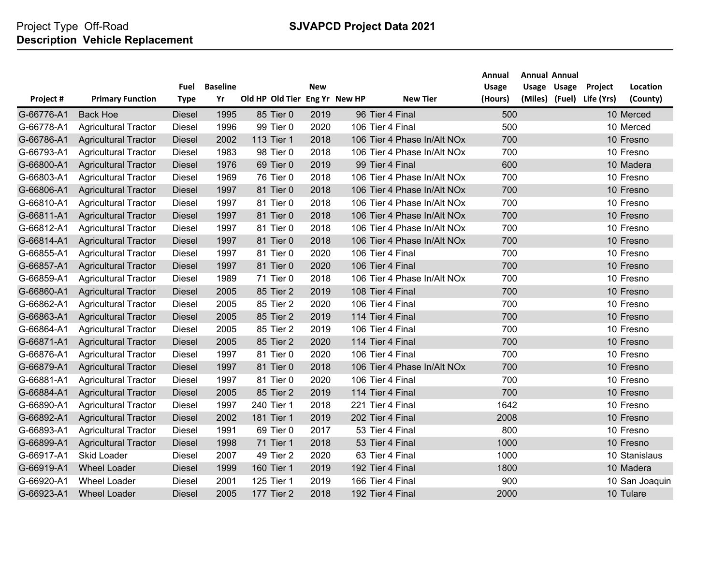|            |                             |               |                 |                               |            |                             | Annual       | <b>Annual Annual</b> |                           |                |
|------------|-----------------------------|---------------|-----------------|-------------------------------|------------|-----------------------------|--------------|----------------------|---------------------------|----------------|
|            |                             | Fuel          | <b>Baseline</b> |                               | <b>New</b> |                             | <b>Usage</b> | Usage Usage          | Project                   | Location       |
| Project#   | <b>Primary Function</b>     | <b>Type</b>   | Yr              | Old HP Old Tier Eng Yr New HP |            | <b>New Tier</b>             | (Hours)      |                      | (Miles) (Fuel) Life (Yrs) | (County)       |
| G-66776-A1 | <b>Back Hoe</b>             | <b>Diesel</b> | 1995            | 85 Tier 0                     | 2019       | 96 Tier 4 Final             | 500          |                      |                           | 10 Merced      |
| G-66778-A1 | <b>Agricultural Tractor</b> | <b>Diesel</b> | 1996            | 99 Tier 0                     | 2020       | 106 Tier 4 Final            | 500          |                      |                           | 10 Merced      |
| G-66786-A1 | <b>Agricultural Tractor</b> | <b>Diesel</b> | 2002            | 113 Tier 1                    | 2018       | 106 Tier 4 Phase In/Alt NOx | 700          |                      |                           | 10 Fresno      |
| G-66793-A1 | <b>Agricultural Tractor</b> | <b>Diesel</b> | 1983            | 98 Tier 0                     | 2018       | 106 Tier 4 Phase In/Alt NOx | 700          |                      |                           | 10 Fresno      |
| G-66800-A1 | <b>Agricultural Tractor</b> | <b>Diesel</b> | 1976            | 69 Tier 0                     | 2019       | 99 Tier 4 Final             | 600          |                      |                           | 10 Madera      |
| G-66803-A1 | <b>Agricultural Tractor</b> | <b>Diesel</b> | 1969            | 76 Tier 0                     | 2018       | 106 Tier 4 Phase In/Alt NOx | 700          |                      |                           | 10 Fresno      |
| G-66806-A1 | <b>Agricultural Tractor</b> | <b>Diesel</b> | 1997            | 81 Tier 0                     | 2018       | 106 Tier 4 Phase In/Alt NOx | 700          |                      |                           | 10 Fresno      |
| G-66810-A1 | <b>Agricultural Tractor</b> | <b>Diesel</b> | 1997            | 81 Tier 0                     | 2018       | 106 Tier 4 Phase In/Alt NOx | 700          |                      |                           | 10 Fresno      |
| G-66811-A1 | <b>Agricultural Tractor</b> | <b>Diesel</b> | 1997            | 81 Tier 0                     | 2018       | 106 Tier 4 Phase In/Alt NOx | 700          |                      |                           | 10 Fresno      |
| G-66812-A1 | <b>Agricultural Tractor</b> | Diesel        | 1997            | 81 Tier 0                     | 2018       | 106 Tier 4 Phase In/Alt NOx | 700          |                      |                           | 10 Fresno      |
| G-66814-A1 | <b>Agricultural Tractor</b> | <b>Diesel</b> | 1997            | 81 Tier 0                     | 2018       | 106 Tier 4 Phase In/Alt NOx | 700          |                      |                           | 10 Fresno      |
| G-66855-A1 | <b>Agricultural Tractor</b> | <b>Diesel</b> | 1997            | 81 Tier 0                     | 2020       | 106 Tier 4 Final            | 700          |                      |                           | 10 Fresno      |
| G-66857-A1 | <b>Agricultural Tractor</b> | <b>Diesel</b> | 1997            | 81 Tier 0                     | 2020       | 106 Tier 4 Final            | 700          |                      |                           | 10 Fresno      |
| G-66859-A1 | <b>Agricultural Tractor</b> | Diesel        | 1989            | 71 Tier 0                     | 2018       | 106 Tier 4 Phase In/Alt NOx | 700          |                      |                           | 10 Fresno      |
| G-66860-A1 | <b>Agricultural Tractor</b> | <b>Diesel</b> | 2005            | 85 Tier 2                     | 2019       | 108 Tier 4 Final            | 700          |                      |                           | 10 Fresno      |
| G-66862-A1 | <b>Agricultural Tractor</b> | <b>Diesel</b> | 2005            | 85 Tier 2                     | 2020       | 106 Tier 4 Final            | 700          |                      |                           | 10 Fresno      |
| G-66863-A1 | <b>Agricultural Tractor</b> | <b>Diesel</b> | 2005            | 85 Tier 2                     | 2019       | 114 Tier 4 Final            | 700          |                      |                           | 10 Fresno      |
| G-66864-A1 | <b>Agricultural Tractor</b> | <b>Diesel</b> | 2005            | 85 Tier 2                     | 2019       | 106 Tier 4 Final            | 700          |                      |                           | 10 Fresno      |
| G-66871-A1 | <b>Agricultural Tractor</b> | <b>Diesel</b> | 2005            | 85 Tier 2                     | 2020       | 114 Tier 4 Final            | 700          |                      |                           | 10 Fresno      |
| G-66876-A1 | <b>Agricultural Tractor</b> | <b>Diesel</b> | 1997            | 81 Tier 0                     | 2020       | 106 Tier 4 Final            | 700          |                      |                           | 10 Fresno      |
| G-66879-A1 | <b>Agricultural Tractor</b> | <b>Diesel</b> | 1997            | 81 Tier 0                     | 2018       | 106 Tier 4 Phase In/Alt NOx | 700          |                      |                           | 10 Fresno      |
| G-66881-A1 | <b>Agricultural Tractor</b> | <b>Diesel</b> | 1997            | 81 Tier 0                     | 2020       | 106 Tier 4 Final            | 700          |                      |                           | 10 Fresno      |
| G-66884-A1 | <b>Agricultural Tractor</b> | <b>Diesel</b> | 2005            | 85 Tier 2                     | 2019       | 114 Tier 4 Final            | 700          |                      |                           | 10 Fresno      |
| G-66890-A1 | <b>Agricultural Tractor</b> | <b>Diesel</b> | 1997            | 240 Tier 1                    | 2018       | 221 Tier 4 Final            | 1642         |                      |                           | 10 Fresno      |
| G-66892-A1 | <b>Agricultural Tractor</b> | <b>Diesel</b> | 2002            | 181 Tier 1                    | 2019       | 202 Tier 4 Final            | 2008         |                      |                           | 10 Fresno      |
| G-66893-A1 | <b>Agricultural Tractor</b> | Diesel        | 1991            | 69 Tier 0                     | 2017       | 53 Tier 4 Final             | 800          |                      |                           | 10 Fresno      |
| G-66899-A1 | <b>Agricultural Tractor</b> | <b>Diesel</b> | 1998            | 71 Tier 1                     | 2018       | 53 Tier 4 Final             | 1000         |                      |                           | 10 Fresno      |
| G-66917-A1 | <b>Skid Loader</b>          | <b>Diesel</b> | 2007            | 49 Tier 2                     | 2020       | 63 Tier 4 Final             | 1000         |                      |                           | 10 Stanislaus  |
| G-66919-A1 | <b>Wheel Loader</b>         | <b>Diesel</b> | 1999            | 160 Tier 1                    | 2019       | 192 Tier 4 Final            | 1800         |                      |                           | 10 Madera      |
| G-66920-A1 | <b>Wheel Loader</b>         | <b>Diesel</b> | 2001            | 125 Tier 1                    | 2019       | 166 Tier 4 Final            | 900          |                      |                           | 10 San Joaquin |
| G-66923-A1 | <b>Wheel Loader</b>         | <b>Diesel</b> | 2005            | 177 Tier 2                    | 2018       | 192 Tier 4 Final            | 2000         |                      |                           | 10 Tulare      |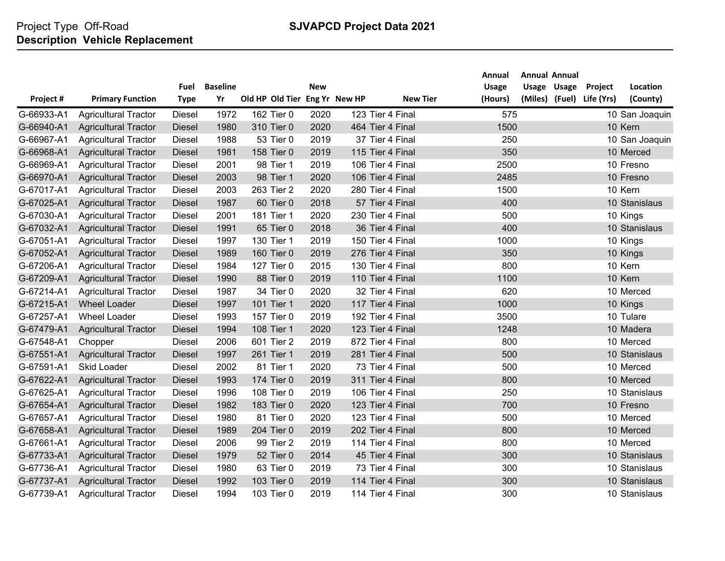|            |                             |               |                 |                               |            |                  | Annual       | <b>Annual Annual</b>      |         |                |
|------------|-----------------------------|---------------|-----------------|-------------------------------|------------|------------------|--------------|---------------------------|---------|----------------|
|            |                             | Fuel          | <b>Baseline</b> |                               | <b>New</b> |                  | <b>Usage</b> | Usage Usage               | Project | Location       |
| Project#   | <b>Primary Function</b>     | <b>Type</b>   | Yr              | Old HP Old Tier Eng Yr New HP |            | <b>New Tier</b>  | (Hours)      | (Miles) (Fuel) Life (Yrs) |         | (County)       |
| G-66933-A1 | <b>Agricultural Tractor</b> | <b>Diesel</b> | 1972            | 162 Tier 0                    | 2020       | 123 Tier 4 Final | 575          |                           |         | 10 San Joaquin |
| G-66940-A1 | <b>Agricultural Tractor</b> | <b>Diesel</b> | 1980            | 310 Tier 0                    | 2020       | 464 Tier 4 Final | 1500         |                           |         | 10 Kern        |
| G-66967-A1 | <b>Agricultural Tractor</b> | Diesel        | 1988            | 53 Tier 0                     | 2019       | 37 Tier 4 Final  | 250          |                           |         | 10 San Joaquin |
| G-66968-A1 | <b>Agricultural Tractor</b> | <b>Diesel</b> | 1981            | 158 Tier 0                    | 2019       | 115 Tier 4 Final | 350          |                           |         | 10 Merced      |
| G-66969-A1 | <b>Agricultural Tractor</b> | <b>Diesel</b> | 2001            | 98 Tier 1                     | 2019       | 106 Tier 4 Final | 2500         |                           |         | 10 Fresno      |
| G-66970-A1 | <b>Agricultural Tractor</b> | <b>Diesel</b> | 2003            | 98 Tier 1                     | 2020       | 106 Tier 4 Final | 2485         |                           |         | 10 Fresno      |
| G-67017-A1 | <b>Agricultural Tractor</b> | Diesel        | 2003            | 263 Tier 2                    | 2020       | 280 Tier 4 Final | 1500         |                           |         | 10 Kern        |
| G-67025-A1 | <b>Agricultural Tractor</b> | <b>Diesel</b> | 1987            | 60 Tier 0                     | 2018       | 57 Tier 4 Final  | 400          |                           |         | 10 Stanislaus  |
| G-67030-A1 | <b>Agricultural Tractor</b> | <b>Diesel</b> | 2001            | 181 Tier 1                    | 2020       | 230 Tier 4 Final | 500          |                           |         | 10 Kings       |
| G-67032-A1 | <b>Agricultural Tractor</b> | <b>Diesel</b> | 1991            | 65 Tier 0                     | 2018       | 36 Tier 4 Final  | 400          |                           |         | 10 Stanislaus  |
| G-67051-A1 | <b>Agricultural Tractor</b> | <b>Diesel</b> | 1997            | 130 Tier 1                    | 2019       | 150 Tier 4 Final | 1000         |                           |         | 10 Kings       |
| G-67052-A1 | <b>Agricultural Tractor</b> | <b>Diesel</b> | 1989            | 160 Tier 0                    | 2019       | 276 Tier 4 Final | 350          |                           |         | 10 Kings       |
| G-67206-A1 | <b>Agricultural Tractor</b> | Diesel        | 1984            | 127 Tier 0                    | 2015       | 130 Tier 4 Final | 800          |                           |         | 10 Kern        |
| G-67209-A1 | <b>Agricultural Tractor</b> | <b>Diesel</b> | 1990            | 88 Tier 0                     | 2019       | 110 Tier 4 Final | 1100         |                           |         | 10 Kern        |
| G-67214-A1 | <b>Agricultural Tractor</b> | Diesel        | 1987            | 34 Tier 0                     | 2020       | 32 Tier 4 Final  | 620          |                           |         | 10 Merced      |
| G-67215-A1 | <b>Wheel Loader</b>         | <b>Diesel</b> | 1997            | 101 Tier 1                    | 2020       | 117 Tier 4 Final | 1000         |                           |         | 10 Kings       |
| G-67257-A1 | <b>Wheel Loader</b>         | <b>Diesel</b> | 1993            | 157 Tier 0                    | 2019       | 192 Tier 4 Final | 3500         |                           |         | 10 Tulare      |
| G-67479-A1 | <b>Agricultural Tractor</b> | <b>Diesel</b> | 1994            | 108 Tier 1                    | 2020       | 123 Tier 4 Final | 1248         |                           |         | 10 Madera      |
| G-67548-A1 | Chopper                     | Diesel        | 2006            | 601 Tier 2                    | 2019       | 872 Tier 4 Final | 800          |                           |         | 10 Merced      |
| G-67551-A1 | <b>Agricultural Tractor</b> | <b>Diesel</b> | 1997            | 261 Tier 1                    | 2019       | 281 Tier 4 Final | 500          |                           |         | 10 Stanislaus  |
| G-67591-A1 | <b>Skid Loader</b>          | <b>Diesel</b> | 2002            | 81 Tier 1                     | 2020       | 73 Tier 4 Final  | 500          |                           |         | 10 Merced      |
| G-67622-A1 | <b>Agricultural Tractor</b> | <b>Diesel</b> | 1993            | 174 Tier 0                    | 2019       | 311 Tier 4 Final | 800          |                           |         | 10 Merced      |
| G-67625-A1 | <b>Agricultural Tractor</b> | <b>Diesel</b> | 1996            | 108 Tier 0                    | 2019       | 106 Tier 4 Final | 250          |                           |         | 10 Stanislaus  |
| G-67654-A1 | <b>Agricultural Tractor</b> | <b>Diesel</b> | 1982            | 183 Tier 0                    | 2020       | 123 Tier 4 Final | 700          |                           |         | 10 Fresno      |
| G-67657-A1 | <b>Agricultural Tractor</b> | <b>Diesel</b> | 1980            | 81 Tier 0                     | 2020       | 123 Tier 4 Final | 500          |                           |         | 10 Merced      |
| G-67658-A1 | <b>Agricultural Tractor</b> | <b>Diesel</b> | 1989            | 204 Tier 0                    | 2019       | 202 Tier 4 Final | 800          |                           |         | 10 Merced      |
| G-67661-A1 | <b>Agricultural Tractor</b> | <b>Diesel</b> | 2006            | 99 Tier 2                     | 2019       | 114 Tier 4 Final | 800          |                           |         | 10 Merced      |
| G-67733-A1 | <b>Agricultural Tractor</b> | <b>Diesel</b> | 1979            | 52 Tier 0                     | 2014       | 45 Tier 4 Final  | 300          |                           |         | 10 Stanislaus  |
| G-67736-A1 | <b>Agricultural Tractor</b> | <b>Diesel</b> | 1980            | 63 Tier 0                     | 2019       | 73 Tier 4 Final  | 300          |                           |         | 10 Stanislaus  |
| G-67737-A1 | <b>Agricultural Tractor</b> | <b>Diesel</b> | 1992            | 103 Tier 0                    | 2019       | 114 Tier 4 Final | 300          |                           |         | 10 Stanislaus  |
| G-67739-A1 | <b>Agricultural Tractor</b> | Diesel        | 1994            | 103 Tier 0                    | 2019       | 114 Tier 4 Final | 300          |                           |         | 10 Stanislaus  |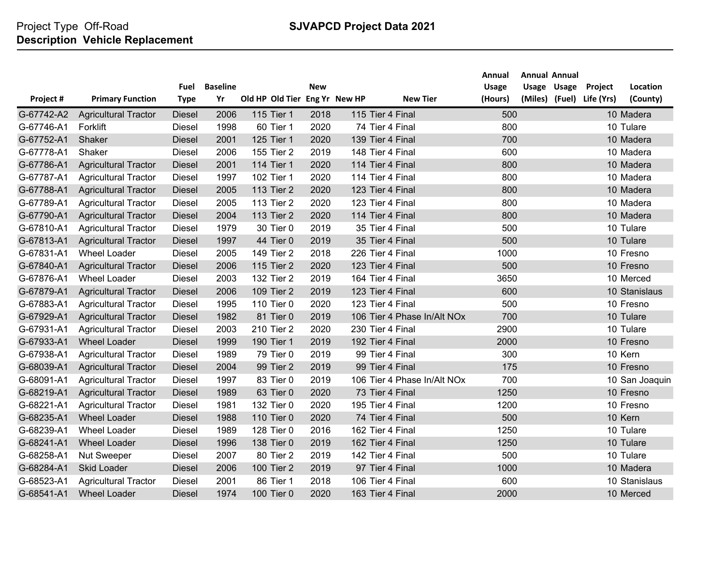|            |                             |               |                 |                               |            |                             | Annual       | <b>Annual Annual</b> |                           |                |
|------------|-----------------------------|---------------|-----------------|-------------------------------|------------|-----------------------------|--------------|----------------------|---------------------------|----------------|
|            |                             | Fuel          | <b>Baseline</b> |                               | <b>New</b> |                             | <b>Usage</b> | Usage Usage          | Project                   | Location       |
| Project #  | <b>Primary Function</b>     | <b>Type</b>   | Yr              | Old HP Old Tier Eng Yr New HP |            | <b>New Tier</b>             | (Hours)      |                      | (Miles) (Fuel) Life (Yrs) | (County)       |
| G-67742-A2 | <b>Agricultural Tractor</b> | <b>Diesel</b> | 2006            | 115 Tier 1                    | 2018       | 115 Tier 4 Final            | 500          |                      |                           | 10 Madera      |
| G-67746-A1 | Forklift                    | <b>Diesel</b> | 1998            | 60 Tier 1                     | 2020       | 74 Tier 4 Final             | 800          |                      |                           | 10 Tulare      |
| G-67752-A1 | Shaker                      | <b>Diesel</b> | 2001            | 125 Tier 1                    | 2020       | 139 Tier 4 Final            | 700          |                      |                           | 10 Madera      |
| G-67778-A1 | Shaker                      | Diesel        | 2006            | 155 Tier 2                    | 2019       | 148 Tier 4 Final            | 600          |                      |                           | 10 Madera      |
| G-67786-A1 | <b>Agricultural Tractor</b> | <b>Diesel</b> | 2001            | 114 Tier 1                    | 2020       | 114 Tier 4 Final            | 800          |                      |                           | 10 Madera      |
| G-67787-A1 | <b>Agricultural Tractor</b> | <b>Diesel</b> | 1997            | 102 Tier 1                    | 2020       | 114 Tier 4 Final            | 800          |                      |                           | 10 Madera      |
| G-67788-A1 | <b>Agricultural Tractor</b> | <b>Diesel</b> | 2005            | 113 Tier 2                    | 2020       | 123 Tier 4 Final            | 800          |                      |                           | 10 Madera      |
| G-67789-A1 | <b>Agricultural Tractor</b> | Diesel        | 2005            | 113 Tier 2                    | 2020       | 123 Tier 4 Final            | 800          |                      |                           | 10 Madera      |
| G-67790-A1 | <b>Agricultural Tractor</b> | <b>Diesel</b> | 2004            | 113 Tier 2                    | 2020       | 114 Tier 4 Final            | 800          |                      |                           | 10 Madera      |
| G-67810-A1 | <b>Agricultural Tractor</b> | <b>Diesel</b> | 1979            | 30 Tier 0                     | 2019       | 35 Tier 4 Final             | 500          |                      |                           | 10 Tulare      |
| G-67813-A1 | <b>Agricultural Tractor</b> | <b>Diesel</b> | 1997            | 44 Tier 0                     | 2019       | 35 Tier 4 Final             | 500          |                      |                           | 10 Tulare      |
| G-67831-A1 | <b>Wheel Loader</b>         | <b>Diesel</b> | 2005            | 149 Tier 2                    | 2018       | 226 Tier 4 Final            | 1000         |                      |                           | 10 Fresno      |
| G-67840-A1 | <b>Agricultural Tractor</b> | <b>Diesel</b> | 2006            | 115 Tier 2                    | 2020       | 123 Tier 4 Final            | 500          |                      |                           | 10 Fresno      |
| G-67876-A1 | <b>Wheel Loader</b>         | <b>Diesel</b> | 2003            | 132 Tier 2                    | 2019       | 164 Tier 4 Final            | 3650         |                      |                           | 10 Merced      |
| G-67879-A1 | <b>Agricultural Tractor</b> | <b>Diesel</b> | 2006            | 109 Tier 2                    | 2019       | 123 Tier 4 Final            | 600          |                      |                           | 10 Stanislaus  |
| G-67883-A1 | <b>Agricultural Tractor</b> | <b>Diesel</b> | 1995            | 110 Tier 0                    | 2020       | 123 Tier 4 Final            | 500          |                      |                           | 10 Fresno      |
| G-67929-A1 | <b>Agricultural Tractor</b> | <b>Diesel</b> | 1982            | 81 Tier 0                     | 2019       | 106 Tier 4 Phase In/Alt NOx | 700          |                      |                           | 10 Tulare      |
| G-67931-A1 | <b>Agricultural Tractor</b> | Diesel        | 2003            | 210 Tier 2                    | 2020       | 230 Tier 4 Final            | 2900         |                      |                           | 10 Tulare      |
| G-67933-A1 | <b>Wheel Loader</b>         | <b>Diesel</b> | 1999            | 190 Tier 1                    | 2019       | 192 Tier 4 Final            | 2000         |                      |                           | 10 Fresno      |
| G-67938-A1 | <b>Agricultural Tractor</b> | Diesel        | 1989            | 79 Tier 0                     | 2019       | 99 Tier 4 Final             | 300          |                      |                           | 10 Kern        |
| G-68039-A1 | <b>Agricultural Tractor</b> | <b>Diesel</b> | 2004            | 99 Tier 2                     | 2019       | 99 Tier 4 Final             | 175          |                      |                           | 10 Fresno      |
| G-68091-A1 | <b>Agricultural Tractor</b> | Diesel        | 1997            | 83 Tier 0                     | 2019       | 106 Tier 4 Phase In/Alt NOx | 700          |                      |                           | 10 San Joaquin |
| G-68219-A1 | <b>Agricultural Tractor</b> | <b>Diesel</b> | 1989            | 63 Tier 0                     | 2020       | 73 Tier 4 Final             | 1250         |                      |                           | 10 Fresno      |
| G-68221-A1 | <b>Agricultural Tractor</b> | <b>Diesel</b> | 1981            | 132 Tier 0                    | 2020       | 195 Tier 4 Final            | 1200         |                      |                           | 10 Fresno      |
| G-68235-A1 | <b>Wheel Loader</b>         | <b>Diesel</b> | 1988            | 110 Tier 0                    | 2020       | 74 Tier 4 Final             | 500          |                      |                           | 10 Kern        |
| G-68239-A1 | <b>Wheel Loader</b>         | Diesel        | 1989            | 128 Tier 0                    | 2016       | 162 Tier 4 Final            | 1250         |                      |                           | 10 Tulare      |
| G-68241-A1 | <b>Wheel Loader</b>         | <b>Diesel</b> | 1996            | 138 Tier 0                    | 2019       | 162 Tier 4 Final            | 1250         |                      |                           | 10 Tulare      |
| G-68258-A1 | <b>Nut Sweeper</b>          | <b>Diesel</b> | 2007            | 80 Tier 2                     | 2019       | 142 Tier 4 Final            | 500          |                      |                           | 10 Tulare      |
| G-68284-A1 | <b>Skid Loader</b>          | <b>Diesel</b> | 2006            | 100 Tier 2                    | 2019       | 97 Tier 4 Final             | 1000         |                      |                           | 10 Madera      |
| G-68523-A1 | <b>Agricultural Tractor</b> | <b>Diesel</b> | 2001            | 86 Tier 1                     | 2018       | 106 Tier 4 Final            | 600          |                      |                           | 10 Stanislaus  |
| G-68541-A1 | <b>Wheel Loader</b>         | <b>Diesel</b> | 1974            | 100 Tier 0                    | 2020       | 163 Tier 4 Final            | 2000         |                      |                           | 10 Merced      |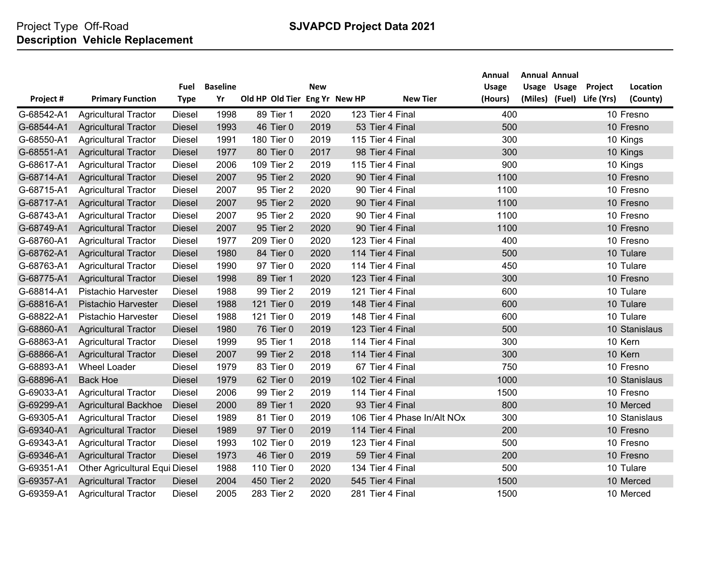|            |                                       |               |                 |                               |            |                  | Annual                             | <b>Annual Annual</b>      |         |               |
|------------|---------------------------------------|---------------|-----------------|-------------------------------|------------|------------------|------------------------------------|---------------------------|---------|---------------|
|            |                                       | Fuel          | <b>Baseline</b> |                               | <b>New</b> |                  | <b>Usage</b>                       | Usage Usage               | Project | Location      |
| Project #  | <b>Primary Function</b>               | <b>Type</b>   | Yr              | Old HP Old Tier Eng Yr New HP |            |                  | <b>New Tier</b><br>(Hours)         | (Miles) (Fuel) Life (Yrs) |         | (County)      |
| G-68542-A1 | <b>Agricultural Tractor</b>           | <b>Diesel</b> | 1998            | 89 Tier 1                     | 2020       | 123 Tier 4 Final | 400                                |                           |         | 10 Fresno     |
| G-68544-A1 | <b>Agricultural Tractor</b>           | <b>Diesel</b> | 1993            | 46 Tier 0                     | 2019       | 53 Tier 4 Final  | 500                                |                           |         | 10 Fresno     |
| G-68550-A1 | <b>Agricultural Tractor</b>           | <b>Diesel</b> | 1991            | 180 Tier 0                    | 2019       | 115 Tier 4 Final | 300                                |                           |         | 10 Kings      |
| G-68551-A1 | <b>Agricultural Tractor</b>           | <b>Diesel</b> | 1977            | 80 Tier 0                     | 2017       | 98 Tier 4 Final  | 300                                |                           |         | 10 Kings      |
| G-68617-A1 | <b>Agricultural Tractor</b>           | Diesel        | 2006            | 109 Tier 2                    | 2019       | 115 Tier 4 Final | 900                                |                           |         | 10 Kings      |
| G-68714-A1 | <b>Agricultural Tractor</b>           | <b>Diesel</b> | 2007            | 95 Tier 2                     | 2020       | 90 Tier 4 Final  | 1100                               |                           |         | 10 Fresno     |
| G-68715-A1 | <b>Agricultural Tractor</b>           | <b>Diesel</b> | 2007            | 95 Tier 2                     | 2020       | 90 Tier 4 Final  | 1100                               |                           |         | 10 Fresno     |
| G-68717-A1 | <b>Agricultural Tractor</b>           | <b>Diesel</b> | 2007            | 95 Tier 2                     | 2020       | 90 Tier 4 Final  | 1100                               |                           |         | 10 Fresno     |
| G-68743-A1 | <b>Agricultural Tractor</b>           | <b>Diesel</b> | 2007            | 95 Tier 2                     | 2020       | 90 Tier 4 Final  | 1100                               |                           |         | 10 Fresno     |
| G-68749-A1 | <b>Agricultural Tractor</b>           | <b>Diesel</b> | 2007            | 95 Tier 2                     | 2020       | 90 Tier 4 Final  | 1100                               |                           |         | 10 Fresno     |
| G-68760-A1 | <b>Agricultural Tractor</b>           | <b>Diesel</b> | 1977            | 209 Tier 0                    | 2020       | 123 Tier 4 Final | 400                                |                           |         | 10 Fresno     |
| G-68762-A1 | <b>Agricultural Tractor</b>           | <b>Diesel</b> | 1980            | 84 Tier 0                     | 2020       | 114 Tier 4 Final | 500                                |                           |         | 10 Tulare     |
| G-68763-A1 | <b>Agricultural Tractor</b>           | <b>Diesel</b> | 1990            | 97 Tier 0                     | 2020       | 114 Tier 4 Final | 450                                |                           |         | 10 Tulare     |
| G-68775-A1 | <b>Agricultural Tractor</b>           | <b>Diesel</b> | 1998            | 89 Tier 1                     | 2020       | 123 Tier 4 Final | 300                                |                           |         | 10 Fresno     |
| G-68814-A1 | Pistachio Harvester                   | <b>Diesel</b> | 1988            | 99 Tier 2                     | 2019       | 121 Tier 4 Final | 600                                |                           |         | 10 Tulare     |
| G-68816-A1 | <b>Pistachio Harvester</b>            | <b>Diesel</b> | 1988            | 121 Tier 0                    | 2019       | 148 Tier 4 Final | 600                                |                           |         | 10 Tulare     |
| G-68822-A1 | Pistachio Harvester                   | <b>Diesel</b> | 1988            | 121 Tier 0                    | 2019       | 148 Tier 4 Final | 600                                |                           |         | 10 Tulare     |
| G-68860-A1 | <b>Agricultural Tractor</b>           | <b>Diesel</b> | 1980            | 76 Tier 0                     | 2019       | 123 Tier 4 Final | 500                                |                           |         | 10 Stanislaus |
| G-68863-A1 | <b>Agricultural Tractor</b>           | Diesel        | 1999            | 95 Tier 1                     | 2018       | 114 Tier 4 Final | 300                                |                           |         | 10 Kern       |
| G-68866-A1 | <b>Agricultural Tractor</b>           | <b>Diesel</b> | 2007            | 99 Tier 2                     | 2018       | 114 Tier 4 Final | 300                                |                           |         | 10 Kern       |
| G-68893-A1 | <b>Wheel Loader</b>                   | <b>Diesel</b> | 1979            | 83 Tier 0                     | 2019       | 67 Tier 4 Final  | 750                                |                           |         | 10 Fresno     |
| G-68896-A1 | <b>Back Hoe</b>                       | <b>Diesel</b> | 1979            | 62 Tier 0                     | 2019       | 102 Tier 4 Final | 1000                               |                           |         | 10 Stanislaus |
| G-69033-A1 | <b>Agricultural Tractor</b>           | <b>Diesel</b> | 2006            | 99 Tier 2                     | 2019       | 114 Tier 4 Final | 1500                               |                           |         | 10 Fresno     |
| G-69299-A1 | <b>Agricultural Backhoe</b>           | <b>Diesel</b> | 2000            | 89 Tier 1                     | 2020       | 93 Tier 4 Final  | 800                                |                           |         | 10 Merced     |
| G-69305-A1 | <b>Agricultural Tractor</b>           | <b>Diesel</b> | 1989            | 81 Tier 0                     | 2019       |                  | 106 Tier 4 Phase In/Alt NOx<br>300 |                           |         | 10 Stanislaus |
| G-69340-A1 | <b>Agricultural Tractor</b>           | <b>Diesel</b> | 1989            | 97 Tier 0                     | 2019       | 114 Tier 4 Final | 200                                |                           |         | 10 Fresno     |
| G-69343-A1 | <b>Agricultural Tractor</b>           | <b>Diesel</b> | 1993            | 102 Tier 0                    | 2019       | 123 Tier 4 Final | 500                                |                           |         | 10 Fresno     |
| G-69346-A1 | <b>Agricultural Tractor</b>           | <b>Diesel</b> | 1973            | 46 Tier 0                     | 2019       | 59 Tier 4 Final  | 200                                |                           |         | 10 Fresno     |
| G-69351-A1 | <b>Other Agricultural Equi Diesel</b> |               | 1988            | 110 Tier 0                    | 2020       | 134 Tier 4 Final | 500                                |                           |         | 10 Tulare     |
| G-69357-A1 | <b>Agricultural Tractor</b>           | <b>Diesel</b> | 2004            | 450 Tier 2                    | 2020       | 545 Tier 4 Final | 1500                               |                           |         | 10 Merced     |
| G-69359-A1 | <b>Agricultural Tractor</b>           | <b>Diesel</b> | 2005            | 283 Tier 2                    | 2020       | 281 Tier 4 Final | 1500                               |                           |         | 10 Merced     |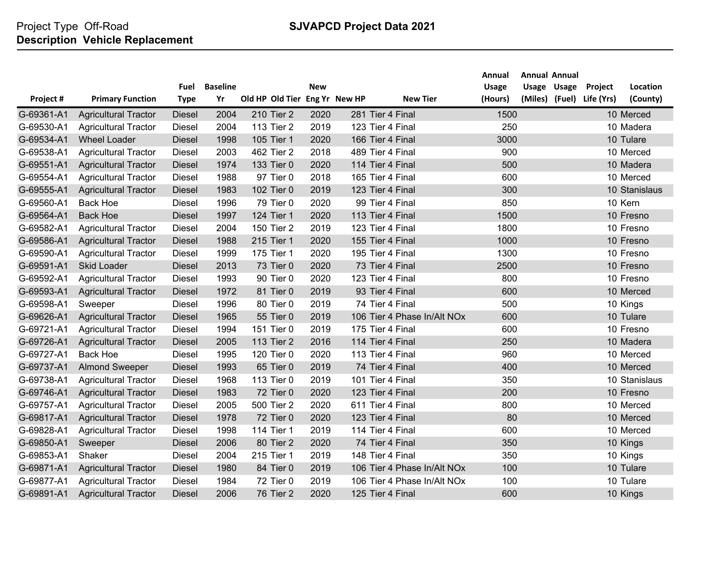|            |                             |               |                 |                               |            |                             | Annual       | <b>Annual Annual</b>      |         |               |
|------------|-----------------------------|---------------|-----------------|-------------------------------|------------|-----------------------------|--------------|---------------------------|---------|---------------|
|            |                             | Fuel          | <b>Baseline</b> |                               | <b>New</b> |                             | <b>Usage</b> | Usage Usage               | Project | Location      |
| Project #  | <b>Primary Function</b>     | <b>Type</b>   | Yr              | Old HP Old Tier Eng Yr New HP |            | <b>New Tier</b>             | (Hours)      | (Miles) (Fuel) Life (Yrs) |         | (County)      |
| G-69361-A1 | <b>Agricultural Tractor</b> | <b>Diesel</b> | 2004            | 210 Tier 2                    | 2020       | 281 Tier 4 Final            | 1500         |                           |         | 10 Merced     |
| G-69530-A1 | <b>Agricultural Tractor</b> | <b>Diesel</b> | 2004            | 113 Tier 2                    | 2019       | 123 Tier 4 Final            | 250          |                           |         | 10 Madera     |
| G-69534-A1 | <b>Wheel Loader</b>         | <b>Diesel</b> | 1998            | 105 Tier 1                    | 2020       | 166 Tier 4 Final            | 3000         |                           |         | 10 Tulare     |
| G-69538-A1 | <b>Agricultural Tractor</b> | <b>Diesel</b> | 2003            | 462 Tier 2                    | 2018       | 489 Tier 4 Final            | 900          |                           |         | 10 Merced     |
| G-69551-A1 | <b>Agricultural Tractor</b> | <b>Diesel</b> | 1974            | 133 Tier 0                    | 2020       | 114 Tier 4 Final            | 500          |                           |         | 10 Madera     |
| G-69554-A1 | <b>Agricultural Tractor</b> | <b>Diesel</b> | 1988            | 97 Tier 0                     | 2018       | 165 Tier 4 Final            | 600          |                           |         | 10 Merced     |
| G-69555-A1 | <b>Agricultural Tractor</b> | <b>Diesel</b> | 1983            | 102 Tier 0                    | 2019       | 123 Tier 4 Final            | 300          |                           |         | 10 Stanislaus |
| G-69560-A1 | <b>Back Hoe</b>             | Diesel        | 1996            | 79 Tier 0                     | 2020       | 99 Tier 4 Final             | 850          |                           |         | 10 Kern       |
| G-69564-A1 | <b>Back Hoe</b>             | <b>Diesel</b> | 1997            | 124 Tier 1                    | 2020       | 113 Tier 4 Final            | 1500         |                           |         | 10 Fresno     |
| G-69582-A1 | <b>Agricultural Tractor</b> | <b>Diesel</b> | 2004            | 150 Tier 2                    | 2019       | 123 Tier 4 Final            | 1800         |                           |         | 10 Fresno     |
| G-69586-A1 | <b>Agricultural Tractor</b> | <b>Diesel</b> | 1988            | 215 Tier 1                    | 2020       | 155 Tier 4 Final            | 1000         |                           |         | 10 Fresno     |
| G-69590-A1 | <b>Agricultural Tractor</b> | <b>Diesel</b> | 1999            | 175 Tier 1                    | 2020       | 195 Tier 4 Final            | 1300         |                           |         | 10 Fresno     |
| G-69591-A1 | <b>Skid Loader</b>          | <b>Diesel</b> | 2013            | 73 Tier 0                     | 2020       | 73 Tier 4 Final             | 2500         |                           |         | 10 Fresno     |
| G-69592-A1 | <b>Agricultural Tractor</b> | <b>Diesel</b> | 1993            | 90 Tier 0                     | 2020       | 123 Tier 4 Final            | 800          |                           |         | 10 Fresno     |
| G-69593-A1 | <b>Agricultural Tractor</b> | <b>Diesel</b> | 1972            | 81 Tier 0                     | 2019       | 93 Tier 4 Final             | 600          |                           |         | 10 Merced     |
| G-69598-A1 | Sweeper                     | <b>Diesel</b> | 1996            | 80 Tier 0                     | 2019       | 74 Tier 4 Final             | 500          |                           |         | 10 Kings      |
| G-69626-A1 | <b>Agricultural Tractor</b> | <b>Diesel</b> | 1965            | 55 Tier 0                     | 2019       | 106 Tier 4 Phase In/Alt NOx | 600          |                           |         | 10 Tulare     |
| G-69721-A1 | <b>Agricultural Tractor</b> | Diesel        | 1994            | 151 Tier 0                    | 2019       | 175 Tier 4 Final            | 600          |                           |         | 10 Fresno     |
| G-69726-A1 | <b>Agricultural Tractor</b> | <b>Diesel</b> | 2005            | 113 Tier 2                    | 2016       | 114 Tier 4 Final            | 250          |                           |         | 10 Madera     |
| G-69727-A1 | <b>Back Hoe</b>             | Diesel        | 1995            | 120 Tier 0                    | 2020       | 113 Tier 4 Final            | 960          |                           |         | 10 Merced     |
| G-69737-A1 | <b>Almond Sweeper</b>       | <b>Diesel</b> | 1993            | 65 Tier 0                     | 2019       | 74 Tier 4 Final             | 400          |                           |         | 10 Merced     |
| G-69738-A1 | <b>Agricultural Tractor</b> | <b>Diesel</b> | 1968            | 113 Tier 0                    | 2019       | 101 Tier 4 Final            | 350          |                           |         | 10 Stanislaus |
| G-69746-A1 | <b>Agricultural Tractor</b> | <b>Diesel</b> | 1983            | 72 Tier 0                     | 2020       | 123 Tier 4 Final            | 200          |                           |         | 10 Fresno     |
| G-69757-A1 | <b>Agricultural Tractor</b> | <b>Diesel</b> | 2005            | 500 Tier 2                    | 2020       | 611 Tier 4 Final            | 800          |                           |         | 10 Merced     |
| G-69817-A1 | <b>Agricultural Tractor</b> | <b>Diesel</b> | 1978            | 72 Tier 0                     | 2020       | 123 Tier 4 Final            | 80           |                           |         | 10 Merced     |
| G-69828-A1 | <b>Agricultural Tractor</b> | <b>Diesel</b> | 1998            | 114 Tier 1                    | 2019       | 114 Tier 4 Final            | 600          |                           |         | 10 Merced     |
| G-69850-A1 | Sweeper                     | <b>Diesel</b> | 2006            | 80 Tier 2                     | 2020       | 74 Tier 4 Final             | 350          |                           |         | 10 Kings      |
| G-69853-A1 | Shaker                      | <b>Diesel</b> | 2004            | 215 Tier 1                    | 2019       | 148 Tier 4 Final            | 350          |                           |         | 10 Kings      |
| G-69871-A1 | <b>Agricultural Tractor</b> | <b>Diesel</b> | 1980            | 84 Tier 0                     | 2019       | 106 Tier 4 Phase In/Alt NOx | 100          |                           |         | 10 Tulare     |
| G-69877-A1 | <b>Agricultural Tractor</b> | <b>Diesel</b> | 1984            | 72 Tier 0                     | 2019       | 106 Tier 4 Phase In/Alt NOx | 100          |                           |         | 10 Tulare     |
| G-69891-A1 | <b>Agricultural Tractor</b> | <b>Diesel</b> | 2006            | 76 Tier 2                     | 2020       | 125 Tier 4 Final            | 600          |                           |         | 10 Kings      |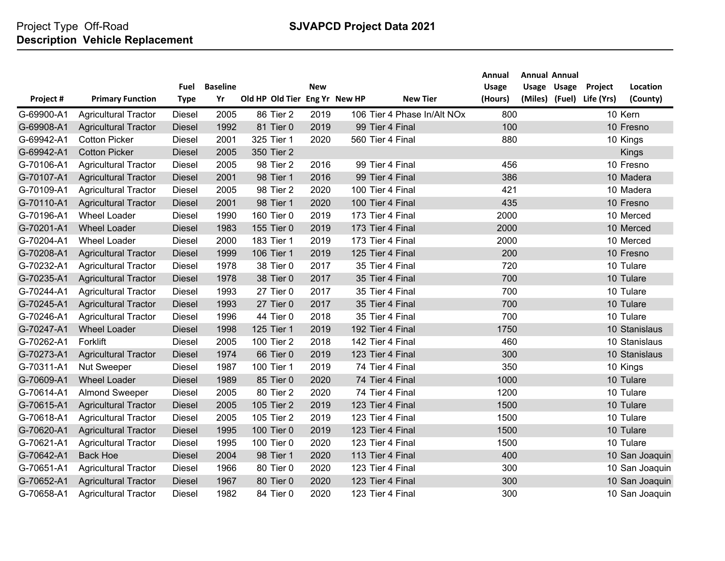|                 |                             |               |                 |                               |            |                             | Annual       | <b>Annual Annual</b>      |                |
|-----------------|-----------------------------|---------------|-----------------|-------------------------------|------------|-----------------------------|--------------|---------------------------|----------------|
|                 |                             | Fuel          | <b>Baseline</b> |                               | <b>New</b> |                             | <b>Usage</b> | Usage Usage Project       | Location       |
| <b>Project#</b> | <b>Primary Function</b>     | <b>Type</b>   | Yr              | Old HP Old Tier Eng Yr New HP |            | <b>New Tier</b>             | (Hours)      | (Miles) (Fuel) Life (Yrs) | (County)       |
| G-69900-A1      | <b>Agricultural Tractor</b> | <b>Diesel</b> | 2005            | <b>86 Tier 2</b>              | 2019       | 106 Tier 4 Phase In/Alt NOx | 800          |                           | 10 Kern        |
| G-69908-A1      | <b>Agricultural Tractor</b> | <b>Diesel</b> | 1992            | 81 Tier 0                     | 2019       | 99 Tier 4 Final             | 100          |                           | 10 Fresno      |
| G-69942-A1      | <b>Cotton Picker</b>        | <b>Diesel</b> | 2001            | 325 Tier 1                    | 2020       | 560 Tier 4 Final            | 880          |                           | 10 Kings       |
| G-69942-A1      | <b>Cotton Picker</b>        | <b>Diesel</b> | 2005            | 350 Tier 2                    |            |                             |              |                           | Kings          |
| G-70106-A1      | <b>Agricultural Tractor</b> | <b>Diesel</b> | 2005            | 98 Tier 2                     | 2016       | 99 Tier 4 Final             | 456          |                           | 10 Fresno      |
| G-70107-A1      | <b>Agricultural Tractor</b> | <b>Diesel</b> | 2001            | 98 Tier 1                     | 2016       | 99 Tier 4 Final             | 386          |                           | 10 Madera      |
| G-70109-A1      | <b>Agricultural Tractor</b> | <b>Diesel</b> | 2005            | 98 Tier 2                     | 2020       | 100 Tier 4 Final            | 421          |                           | 10 Madera      |
| G-70110-A1      | <b>Agricultural Tractor</b> | <b>Diesel</b> | 2001            | 98 Tier 1                     | 2020       | 100 Tier 4 Final            | 435          |                           | 10 Fresno      |
| G-70196-A1      | <b>Wheel Loader</b>         | <b>Diesel</b> | 1990            | 160 Tier 0                    | 2019       | 173 Tier 4 Final            | 2000         |                           | 10 Merced      |
| G-70201-A1      | <b>Wheel Loader</b>         | <b>Diesel</b> | 1983            | 155 Tier 0                    | 2019       | 173 Tier 4 Final            | 2000         |                           | 10 Merced      |
| G-70204-A1      | <b>Wheel Loader</b>         | <b>Diesel</b> | 2000            | 183 Tier 1                    | 2019       | 173 Tier 4 Final            | 2000         |                           | 10 Merced      |
| G-70208-A1      | <b>Agricultural Tractor</b> | <b>Diesel</b> | 1999            | 106 Tier 1                    | 2019       | 125 Tier 4 Final            | 200          |                           | 10 Fresno      |
| G-70232-A1      | <b>Agricultural Tractor</b> | <b>Diesel</b> | 1978            | 38 Tier 0                     | 2017       | 35 Tier 4 Final             | 720          |                           | 10 Tulare      |
| G-70235-A1      | <b>Agricultural Tractor</b> | <b>Diesel</b> | 1978            | 38 Tier 0                     | 2017       | 35 Tier 4 Final             | 700          |                           | 10 Tulare      |
| G-70244-A1      | <b>Agricultural Tractor</b> | <b>Diesel</b> | 1993            | 27 Tier 0                     | 2017       | 35 Tier 4 Final             | 700          |                           | 10 Tulare      |
| G-70245-A1      | <b>Agricultural Tractor</b> | <b>Diesel</b> | 1993            | 27 Tier 0                     | 2017       | 35 Tier 4 Final             | 700          |                           | 10 Tulare      |
| G-70246-A1      | <b>Agricultural Tractor</b> | <b>Diesel</b> | 1996            | 44 Tier 0                     | 2018       | 35 Tier 4 Final             | 700          |                           | 10 Tulare      |
| G-70247-A1      | <b>Wheel Loader</b>         | <b>Diesel</b> | 1998            | 125 Tier 1                    | 2019       | 192 Tier 4 Final            | 1750         |                           | 10 Stanislaus  |
| G-70262-A1      | Forklift                    | Diesel        | 2005            | 100 Tier 2                    | 2018       | 142 Tier 4 Final            | 460          |                           | 10 Stanislaus  |
| G-70273-A1      | <b>Agricultural Tractor</b> | <b>Diesel</b> | 1974            | 66 Tier 0                     | 2019       | 123 Tier 4 Final            | 300          |                           | 10 Stanislaus  |
| G-70311-A1      | <b>Nut Sweeper</b>          | <b>Diesel</b> | 1987            | 100 Tier 1                    | 2019       | 74 Tier 4 Final             | 350          |                           | 10 Kings       |
| G-70609-A1      | <b>Wheel Loader</b>         | <b>Diesel</b> | 1989            | 85 Tier 0                     | 2020       | 74 Tier 4 Final             | 1000         |                           | 10 Tulare      |
| G-70614-A1      | <b>Almond Sweeper</b>       | <b>Diesel</b> | 2005            | 80 Tier 2                     | 2020       | 74 Tier 4 Final             | 1200         |                           | 10 Tulare      |
| G-70615-A1      | <b>Agricultural Tractor</b> | <b>Diesel</b> | 2005            | 105 Tier 2                    | 2019       | 123 Tier 4 Final            | 1500         |                           | 10 Tulare      |
| G-70618-A1      | <b>Agricultural Tractor</b> | <b>Diesel</b> | 2005            | 105 Tier 2                    | 2019       | 123 Tier 4 Final            | 1500         |                           | 10 Tulare      |
| G-70620-A1      | <b>Agricultural Tractor</b> | <b>Diesel</b> | 1995            | 100 Tier 0                    | 2019       | 123 Tier 4 Final            | 1500         |                           | 10 Tulare      |
| G-70621-A1      | <b>Agricultural Tractor</b> | <b>Diesel</b> | 1995            | 100 Tier 0                    | 2020       | 123 Tier 4 Final            | 1500         |                           | 10 Tulare      |
| G-70642-A1      | <b>Back Hoe</b>             | <b>Diesel</b> | 2004            | 98 Tier 1                     | 2020       | 113 Tier 4 Final            | 400          |                           | 10 San Joaquin |
| G-70651-A1      | <b>Agricultural Tractor</b> | <b>Diesel</b> | 1966            | 80 Tier 0                     | 2020       | 123 Tier 4 Final            | 300          |                           | 10 San Joaquin |
| G-70652-A1      | <b>Agricultural Tractor</b> | <b>Diesel</b> | 1967            | 80 Tier 0                     | 2020       | 123 Tier 4 Final            | 300          |                           | 10 San Joaquin |
| G-70658-A1      | <b>Agricultural Tractor</b> | <b>Diesel</b> | 1982            | 84 Tier 0                     | 2020       | 123 Tier 4 Final            | 300          |                           | 10 San Joaquin |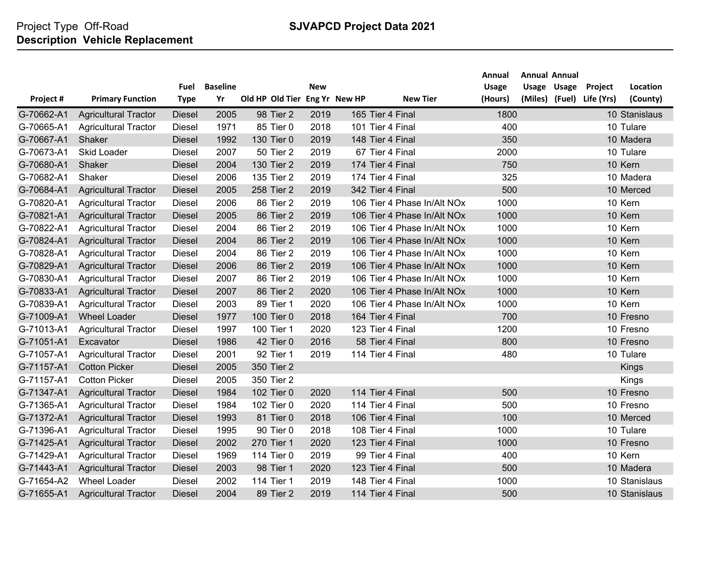|            |                             |               |                 |                               |            |                             | Annual       | Annual Annual             |         |               |
|------------|-----------------------------|---------------|-----------------|-------------------------------|------------|-----------------------------|--------------|---------------------------|---------|---------------|
|            |                             | Fuel          | <b>Baseline</b> |                               | <b>New</b> |                             | <b>Usage</b> | Usage Usage               | Project | Location      |
| Project #  | <b>Primary Function</b>     | <b>Type</b>   | Yr              | Old HP Old Tier Eng Yr New HP |            | <b>New Tier</b>             | (Hours)      | (Miles) (Fuel) Life (Yrs) |         | (County)      |
| G-70662-A1 | <b>Agricultural Tractor</b> | <b>Diesel</b> | 2005            | 98 Tier 2                     | 2019       | 165 Tier 4 Final            | 1800         |                           |         | 10 Stanislaus |
| G-70665-A1 | <b>Agricultural Tractor</b> | <b>Diesel</b> | 1971            | 85 Tier 0                     | 2018       | 101 Tier 4 Final            | 400          |                           |         | 10 Tulare     |
| G-70667-A1 | Shaker                      | <b>Diesel</b> | 1992            | 130 Tier 0                    | 2019       | 148 Tier 4 Final            | 350          |                           |         | 10 Madera     |
| G-70673-A1 | <b>Skid Loader</b>          | <b>Diesel</b> | 2007            | <b>50 Tier 2</b>              | 2019       | 67 Tier 4 Final             | 2000         |                           |         | 10 Tulare     |
| G-70680-A1 | Shaker                      | <b>Diesel</b> | 2004            | 130 Tier 2                    | 2019       | 174 Tier 4 Final            | 750          |                           |         | 10 Kern       |
| G-70682-A1 | Shaker                      | <b>Diesel</b> | 2006            | 135 Tier 2                    | 2019       | 174 Tier 4 Final            | 325          |                           |         | 10 Madera     |
| G-70684-A1 | <b>Agricultural Tractor</b> | <b>Diesel</b> | 2005            | 258 Tier 2                    | 2019       | 342 Tier 4 Final            | 500          |                           |         | 10 Merced     |
| G-70820-A1 | <b>Agricultural Tractor</b> | <b>Diesel</b> | 2006            | 86 Tier 2                     | 2019       | 106 Tier 4 Phase In/Alt NOx | 1000         |                           |         | 10 Kern       |
| G-70821-A1 | <b>Agricultural Tractor</b> | <b>Diesel</b> | 2005            | 86 Tier 2                     | 2019       | 106 Tier 4 Phase In/Alt NOx | 1000         |                           |         | 10 Kern       |
| G-70822-A1 | <b>Agricultural Tractor</b> | <b>Diesel</b> | 2004            | 86 Tier 2                     | 2019       | 106 Tier 4 Phase In/Alt NOx | 1000         |                           |         | 10 Kern       |
| G-70824-A1 | <b>Agricultural Tractor</b> | <b>Diesel</b> | 2004            | 86 Tier 2                     | 2019       | 106 Tier 4 Phase In/Alt NOx | 1000         |                           |         | 10 Kern       |
| G-70828-A1 | <b>Agricultural Tractor</b> | <b>Diesel</b> | 2004            | 86 Tier 2                     | 2019       | 106 Tier 4 Phase In/Alt NOx | 1000         |                           |         | 10 Kern       |
| G-70829-A1 | <b>Agricultural Tractor</b> | <b>Diesel</b> | 2006            | 86 Tier 2                     | 2019       | 106 Tier 4 Phase In/Alt NOx | 1000         |                           |         | 10 Kern       |
| G-70830-A1 | <b>Agricultural Tractor</b> | <b>Diesel</b> | 2007            | 86 Tier 2                     | 2019       | 106 Tier 4 Phase In/Alt NOx | 1000         |                           |         | 10 Kern       |
| G-70833-A1 | <b>Agricultural Tractor</b> | <b>Diesel</b> | 2007            | 86 Tier 2                     | 2020       | 106 Tier 4 Phase In/Alt NOx | 1000         |                           |         | 10 Kern       |
| G-70839-A1 | <b>Agricultural Tractor</b> | <b>Diesel</b> | 2003            | 89 Tier 1                     | 2020       | 106 Tier 4 Phase In/Alt NOx | 1000         |                           |         | 10 Kern       |
| G-71009-A1 | <b>Wheel Loader</b>         | <b>Diesel</b> | 1977            | 100 Tier 0                    | 2018       | 164 Tier 4 Final            | 700          |                           |         | 10 Fresno     |
| G-71013-A1 | <b>Agricultural Tractor</b> | <b>Diesel</b> | 1997            | 100 Tier 1                    | 2020       | 123 Tier 4 Final            | 1200         |                           |         | 10 Fresno     |
| G-71051-A1 | Excavator                   | <b>Diesel</b> | 1986            | 42 Tier 0                     | 2016       | 58 Tier 4 Final             | 800          |                           |         | 10 Fresno     |
| G-71057-A1 | <b>Agricultural Tractor</b> | <b>Diesel</b> | 2001            | 92 Tier 1                     | 2019       | 114 Tier 4 Final            | 480          |                           |         | 10 Tulare     |
| G-71157-A1 | <b>Cotton Picker</b>        | <b>Diesel</b> | 2005            | 350 Tier 2                    |            |                             |              |                           |         | Kings         |
| G-71157-A1 | <b>Cotton Picker</b>        | <b>Diesel</b> | 2005            | 350 Tier 2                    |            |                             |              |                           |         | Kings         |
| G-71347-A1 | <b>Agricultural Tractor</b> | <b>Diesel</b> | 1984            | 102 Tier 0                    | 2020       | 114 Tier 4 Final            | 500          |                           |         | 10 Fresno     |
| G-71365-A1 | <b>Agricultural Tractor</b> | Diesel        | 1984            | 102 Tier 0                    | 2020       | 114 Tier 4 Final            | 500          |                           |         | 10 Fresno     |
| G-71372-A1 | <b>Agricultural Tractor</b> | <b>Diesel</b> | 1993            | 81 Tier 0                     | 2018       | 106 Tier 4 Final            | 100          |                           |         | 10 Merced     |
| G-71396-A1 | <b>Agricultural Tractor</b> | <b>Diesel</b> | 1995            | 90 Tier 0                     | 2018       | 108 Tier 4 Final            | 1000         |                           |         | 10 Tulare     |
| G-71425-A1 | <b>Agricultural Tractor</b> | <b>Diesel</b> | 2002            | 270 Tier 1                    | 2020       | 123 Tier 4 Final            | 1000         |                           |         | 10 Fresno     |
| G-71429-A1 | <b>Agricultural Tractor</b> | <b>Diesel</b> | 1969            | 114 Tier 0                    | 2019       | 99 Tier 4 Final             | 400          |                           |         | 10 Kern       |
| G-71443-A1 | <b>Agricultural Tractor</b> | <b>Diesel</b> | 2003            | 98 Tier 1                     | 2020       | 123 Tier 4 Final            | 500          |                           |         | 10 Madera     |
| G-71654-A2 | <b>Wheel Loader</b>         | <b>Diesel</b> | 2002            | 114 Tier 1                    | 2019       | 148 Tier 4 Final            | 1000         |                           |         | 10 Stanislaus |
| G-71655-A1 | <b>Agricultural Tractor</b> | <b>Diesel</b> | 2004            | 89 Tier 2                     | 2019       | 114 Tier 4 Final            | 500          |                           |         | 10 Stanislaus |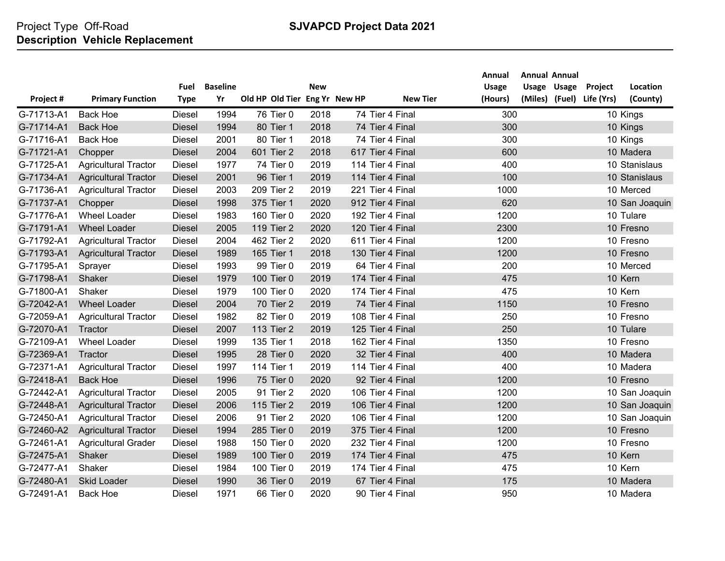|            |                             |               |                 |                               |            |                  | Annual       | <b>Annual Annual</b>      |                |
|------------|-----------------------------|---------------|-----------------|-------------------------------|------------|------------------|--------------|---------------------------|----------------|
|            |                             | Fuel          | <b>Baseline</b> |                               | <b>New</b> |                  | <b>Usage</b> | Usage Usage Project       | Location       |
| Project #  | <b>Primary Function</b>     | <b>Type</b>   | Yr              | Old HP Old Tier Eng Yr New HP |            | <b>New Tier</b>  | (Hours)      | (Miles) (Fuel) Life (Yrs) | (County)       |
| G-71713-A1 | <b>Back Hoe</b>             | <b>Diesel</b> | 1994            | 76 Tier 0                     | 2018       | 74 Tier 4 Final  | 300          |                           | 10 Kings       |
| G-71714-A1 | <b>Back Hoe</b>             | <b>Diesel</b> | 1994            | 80 Tier 1                     | 2018       | 74 Tier 4 Final  | 300          |                           | 10 Kings       |
| G-71716-A1 | <b>Back Hoe</b>             | <b>Diesel</b> | 2001            | 80 Tier 1                     | 2018       | 74 Tier 4 Final  | 300          |                           | 10 Kings       |
| G-71721-A1 | Chopper                     | <b>Diesel</b> | 2004            | 601 Tier 2                    | 2018       | 617 Tier 4 Final | 600          |                           | 10 Madera      |
| G-71725-A1 | <b>Agricultural Tractor</b> | <b>Diesel</b> | 1977            | 74 Tier 0                     | 2019       | 114 Tier 4 Final | 400          |                           | 10 Stanislaus  |
| G-71734-A1 | <b>Agricultural Tractor</b> | <b>Diesel</b> | 2001            | 96 Tier 1                     | 2019       | 114 Tier 4 Final | 100          |                           | 10 Stanislaus  |
| G-71736-A1 | <b>Agricultural Tractor</b> | <b>Diesel</b> | 2003            | 209 Tier 2                    | 2019       | 221 Tier 4 Final | 1000         |                           | 10 Merced      |
| G-71737-A1 | Chopper                     | <b>Diesel</b> | 1998            | 375 Tier 1                    | 2020       | 912 Tier 4 Final | 620          |                           | 10 San Joaquin |
| G-71776-A1 | <b>Wheel Loader</b>         | <b>Diesel</b> | 1983            | 160 Tier 0                    | 2020       | 192 Tier 4 Final | 1200         |                           | 10 Tulare      |
| G-71791-A1 | <b>Wheel Loader</b>         | <b>Diesel</b> | 2005            | 119 Tier 2                    | 2020       | 120 Tier 4 Final | 2300         |                           | 10 Fresno      |
| G-71792-A1 | <b>Agricultural Tractor</b> | Diesel        | 2004            | 462 Tier 2                    | 2020       | 611 Tier 4 Final | 1200         |                           | 10 Fresno      |
| G-71793-A1 | <b>Agricultural Tractor</b> | <b>Diesel</b> | 1989            | 165 Tier 1                    | 2018       | 130 Tier 4 Final | 1200         |                           | 10 Fresno      |
| G-71795-A1 | Sprayer                     | Diesel        | 1993            | 99 Tier 0                     | 2019       | 64 Tier 4 Final  | 200          |                           | 10 Merced      |
| G-71798-A1 | Shaker                      | <b>Diesel</b> | 1979            | 100 Tier 0                    | 2019       | 174 Tier 4 Final | 475          |                           | 10 Kern        |
| G-71800-A1 | Shaker                      | <b>Diesel</b> | 1979            | 100 Tier 0                    | 2020       | 174 Tier 4 Final | 475          |                           | 10 Kern        |
| G-72042-A1 | <b>Wheel Loader</b>         | <b>Diesel</b> | 2004            | 70 Tier 2                     | 2019       | 74 Tier 4 Final  | 1150         |                           | 10 Fresno      |
| G-72059-A1 | <b>Agricultural Tractor</b> | Diesel        | 1982            | 82 Tier 0                     | 2019       | 108 Tier 4 Final | 250          |                           | 10 Fresno      |
| G-72070-A1 | Tractor                     | <b>Diesel</b> | 2007            | 113 Tier 2                    | 2019       | 125 Tier 4 Final | 250          |                           | 10 Tulare      |
| G-72109-A1 | <b>Wheel Loader</b>         | <b>Diesel</b> | 1999            | 135 Tier 1                    | 2018       | 162 Tier 4 Final | 1350         |                           | 10 Fresno      |
| G-72369-A1 | Tractor                     | <b>Diesel</b> | 1995            | 28 Tier 0                     | 2020       | 32 Tier 4 Final  | 400          |                           | 10 Madera      |
| G-72371-A1 | <b>Agricultural Tractor</b> | <b>Diesel</b> | 1997            | 114 Tier 1                    | 2019       | 114 Tier 4 Final | 400          |                           | 10 Madera      |
| G-72418-A1 | <b>Back Hoe</b>             | <b>Diesel</b> | 1996            | 75 Tier 0                     | 2020       | 92 Tier 4 Final  | 1200         |                           | 10 Fresno      |
| G-72442-A1 | <b>Agricultural Tractor</b> | <b>Diesel</b> | 2005            | 91 Tier 2                     | 2020       | 106 Tier 4 Final | 1200         |                           | 10 San Joaquin |
| G-72448-A1 | <b>Agricultural Tractor</b> | <b>Diesel</b> | 2006            | 115 Tier 2                    | 2019       | 106 Tier 4 Final | 1200         |                           | 10 San Joaquin |
| G-72450-A1 | <b>Agricultural Tractor</b> | <b>Diesel</b> | 2006            | 91 Tier 2                     | 2020       | 106 Tier 4 Final | 1200         |                           | 10 San Joaquin |
| G-72460-A2 | <b>Agricultural Tractor</b> | <b>Diesel</b> | 1994            | 285 Tier 0                    | 2019       | 375 Tier 4 Final | 1200         |                           | 10 Fresno      |
| G-72461-A1 | <b>Agricultural Grader</b>  | <b>Diesel</b> | 1988            | 150 Tier 0                    | 2020       | 232 Tier 4 Final | 1200         |                           | 10 Fresno      |
| G-72475-A1 | Shaker                      | <b>Diesel</b> | 1989            | 100 Tier 0                    | 2019       | 174 Tier 4 Final | 475          |                           | 10 Kern        |
| G-72477-A1 | Shaker                      | Diesel        | 1984            | 100 Tier 0                    | 2019       | 174 Tier 4 Final | 475          |                           | 10 Kern        |
| G-72480-A1 | <b>Skid Loader</b>          | <b>Diesel</b> | 1990            | 36 Tier 0                     | 2019       | 67 Tier 4 Final  | 175          |                           | 10 Madera      |
| G-72491-A1 | <b>Back Hoe</b>             | <b>Diesel</b> | 1971            | 66 Tier 0                     | 2020       | 90 Tier 4 Final  | 950          |                           | 10 Madera      |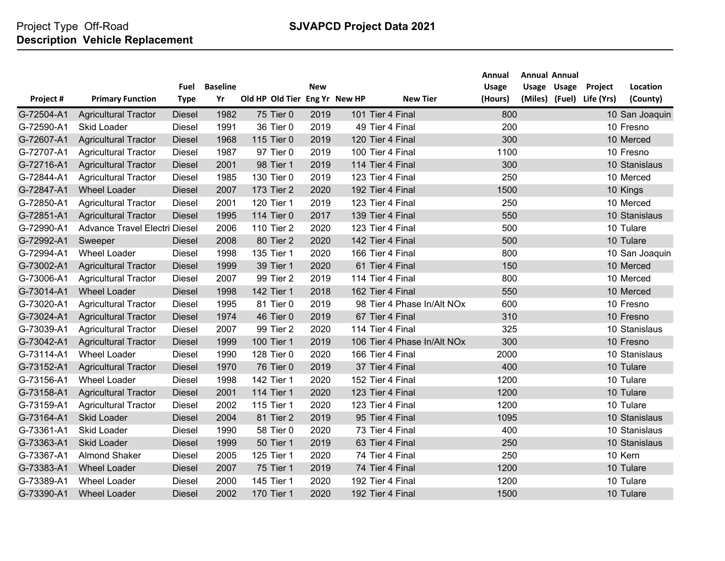|            |                                      |               |                 |                               |            |                             | Annual       | <b>Annual Annual</b> |                           |                |
|------------|--------------------------------------|---------------|-----------------|-------------------------------|------------|-----------------------------|--------------|----------------------|---------------------------|----------------|
|            |                                      | Fuel          | <b>Baseline</b> |                               | <b>New</b> |                             | <b>Usage</b> | Usage Usage          | Project                   | Location       |
| Project#   | <b>Primary Function</b>              | <b>Type</b>   | Yr              | Old HP Old Tier Eng Yr New HP |            | <b>New Tier</b>             | (Hours)      |                      | (Miles) (Fuel) Life (Yrs) | (County)       |
| G-72504-A1 | <b>Agricultural Tractor</b>          | <b>Diesel</b> | 1982            | 75 Tier 0                     | 2019       | 101 Tier 4 Final            | 800          |                      |                           | 10 San Joaquin |
| G-72590-A1 | <b>Skid Loader</b>                   | <b>Diesel</b> | 1991            | 36 Tier 0                     | 2019       | 49 Tier 4 Final             | 200          |                      |                           | 10 Fresno      |
| G-72607-A1 | <b>Agricultural Tractor</b>          | <b>Diesel</b> | 1968            | 115 Tier 0                    | 2019       | 120 Tier 4 Final            | 300          |                      |                           | 10 Merced      |
| G-72707-A1 | <b>Agricultural Tractor</b>          | <b>Diesel</b> | 1987            | 97 Tier 0                     | 2019       | 100 Tier 4 Final            | 1100         |                      |                           | 10 Fresno      |
| G-72716-A1 | <b>Agricultural Tractor</b>          | <b>Diesel</b> | 2001            | 98 Tier 1                     | 2019       | 114 Tier 4 Final            | 300          |                      |                           | 10 Stanislaus  |
| G-72844-A1 | <b>Agricultural Tractor</b>          | <b>Diesel</b> | 1985            | 130 Tier 0                    | 2019       | 123 Tier 4 Final            | 250          |                      |                           | 10 Merced      |
| G-72847-A1 | <b>Wheel Loader</b>                  | <b>Diesel</b> | 2007            | 173 Tier 2                    | 2020       | 192 Tier 4 Final            | 1500         |                      |                           | 10 Kings       |
| G-72850-A1 | <b>Agricultural Tractor</b>          | <b>Diesel</b> | 2001            | 120 Tier 1                    | 2019       | 123 Tier 4 Final            | 250          |                      |                           | 10 Merced      |
| G-72851-A1 | <b>Agricultural Tractor</b>          | <b>Diesel</b> | 1995            | 114 Tier 0                    | 2017       | 139 Tier 4 Final            | 550          |                      |                           | 10 Stanislaus  |
| G-72990-A1 | <b>Advance Travel Electri Diesel</b> |               | 2006            | 110 Tier 2                    | 2020       | 123 Tier 4 Final            | 500          |                      |                           | 10 Tulare      |
| G-72992-A1 | Sweeper                              | <b>Diesel</b> | 2008            | 80 Tier 2                     | 2020       | 142 Tier 4 Final            | 500          |                      |                           | 10 Tulare      |
| G-72994-A1 | <b>Wheel Loader</b>                  | Diesel        | 1998            | 135 Tier 1                    | 2020       | 166 Tier 4 Final            | 800          |                      |                           | 10 San Joaquin |
| G-73002-A1 | <b>Agricultural Tractor</b>          | <b>Diesel</b> | 1999            | 39 Tier 1                     | 2020       | 61 Tier 4 Final             | 150          |                      |                           | 10 Merced      |
| G-73006-A1 | <b>Agricultural Tractor</b>          | <b>Diesel</b> | 2007            | 99 Tier 2                     | 2019       | 114 Tier 4 Final            | 800          |                      |                           | 10 Merced      |
| G-73014-A1 | <b>Wheel Loader</b>                  | <b>Diesel</b> | 1998            | 142 Tier 1                    | 2018       | 162 Tier 4 Final            | 550          |                      |                           | 10 Merced      |
| G-73020-A1 | <b>Agricultural Tractor</b>          | <b>Diesel</b> | 1995            | 81 Tier 0                     | 2019       | 98 Tier 4 Phase In/Alt NOx  | 600          |                      |                           | 10 Fresno      |
| G-73024-A1 | <b>Agricultural Tractor</b>          | <b>Diesel</b> | 1974            | 46 Tier 0                     | 2019       | 67 Tier 4 Final             | 310          |                      |                           | 10 Fresno      |
| G-73039-A1 | <b>Agricultural Tractor</b>          | <b>Diesel</b> | 2007            | 99 Tier 2                     | 2020       | 114 Tier 4 Final            | 325          |                      |                           | 10 Stanislaus  |
| G-73042-A1 | <b>Agricultural Tractor</b>          | <b>Diesel</b> | 1999            | 100 Tier 1                    | 2019       | 106 Tier 4 Phase In/Alt NOx | 300          |                      |                           | 10 Fresno      |
| G-73114-A1 | <b>Wheel Loader</b>                  | <b>Diesel</b> | 1990            | 128 Tier 0                    | 2020       | 166 Tier 4 Final            | 2000         |                      |                           | 10 Stanislaus  |
| G-73152-A1 | <b>Agricultural Tractor</b>          | <b>Diesel</b> | 1970            | 76 Tier 0                     | 2019       | 37 Tier 4 Final             | 400          |                      |                           | 10 Tulare      |
| G-73156-A1 | <b>Wheel Loader</b>                  | <b>Diesel</b> | 1998            | 142 Tier 1                    | 2020       | 152 Tier 4 Final            | 1200         |                      |                           | 10 Tulare      |
| G-73158-A1 | <b>Agricultural Tractor</b>          | <b>Diesel</b> | 2001            | 114 Tier 1                    | 2020       | 123 Tier 4 Final            | 1200         |                      |                           | 10 Tulare      |
| G-73159-A1 | <b>Agricultural Tractor</b>          | <b>Diesel</b> | 2002            | 115 Tier 1                    | 2020       | 123 Tier 4 Final            | 1200         |                      |                           | 10 Tulare      |
| G-73164-A1 | <b>Skid Loader</b>                   | <b>Diesel</b> | 2004            | 81 Tier 2                     | 2019       | 95 Tier 4 Final             | 1095         |                      |                           | 10 Stanislaus  |
| G-73361-A1 | <b>Skid Loader</b>                   | Diesel        | 1990            | 58 Tier 0                     | 2020       | 73 Tier 4 Final             | 400          |                      |                           | 10 Stanislaus  |
| G-73363-A1 | <b>Skid Loader</b>                   | <b>Diesel</b> | 1999            | 50 Tier 1                     | 2019       | 63 Tier 4 Final             | 250          |                      |                           | 10 Stanislaus  |
| G-73367-A1 | <b>Almond Shaker</b>                 | Diesel        | 2005            | 125 Tier 1                    | 2020       | 74 Tier 4 Final             | 250          |                      |                           | 10 Kern        |
| G-73383-A1 | <b>Wheel Loader</b>                  | <b>Diesel</b> | 2007            | 75 Tier 1                     | 2019       | 74 Tier 4 Final             | 1200         |                      |                           | 10 Tulare      |
| G-73389-A1 | <b>Wheel Loader</b>                  | Diesel        | 2000            | 145 Tier 1                    | 2020       | 192 Tier 4 Final            | 1200         |                      |                           | 10 Tulare      |
| G-73390-A1 | <b>Wheel Loader</b>                  | <b>Diesel</b> | 2002            | 170 Tier 1                    | 2020       | 192 Tier 4 Final            | 1500         |                      |                           | 10 Tulare      |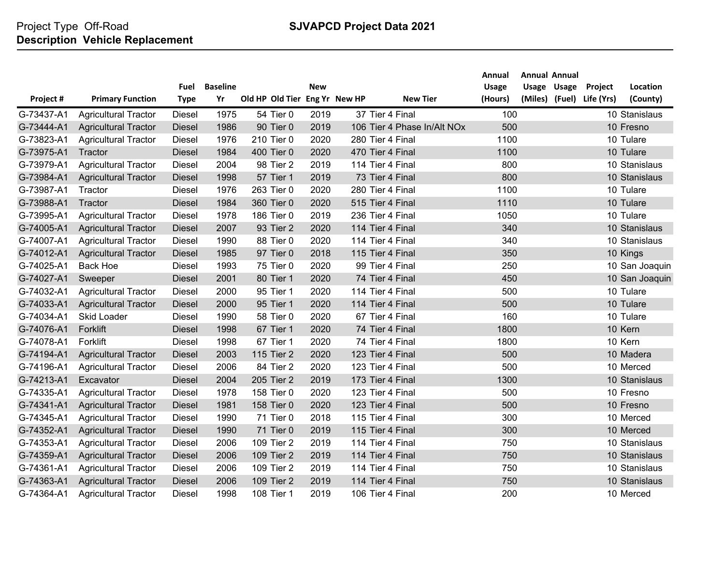|            |                             |               |                 |                               |            |                             | Annual       | <b>Annual Annual</b>      |         |                |
|------------|-----------------------------|---------------|-----------------|-------------------------------|------------|-----------------------------|--------------|---------------------------|---------|----------------|
|            |                             | Fuel          | <b>Baseline</b> |                               | <b>New</b> |                             | <b>Usage</b> | Usage Usage               | Project | Location       |
| Project #  | <b>Primary Function</b>     | <b>Type</b>   | Yr              | Old HP Old Tier Eng Yr New HP |            | <b>New Tier</b>             | (Hours)      | (Miles) (Fuel) Life (Yrs) |         | (County)       |
| G-73437-A1 | <b>Agricultural Tractor</b> | <b>Diesel</b> | 1975            | 54 Tier 0                     | 2019       | 37 Tier 4 Final             | 100          |                           |         | 10 Stanislaus  |
| G-73444-A1 | <b>Agricultural Tractor</b> | <b>Diesel</b> | 1986            | 90 Tier 0                     | 2019       | 106 Tier 4 Phase In/Alt NOx | 500          |                           |         | 10 Fresno      |
| G-73823-A1 | <b>Agricultural Tractor</b> | <b>Diesel</b> | 1976            | 210 Tier 0                    | 2020       | 280 Tier 4 Final            | 1100         |                           |         | 10 Tulare      |
| G-73975-A1 | Tractor                     | <b>Diesel</b> | 1984            | 400 Tier 0                    | 2020       | 470 Tier 4 Final            | 1100         |                           |         | 10 Tulare      |
| G-73979-A1 | <b>Agricultural Tractor</b> | <b>Diesel</b> | 2004            | 98 Tier 2                     | 2019       | 114 Tier 4 Final            | 800          |                           |         | 10 Stanislaus  |
| G-73984-A1 | <b>Agricultural Tractor</b> | <b>Diesel</b> | 1998            | 57 Tier 1                     | 2019       | 73 Tier 4 Final             | 800          |                           |         | 10 Stanislaus  |
| G-73987-A1 | Tractor                     | <b>Diesel</b> | 1976            | 263 Tier 0                    | 2020       | 280 Tier 4 Final            | 1100         |                           |         | 10 Tulare      |
| G-73988-A1 | Tractor                     | <b>Diesel</b> | 1984            | 360 Tier 0                    | 2020       | 515 Tier 4 Final            | 1110         |                           |         | 10 Tulare      |
| G-73995-A1 | <b>Agricultural Tractor</b> | <b>Diesel</b> | 1978            | 186 Tier 0                    | 2019       | 236 Tier 4 Final            | 1050         |                           |         | 10 Tulare      |
| G-74005-A1 | <b>Agricultural Tractor</b> | <b>Diesel</b> | 2007            | 93 Tier 2                     | 2020       | 114 Tier 4 Final            | 340          |                           |         | 10 Stanislaus  |
| G-74007-A1 | <b>Agricultural Tractor</b> | <b>Diesel</b> | 1990            | 88 Tier 0                     | 2020       | 114 Tier 4 Final            | 340          |                           |         | 10 Stanislaus  |
| G-74012-A1 | <b>Agricultural Tractor</b> | <b>Diesel</b> | 1985            | 97 Tier 0                     | 2018       | 115 Tier 4 Final            | 350          |                           |         | 10 Kings       |
| G-74025-A1 | <b>Back Hoe</b>             | <b>Diesel</b> | 1993            | 75 Tier 0                     | 2020       | 99 Tier 4 Final             | 250          |                           |         | 10 San Joaquin |
| G-74027-A1 | Sweeper                     | <b>Diesel</b> | 2001            | 80 Tier 1                     | 2020       | 74 Tier 4 Final             | 450          |                           |         | 10 San Joaquin |
| G-74032-A1 | <b>Agricultural Tractor</b> | <b>Diesel</b> | 2000            | 95 Tier 1                     | 2020       | 114 Tier 4 Final            | 500          |                           |         | 10 Tulare      |
| G-74033-A1 | <b>Agricultural Tractor</b> | <b>Diesel</b> | 2000            | 95 Tier 1                     | 2020       | 114 Tier 4 Final            | 500          |                           |         | 10 Tulare      |
| G-74034-A1 | <b>Skid Loader</b>          | Diesel        | 1990            | 58 Tier 0                     | 2020       | 67 Tier 4 Final             | 160          |                           |         | 10 Tulare      |
| G-74076-A1 | Forklift                    | <b>Diesel</b> | 1998            | 67 Tier 1                     | 2020       | 74 Tier 4 Final             | 1800         |                           |         | 10 Kern        |
| G-74078-A1 | Forklift                    | Diesel        | 1998            | 67 Tier 1                     | 2020       | 74 Tier 4 Final             | 1800         |                           |         | 10 Kern        |
| G-74194-A1 | <b>Agricultural Tractor</b> | <b>Diesel</b> | 2003            | 115 Tier 2                    | 2020       | 123 Tier 4 Final            | 500          |                           |         | 10 Madera      |
| G-74196-A1 | <b>Agricultural Tractor</b> | Diesel        | 2006            | 84 Tier 2                     | 2020       | 123 Tier 4 Final            | 500          |                           |         | 10 Merced      |
| G-74213-A1 | Excavator                   | <b>Diesel</b> | 2004            | 205 Tier 2                    | 2019       | 173 Tier 4 Final            | 1300         |                           |         | 10 Stanislaus  |
| G-74335-A1 | <b>Agricultural Tractor</b> | <b>Diesel</b> | 1978            | 158 Tier 0                    | 2020       | 123 Tier 4 Final            | 500          |                           |         | 10 Fresno      |
| G-74341-A1 | <b>Agricultural Tractor</b> | <b>Diesel</b> | 1981            | 158 Tier 0                    | 2020       | 123 Tier 4 Final            | 500          |                           |         | 10 Fresno      |
| G-74345-A1 | <b>Agricultural Tractor</b> | <b>Diesel</b> | 1990            | 71 Tier 0                     | 2018       | 115 Tier 4 Final            | 300          |                           |         | 10 Merced      |
| G-74352-A1 | <b>Agricultural Tractor</b> | <b>Diesel</b> | 1990            | 71 Tier 0                     | 2019       | 115 Tier 4 Final            | 300          |                           |         | 10 Merced      |
| G-74353-A1 | <b>Agricultural Tractor</b> | <b>Diesel</b> | 2006            | 109 Tier 2                    | 2019       | 114 Tier 4 Final            | 750          |                           |         | 10 Stanislaus  |
| G-74359-A1 | <b>Agricultural Tractor</b> | <b>Diesel</b> | 2006            | 109 Tier 2                    | 2019       | 114 Tier 4 Final            | 750          |                           |         | 10 Stanislaus  |
| G-74361-A1 | <b>Agricultural Tractor</b> | Diesel        | 2006            | 109 Tier 2                    | 2019       | 114 Tier 4 Final            | 750          |                           |         | 10 Stanislaus  |
| G-74363-A1 | <b>Agricultural Tractor</b> | <b>Diesel</b> | 2006            | 109 Tier 2                    | 2019       | 114 Tier 4 Final            | 750          |                           |         | 10 Stanislaus  |
| G-74364-A1 | <b>Agricultural Tractor</b> | <b>Diesel</b> | 1998            | 108 Tier 1                    | 2019       | 106 Tier 4 Final            | 200          |                           |         | 10 Merced      |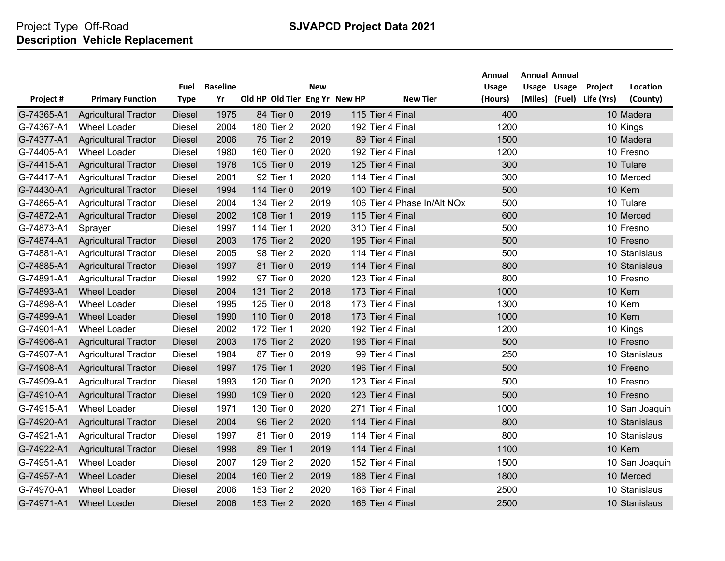|            |                             |               |                 |                               |            |                             | Annual       | Annual Annual |                           |                |
|------------|-----------------------------|---------------|-----------------|-------------------------------|------------|-----------------------------|--------------|---------------|---------------------------|----------------|
|            |                             | Fuel          | <b>Baseline</b> |                               | <b>New</b> |                             | <b>Usage</b> | Usage Usage   | Project                   | Location       |
| Project #  | <b>Primary Function</b>     | <b>Type</b>   | Yr              | Old HP Old Tier Eng Yr New HP |            | <b>New Tier</b>             | (Hours)      |               | (Miles) (Fuel) Life (Yrs) | (County)       |
| G-74365-A1 | <b>Agricultural Tractor</b> | <b>Diesel</b> | 1975            | 84 Tier 0                     | 2019       | 115 Tier 4 Final            | 400          |               |                           | 10 Madera      |
| G-74367-A1 | <b>Wheel Loader</b>         | <b>Diesel</b> | 2004            | 180 Tier 2                    | 2020       | 192 Tier 4 Final            | 1200         |               |                           | 10 Kings       |
| G-74377-A1 | <b>Agricultural Tractor</b> | <b>Diesel</b> | 2006            | <b>75 Tier 2</b>              | 2019       | 89 Tier 4 Final             | 1500         |               |                           | 10 Madera      |
| G-74405-A1 | <b>Wheel Loader</b>         | <b>Diesel</b> | 1980            | 160 Tier 0                    | 2020       | 192 Tier 4 Final            | 1200         |               |                           | 10 Fresno      |
| G-74415-A1 | <b>Agricultural Tractor</b> | <b>Diesel</b> | 1978            | 105 Tier 0                    | 2019       | 125 Tier 4 Final            | 300          |               |                           | 10 Tulare      |
| G-74417-A1 | <b>Agricultural Tractor</b> | <b>Diesel</b> | 2001            | 92 Tier 1                     | 2020       | 114 Tier 4 Final            | 300          |               |                           | 10 Merced      |
| G-74430-A1 | <b>Agricultural Tractor</b> | <b>Diesel</b> | 1994            | 114 Tier 0                    | 2019       | 100 Tier 4 Final            | 500          |               |                           | 10 Kern        |
| G-74865-A1 | <b>Agricultural Tractor</b> | <b>Diesel</b> | 2004            | 134 Tier 2                    | 2019       | 106 Tier 4 Phase In/Alt NOx | 500          |               |                           | 10 Tulare      |
| G-74872-A1 | <b>Agricultural Tractor</b> | <b>Diesel</b> | 2002            | 108 Tier 1                    | 2019       | 115 Tier 4 Final            | 600          |               |                           | 10 Merced      |
| G-74873-A1 | Sprayer                     | <b>Diesel</b> | 1997            | 114 Tier 1                    | 2020       | 310 Tier 4 Final            | 500          |               |                           | 10 Fresno      |
| G-74874-A1 | <b>Agricultural Tractor</b> | <b>Diesel</b> | 2003            | 175 Tier 2                    | 2020       | 195 Tier 4 Final            | 500          |               |                           | 10 Fresno      |
| G-74881-A1 | <b>Agricultural Tractor</b> | <b>Diesel</b> | 2005            | 98 Tier 2                     | 2020       | 114 Tier 4 Final            | 500          |               |                           | 10 Stanislaus  |
| G-74885-A1 | <b>Agricultural Tractor</b> | <b>Diesel</b> | 1997            | 81 Tier 0                     | 2019       | 114 Tier 4 Final            | 800          |               |                           | 10 Stanislaus  |
| G-74891-A1 | <b>Agricultural Tractor</b> | <b>Diesel</b> | 1992            | 97 Tier 0                     | 2020       | 123 Tier 4 Final            | 800          |               |                           | 10 Fresno      |
| G-74893-A1 | <b>Wheel Loader</b>         | <b>Diesel</b> | 2004            | 131 Tier 2                    | 2018       | 173 Tier 4 Final            | 1000         |               |                           | 10 Kern        |
| G-74898-A1 | <b>Wheel Loader</b>         | <b>Diesel</b> | 1995            | 125 Tier 0                    | 2018       | 173 Tier 4 Final            | 1300         |               |                           | 10 Kern        |
| G-74899-A1 | <b>Wheel Loader</b>         | <b>Diesel</b> | 1990            | 110 Tier 0                    | 2018       | 173 Tier 4 Final            | 1000         |               |                           | 10 Kern        |
| G-74901-A1 | <b>Wheel Loader</b>         | <b>Diesel</b> | 2002            | 172 Tier 1                    | 2020       | 192 Tier 4 Final            | 1200         |               |                           | 10 Kings       |
| G-74906-A1 | <b>Agricultural Tractor</b> | <b>Diesel</b> | 2003            | 175 Tier 2                    | 2020       | 196 Tier 4 Final            | 500          |               |                           | 10 Fresno      |
| G-74907-A1 | <b>Agricultural Tractor</b> | <b>Diesel</b> | 1984            | 87 Tier 0                     | 2019       | 99 Tier 4 Final             | 250          |               |                           | 10 Stanislaus  |
| G-74908-A1 | <b>Agricultural Tractor</b> | <b>Diesel</b> | 1997            | 175 Tier 1                    | 2020       | 196 Tier 4 Final            | 500          |               |                           | 10 Fresno      |
| G-74909-A1 | <b>Agricultural Tractor</b> | <b>Diesel</b> | 1993            | 120 Tier 0                    | 2020       | 123 Tier 4 Final            | 500          |               |                           | 10 Fresno      |
| G-74910-A1 | <b>Agricultural Tractor</b> | <b>Diesel</b> | 1990            | 109 Tier 0                    | 2020       | 123 Tier 4 Final            | 500          |               |                           | 10 Fresno      |
| G-74915-A1 | <b>Wheel Loader</b>         | <b>Diesel</b> | 1971            | 130 Tier 0                    | 2020       | 271 Tier 4 Final            | 1000         |               |                           | 10 San Joaquin |
| G-74920-A1 | <b>Agricultural Tractor</b> | <b>Diesel</b> | 2004            | 96 Tier 2                     | 2020       | 114 Tier 4 Final            | 800          |               |                           | 10 Stanislaus  |
| G-74921-A1 | <b>Agricultural Tractor</b> | <b>Diesel</b> | 1997            | 81 Tier 0                     | 2019       | 114 Tier 4 Final            | 800          |               |                           | 10 Stanislaus  |
| G-74922-A1 | <b>Agricultural Tractor</b> | <b>Diesel</b> | 1998            | 89 Tier 1                     | 2019       | 114 Tier 4 Final            | 1100         |               |                           | 10 Kern        |
| G-74951-A1 | <b>Wheel Loader</b>         | <b>Diesel</b> | 2007            | 129 Tier 2                    | 2020       | 152 Tier 4 Final            | 1500         |               |                           | 10 San Joaquin |
| G-74957-A1 | <b>Wheel Loader</b>         | <b>Diesel</b> | 2004            | 160 Tier 2                    | 2019       | 188 Tier 4 Final            | 1800         |               |                           | 10 Merced      |
| G-74970-A1 | <b>Wheel Loader</b>         | <b>Diesel</b> | 2006            | 153 Tier 2                    | 2020       | 166 Tier 4 Final            | 2500         |               |                           | 10 Stanislaus  |
| G-74971-A1 | <b>Wheel Loader</b>         | <b>Diesel</b> | 2006            | 153 Tier 2                    | 2020       | 166 Tier 4 Final            | 2500         |               |                           | 10 Stanislaus  |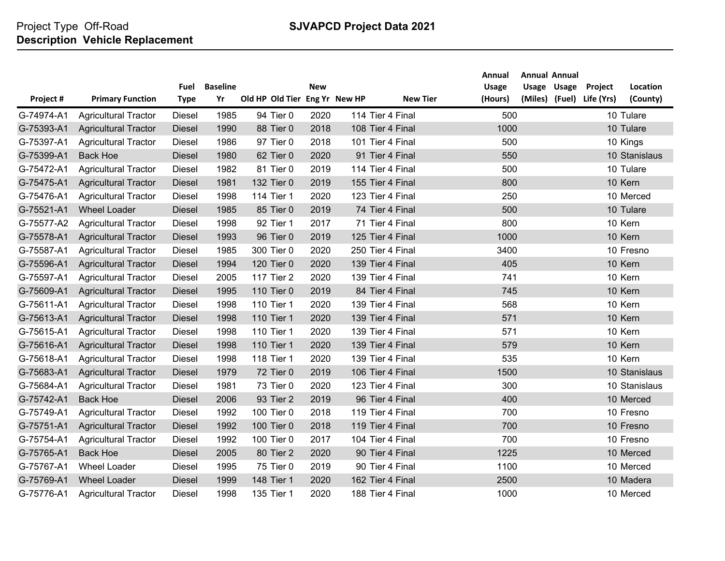|            |                             |                     |                       |                               |            |                  | Annual                  | Annual Annual                                    |                      |
|------------|-----------------------------|---------------------|-----------------------|-------------------------------|------------|------------------|-------------------------|--------------------------------------------------|----------------------|
| Project #  | <b>Primary Function</b>     | Fuel<br><b>Type</b> | <b>Baseline</b><br>Yr | Old HP Old Tier Eng Yr New HP | <b>New</b> | <b>New Tier</b>  | <b>Usage</b><br>(Hours) | Usage Usage Project<br>(Miles) (Fuel) Life (Yrs) | Location<br>(County) |
|            |                             |                     |                       |                               |            |                  |                         |                                                  |                      |
| G-74974-A1 | <b>Agricultural Tractor</b> | <b>Diesel</b>       | 1985                  | 94 Tier 0                     | 2020       | 114 Tier 4 Final | 500                     |                                                  | 10 Tulare            |
| G-75393-A1 | <b>Agricultural Tractor</b> | <b>Diesel</b>       | 1990                  | 88 Tier 0                     | 2018       | 108 Tier 4 Final | 1000                    |                                                  | 10 Tulare            |
| G-75397-A1 | <b>Agricultural Tractor</b> | <b>Diesel</b>       | 1986                  | 97 Tier 0                     | 2018       | 101 Tier 4 Final | 500                     |                                                  | 10 Kings             |
| G-75399-A1 | <b>Back Hoe</b>             | <b>Diesel</b>       | 1980                  | 62 Tier 0                     | 2020       | 91 Tier 4 Final  | 550                     |                                                  | 10 Stanislaus        |
| G-75472-A1 | <b>Agricultural Tractor</b> | <b>Diesel</b>       | 1982                  | 81 Tier 0                     | 2019       | 114 Tier 4 Final | 500                     |                                                  | 10 Tulare            |
| G-75475-A1 | <b>Agricultural Tractor</b> | <b>Diesel</b>       | 1981                  | 132 Tier 0                    | 2019       | 155 Tier 4 Final | 800                     |                                                  | 10 Kern              |
| G-75476-A1 | <b>Agricultural Tractor</b> | Diesel              | 1998                  | 114 Tier 1                    | 2020       | 123 Tier 4 Final | 250                     |                                                  | 10 Merced            |
| G-75521-A1 | <b>Wheel Loader</b>         | <b>Diesel</b>       | 1985                  | 85 Tier 0                     | 2019       | 74 Tier 4 Final  | 500                     |                                                  | 10 Tulare            |
| G-75577-A2 | <b>Agricultural Tractor</b> | <b>Diesel</b>       | 1998                  | 92 Tier 1                     | 2017       | 71 Tier 4 Final  | 800                     |                                                  | 10 Kern              |
| G-75578-A1 | <b>Agricultural Tractor</b> | <b>Diesel</b>       | 1993                  | 96 Tier 0                     | 2019       | 125 Tier 4 Final | 1000                    |                                                  | 10 Kern              |
| G-75587-A1 | <b>Agricultural Tractor</b> | Diesel              | 1985                  | 300 Tier 0                    | 2020       | 250 Tier 4 Final | 3400                    |                                                  | 10 Fresno            |
| G-75596-A1 | <b>Agricultural Tractor</b> | <b>Diesel</b>       | 1994                  | 120 Tier 0                    | 2020       | 139 Tier 4 Final | 405                     |                                                  | 10 Kern              |
| G-75597-A1 | <b>Agricultural Tractor</b> | <b>Diesel</b>       | 2005                  | 117 Tier 2                    | 2020       | 139 Tier 4 Final | 741                     |                                                  | 10 Kern              |
| G-75609-A1 | <b>Agricultural Tractor</b> | <b>Diesel</b>       | 1995                  | 110 Tier 0                    | 2019       | 84 Tier 4 Final  | 745                     |                                                  | 10 Kern              |
| G-75611-A1 | <b>Agricultural Tractor</b> | <b>Diesel</b>       | 1998                  | 110 Tier 1                    | 2020       | 139 Tier 4 Final | 568                     |                                                  | 10 Kern              |
| G-75613-A1 | <b>Agricultural Tractor</b> | <b>Diesel</b>       | 1998                  | 110 Tier 1                    | 2020       | 139 Tier 4 Final | 571                     |                                                  | 10 Kern              |
| G-75615-A1 | <b>Agricultural Tractor</b> | <b>Diesel</b>       | 1998                  | 110 Tier 1                    | 2020       | 139 Tier 4 Final | 571                     |                                                  | 10 Kern              |
| G-75616-A1 | <b>Agricultural Tractor</b> | <b>Diesel</b>       | 1998                  | 110 Tier 1                    | 2020       | 139 Tier 4 Final | 579                     |                                                  | 10 Kern              |
| G-75618-A1 | <b>Agricultural Tractor</b> | <b>Diesel</b>       | 1998                  | 118 Tier 1                    | 2020       | 139 Tier 4 Final | 535                     |                                                  | 10 Kern              |
| G-75683-A1 | <b>Agricultural Tractor</b> | <b>Diesel</b>       | 1979                  | 72 Tier 0                     | 2019       | 106 Tier 4 Final | 1500                    |                                                  | 10 Stanislaus        |
| G-75684-A1 | <b>Agricultural Tractor</b> | <b>Diesel</b>       | 1981                  | 73 Tier 0                     | 2020       | 123 Tier 4 Final | 300                     |                                                  | 10 Stanislaus        |
| G-75742-A1 | <b>Back Hoe</b>             | <b>Diesel</b>       | 2006                  | 93 Tier 2                     | 2019       | 96 Tier 4 Final  | 400                     |                                                  | 10 Merced            |
| G-75749-A1 | <b>Agricultural Tractor</b> | <b>Diesel</b>       | 1992                  | 100 Tier 0                    | 2018       | 119 Tier 4 Final | 700                     |                                                  | 10 Fresno            |
| G-75751-A1 | <b>Agricultural Tractor</b> | <b>Diesel</b>       | 1992                  | 100 Tier 0                    | 2018       | 119 Tier 4 Final | 700                     |                                                  | 10 Fresno            |
| G-75754-A1 | <b>Agricultural Tractor</b> | Diesel              | 1992                  | 100 Tier 0                    | 2017       | 104 Tier 4 Final | 700                     |                                                  | 10 Fresno            |
| G-75765-A1 | <b>Back Hoe</b>             | <b>Diesel</b>       | 2005                  | 80 Tier 2                     | 2020       | 90 Tier 4 Final  | 1225                    |                                                  | 10 Merced            |
| G-75767-A1 | <b>Wheel Loader</b>         | <b>Diesel</b>       | 1995                  | 75 Tier 0                     | 2019       | 90 Tier 4 Final  | 1100                    |                                                  | 10 Merced            |
| G-75769-A1 | <b>Wheel Loader</b>         | <b>Diesel</b>       | 1999                  | 148 Tier 1                    | 2020       | 162 Tier 4 Final | 2500                    |                                                  | 10 Madera            |
| G-75776-A1 | <b>Agricultural Tractor</b> | <b>Diesel</b>       | 1998                  | 135 Tier 1                    | 2020       | 188 Tier 4 Final | 1000                    |                                                  | 10 Merced            |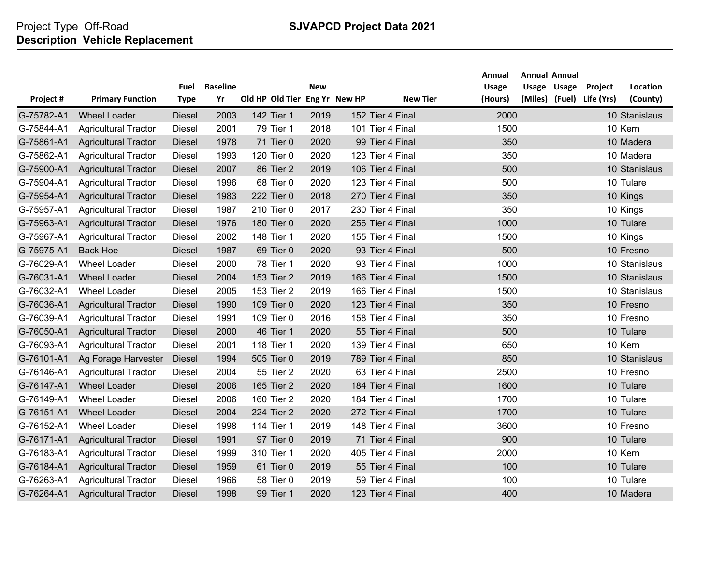| <b>Baseline</b><br>Fuel<br><b>New</b><br><b>Usage</b><br>Usage Usage<br>(Miles) (Fuel) Life (Yrs)<br>Yr<br>Old HP Old Tier Eng Yr New HP<br><b>New Tier</b><br>Project#<br><b>Primary Function</b><br><b>Type</b><br>(Hours)<br>G-75782-A1<br>2003<br>142 Tier 1<br>2019<br>152 Tier 4 Final<br>2000<br><b>Wheel Loader</b><br><b>Diesel</b><br>G-75844-A1<br>2001<br>79 Tier 1<br>2018<br>101 Tier 4 Final<br>1500<br><b>Agricultural Tractor</b><br><b>Diesel</b> | Location<br><b>Project</b><br>(County)<br>10 Stanislaus<br>10 Kern<br>10 Madera<br>10 Madera |
|---------------------------------------------------------------------------------------------------------------------------------------------------------------------------------------------------------------------------------------------------------------------------------------------------------------------------------------------------------------------------------------------------------------------------------------------------------------------|----------------------------------------------------------------------------------------------|
|                                                                                                                                                                                                                                                                                                                                                                                                                                                                     |                                                                                              |
|                                                                                                                                                                                                                                                                                                                                                                                                                                                                     |                                                                                              |
|                                                                                                                                                                                                                                                                                                                                                                                                                                                                     |                                                                                              |
|                                                                                                                                                                                                                                                                                                                                                                                                                                                                     |                                                                                              |
| 350<br>G-75861-A1<br>1978<br>71 Tier 0<br>2020<br>99 Tier 4 Final<br><b>Agricultural Tractor</b><br><b>Diesel</b>                                                                                                                                                                                                                                                                                                                                                   |                                                                                              |
| 1993<br>350<br>G-75862-A1<br><b>Agricultural Tractor</b><br>120 Tier 0<br>2020<br>123 Tier 4 Final<br><b>Diesel</b>                                                                                                                                                                                                                                                                                                                                                 |                                                                                              |
| G-75900-A1<br>86 Tier 2<br>2019<br>106 Tier 4 Final<br>500<br><b>Agricultural Tractor</b><br><b>Diesel</b><br>2007                                                                                                                                                                                                                                                                                                                                                  | 10 Stanislaus                                                                                |
| G-75904-A1<br>1996<br>68 Tier 0<br>2020<br>123 Tier 4 Final<br>500<br><b>Agricultural Tractor</b><br>Diesel                                                                                                                                                                                                                                                                                                                                                         | 10 Tulare                                                                                    |
| G-75954-A1<br>1983<br>222 Tier 0<br>2018<br>350<br><b>Agricultural Tractor</b><br><b>Diesel</b><br>270 Tier 4 Final                                                                                                                                                                                                                                                                                                                                                 | 10 Kings                                                                                     |
| G-75957-A1<br>1987<br>210 Tier 0<br>2017<br>230 Tier 4 Final<br>350<br><b>Agricultural Tractor</b><br><b>Diesel</b>                                                                                                                                                                                                                                                                                                                                                 | 10 Kings                                                                                     |
| G-75963-A1<br>1976<br>180 Tier 0<br>2020<br>256 Tier 4 Final<br>1000<br><b>Agricultural Tractor</b><br><b>Diesel</b>                                                                                                                                                                                                                                                                                                                                                | 10 Tulare                                                                                    |
| 2002<br>2020<br>1500<br>G-75967-A1<br>148 Tier 1<br>155 Tier 4 Final<br><b>Agricultural Tractor</b><br>Diesel                                                                                                                                                                                                                                                                                                                                                       | 10 Kings                                                                                     |
| G-75975-A1<br>2020<br>93 Tier 4 Final<br>500<br><b>Back Hoe</b><br><b>Diesel</b><br>1987<br>69 Tier 0                                                                                                                                                                                                                                                                                                                                                               | 10 Fresno                                                                                    |
| G-76029-A1<br>78 Tier 1<br>1000<br><b>Wheel Loader</b><br>Diesel<br>2000<br>2020<br>93 Tier 4 Final                                                                                                                                                                                                                                                                                                                                                                 | 10 Stanislaus                                                                                |
| G-76031-A1<br>2004<br>153 Tier 2<br>2019<br>1500<br><b>Wheel Loader</b><br><b>Diesel</b><br>166 Tier 4 Final                                                                                                                                                                                                                                                                                                                                                        | 10 Stanislaus                                                                                |
| G-76032-A1<br>2005<br>153 Tier 2<br>166 Tier 4 Final<br>1500<br><b>Wheel Loader</b><br><b>Diesel</b><br>2019                                                                                                                                                                                                                                                                                                                                                        | 10 Stanislaus                                                                                |
| 109 Tier 0<br>350<br>G-76036-A1<br>1990<br>2020<br>123 Tier 4 Final<br><b>Agricultural Tractor</b><br><b>Diesel</b>                                                                                                                                                                                                                                                                                                                                                 | 10 Fresno                                                                                    |
| G-76039-A1<br>1991<br>2016<br>158 Tier 4 Final<br>350<br><b>Agricultural Tractor</b><br><b>Diesel</b><br>109 Tier 0                                                                                                                                                                                                                                                                                                                                                 | 10 Fresno                                                                                    |
| G-76050-A1<br>46 Tier 1<br>2020<br>55 Tier 4 Final<br>500<br><b>Agricultural Tractor</b><br><b>Diesel</b><br>2000                                                                                                                                                                                                                                                                                                                                                   | 10 Tulare                                                                                    |
| 118 Tier 1<br>2020<br>650<br>G-76093-A1<br><b>Agricultural Tractor</b><br><b>Diesel</b><br>2001<br>139 Tier 4 Final                                                                                                                                                                                                                                                                                                                                                 | 10 Kern                                                                                      |
| 850<br>G-76101-A1<br><b>Diesel</b><br>1994<br>505 Tier 0<br>2019<br>789 Tier 4 Final<br>Ag Forage Harvester                                                                                                                                                                                                                                                                                                                                                         | 10 Stanislaus                                                                                |
| 2004<br>55 Tier 2<br>2020<br>63 Tier 4 Final<br>2500<br>G-76146-A1<br><b>Agricultural Tractor</b><br><b>Diesel</b>                                                                                                                                                                                                                                                                                                                                                  | 10 Fresno                                                                                    |
| G-76147-A1<br><b>Wheel Loader</b><br>2006<br>165 Tier 2<br>2020<br>184 Tier 4 Final<br>1600<br><b>Diesel</b>                                                                                                                                                                                                                                                                                                                                                        | 10 Tulare                                                                                    |
| G-76149-A1<br>160 Tier 2<br>2020<br>1700<br><b>Wheel Loader</b><br><b>Diesel</b><br>2006<br>184 Tier 4 Final                                                                                                                                                                                                                                                                                                                                                        | 10 Tulare                                                                                    |
| G-76151-A1<br><b>Wheel Loader</b><br>2004<br>224 Tier 2<br>2020<br>272 Tier 4 Final<br>1700<br><b>Diesel</b>                                                                                                                                                                                                                                                                                                                                                        | 10 Tulare                                                                                    |
| 3600<br>G-76152-A1<br>1998<br><b>Wheel Loader</b><br>Diesel<br>114 Tier 1<br>2019<br>148 Tier 4 Final                                                                                                                                                                                                                                                                                                                                                               | 10 Fresno                                                                                    |
| G-76171-A1<br>1991<br>97 Tier 0<br>2019<br>71 Tier 4 Final<br>900<br><b>Agricultural Tractor</b><br><b>Diesel</b>                                                                                                                                                                                                                                                                                                                                                   | 10 Tulare                                                                                    |
| 405 Tier 4 Final<br>2000<br>G-76183-A1<br>1999<br>310 Tier 1<br>2020<br><b>Agricultural Tractor</b><br><b>Diesel</b>                                                                                                                                                                                                                                                                                                                                                | 10 Kern                                                                                      |
| 100<br>G-76184-A1<br>1959<br>2019<br>55 Tier 4 Final<br><b>Agricultural Tractor</b><br><b>Diesel</b><br>61 Tier 0                                                                                                                                                                                                                                                                                                                                                   | 10 Tulare                                                                                    |
| G-76263-A1<br><b>Agricultural Tractor</b><br>1966<br>58 Tier 0<br>2019<br>59 Tier 4 Final<br>100<br><b>Diesel</b>                                                                                                                                                                                                                                                                                                                                                   | 10 Tulare                                                                                    |
| 2020<br>400<br>G-76264-A1<br><b>Agricultural Tractor</b><br>1998<br>99 Tier 1<br>123 Tier 4 Final<br><b>Diesel</b>                                                                                                                                                                                                                                                                                                                                                  | 10 Madera                                                                                    |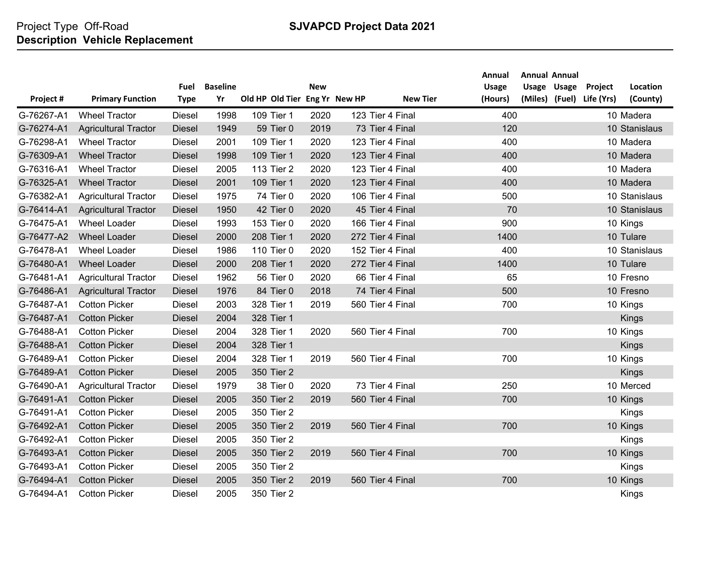|                                           | <b>Fuel</b>   | <b>Baseline</b> |                               | <b>New</b> |                  | <b>Usage</b> | Usage Usage               | Project | Location      |
|-------------------------------------------|---------------|-----------------|-------------------------------|------------|------------------|--------------|---------------------------|---------|---------------|
| <b>Primary Function</b><br>Project#       | <b>Type</b>   | Yr              | Old HP Old Tier Eng Yr New HP |            | <b>New Tier</b>  | (Hours)      | (Miles) (Fuel) Life (Yrs) |         | (County)      |
| G-76267-A1<br><b>Wheel Tractor</b>        | <b>Diesel</b> | 1998            | 109 Tier 1                    | 2020       | 123 Tier 4 Final | 400          |                           |         | 10 Madera     |
| G-76274-A1<br><b>Agricultural Tractor</b> | <b>Diesel</b> | 1949            | 59 Tier 0                     | 2019       | 73 Tier 4 Final  | 120          |                           |         | 10 Stanislaus |
| G-76298-A1<br><b>Wheel Tractor</b>        | <b>Diesel</b> | 2001            | 109 Tier 1                    | 2020       | 123 Tier 4 Final | 400          |                           |         | 10 Madera     |
| G-76309-A1<br><b>Wheel Tractor</b>        | <b>Diesel</b> | 1998            | 109 Tier 1                    | 2020       | 123 Tier 4 Final | 400          |                           |         | 10 Madera     |
| G-76316-A1<br><b>Wheel Tractor</b>        | <b>Diesel</b> | 2005            | 113 Tier 2                    | 2020       | 123 Tier 4 Final | 400          |                           |         | 10 Madera     |
| G-76325-A1<br><b>Wheel Tractor</b>        | <b>Diesel</b> | 2001            | 109 Tier 1                    | 2020       | 123 Tier 4 Final | 400          |                           |         | 10 Madera     |
| G-76382-A1<br><b>Agricultural Tractor</b> | <b>Diesel</b> | 1975            | 74 Tier 0                     | 2020       | 106 Tier 4 Final | 500          |                           |         | 10 Stanislaus |
| G-76414-A1<br><b>Agricultural Tractor</b> | <b>Diesel</b> | 1950            | 42 Tier 0                     | 2020       | 45 Tier 4 Final  | 70           |                           |         | 10 Stanislaus |
| G-76475-A1<br><b>Wheel Loader</b>         | <b>Diesel</b> | 1993            | 153 Tier 0                    | 2020       | 166 Tier 4 Final | 900          |                           |         | 10 Kings      |
| G-76477-A2<br><b>Wheel Loader</b>         | <b>Diesel</b> | 2000            | 208 Tier 1                    | 2020       | 272 Tier 4 Final | 1400         |                           |         | 10 Tulare     |
| G-76478-A1<br><b>Wheel Loader</b>         | <b>Diesel</b> | 1986            | 110 Tier 0                    | 2020       | 152 Tier 4 Final | 400          |                           |         | 10 Stanislaus |
| G-76480-A1<br><b>Wheel Loader</b>         | <b>Diesel</b> | 2000            | 208 Tier 1                    | 2020       | 272 Tier 4 Final | 1400         |                           |         | 10 Tulare     |
| G-76481-A1<br><b>Agricultural Tractor</b> | <b>Diesel</b> | 1962            | 56 Tier 0                     | 2020       | 66 Tier 4 Final  | 65           |                           |         | 10 Fresno     |
| G-76486-A1<br><b>Agricultural Tractor</b> | <b>Diesel</b> | 1976            | 84 Tier 0                     | 2018       | 74 Tier 4 Final  | 500          |                           |         | 10 Fresno     |
| G-76487-A1<br><b>Cotton Picker</b>        | <b>Diesel</b> | 2003            | 328 Tier 1                    | 2019       | 560 Tier 4 Final | 700          |                           |         | 10 Kings      |
| G-76487-A1<br><b>Cotton Picker</b>        | <b>Diesel</b> | 2004            | 328 Tier 1                    |            |                  |              |                           |         | Kings         |
| G-76488-A1<br><b>Cotton Picker</b>        | <b>Diesel</b> | 2004            | 328 Tier 1                    | 2020       | 560 Tier 4 Final | 700          |                           |         | 10 Kings      |
| <b>Cotton Picker</b><br>G-76488-A1        | <b>Diesel</b> | 2004            | 328 Tier 1                    |            |                  |              |                           |         | Kings         |
| G-76489-A1<br><b>Cotton Picker</b>        | <b>Diesel</b> | 2004            | 328 Tier 1                    | 2019       | 560 Tier 4 Final | 700          |                           |         | 10 Kings      |
| G-76489-A1<br><b>Cotton Picker</b>        | <b>Diesel</b> | 2005            | 350 Tier 2                    |            |                  |              |                           |         | Kings         |
| G-76490-A1<br><b>Agricultural Tractor</b> | <b>Diesel</b> | 1979            | 38 Tier 0                     | 2020       | 73 Tier 4 Final  | 250          |                           |         | 10 Merced     |
| G-76491-A1<br><b>Cotton Picker</b>        | <b>Diesel</b> | 2005            | 350 Tier 2                    | 2019       | 560 Tier 4 Final | 700          |                           |         | 10 Kings      |
| <b>Cotton Picker</b><br>G-76491-A1        | <b>Diesel</b> | 2005            | 350 Tier 2                    |            |                  |              |                           |         | Kings         |
| G-76492-A1<br><b>Cotton Picker</b>        | <b>Diesel</b> | 2005            | 350 Tier 2                    | 2019       | 560 Tier 4 Final | 700          |                           |         | 10 Kings      |
| G-76492-A1<br><b>Cotton Picker</b>        | <b>Diesel</b> | 2005            | 350 Tier 2                    |            |                  |              |                           |         | Kings         |
| G-76493-A1<br><b>Cotton Picker</b>        | <b>Diesel</b> | 2005            | 350 Tier 2                    | 2019       | 560 Tier 4 Final | 700          |                           |         | 10 Kings      |
| G-76493-A1<br><b>Cotton Picker</b>        | <b>Diesel</b> | 2005            | 350 Tier 2                    |            |                  |              |                           |         | Kings         |
| G-76494-A1<br><b>Cotton Picker</b>        | <b>Diesel</b> | 2005            | 350 Tier 2                    | 2019       | 560 Tier 4 Final | 700          |                           |         | 10 Kings      |
| G-76494-A1<br><b>Cotton Picker</b>        | <b>Diesel</b> | 2005            | 350 Tier 2                    |            |                  |              |                           |         | Kings         |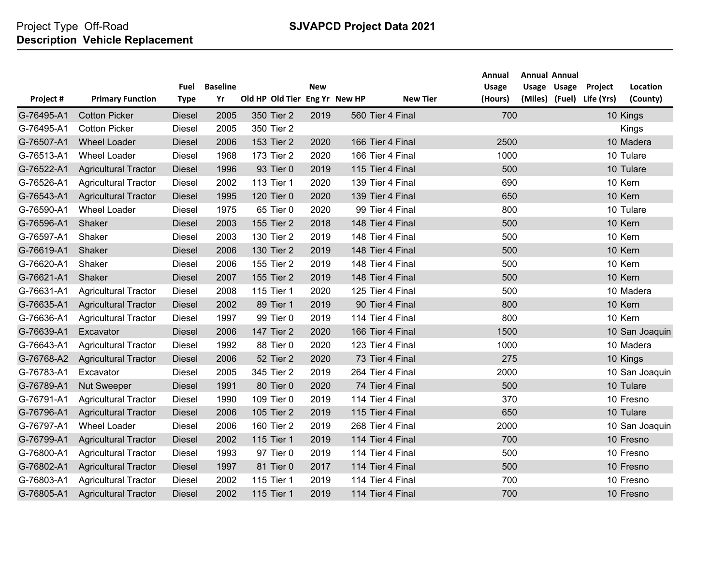|            |                             |               |                 |                               |            |                  | Annual       | Annual Annual             |         |                |
|------------|-----------------------------|---------------|-----------------|-------------------------------|------------|------------------|--------------|---------------------------|---------|----------------|
|            |                             | Fuel          | <b>Baseline</b> |                               | <b>New</b> |                  | <b>Usage</b> | Usage Usage               | Project | Location       |
| Project#   | <b>Primary Function</b>     | <b>Type</b>   | Yr              | Old HP Old Tier Eng Yr New HP |            | <b>New Tier</b>  | (Hours)      | (Miles) (Fuel) Life (Yrs) |         | (County)       |
| G-76495-A1 | <b>Cotton Picker</b>        | <b>Diesel</b> | 2005            | 350 Tier 2                    | 2019       | 560 Tier 4 Final | 700          |                           |         | 10 Kings       |
| G-76495-A1 | <b>Cotton Picker</b>        | Diesel        | 2005            | 350 Tier 2                    |            |                  |              |                           |         | Kings          |
| G-76507-A1 | <b>Wheel Loader</b>         | <b>Diesel</b> | 2006            | 153 Tier 2                    | 2020       | 166 Tier 4 Final | 2500         |                           |         | 10 Madera      |
| G-76513-A1 | <b>Wheel Loader</b>         | Diesel        | 1968            | 173 Tier 2                    | 2020       | 166 Tier 4 Final | 1000         |                           |         | 10 Tulare      |
| G-76522-A1 | <b>Agricultural Tractor</b> | <b>Diesel</b> | 1996            | 93 Tier 0                     | 2019       | 115 Tier 4 Final | 500          |                           |         | 10 Tulare      |
| G-76526-A1 | <b>Agricultural Tractor</b> | <b>Diesel</b> | 2002            | 113 Tier 1                    | 2020       | 139 Tier 4 Final | 690          |                           |         | 10 Kern        |
| G-76543-A1 | <b>Agricultural Tractor</b> | <b>Diesel</b> | 1995            | 120 Tier 0                    | 2020       | 139 Tier 4 Final | 650          |                           |         | 10 Kern        |
| G-76590-A1 | <b>Wheel Loader</b>         | <b>Diesel</b> | 1975            | 65 Tier 0                     | 2020       | 99 Tier 4 Final  | 800          |                           |         | 10 Tulare      |
| G-76596-A1 | Shaker                      | <b>Diesel</b> | 2003            | 155 Tier 2                    | 2018       | 148 Tier 4 Final | 500          |                           |         | 10 Kern        |
| G-76597-A1 | Shaker                      | Diesel        | 2003            | 130 Tier 2                    | 2019       | 148 Tier 4 Final | 500          |                           |         | 10 Kern        |
| G-76619-A1 | Shaker                      | <b>Diesel</b> | 2006            | 130 Tier 2                    | 2019       | 148 Tier 4 Final | 500          |                           |         | 10 Kern        |
| G-76620-A1 | Shaker                      | Diesel        | 2006            | 155 Tier 2                    | 2019       | 148 Tier 4 Final | 500          |                           |         | 10 Kern        |
| G-76621-A1 | Shaker                      | <b>Diesel</b> | 2007            | 155 Tier 2                    | 2019       | 148 Tier 4 Final | 500          |                           |         | 10 Kern        |
| G-76631-A1 | <b>Agricultural Tractor</b> | Diesel        | 2008            | 115 Tier 1                    | 2020       | 125 Tier 4 Final | 500          |                           |         | 10 Madera      |
| G-76635-A1 | <b>Agricultural Tractor</b> | <b>Diesel</b> | 2002            | 89 Tier 1                     | 2019       | 90 Tier 4 Final  | 800          |                           |         | 10 Kern        |
| G-76636-A1 | <b>Agricultural Tractor</b> | <b>Diesel</b> | 1997            | 99 Tier 0                     | 2019       | 114 Tier 4 Final | 800          |                           |         | 10 Kern        |
| G-76639-A1 | Excavator                   | <b>Diesel</b> | 2006            | 147 Tier 2                    | 2020       | 166 Tier 4 Final | 1500         |                           |         | 10 San Joaquin |
| G-76643-A1 | <b>Agricultural Tractor</b> | <b>Diesel</b> | 1992            | 88 Tier 0                     | 2020       | 123 Tier 4 Final | 1000         |                           |         | 10 Madera      |
| G-76768-A2 | <b>Agricultural Tractor</b> | <b>Diesel</b> | 2006            | 52 Tier 2                     | 2020       | 73 Tier 4 Final  | 275          |                           |         | 10 Kings       |
| G-76783-A1 | Excavator                   | <b>Diesel</b> | 2005            | 345 Tier 2                    | 2019       | 264 Tier 4 Final | 2000         |                           |         | 10 San Joaquin |
| G-76789-A1 | <b>Nut Sweeper</b>          | <b>Diesel</b> | 1991            | 80 Tier 0                     | 2020       | 74 Tier 4 Final  | 500          |                           |         | 10 Tulare      |
| G-76791-A1 | <b>Agricultural Tractor</b> | <b>Diesel</b> | 1990            | 109 Tier 0                    | 2019       | 114 Tier 4 Final | 370          |                           |         | 10 Fresno      |
| G-76796-A1 | <b>Agricultural Tractor</b> | <b>Diesel</b> | 2006            | 105 Tier 2                    | 2019       | 115 Tier 4 Final | 650          |                           |         | 10 Tulare      |
| G-76797-A1 | <b>Wheel Loader</b>         | <b>Diesel</b> | 2006            | 160 Tier 2                    | 2019       | 268 Tier 4 Final | 2000         |                           |         | 10 San Joaquin |
| G-76799-A1 | <b>Agricultural Tractor</b> | <b>Diesel</b> | 2002            | 115 Tier 1                    | 2019       | 114 Tier 4 Final | 700          |                           |         | 10 Fresno      |
| G-76800-A1 | <b>Agricultural Tractor</b> | Diesel        | 1993            | 97 Tier 0                     | 2019       | 114 Tier 4 Final | 500          |                           |         | 10 Fresno      |
| G-76802-A1 | <b>Agricultural Tractor</b> | <b>Diesel</b> | 1997            | 81 Tier 0                     | 2017       | 114 Tier 4 Final | 500          |                           |         | 10 Fresno      |
| G-76803-A1 | <b>Agricultural Tractor</b> | Diesel        | 2002            | 115 Tier 1                    | 2019       | 114 Tier 4 Final | 700          |                           |         | 10 Fresno      |
| G-76805-A1 | <b>Agricultural Tractor</b> | <b>Diesel</b> | 2002            | 115 Tier 1                    | 2019       | 114 Tier 4 Final | 700          |                           |         | 10 Fresno      |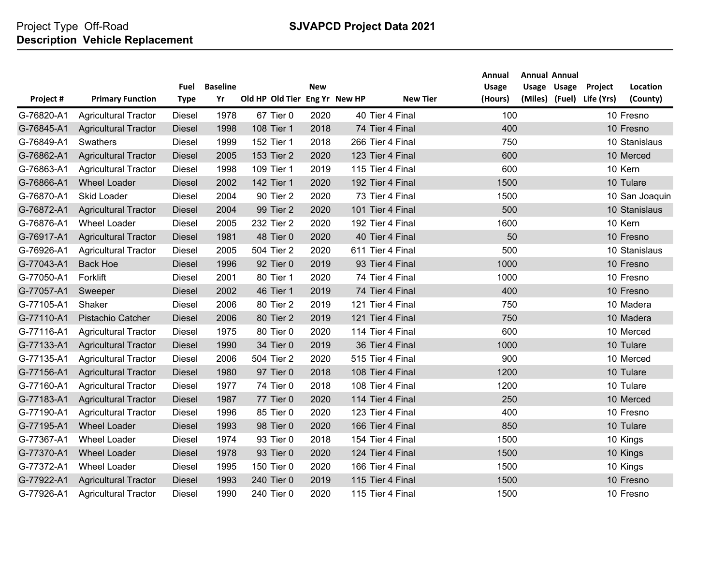|            |                             |               |                 |                               |            |                  | Annual       | Annual Annual             |         |                |
|------------|-----------------------------|---------------|-----------------|-------------------------------|------------|------------------|--------------|---------------------------|---------|----------------|
|            |                             | Fuel          | <b>Baseline</b> |                               | <b>New</b> |                  | <b>Usage</b> | Usage Usage               | Project | Location       |
| Project #  | <b>Primary Function</b>     | <b>Type</b>   | Yr              | Old HP Old Tier Eng Yr New HP |            | <b>New Tier</b>  | (Hours)      | (Miles) (Fuel) Life (Yrs) |         | (County)       |
| G-76820-A1 | <b>Agricultural Tractor</b> | <b>Diesel</b> | 1978            | 67 Tier 0                     | 2020       | 40 Tier 4 Final  | 100          |                           |         | 10 Fresno      |
| G-76845-A1 | <b>Agricultural Tractor</b> | <b>Diesel</b> | 1998            | 108 Tier 1                    | 2018       | 74 Tier 4 Final  | 400          |                           |         | 10 Fresno      |
| G-76849-A1 | Swathers                    | <b>Diesel</b> | 1999            | 152 Tier 1                    | 2018       | 266 Tier 4 Final | 750          |                           |         | 10 Stanislaus  |
| G-76862-A1 | <b>Agricultural Tractor</b> | <b>Diesel</b> | 2005            | 153 Tier 2                    | 2020       | 123 Tier 4 Final | 600          |                           |         | 10 Merced      |
| G-76863-A1 | <b>Agricultural Tractor</b> | Diesel        | 1998            | 109 Tier 1                    | 2019       | 115 Tier 4 Final | 600          |                           |         | 10 Kern        |
| G-76866-A1 | <b>Wheel Loader</b>         | <b>Diesel</b> | 2002            | 142 Tier 1                    | 2020       | 192 Tier 4 Final | 1500         |                           |         | 10 Tulare      |
| G-76870-A1 | <b>Skid Loader</b>          | <b>Diesel</b> | 2004            | <b>90 Tier 2</b>              | 2020       | 73 Tier 4 Final  | 1500         |                           |         | 10 San Joaquin |
| G-76872-A1 | <b>Agricultural Tractor</b> | <b>Diesel</b> | 2004            | 99 Tier 2                     | 2020       | 101 Tier 4 Final | 500          |                           |         | 10 Stanislaus  |
| G-76876-A1 | <b>Wheel Loader</b>         | Diesel        | 2005            | 232 Tier 2                    | 2020       | 192 Tier 4 Final | 1600         |                           |         | 10 Kern        |
| G-76917-A1 | <b>Agricultural Tractor</b> | <b>Diesel</b> | 1981            | 48 Tier 0                     | 2020       | 40 Tier 4 Final  | 50           |                           |         | 10 Fresno      |
| G-76926-A1 | <b>Agricultural Tractor</b> | <b>Diesel</b> | 2005            | 504 Tier 2                    | 2020       | 611 Tier 4 Final | 500          |                           |         | 10 Stanislaus  |
| G-77043-A1 | <b>Back Hoe</b>             | <b>Diesel</b> | 1996            | 92 Tier 0                     | 2019       | 93 Tier 4 Final  | 1000         |                           |         | 10 Fresno      |
| G-77050-A1 | Forklift                    | <b>Diesel</b> | 2001            | 80 Tier 1                     | 2020       | 74 Tier 4 Final  | 1000         |                           |         | 10 Fresno      |
| G-77057-A1 | Sweeper                     | <b>Diesel</b> | 2002            | 46 Tier 1                     | 2019       | 74 Tier 4 Final  | 400          |                           |         | 10 Fresno      |
| G-77105-A1 | Shaker                      | <b>Diesel</b> | 2006            | 80 Tier 2                     | 2019       | 121 Tier 4 Final | 750          |                           |         | 10 Madera      |
| G-77110-A1 | Pistachio Catcher           | <b>Diesel</b> | 2006            | 80 Tier 2                     | 2019       | 121 Tier 4 Final | 750          |                           |         | 10 Madera      |
| G-77116-A1 | <b>Agricultural Tractor</b> | <b>Diesel</b> | 1975            | 80 Tier 0                     | 2020       | 114 Tier 4 Final | 600          |                           |         | 10 Merced      |
| G-77133-A1 | <b>Agricultural Tractor</b> | <b>Diesel</b> | 1990            | 34 Tier 0                     | 2019       | 36 Tier 4 Final  | 1000         |                           |         | 10 Tulare      |
| G-77135-A1 | <b>Agricultural Tractor</b> | <b>Diesel</b> | 2006            | 504 Tier 2                    | 2020       | 515 Tier 4 Final | 900          |                           |         | 10 Merced      |
| G-77156-A1 | <b>Agricultural Tractor</b> | <b>Diesel</b> | 1980            | 97 Tier 0                     | 2018       | 108 Tier 4 Final | 1200         |                           |         | 10 Tulare      |
| G-77160-A1 | <b>Agricultural Tractor</b> | Diesel        | 1977            | 74 Tier 0                     | 2018       | 108 Tier 4 Final | 1200         |                           |         | 10 Tulare      |
| G-77183-A1 | <b>Agricultural Tractor</b> | <b>Diesel</b> | 1987            | 77 Tier 0                     | 2020       | 114 Tier 4 Final | 250          |                           |         | 10 Merced      |
| G-77190-A1 | <b>Agricultural Tractor</b> | <b>Diesel</b> | 1996            | 85 Tier 0                     | 2020       | 123 Tier 4 Final | 400          |                           |         | 10 Fresno      |
| G-77195-A1 | <b>Wheel Loader</b>         | <b>Diesel</b> | 1993            | 98 Tier 0                     | 2020       | 166 Tier 4 Final | 850          |                           |         | 10 Tulare      |
| G-77367-A1 | <b>Wheel Loader</b>         | <b>Diesel</b> | 1974            | 93 Tier 0                     | 2018       | 154 Tier 4 Final | 1500         |                           |         | 10 Kings       |
| G-77370-A1 | <b>Wheel Loader</b>         | <b>Diesel</b> | 1978            | 93 Tier 0                     | 2020       | 124 Tier 4 Final | 1500         |                           |         | 10 Kings       |
| G-77372-A1 | <b>Wheel Loader</b>         | Diesel        | 1995            | 150 Tier 0                    | 2020       | 166 Tier 4 Final | 1500         |                           |         | 10 Kings       |
| G-77922-A1 | <b>Agricultural Tractor</b> | <b>Diesel</b> | 1993            | 240 Tier 0                    | 2019       | 115 Tier 4 Final | 1500         |                           |         | 10 Fresno      |
| G-77926-A1 | <b>Agricultural Tractor</b> | <b>Diesel</b> | 1990            | 240 Tier 0                    | 2020       | 115 Tier 4 Final | 1500         |                           |         | 10 Fresno      |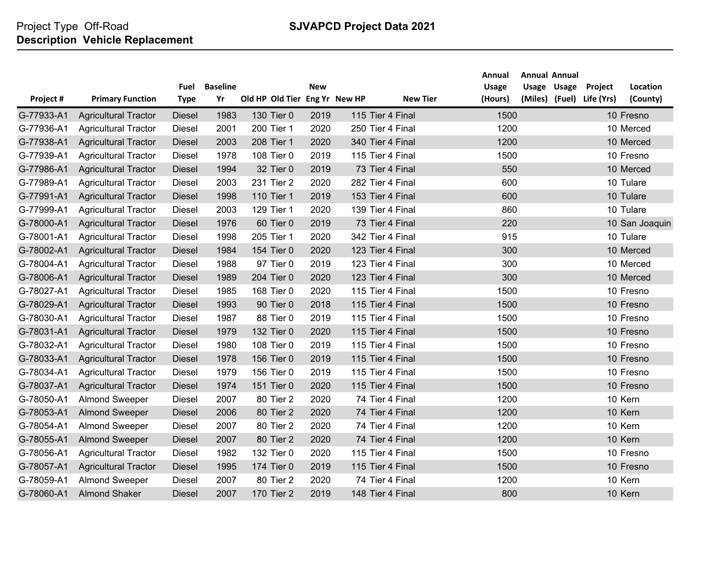|            |                             |               |                 |                               |            |                  |                 | Annual       | <b>Annual Annual</b>      |         |                |
|------------|-----------------------------|---------------|-----------------|-------------------------------|------------|------------------|-----------------|--------------|---------------------------|---------|----------------|
|            |                             | <b>Fuel</b>   | <b>Baseline</b> |                               | <b>New</b> |                  |                 | <b>Usage</b> | Usage Usage               | Project | Location       |
| Project #  | <b>Primary Function</b>     | <b>Type</b>   | Yr              | Old HP Old Tier Eng Yr New HP |            |                  | <b>New Tier</b> | (Hours)      | (Miles) (Fuel) Life (Yrs) |         | (County)       |
| G-77933-A1 | <b>Agricultural Tractor</b> | <b>Diesel</b> | 1983            | 130 Tier 0                    | 2019       | 115 Tier 4 Final |                 | 1500         |                           |         | 10 Fresno      |
| G-77936-A1 | <b>Agricultural Tractor</b> | <b>Diesel</b> | 2001            | 200 Tier 1                    | 2020       | 250 Tier 4 Final |                 | 1200         |                           |         | 10 Merced      |
| G-77938-A1 | <b>Agricultural Tractor</b> | <b>Diesel</b> | 2003            | 208 Tier 1                    | 2020       | 340 Tier 4 Final |                 | 1200         |                           |         | 10 Merced      |
| G-77939-A1 | <b>Agricultural Tractor</b> | <b>Diesel</b> | 1978            | 108 Tier 0                    | 2019       | 115 Tier 4 Final |                 | 1500         |                           |         | 10 Fresno      |
| G-77986-A1 | <b>Agricultural Tractor</b> | <b>Diesel</b> | 1994            | 32 Tier 0                     | 2019       | 73 Tier 4 Final  |                 | 550          |                           |         | 10 Merced      |
| G-77989-A1 | <b>Agricultural Tractor</b> | Diesel        | 2003            | 231 Tier 2                    | 2020       | 282 Tier 4 Final |                 | 600          |                           |         | 10 Tulare      |
| G-77991-A1 | <b>Agricultural Tractor</b> | <b>Diesel</b> | 1998            | 110 Tier 1                    | 2019       | 153 Tier 4 Final |                 | 600          |                           |         | 10 Tulare      |
| G-77999-A1 | <b>Agricultural Tractor</b> | <b>Diesel</b> | 2003            | 129 Tier 1                    | 2020       | 139 Tier 4 Final |                 | 860          |                           |         | 10 Tulare      |
| G-78000-A1 | <b>Agricultural Tractor</b> | Diesel        | 1976            | 60 Tier 0                     | 2019       | 73 Tier 4 Final  |                 | 220          |                           |         | 10 San Joaquin |
| G-78001-A1 | <b>Agricultural Tractor</b> | <b>Diesel</b> | 1998            | 205 Tier 1                    | 2020       | 342 Tier 4 Final |                 | 915          |                           |         | 10 Tulare      |
| G-78002-A1 | <b>Agricultural Tractor</b> | <b>Diesel</b> | 1984            | 154 Tier 0                    | 2020       | 123 Tier 4 Final |                 | 300          |                           |         | 10 Merced      |
| G-78004-A1 | <b>Agricultural Tractor</b> | <b>Diesel</b> | 1988            | 97 Tier 0                     | 2019       | 123 Tier 4 Final |                 | 300          |                           |         | 10 Merced      |
| G-78006-A1 | <b>Agricultural Tractor</b> | <b>Diesel</b> | 1989            | 204 Tier 0                    | 2020       | 123 Tier 4 Final |                 | 300          |                           |         | 10 Merced      |
| G-78027-A1 | <b>Agricultural Tractor</b> | <b>Diesel</b> | 1985            | 168 Tier 0                    | 2020       | 115 Tier 4 Final |                 | 1500         |                           |         | 10 Fresno      |
| G-78029-A1 | <b>Agricultural Tractor</b> | <b>Diesel</b> | 1993            | 90 Tier 0                     | 2018       | 115 Tier 4 Final |                 | 1500         |                           |         | 10 Fresno      |
| G-78030-A1 | <b>Agricultural Tractor</b> | <b>Diesel</b> | 1987            | 88 Tier 0                     | 2019       | 115 Tier 4 Final |                 | 1500         |                           |         | 10 Fresno      |
| G-78031-A1 | <b>Agricultural Tractor</b> | <b>Diesel</b> | 1979            | 132 Tier 0                    | 2020       | 115 Tier 4 Final |                 | 1500         |                           |         | 10 Fresno      |
| G-78032-A1 | <b>Agricultural Tractor</b> | <b>Diesel</b> | 1980            | 108 Tier 0                    | 2019       | 115 Tier 4 Final |                 | 1500         |                           |         | 10 Fresno      |
| G-78033-A1 | <b>Agricultural Tractor</b> | <b>Diesel</b> | 1978            | 156 Tier 0                    | 2019       | 115 Tier 4 Final |                 | 1500         |                           |         | 10 Fresno      |
| G-78034-A1 | <b>Agricultural Tractor</b> | <b>Diesel</b> | 1979            | 156 Tier 0                    | 2019       | 115 Tier 4 Final |                 | 1500         |                           |         | 10 Fresno      |
| G-78037-A1 | <b>Agricultural Tractor</b> | <b>Diesel</b> | 1974            | 151 Tier 0                    | 2020       | 115 Tier 4 Final |                 | 1500         |                           |         | 10 Fresno      |
| G-78050-A1 | <b>Almond Sweeper</b>       | <b>Diesel</b> | 2007            | 80 Tier 2                     | 2020       | 74 Tier 4 Final  |                 | 1200         |                           |         | 10 Kern        |
| G-78053-A1 | <b>Almond Sweeper</b>       | <b>Diesel</b> | 2006            | 80 Tier 2                     | 2020       | 74 Tier 4 Final  |                 | 1200         |                           |         | 10 Kern        |
| G-78054-A1 | <b>Almond Sweeper</b>       | <b>Diesel</b> | 2007            | 80 Tier 2                     | 2020       | 74 Tier 4 Final  |                 | 1200         |                           |         | 10 Kern        |
| G-78055-A1 | <b>Almond Sweeper</b>       | <b>Diesel</b> | 2007            | 80 Tier 2                     | 2020       | 74 Tier 4 Final  |                 | 1200         |                           |         | 10 Kern        |
| G-78056-A1 | <b>Agricultural Tractor</b> | <b>Diesel</b> | 1982            | 132 Tier 0                    | 2020       | 115 Tier 4 Final |                 | 1500         |                           |         | 10 Fresno      |
| G-78057-A1 | <b>Agricultural Tractor</b> | <b>Diesel</b> | 1995            | 174 Tier 0                    | 2019       | 115 Tier 4 Final |                 | 1500         |                           |         | 10 Fresno      |
| G-78059-A1 | <b>Almond Sweeper</b>       | <b>Diesel</b> | 2007            | 80 Tier 2                     | 2020       | 74 Tier 4 Final  |                 | 1200         |                           |         | 10 Kern        |
| G-78060-A1 | <b>Almond Shaker</b>        | <b>Diesel</b> | 2007            | 170 Tier 2                    | 2019       | 148 Tier 4 Final |                 | 800          |                           |         | 10 Kern        |
|            |                             |               |                 |                               |            |                  |                 |              |                           |         |                |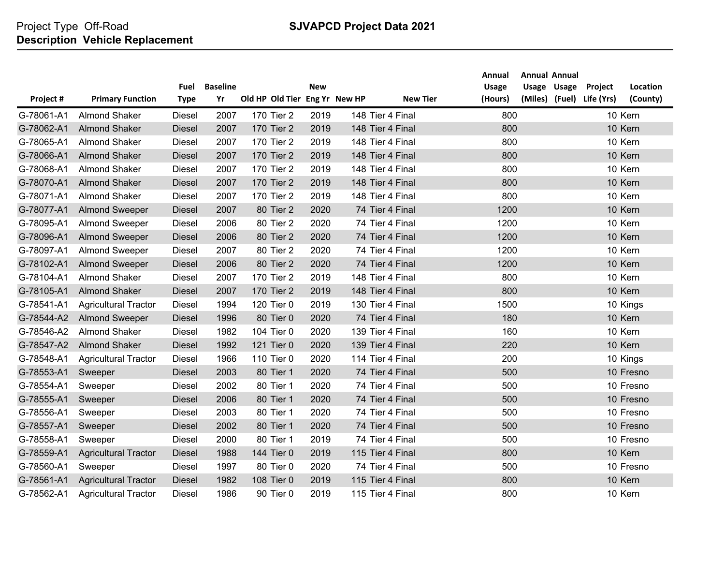|            |                             |               |                 |                               |            |                  | Annual       | Annual Annual             |         |           |
|------------|-----------------------------|---------------|-----------------|-------------------------------|------------|------------------|--------------|---------------------------|---------|-----------|
|            |                             | <b>Fuel</b>   | <b>Baseline</b> |                               | <b>New</b> |                  | <b>Usage</b> | Usage Usage               | Project | Location  |
| Project #  | <b>Primary Function</b>     | <b>Type</b>   | Yr              | Old HP Old Tier Eng Yr New HP |            | <b>New Tier</b>  | (Hours)      | (Miles) (Fuel) Life (Yrs) |         | (County)  |
| G-78061-A1 | <b>Almond Shaker</b>        | Diesel        | 2007            | 170 Tier 2                    | 2019       | 148 Tier 4 Final | 800          |                           |         | 10 Kern   |
| G-78062-A1 | <b>Almond Shaker</b>        | <b>Diesel</b> | 2007            | 170 Tier 2                    | 2019       | 148 Tier 4 Final | 800          |                           |         | 10 Kern   |
| G-78065-A1 | <b>Almond Shaker</b>        | <b>Diesel</b> | 2007            | 170 Tier 2                    | 2019       | 148 Tier 4 Final | 800          |                           |         | 10 Kern   |
| G-78066-A1 | <b>Almond Shaker</b>        | <b>Diesel</b> | 2007            | 170 Tier 2                    | 2019       | 148 Tier 4 Final | 800          |                           |         | 10 Kern   |
| G-78068-A1 | <b>Almond Shaker</b>        | <b>Diesel</b> | 2007            | 170 Tier 2                    | 2019       | 148 Tier 4 Final | 800          |                           |         | 10 Kern   |
| G-78070-A1 | <b>Almond Shaker</b>        | <b>Diesel</b> | 2007            | 170 Tier 2                    | 2019       | 148 Tier 4 Final | 800          |                           |         | 10 Kern   |
| G-78071-A1 | <b>Almond Shaker</b>        | <b>Diesel</b> | 2007            | 170 Tier 2                    | 2019       | 148 Tier 4 Final | 800          |                           |         | 10 Kern   |
| G-78077-A1 | <b>Almond Sweeper</b>       | <b>Diesel</b> | 2007            | 80 Tier 2                     | 2020       | 74 Tier 4 Final  | 1200         |                           |         | 10 Kern   |
| G-78095-A1 | <b>Almond Sweeper</b>       | <b>Diesel</b> | 2006            | 80 Tier 2                     | 2020       | 74 Tier 4 Final  | 1200         |                           |         | 10 Kern   |
| G-78096-A1 | <b>Almond Sweeper</b>       | <b>Diesel</b> | 2006            | 80 Tier 2                     | 2020       | 74 Tier 4 Final  | 1200         |                           |         | 10 Kern   |
| G-78097-A1 | <b>Almond Sweeper</b>       | <b>Diesel</b> | 2007            | <b>80 Tier 2</b>              | 2020       | 74 Tier 4 Final  | 1200         |                           |         | 10 Kern   |
| G-78102-A1 | <b>Almond Sweeper</b>       | <b>Diesel</b> | 2006            | 80 Tier 2                     | 2020       | 74 Tier 4 Final  | 1200         |                           |         | 10 Kern   |
| G-78104-A1 | <b>Almond Shaker</b>        | <b>Diesel</b> | 2007            | 170 Tier 2                    | 2019       | 148 Tier 4 Final | 800          |                           |         | 10 Kern   |
| G-78105-A1 | <b>Almond Shaker</b>        | <b>Diesel</b> | 2007            | 170 Tier 2                    | 2019       | 148 Tier 4 Final | 800          |                           |         | 10 Kern   |
| G-78541-A1 | <b>Agricultural Tractor</b> | Diesel        | 1994            | 120 Tier 0                    | 2019       | 130 Tier 4 Final | 1500         |                           |         | 10 Kings  |
| G-78544-A2 | <b>Almond Sweeper</b>       | <b>Diesel</b> | 1996            | 80 Tier 0                     | 2020       | 74 Tier 4 Final  | 180          |                           |         | 10 Kern   |
| G-78546-A2 | <b>Almond Shaker</b>        | <b>Diesel</b> | 1982            | 104 Tier 0                    | 2020       | 139 Tier 4 Final | 160          |                           |         | 10 Kern   |
| G-78547-A2 | <b>Almond Shaker</b>        | <b>Diesel</b> | 1992            | 121 Tier 0                    | 2020       | 139 Tier 4 Final | 220          |                           |         | 10 Kern   |
| G-78548-A1 | <b>Agricultural Tractor</b> | <b>Diesel</b> | 1966            | 110 Tier 0                    | 2020       | 114 Tier 4 Final | 200          |                           |         | 10 Kings  |
| G-78553-A1 | Sweeper                     | <b>Diesel</b> | 2003            | 80 Tier 1                     | 2020       | 74 Tier 4 Final  | 500          |                           |         | 10 Fresno |
| G-78554-A1 | Sweeper                     | <b>Diesel</b> | 2002            | 80 Tier 1                     | 2020       | 74 Tier 4 Final  | 500          |                           |         | 10 Fresno |
| G-78555-A1 | Sweeper                     | <b>Diesel</b> | 2006            | 80 Tier 1                     | 2020       | 74 Tier 4 Final  | 500          |                           |         | 10 Fresno |
| G-78556-A1 | Sweeper                     | <b>Diesel</b> | 2003            | 80 Tier 1                     | 2020       | 74 Tier 4 Final  | 500          |                           |         | 10 Fresno |
| G-78557-A1 | Sweeper                     | <b>Diesel</b> | 2002            | 80 Tier 1                     | 2020       | 74 Tier 4 Final  | 500          |                           |         | 10 Fresno |
| G-78558-A1 | Sweeper                     | <b>Diesel</b> | 2000            | 80 Tier 1                     | 2019       | 74 Tier 4 Final  | 500          |                           |         | 10 Fresno |
| G-78559-A1 | <b>Agricultural Tractor</b> | <b>Diesel</b> | 1988            | 144 Tier 0                    | 2019       | 115 Tier 4 Final | 800          |                           |         | 10 Kern   |
| G-78560-A1 | Sweeper                     | <b>Diesel</b> | 1997            | 80 Tier 0                     | 2020       | 74 Tier 4 Final  | 500          |                           |         | 10 Fresno |
| G-78561-A1 | <b>Agricultural Tractor</b> | <b>Diesel</b> | 1982            | 108 Tier 0                    | 2019       | 115 Tier 4 Final | 800          |                           |         | 10 Kern   |
| G-78562-A1 | <b>Agricultural Tractor</b> | <b>Diesel</b> | 1986            | 90 Tier 0                     | 2019       | 115 Tier 4 Final | 800          |                           |         | 10 Kern   |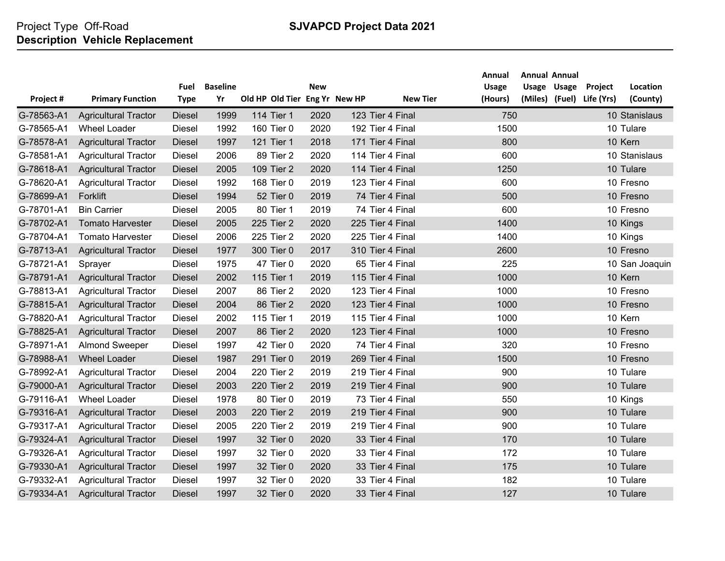|            |                             |               |                 |                               |            |                  | Annual       | <b>Annual Annual</b>      |         |                |
|------------|-----------------------------|---------------|-----------------|-------------------------------|------------|------------------|--------------|---------------------------|---------|----------------|
|            |                             | Fuel          | <b>Baseline</b> |                               | <b>New</b> |                  | <b>Usage</b> | Usage Usage               | Project | Location       |
| Project#   | <b>Primary Function</b>     | <b>Type</b>   | Yr              | Old HP Old Tier Eng Yr New HP |            | <b>New Tier</b>  | (Hours)      | (Miles) (Fuel) Life (Yrs) |         | (County)       |
| G-78563-A1 | <b>Agricultural Tractor</b> | <b>Diesel</b> | 1999            | 114 Tier 1                    | 2020       | 123 Tier 4 Final | 750          |                           |         | 10 Stanislaus  |
| G-78565-A1 | <b>Wheel Loader</b>         | <b>Diesel</b> | 1992            | 160 Tier 0                    | 2020       | 192 Tier 4 Final | 1500         |                           |         | 10 Tulare      |
| G-78578-A1 | <b>Agricultural Tractor</b> | <b>Diesel</b> | 1997            | 121 Tier 1                    | 2018       | 171 Tier 4 Final | 800          |                           |         | 10 Kern        |
| G-78581-A1 | <b>Agricultural Tractor</b> | <b>Diesel</b> | 2006            | 89 Tier 2                     | 2020       | 114 Tier 4 Final | 600          |                           |         | 10 Stanislaus  |
| G-78618-A1 | <b>Agricultural Tractor</b> | <b>Diesel</b> | 2005            | 109 Tier 2                    | 2020       | 114 Tier 4 Final | 1250         |                           |         | 10 Tulare      |
| G-78620-A1 | <b>Agricultural Tractor</b> | <b>Diesel</b> | 1992            | 168 Tier 0                    | 2019       | 123 Tier 4 Final | 600          |                           |         | 10 Fresno      |
| G-78699-A1 | Forklift                    | <b>Diesel</b> | 1994            | 52 Tier 0                     | 2019       | 74 Tier 4 Final  | 500          |                           |         | 10 Fresno      |
| G-78701-A1 | <b>Bin Carrier</b>          | <b>Diesel</b> | 2005            | 80 Tier 1                     | 2019       | 74 Tier 4 Final  | 600          |                           |         | 10 Fresno      |
| G-78702-A1 | <b>Tomato Harvester</b>     | <b>Diesel</b> | 2005            | 225 Tier 2                    | 2020       | 225 Tier 4 Final | 1400         |                           |         | 10 Kings       |
| G-78704-A1 | Tomato Harvester            | <b>Diesel</b> | 2006            | 225 Tier 2                    | 2020       | 225 Tier 4 Final | 1400         |                           |         | 10 Kings       |
| G-78713-A1 | <b>Agricultural Tractor</b> | <b>Diesel</b> | 1977            | 300 Tier 0                    | 2017       | 310 Tier 4 Final | 2600         |                           |         | 10 Fresno      |
| G-78721-A1 | Sprayer                     | <b>Diesel</b> | 1975            | 47 Tier 0                     | 2020       | 65 Tier 4 Final  | 225          |                           |         | 10 San Joaquin |
| G-78791-A1 | <b>Agricultural Tractor</b> | <b>Diesel</b> | 2002            | 115 Tier 1                    | 2019       | 115 Tier 4 Final | 1000         |                           |         | 10 Kern        |
| G-78813-A1 | <b>Agricultural Tractor</b> | <b>Diesel</b> | 2007            | 86 Tier 2                     | 2020       | 123 Tier 4 Final | 1000         |                           |         | 10 Fresno      |
| G-78815-A1 | <b>Agricultural Tractor</b> | <b>Diesel</b> | 2004            | 86 Tier 2                     | 2020       | 123 Tier 4 Final | 1000         |                           |         | 10 Fresno      |
| G-78820-A1 | <b>Agricultural Tractor</b> | <b>Diesel</b> | 2002            | 115 Tier 1                    | 2019       | 115 Tier 4 Final | 1000         |                           |         | 10 Kern        |
| G-78825-A1 | <b>Agricultural Tractor</b> | <b>Diesel</b> | 2007            | 86 Tier 2                     | 2020       | 123 Tier 4 Final | 1000         |                           |         | 10 Fresno      |
| G-78971-A1 | <b>Almond Sweeper</b>       | <b>Diesel</b> | 1997            | 42 Tier 0                     | 2020       | 74 Tier 4 Final  | 320          |                           |         | 10 Fresno      |
| G-78988-A1 | <b>Wheel Loader</b>         | <b>Diesel</b> | 1987            | 291 Tier 0                    | 2019       | 269 Tier 4 Final | 1500         |                           |         | 10 Fresno      |
| G-78992-A1 | <b>Agricultural Tractor</b> | <b>Diesel</b> | 2004            | 220 Tier 2                    | 2019       | 219 Tier 4 Final | 900          |                           |         | 10 Tulare      |
| G-79000-A1 | <b>Agricultural Tractor</b> | <b>Diesel</b> | 2003            | 220 Tier 2                    | 2019       | 219 Tier 4 Final | 900          |                           |         | 10 Tulare      |
| G-79116-A1 | <b>Wheel Loader</b>         | <b>Diesel</b> | 1978            | 80 Tier 0                     | 2019       | 73 Tier 4 Final  | 550          |                           |         | 10 Kings       |
| G-79316-A1 | <b>Agricultural Tractor</b> | <b>Diesel</b> | 2003            | 220 Tier 2                    | 2019       | 219 Tier 4 Final | 900          |                           |         | 10 Tulare      |
| G-79317-A1 | <b>Agricultural Tractor</b> | <b>Diesel</b> | 2005            | 220 Tier 2                    | 2019       | 219 Tier 4 Final | 900          |                           |         | 10 Tulare      |
| G-79324-A1 | <b>Agricultural Tractor</b> | <b>Diesel</b> | 1997            | 32 Tier 0                     | 2020       | 33 Tier 4 Final  | 170          |                           |         | 10 Tulare      |
| G-79326-A1 | <b>Agricultural Tractor</b> | <b>Diesel</b> | 1997            | 32 Tier 0                     | 2020       | 33 Tier 4 Final  | 172          |                           |         | 10 Tulare      |
| G-79330-A1 | <b>Agricultural Tractor</b> | <b>Diesel</b> | 1997            | 32 Tier 0                     | 2020       | 33 Tier 4 Final  | 175          |                           |         | 10 Tulare      |
| G-79332-A1 | <b>Agricultural Tractor</b> | <b>Diesel</b> | 1997            | 32 Tier 0                     | 2020       | 33 Tier 4 Final  | 182          |                           |         | 10 Tulare      |
| G-79334-A1 | <b>Agricultural Tractor</b> | <b>Diesel</b> | 1997            | 32 Tier 0                     | 2020       | 33 Tier 4 Final  | 127          |                           |         | 10 Tulare      |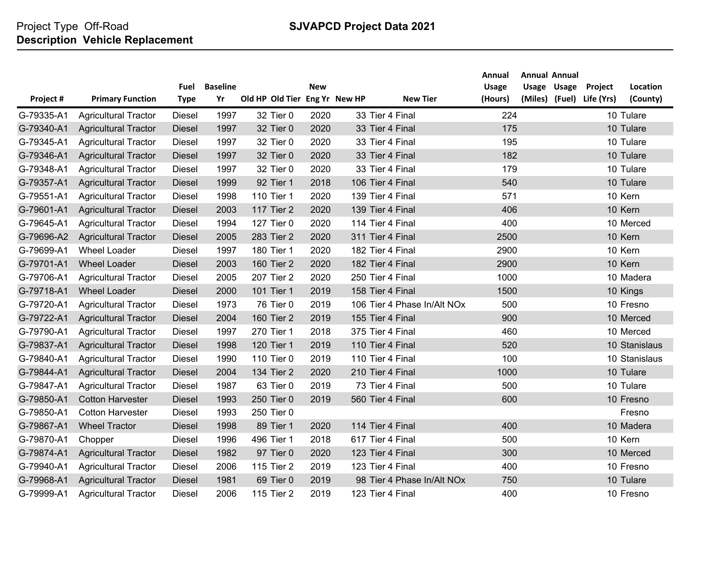|            |                             |               |                 |                               |            |                  |                             | Annual       | <b>Annual Annual</b> |                           |               |
|------------|-----------------------------|---------------|-----------------|-------------------------------|------------|------------------|-----------------------------|--------------|----------------------|---------------------------|---------------|
|            |                             | <b>Fuel</b>   | <b>Baseline</b> |                               | <b>New</b> |                  |                             | <b>Usage</b> | Usage Usage          | Project                   | Location      |
| Project #  | <b>Primary Function</b>     | <b>Type</b>   | Yr              | Old HP Old Tier Eng Yr New HP |            |                  | <b>New Tier</b>             | (Hours)      |                      | (Miles) (Fuel) Life (Yrs) | (County)      |
| G-79335-A1 | <b>Agricultural Tractor</b> | <b>Diesel</b> | 1997            | 32 Tier 0                     | 2020       | 33 Tier 4 Final  |                             | 224          |                      |                           | 10 Tulare     |
| G-79340-A1 | <b>Agricultural Tractor</b> | <b>Diesel</b> | 1997            | 32 Tier 0                     | 2020       | 33 Tier 4 Final  |                             | 175          |                      |                           | 10 Tulare     |
| G-79345-A1 | <b>Agricultural Tractor</b> | <b>Diesel</b> | 1997            | 32 Tier 0                     | 2020       | 33 Tier 4 Final  |                             | 195          |                      |                           | 10 Tulare     |
| G-79346-A1 | <b>Agricultural Tractor</b> | <b>Diesel</b> | 1997            | 32 Tier 0                     | 2020       | 33 Tier 4 Final  |                             | 182          |                      |                           | 10 Tulare     |
| G-79348-A1 | <b>Agricultural Tractor</b> | <b>Diesel</b> | 1997            | 32 Tier 0                     | 2020       | 33 Tier 4 Final  |                             | 179          |                      |                           | 10 Tulare     |
| G-79357-A1 | <b>Agricultural Tractor</b> | <b>Diesel</b> | 1999            | 92 Tier 1                     | 2018       | 106 Tier 4 Final |                             | 540          |                      |                           | 10 Tulare     |
| G-79551-A1 | <b>Agricultural Tractor</b> | Diesel        | 1998            | 110 Tier 1                    | 2020       | 139 Tier 4 Final |                             | 571          |                      |                           | 10 Kern       |
| G-79601-A1 | <b>Agricultural Tractor</b> | <b>Diesel</b> | 2003            | 117 Tier 2                    | 2020       | 139 Tier 4 Final |                             | 406          |                      |                           | 10 Kern       |
| G-79645-A1 | <b>Agricultural Tractor</b> | <b>Diesel</b> | 1994            | 127 Tier 0                    | 2020       | 114 Tier 4 Final |                             | 400          |                      |                           | 10 Merced     |
| G-79696-A2 | <b>Agricultural Tractor</b> | <b>Diesel</b> | 2005            | 283 Tier 2                    | 2020       | 311 Tier 4 Final |                             | 2500         |                      |                           | 10 Kern       |
| G-79699-A1 | <b>Wheel Loader</b>         | <b>Diesel</b> | 1997            | 180 Tier 1                    | 2020       | 182 Tier 4 Final |                             | 2900         |                      |                           | 10 Kern       |
| G-79701-A1 | <b>Wheel Loader</b>         | Diesel        | 2003            | 160 Tier 2                    | 2020       | 182 Tier 4 Final |                             | 2900         |                      |                           | 10 Kern       |
| G-79706-A1 | <b>Agricultural Tractor</b> | <b>Diesel</b> | 2005            | 207 Tier 2                    | 2020       | 250 Tier 4 Final |                             | 1000         |                      |                           | 10 Madera     |
| G-79718-A1 | <b>Wheel Loader</b>         | <b>Diesel</b> | 2000            | 101 Tier 1                    | 2019       | 158 Tier 4 Final |                             | 1500         |                      |                           | 10 Kings      |
| G-79720-A1 | <b>Agricultural Tractor</b> | <b>Diesel</b> | 1973            | 76 Tier 0                     | 2019       |                  | 106 Tier 4 Phase In/Alt NOx | 500          |                      |                           | 10 Fresno     |
| G-79722-A1 | <b>Agricultural Tractor</b> | <b>Diesel</b> | 2004            | 160 Tier 2                    | 2019       | 155 Tier 4 Final |                             | 900          |                      |                           | 10 Merced     |
| G-79790-A1 | <b>Agricultural Tractor</b> | <b>Diesel</b> | 1997            | 270 Tier 1                    | 2018       | 375 Tier 4 Final |                             | 460          |                      |                           | 10 Merced     |
| G-79837-A1 | <b>Agricultural Tractor</b> | <b>Diesel</b> | 1998            | 120 Tier 1                    | 2019       | 110 Tier 4 Final |                             | 520          |                      |                           | 10 Stanislaus |
| G-79840-A1 | <b>Agricultural Tractor</b> | <b>Diesel</b> | 1990            | 110 Tier 0                    | 2019       | 110 Tier 4 Final |                             | 100          |                      |                           | 10 Stanislaus |
| G-79844-A1 | <b>Agricultural Tractor</b> | <b>Diesel</b> | 2004            | 134 Tier 2                    | 2020       | 210 Tier 4 Final |                             | 1000         |                      |                           | 10 Tulare     |
| G-79847-A1 | <b>Agricultural Tractor</b> | <b>Diesel</b> | 1987            | 63 Tier 0                     | 2019       | 73 Tier 4 Final  |                             | 500          |                      |                           | 10 Tulare     |
| G-79850-A1 | <b>Cotton Harvester</b>     | <b>Diesel</b> | 1993            | 250 Tier 0                    | 2019       | 560 Tier 4 Final |                             | 600          |                      |                           | 10 Fresno     |
| G-79850-A1 | <b>Cotton Harvester</b>     | Diesel        | 1993            | 250 Tier 0                    |            |                  |                             |              |                      |                           | Fresno        |
| G-79867-A1 | <b>Wheel Tractor</b>        | <b>Diesel</b> | 1998            | 89 Tier 1                     | 2020       | 114 Tier 4 Final |                             | 400          |                      |                           | 10 Madera     |
| G-79870-A1 | Chopper                     | <b>Diesel</b> | 1996            | 496 Tier 1                    | 2018       | 617 Tier 4 Final |                             | 500          |                      |                           | 10 Kern       |
| G-79874-A1 | <b>Agricultural Tractor</b> | <b>Diesel</b> | 1982            | 97 Tier 0                     | 2020       | 123 Tier 4 Final |                             | 300          |                      |                           | 10 Merced     |
| G-79940-A1 | <b>Agricultural Tractor</b> | <b>Diesel</b> | 2006            | 115 Tier 2                    | 2019       | 123 Tier 4 Final |                             | 400          |                      |                           | 10 Fresno     |
| G-79968-A1 | <b>Agricultural Tractor</b> | <b>Diesel</b> | 1981            | 69 Tier 0                     | 2019       |                  | 98 Tier 4 Phase In/Alt NOx  | 750          |                      |                           | 10 Tulare     |
| G-79999-A1 | <b>Agricultural Tractor</b> | <b>Diesel</b> | 2006            | 115 Tier 2                    | 2019       | 123 Tier 4 Final |                             | 400          |                      |                           | 10 Fresno     |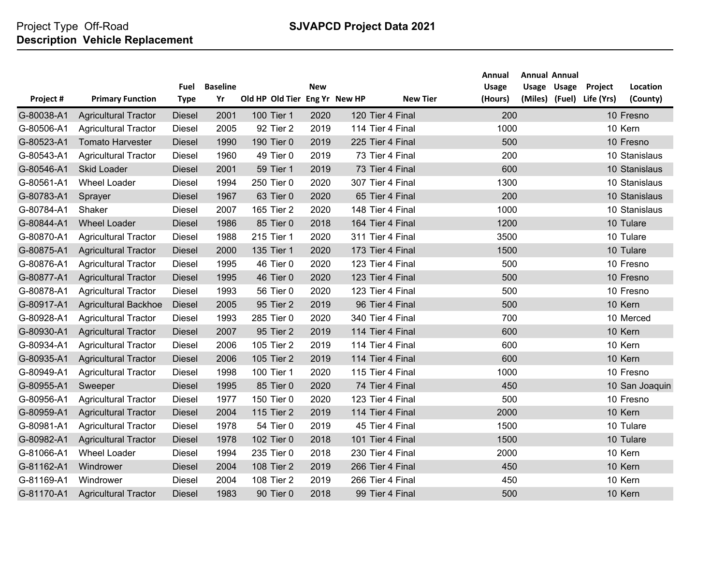|            |                             |               |                       |                               |            |                  | Annual       | Annual Annual                            |         |                |
|------------|-----------------------------|---------------|-----------------------|-------------------------------|------------|------------------|--------------|------------------------------------------|---------|----------------|
| Project #  | <b>Primary Function</b>     | Fuel          | <b>Baseline</b><br>Yr |                               | <b>New</b> | <b>New Tier</b>  | <b>Usage</b> | Usage Usage<br>(Miles) (Fuel) Life (Yrs) | Project | Location       |
|            |                             | <b>Type</b>   |                       | Old HP Old Tier Eng Yr New HP |            |                  | (Hours)      |                                          |         | (County)       |
| G-80038-A1 | <b>Agricultural Tractor</b> | <b>Diesel</b> | 2001                  | 100 Tier 1                    | 2020       | 120 Tier 4 Final | 200          |                                          |         | 10 Fresno      |
| G-80506-A1 | <b>Agricultural Tractor</b> | Diesel        | 2005                  | 92 Tier 2                     | 2019       | 114 Tier 4 Final | 1000         |                                          |         | 10 Kern        |
| G-80523-A1 | <b>Tomato Harvester</b>     | <b>Diesel</b> | 1990                  | 190 Tier 0                    | 2019       | 225 Tier 4 Final | 500          |                                          |         | 10 Fresno      |
| G-80543-A1 | <b>Agricultural Tractor</b> | <b>Diesel</b> | 1960                  | 49 Tier 0                     | 2019       | 73 Tier 4 Final  | 200          |                                          |         | 10 Stanislaus  |
| G-80546-A1 | <b>Skid Loader</b>          | <b>Diesel</b> | 2001                  | 59 Tier 1                     | 2019       | 73 Tier 4 Final  | 600          |                                          |         | 10 Stanislaus  |
| G-80561-A1 | <b>Wheel Loader</b>         | <b>Diesel</b> | 1994                  | 250 Tier 0                    | 2020       | 307 Tier 4 Final | 1300         |                                          |         | 10 Stanislaus  |
| G-80783-A1 | Sprayer                     | <b>Diesel</b> | 1967                  | 63 Tier 0                     | 2020       | 65 Tier 4 Final  | 200          |                                          |         | 10 Stanislaus  |
| G-80784-A1 | Shaker                      | Diesel        | 2007                  | 165 Tier 2                    | 2020       | 148 Tier 4 Final | 1000         |                                          |         | 10 Stanislaus  |
| G-80844-A1 | <b>Wheel Loader</b>         | <b>Diesel</b> | 1986                  | 85 Tier 0                     | 2018       | 164 Tier 4 Final | 1200         |                                          |         | 10 Tulare      |
| G-80870-A1 | <b>Agricultural Tractor</b> | Diesel        | 1988                  | 215 Tier 1                    | 2020       | 311 Tier 4 Final | 3500         |                                          |         | 10 Tulare      |
| G-80875-A1 | <b>Agricultural Tractor</b> | <b>Diesel</b> | 2000                  | 135 Tier 1                    | 2020       | 173 Tier 4 Final | 1500         |                                          |         | 10 Tulare      |
| G-80876-A1 | <b>Agricultural Tractor</b> | Diesel        | 1995                  | 46 Tier 0                     | 2020       | 123 Tier 4 Final | 500          |                                          |         | 10 Fresno      |
| G-80877-A1 | <b>Agricultural Tractor</b> | <b>Diesel</b> | 1995                  | 46 Tier 0                     | 2020       | 123 Tier 4 Final | 500          |                                          |         | 10 Fresno      |
| G-80878-A1 | <b>Agricultural Tractor</b> | <b>Diesel</b> | 1993                  | 56 Tier 0                     | 2020       | 123 Tier 4 Final | 500          |                                          |         | 10 Fresno      |
| G-80917-A1 | <b>Agricultural Backhoe</b> | <b>Diesel</b> | 2005                  | 95 Tier 2                     | 2019       | 96 Tier 4 Final  | 500          |                                          |         | 10 Kern        |
| G-80928-A1 | <b>Agricultural Tractor</b> | <b>Diesel</b> | 1993                  | 285 Tier 0                    | 2020       | 340 Tier 4 Final | 700          |                                          |         | 10 Merced      |
| G-80930-A1 | <b>Agricultural Tractor</b> | <b>Diesel</b> | 2007                  | 95 Tier 2                     | 2019       | 114 Tier 4 Final | 600          |                                          |         | 10 Kern        |
| G-80934-A1 | <b>Agricultural Tractor</b> | Diesel        | 2006                  | 105 Tier 2                    | 2019       | 114 Tier 4 Final | 600          |                                          |         | 10 Kern        |
| G-80935-A1 | <b>Agricultural Tractor</b> | <b>Diesel</b> | 2006                  | 105 Tier 2                    | 2019       | 114 Tier 4 Final | 600          |                                          |         | 10 Kern        |
| G-80949-A1 | <b>Agricultural Tractor</b> | <b>Diesel</b> | 1998                  | 100 Tier 1                    | 2020       | 115 Tier 4 Final | 1000         |                                          |         | 10 Fresno      |
| G-80955-A1 | Sweeper                     | <b>Diesel</b> | 1995                  | 85 Tier 0                     | 2020       | 74 Tier 4 Final  | 450          |                                          |         | 10 San Joaquin |
| G-80956-A1 | <b>Agricultural Tractor</b> | Diesel        | 1977                  | 150 Tier 0                    | 2020       | 123 Tier 4 Final | 500          |                                          |         | 10 Fresno      |
| G-80959-A1 | <b>Agricultural Tractor</b> | <b>Diesel</b> | 2004                  | 115 Tier 2                    | 2019       | 114 Tier 4 Final | 2000         |                                          |         | 10 Kern        |
| G-80981-A1 | <b>Agricultural Tractor</b> | <b>Diesel</b> | 1978                  | 54 Tier 0                     | 2019       | 45 Tier 4 Final  | 1500         |                                          |         | 10 Tulare      |
| G-80982-A1 | <b>Agricultural Tractor</b> | <b>Diesel</b> | 1978                  | 102 Tier 0                    | 2018       | 101 Tier 4 Final | 1500         |                                          |         | 10 Tulare      |
| G-81066-A1 | <b>Wheel Loader</b>         | <b>Diesel</b> | 1994                  | 235 Tier 0                    | 2018       | 230 Tier 4 Final | 2000         |                                          |         | 10 Kern        |
| G-81162-A1 | Windrower                   | <b>Diesel</b> | 2004                  | 108 Tier 2                    | 2019       | 266 Tier 4 Final | 450          |                                          |         | 10 Kern        |
| G-81169-A1 | Windrower                   | Diesel        | 2004                  | 108 Tier 2                    | 2019       | 266 Tier 4 Final | 450          |                                          |         | 10 Kern        |
| G-81170-A1 | <b>Agricultural Tractor</b> | <b>Diesel</b> | 1983                  | 90 Tier 0                     | 2018       | 99 Tier 4 Final  | 500          |                                          |         | 10 Kern        |
|            |                             |               |                       |                               |            |                  |              |                                          |         |                |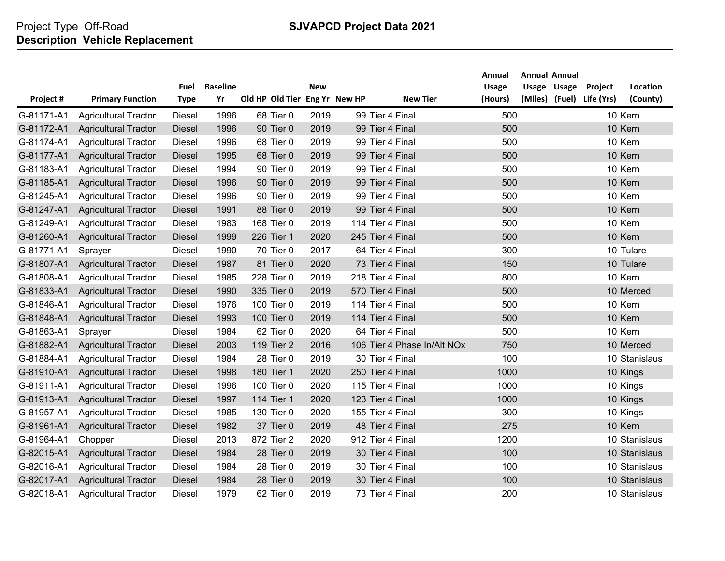|            |                             |               |                 |                               |            |                             | Annual       | Annual Annual                            |         |               |
|------------|-----------------------------|---------------|-----------------|-------------------------------|------------|-----------------------------|--------------|------------------------------------------|---------|---------------|
|            |                             | Fuel          | <b>Baseline</b> |                               | <b>New</b> |                             | <b>Usage</b> | Usage Usage<br>(Miles) (Fuel) Life (Yrs) | Project | Location      |
| Project#   | <b>Primary Function</b>     | <b>Type</b>   | Yr              | Old HP Old Tier Eng Yr New HP |            | <b>New Tier</b>             | (Hours)      |                                          |         | (County)      |
| G-81171-A1 | <b>Agricultural Tractor</b> | <b>Diesel</b> | 1996            | 68 Tier 0                     | 2019       | 99 Tier 4 Final             | 500          |                                          |         | 10 Kern       |
| G-81172-A1 | <b>Agricultural Tractor</b> | <b>Diesel</b> | 1996            | 90 Tier 0                     | 2019       | 99 Tier 4 Final             | 500          |                                          |         | 10 Kern       |
| G-81174-A1 | <b>Agricultural Tractor</b> | <b>Diesel</b> | 1996            | 68 Tier 0                     | 2019       | 99 Tier 4 Final             | 500          |                                          |         | 10 Kern       |
| G-81177-A1 | <b>Agricultural Tractor</b> | <b>Diesel</b> | 1995            | 68 Tier 0                     | 2019       | 99 Tier 4 Final             | 500          |                                          |         | 10 Kern       |
| G-81183-A1 | <b>Agricultural Tractor</b> | <b>Diesel</b> | 1994            | 90 Tier 0                     | 2019       | 99 Tier 4 Final             | 500          |                                          |         | 10 Kern       |
| G-81185-A1 | <b>Agricultural Tractor</b> | <b>Diesel</b> | 1996            | 90 Tier 0                     | 2019       | 99 Tier 4 Final             | 500          |                                          |         | 10 Kern       |
| G-81245-A1 | <b>Agricultural Tractor</b> | <b>Diesel</b> | 1996            | 90 Tier 0                     | 2019       | 99 Tier 4 Final             | 500          |                                          |         | 10 Kern       |
| G-81247-A1 | <b>Agricultural Tractor</b> | <b>Diesel</b> | 1991            | 88 Tier 0                     | 2019       | 99 Tier 4 Final             | 500          |                                          |         | 10 Kern       |
| G-81249-A1 | <b>Agricultural Tractor</b> | <b>Diesel</b> | 1983            | 168 Tier 0                    | 2019       | 114 Tier 4 Final            | 500          |                                          |         | 10 Kern       |
| G-81260-A1 | <b>Agricultural Tractor</b> | <b>Diesel</b> | 1999            | 226 Tier 1                    | 2020       | 245 Tier 4 Final            | 500          |                                          |         | 10 Kern       |
| G-81771-A1 | Sprayer                     | <b>Diesel</b> | 1990            | 70 Tier 0                     | 2017       | 64 Tier 4 Final             | 300          |                                          |         | 10 Tulare     |
| G-81807-A1 | <b>Agricultural Tractor</b> | <b>Diesel</b> | 1987            | 81 Tier 0                     | 2020       | 73 Tier 4 Final             | 150          |                                          |         | 10 Tulare     |
| G-81808-A1 | <b>Agricultural Tractor</b> | <b>Diesel</b> | 1985            | 228 Tier 0                    | 2019       | 218 Tier 4 Final            | 800          |                                          |         | 10 Kern       |
| G-81833-A1 | <b>Agricultural Tractor</b> | <b>Diesel</b> | 1990            | 335 Tier 0                    | 2019       | 570 Tier 4 Final            | 500          |                                          |         | 10 Merced     |
| G-81846-A1 | <b>Agricultural Tractor</b> | <b>Diesel</b> | 1976            | 100 Tier 0                    | 2019       | 114 Tier 4 Final            | 500          |                                          |         | 10 Kern       |
| G-81848-A1 | <b>Agricultural Tractor</b> | <b>Diesel</b> | 1993            | 100 Tier 0                    | 2019       | 114 Tier 4 Final            | 500          |                                          |         | 10 Kern       |
| G-81863-A1 | Sprayer                     | Diesel        | 1984            | 62 Tier 0                     | 2020       | 64 Tier 4 Final             | 500          |                                          |         | 10 Kern       |
| G-81882-A1 | <b>Agricultural Tractor</b> | <b>Diesel</b> | 2003            | 119 Tier 2                    | 2016       | 106 Tier 4 Phase In/Alt NOx | 750          |                                          |         | 10 Merced     |
| G-81884-A1 | <b>Agricultural Tractor</b> | <b>Diesel</b> | 1984            | 28 Tier 0                     | 2019       | 30 Tier 4 Final             | 100          |                                          |         | 10 Stanislaus |
| G-81910-A1 | <b>Agricultural Tractor</b> | <b>Diesel</b> | 1998            | 180 Tier 1                    | 2020       | 250 Tier 4 Final            | 1000         |                                          |         | 10 Kings      |
| G-81911-A1 | <b>Agricultural Tractor</b> | <b>Diesel</b> | 1996            | 100 Tier 0                    | 2020       | 115 Tier 4 Final            | 1000         |                                          |         | 10 Kings      |
| G-81913-A1 | <b>Agricultural Tractor</b> | <b>Diesel</b> | 1997            | 114 Tier 1                    | 2020       | 123 Tier 4 Final            | 1000         |                                          |         | 10 Kings      |
| G-81957-A1 | <b>Agricultural Tractor</b> | Diesel        | 1985            | 130 Tier 0                    | 2020       | 155 Tier 4 Final            | 300          |                                          |         | 10 Kings      |
| G-81961-A1 | <b>Agricultural Tractor</b> | <b>Diesel</b> | 1982            | 37 Tier 0                     | 2019       | 48 Tier 4 Final             | 275          |                                          |         | 10 Kern       |
| G-81964-A1 | Chopper                     | <b>Diesel</b> | 2013            | 872 Tier 2                    | 2020       | 912 Tier 4 Final            | 1200         |                                          |         | 10 Stanislaus |
| G-82015-A1 | <b>Agricultural Tractor</b> | <b>Diesel</b> | 1984            | 28 Tier 0                     | 2019       | 30 Tier 4 Final             | 100          |                                          |         | 10 Stanislaus |
| G-82016-A1 | <b>Agricultural Tractor</b> | Diesel        | 1984            | 28 Tier 0                     | 2019       | 30 Tier 4 Final             | 100          |                                          |         | 10 Stanislaus |
| G-82017-A1 | <b>Agricultural Tractor</b> | <b>Diesel</b> | 1984            | 28 Tier 0                     | 2019       | 30 Tier 4 Final             | 100          |                                          |         | 10 Stanislaus |
| G-82018-A1 | <b>Agricultural Tractor</b> | <b>Diesel</b> | 1979            | 62 Tier 0                     | 2019       | 73 Tier 4 Final             | 200          |                                          |         | 10 Stanislaus |
|            |                             |               |                 |                               |            |                             |              |                                          |         |               |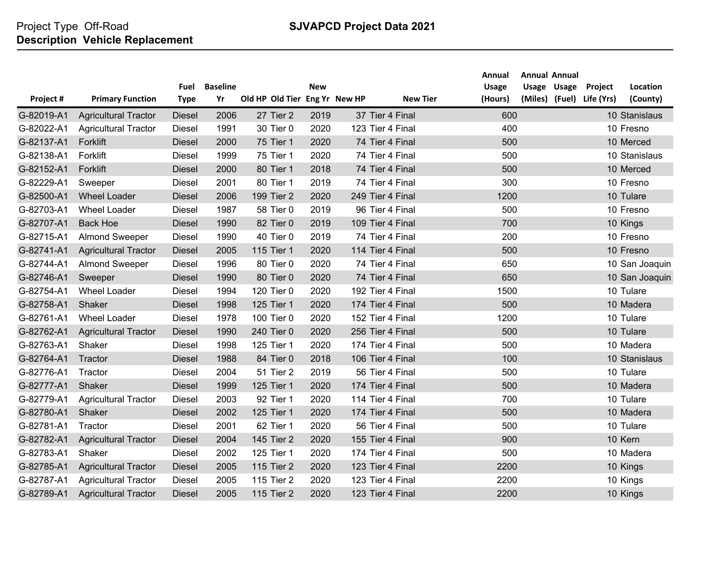|            |                             |               |                 |                               |            |                  | Annual       | <b>Annual Annual</b>      |         |                |
|------------|-----------------------------|---------------|-----------------|-------------------------------|------------|------------------|--------------|---------------------------|---------|----------------|
|            |                             | Fuel          | <b>Baseline</b> |                               | <b>New</b> |                  | <b>Usage</b> | Usage Usage               | Project | Location       |
| Project #  | <b>Primary Function</b>     | <b>Type</b>   | Yr              | Old HP Old Tier Eng Yr New HP |            | <b>New Tier</b>  | (Hours)      | (Miles) (Fuel) Life (Yrs) |         | (County)       |
| G-82019-A1 | <b>Agricultural Tractor</b> | <b>Diesel</b> | 2006            | 27 Tier 2                     | 2019       | 37 Tier 4 Final  | 600          |                           |         | 10 Stanislaus  |
| G-82022-A1 | <b>Agricultural Tractor</b> | <b>Diesel</b> | 1991            | 30 Tier 0                     | 2020       | 123 Tier 4 Final | 400          |                           |         | 10 Fresno      |
| G-82137-A1 | Forklift                    | <b>Diesel</b> | 2000            | 75 Tier 1                     | 2020       | 74 Tier 4 Final  | 500          |                           |         | 10 Merced      |
| G-82138-A1 | Forklift                    | <b>Diesel</b> | 1999            | 75 Tier 1                     | 2020       | 74 Tier 4 Final  | 500          |                           |         | 10 Stanislaus  |
| G-82152-A1 | Forklift                    | <b>Diesel</b> | 2000            | 80 Tier 1                     | 2018       | 74 Tier 4 Final  | 500          |                           |         | 10 Merced      |
| G-82229-A1 | Sweeper                     | Diesel        | 2001            | 80 Tier 1                     | 2019       | 74 Tier 4 Final  | 300          |                           |         | 10 Fresno      |
| G-82500-A1 | <b>Wheel Loader</b>         | <b>Diesel</b> | 2006            | 199 Tier 2                    | 2020       | 249 Tier 4 Final | 1200         |                           |         | 10 Tulare      |
| G-82703-A1 | <b>Wheel Loader</b>         | Diesel        | 1987            | 58 Tier 0                     | 2019       | 96 Tier 4 Final  | 500          |                           |         | 10 Fresno      |
| G-82707-A1 | <b>Back Hoe</b>             | <b>Diesel</b> | 1990            | 82 Tier 0                     | 2019       | 109 Tier 4 Final | 700          |                           |         | 10 Kings       |
| G-82715-A1 | <b>Almond Sweeper</b>       | <b>Diesel</b> | 1990            | 40 Tier 0                     | 2019       | 74 Tier 4 Final  | 200          |                           |         | 10 Fresno      |
| G-82741-A1 | <b>Agricultural Tractor</b> | <b>Diesel</b> | 2005            | 115 Tier 1                    | 2020       | 114 Tier 4 Final | 500          |                           |         | 10 Fresno      |
| G-82744-A1 | <b>Almond Sweeper</b>       | <b>Diesel</b> | 1996            | 80 Tier 0                     | 2020       | 74 Tier 4 Final  | 650          |                           |         | 10 San Joaquin |
| G-82746-A1 | Sweeper                     | <b>Diesel</b> | 1990            | 80 Tier 0                     | 2020       | 74 Tier 4 Final  | 650          |                           |         | 10 San Joaquin |
| G-82754-A1 | <b>Wheel Loader</b>         | <b>Diesel</b> | 1994            | 120 Tier 0                    | 2020       | 192 Tier 4 Final | 1500         |                           |         | 10 Tulare      |
| G-82758-A1 | Shaker                      | <b>Diesel</b> | 1998            | 125 Tier 1                    | 2020       | 174 Tier 4 Final | 500          |                           |         | 10 Madera      |
| G-82761-A1 | <b>Wheel Loader</b>         | <b>Diesel</b> | 1978            | 100 Tier 0                    | 2020       | 152 Tier 4 Final | 1200         |                           |         | 10 Tulare      |
| G-82762-A1 | <b>Agricultural Tractor</b> | <b>Diesel</b> | 1990            | 240 Tier 0                    | 2020       | 256 Tier 4 Final | 500          |                           |         | 10 Tulare      |
| G-82763-A1 | Shaker                      | <b>Diesel</b> | 1998            | 125 Tier 1                    | 2020       | 174 Tier 4 Final | 500          |                           |         | 10 Madera      |
| G-82764-A1 | Tractor                     | <b>Diesel</b> | 1988            | 84 Tier 0                     | 2018       | 106 Tier 4 Final | 100          |                           |         | 10 Stanislaus  |
| G-82776-A1 | Tractor                     | <b>Diesel</b> | 2004            | <b>51 Tier 2</b>              | 2019       | 56 Tier 4 Final  | 500          |                           |         | 10 Tulare      |
| G-82777-A1 | Shaker                      | <b>Diesel</b> | 1999            | 125 Tier 1                    | 2020       | 174 Tier 4 Final | 500          |                           |         | 10 Madera      |
| G-82779-A1 | <b>Agricultural Tractor</b> | <b>Diesel</b> | 2003            | 92 Tier 1                     | 2020       | 114 Tier 4 Final | 700          |                           |         | 10 Tulare      |
| G-82780-A1 | Shaker                      | <b>Diesel</b> | 2002            | 125 Tier 1                    | 2020       | 174 Tier 4 Final | 500          |                           |         | 10 Madera      |
| G-82781-A1 | Tractor                     | Diesel        | 2001            | 62 Tier 1                     | 2020       | 56 Tier 4 Final  | 500          |                           |         | 10 Tulare      |
| G-82782-A1 | <b>Agricultural Tractor</b> | <b>Diesel</b> | 2004            | 145 Tier 2                    | 2020       | 155 Tier 4 Final | 900          |                           |         | 10 Kern        |
| G-82783-A1 | Shaker                      | <b>Diesel</b> | 2002            | 125 Tier 1                    | 2020       | 174 Tier 4 Final | 500          |                           |         | 10 Madera      |
| G-82785-A1 | <b>Agricultural Tractor</b> | <b>Diesel</b> | 2005            | 115 Tier 2                    | 2020       | 123 Tier 4 Final | 2200         |                           |         | 10 Kings       |
| G-82787-A1 | <b>Agricultural Tractor</b> | Diesel        | 2005            | 115 Tier 2                    | 2020       | 123 Tier 4 Final | 2200         |                           |         | 10 Kings       |
| G-82789-A1 | <b>Agricultural Tractor</b> | <b>Diesel</b> | 2005            | 115 Tier 2                    | 2020       | 123 Tier 4 Final | 2200         |                           |         | 10 Kings       |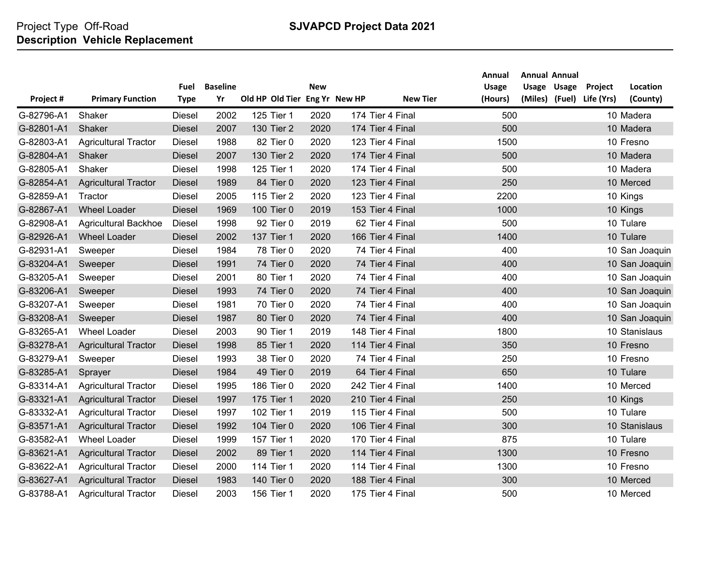|            |                             |               |                 |                               |            |                  | Annual       | Annual Annual             |         |                |
|------------|-----------------------------|---------------|-----------------|-------------------------------|------------|------------------|--------------|---------------------------|---------|----------------|
|            |                             | Fuel          | <b>Baseline</b> |                               | <b>New</b> |                  | <b>Usage</b> | Usage Usage               | Project | Location       |
| Project #  | <b>Primary Function</b>     | <b>Type</b>   | Yr              | Old HP Old Tier Eng Yr New HP |            | <b>New Tier</b>  | (Hours)      | (Miles) (Fuel) Life (Yrs) |         | (County)       |
| G-82796-A1 | Shaker                      | <b>Diesel</b> | 2002            | 125 Tier 1                    | 2020       | 174 Tier 4 Final | 500          |                           |         | 10 Madera      |
| G-82801-A1 | Shaker                      | <b>Diesel</b> | 2007            | 130 Tier 2                    | 2020       | 174 Tier 4 Final | 500          |                           |         | 10 Madera      |
| G-82803-A1 | <b>Agricultural Tractor</b> | <b>Diesel</b> | 1988            | 82 Tier 0                     | 2020       | 123 Tier 4 Final | 1500         |                           |         | 10 Fresno      |
| G-82804-A1 | Shaker                      | <b>Diesel</b> | 2007            | 130 Tier 2                    | 2020       | 174 Tier 4 Final | 500          |                           |         | 10 Madera      |
| G-82805-A1 | Shaker                      | Diesel        | 1998            | 125 Tier 1                    | 2020       | 174 Tier 4 Final | 500          |                           |         | 10 Madera      |
| G-82854-A1 | <b>Agricultural Tractor</b> | <b>Diesel</b> | 1989            | 84 Tier 0                     | 2020       | 123 Tier 4 Final | 250          |                           |         | 10 Merced      |
| G-82859-A1 | Tractor                     | <b>Diesel</b> | 2005            | 115 Tier 2                    | 2020       | 123 Tier 4 Final | 2200         |                           |         | 10 Kings       |
| G-82867-A1 | <b>Wheel Loader</b>         | <b>Diesel</b> | 1969            | 100 Tier 0                    | 2019       | 153 Tier 4 Final | 1000         |                           |         | 10 Kings       |
| G-82908-A1 | <b>Agricultural Backhoe</b> | Diesel        | 1998            | 92 Tier 0                     | 2019       | 62 Tier 4 Final  | 500          |                           |         | 10 Tulare      |
| G-82926-A1 | <b>Wheel Loader</b>         | <b>Diesel</b> | 2002            | 137 Tier 1                    | 2020       | 166 Tier 4 Final | 1400         |                           |         | 10 Tulare      |
| G-82931-A1 | Sweeper                     | Diesel        | 1984            | 78 Tier 0                     | 2020       | 74 Tier 4 Final  | 400          |                           |         | 10 San Joaquin |
| G-83204-A1 | Sweeper                     | <b>Diesel</b> | 1991            | 74 Tier 0                     | 2020       | 74 Tier 4 Final  | 400          |                           |         | 10 San Joaquin |
| G-83205-A1 | Sweeper                     | <b>Diesel</b> | 2001            | 80 Tier 1                     | 2020       | 74 Tier 4 Final  | 400          |                           |         | 10 San Joaquin |
| G-83206-A1 | Sweeper                     | <b>Diesel</b> | 1993            | 74 Tier 0                     | 2020       | 74 Tier 4 Final  | 400          |                           |         | 10 San Joaquin |
| G-83207-A1 | Sweeper                     | Diesel        | 1981            | 70 Tier 0                     | 2020       | 74 Tier 4 Final  | 400          |                           |         | 10 San Joaquin |
| G-83208-A1 | Sweeper                     | <b>Diesel</b> | 1987            | 80 Tier 0                     | 2020       | 74 Tier 4 Final  | 400          |                           |         | 10 San Joaquin |
| G-83265-A1 | <b>Wheel Loader</b>         | Diesel        | 2003            | 90 Tier 1                     | 2019       | 148 Tier 4 Final | 1800         |                           |         | 10 Stanislaus  |
| G-83278-A1 | <b>Agricultural Tractor</b> | <b>Diesel</b> | 1998            | 85 Tier 1                     | 2020       | 114 Tier 4 Final | 350          |                           |         | 10 Fresno      |
| G-83279-A1 | Sweeper                     | <b>Diesel</b> | 1993            | 38 Tier 0                     | 2020       | 74 Tier 4 Final  | 250          |                           |         | 10 Fresno      |
| G-83285-A1 | Sprayer                     | <b>Diesel</b> | 1984            | 49 Tier 0                     | 2019       | 64 Tier 4 Final  | 650          |                           |         | 10 Tulare      |
| G-83314-A1 | <b>Agricultural Tractor</b> | Diesel        | 1995            | 186 Tier 0                    | 2020       | 242 Tier 4 Final | 1400         |                           |         | 10 Merced      |
| G-83321-A1 | <b>Agricultural Tractor</b> | <b>Diesel</b> | 1997            | 175 Tier 1                    | 2020       | 210 Tier 4 Final | 250          |                           |         | 10 Kings       |
| G-83332-A1 | <b>Agricultural Tractor</b> | <b>Diesel</b> | 1997            | 102 Tier 1                    | 2019       | 115 Tier 4 Final | 500          |                           |         | 10 Tulare      |
| G-83571-A1 | <b>Agricultural Tractor</b> | <b>Diesel</b> | 1992            | 104 Tier 0                    | 2020       | 106 Tier 4 Final | 300          |                           |         | 10 Stanislaus  |
| G-83582-A1 | <b>Wheel Loader</b>         | <b>Diesel</b> | 1999            | 157 Tier 1                    | 2020       | 170 Tier 4 Final | 875          |                           |         | 10 Tulare      |
| G-83621-A1 | <b>Agricultural Tractor</b> | <b>Diesel</b> | 2002            | 89 Tier 1                     | 2020       | 114 Tier 4 Final | 1300         |                           |         | 10 Fresno      |
| G-83622-A1 | <b>Agricultural Tractor</b> | Diesel        | 2000            | 114 Tier 1                    | 2020       | 114 Tier 4 Final | 1300         |                           |         | 10 Fresno      |
| G-83627-A1 | <b>Agricultural Tractor</b> | <b>Diesel</b> | 1983            | 140 Tier 0                    | 2020       | 188 Tier 4 Final | 300          |                           |         | 10 Merced      |
| G-83788-A1 | <b>Agricultural Tractor</b> | <b>Diesel</b> | 2003            | 156 Tier 1                    | 2020       | 175 Tier 4 Final | 500          |                           |         | 10 Merced      |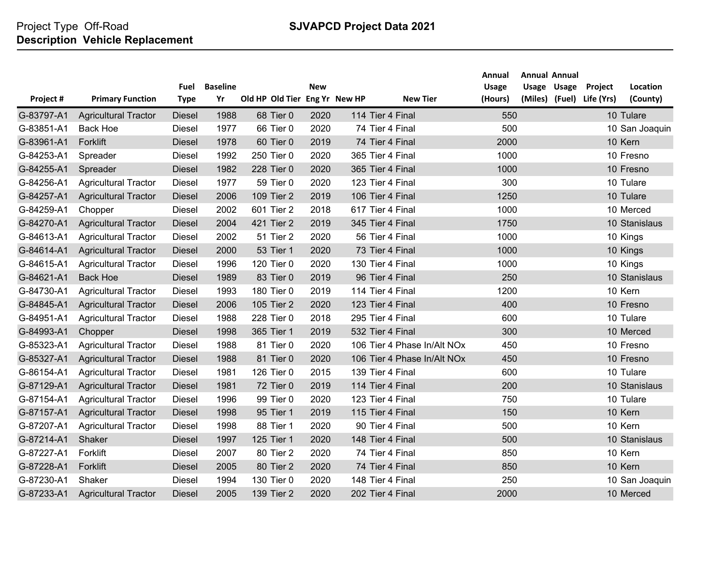| <b>Baseline</b><br>Fuel<br><b>New</b><br><b>Usage</b><br>Usage Usage<br>Location<br>Project<br>(Miles) (Fuel) Life (Yrs)<br><b>Primary Function</b><br>Yr<br>Old HP Old Tier Eng Yr New HP<br><b>New Tier</b><br>Project#<br><b>Type</b><br>(Hours)<br>(County)<br>1988<br>68 Tier 0<br>2020<br>114 Tier 4 Final<br>550<br>10 Tulare<br>G-83797-A1<br><b>Agricultural Tractor</b><br><b>Diesel</b><br>500<br>G-83851-A1<br><b>Back Hoe</b><br>1977<br>66 Tier 0<br>2020<br>74 Tier 4 Final<br>10 San Joaquin<br><b>Diesel</b><br>G-83961-A1<br>Forklift<br>1978<br>60 Tier 0<br>2019<br>74 Tier 4 Final<br>2000<br>10 Kern<br><b>Diesel</b><br>1000<br>10 Fresno<br>G-84253-A1<br>1992<br>250 Tier 0<br>2020<br>365 Tier 4 Final<br>Diesel<br>Spreader<br>G-84255-A1<br>1000<br>10 Fresno<br><b>Diesel</b><br>1982<br>228 Tier 0<br>2020<br>365 Tier 4 Final<br>Spreader<br>1977<br>300<br>10 Tulare<br>G-84256-A1<br><b>Agricultural Tractor</b><br>59 Tier 0<br>2020<br>123 Tier 4 Final<br><b>Diesel</b><br>1250<br>G-84257-A1<br>2006<br>109 Tier 2<br>2019<br>106 Tier 4 Final<br>10 Tulare<br><b>Agricultural Tractor</b><br><b>Diesel</b><br>G-84259-A1<br>601 Tier 2<br>617 Tier 4 Final<br>1000<br>10 Merced<br><b>Diesel</b><br>2002<br>2018<br>Chopper<br>G-84270-A1<br>345 Tier 4 Final<br>1750<br><b>Agricultural Tractor</b><br>2004<br>421 Tier 2<br>2019<br>10 Stanislaus<br><b>Diesel</b><br>1000<br>G-84613-A1<br>2002<br><b>51 Tier 2</b><br>2020<br>56 Tier 4 Final<br>10 Kings<br><b>Agricultural Tractor</b><br><b>Diesel</b><br>1000<br>G-84614-A1<br><b>Agricultural Tractor</b><br>2000<br>53 Tier 1<br>2020<br>73 Tier 4 Final<br>10 Kings<br><b>Diesel</b><br>G-84615-A1<br>120 Tier 0<br>2020<br>130 Tier 4 Final<br>1000<br><b>Agricultural Tractor</b><br><b>Diesel</b><br>1996<br>10 Kings<br>G-84621-A1<br>1989<br>250<br>10 Stanislaus<br><b>Back Hoe</b><br><b>Diesel</b><br>83 Tier 0<br>2019<br>96 Tier 4 Final<br>1993<br>114 Tier 4 Final<br>1200<br>10 Kern<br>G-84730-A1<br><b>Agricultural Tractor</b><br>180 Tier 0<br>2019<br><b>Diesel</b><br>400<br>G-84845-A1<br>2006<br>105 Tier 2<br>2020<br>123 Tier 4 Final<br>10 Fresno<br><b>Agricultural Tractor</b><br><b>Diesel</b><br>1988<br>600<br>G-84951-A1<br>228 Tier 0<br>2018<br>295 Tier 4 Final<br>10 Tulare<br><b>Agricultural Tractor</b><br><b>Diesel</b> |
|----------------------------------------------------------------------------------------------------------------------------------------------------------------------------------------------------------------------------------------------------------------------------------------------------------------------------------------------------------------------------------------------------------------------------------------------------------------------------------------------------------------------------------------------------------------------------------------------------------------------------------------------------------------------------------------------------------------------------------------------------------------------------------------------------------------------------------------------------------------------------------------------------------------------------------------------------------------------------------------------------------------------------------------------------------------------------------------------------------------------------------------------------------------------------------------------------------------------------------------------------------------------------------------------------------------------------------------------------------------------------------------------------------------------------------------------------------------------------------------------------------------------------------------------------------------------------------------------------------------------------------------------------------------------------------------------------------------------------------------------------------------------------------------------------------------------------------------------------------------------------------------------------------------------------------------------------------------------------------------------------------------------------------------------------------------------------------------------------------------------------------------------------------------------------------------------------------------------------------------------------------------------------------------------------------------------------------------------------------------|
|                                                                                                                                                                                                                                                                                                                                                                                                                                                                                                                                                                                                                                                                                                                                                                                                                                                                                                                                                                                                                                                                                                                                                                                                                                                                                                                                                                                                                                                                                                                                                                                                                                                                                                                                                                                                                                                                                                                                                                                                                                                                                                                                                                                                                                                                                                                                                                |
|                                                                                                                                                                                                                                                                                                                                                                                                                                                                                                                                                                                                                                                                                                                                                                                                                                                                                                                                                                                                                                                                                                                                                                                                                                                                                                                                                                                                                                                                                                                                                                                                                                                                                                                                                                                                                                                                                                                                                                                                                                                                                                                                                                                                                                                                                                                                                                |
|                                                                                                                                                                                                                                                                                                                                                                                                                                                                                                                                                                                                                                                                                                                                                                                                                                                                                                                                                                                                                                                                                                                                                                                                                                                                                                                                                                                                                                                                                                                                                                                                                                                                                                                                                                                                                                                                                                                                                                                                                                                                                                                                                                                                                                                                                                                                                                |
|                                                                                                                                                                                                                                                                                                                                                                                                                                                                                                                                                                                                                                                                                                                                                                                                                                                                                                                                                                                                                                                                                                                                                                                                                                                                                                                                                                                                                                                                                                                                                                                                                                                                                                                                                                                                                                                                                                                                                                                                                                                                                                                                                                                                                                                                                                                                                                |
|                                                                                                                                                                                                                                                                                                                                                                                                                                                                                                                                                                                                                                                                                                                                                                                                                                                                                                                                                                                                                                                                                                                                                                                                                                                                                                                                                                                                                                                                                                                                                                                                                                                                                                                                                                                                                                                                                                                                                                                                                                                                                                                                                                                                                                                                                                                                                                |
|                                                                                                                                                                                                                                                                                                                                                                                                                                                                                                                                                                                                                                                                                                                                                                                                                                                                                                                                                                                                                                                                                                                                                                                                                                                                                                                                                                                                                                                                                                                                                                                                                                                                                                                                                                                                                                                                                                                                                                                                                                                                                                                                                                                                                                                                                                                                                                |
|                                                                                                                                                                                                                                                                                                                                                                                                                                                                                                                                                                                                                                                                                                                                                                                                                                                                                                                                                                                                                                                                                                                                                                                                                                                                                                                                                                                                                                                                                                                                                                                                                                                                                                                                                                                                                                                                                                                                                                                                                                                                                                                                                                                                                                                                                                                                                                |
|                                                                                                                                                                                                                                                                                                                                                                                                                                                                                                                                                                                                                                                                                                                                                                                                                                                                                                                                                                                                                                                                                                                                                                                                                                                                                                                                                                                                                                                                                                                                                                                                                                                                                                                                                                                                                                                                                                                                                                                                                                                                                                                                                                                                                                                                                                                                                                |
|                                                                                                                                                                                                                                                                                                                                                                                                                                                                                                                                                                                                                                                                                                                                                                                                                                                                                                                                                                                                                                                                                                                                                                                                                                                                                                                                                                                                                                                                                                                                                                                                                                                                                                                                                                                                                                                                                                                                                                                                                                                                                                                                                                                                                                                                                                                                                                |
|                                                                                                                                                                                                                                                                                                                                                                                                                                                                                                                                                                                                                                                                                                                                                                                                                                                                                                                                                                                                                                                                                                                                                                                                                                                                                                                                                                                                                                                                                                                                                                                                                                                                                                                                                                                                                                                                                                                                                                                                                                                                                                                                                                                                                                                                                                                                                                |
|                                                                                                                                                                                                                                                                                                                                                                                                                                                                                                                                                                                                                                                                                                                                                                                                                                                                                                                                                                                                                                                                                                                                                                                                                                                                                                                                                                                                                                                                                                                                                                                                                                                                                                                                                                                                                                                                                                                                                                                                                                                                                                                                                                                                                                                                                                                                                                |
|                                                                                                                                                                                                                                                                                                                                                                                                                                                                                                                                                                                                                                                                                                                                                                                                                                                                                                                                                                                                                                                                                                                                                                                                                                                                                                                                                                                                                                                                                                                                                                                                                                                                                                                                                                                                                                                                                                                                                                                                                                                                                                                                                                                                                                                                                                                                                                |
|                                                                                                                                                                                                                                                                                                                                                                                                                                                                                                                                                                                                                                                                                                                                                                                                                                                                                                                                                                                                                                                                                                                                                                                                                                                                                                                                                                                                                                                                                                                                                                                                                                                                                                                                                                                                                                                                                                                                                                                                                                                                                                                                                                                                                                                                                                                                                                |
|                                                                                                                                                                                                                                                                                                                                                                                                                                                                                                                                                                                                                                                                                                                                                                                                                                                                                                                                                                                                                                                                                                                                                                                                                                                                                                                                                                                                                                                                                                                                                                                                                                                                                                                                                                                                                                                                                                                                                                                                                                                                                                                                                                                                                                                                                                                                                                |
|                                                                                                                                                                                                                                                                                                                                                                                                                                                                                                                                                                                                                                                                                                                                                                                                                                                                                                                                                                                                                                                                                                                                                                                                                                                                                                                                                                                                                                                                                                                                                                                                                                                                                                                                                                                                                                                                                                                                                                                                                                                                                                                                                                                                                                                                                                                                                                |
|                                                                                                                                                                                                                                                                                                                                                                                                                                                                                                                                                                                                                                                                                                                                                                                                                                                                                                                                                                                                                                                                                                                                                                                                                                                                                                                                                                                                                                                                                                                                                                                                                                                                                                                                                                                                                                                                                                                                                                                                                                                                                                                                                                                                                                                                                                                                                                |
|                                                                                                                                                                                                                                                                                                                                                                                                                                                                                                                                                                                                                                                                                                                                                                                                                                                                                                                                                                                                                                                                                                                                                                                                                                                                                                                                                                                                                                                                                                                                                                                                                                                                                                                                                                                                                                                                                                                                                                                                                                                                                                                                                                                                                                                                                                                                                                |
|                                                                                                                                                                                                                                                                                                                                                                                                                                                                                                                                                                                                                                                                                                                                                                                                                                                                                                                                                                                                                                                                                                                                                                                                                                                                                                                                                                                                                                                                                                                                                                                                                                                                                                                                                                                                                                                                                                                                                                                                                                                                                                                                                                                                                                                                                                                                                                |
| G-84993-A1<br>365 Tier 1<br>2019<br>532 Tier 4 Final<br>300<br>10 Merced<br><b>Diesel</b><br>1998<br>Chopper                                                                                                                                                                                                                                                                                                                                                                                                                                                                                                                                                                                                                                                                                                                                                                                                                                                                                                                                                                                                                                                                                                                                                                                                                                                                                                                                                                                                                                                                                                                                                                                                                                                                                                                                                                                                                                                                                                                                                                                                                                                                                                                                                                                                                                                   |
| 106 Tier 4 Phase In/Alt NOx<br>450<br>10 Fresno<br>G-85323-A1<br><b>Agricultural Tractor</b><br>1988<br>81 Tier 0<br>2020<br><b>Diesel</b>                                                                                                                                                                                                                                                                                                                                                                                                                                                                                                                                                                                                                                                                                                                                                                                                                                                                                                                                                                                                                                                                                                                                                                                                                                                                                                                                                                                                                                                                                                                                                                                                                                                                                                                                                                                                                                                                                                                                                                                                                                                                                                                                                                                                                     |
| G-85327-A1<br>1988<br>2020<br>106 Tier 4 Phase In/Alt NOx<br>450<br>10 Fresno<br><b>Diesel</b><br>81 Tier 0<br><b>Agricultural Tractor</b>                                                                                                                                                                                                                                                                                                                                                                                                                                                                                                                                                                                                                                                                                                                                                                                                                                                                                                                                                                                                                                                                                                                                                                                                                                                                                                                                                                                                                                                                                                                                                                                                                                                                                                                                                                                                                                                                                                                                                                                                                                                                                                                                                                                                                     |
| 139 Tier 4 Final<br>600<br>10 Tulare<br>G-86154-A1<br><b>Agricultural Tractor</b><br>1981<br>126 Tier 0<br>2015<br><b>Diesel</b>                                                                                                                                                                                                                                                                                                                                                                                                                                                                                                                                                                                                                                                                                                                                                                                                                                                                                                                                                                                                                                                                                                                                                                                                                                                                                                                                                                                                                                                                                                                                                                                                                                                                                                                                                                                                                                                                                                                                                                                                                                                                                                                                                                                                                               |
| 2019<br>200<br>G-87129-A1<br><b>Agricultural Tractor</b><br>1981<br>72 Tier 0<br>114 Tier 4 Final<br>10 Stanislaus<br><b>Diesel</b>                                                                                                                                                                                                                                                                                                                                                                                                                                                                                                                                                                                                                                                                                                                                                                                                                                                                                                                                                                                                                                                                                                                                                                                                                                                                                                                                                                                                                                                                                                                                                                                                                                                                                                                                                                                                                                                                                                                                                                                                                                                                                                                                                                                                                            |
| 10 Tulare<br>G-87154-A1<br><b>Agricultural Tractor</b><br>1996<br>99 Tier 0<br>2020<br>123 Tier 4 Final<br>750<br><b>Diesel</b>                                                                                                                                                                                                                                                                                                                                                                                                                                                                                                                                                                                                                                                                                                                                                                                                                                                                                                                                                                                                                                                                                                                                                                                                                                                                                                                                                                                                                                                                                                                                                                                                                                                                                                                                                                                                                                                                                                                                                                                                                                                                                                                                                                                                                                |
| 10 Kern<br>G-87157-A1<br><b>Agricultural Tractor</b><br>1998<br>95 Tier 1<br>2019<br>115 Tier 4 Final<br>150<br><b>Diesel</b>                                                                                                                                                                                                                                                                                                                                                                                                                                                                                                                                                                                                                                                                                                                                                                                                                                                                                                                                                                                                                                                                                                                                                                                                                                                                                                                                                                                                                                                                                                                                                                                                                                                                                                                                                                                                                                                                                                                                                                                                                                                                                                                                                                                                                                  |
| 500<br>10 Kern<br>G-87207-A1<br><b>Agricultural Tractor</b><br>1998<br>88 Tier 1<br>2020<br>90 Tier 4 Final<br>Diesel                                                                                                                                                                                                                                                                                                                                                                                                                                                                                                                                                                                                                                                                                                                                                                                                                                                                                                                                                                                                                                                                                                                                                                                                                                                                                                                                                                                                                                                                                                                                                                                                                                                                                                                                                                                                                                                                                                                                                                                                                                                                                                                                                                                                                                          |
| Shaker<br>500<br>G-87214-A1<br><b>Diesel</b><br>1997<br>125 Tier 1<br>2020<br>148 Tier 4 Final<br>10 Stanislaus                                                                                                                                                                                                                                                                                                                                                                                                                                                                                                                                                                                                                                                                                                                                                                                                                                                                                                                                                                                                                                                                                                                                                                                                                                                                                                                                                                                                                                                                                                                                                                                                                                                                                                                                                                                                                                                                                                                                                                                                                                                                                                                                                                                                                                                |
| 850<br>10 Kern<br>G-87227-A1<br>Forklift<br>2007<br>80 Tier 2<br>2020<br>74 Tier 4 Final<br>Diesel                                                                                                                                                                                                                                                                                                                                                                                                                                                                                                                                                                                                                                                                                                                                                                                                                                                                                                                                                                                                                                                                                                                                                                                                                                                                                                                                                                                                                                                                                                                                                                                                                                                                                                                                                                                                                                                                                                                                                                                                                                                                                                                                                                                                                                                             |
| 850<br>G-87228-A1<br>Forklift<br>2005<br>80 Tier 2<br>2020<br>74 Tier 4 Final<br>10 Kern<br><b>Diesel</b>                                                                                                                                                                                                                                                                                                                                                                                                                                                                                                                                                                                                                                                                                                                                                                                                                                                                                                                                                                                                                                                                                                                                                                                                                                                                                                                                                                                                                                                                                                                                                                                                                                                                                                                                                                                                                                                                                                                                                                                                                                                                                                                                                                                                                                                      |
| G-87230-A1<br>Shaker<br>1994<br>130 Tier 0<br>2020<br>148 Tier 4 Final<br>250<br>10 San Joaquin<br>Diesel                                                                                                                                                                                                                                                                                                                                                                                                                                                                                                                                                                                                                                                                                                                                                                                                                                                                                                                                                                                                                                                                                                                                                                                                                                                                                                                                                                                                                                                                                                                                                                                                                                                                                                                                                                                                                                                                                                                                                                                                                                                                                                                                                                                                                                                      |
| 2020<br>202 Tier 4 Final<br>2000<br>G-87233-A1<br><b>Agricultural Tractor</b><br>2005<br>139 Tier 2<br>10 Merced<br><b>Diesel</b>                                                                                                                                                                                                                                                                                                                                                                                                                                                                                                                                                                                                                                                                                                                                                                                                                                                                                                                                                                                                                                                                                                                                                                                                                                                                                                                                                                                                                                                                                                                                                                                                                                                                                                                                                                                                                                                                                                                                                                                                                                                                                                                                                                                                                              |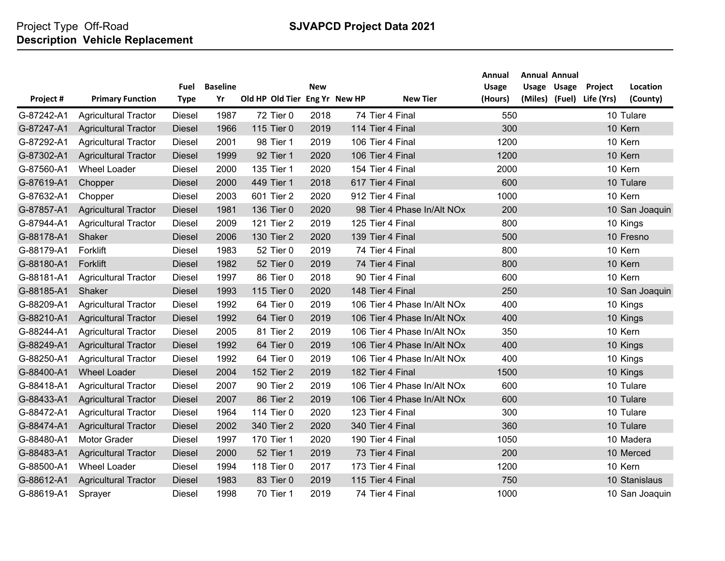|            |                             |               |                 |                               |            |                             | Annual       | Annual Annual |                           |                |
|------------|-----------------------------|---------------|-----------------|-------------------------------|------------|-----------------------------|--------------|---------------|---------------------------|----------------|
|            |                             | Fuel          | <b>Baseline</b> |                               | <b>New</b> |                             | <b>Usage</b> | Usage Usage   | Project                   | Location       |
| Project #  | <b>Primary Function</b>     | <b>Type</b>   | Yr              | Old HP Old Tier Eng Yr New HP |            | <b>New Tier</b>             | (Hours)      |               | (Miles) (Fuel) Life (Yrs) | (County)       |
| G-87242-A1 | <b>Agricultural Tractor</b> | <b>Diesel</b> | 1987            | 72 Tier 0                     | 2018       | 74 Tier 4 Final             | 550          |               |                           | 10 Tulare      |
| G-87247-A1 | <b>Agricultural Tractor</b> | <b>Diesel</b> | 1966            | 115 Tier 0                    | 2019       | 114 Tier 4 Final            | 300          |               |                           | 10 Kern        |
| G-87292-A1 | <b>Agricultural Tractor</b> | <b>Diesel</b> | 2001            | 98 Tier 1                     | 2019       | 106 Tier 4 Final            | 1200         |               |                           | 10 Kern        |
| G-87302-A1 | <b>Agricultural Tractor</b> | <b>Diesel</b> | 1999            | 92 Tier 1                     | 2020       | 106 Tier 4 Final            | 1200         |               |                           | 10 Kern        |
| G-87560-A1 | <b>Wheel Loader</b>         | <b>Diesel</b> | 2000            | 135 Tier 1                    | 2020       | 154 Tier 4 Final            | 2000         |               |                           | 10 Kern        |
| G-87619-A1 | Chopper                     | <b>Diesel</b> | 2000            | 449 Tier 1                    | 2018       | 617 Tier 4 Final            | 600          |               |                           | 10 Tulare      |
| G-87632-A1 | Chopper                     | <b>Diesel</b> | 2003            | 601 Tier 2                    | 2020       | 912 Tier 4 Final            | 1000         |               |                           | 10 Kern        |
| G-87857-A1 | <b>Agricultural Tractor</b> | <b>Diesel</b> | 1981            | 136 Tier 0                    | 2020       | 98 Tier 4 Phase In/Alt NOx  | 200          |               |                           | 10 San Joaquin |
| G-87944-A1 | <b>Agricultural Tractor</b> | <b>Diesel</b> | 2009            | 121 Tier 2                    | 2019       | 125 Tier 4 Final            | 800          |               |                           | 10 Kings       |
| G-88178-A1 | Shaker                      | <b>Diesel</b> | 2006            | 130 Tier 2                    | 2020       | 139 Tier 4 Final            | 500          |               |                           | 10 Fresno      |
| G-88179-A1 | Forklift                    | <b>Diesel</b> | 1983            | 52 Tier 0                     | 2019       | 74 Tier 4 Final             | 800          |               |                           | 10 Kern        |
| G-88180-A1 | Forklift                    | <b>Diesel</b> | 1982            | 52 Tier 0                     | 2019       | 74 Tier 4 Final             | 800          |               |                           | 10 Kern        |
| G-88181-A1 | <b>Agricultural Tractor</b> | <b>Diesel</b> | 1997            | 86 Tier 0                     | 2018       | 90 Tier 4 Final             | 600          |               |                           | 10 Kern        |
| G-88185-A1 | Shaker                      | <b>Diesel</b> | 1993            | 115 Tier 0                    | 2020       | 148 Tier 4 Final            | 250          |               |                           | 10 San Joaquin |
| G-88209-A1 | <b>Agricultural Tractor</b> | <b>Diesel</b> | 1992            | 64 Tier 0                     | 2019       | 106 Tier 4 Phase In/Alt NOx | 400          |               |                           | 10 Kings       |
| G-88210-A1 | <b>Agricultural Tractor</b> | <b>Diesel</b> | 1992            | 64 Tier 0                     | 2019       | 106 Tier 4 Phase In/Alt NOx | 400          |               |                           | 10 Kings       |
| G-88244-A1 | <b>Agricultural Tractor</b> | <b>Diesel</b> | 2005            | 81 Tier 2                     | 2019       | 106 Tier 4 Phase In/Alt NOx | 350          |               |                           | 10 Kern        |
| G-88249-A1 | <b>Agricultural Tractor</b> | <b>Diesel</b> | 1992            | 64 Tier 0                     | 2019       | 106 Tier 4 Phase In/Alt NOx | 400          |               |                           | 10 Kings       |
| G-88250-A1 | <b>Agricultural Tractor</b> | <b>Diesel</b> | 1992            | 64 Tier 0                     | 2019       | 106 Tier 4 Phase In/Alt NOx | 400          |               |                           | 10 Kings       |
| G-88400-A1 | <b>Wheel Loader</b>         | <b>Diesel</b> | 2004            | 152 Tier 2                    | 2019       | 182 Tier 4 Final            | 1500         |               |                           | 10 Kings       |
| G-88418-A1 | <b>Agricultural Tractor</b> | <b>Diesel</b> | 2007            | 90 Tier 2                     | 2019       | 106 Tier 4 Phase In/Alt NOx | 600          |               |                           | 10 Tulare      |
| G-88433-A1 | <b>Agricultural Tractor</b> | <b>Diesel</b> | 2007            | 86 Tier 2                     | 2019       | 106 Tier 4 Phase In/Alt NOx | 600          |               |                           | 10 Tulare      |
| G-88472-A1 | <b>Agricultural Tractor</b> | <b>Diesel</b> | 1964            | 114 Tier 0                    | 2020       | 123 Tier 4 Final            | 300          |               |                           | 10 Tulare      |
| G-88474-A1 | <b>Agricultural Tractor</b> | <b>Diesel</b> | 2002            | 340 Tier 2                    | 2020       | 340 Tier 4 Final            | 360          |               |                           | 10 Tulare      |
| G-88480-A1 | Motor Grader                | Diesel        | 1997            | 170 Tier 1                    | 2020       | 190 Tier 4 Final            | 1050         |               |                           | 10 Madera      |
| G-88483-A1 | <b>Agricultural Tractor</b> | <b>Diesel</b> | 2000            | 52 Tier 1                     | 2019       | 73 Tier 4 Final             | 200          |               |                           | 10 Merced      |
| G-88500-A1 | <b>Wheel Loader</b>         | <b>Diesel</b> | 1994            | 118 Tier 0                    | 2017       | 173 Tier 4 Final            | 1200         |               |                           | 10 Kern        |
| G-88612-A1 | <b>Agricultural Tractor</b> | <b>Diesel</b> | 1983            | 83 Tier 0                     | 2019       | 115 Tier 4 Final            | 750          |               |                           | 10 Stanislaus  |
| G-88619-A1 | Sprayer                     | <b>Diesel</b> | 1998            | 70 Tier 1                     | 2019       | 74 Tier 4 Final             | 1000         |               |                           | 10 San Joaquin |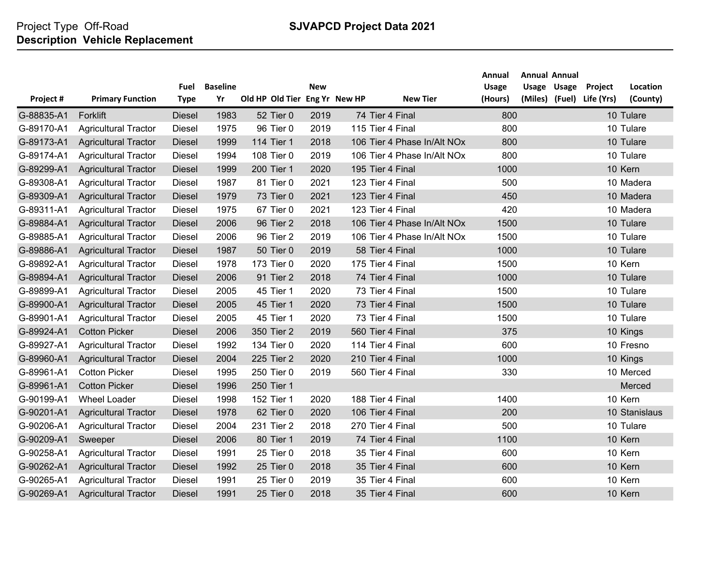|            |                             |               |                 |                               |            |                             | Annual       | <b>Annual Annual</b>      |         |               |
|------------|-----------------------------|---------------|-----------------|-------------------------------|------------|-----------------------------|--------------|---------------------------|---------|---------------|
|            |                             | Fuel          | <b>Baseline</b> |                               | <b>New</b> |                             | <b>Usage</b> | Usage Usage               | Project | Location      |
| Project #  | <b>Primary Function</b>     | <b>Type</b>   | Yr              | Old HP Old Tier Eng Yr New HP |            | <b>New Tier</b>             | (Hours)      | (Miles) (Fuel) Life (Yrs) |         | (County)      |
| G-88835-A1 | Forklift                    | <b>Diesel</b> | 1983            | 52 Tier 0                     | 2019       | 74 Tier 4 Final             | 800          |                           |         | 10 Tulare     |
| G-89170-A1 | <b>Agricultural Tractor</b> | <b>Diesel</b> | 1975            | 96 Tier 0                     | 2019       | 115 Tier 4 Final            | 800          |                           |         | 10 Tulare     |
| G-89173-A1 | <b>Agricultural Tractor</b> | <b>Diesel</b> | 1999            | 114 Tier 1                    | 2018       | 106 Tier 4 Phase In/Alt NOx | 800          |                           |         | 10 Tulare     |
| G-89174-A1 | <b>Agricultural Tractor</b> | <b>Diesel</b> | 1994            | 108 Tier 0                    | 2019       | 106 Tier 4 Phase In/Alt NOx | 800          |                           |         | 10 Tulare     |
| G-89299-A1 | <b>Agricultural Tractor</b> | <b>Diesel</b> | 1999            | 200 Tier 1                    | 2020       | 195 Tier 4 Final            | 1000         |                           |         | 10 Kern       |
| G-89308-A1 | <b>Agricultural Tractor</b> | Diesel        | 1987            | 81 Tier 0                     | 2021       | 123 Tier 4 Final            | 500          |                           |         | 10 Madera     |
| G-89309-A1 | <b>Agricultural Tractor</b> | <b>Diesel</b> | 1979            | 73 Tier 0                     | 2021       | 123 Tier 4 Final            | 450          |                           |         | 10 Madera     |
| G-89311-A1 | <b>Agricultural Tractor</b> | <b>Diesel</b> | 1975            | 67 Tier 0                     | 2021       | 123 Tier 4 Final            | 420          |                           |         | 10 Madera     |
| G-89884-A1 | <b>Agricultural Tractor</b> | <b>Diesel</b> | 2006            | 96 Tier 2                     | 2018       | 106 Tier 4 Phase In/Alt NOx | 1500         |                           |         | 10 Tulare     |
| G-89885-A1 | <b>Agricultural Tractor</b> | <b>Diesel</b> | 2006            | 96 Tier 2                     | 2019       | 106 Tier 4 Phase In/Alt NOx | 1500         |                           |         | 10 Tulare     |
| G-89886-A1 | <b>Agricultural Tractor</b> | <b>Diesel</b> | 1987            | 50 Tier 0                     | 2019       | 58 Tier 4 Final             | 1000         |                           |         | 10 Tulare     |
| G-89892-A1 | <b>Agricultural Tractor</b> | Diesel        | 1978            | 173 Tier 0                    | 2020       | 175 Tier 4 Final            | 1500         |                           |         | 10 Kern       |
| G-89894-A1 | <b>Agricultural Tractor</b> | <b>Diesel</b> | 2006            | 91 Tier 2                     | 2018       | 74 Tier 4 Final             | 1000         |                           |         | 10 Tulare     |
| G-89899-A1 | <b>Agricultural Tractor</b> | <b>Diesel</b> | 2005            | 45 Tier 1                     | 2020       | 73 Tier 4 Final             | 1500         |                           |         | 10 Tulare     |
| G-89900-A1 | <b>Agricultural Tractor</b> | <b>Diesel</b> | 2005            | 45 Tier 1                     | 2020       | 73 Tier 4 Final             | 1500         |                           |         | 10 Tulare     |
| G-89901-A1 | <b>Agricultural Tractor</b> | <b>Diesel</b> | 2005            | 45 Tier 1                     | 2020       | 73 Tier 4 Final             | 1500         |                           |         | 10 Tulare     |
| G-89924-A1 | <b>Cotton Picker</b>        | <b>Diesel</b> | 2006            | 350 Tier 2                    | 2019       | 560 Tier 4 Final            | 375          |                           |         | 10 Kings      |
| G-89927-A1 | <b>Agricultural Tractor</b> | Diesel        | 1992            | 134 Tier 0                    | 2020       | 114 Tier 4 Final            | 600          |                           |         | 10 Fresno     |
| G-89960-A1 | <b>Agricultural Tractor</b> | <b>Diesel</b> | 2004            | 225 Tier 2                    | 2020       | 210 Tier 4 Final            | 1000         |                           |         | 10 Kings      |
| G-89961-A1 | <b>Cotton Picker</b>        | <b>Diesel</b> | 1995            | 250 Tier 0                    | 2019       | 560 Tier 4 Final            | 330          |                           |         | 10 Merced     |
| G-89961-A1 | <b>Cotton Picker</b>        | <b>Diesel</b> | 1996            | 250 Tier 1                    |            |                             |              |                           |         | Merced        |
| G-90199-A1 | <b>Wheel Loader</b>         | Diesel        | 1998            | 152 Tier 1                    | 2020       | 188 Tier 4 Final            | 1400         |                           |         | 10 Kern       |
| G-90201-A1 | <b>Agricultural Tractor</b> | <b>Diesel</b> | 1978            | 62 Tier 0                     | 2020       | 106 Tier 4 Final            | 200          |                           |         | 10 Stanislaus |
| G-90206-A1 | <b>Agricultural Tractor</b> | Diesel        | 2004            | 231 Tier 2                    | 2018       | 270 Tier 4 Final            | 500          |                           |         | 10 Tulare     |
| G-90209-A1 | Sweeper                     | <b>Diesel</b> | 2006            | 80 Tier 1                     | 2019       | 74 Tier 4 Final             | 1100         |                           |         | 10 Kern       |
| G-90258-A1 | <b>Agricultural Tractor</b> | <b>Diesel</b> | 1991            | 25 Tier 0                     | 2018       | 35 Tier 4 Final             | 600          |                           |         | 10 Kern       |
| G-90262-A1 | <b>Agricultural Tractor</b> | <b>Diesel</b> | 1992            | 25 Tier 0                     | 2018       | 35 Tier 4 Final             | 600          |                           |         | 10 Kern       |
| G-90265-A1 | <b>Agricultural Tractor</b> | Diesel        | 1991            | 25 Tier 0                     | 2019       | 35 Tier 4 Final             | 600          |                           |         | 10 Kern       |
| G-90269-A1 | <b>Agricultural Tractor</b> | <b>Diesel</b> | 1991            | 25 Tier 0                     | 2018       | 35 Tier 4 Final             | 600          |                           |         | 10 Kern       |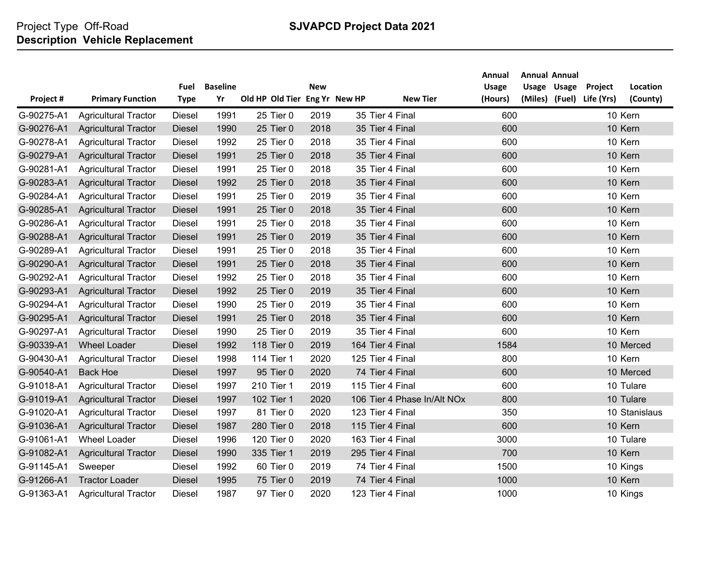|            |                             |               |                       |                               |            |                             | Annual                  | <b>Annual Annual</b>                     |         |                      |
|------------|-----------------------------|---------------|-----------------------|-------------------------------|------------|-----------------------------|-------------------------|------------------------------------------|---------|----------------------|
|            | <b>Primary Function</b>     | Fuel          | <b>Baseline</b><br>Yr | Old HP Old Tier Eng Yr New HP | <b>New</b> | <b>New Tier</b>             | <b>Usage</b><br>(Hours) | Usage Usage<br>(Miles) (Fuel) Life (Yrs) | Project | Location<br>(County) |
| Project#   |                             | <b>Type</b>   |                       |                               |            |                             |                         |                                          |         |                      |
| G-90275-A1 | <b>Agricultural Tractor</b> | <b>Diesel</b> | 1991                  | 25 Tier 0                     | 2019       | 35 Tier 4 Final             | 600                     |                                          |         | 10 Kern              |
| G-90276-A1 | <b>Agricultural Tractor</b> | <b>Diesel</b> | 1990                  | 25 Tier 0                     | 2018       | 35 Tier 4 Final             | 600                     |                                          |         | 10 Kern              |
| G-90278-A1 | <b>Agricultural Tractor</b> | <b>Diesel</b> | 1992                  | 25 Tier 0                     | 2018       | 35 Tier 4 Final             | 600                     |                                          |         | 10 Kern              |
| G-90279-A1 | <b>Agricultural Tractor</b> | Diesel        | 1991                  | 25 Tier 0                     | 2018       | 35 Tier 4 Final             | 600                     |                                          |         | 10 Kern              |
| G-90281-A1 | <b>Agricultural Tractor</b> | <b>Diesel</b> | 1991                  | 25 Tier 0                     | 2018       | 35 Tier 4 Final             | 600                     |                                          |         | 10 Kern              |
| G-90283-A1 | <b>Agricultural Tractor</b> | <b>Diesel</b> | 1992                  | 25 Tier 0                     | 2018       | 35 Tier 4 Final             | 600                     |                                          |         | 10 Kern              |
| G-90284-A1 | <b>Agricultural Tractor</b> | <b>Diesel</b> | 1991                  | 25 Tier 0                     | 2019       | 35 Tier 4 Final             | 600                     |                                          |         | 10 Kern              |
| G-90285-A1 | <b>Agricultural Tractor</b> | <b>Diesel</b> | 1991                  | 25 Tier 0                     | 2018       | 35 Tier 4 Final             | 600                     |                                          |         | 10 Kern              |
| G-90286-A1 | <b>Agricultural Tractor</b> | <b>Diesel</b> | 1991                  | 25 Tier 0                     | 2018       | 35 Tier 4 Final             | 600                     |                                          |         | 10 Kern              |
| G-90288-A1 | <b>Agricultural Tractor</b> | <b>Diesel</b> | 1991                  | 25 Tier 0                     | 2019       | 35 Tier 4 Final             | 600                     |                                          |         | 10 Kern              |
| G-90289-A1 | <b>Agricultural Tractor</b> | Diesel        | 1991                  | 25 Tier 0                     | 2018       | 35 Tier 4 Final             | 600                     |                                          |         | 10 Kern              |
| G-90290-A1 | <b>Agricultural Tractor</b> | <b>Diesel</b> | 1991                  | 25 Tier 0                     | 2018       | 35 Tier 4 Final             | 600                     |                                          |         | 10 Kern              |
| G-90292-A1 | <b>Agricultural Tractor</b> | <b>Diesel</b> | 1992                  | 25 Tier 0                     | 2018       | 35 Tier 4 Final             | 600                     |                                          |         | 10 Kern              |
| G-90293-A1 | <b>Agricultural Tractor</b> | <b>Diesel</b> | 1992                  | 25 Tier 0                     | 2019       | 35 Tier 4 Final             | 600                     |                                          |         | 10 Kern              |
| G-90294-A1 | <b>Agricultural Tractor</b> | <b>Diesel</b> | 1990                  | 25 Tier 0                     | 2019       | 35 Tier 4 Final             | 600                     |                                          |         | 10 Kern              |
| G-90295-A1 | <b>Agricultural Tractor</b> | <b>Diesel</b> | 1991                  | 25 Tier 0                     | 2018       | 35 Tier 4 Final             | 600                     |                                          |         | 10 Kern              |
| G-90297-A1 | <b>Agricultural Tractor</b> | <b>Diesel</b> | 1990                  | 25 Tier 0                     | 2019       | 35 Tier 4 Final             | 600                     |                                          |         | 10 Kern              |
| G-90339-A1 | <b>Wheel Loader</b>         | Diesel        | 1992                  | 118 Tier 0                    | 2019       | 164 Tier 4 Final            | 1584                    |                                          |         | 10 Merced            |
| G-90430-A1 | <b>Agricultural Tractor</b> | <b>Diesel</b> | 1998                  | 114 Tier 1                    | 2020       | 125 Tier 4 Final            | 800                     |                                          |         | 10 Kern              |
| G-90540-A1 | <b>Back Hoe</b>             | Diesel        | 1997                  | 95 Tier 0                     | 2020       | 74 Tier 4 Final             | 600                     |                                          |         | 10 Merced            |
| G-91018-A1 | <b>Agricultural Tractor</b> | <b>Diesel</b> | 1997                  | 210 Tier 1                    | 2019       | 115 Tier 4 Final            | 600                     |                                          |         | 10 Tulare            |
| G-91019-A1 | <b>Agricultural Tractor</b> | <b>Diesel</b> | 1997                  | 102 Tier 1                    | 2020       | 106 Tier 4 Phase In/Alt NOx | 800                     |                                          |         | 10 Tulare            |
| G-91020-A1 | <b>Agricultural Tractor</b> | Diesel        | 1997                  | 81 Tier 0                     | 2020       | 123 Tier 4 Final            | 350                     |                                          |         | 10 Stanislaus        |
| G-91036-A1 | <b>Agricultural Tractor</b> | <b>Diesel</b> | 1987                  | 280 Tier 0                    | 2018       | 115 Tier 4 Final            | 600                     |                                          |         | 10 Kern              |
| G-91061-A1 | <b>Wheel Loader</b>         | Diesel        | 1996                  | 120 Tier 0                    | 2020       | 163 Tier 4 Final            | 3000                    |                                          |         | 10 Tulare            |
| G-91082-A1 | <b>Agricultural Tractor</b> | <b>Diesel</b> | 1990                  | 335 Tier 1                    | 2019       | 295 Tier 4 Final            | 700                     |                                          |         | 10 Kern              |
| G-91145-A1 | Sweeper                     | <b>Diesel</b> | 1992                  | 60 Tier 0                     | 2019       | 74 Tier 4 Final             | 1500                    |                                          |         | 10 Kings             |
| G-91266-A1 | <b>Tractor Loader</b>       | <b>Diesel</b> | 1995                  | 75 Tier 0                     | 2019       | 74 Tier 4 Final             | 1000                    |                                          |         | 10 Kern              |
| G-91363-A1 | <b>Agricultural Tractor</b> | <b>Diesel</b> | 1987                  | 97 Tier 0                     | 2020       | 123 Tier 4 Final            | 1000                    |                                          |         | 10 Kings             |
|            |                             |               |                       |                               |            |                             |                         |                                          |         |                      |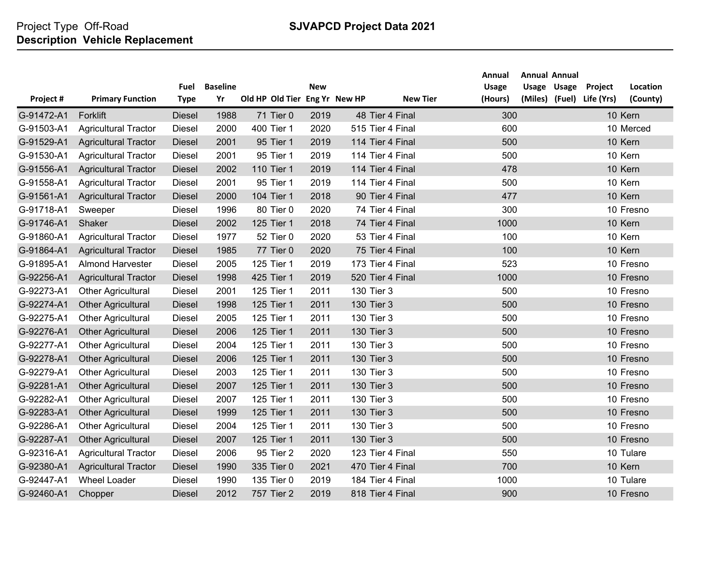|            |                             |               |                 |                               |            |                  | Annual       | <b>Annual Annual</b>      |         |           |
|------------|-----------------------------|---------------|-----------------|-------------------------------|------------|------------------|--------------|---------------------------|---------|-----------|
|            |                             | Fuel          | <b>Baseline</b> |                               | <b>New</b> |                  | <b>Usage</b> | Usage Usage               | Project | Location  |
| Project#   | <b>Primary Function</b>     | <b>Type</b>   | Yr              | Old HP Old Tier Eng Yr New HP |            | <b>New Tier</b>  | (Hours)      | (Miles) (Fuel) Life (Yrs) |         | (County)  |
| G-91472-A1 | Forklift                    | <b>Diesel</b> | 1988            | 71 Tier 0                     | 2019       | 48 Tier 4 Final  | 300          |                           |         | 10 Kern   |
| G-91503-A1 | <b>Agricultural Tractor</b> | Diesel        | 2000            | 400 Tier 1                    | 2020       | 515 Tier 4 Final | 600          |                           |         | 10 Merced |
| G-91529-A1 | <b>Agricultural Tractor</b> | <b>Diesel</b> | 2001            | 95 Tier 1                     | 2019       | 114 Tier 4 Final | 500          |                           |         | 10 Kern   |
| G-91530-A1 | <b>Agricultural Tractor</b> | Diesel        | 2001            | 95 Tier 1                     | 2019       | 114 Tier 4 Final | 500          |                           |         | 10 Kern   |
| G-91556-A1 | <b>Agricultural Tractor</b> | <b>Diesel</b> | 2002            | 110 Tier 1                    | 2019       | 114 Tier 4 Final | 478          |                           |         | 10 Kern   |
| G-91558-A1 | <b>Agricultural Tractor</b> | Diesel        | 2001            | 95 Tier 1                     | 2019       | 114 Tier 4 Final | 500          |                           |         | 10 Kern   |
| G-91561-A1 | <b>Agricultural Tractor</b> | <b>Diesel</b> | 2000            | 104 Tier 1                    | 2018       | 90 Tier 4 Final  | 477          |                           |         | 10 Kern   |
| G-91718-A1 | Sweeper                     | Diesel        | 1996            | 80 Tier 0                     | 2020       | 74 Tier 4 Final  | 300          |                           |         | 10 Fresno |
| G-91746-A1 | Shaker                      | <b>Diesel</b> | 2002            | 125 Tier 1                    | 2018       | 74 Tier 4 Final  | 1000         |                           |         | 10 Kern   |
| G-91860-A1 | <b>Agricultural Tractor</b> | Diesel        | 1977            | 52 Tier 0                     | 2020       | 53 Tier 4 Final  | 100          |                           |         | 10 Kern   |
| G-91864-A1 | <b>Agricultural Tractor</b> | <b>Diesel</b> | 1985            | 77 Tier 0                     | 2020       | 75 Tier 4 Final  | 100          |                           |         | 10 Kern   |
| G-91895-A1 | <b>Almond Harvester</b>     | Diesel        | 2005            | 125 Tier 1                    | 2019       | 173 Tier 4 Final | 523          |                           |         | 10 Fresno |
| G-92256-A1 | <b>Agricultural Tractor</b> | <b>Diesel</b> | 1998            | 425 Tier 1                    | 2019       | 520 Tier 4 Final | 1000         |                           |         | 10 Fresno |
| G-92273-A1 | <b>Other Agricultural</b>   | Diesel        | 2001            | 125 Tier 1                    | 2011       | 130 Tier 3       | 500          |                           |         | 10 Fresno |
| G-92274-A1 | <b>Other Agricultural</b>   | <b>Diesel</b> | 1998            | 125 Tier 1                    | 2011       | 130 Tier 3       | 500          |                           |         | 10 Fresno |
| G-92275-A1 | <b>Other Agricultural</b>   | <b>Diesel</b> | 2005            | 125 Tier 1                    | 2011       | 130 Tier 3       | 500          |                           |         | 10 Fresno |
| G-92276-A1 | <b>Other Agricultural</b>   | <b>Diesel</b> | 2006            | 125 Tier 1                    | 2011       | 130 Tier 3       | 500          |                           |         | 10 Fresno |
| G-92277-A1 | <b>Other Agricultural</b>   | Diesel        | 2004            | 125 Tier 1                    | 2011       | 130 Tier 3       | 500          |                           |         | 10 Fresno |
| G-92278-A1 | <b>Other Agricultural</b>   | <b>Diesel</b> | 2006            | 125 Tier 1                    | 2011       | 130 Tier 3       | 500          |                           |         | 10 Fresno |
| G-92279-A1 | <b>Other Agricultural</b>   | Diesel        | 2003            | 125 Tier 1                    | 2011       | 130 Tier 3       | 500          |                           |         | 10 Fresno |
| G-92281-A1 | <b>Other Agricultural</b>   | <b>Diesel</b> | 2007            | 125 Tier 1                    | 2011       | 130 Tier 3       | 500          |                           |         | 10 Fresno |
| G-92282-A1 | <b>Other Agricultural</b>   | Diesel        | 2007            | 125 Tier 1                    | 2011       | 130 Tier 3       | 500          |                           |         | 10 Fresno |
| G-92283-A1 | <b>Other Agricultural</b>   | <b>Diesel</b> | 1999            | 125 Tier 1                    | 2011       | 130 Tier 3       | 500          |                           |         | 10 Fresno |
| G-92286-A1 | <b>Other Agricultural</b>   | Diesel        | 2004            | 125 Tier 1                    | 2011       | 130 Tier 3       | 500          |                           |         | 10 Fresno |
| G-92287-A1 | <b>Other Agricultural</b>   | <b>Diesel</b> | 2007            | 125 Tier 1                    | 2011       | 130 Tier 3       | 500          |                           |         | 10 Fresno |
| G-92316-A1 | <b>Agricultural Tractor</b> | <b>Diesel</b> | 2006            | 95 Tier 2                     | 2020       | 123 Tier 4 Final | 550          |                           |         | 10 Tulare |
| G-92380-A1 | <b>Agricultural Tractor</b> | <b>Diesel</b> | 1990            | 335 Tier 0                    | 2021       | 470 Tier 4 Final | 700          |                           |         | 10 Kern   |
| G-92447-A1 | <b>Wheel Loader</b>         | Diesel        | 1990            | 135 Tier 0                    | 2019       | 184 Tier 4 Final | 1000         |                           |         | 10 Tulare |
| G-92460-A1 | Chopper                     | <b>Diesel</b> | 2012            | 757 Tier 2                    | 2019       | 818 Tier 4 Final | 900          |                           |         | 10 Fresno |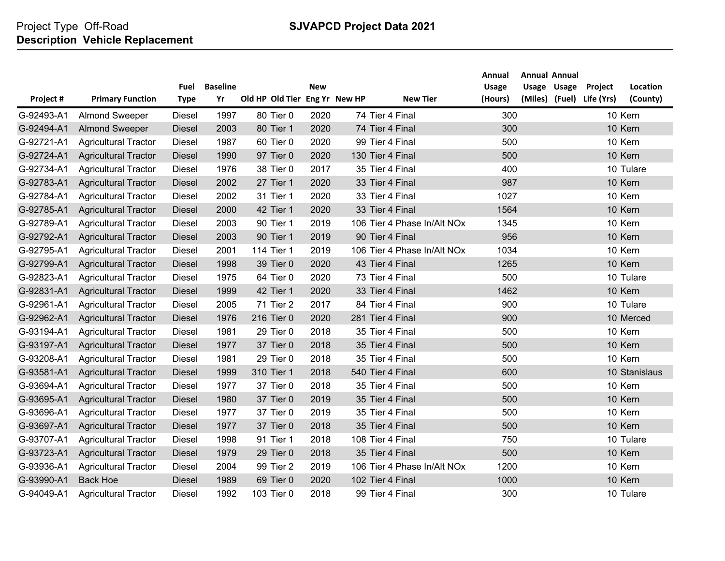|            |                             |               |                 |                               |            |                             | Annual       | <b>Annual Annual</b>      |         |               |
|------------|-----------------------------|---------------|-----------------|-------------------------------|------------|-----------------------------|--------------|---------------------------|---------|---------------|
|            |                             | <b>Fuel</b>   | <b>Baseline</b> |                               | <b>New</b> |                             | <b>Usage</b> | Usage Usage               | Project | Location      |
| Project#   | <b>Primary Function</b>     | <b>Type</b>   | Yr              | Old HP Old Tier Eng Yr New HP |            | <b>New Tier</b>             | (Hours)      | (Miles) (Fuel) Life (Yrs) |         | (County)      |
| G-92493-A1 | <b>Almond Sweeper</b>       | <b>Diesel</b> | 1997            | 80 Tier 0                     | 2020       | 74 Tier 4 Final             | 300          |                           |         | 10 Kern       |
| G-92494-A1 | <b>Almond Sweeper</b>       | <b>Diesel</b> | 2003            | 80 Tier 1                     | 2020       | 74 Tier 4 Final             | 300          |                           |         | 10 Kern       |
| G-92721-A1 | <b>Agricultural Tractor</b> | <b>Diesel</b> | 1987            | 60 Tier 0                     | 2020       | 99 Tier 4 Final             | 500          |                           |         | 10 Kern       |
| G-92724-A1 | <b>Agricultural Tractor</b> | <b>Diesel</b> | 1990            | 97 Tier 0                     | 2020       | 130 Tier 4 Final            | 500          |                           |         | 10 Kern       |
| G-92734-A1 | <b>Agricultural Tractor</b> | <b>Diesel</b> | 1976            | 38 Tier 0                     | 2017       | 35 Tier 4 Final             | 400          |                           |         | 10 Tulare     |
| G-92783-A1 | <b>Agricultural Tractor</b> | <b>Diesel</b> | 2002            | 27 Tier 1                     | 2020       | 33 Tier 4 Final             | 987          |                           |         | 10 Kern       |
| G-92784-A1 | <b>Agricultural Tractor</b> | Diesel        | 2002            | 31 Tier 1                     | 2020       | 33 Tier 4 Final             | 1027         |                           |         | 10 Kern       |
| G-92785-A1 | <b>Agricultural Tractor</b> | <b>Diesel</b> | 2000            | 42 Tier 1                     | 2020       | 33 Tier 4 Final             | 1564         |                           |         | 10 Kern       |
| G-92789-A1 | <b>Agricultural Tractor</b> | <b>Diesel</b> | 2003            | 90 Tier 1                     | 2019       | 106 Tier 4 Phase In/Alt NOx | 1345         |                           |         | 10 Kern       |
| G-92792-A1 | <b>Agricultural Tractor</b> | <b>Diesel</b> | 2003            | 90 Tier 1                     | 2019       | 90 Tier 4 Final             | 956          |                           |         | 10 Kern       |
| G-92795-A1 | <b>Agricultural Tractor</b> | Diesel        | 2001            | 114 Tier 1                    | 2019       | 106 Tier 4 Phase In/Alt NOx | 1034         |                           |         | 10 Kern       |
| G-92799-A1 | <b>Agricultural Tractor</b> | <b>Diesel</b> | 1998            | 39 Tier 0                     | 2020       | 43 Tier 4 Final             | 1265         |                           |         | 10 Kern       |
| G-92823-A1 | <b>Agricultural Tractor</b> | <b>Diesel</b> | 1975            | 64 Tier 0                     | 2020       | 73 Tier 4 Final             | 500          |                           |         | 10 Tulare     |
| G-92831-A1 | <b>Agricultural Tractor</b> | <b>Diesel</b> | 1999            | 42 Tier 1                     | 2020       | 33 Tier 4 Final             | 1462         |                           |         | 10 Kern       |
| G-92961-A1 | <b>Agricultural Tractor</b> | <b>Diesel</b> | 2005            | 71 Tier 2                     | 2017       | 84 Tier 4 Final             | 900          |                           |         | 10 Tulare     |
| G-92962-A1 | <b>Agricultural Tractor</b> | <b>Diesel</b> | 1976            | 216 Tier 0                    | 2020       | 281 Tier 4 Final            | 900          |                           |         | 10 Merced     |
| G-93194-A1 | <b>Agricultural Tractor</b> | <b>Diesel</b> | 1981            | 29 Tier 0                     | 2018       | 35 Tier 4 Final             | 500          |                           |         | 10 Kern       |
| G-93197-A1 | <b>Agricultural Tractor</b> | Diesel        | 1977            | 37 Tier 0                     | 2018       | 35 Tier 4 Final             | 500          |                           |         | 10 Kern       |
| G-93208-A1 | <b>Agricultural Tractor</b> | <b>Diesel</b> | 1981            | 29 Tier 0                     | 2018       | 35 Tier 4 Final             | 500          |                           |         | 10 Kern       |
| G-93581-A1 | <b>Agricultural Tractor</b> | <b>Diesel</b> | 1999            | 310 Tier 1                    | 2018       | 540 Tier 4 Final            | 600          |                           |         | 10 Stanislaus |
| G-93694-A1 | <b>Agricultural Tractor</b> | Diesel        | 1977            | 37 Tier 0                     | 2018       | 35 Tier 4 Final             | 500          |                           |         | 10 Kern       |
| G-93695-A1 | <b>Agricultural Tractor</b> | <b>Diesel</b> | 1980            | 37 Tier 0                     | 2019       | 35 Tier 4 Final             | 500          |                           |         | 10 Kern       |
| G-93696-A1 | <b>Agricultural Tractor</b> | <b>Diesel</b> | 1977            | 37 Tier 0                     | 2019       | 35 Tier 4 Final             | 500          |                           |         | 10 Kern       |
| G-93697-A1 | <b>Agricultural Tractor</b> | <b>Diesel</b> | 1977            | 37 Tier 0                     | 2018       | 35 Tier 4 Final             | 500          |                           |         | 10 Kern       |
| G-93707-A1 | <b>Agricultural Tractor</b> | <b>Diesel</b> | 1998            | 91 Tier 1                     | 2018       | 108 Tier 4 Final            | 750          |                           |         | 10 Tulare     |
| G-93723-A1 | <b>Agricultural Tractor</b> | <b>Diesel</b> | 1979            | 29 Tier 0                     | 2018       | 35 Tier 4 Final             | 500          |                           |         | 10 Kern       |
| G-93936-A1 | <b>Agricultural Tractor</b> | <b>Diesel</b> | 2004            | 99 Tier 2                     | 2019       | 106 Tier 4 Phase In/Alt NOx | 1200         |                           |         | 10 Kern       |
| G-93990-A1 | <b>Back Hoe</b>             | <b>Diesel</b> | 1989            | 69 Tier 0                     | 2020       | 102 Tier 4 Final            | 1000         |                           |         | 10 Kern       |
| G-94049-A1 | <b>Agricultural Tractor</b> | <b>Diesel</b> | 1992            | 103 Tier 0                    | 2018       | 99 Tier 4 Final             | 300          |                           |         | 10 Tulare     |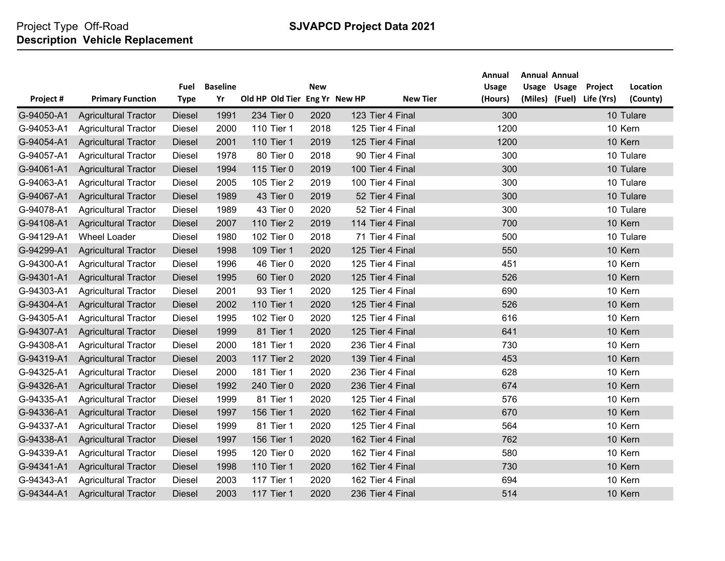|            |                             |               |                 |                               |            |                  | Annual       | <b>Annual Annual</b>      |         |           |
|------------|-----------------------------|---------------|-----------------|-------------------------------|------------|------------------|--------------|---------------------------|---------|-----------|
|            |                             | Fuel          | <b>Baseline</b> |                               | <b>New</b> |                  | <b>Usage</b> | Usage Usage               | Project | Location  |
| Project #  | <b>Primary Function</b>     | <b>Type</b>   | Yr              | Old HP Old Tier Eng Yr New HP |            | <b>New Tier</b>  | (Hours)      | (Miles) (Fuel) Life (Yrs) |         | (County)  |
| G-94050-A1 | <b>Agricultural Tractor</b> | <b>Diesel</b> | 1991            | 234 Tier 0                    | 2020       | 123 Tier 4 Final | 300          |                           |         | 10 Tulare |
| G-94053-A1 | <b>Agricultural Tractor</b> | Diesel        | 2000            | 110 Tier 1                    | 2018       | 125 Tier 4 Final | 1200         |                           |         | 10 Kern   |
| G-94054-A1 | <b>Agricultural Tractor</b> | <b>Diesel</b> | 2001            | 110 Tier 1                    | 2019       | 125 Tier 4 Final | 1200         |                           |         | 10 Kern   |
| G-94057-A1 | <b>Agricultural Tractor</b> | Diesel        | 1978            | 80 Tier 0                     | 2018       | 90 Tier 4 Final  | 300          |                           |         | 10 Tulare |
| G-94061-A1 | <b>Agricultural Tractor</b> | <b>Diesel</b> | 1994            | 115 Tier 0                    | 2019       | 100 Tier 4 Final | 300          |                           |         | 10 Tulare |
| G-94063-A1 | <b>Agricultural Tractor</b> | Diesel        | 2005            | 105 Tier 2                    | 2019       | 100 Tier 4 Final | 300          |                           |         | 10 Tulare |
| G-94067-A1 | <b>Agricultural Tractor</b> | <b>Diesel</b> | 1989            | 43 Tier 0                     | 2019       | 52 Tier 4 Final  | 300          |                           |         | 10 Tulare |
| G-94078-A1 | <b>Agricultural Tractor</b> | Diesel        | 1989            | 43 Tier 0                     | 2020       | 52 Tier 4 Final  | 300          |                           |         | 10 Tulare |
| G-94108-A1 | <b>Agricultural Tractor</b> | <b>Diesel</b> | 2007            | 110 Tier 2                    | 2019       | 114 Tier 4 Final | 700          |                           |         | 10 Kern   |
| G-94129-A1 | <b>Wheel Loader</b>         | Diesel        | 1980            | 102 Tier 0                    | 2018       | 71 Tier 4 Final  | 500          |                           |         | 10 Tulare |
| G-94299-A1 | <b>Agricultural Tractor</b> | <b>Diesel</b> | 1998            | 109 Tier 1                    | 2020       | 125 Tier 4 Final | 550          |                           |         | 10 Kern   |
| G-94300-A1 | <b>Agricultural Tractor</b> | Diesel        | 1996            | 46 Tier 0                     | 2020       | 125 Tier 4 Final | 451          |                           |         | 10 Kern   |
| G-94301-A1 | <b>Agricultural Tractor</b> | <b>Diesel</b> | 1995            | 60 Tier 0                     | 2020       | 125 Tier 4 Final | 526          |                           |         | 10 Kern   |
| G-94303-A1 | <b>Agricultural Tractor</b> | Diesel        | 2001            | 93 Tier 1                     | 2020       | 125 Tier 4 Final | 690          |                           |         | 10 Kern   |
| G-94304-A1 | <b>Agricultural Tractor</b> | <b>Diesel</b> | 2002            | 110 Tier 1                    | 2020       | 125 Tier 4 Final | 526          |                           |         | 10 Kern   |
| G-94305-A1 | <b>Agricultural Tractor</b> | <b>Diesel</b> | 1995            | 102 Tier 0                    | 2020       | 125 Tier 4 Final | 616          |                           |         | 10 Kern   |
| G-94307-A1 | <b>Agricultural Tractor</b> | <b>Diesel</b> | 1999            | 81 Tier 1                     | 2020       | 125 Tier 4 Final | 641          |                           |         | 10 Kern   |
| G-94308-A1 | <b>Agricultural Tractor</b> | Diesel        | 2000            | 181 Tier 1                    | 2020       | 236 Tier 4 Final | 730          |                           |         | 10 Kern   |
| G-94319-A1 | <b>Agricultural Tractor</b> | <b>Diesel</b> | 2003            | 117 Tier 2                    | 2020       | 139 Tier 4 Final | 453          |                           |         | 10 Kern   |
| G-94325-A1 | <b>Agricultural Tractor</b> | Diesel        | 2000            | 181 Tier 1                    | 2020       | 236 Tier 4 Final | 628          |                           |         | 10 Kern   |
| G-94326-A1 | <b>Agricultural Tractor</b> | <b>Diesel</b> | 1992            | 240 Tier 0                    | 2020       | 236 Tier 4 Final | 674          |                           |         | 10 Kern   |
| G-94335-A1 | <b>Agricultural Tractor</b> | Diesel        | 1999            | 81 Tier 1                     | 2020       | 125 Tier 4 Final | 576          |                           |         | 10 Kern   |
| G-94336-A1 | <b>Agricultural Tractor</b> | <b>Diesel</b> | 1997            | 156 Tier 1                    | 2020       | 162 Tier 4 Final | 670          |                           |         | 10 Kern   |
| G-94337-A1 | <b>Agricultural Tractor</b> | Diesel        | 1999            | 81 Tier 1                     | 2020       | 125 Tier 4 Final | 564          |                           |         | 10 Kern   |
| G-94338-A1 | <b>Agricultural Tractor</b> | <b>Diesel</b> | 1997            | 156 Tier 1                    | 2020       | 162 Tier 4 Final | 762          |                           |         | 10 Kern   |
| G-94339-A1 | <b>Agricultural Tractor</b> | <b>Diesel</b> | 1995            | 120 Tier 0                    | 2020       | 162 Tier 4 Final | 580          |                           |         | 10 Kern   |
| G-94341-A1 | <b>Agricultural Tractor</b> | <b>Diesel</b> | 1998            | 110 Tier 1                    | 2020       | 162 Tier 4 Final | 730          |                           |         | 10 Kern   |
| G-94343-A1 | <b>Agricultural Tractor</b> | Diesel        | 2003            | 117 Tier 1                    | 2020       | 162 Tier 4 Final | 694          |                           |         | 10 Kern   |
| G-94344-A1 | <b>Agricultural Tractor</b> | <b>Diesel</b> | 2003            | 117 Tier 1                    | 2020       | 236 Tier 4 Final | 514          |                           |         | 10 Kern   |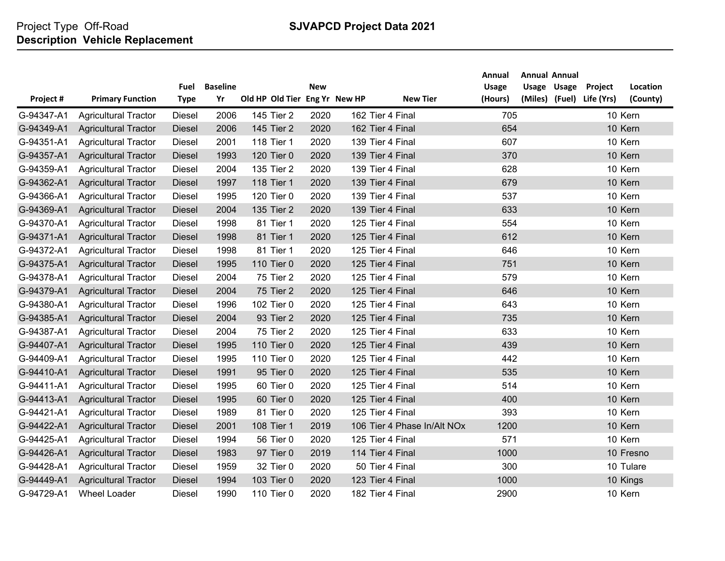|            |                             |               |                 |                               |            |                             | Annual       | <b>Annual Annual</b>      |         |           |
|------------|-----------------------------|---------------|-----------------|-------------------------------|------------|-----------------------------|--------------|---------------------------|---------|-----------|
|            |                             | Fuel          | <b>Baseline</b> |                               | <b>New</b> |                             | <b>Usage</b> | Usage Usage               | Project | Location  |
| Project#   | <b>Primary Function</b>     | <b>Type</b>   | Yr              | Old HP Old Tier Eng Yr New HP |            | <b>New Tier</b>             | (Hours)      | (Miles) (Fuel) Life (Yrs) |         | (County)  |
| G-94347-A1 | <b>Agricultural Tractor</b> | <b>Diesel</b> | 2006            | 145 Tier 2                    | 2020       | 162 Tier 4 Final            | 705          |                           |         | 10 Kern   |
| G-94349-A1 | <b>Agricultural Tractor</b> | <b>Diesel</b> | 2006            | 145 Tier 2                    | 2020       | 162 Tier 4 Final            | 654          |                           |         | 10 Kern   |
| G-94351-A1 | <b>Agricultural Tractor</b> | <b>Diesel</b> | 2001            | 118 Tier 1                    | 2020       | 139 Tier 4 Final            | 607          |                           |         | 10 Kern   |
| G-94357-A1 | <b>Agricultural Tractor</b> | <b>Diesel</b> | 1993            | 120 Tier 0                    | 2020       | 139 Tier 4 Final            | 370          |                           |         | 10 Kern   |
| G-94359-A1 | <b>Agricultural Tractor</b> | Diesel        | 2004            | 135 Tier 2                    | 2020       | 139 Tier 4 Final            | 628          |                           |         | 10 Kern   |
| G-94362-A1 | <b>Agricultural Tractor</b> | <b>Diesel</b> | 1997            | 118 Tier 1                    | 2020       | 139 Tier 4 Final            | 679          |                           |         | 10 Kern   |
| G-94366-A1 | <b>Agricultural Tractor</b> | <b>Diesel</b> | 1995            | 120 Tier 0                    | 2020       | 139 Tier 4 Final            | 537          |                           |         | 10 Kern   |
| G-94369-A1 | <b>Agricultural Tractor</b> | <b>Diesel</b> | 2004            | 135 Tier 2                    | 2020       | 139 Tier 4 Final            | 633          |                           |         | 10 Kern   |
| G-94370-A1 | <b>Agricultural Tractor</b> | Diesel        | 1998            | 81 Tier 1                     | 2020       | 125 Tier 4 Final            | 554          |                           |         | 10 Kern   |
| G-94371-A1 | <b>Agricultural Tractor</b> | <b>Diesel</b> | 1998            | 81 Tier 1                     | 2020       | 125 Tier 4 Final            | 612          |                           |         | 10 Kern   |
| G-94372-A1 | <b>Agricultural Tractor</b> | <b>Diesel</b> | 1998            | 81 Tier 1                     | 2020       | 125 Tier 4 Final            | 646          |                           |         | 10 Kern   |
| G-94375-A1 | <b>Agricultural Tractor</b> | <b>Diesel</b> | 1995            | 110 Tier 0                    | 2020       | 125 Tier 4 Final            | 751          |                           |         | 10 Kern   |
| G-94378-A1 | <b>Agricultural Tractor</b> | <b>Diesel</b> | 2004            | 75 Tier 2                     | 2020       | 125 Tier 4 Final            | 579          |                           |         | 10 Kern   |
| G-94379-A1 | <b>Agricultural Tractor</b> | <b>Diesel</b> | 2004            | 75 Tier 2                     | 2020       | 125 Tier 4 Final            | 646          |                           |         | 10 Kern   |
| G-94380-A1 | <b>Agricultural Tractor</b> | <b>Diesel</b> | 1996            | 102 Tier 0                    | 2020       | 125 Tier 4 Final            | 643          |                           |         | 10 Kern   |
| G-94385-A1 | <b>Agricultural Tractor</b> | <b>Diesel</b> | 2004            | 93 Tier 2                     | 2020       | 125 Tier 4 Final            | 735          |                           |         | 10 Kern   |
| G-94387-A1 | <b>Agricultural Tractor</b> | <b>Diesel</b> | 2004            | 75 Tier 2                     | 2020       | 125 Tier 4 Final            | 633          |                           |         | 10 Kern   |
| G-94407-A1 | <b>Agricultural Tractor</b> | <b>Diesel</b> | 1995            | 110 Tier 0                    | 2020       | 125 Tier 4 Final            | 439          |                           |         | 10 Kern   |
| G-94409-A1 | <b>Agricultural Tractor</b> | <b>Diesel</b> | 1995            | 110 Tier 0                    | 2020       | 125 Tier 4 Final            | 442          |                           |         | 10 Kern   |
| G-94410-A1 | <b>Agricultural Tractor</b> | <b>Diesel</b> | 1991            | 95 Tier 0                     | 2020       | 125 Tier 4 Final            | 535          |                           |         | 10 Kern   |
| G-94411-A1 | <b>Agricultural Tractor</b> | <b>Diesel</b> | 1995            | 60 Tier 0                     | 2020       | 125 Tier 4 Final            | 514          |                           |         | 10 Kern   |
| G-94413-A1 | <b>Agricultural Tractor</b> | <b>Diesel</b> | 1995            | 60 Tier 0                     | 2020       | 125 Tier 4 Final            | 400          |                           |         | 10 Kern   |
| G-94421-A1 | <b>Agricultural Tractor</b> | <b>Diesel</b> | 1989            | 81 Tier 0                     | 2020       | 125 Tier 4 Final            | 393          |                           |         | 10 Kern   |
| G-94422-A1 | <b>Agricultural Tractor</b> | <b>Diesel</b> | 2001            | 108 Tier 1                    | 2019       | 106 Tier 4 Phase In/Alt NOx | 1200         |                           |         | 10 Kern   |
| G-94425-A1 | <b>Agricultural Tractor</b> | <b>Diesel</b> | 1994            | 56 Tier 0                     | 2020       | 125 Tier 4 Final            | 571          |                           |         | 10 Kern   |
| G-94426-A1 | <b>Agricultural Tractor</b> | <b>Diesel</b> | 1983            | 97 Tier 0                     | 2019       | 114 Tier 4 Final            | 1000         |                           |         | 10 Fresno |
| G-94428-A1 | <b>Agricultural Tractor</b> | Diesel        | 1959            | 32 Tier 0                     | 2020       | 50 Tier 4 Final             | 300          |                           |         | 10 Tulare |
| G-94449-A1 | <b>Agricultural Tractor</b> | <b>Diesel</b> | 1994            | 103 Tier 0                    | 2020       | 123 Tier 4 Final            | 1000         |                           |         | 10 Kings  |
| G-94729-A1 | <b>Wheel Loader</b>         | <b>Diesel</b> | 1990            | 110 Tier 0                    | 2020       | 182 Tier 4 Final            | 2900         |                           |         | 10 Kern   |
|            |                             |               |                 |                               |            |                             |              |                           |         |           |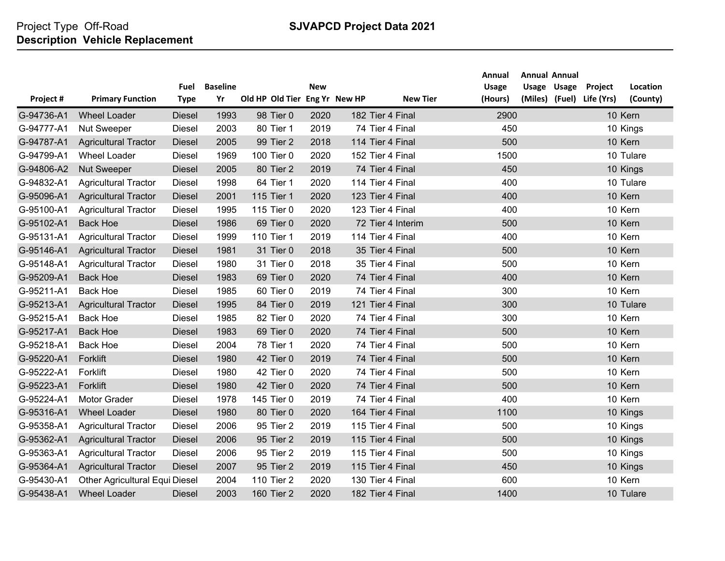|            |                                       |               |                 |                               |            |                   | Annual       | Annual Annual             |           |
|------------|---------------------------------------|---------------|-----------------|-------------------------------|------------|-------------------|--------------|---------------------------|-----------|
|            |                                       | Fuel          | <b>Baseline</b> |                               | <b>New</b> |                   | <b>Usage</b> | Usage Usage Project       | Location  |
| Project#   | <b>Primary Function</b>               | <b>Type</b>   | Yr              | Old HP Old Tier Eng Yr New HP |            | <b>New Tier</b>   | (Hours)      | (Miles) (Fuel) Life (Yrs) | (County)  |
| G-94736-A1 | <b>Wheel Loader</b>                   | <b>Diesel</b> | 1993            | 98 Tier 0                     | 2020       | 182 Tier 4 Final  | 2900         |                           | 10 Kern   |
| G-94777-A1 | <b>Nut Sweeper</b>                    | <b>Diesel</b> | 2003            | 80 Tier 1                     | 2019       | 74 Tier 4 Final   | 450          |                           | 10 Kings  |
| G-94787-A1 | <b>Agricultural Tractor</b>           | <b>Diesel</b> | 2005            | 99 Tier 2                     | 2018       | 114 Tier 4 Final  | 500          |                           | 10 Kern   |
| G-94799-A1 | <b>Wheel Loader</b>                   | Diesel        | 1969            | 100 Tier 0                    | 2020       | 152 Tier 4 Final  | 1500         |                           | 10 Tulare |
| G-94806-A2 | <b>Nut Sweeper</b>                    | <b>Diesel</b> | 2005            | 80 Tier 2                     | 2019       | 74 Tier 4 Final   | 450          |                           | 10 Kings  |
| G-94832-A1 | <b>Agricultural Tractor</b>           | <b>Diesel</b> | 1998            | 64 Tier 1                     | 2020       | 114 Tier 4 Final  | 400          |                           | 10 Tulare |
| G-95096-A1 | <b>Agricultural Tractor</b>           | <b>Diesel</b> | 2001            | 115 Tier 1                    | 2020       | 123 Tier 4 Final  | 400          |                           | 10 Kern   |
| G-95100-A1 | <b>Agricultural Tractor</b>           | Diesel        | 1995            | 115 Tier 0                    | 2020       | 123 Tier 4 Final  | 400          |                           | 10 Kern   |
| G-95102-A1 | <b>Back Hoe</b>                       | <b>Diesel</b> | 1986            | 69 Tier 0                     | 2020       | 72 Tier 4 Interim | 500          |                           | 10 Kern   |
| G-95131-A1 | <b>Agricultural Tractor</b>           | <b>Diesel</b> | 1999            | 110 Tier 1                    | 2019       | 114 Tier 4 Final  | 400          |                           | 10 Kern   |
| G-95146-A1 | <b>Agricultural Tractor</b>           | <b>Diesel</b> | 1981            | 31 Tier 0                     | 2018       | 35 Tier 4 Final   | 500          |                           | 10 Kern   |
| G-95148-A1 | <b>Agricultural Tractor</b>           | <b>Diesel</b> | 1980            | 31 Tier 0                     | 2018       | 35 Tier 4 Final   | 500          |                           | 10 Kern   |
| G-95209-A1 | <b>Back Hoe</b>                       | <b>Diesel</b> | 1983            | 69 Tier 0                     | 2020       | 74 Tier 4 Final   | 400          |                           | 10 Kern   |
| G-95211-A1 | <b>Back Hoe</b>                       | <b>Diesel</b> | 1985            | 60 Tier 0                     | 2019       | 74 Tier 4 Final   | 300          |                           | 10 Kern   |
| G-95213-A1 | <b>Agricultural Tractor</b>           | <b>Diesel</b> | 1995            | 84 Tier 0                     | 2019       | 121 Tier 4 Final  | 300          |                           | 10 Tulare |
| G-95215-A1 | <b>Back Hoe</b>                       | <b>Diesel</b> | 1985            | 82 Tier 0                     | 2020       | 74 Tier 4 Final   | 300          |                           | 10 Kern   |
| G-95217-A1 | <b>Back Hoe</b>                       | <b>Diesel</b> | 1983            | 69 Tier 0                     | 2020       | 74 Tier 4 Final   | 500          |                           | 10 Kern   |
| G-95218-A1 | <b>Back Hoe</b>                       | <b>Diesel</b> | 2004            | 78 Tier 1                     | 2020       | 74 Tier 4 Final   | 500          |                           | 10 Kern   |
| G-95220-A1 | Forklift                              | <b>Diesel</b> | 1980            | 42 Tier 0                     | 2019       | 74 Tier 4 Final   | 500          |                           | 10 Kern   |
| G-95222-A1 | Forklift                              | <b>Diesel</b> | 1980            | 42 Tier 0                     | 2020       | 74 Tier 4 Final   | 500          |                           | 10 Kern   |
| G-95223-A1 | Forklift                              | <b>Diesel</b> | 1980            | 42 Tier 0                     | 2020       | 74 Tier 4 Final   | 500          |                           | 10 Kern   |
| G-95224-A1 | <b>Motor Grader</b>                   | <b>Diesel</b> | 1978            | 145 Tier 0                    | 2019       | 74 Tier 4 Final   | 400          |                           | 10 Kern   |
| G-95316-A1 | <b>Wheel Loader</b>                   | <b>Diesel</b> | 1980            | 80 Tier 0                     | 2020       | 164 Tier 4 Final  | 1100         |                           | 10 Kings  |
| G-95358-A1 | <b>Agricultural Tractor</b>           | <b>Diesel</b> | 2006            | 95 Tier 2                     | 2019       | 115 Tier 4 Final  | 500          |                           | 10 Kings  |
| G-95362-A1 | <b>Agricultural Tractor</b>           | <b>Diesel</b> | 2006            | 95 Tier 2                     | 2019       | 115 Tier 4 Final  | 500          |                           | 10 Kings  |
| G-95363-A1 | <b>Agricultural Tractor</b>           | <b>Diesel</b> | 2006            | 95 Tier 2                     | 2019       | 115 Tier 4 Final  | 500          |                           | 10 Kings  |
| G-95364-A1 | <b>Agricultural Tractor</b>           | <b>Diesel</b> | 2007            | 95 Tier 2                     | 2019       | 115 Tier 4 Final  | 450          |                           | 10 Kings  |
| G-95430-A1 | <b>Other Agricultural Equi Diesel</b> |               | 2004            | 110 Tier 2                    | 2020       | 130 Tier 4 Final  | 600          |                           | 10 Kern   |
| G-95438-A1 | <b>Wheel Loader</b>                   | <b>Diesel</b> | 2003            | 160 Tier 2                    | 2020       | 182 Tier 4 Final  | 1400         |                           | 10 Tulare |
|            |                                       |               |                 |                               |            |                   |              |                           |           |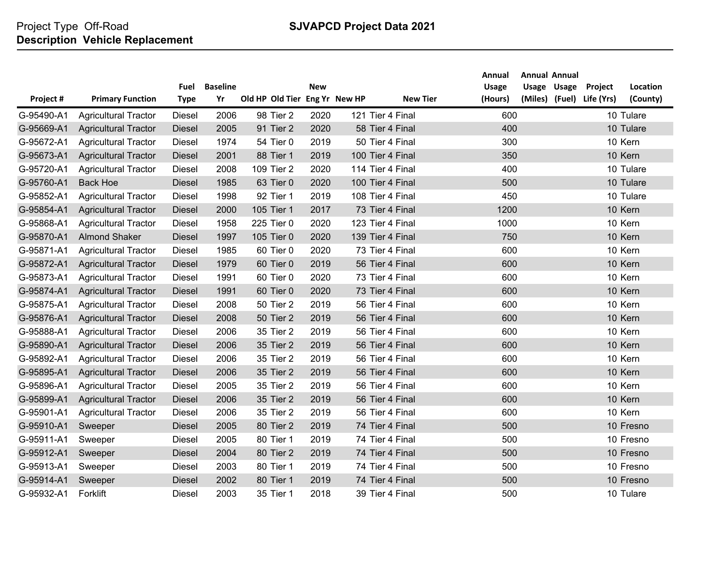|            |                             |               |                 |                               |            |                  |                 | Annual       | <b>Annual Annual</b>      |         |           |
|------------|-----------------------------|---------------|-----------------|-------------------------------|------------|------------------|-----------------|--------------|---------------------------|---------|-----------|
|            |                             | <b>Fuel</b>   | <b>Baseline</b> |                               | <b>New</b> |                  |                 | <b>Usage</b> | Usage Usage               | Project | Location  |
| Project#   | <b>Primary Function</b>     | <b>Type</b>   | Yr              | Old HP Old Tier Eng Yr New HP |            |                  | <b>New Tier</b> | (Hours)      | (Miles) (Fuel) Life (Yrs) |         | (County)  |
| G-95490-A1 | <b>Agricultural Tractor</b> | Diesel        | 2006            | 98 Tier 2                     | 2020       | 121 Tier 4 Final |                 | 600          |                           |         | 10 Tulare |
| G-95669-A1 | <b>Agricultural Tractor</b> | <b>Diesel</b> | 2005            | 91 Tier 2                     | 2020       | 58 Tier 4 Final  |                 | 400          |                           |         | 10 Tulare |
| G-95672-A1 | <b>Agricultural Tractor</b> | Diesel        | 1974            | 54 Tier 0                     | 2019       | 50 Tier 4 Final  |                 | 300          |                           |         | 10 Kern   |
| G-95673-A1 | <b>Agricultural Tractor</b> | Diesel        | 2001            | 88 Tier 1                     | 2019       | 100 Tier 4 Final |                 | 350          |                           |         | 10 Kern   |
| G-95720-A1 | <b>Agricultural Tractor</b> | <b>Diesel</b> | 2008            | 109 Tier 2                    | 2020       | 114 Tier 4 Final |                 | 400          |                           |         | 10 Tulare |
| G-95760-A1 | <b>Back Hoe</b>             | <b>Diesel</b> | 1985            | 63 Tier 0                     | 2020       | 100 Tier 4 Final |                 | 500          |                           |         | 10 Tulare |
| G-95852-A1 | <b>Agricultural Tractor</b> | <b>Diesel</b> | 1998            | 92 Tier 1                     | 2019       | 108 Tier 4 Final |                 | 450          |                           |         | 10 Tulare |
| G-95854-A1 | <b>Agricultural Tractor</b> | <b>Diesel</b> | 2000            | 105 Tier 1                    | 2017       | 73 Tier 4 Final  |                 | 1200         |                           |         | 10 Kern   |
| G-95868-A1 | <b>Agricultural Tractor</b> | <b>Diesel</b> | 1958            | 225 Tier 0                    | 2020       | 123 Tier 4 Final |                 | 1000         |                           |         | 10 Kern   |
| G-95870-A1 | <b>Almond Shaker</b>        | <b>Diesel</b> | 1997            | 105 Tier 0                    | 2020       | 139 Tier 4 Final |                 | 750          |                           |         | 10 Kern   |
| G-95871-A1 | <b>Agricultural Tractor</b> | Diesel        | 1985            | 60 Tier 0                     | 2020       | 73 Tier 4 Final  |                 | 600          |                           |         | 10 Kern   |
| G-95872-A1 | <b>Agricultural Tractor</b> | <b>Diesel</b> | 1979            | 60 Tier 0                     | 2019       | 56 Tier 4 Final  |                 | 600          |                           |         | 10 Kern   |
| G-95873-A1 | <b>Agricultural Tractor</b> | <b>Diesel</b> | 1991            | 60 Tier 0                     | 2020       | 73 Tier 4 Final  |                 | 600          |                           |         | 10 Kern   |
| G-95874-A1 | <b>Agricultural Tractor</b> | <b>Diesel</b> | 1991            | 60 Tier 0                     | 2020       | 73 Tier 4 Final  |                 | 600          |                           |         | 10 Kern   |
| G-95875-A1 | <b>Agricultural Tractor</b> | <b>Diesel</b> | 2008            | 50 Tier 2                     | 2019       | 56 Tier 4 Final  |                 | 600          |                           |         | 10 Kern   |
| G-95876-A1 | <b>Agricultural Tractor</b> | <b>Diesel</b> | 2008            | <b>50 Tier 2</b>              | 2019       | 56 Tier 4 Final  |                 | 600          |                           |         | 10 Kern   |
| G-95888-A1 | <b>Agricultural Tractor</b> | <b>Diesel</b> | 2006            | 35 Tier 2                     | 2019       | 56 Tier 4 Final  |                 | 600          |                           |         | 10 Kern   |
| G-95890-A1 | <b>Agricultural Tractor</b> | <b>Diesel</b> | 2006            | 35 Tier 2                     | 2019       | 56 Tier 4 Final  |                 | 600          |                           |         | 10 Kern   |
| G-95892-A1 | <b>Agricultural Tractor</b> | Diesel        | 2006            | 35 Tier 2                     | 2019       | 56 Tier 4 Final  |                 | 600          |                           |         | 10 Kern   |
| G-95895-A1 | <b>Agricultural Tractor</b> | <b>Diesel</b> | 2006            | 35 Tier 2                     | 2019       | 56 Tier 4 Final  |                 | 600          |                           |         | 10 Kern   |
| G-95896-A1 | <b>Agricultural Tractor</b> | <b>Diesel</b> | 2005            | 35 Tier 2                     | 2019       | 56 Tier 4 Final  |                 | 600          |                           |         | 10 Kern   |
| G-95899-A1 | <b>Agricultural Tractor</b> | <b>Diesel</b> | 2006            | 35 Tier 2                     | 2019       | 56 Tier 4 Final  |                 | 600          |                           |         | 10 Kern   |
| G-95901-A1 | <b>Agricultural Tractor</b> | <b>Diesel</b> | 2006            | 35 Tier 2                     | 2019       | 56 Tier 4 Final  |                 | 600          |                           |         | 10 Kern   |
| G-95910-A1 | Sweeper                     | <b>Diesel</b> | 2005            | 80 Tier 2                     | 2019       | 74 Tier 4 Final  |                 | 500          |                           |         | 10 Fresno |
| G-95911-A1 | Sweeper                     | <b>Diesel</b> | 2005            | 80 Tier 1                     | 2019       | 74 Tier 4 Final  |                 | 500          |                           |         | 10 Fresno |
| G-95912-A1 | Sweeper                     | <b>Diesel</b> | 2004            | 80 Tier 2                     | 2019       | 74 Tier 4 Final  |                 | 500          |                           |         | 10 Fresno |
| G-95913-A1 | Sweeper                     | <b>Diesel</b> | 2003            | 80 Tier 1                     | 2019       | 74 Tier 4 Final  |                 | 500          |                           |         | 10 Fresno |
| G-95914-A1 | Sweeper                     | <b>Diesel</b> | 2002            | 80 Tier 1                     | 2019       | 74 Tier 4 Final  |                 | 500          |                           |         | 10 Fresno |
| G-95932-A1 | Forklift                    | <b>Diesel</b> | 2003            | 35 Tier 1                     | 2018       | 39 Tier 4 Final  |                 | 500          |                           |         | 10 Tulare |
|            |                             |               |                 |                               |            |                  |                 |              |                           |         |           |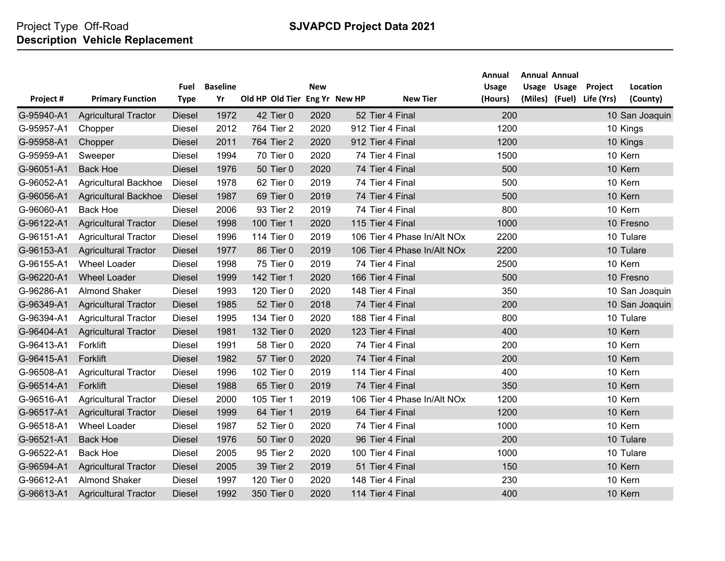|            |                             |               |                 |                               |            |                             | Annual       | <b>Annual Annual</b> |                           |                |
|------------|-----------------------------|---------------|-----------------|-------------------------------|------------|-----------------------------|--------------|----------------------|---------------------------|----------------|
|            |                             | Fuel          | <b>Baseline</b> |                               | <b>New</b> |                             | <b>Usage</b> | Usage Usage          | Project                   | Location       |
| Project #  | <b>Primary Function</b>     | <b>Type</b>   | Yr              | Old HP Old Tier Eng Yr New HP |            | <b>New Tier</b>             | (Hours)      |                      | (Miles) (Fuel) Life (Yrs) | (County)       |
| G-95940-A1 | <b>Agricultural Tractor</b> | <b>Diesel</b> | 1972            | 42 Tier 0                     | 2020       | 52 Tier 4 Final             | 200          |                      |                           | 10 San Joaquin |
| G-95957-A1 | Chopper                     | <b>Diesel</b> | 2012            | 764 Tier 2                    | 2020       | 912 Tier 4 Final            | 1200         |                      |                           | 10 Kings       |
| G-95958-A1 | Chopper                     | <b>Diesel</b> | 2011            | 764 Tier 2                    | 2020       | 912 Tier 4 Final            | 1200         |                      |                           | 10 Kings       |
| G-95959-A1 | Sweeper                     | <b>Diesel</b> | 1994            | 70 Tier 0                     | 2020       | 74 Tier 4 Final             | 1500         |                      |                           | 10 Kern        |
| G-96051-A1 | <b>Back Hoe</b>             | <b>Diesel</b> | 1976            | 50 Tier 0                     | 2020       | 74 Tier 4 Final             | 500          |                      |                           | 10 Kern        |
| G-96052-A1 | <b>Agricultural Backhoe</b> | <b>Diesel</b> | 1978            | 62 Tier 0                     | 2019       | 74 Tier 4 Final             | 500          |                      |                           | 10 Kern        |
| G-96056-A1 | <b>Agricultural Backhoe</b> | <b>Diesel</b> | 1987            | 69 Tier 0                     | 2019       | 74 Tier 4 Final             | 500          |                      |                           | 10 Kern        |
| G-96060-A1 | <b>Back Hoe</b>             | <b>Diesel</b> | 2006            | 93 Tier 2                     | 2019       | 74 Tier 4 Final             | 800          |                      |                           | 10 Kern        |
| G-96122-A1 | <b>Agricultural Tractor</b> | <b>Diesel</b> | 1998            | 100 Tier 1                    | 2020       | 115 Tier 4 Final            | 1000         |                      |                           | 10 Fresno      |
| G-96151-A1 | <b>Agricultural Tractor</b> | <b>Diesel</b> | 1996            | 114 Tier 0                    | 2019       | 106 Tier 4 Phase In/Alt NOx | 2200         |                      |                           | 10 Tulare      |
| G-96153-A1 | <b>Agricultural Tractor</b> | <b>Diesel</b> | 1977            | 86 Tier 0                     | 2019       | 106 Tier 4 Phase In/Alt NOx | 2200         |                      |                           | 10 Tulare      |
| G-96155-A1 | <b>Wheel Loader</b>         | <b>Diesel</b> | 1998            | 75 Tier 0                     | 2019       | 74 Tier 4 Final             | 2500         |                      |                           | 10 Kern        |
| G-96220-A1 | <b>Wheel Loader</b>         | <b>Diesel</b> | 1999            | 142 Tier 1                    | 2020       | 166 Tier 4 Final            | 500          |                      |                           | 10 Fresno      |
| G-96286-A1 | <b>Almond Shaker</b>        | Diesel        | 1993            | 120 Tier 0                    | 2020       | 148 Tier 4 Final            | 350          |                      |                           | 10 San Joaquin |
| G-96349-A1 | <b>Agricultural Tractor</b> | <b>Diesel</b> | 1985            | 52 Tier 0                     | 2018       | 74 Tier 4 Final             | 200          |                      |                           | 10 San Joaquin |
| G-96394-A1 | <b>Agricultural Tractor</b> | <b>Diesel</b> | 1995            | 134 Tier 0                    | 2020       | 188 Tier 4 Final            | 800          |                      |                           | 10 Tulare      |
| G-96404-A1 | <b>Agricultural Tractor</b> | <b>Diesel</b> | 1981            | 132 Tier 0                    | 2020       | 123 Tier 4 Final            | 400          |                      |                           | 10 Kern        |
| G-96413-A1 | Forklift                    | Diesel        | 1991            | 58 Tier 0                     | 2020       | 74 Tier 4 Final             | 200          |                      |                           | 10 Kern        |
| G-96415-A1 | Forklift                    | <b>Diesel</b> | 1982            | 57 Tier 0                     | 2020       | 74 Tier 4 Final             | 200          |                      |                           | 10 Kern        |
| G-96508-A1 | <b>Agricultural Tractor</b> | <b>Diesel</b> | 1996            | 102 Tier 0                    | 2019       | 114 Tier 4 Final            | 400          |                      |                           | 10 Kern        |
| G-96514-A1 | Forklift                    | <b>Diesel</b> | 1988            | 65 Tier 0                     | 2019       | 74 Tier 4 Final             | 350          |                      |                           | 10 Kern        |
| G-96516-A1 | <b>Agricultural Tractor</b> | Diesel        | 2000            | 105 Tier 1                    | 2019       | 106 Tier 4 Phase In/Alt NOx | 1200         |                      |                           | 10 Kern        |
| G-96517-A1 | <b>Agricultural Tractor</b> | <b>Diesel</b> | 1999            | 64 Tier 1                     | 2019       | 64 Tier 4 Final             | 1200         |                      |                           | 10 Kern        |
| G-96518-A1 | <b>Wheel Loader</b>         | Diesel        | 1987            | 52 Tier 0                     | 2020       | 74 Tier 4 Final             | 1000         |                      |                           | 10 Kern        |
| G-96521-A1 | <b>Back Hoe</b>             | <b>Diesel</b> | 1976            | 50 Tier 0                     | 2020       | 96 Tier 4 Final             | 200          |                      |                           | 10 Tulare      |
| G-96522-A1 | <b>Back Hoe</b>             | <b>Diesel</b> | 2005            | 95 Tier 2                     | 2020       | 100 Tier 4 Final            | 1000         |                      |                           | 10 Tulare      |
| G-96594-A1 | <b>Agricultural Tractor</b> | <b>Diesel</b> | 2005            | 39 Tier 2                     | 2019       | 51 Tier 4 Final             | 150          |                      |                           | 10 Kern        |
| G-96612-A1 | <b>Almond Shaker</b>        | Diesel        | 1997            | 120 Tier 0                    | 2020       | 148 Tier 4 Final            | 230          |                      |                           | 10 Kern        |
| G-96613-A1 | <b>Agricultural Tractor</b> | <b>Diesel</b> | 1992            | 350 Tier 0                    | 2020       | 114 Tier 4 Final            | 400          |                      |                           | 10 Kern        |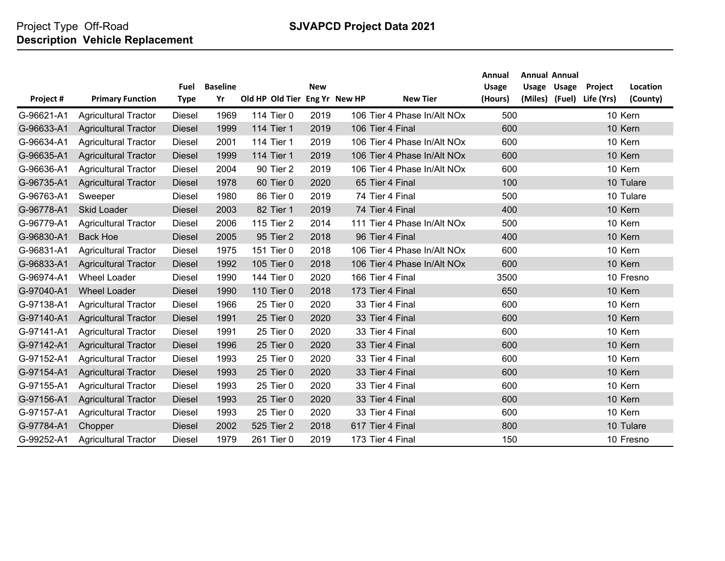|            |                             |                            |                       |                               |            |                             | Annual                  | <b>Annual Annual</b>                     |         |                      |
|------------|-----------------------------|----------------------------|-----------------------|-------------------------------|------------|-----------------------------|-------------------------|------------------------------------------|---------|----------------------|
| Project#   | <b>Primary Function</b>     | <b>Fuel</b><br><b>Type</b> | <b>Baseline</b><br>Yr | Old HP Old Tier Eng Yr New HP | <b>New</b> | <b>New Tier</b>             | <b>Usage</b><br>(Hours) | Usage Usage<br>(Miles) (Fuel) Life (Yrs) | Project | Location<br>(County) |
|            |                             |                            |                       |                               |            |                             |                         |                                          |         |                      |
| G-96621-A1 | <b>Agricultural Tractor</b> | <b>Diesel</b>              | 1969                  | 114 Tier 0                    | 2019       | 106 Tier 4 Phase In/Alt NOx | 500                     |                                          |         | 10 Kern              |
| G-96633-A1 | <b>Agricultural Tractor</b> | <b>Diesel</b>              | 1999                  | 114 Tier 1                    | 2019       | 106 Tier 4 Final            | 600                     |                                          |         | 10 Kern              |
| G-96634-A1 | <b>Agricultural Tractor</b> | <b>Diesel</b>              | 2001                  | 114 Tier 1                    | 2019       | 106 Tier 4 Phase In/Alt NOx | 600                     |                                          |         | 10 Kern              |
| G-96635-A1 | <b>Agricultural Tractor</b> | <b>Diesel</b>              | 1999                  | 114 Tier 1                    | 2019       | 106 Tier 4 Phase In/Alt NOx | 600                     |                                          |         | 10 Kern              |
| G-96636-A1 | <b>Agricultural Tractor</b> | <b>Diesel</b>              | 2004                  | 90 Tier 2                     | 2019       | 106 Tier 4 Phase In/Alt NOx | 600                     |                                          |         | 10 Kern              |
| G-96735-A1 | <b>Agricultural Tractor</b> | <b>Diesel</b>              | 1978                  | 60 Tier 0                     | 2020       | 65 Tier 4 Final             | 100                     |                                          |         | 10 Tulare            |
| G-96763-A1 | Sweeper                     | <b>Diesel</b>              | 1980                  | 86 Tier 0                     | 2019       | 74 Tier 4 Final             | 500                     |                                          |         | 10 Tulare            |
| G-96778-A1 | <b>Skid Loader</b>          | <b>Diesel</b>              | 2003                  | 82 Tier 1                     | 2019       | 74 Tier 4 Final             | 400                     |                                          |         | 10 Kern              |
| G-96779-A1 | <b>Agricultural Tractor</b> | <b>Diesel</b>              | 2006                  | 115 Tier 2                    | 2014       | 111 Tier 4 Phase In/Alt NOx | 500                     |                                          |         | 10 Kern              |
| G-96830-A1 | <b>Back Hoe</b>             | <b>Diesel</b>              | 2005                  | 95 Tier 2                     | 2018       | 96 Tier 4 Final             | 400                     |                                          |         | 10 Kern              |
| G-96831-A1 | <b>Agricultural Tractor</b> | <b>Diesel</b>              | 1975                  | 151 Tier 0                    | 2018       | 106 Tier 4 Phase In/Alt NOx | 600                     |                                          |         | 10 Kern              |
| G-96833-A1 | <b>Agricultural Tractor</b> | <b>Diesel</b>              | 1992                  | 105 Tier 0                    | 2018       | 106 Tier 4 Phase In/Alt NOx | 600                     |                                          |         | 10 Kern              |
| G-96974-A1 | <b>Wheel Loader</b>         | <b>Diesel</b>              | 1990                  | 144 Tier 0                    | 2020       | 166 Tier 4 Final            | 3500                    |                                          |         | 10 Fresno            |
| G-97040-A1 | <b>Wheel Loader</b>         | <b>Diesel</b>              | 1990                  | 110 Tier 0                    | 2018       | 173 Tier 4 Final            | 650                     |                                          |         | 10 Kern              |
| G-97138-A1 | <b>Agricultural Tractor</b> | <b>Diesel</b>              | 1966                  | 25 Tier 0                     | 2020       | 33 Tier 4 Final             | 600                     |                                          |         | 10 Kern              |
| G-97140-A1 | <b>Agricultural Tractor</b> | <b>Diesel</b>              | 1991                  | 25 Tier 0                     | 2020       | 33 Tier 4 Final             | 600                     |                                          |         | 10 Kern              |
| G-97141-A1 | <b>Agricultural Tractor</b> | <b>Diesel</b>              | 1991                  | 25 Tier 0                     | 2020       | 33 Tier 4 Final             | 600                     |                                          |         | 10 Kern              |
| G-97142-A1 | <b>Agricultural Tractor</b> | <b>Diesel</b>              | 1996                  | 25 Tier 0                     | 2020       | 33 Tier 4 Final             | 600                     |                                          |         | 10 Kern              |
| G-97152-A1 | <b>Agricultural Tractor</b> | <b>Diesel</b>              | 1993                  | 25 Tier 0                     | 2020       | 33 Tier 4 Final             | 600                     |                                          |         | 10 Kern              |
| G-97154-A1 | <b>Agricultural Tractor</b> | <b>Diesel</b>              | 1993                  | 25 Tier 0                     | 2020       | 33 Tier 4 Final             | 600                     |                                          |         | 10 Kern              |
| G-97155-A1 | <b>Agricultural Tractor</b> | <b>Diesel</b>              | 1993                  | 25 Tier 0                     | 2020       | 33 Tier 4 Final             | 600                     |                                          |         | 10 Kern              |
| G-97156-A1 | <b>Agricultural Tractor</b> | <b>Diesel</b>              | 1993                  | 25 Tier 0                     | 2020       | 33 Tier 4 Final             | 600                     |                                          |         | 10 Kern              |
| G-97157-A1 | <b>Agricultural Tractor</b> | <b>Diesel</b>              | 1993                  | 25 Tier 0                     | 2020       | 33 Tier 4 Final             | 600                     |                                          |         | 10 Kern              |
| G-97784-A1 | Chopper                     | <b>Diesel</b>              | 2002                  | 525 Tier 2                    | 2018       | 617 Tier 4 Final            | 800                     |                                          |         | 10 Tulare            |
| G-99252-A1 | <b>Agricultural Tractor</b> | <b>Diesel</b>              | 1979                  | 261 Tier 0                    | 2019       | 173 Tier 4 Final            | 150                     |                                          |         | 10 Fresno            |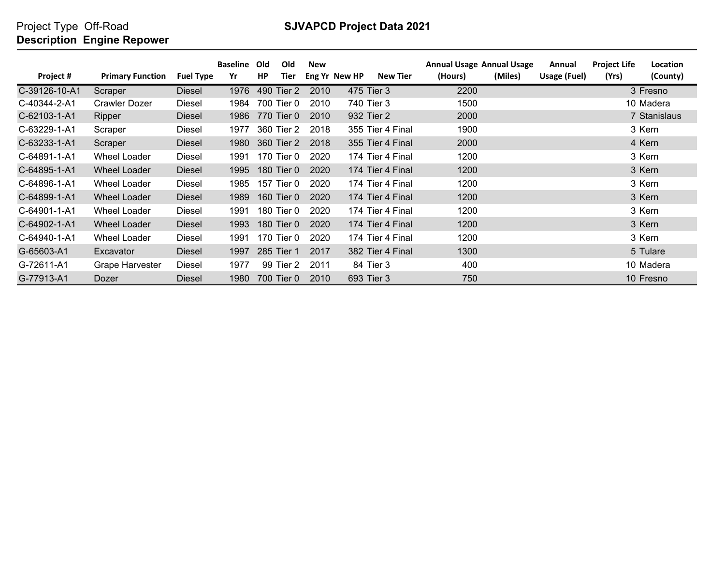# **SJVAPCD Project Data 2021**

#### Project Type Off-Road **Description Engine Repower**

| Project #     | <b>Primary Function</b> | <b>Fuel Type</b> | <b>Baseline</b><br>Yr | Old<br>HP | Old<br>Tier | <b>New</b> | Eng Yr New HP | New Tier         | <b>Annual Usage Annual Usage</b><br>(Hours) | (Miles) | Annual<br>Usage (Fuel) | <b>Project Life</b><br>(Yrs) | Location<br>(County) |
|---------------|-------------------------|------------------|-----------------------|-----------|-------------|------------|---------------|------------------|---------------------------------------------|---------|------------------------|------------------------------|----------------------|
| C-39126-10-A1 | Scraper                 | <b>Diesel</b>    | 1976                  |           | 490 Tier 2  | 2010       |               | 475 Tier 3       | 2200                                        |         |                        |                              | 3 Fresno             |
| C-40344-2-A1  | Crawler Dozer           | <b>Diesel</b>    | 1984                  |           | 700 Tier 0  | 2010       |               | 740 Tier 3       | 1500                                        |         |                        |                              | 10 Madera            |
| C-62103-1-A1  | Ripper                  | <b>Diesel</b>    | 1986                  |           | 770 Tier 0  | 2010       |               | 932 Tier 2       | 2000                                        |         |                        |                              | 7 Stanislaus         |
| C-63229-1-A1  | Scraper                 | Diesel           | 1977                  |           | 360 Tier 2  | 2018       |               | 355 Tier 4 Final | 1900                                        |         |                        |                              | 3 Kern               |
| C-63233-1-A1  | Scraper                 | <b>Diesel</b>    | 1980                  |           | 360 Tier 2  | 2018       |               | 355 Tier 4 Final | 2000                                        |         |                        |                              | 4 Kern               |
| C-64891-1-A1  | Wheel Loader            | <b>Diesel</b>    | 1991                  |           | 170 Tier 0  | 2020       |               | 174 Tier 4 Final | 1200                                        |         |                        |                              | 3 Kern               |
| C-64895-1-A1  | Wheel Loader            | <b>Diesel</b>    | 1995                  |           | 180 Tier 0  | 2020       |               | 174 Tier 4 Final | 1200                                        |         |                        |                              | 3 Kern               |
| C-64896-1-A1  | Wheel Loader            | Diesel           | 1985                  |           | 157 Tier 0  | 2020       |               | 174 Tier 4 Final | 1200                                        |         |                        |                              | 3 Kern               |
| C-64899-1-A1  | Wheel Loader            | <b>Diesel</b>    | 1989                  |           | 160 Tier 0  | 2020       |               | 174 Tier 4 Final | 1200                                        |         |                        |                              | 3 Kern               |
| C-64901-1-A1  | Wheel Loader            | <b>Diesel</b>    | 1991                  |           | 180 Tier 0  | 2020       |               | 174 Tier 4 Final | 1200                                        |         |                        |                              | 3 Kern               |
| C-64902-1-A1  | Wheel Loader            | <b>Diesel</b>    | 1993                  |           | 180 Tier 0  | 2020       |               | 174 Tier 4 Final | 1200                                        |         |                        |                              | 3 Kern               |
| C-64940-1-A1  | Wheel Loader            | <b>Diesel</b>    | 1991                  |           | 170 Tier 0  | 2020       |               | 174 Tier 4 Final | 1200                                        |         |                        |                              | 3 Kern               |
| G-65603-A1    | Excavator               | <b>Diesel</b>    | 1997                  |           | 285 Tier 1  | 2017       |               | 382 Tier 4 Final | 1300                                        |         |                        |                              | 5 Tulare             |
| G-72611-A1    | Grape Harvester         | <b>Diesel</b>    | 1977                  |           | 99 Tier 2   | 2011       |               | 84 Tier 3        | 400                                         |         |                        |                              | 10 Madera            |
| G-77913-A1    | Dozer                   | <b>Diesel</b>    | 1980                  |           | 700 Tier 0  | 2010       |               | 693 Tier 3       | 750                                         |         |                        |                              | 10 Fresno            |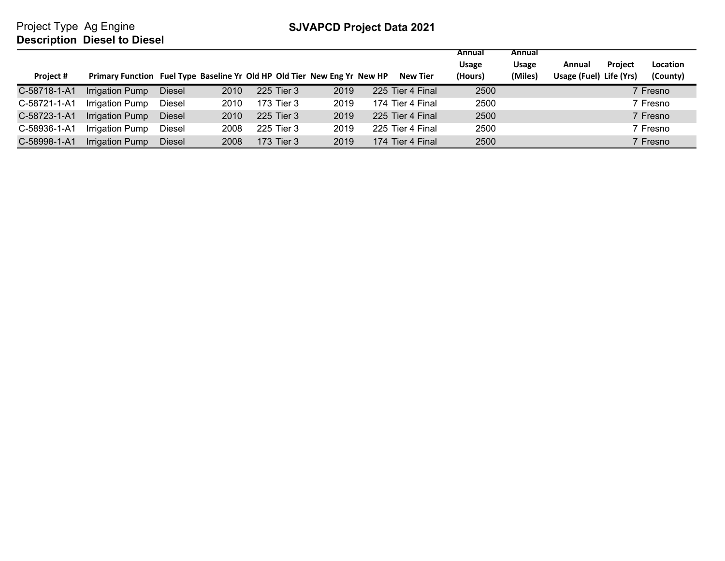| <b>Project #</b> | Primary Function Fuel Type Baseline Yr Old HP Old Tier New Eng Yr New HP |               |      |            |      | New Tier         | Annual<br><b>Usage</b><br>(Hours) | Annual<br><b>Usage</b><br>(Miles) | <b>Project</b><br>Annual<br>Usage (Fuel) Life (Yrs) | Location<br>(County) |
|------------------|--------------------------------------------------------------------------|---------------|------|------------|------|------------------|-----------------------------------|-----------------------------------|-----------------------------------------------------|----------------------|
| C-58718-1-A1     | Irrigation Pump                                                          | <b>Diesel</b> | 2010 | 225 Tier 3 | 2019 | 225 Tier 4 Final | 2500                              |                                   |                                                     | 7 Fresno             |
| C-58721-1-A1     | <b>Irrigation Pump</b>                                                   | Diesel        | 2010 | 173 Tier 3 | 2019 | 174 Tier 4 Final | 2500                              |                                   |                                                     | 7 Fresno             |
| C-58723-1-A1     | <b>Irrigation Pump</b>                                                   | <b>Diesel</b> | 2010 | 225 Tier 3 | 2019 | 225 Tier 4 Final | 2500                              |                                   |                                                     | 7 Fresno             |
| C-58936-1-A1     | Irrigation Pump                                                          | Diesel        | 2008 | 225 Tier 3 | 2019 | 225 Tier 4 Final | 2500                              |                                   |                                                     | 7 Fresno             |
| C-58998-1-A1     | Irrigation Pump                                                          | <b>Diesel</b> | 2008 | 173 Tier 3 | 2019 | 174 Tier 4 Final | 2500                              |                                   |                                                     | 7 Fresno             |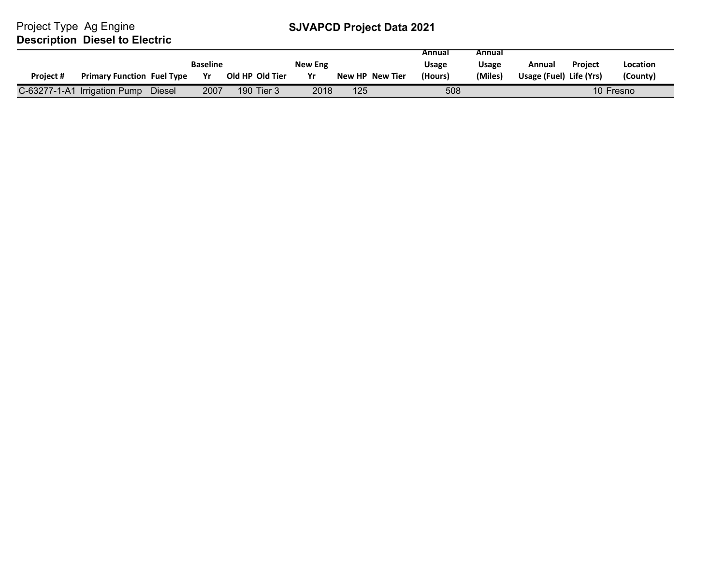Project Type Ag Engine **Description Diesel to Electric**

|                  |                                   |               |                 |                 |         |                 | Annual  | Annual  |                         |                |           |
|------------------|-----------------------------------|---------------|-----------------|-----------------|---------|-----------------|---------|---------|-------------------------|----------------|-----------|
|                  |                                   |               | <b>Baseline</b> |                 | New Eng |                 | Usage   | Usage   | Annual                  | <b>Project</b> | Location  |
| <b>Project #</b> | <b>Primary Function Fuel Type</b> |               | Yr              | Old HP Old Tier | Yr      | New HP New Tier | (Hours) | (Miles) | Usage (Fuel) Life (Yrs) |                | (County)  |
|                  | C-63277-1-A1 Irrigation Pump      | <b>Diesel</b> | 2007            | 190 Tier 3      | 2018    | 125             | 508     |         |                         |                | 10 Fresno |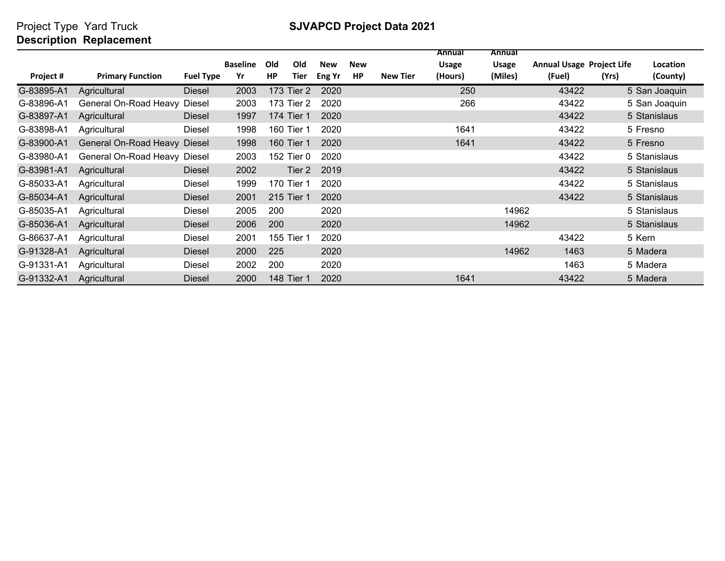### Project T **Descript**

|            | Project Type Yard Truck        |                  |                       |           |                   |                             |                  | <b>SJVAPCD Project Data 2021</b> |                         |                         |                                            |       |                      |
|------------|--------------------------------|------------------|-----------------------|-----------|-------------------|-----------------------------|------------------|----------------------------------|-------------------------|-------------------------|--------------------------------------------|-------|----------------------|
|            | <b>Description Replacement</b> |                  |                       |           |                   |                             |                  |                                  |                         |                         |                                            |       |                      |
|            |                                |                  |                       |           |                   |                             |                  |                                  | Annual                  | Annual                  |                                            |       |                      |
| Project #  | <b>Primary Function</b>        | <b>Fuel Type</b> | <b>Baseline</b><br>Yr | Old<br>HP | Old<br>Tier       | <b>New</b><br><b>Eng Yr</b> | <b>New</b><br>HP | <b>New Tier</b>                  | <b>Usage</b><br>(Hours) | <b>Usage</b><br>(Miles) | <b>Annual Usage Project Life</b><br>(Fuel) | (Yrs) | Location<br>(County) |
| G-83895-A1 | Agricultural                   | <b>Diesel</b>    | 2003                  |           | 173 Tier 2        | 2020                        |                  |                                  | 250                     |                         | 43422                                      |       | 5 San Joaquin        |
| G-83896-A1 | General On-Road Heavy Diesel   |                  | 2003                  |           | 173 Tier 2        | 2020                        |                  |                                  | 266                     |                         | 43422                                      |       | 5 San Joaquin        |
| G-83897-A1 | Agricultural                   | <b>Diesel</b>    | 1997                  |           | <b>174 Tier 1</b> | 2020                        |                  |                                  |                         |                         | 43422                                      |       | 5 Stanislaus         |
| G-83898-A1 | Agricultural                   | Diesel           | 1998                  |           | 160 Tier 1        | 2020                        |                  |                                  | 1641                    |                         | 43422                                      |       | 5 Fresno             |
| G-83900-A1 | General On-Road Heavy Diesel   |                  | 1998                  |           | 160 Tier 1        | 2020                        |                  |                                  | 1641                    |                         | 43422                                      |       | 5 Fresno             |
| G-83980-A1 | General On-Road Heavy Diesel   |                  | 2003                  |           | 152 Tier 0        | 2020                        |                  |                                  |                         |                         | 43422                                      |       | 5 Stanislaus         |
| G-83981-A1 | Agricultural                   | <b>Diesel</b>    | 2002                  |           | Tier 2            | 2019                        |                  |                                  |                         |                         | 43422                                      |       | 5 Stanislaus         |
| G-85033-A1 | Agricultural                   | <b>Diesel</b>    | 1999                  |           | 170 Tier 1        | 2020                        |                  |                                  |                         |                         | 43422                                      |       | 5 Stanislaus         |
| G-85034-A1 | Agricultural                   | <b>Diesel</b>    | 2001                  |           | 215 Tier 1        | 2020                        |                  |                                  |                         |                         | 43422                                      |       | 5 Stanislaus         |
| G-85035-A1 | Agricultural                   | Diesel           | 2005                  | 200       |                   | 2020                        |                  |                                  |                         | 14962                   |                                            |       | 5 Stanislaus         |
| G-85036-A1 | Agricultural                   | <b>Diesel</b>    | 2006                  | 200       |                   | 2020                        |                  |                                  |                         | 14962                   |                                            |       | 5 Stanislaus         |
| G-86637-A1 | Agricultural                   | Diesel           | 2001                  |           | 155 Tier 1        | 2020                        |                  |                                  |                         |                         | 43422                                      |       | 5 Kern               |
| G-91328-A1 | Agricultural                   | <b>Diesel</b>    | 2000                  | 225       |                   | 2020                        |                  |                                  |                         | 14962                   | 1463                                       |       | 5 Madera             |

G-91331-A1 Agricultural Diesel 2002 200 2020 1463 5 Madera G-91332-A1 Agricultural Diesel 2000 148 Tier 1 2020 1641 43422 5 Madera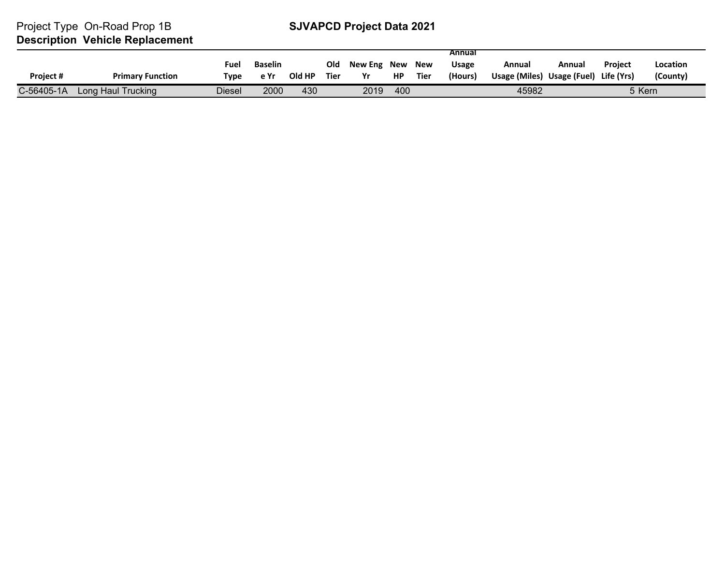Project Type On-Road Prop 1B **Description Vehicle Replacement**

|                  |                         |        |                |        |      |             |     |      | Annual       |                                       |        |                |          |
|------------------|-------------------------|--------|----------------|--------|------|-------------|-----|------|--------------|---------------------------------------|--------|----------------|----------|
|                  |                         | Fuel   | <b>Baselin</b> |        | Old  | New Eng New |     | New  | <b>Usage</b> | Annual                                | Annual | <b>Project</b> | Location |
| <b>Project #</b> | <b>Primary Function</b> | Type   | e Yr           | Old HP | Tier | ٧r          | НP  | Tier | (Hours)      | Usage (Miles) Usage (Fuel) Life (Yrs) |        |                | (County) |
| C-56405-1A       | Long Haul Trucking      | Diesel | 2000           | 430    |      | 2019        | 400 |      |              | 45982                                 |        | 5 Kern         |          |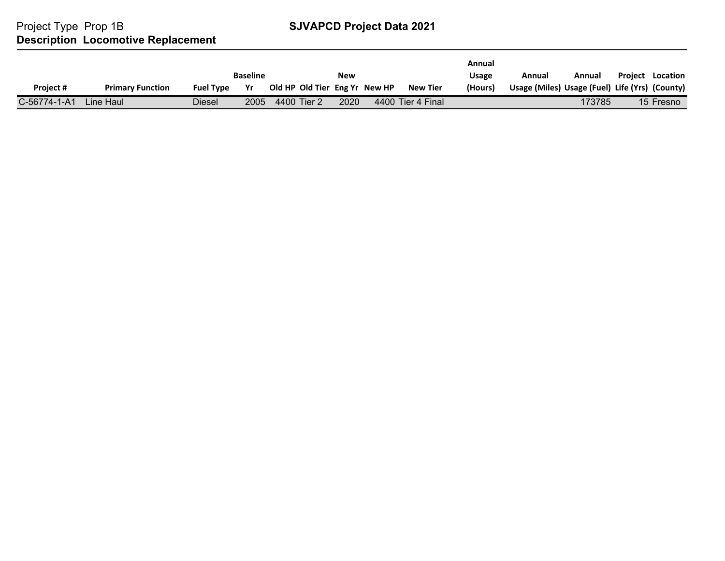Project Type Prop 1B **Description Locomotive Replacement**

|                  |                         |                  | <b>Baseline</b> |             | <b>New</b> |                               |                   | Annual<br>Usage | Annual                                         | Annual | <b>Project Location</b> |
|------------------|-------------------------|------------------|-----------------|-------------|------------|-------------------------------|-------------------|-----------------|------------------------------------------------|--------|-------------------------|
| <b>Project #</b> | <b>Primary Function</b> | <b>Fuel Type</b> | Yr              |             |            | Old HP Old Tier Eng Yr New HP | <b>New Tier</b>   | (Hours)         | Usage (Miles) Usage (Fuel) Life (Yrs) (County) |        |                         |
| C-56774-1-A1     | Line Haul               | <b>Diesel</b>    | 2005            | 4400 Tier 2 | 2020       |                               | 4400 Tier 4 Final |                 |                                                | 173785 | 15 Fresno               |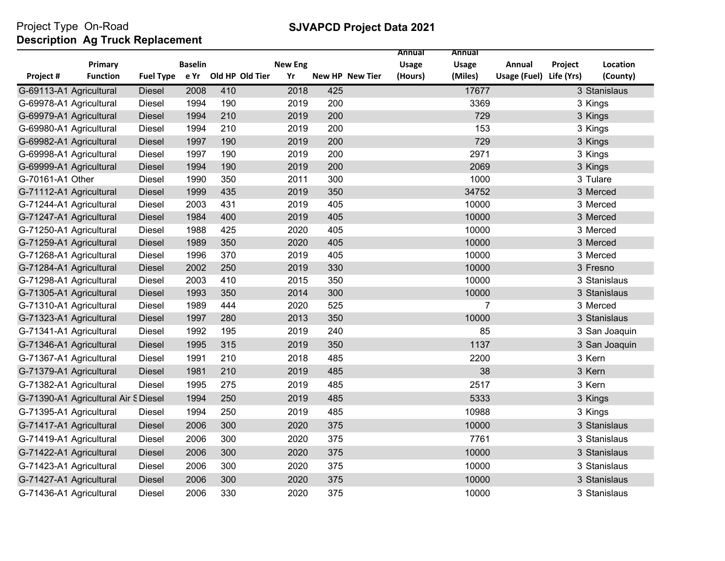|                         |                                     |                  |                |                 |                |                        | <b>Annual</b> | Annual       |                         |         |               |
|-------------------------|-------------------------------------|------------------|----------------|-----------------|----------------|------------------------|---------------|--------------|-------------------------|---------|---------------|
|                         | Primary                             |                  | <b>Baselin</b> |                 | <b>New Eng</b> |                        | <b>Usage</b>  | <b>Usage</b> | Annual                  | Project | Location      |
| Project #               | <b>Function</b>                     | <b>Fuel Type</b> | e Yr           | Old HP Old Tier | Yr             | <b>New HP New Tier</b> | (Hours)       | (Miles)      | Usage (Fuel) Life (Yrs) |         | (County)      |
| G-69113-A1 Agricultural |                                     | <b>Diesel</b>    | 2008           | 410             | 2018           | 425                    |               | 17677        |                         |         | 3 Stanislaus  |
| G-69978-A1 Agricultural |                                     | Diesel           | 1994           | 190             | 2019           | 200                    |               | 3369         |                         |         | 3 Kings       |
|                         | G-69979-A1 Agricultural             | <b>Diesel</b>    | 1994           | 210             | 2019           | 200                    |               | 729          |                         |         | 3 Kings       |
| G-69980-A1 Agricultural |                                     | <b>Diesel</b>    | 1994           | 210             | 2019           | 200                    |               | 153          |                         |         | 3 Kings       |
|                         | G-69982-A1 Agricultural             | <b>Diesel</b>    | 1997           | 190             | 2019           | 200                    |               | 729          |                         |         | 3 Kings       |
| G-69998-A1 Agricultural |                                     | <b>Diesel</b>    | 1997           | 190             | 2019           | 200                    |               | 2971         |                         |         | 3 Kings       |
|                         | G-69999-A1 Agricultural             | <b>Diesel</b>    | 1994           | 190             | 2019           | 200                    |               | 2069         |                         |         | 3 Kings       |
| G-70161-A1 Other        |                                     | <b>Diesel</b>    | 1990           | 350             | 2011           | 300                    |               | 1000         |                         |         | 3 Tulare      |
| G-71112-A1 Agricultural |                                     | <b>Diesel</b>    | 1999           | 435             | 2019           | 350                    |               | 34752        |                         |         | 3 Merced      |
| G-71244-A1 Agricultural |                                     | <b>Diesel</b>    | 2003           | 431             | 2019           | 405                    |               | 10000        |                         |         | 3 Merced      |
|                         | G-71247-A1 Agricultural             | <b>Diesel</b>    | 1984           | 400             | 2019           | 405                    |               | 10000        |                         |         | 3 Merced      |
| G-71250-A1 Agricultural |                                     | <b>Diesel</b>    | 1988           | 425             | 2020           | 405                    |               | 10000        |                         |         | 3 Merced      |
|                         | G-71259-A1 Agricultural             | <b>Diesel</b>    | 1989           | 350             | 2020           | 405                    |               | 10000        |                         |         | 3 Merced      |
| G-71268-A1 Agricultural |                                     | <b>Diesel</b>    | 1996           | 370             | 2019           | 405                    |               | 10000        |                         |         | 3 Merced      |
|                         | G-71284-A1 Agricultural             | <b>Diesel</b>    | 2002           | 250             | 2019           | 330                    |               | 10000        |                         |         | 3 Fresno      |
| G-71298-A1 Agricultural |                                     | <b>Diesel</b>    | 2003           | 410             | 2015           | 350                    |               | 10000        |                         |         | 3 Stanislaus  |
|                         | G-71305-A1 Agricultural             | <b>Diesel</b>    | 1993           | 350             | 2014           | 300                    |               | 10000        |                         |         | 3 Stanislaus  |
| G-71310-A1 Agricultural |                                     | Diesel           | 1989           | 444             | 2020           | 525                    |               | 7            |                         |         | 3 Merced      |
|                         | G-71323-A1 Agricultural             | <b>Diesel</b>    | 1997           | 280             | 2013           | 350                    |               | 10000        |                         |         | 3 Stanislaus  |
| G-71341-A1 Agricultural |                                     | <b>Diesel</b>    | 1992           | 195             | 2019           | 240                    |               | 85           |                         |         | 3 San Joaquin |
|                         | G-71346-A1 Agricultural             | <b>Diesel</b>    | 1995           | 315             | 2019           | 350                    |               | 1137         |                         |         | 3 San Joaquin |
| G-71367-A1 Agricultural |                                     | <b>Diesel</b>    | 1991           | 210             | 2018           | 485                    |               | 2200         |                         |         | 3 Kern        |
|                         | G-71379-A1 Agricultural             | <b>Diesel</b>    | 1981           | 210             | 2019           | 485                    |               | 38           |                         |         | 3 Kern        |
| G-71382-A1 Agricultural |                                     | <b>Diesel</b>    | 1995           | 275             | 2019           | 485                    |               | 2517         |                         |         | 3 Kern        |
|                         | G-71390-A1 Agricultural Air SDiesel |                  | 1994           | 250             | 2019           | 485                    |               | 5333         |                         |         | 3 Kings       |
| G-71395-A1 Agricultural |                                     | <b>Diesel</b>    | 1994           | 250             | 2019           | 485                    |               | 10988        |                         |         | 3 Kings       |
| G-71417-A1 Agricultural |                                     | <b>Diesel</b>    | 2006           | 300             | 2020           | 375                    |               | 10000        |                         |         | 3 Stanislaus  |
| G-71419-A1 Agricultural |                                     | <b>Diesel</b>    | 2006           | 300             | 2020           | 375                    |               | 7761         |                         |         | 3 Stanislaus  |
|                         | G-71422-A1 Agricultural             | <b>Diesel</b>    | 2006           | 300             | 2020           | 375                    |               | 10000        |                         |         | 3 Stanislaus  |
| G-71423-A1 Agricultural |                                     | <b>Diesel</b>    | 2006           | 300             | 2020           | 375                    |               | 10000        |                         |         | 3 Stanislaus  |
|                         | G-71427-A1 Agricultural             | <b>Diesel</b>    | 2006           | 300             | 2020           | 375                    |               | 10000        |                         |         | 3 Stanislaus  |
| G-71436-A1 Agricultural |                                     | <b>Diesel</b>    | 2006           | 330             | 2020           | 375                    |               | 10000        |                         |         | 3 Stanislaus  |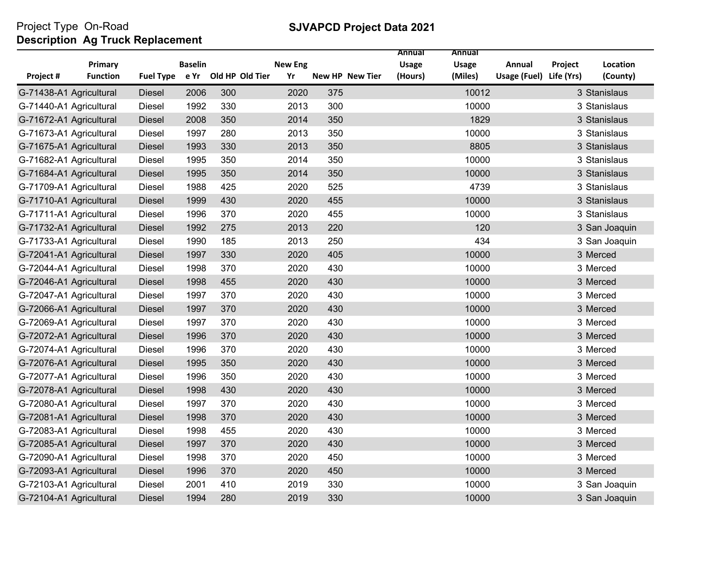|                         |                         |                  |                |                      |                |                        | Annual       | Annual       |                         |         |               |
|-------------------------|-------------------------|------------------|----------------|----------------------|----------------|------------------------|--------------|--------------|-------------------------|---------|---------------|
|                         | Primary                 |                  | <b>Baselin</b> |                      | <b>New Eng</b> |                        | <b>Usage</b> | <b>Usage</b> | Annual                  | Project | Location      |
| Project #               | <b>Function</b>         | <b>Fuel Type</b> |                | e Yr Old HP Old Tier | Yr             | <b>New HP New Tier</b> | (Hours)      | (Miles)      | Usage (Fuel) Life (Yrs) |         | (County)      |
| G-71438-A1 Agricultural |                         | Diesel           | 2006           | 300                  | 2020           | 375                    |              | 10012        |                         |         | 3 Stanislaus  |
| G-71440-A1 Agricultural |                         | <b>Diesel</b>    | 1992           | 330                  | 2013           | 300                    |              | 10000        |                         |         | 3 Stanislaus  |
|                         | G-71672-A1 Agricultural | <b>Diesel</b>    | 2008           | 350                  | 2014           | 350                    |              | 1829         |                         |         | 3 Stanislaus  |
|                         | G-71673-A1 Agricultural | <b>Diesel</b>    | 1997           | 280                  | 2013           | 350                    |              | 10000        |                         |         | 3 Stanislaus  |
|                         | G-71675-A1 Agricultural | <b>Diesel</b>    | 1993           | 330                  | 2013           | 350                    |              | 8805         |                         |         | 3 Stanislaus  |
| G-71682-A1 Agricultural |                         | <b>Diesel</b>    | 1995           | 350                  | 2014           | 350                    |              | 10000        |                         |         | 3 Stanislaus  |
|                         | G-71684-A1 Agricultural | <b>Diesel</b>    | 1995           | 350                  | 2014           | 350                    |              | 10000        |                         |         | 3 Stanislaus  |
| G-71709-A1 Agricultural |                         | <b>Diesel</b>    | 1988           | 425                  | 2020           | 525                    |              | 4739         |                         |         | 3 Stanislaus  |
|                         | G-71710-A1 Agricultural | Diesel           | 1999           | 430                  | 2020           | 455                    |              | 10000        |                         |         | 3 Stanislaus  |
| G-71711-A1 Agricultural |                         | <b>Diesel</b>    | 1996           | 370                  | 2020           | 455                    |              | 10000        |                         |         | 3 Stanislaus  |
|                         | G-71732-A1 Agricultural | <b>Diesel</b>    | 1992           | 275                  | 2013           | 220                    |              | 120          |                         |         | 3 San Joaquin |
| G-71733-A1 Agricultural |                         | <b>Diesel</b>    | 1990           | 185                  | 2013           | 250                    |              | 434          |                         |         | 3 San Joaquin |
|                         | G-72041-A1 Agricultural | <b>Diesel</b>    | 1997           | 330                  | 2020           | 405                    |              | 10000        |                         |         | 3 Merced      |
| G-72044-A1 Agricultural |                         | <b>Diesel</b>    | 1998           | 370                  | 2020           | 430                    |              | 10000        |                         |         | 3 Merced      |
|                         | G-72046-A1 Agricultural | <b>Diesel</b>    | 1998           | 455                  | 2020           | 430                    |              | 10000        |                         |         | 3 Merced      |
| G-72047-A1 Agricultural |                         | <b>Diesel</b>    | 1997           | 370                  | 2020           | 430                    |              | 10000        |                         |         | 3 Merced      |
|                         | G-72066-A1 Agricultural | <b>Diesel</b>    | 1997           | 370                  | 2020           | 430                    |              | 10000        |                         |         | 3 Merced      |
| G-72069-A1 Agricultural |                         | Diesel           | 1997           | 370                  | 2020           | 430                    |              | 10000        |                         |         | 3 Merced      |
|                         | G-72072-A1 Agricultural | <b>Diesel</b>    | 1996           | 370                  | 2020           | 430                    |              | 10000        |                         |         | 3 Merced      |
|                         | G-72074-A1 Agricultural | <b>Diesel</b>    | 1996           | 370                  | 2020           | 430                    |              | 10000        |                         |         | 3 Merced      |
|                         | G-72076-A1 Agricultural | <b>Diesel</b>    | 1995           | 350                  | 2020           | 430                    |              | 10000        |                         |         | 3 Merced      |
| G-72077-A1 Agricultural |                         | Diesel           | 1996           | 350                  | 2020           | 430                    |              | 10000        |                         |         | 3 Merced      |
|                         | G-72078-A1 Agricultural | <b>Diesel</b>    | 1998           | 430                  | 2020           | 430                    |              | 10000        |                         |         | 3 Merced      |
| G-72080-A1 Agricultural |                         | <b>Diesel</b>    | 1997           | 370                  | 2020           | 430                    |              | 10000        |                         |         | 3 Merced      |
|                         | G-72081-A1 Agricultural | <b>Diesel</b>    | 1998           | 370                  | 2020           | 430                    |              | 10000        |                         |         | 3 Merced      |
| G-72083-A1 Agricultural |                         | <b>Diesel</b>    | 1998           | 455                  | 2020           | 430                    |              | 10000        |                         |         | 3 Merced      |
| G-72085-A1 Agricultural |                         | Diesel           | 1997           | 370                  | 2020           | 430                    |              | 10000        |                         |         | 3 Merced      |
| G-72090-A1 Agricultural |                         | Diesel           | 1998           | 370                  | 2020           | 450                    |              | 10000        |                         |         | 3 Merced      |
|                         | G-72093-A1 Agricultural | <b>Diesel</b>    | 1996           | 370                  | 2020           | 450                    |              | 10000        |                         |         | 3 Merced      |
| G-72103-A1 Agricultural |                         | <b>Diesel</b>    | 2001           | 410                  | 2019           | 330                    |              | 10000        |                         |         | 3 San Joaquin |
| G-72104-A1 Agricultural |                         | <b>Diesel</b>    | 1994           | 280                  | 2019           | 330                    |              | 10000        |                         |         | 3 San Joaquin |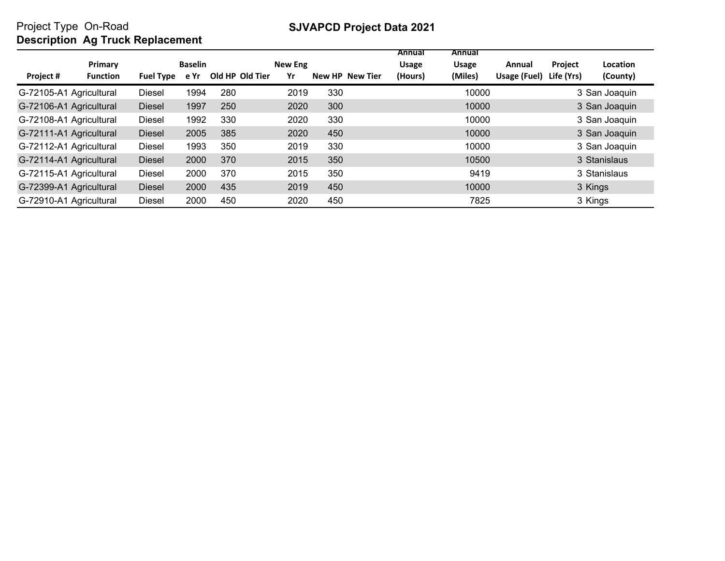|                         |                            |                  |                        |                 |               |                        | Annual       | Annual                  |              |                              |                      |
|-------------------------|----------------------------|------------------|------------------------|-----------------|---------------|------------------------|--------------|-------------------------|--------------|------------------------------|----------------------|
|                         | Primary<br><b>Function</b> |                  | <b>Baselin</b><br>e Yr | Old HP Old Tier | New Eng<br>Yr | <b>New HP New Tier</b> | <b>Usage</b> | <b>Usage</b><br>(Miles) | Annual       | <b>Project</b><br>Life (Yrs) | Location<br>(County) |
| Project #               |                            | <b>Fuel Type</b> |                        |                 |               |                        | (Hours)      |                         | Usage (Fuel) |                              |                      |
| G-72105-A1 Agricultural |                            | <b>Diesel</b>    | 1994                   | 280             | 2019          | 330                    |              | 10000                   |              |                              | 3 San Joaquin        |
| G-72106-A1 Agricultural |                            | <b>Diesel</b>    | 1997                   | 250             | 2020          | 300                    |              | 10000                   |              |                              | 3 San Joaquin        |
| G-72108-A1 Agricultural |                            | <b>Diesel</b>    | 1992                   | 330             | 2020          | 330                    |              | 10000                   |              |                              | 3 San Joaquin        |
| G-72111-A1 Agricultural |                            | <b>Diesel</b>    | 2005                   | 385             | 2020          | 450                    |              | 10000                   |              |                              | 3 San Joaquin        |
| G-72112-A1 Agricultural |                            | Diesel           | 1993                   | 350             | 2019          | 330                    |              | 10000                   |              |                              | 3 San Joaquin        |
| G-72114-A1 Agricultural |                            | <b>Diesel</b>    | 2000                   | 370             | 2015          | 350                    |              | 10500                   |              |                              | 3 Stanislaus         |
| G-72115-A1 Agricultural |                            | <b>Diesel</b>    | 2000                   | 370             | 2015          | 350                    |              | 9419                    |              |                              | 3 Stanislaus         |
| G-72399-A1 Agricultural |                            | <b>Diesel</b>    | 2000                   | 435             | 2019          | 450                    |              | 10000                   |              |                              | 3 Kings              |
| G-72910-A1 Agricultural |                            | Diesel           | 2000                   | 450             | 2020          | 450                    |              | 7825                    |              |                              | 3 Kings              |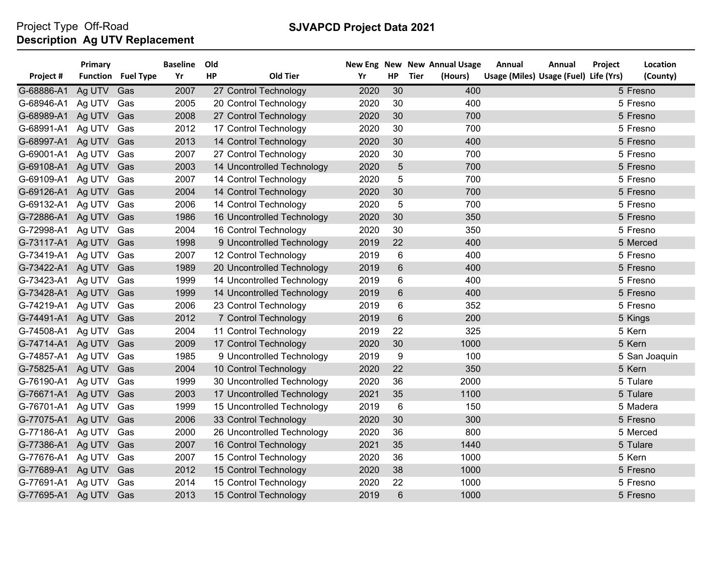|                         | Primary    |                           | <b>Baseline</b> | Old<br><b>HP</b> |                                   | Yr   |                  |      | New Eng New New Annual Usage | Annual<br>Annual<br>Usage (Miles) Usage (Fuel) Life (Yrs) | Project | Location             |
|-------------------------|------------|---------------------------|-----------------|------------------|-----------------------------------|------|------------------|------|------------------------------|-----------------------------------------------------------|---------|----------------------|
| Project #<br>G-68886-A1 | Ag UTV Gas | <b>Function</b> Fuel Type | Yr<br>2007      |                  | Old Tier<br>27 Control Technology | 2020 | HP<br>30         | Tier | (Hours)<br>400               |                                                           |         | (County)<br>5 Fresno |
| G-68946-A1              | Ag UTV     | Gas                       | 2005            |                  | 20 Control Technology             | 2020 | 30               |      | 400                          |                                                           |         | 5 Fresno             |
| G-68989-A1              | Ag UTV     | Gas                       | 2008            |                  | 27 Control Technology             | 2020 | 30               |      | 700                          |                                                           |         | 5 Fresno             |
| G-68991-A1              |            | Gas                       | 2012            |                  |                                   | 2020 | 30               |      | 700                          |                                                           |         | 5 Fresno             |
|                         | Ag UTV     |                           |                 |                  | 17 Control Technology             |      | 30               |      | 400                          |                                                           |         | 5 Fresno             |
| G-68997-A1              | Ag UTV     | Gas                       | 2013            |                  | 14 Control Technology             | 2020 |                  |      |                              |                                                           |         |                      |
| G-69001-A1              | Ag UTV     | Gas                       | 2007            |                  | 27 Control Technology             | 2020 | 30               |      | 700                          |                                                           |         | 5 Fresno             |
| G-69108-A1              | Ag UTV     | Gas                       | 2003            |                  | 14 Uncontrolled Technology        | 2020 | 5                |      | 700                          |                                                           |         | 5 Fresno             |
| G-69109-A1              | Ag UTV     | Gas                       | 2007            |                  | 14 Control Technology             | 2020 | 5                |      | 700                          |                                                           |         | 5 Fresno             |
| G-69126-A1              | Ag UTV     | Gas                       | 2004            |                  | 14 Control Technology             | 2020 | 30               |      | 700                          |                                                           |         | 5 Fresno             |
| G-69132-A1              | Ag UTV     | Gas                       | 2006            |                  | 14 Control Technology             | 2020 | $\sqrt{5}$       |      | 700                          |                                                           |         | 5 Fresno             |
| G-72886-A1              | Ag UTV     | Gas                       | 1986            |                  | 16 Uncontrolled Technology        | 2020 | 30               |      | 350                          |                                                           |         | 5 Fresno             |
| G-72998-A1              | Ag UTV     | Gas                       | 2004            |                  | 16 Control Technology             | 2020 | 30               |      | 350                          |                                                           |         | 5 Fresno             |
| G-73117-A1              | Ag UTV     | Gas                       | 1998            |                  | 9 Uncontrolled Technology         | 2019 | 22               |      | 400                          |                                                           |         | 5 Merced             |
| G-73419-A1              | Ag UTV Gas |                           | 2007            |                  | 12 Control Technology             | 2019 | 6                |      | 400                          |                                                           |         | 5 Fresno             |
| G-73422-A1              | Ag UTV     | Gas                       | 1989            |                  | 20 Uncontrolled Technology        | 2019 | 6                |      | 400                          |                                                           |         | 5 Fresno             |
| G-73423-A1              | Ag UTV     | Gas                       | 1999            |                  | 14 Uncontrolled Technology        | 2019 | 6                |      | 400                          |                                                           |         | 5 Fresno             |
| G-73428-A1              | Ag UTV     | Gas                       | 1999            |                  | 14 Uncontrolled Technology        | 2019 | 6                |      | 400                          |                                                           |         | 5 Fresno             |
| G-74219-A1              | Ag UTV     | Gas                       | 2006            |                  | 23 Control Technology             | 2019 | 6                |      | 352                          |                                                           |         | 5 Fresno             |
| G-74491-A1              | Ag UTV     | Gas                       | 2012            |                  | 7 Control Technology              | 2019 | 6                |      | 200                          |                                                           |         | 5 Kings              |
| G-74508-A1              | Ag UTV     | Gas                       | 2004            |                  | 11 Control Technology             | 2019 | 22               |      | 325                          |                                                           |         | 5 Kern               |
| G-74714-A1              | Ag UTV     | Gas                       | 2009            |                  | 17 Control Technology             | 2020 | 30               |      | 1000                         |                                                           |         | 5 Kern               |
| G-74857-A1              | Ag UTV     | Gas                       | 1985            |                  | 9 Uncontrolled Technology         | 2019 | $\boldsymbol{9}$ |      | 100                          |                                                           |         | 5 San Joaquin        |
| G-75825-A1              | Ag UTV     | Gas                       | 2004            |                  | 10 Control Technology             | 2020 | 22               |      | 350                          |                                                           |         | 5 Kern               |
| G-76190-A1              | Ag UTV     | Gas                       | 1999            |                  | 30 Uncontrolled Technology        | 2020 | 36               |      | 2000                         |                                                           |         | 5 Tulare             |
| G-76671-A1              | Ag UTV     | Gas                       | 2003            |                  | 17 Uncontrolled Technology        | 2021 | 35               |      | 1100                         |                                                           |         | 5 Tulare             |
| G-76701-A1              | Ag UTV     | Gas                       | 1999            |                  | 15 Uncontrolled Technology        | 2019 | 6                |      | 150                          |                                                           |         | 5 Madera             |
| G-77075-A1 Ag UTV       |            | Gas                       | 2006            |                  | 33 Control Technology             | 2020 | 30               |      | 300                          |                                                           |         | 5 Fresno             |
| G-77186-A1              | Ag UTV     | Gas                       | 2000            |                  | 26 Uncontrolled Technology        | 2020 | 36               |      | 800                          |                                                           |         | 5 Merced             |
| G-77386-A1              | Ag UTV     | Gas                       | 2007            |                  | 16 Control Technology             | 2021 | 35               |      | 1440                         |                                                           |         | 5 Tulare             |
| G-77676-A1              | Ag UTV     | Gas                       | 2007            |                  | 15 Control Technology             | 2020 | 36               |      | 1000                         |                                                           |         | 5 Kern               |
| G-77689-A1              | Ag UTV     | Gas                       | 2012            |                  | 15 Control Technology             | 2020 | 38               |      | 1000                         |                                                           |         | 5 Fresno             |
| G-77691-A1              | Ag UTV Gas |                           | 2014            |                  | 15 Control Technology             | 2020 | 22               |      | 1000                         |                                                           |         | 5 Fresno             |
| G-77695-A1 Ag UTV Gas   |            |                           | 2013            |                  | 15 Control Technology             | 2019 | 6                |      | 1000                         |                                                           |         | 5 Fresno             |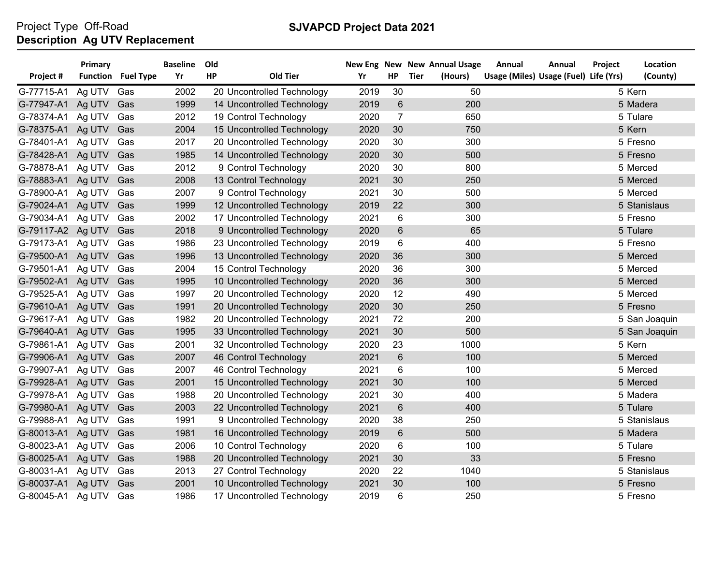| Project #         | Primary    | <b>Function</b> Fuel Type | <b>Baseline</b><br>Yr | Old<br><b>HP</b> | Old Tier                   | Yr   | <b>HP</b>      | Tier | New Eng New New Annual Usage<br>(Hours) | Annual<br>Usage (Miles) Usage (Fuel) Life (Yrs) | Annual | Project | Location<br>(County) |
|-------------------|------------|---------------------------|-----------------------|------------------|----------------------------|------|----------------|------|-----------------------------------------|-------------------------------------------------|--------|---------|----------------------|
| G-77715-A1        | Ag UTV     | Gas                       | 2002                  |                  | 20 Uncontrolled Technology | 2019 | 30             |      | 50                                      |                                                 |        |         | 5 Kern               |
| G-77947-A1        | Ag UTV     | Gas                       | 1999                  |                  | 14 Uncontrolled Technology | 2019 | 6              |      | 200                                     |                                                 |        |         | 5 Madera             |
| G-78374-A1        | Ag UTV     | Gas                       | 2012                  |                  | 19 Control Technology      | 2020 | $\overline{7}$ |      | 650                                     |                                                 |        |         | 5 Tulare             |
| G-78375-A1        | Ag UTV     | Gas                       | 2004                  |                  | 15 Uncontrolled Technology | 2020 | 30             |      | 750                                     |                                                 |        |         | 5 Kern               |
| G-78401-A1        | Ag UTV     | Gas                       | 2017                  |                  | 20 Uncontrolled Technology | 2020 | 30             |      | 300                                     |                                                 |        |         | 5 Fresno             |
| G-78428-A1        | Ag UTV     | Gas                       | 1985                  |                  | 14 Uncontrolled Technology | 2020 | 30             |      | 500                                     |                                                 |        |         | 5 Fresno             |
| G-78878-A1        | Ag UTV     | Gas                       | 2012                  |                  | 9 Control Technology       | 2020 | 30             |      | 800                                     |                                                 |        |         | 5 Merced             |
| G-78883-A1 Ag UTV |            | Gas                       | 2008                  |                  | 13 Control Technology      | 2021 | 30             |      | 250                                     |                                                 |        |         | 5 Merced             |
| G-78900-A1        | Ag UTV     | Gas                       | 2007                  |                  | 9 Control Technology       | 2021 | 30             |      | 500                                     |                                                 |        |         | 5 Merced             |
| G-79024-A1        | Ag UTV     | Gas                       | 1999                  |                  | 12 Uncontrolled Technology | 2019 | 22             |      | 300                                     |                                                 |        |         | 5 Stanislaus         |
| G-79034-A1        | Ag UTV     | Gas                       | 2002                  |                  | 17 Uncontrolled Technology | 2021 | 6              |      | 300                                     |                                                 |        |         | 5 Fresno             |
| G-79117-A2 Ag UTV |            | Gas                       | 2018                  |                  | 9 Uncontrolled Technology  | 2020 | 6              |      | 65                                      |                                                 |        |         | 5 Tulare             |
| G-79173-A1        | Ag UTV Gas |                           | 1986                  |                  | 23 Uncontrolled Technology | 2019 | 6              |      | 400                                     |                                                 |        |         | 5 Fresno             |
| G-79500-A1        | Ag UTV     | Gas                       | 1996                  |                  | 13 Uncontrolled Technology | 2020 | 36             |      | 300                                     |                                                 |        |         | 5 Merced             |
| G-79501-A1        | Ag UTV     | Gas                       | 2004                  |                  | 15 Control Technology      | 2020 | 36             |      | 300                                     |                                                 |        |         | 5 Merced             |
| G-79502-A1        | Ag UTV     | Gas                       | 1995                  |                  | 10 Uncontrolled Technology | 2020 | 36             |      | 300                                     |                                                 |        |         | 5 Merced             |
| G-79525-A1        | Ag UTV     | Gas                       | 1997                  |                  | 20 Uncontrolled Technology | 2020 | 12             |      | 490                                     |                                                 |        |         | 5 Merced             |
| G-79610-A1        | Ag UTV     | Gas                       | 1991                  |                  | 20 Uncontrolled Technology | 2020 | 30             |      | 250                                     |                                                 |        |         | 5 Fresno             |
| G-79617-A1        | Ag UTV     | Gas                       | 1982                  |                  | 20 Uncontrolled Technology | 2021 | 72             |      | 200                                     |                                                 |        |         | 5 San Joaquin        |
| G-79640-A1        | Ag UTV     | Gas                       | 1995                  |                  | 33 Uncontrolled Technology | 2021 | 30             |      | 500                                     |                                                 |        |         | 5 San Joaquin        |
| G-79861-A1        | Ag UTV     | Gas                       | 2001                  |                  | 32 Uncontrolled Technology | 2020 | 23             |      | 1000                                    |                                                 |        |         | 5 Kern               |
| G-79906-A1        | Ag UTV     | Gas                       | 2007                  |                  | 46 Control Technology      | 2021 | 6              |      | 100                                     |                                                 |        |         | 5 Merced             |
| G-79907-A1        | Ag UTV     | Gas                       | 2007                  |                  | 46 Control Technology      | 2021 | 6              |      | 100                                     |                                                 |        |         | 5 Merced             |
| G-79928-A1        | Ag UTV     | Gas                       | 2001                  |                  | 15 Uncontrolled Technology | 2021 | 30             |      | 100                                     |                                                 |        |         | 5 Merced             |
| G-79978-A1        | Ag UTV     | Gas                       | 1988                  |                  | 20 Uncontrolled Technology | 2021 | 30             |      | 400                                     |                                                 |        |         | 5 Madera             |
| G-79980-A1        | Ag UTV     | Gas                       | 2003                  |                  | 22 Uncontrolled Technology | 2021 | $6\phantom{1}$ |      | 400                                     |                                                 |        |         | 5 Tulare             |
| G-79988-A1        | Ag UTV     | Gas                       | 1991                  |                  | 9 Uncontrolled Technology  | 2020 | 38             |      | 250                                     |                                                 |        |         | 5 Stanislaus         |
| G-80013-A1        | Ag UTV     | Gas                       | 1981                  |                  | 16 Uncontrolled Technology | 2019 | 6              |      | 500                                     |                                                 |        |         | 5 Madera             |
| G-80023-A1        | Ag UTV     | Gas                       | 2006                  |                  | 10 Control Technology      | 2020 | 6              |      | 100                                     |                                                 |        |         | 5 Tulare             |
| G-80025-A1        | Ag UTV     | Gas                       | 1988                  |                  | 20 Uncontrolled Technology | 2021 | 30             |      | 33                                      |                                                 |        |         | 5 Fresno             |
| G-80031-A1        | Ag UTV     | Gas                       | 2013                  |                  | 27 Control Technology      | 2020 | 22             |      | 1040                                    |                                                 |        |         | 5 Stanislaus         |
| G-80037-A1        | Ag UTV     | Gas                       | 2001                  |                  | 10 Uncontrolled Technology | 2021 | 30             |      | 100                                     |                                                 |        |         | 5 Fresno             |
| G-80045-A1        | Ag UTV     | Gas                       | 1986                  |                  | 17 Uncontrolled Technology | 2019 | 6              |      | 250                                     |                                                 |        |         | 5 Fresno             |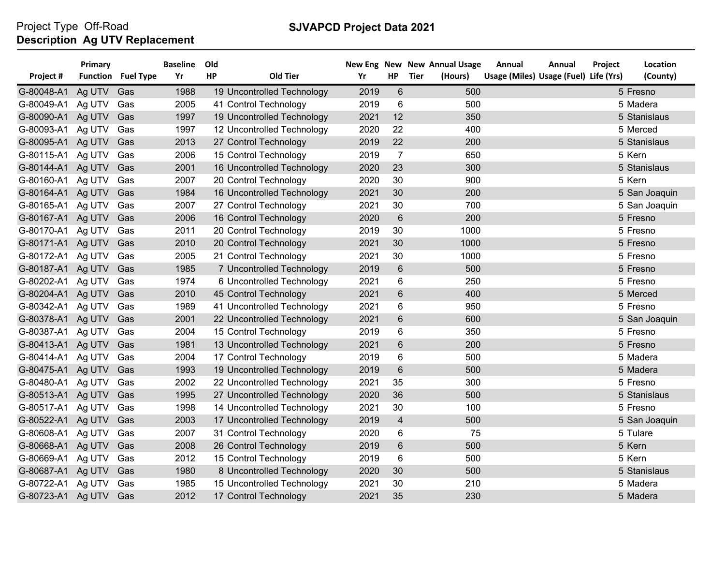| Project #             | Primary    | <b>Function</b> Fuel Type | <b>Baseline</b><br>Yr | Old<br><b>HP</b> | Old Tier                   | Yr   | <b>HP</b>      | Tier | New Eng New New Annual Usage<br>(Hours) | Annual<br>Usage (Miles) Usage (Fuel) Life (Yrs) | Annual | Project | Location<br>(County) |
|-----------------------|------------|---------------------------|-----------------------|------------------|----------------------------|------|----------------|------|-----------------------------------------|-------------------------------------------------|--------|---------|----------------------|
| G-80048-A1            | Ag UTV     | Gas                       | 1988                  |                  | 19 Uncontrolled Technology | 2019 | $6\phantom{1}$ |      | 500                                     |                                                 |        |         | 5 Fresno             |
| G-80049-A1            | Ag UTV     | Gas                       | 2005                  |                  | 41 Control Technology      | 2019 | 6              |      | 500                                     |                                                 |        |         | 5 Madera             |
| G-80090-A1            | Ag UTV     | Gas                       | 1997                  |                  | 19 Uncontrolled Technology | 2021 | 12             |      | 350                                     |                                                 |        |         | 5 Stanislaus         |
| G-80093-A1            | Ag UTV     | Gas                       | 1997                  |                  | 12 Uncontrolled Technology | 2020 | 22             |      | 400                                     |                                                 |        |         | 5 Merced             |
| G-80095-A1            | Ag UTV     | Gas                       | 2013                  |                  | 27 Control Technology      | 2019 | 22             |      | 200                                     |                                                 |        |         | 5 Stanislaus         |
| G-80115-A1            | Ag UTV     | Gas                       | 2006                  |                  | 15 Control Technology      | 2019 | $\overline{7}$ |      | 650                                     |                                                 |        |         | 5 Kern               |
| G-80144-A1            | Ag UTV     | Gas                       | 2001                  |                  | 16 Uncontrolled Technology | 2020 | 23             |      | 300                                     |                                                 |        |         | 5 Stanislaus         |
| G-80160-A1            | Ag UTV     | Gas                       | 2007                  |                  | 20 Control Technology      | 2020 | 30             |      | 900                                     |                                                 |        |         | 5 Kern               |
| G-80164-A1 Ag UTV     |            | Gas                       | 1984                  |                  | 16 Uncontrolled Technology | 2021 | 30             |      | 200                                     |                                                 |        |         | 5 San Joaquin        |
| G-80165-A1            | Ag UTV     | Gas                       | 2007                  |                  | 27 Control Technology      | 2021 | 30             |      | 700                                     |                                                 |        |         | 5 San Joaquin        |
| G-80167-A1            | Ag UTV     | Gas                       | 2006                  |                  | 16 Control Technology      | 2020 | $\,6\,$        |      | 200                                     |                                                 |        |         | 5 Fresno             |
| G-80170-A1            | Ag UTV     | Gas                       | 2011                  |                  | 20 Control Technology      | 2019 | 30             |      | 1000                                    |                                                 |        |         | 5 Fresno             |
| G-80171-A1            | Ag UTV     | Gas                       | 2010                  |                  | 20 Control Technology      | 2021 | 30             |      | 1000                                    |                                                 |        |         | 5 Fresno             |
| G-80172-A1            | Ag UTV     | Gas                       | 2005                  |                  | 21 Control Technology      | 2021 | 30             |      | 1000                                    |                                                 |        |         | 5 Fresno             |
| G-80187-A1            | Ag UTV     | Gas                       | 1985                  |                  | 7 Uncontrolled Technology  | 2019 | 6              |      | 500                                     |                                                 |        |         | 5 Fresno             |
| G-80202-A1            | Ag UTV     | Gas                       | 1974                  |                  | 6 Uncontrolled Technology  | 2021 | 6              |      | 250                                     |                                                 |        |         | 5 Fresno             |
| G-80204-A1            | Ag UTV     | Gas                       | 2010                  |                  | 45 Control Technology      | 2021 | $6\phantom{1}$ |      | 400                                     |                                                 |        |         | 5 Merced             |
| G-80342-A1            | Ag UTV     | Gas                       | 1989                  |                  | 41 Uncontrolled Technology | 2021 | 6              |      | 950                                     |                                                 |        |         | 5 Fresno             |
| G-80378-A1            | Ag UTV     | Gas                       | 2001                  |                  | 22 Uncontrolled Technology | 2021 | 6              |      | 600                                     |                                                 |        |         | 5 San Joaquin        |
| G-80387-A1            | Ag UTV     | Gas                       | 2004                  |                  | 15 Control Technology      | 2019 | 6              |      | 350                                     |                                                 |        |         | 5 Fresno             |
| G-80413-A1            | Ag UTV     | Gas                       | 1981                  |                  | 13 Uncontrolled Technology | 2021 | 6              |      | 200                                     |                                                 |        |         | 5 Fresno             |
| G-80414-A1            | Ag UTV     | Gas                       | 2004                  |                  | 17 Control Technology      | 2019 | 6              |      | 500                                     |                                                 |        |         | 5 Madera             |
| G-80475-A1            | Ag UTV     | Gas                       | 1993                  |                  | 19 Uncontrolled Technology | 2019 | 6              |      | 500                                     |                                                 |        |         | 5 Madera             |
| G-80480-A1            | Ag UTV     | Gas                       | 2002                  |                  | 22 Uncontrolled Technology | 2021 | 35             |      | 300                                     |                                                 |        |         | 5 Fresno             |
| G-80513-A1            | Ag UTV     | Gas                       | 1995                  |                  | 27 Uncontrolled Technology | 2020 | 36             |      | 500                                     |                                                 |        |         | 5 Stanislaus         |
| G-80517-A1            | Ag UTV     | Gas                       | 1998                  |                  | 14 Uncontrolled Technology | 2021 | 30             |      | 100                                     |                                                 |        |         | 5 Fresno             |
| G-80522-A1            | Ag UTV     | Gas                       | 2003                  |                  | 17 Uncontrolled Technology | 2019 | $\overline{4}$ |      | 500                                     |                                                 |        |         | 5 San Joaquin        |
| G-80608-A1            | Ag UTV     | Gas                       | 2007                  |                  | 31 Control Technology      | 2020 | 6              |      | 75                                      |                                                 |        |         | 5 Tulare             |
| G-80668-A1            | Ag UTV     | Gas                       | 2008                  |                  | 26 Control Technology      | 2019 | 6              |      | 500                                     |                                                 |        |         | 5 Kern               |
| G-80669-A1            | Ag UTV     | Gas                       | 2012                  |                  | 15 Control Technology      | 2019 | 6              |      | 500                                     |                                                 |        |         | 5 Kern               |
| G-80687-A1            | Ag UTV     | Gas                       | 1980                  |                  | 8 Uncontrolled Technology  | 2020 | 30             |      | 500                                     |                                                 |        |         | 5 Stanislaus         |
| G-80722-A1            | Ag UTV Gas |                           | 1985                  |                  | 15 Uncontrolled Technology | 2021 | 30             |      | 210                                     |                                                 |        |         | 5 Madera             |
| G-80723-A1 Ag UTV Gas |            |                           | 2012                  |                  | 17 Control Technology      | 2021 | 35             |      | 230                                     |                                                 |        |         | 5 Madera             |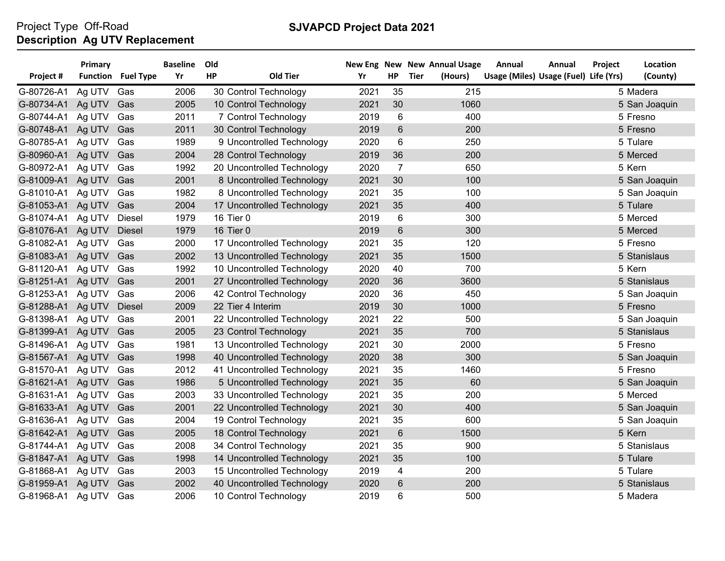| Project #         | Primary | <b>Function</b> Fuel Type | <b>Baseline</b><br>Yr | Old<br><b>HP</b> | Old Tier                   | Yr   | <b>HP</b>      | New Eng New New Annual Usage<br>Tier<br>(Hours) | Annual<br>Annual<br>Usage (Miles) Usage (Fuel) Life (Yrs) | Project | Location<br>(County) |
|-------------------|---------|---------------------------|-----------------------|------------------|----------------------------|------|----------------|-------------------------------------------------|-----------------------------------------------------------|---------|----------------------|
| G-80726-A1        | Ag UTV  | Gas                       | 2006                  |                  | 30 Control Technology      | 2021 | 35             | 215                                             |                                                           |         | 5 Madera             |
| G-80734-A1        | Ag UTV  | Gas                       | 2005                  |                  | 10 Control Technology      | 2021 | 30             | 1060                                            |                                                           |         | 5 San Joaquin        |
| G-80744-A1        | Ag UTV  | Gas                       | 2011                  |                  | 7 Control Technology       | 2019 | 6              | 400                                             |                                                           |         | 5 Fresno             |
| G-80748-A1        | Ag UTV  | Gas                       | 2011                  |                  | 30 Control Technology      | 2019 | 6              | 200                                             |                                                           |         | 5 Fresno             |
| G-80785-A1        | Ag UTV  | Gas                       | 1989                  |                  | 9 Uncontrolled Technology  | 2020 | 6              | 250                                             |                                                           |         | 5 Tulare             |
| G-80960-A1        | Ag UTV  | Gas                       | 2004                  |                  | 28 Control Technology      | 2019 | 36             | 200                                             |                                                           |         | 5 Merced             |
| G-80972-A1        | Ag UTV  | Gas                       | 1992                  |                  | 20 Uncontrolled Technology | 2020 | $\overline{7}$ | 650                                             |                                                           |         | 5 Kern               |
| G-81009-A1 Ag UTV |         | Gas                       | 2001                  |                  | 8 Uncontrolled Technology  | 2021 | 30             | 100                                             |                                                           |         | 5 San Joaquin        |
| G-81010-A1        | Ag UTV  | Gas                       | 1982                  |                  | 8 Uncontrolled Technology  | 2021 | 35             | 100                                             |                                                           |         | 5 San Joaquin        |
| G-81053-A1        | Ag UTV  | Gas                       | 2004                  |                  | 17 Uncontrolled Technology | 2021 | 35             | 400                                             |                                                           |         | 5 Tulare             |
| G-81074-A1        | Ag UTV  | <b>Diesel</b>             | 1979                  |                  | 16 Tier 0                  | 2019 | 6              | 300                                             |                                                           |         | 5 Merced             |
| G-81076-A1 Ag UTV |         | <b>Diesel</b>             | 1979                  |                  | 16 Tier 0                  | 2019 | 6              | 300                                             |                                                           |         | 5 Merced             |
| G-81082-A1 Ag UTV |         | Gas                       | 2000                  |                  | 17 Uncontrolled Technology | 2021 | 35             | 120                                             |                                                           |         | 5 Fresno             |
| G-81083-A1 Ag UTV |         | Gas                       | 2002                  |                  | 13 Uncontrolled Technology | 2021 | 35             | 1500                                            |                                                           |         | 5 Stanislaus         |
| G-81120-A1 Ag UTV |         | Gas                       | 1992                  |                  | 10 Uncontrolled Technology | 2020 | 40             | 700                                             |                                                           |         | 5 Kern               |
| G-81251-A1 Ag UTV |         | Gas                       | 2001                  |                  | 27 Uncontrolled Technology | 2020 | 36             | 3600                                            |                                                           |         | 5 Stanislaus         |
| G-81253-A1 Ag UTV |         | Gas                       | 2006                  |                  | 42 Control Technology      | 2020 | 36             | 450                                             |                                                           |         | 5 San Joaquin        |
| G-81288-A1 Ag UTV |         | <b>Diesel</b>             | 2009                  |                  | 22 Tier 4 Interim          | 2019 | 30             | 1000                                            |                                                           |         | 5 Fresno             |
| G-81398-A1        | Ag UTV  | Gas                       | 2001                  |                  | 22 Uncontrolled Technology | 2021 | 22             | 500                                             |                                                           |         | 5 San Joaquin        |
| G-81399-A1        | Ag UTV  | Gas                       | 2005                  |                  | 23 Control Technology      | 2021 | 35             | 700                                             |                                                           |         | 5 Stanislaus         |
| G-81496-A1        | Ag UTV  | Gas                       | 1981                  |                  | 13 Uncontrolled Technology | 2021 | 30             | 2000                                            |                                                           |         | 5 Fresno             |
| G-81567-A1        | Ag UTV  | Gas                       | 1998                  |                  | 40 Uncontrolled Technology | 2020 | 38             | 300                                             |                                                           |         | 5 San Joaquin        |
| G-81570-A1        | Ag UTV  | Gas                       | 2012                  |                  | 41 Uncontrolled Technology | 2021 | 35             | 1460                                            |                                                           |         | 5 Fresno             |
| G-81621-A1 Ag UTV |         | Gas                       | 1986                  |                  | 5 Uncontrolled Technology  | 2021 | 35             | 60                                              |                                                           |         | 5 San Joaquin        |
| G-81631-A1 Ag UTV |         | Gas                       | 2003                  |                  | 33 Uncontrolled Technology | 2021 | 35             | 200                                             |                                                           |         | 5 Merced             |
| G-81633-A1 Ag UTV |         | Gas                       | 2001                  |                  | 22 Uncontrolled Technology | 2021 | 30             | 400                                             |                                                           |         | 5 San Joaquin        |
| G-81636-A1        | Ag UTV  | Gas                       | 2004                  |                  | 19 Control Technology      | 2021 | 35             | 600                                             |                                                           |         | 5 San Joaquin        |
| G-81642-A1        | Ag UTV  | Gas                       | 2005                  |                  | 18 Control Technology      | 2021 | $\,6$          | 1500                                            |                                                           |         | 5 Kern               |
| G-81744-A1        | Ag UTV  | Gas                       | 2008                  |                  | 34 Control Technology      | 2021 | 35             | 900                                             |                                                           |         | 5 Stanislaus         |
| G-81847-A1        | Ag UTV  | Gas                       | 1998                  |                  | 14 Uncontrolled Technology | 2021 | 35             | 100                                             |                                                           |         | 5 Tulare             |
| G-81868-A1        | Ag UTV  | Gas                       | 2003                  |                  | 15 Uncontrolled Technology | 2019 | 4              | 200                                             |                                                           |         | 5 Tulare             |
| G-81959-A1 Ag UTV |         | Gas                       | 2002                  |                  | 40 Uncontrolled Technology | 2020 | $\,6$          | 200                                             |                                                           |         | 5 Stanislaus         |
| G-81968-A1 Ag UTV |         | Gas                       | 2006                  |                  | 10 Control Technology      | 2019 | 6              | 500                                             |                                                           |         | 5 Madera             |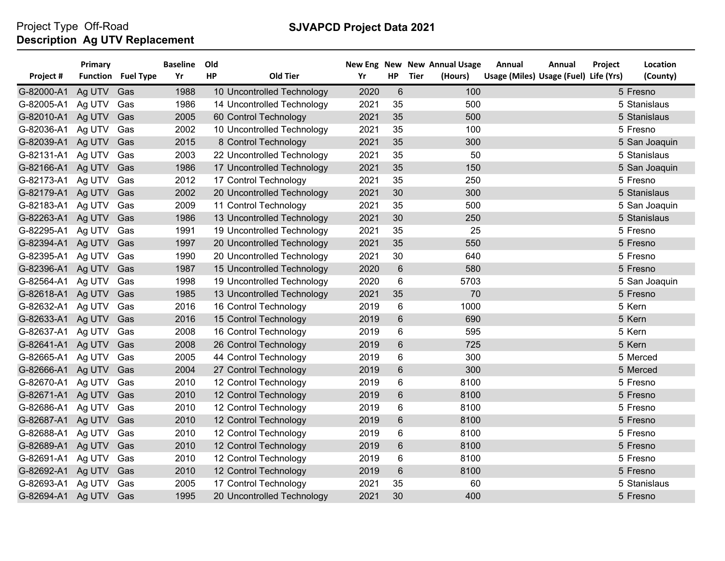| <b>Project #</b>  | Primary | <b>Function</b> Fuel Type | <b>Baseline</b><br>Yr | Old<br><b>HP</b> | Old Tier                   | Yr   | <b>HP</b>      | Tier | New Eng New New Annual Usage<br>(Hours) | Annual<br>Annual<br>Usage (Miles) Usage (Fuel) Life (Yrs) | Project | Location<br>(County) |
|-------------------|---------|---------------------------|-----------------------|------------------|----------------------------|------|----------------|------|-----------------------------------------|-----------------------------------------------------------|---------|----------------------|
| G-82000-A1        | Ag UTV  | Gas                       | 1988                  |                  | 10 Uncontrolled Technology | 2020 | $\,6\,$        |      | 100                                     |                                                           |         | 5 Fresno             |
| G-82005-A1        | Ag UTV  | Gas                       | 1986                  |                  | 14 Uncontrolled Technology | 2021 | 35             |      | 500                                     |                                                           |         | 5 Stanislaus         |
| G-82010-A1        | Ag UTV  | Gas                       | 2005                  |                  | 60 Control Technology      | 2021 | 35             |      | 500                                     |                                                           |         | 5 Stanislaus         |
| G-82036-A1        | Ag UTV  | Gas                       | 2002                  |                  | 10 Uncontrolled Technology | 2021 | 35             |      | 100                                     |                                                           |         | 5 Fresno             |
| G-82039-A1        | Ag UTV  | Gas                       | 2015                  |                  | 8 Control Technology       | 2021 | 35             |      | 300                                     |                                                           |         | 5 San Joaquin        |
| G-82131-A1        | Ag UTV  | Gas                       | 2003                  |                  | 22 Uncontrolled Technology | 2021 | 35             |      | 50                                      |                                                           |         | 5 Stanislaus         |
| G-82166-A1        | Ag UTV  | Gas                       | 1986                  |                  | 17 Uncontrolled Technology | 2021 | 35             |      | 150                                     |                                                           |         | 5 San Joaquin        |
| G-82173-A1        | Ag UTV  | Gas                       | 2012                  |                  | 17 Control Technology      | 2021 | 35             |      | 250                                     |                                                           |         | 5 Fresno             |
| G-82179-A1 Ag UTV |         | Gas                       | 2002                  |                  | 20 Uncontrolled Technology | 2021 | 30             |      | 300                                     |                                                           |         | 5 Stanislaus         |
| G-82183-A1        | Ag UTV  | Gas                       | 2009                  |                  | 11 Control Technology      | 2021 | 35             |      | 500                                     |                                                           |         | 5 San Joaquin        |
| G-82263-A1        | Ag UTV  | Gas                       | 1986                  |                  | 13 Uncontrolled Technology | 2021 | 30             |      | 250                                     |                                                           |         | 5 Stanislaus         |
| G-82295-A1        | Ag UTV  | Gas                       | 1991                  |                  | 19 Uncontrolled Technology | 2021 | 35             |      | 25                                      |                                                           |         | 5 Fresno             |
| G-82394-A1        | Ag UTV  | Gas                       | 1997                  |                  | 20 Uncontrolled Technology | 2021 | 35             |      | 550                                     |                                                           |         | 5 Fresno             |
| G-82395-A1        | Ag UTV  | Gas                       | 1990                  |                  | 20 Uncontrolled Technology | 2021 | 30             |      | 640                                     |                                                           |         | 5 Fresno             |
| G-82396-A1        | Ag UTV  | Gas                       | 1987                  |                  | 15 Uncontrolled Technology | 2020 | $\,6\,$        |      | 580                                     |                                                           |         | 5 Fresno             |
| G-82564-A1        | Ag UTV  | Gas                       | 1998                  |                  | 19 Uncontrolled Technology | 2020 | 6              |      | 5703                                    |                                                           |         | 5 San Joaquin        |
| G-82618-A1        | Ag UTV  | Gas                       | 1985                  |                  | 13 Uncontrolled Technology | 2021 | 35             |      | 70                                      |                                                           |         | 5 Fresno             |
| G-82632-A1        | Ag UTV  | Gas                       | 2016                  |                  | 16 Control Technology      | 2019 | 6              |      | 1000                                    |                                                           |         | 5 Kern               |
| G-82633-A1        | Ag UTV  | Gas                       | 2016                  |                  | 15 Control Technology      | 2019 | $\,6\,$        |      | 690                                     |                                                           |         | 5 Kern               |
| G-82637-A1        | Ag UTV  | Gas                       | 2008                  |                  | 16 Control Technology      | 2019 | $\,6\,$        |      | 595                                     |                                                           |         | 5 Kern               |
| G-82641-A1        | Ag UTV  | Gas                       | 2008                  |                  | 26 Control Technology      | 2019 | $\,6\,$        |      | 725                                     |                                                           |         | 5 Kern               |
| G-82665-A1        | Ag UTV  | Gas                       | 2005                  |                  | 44 Control Technology      | 2019 | $\,6\,$        |      | 300                                     |                                                           |         | 5 Merced             |
| G-82666-A1        | Ag UTV  | Gas                       | 2004                  |                  | 27 Control Technology      | 2019 | $\,6\,$        |      | 300                                     |                                                           |         | 5 Merced             |
| G-82670-A1        | Ag UTV  | Gas                       | 2010                  |                  | 12 Control Technology      | 2019 | $\,6\,$        |      | 8100                                    |                                                           |         | 5 Fresno             |
| G-82671-A1        | Ag UTV  | Gas                       | 2010                  |                  | 12 Control Technology      | 2019 | $\,6\,$        |      | 8100                                    |                                                           |         | 5 Fresno             |
| G-82686-A1        | Ag UTV  | Gas                       | 2010                  |                  | 12 Control Technology      | 2019 | $\,6\,$        |      | 8100                                    |                                                           |         | 5 Fresno             |
| G-82687-A1 Ag UTV |         | Gas                       | 2010                  |                  | 12 Control Technology      | 2019 | $\,6\,$        |      | 8100                                    |                                                           |         | 5 Fresno             |
| G-82688-A1        | Ag UTV  | Gas                       | 2010                  |                  | 12 Control Technology      | 2019 | 6              |      | 8100                                    |                                                           |         | 5 Fresno             |
| G-82689-A1        | Ag UTV  | Gas                       | 2010                  |                  | 12 Control Technology      | 2019 | $\,6\,$        |      | 8100                                    |                                                           |         | 5 Fresno             |
| G-82691-A1        | Ag UTV  | Gas                       | 2010                  |                  | 12 Control Technology      | 2019 | $6\phantom{a}$ |      | 8100                                    |                                                           |         | 5 Fresno             |
| G-82692-A1        | Ag UTV  | Gas                       | 2010                  |                  | 12 Control Technology      | 2019 | $\,6\,$        |      | 8100                                    |                                                           |         | 5 Fresno             |
| G-82693-A1        | Ag UTV  | Gas                       | 2005                  |                  | 17 Control Technology      | 2021 | 35             |      | 60                                      |                                                           |         | 5 Stanislaus         |
| G-82694-A1 Ag UTV |         | Gas                       | 1995                  |                  | 20 Uncontrolled Technology | 2021 | 30             |      | 400                                     |                                                           |         | 5 Fresno             |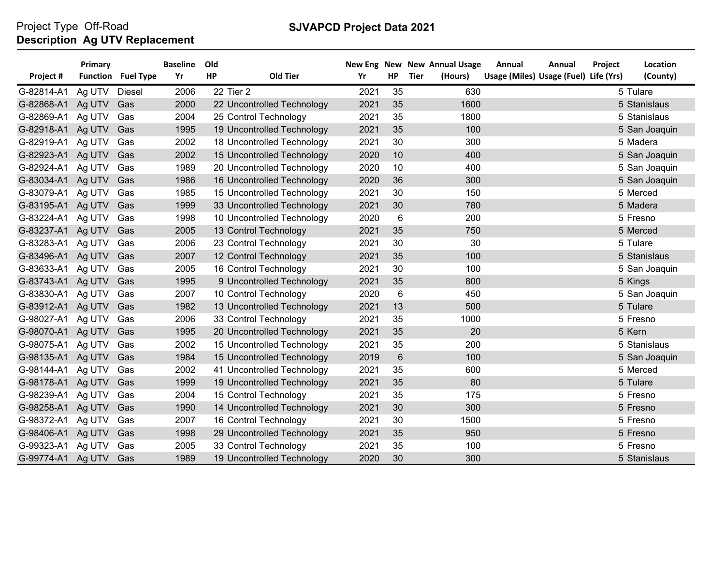| Project #  | Primary | <b>Function</b> Fuel Type | <b>Baseline</b><br>Yr | Old<br>HP | Old Tier                   | Yr   | HP    | Tier | New Eng New New Annual Usage<br>(Hours) | Annual<br>Usage (Miles) Usage (Fuel) Life (Yrs) | Annual | <b>Project</b> | Location<br>(County) |
|------------|---------|---------------------------|-----------------------|-----------|----------------------------|------|-------|------|-----------------------------------------|-------------------------------------------------|--------|----------------|----------------------|
| G-82814-A1 | Ag UTV  | Diesel                    | 2006                  |           | 22 Tier 2                  | 2021 | 35    |      | 630                                     |                                                 |        |                | 5 Tulare             |
| G-82868-A1 | Ag UTV  | Gas                       | 2000                  |           | 22 Uncontrolled Technology | 2021 | 35    |      | 1600                                    |                                                 |        |                | 5 Stanislaus         |
| G-82869-A1 | Ag UTV  | Gas                       | 2004                  |           | 25 Control Technology      | 2021 | 35    |      | 1800                                    |                                                 |        |                | 5 Stanislaus         |
| G-82918-A1 | Ag UTV  | Gas                       | 1995                  |           | 19 Uncontrolled Technology | 2021 | 35    |      | 100                                     |                                                 |        |                | 5 San Joaquin        |
| G-82919-A1 | Ag UTV  | Gas                       | 2002                  |           | 18 Uncontrolled Technology | 2021 | 30    |      | 300                                     |                                                 |        |                | 5 Madera             |
| G-82923-A1 | Ag UTV  | Gas                       | 2002                  |           | 15 Uncontrolled Technology | 2020 | $10$  |      | 400                                     |                                                 |        |                | 5 San Joaquin        |
| G-82924-A1 | Ag UTV  | Gas                       | 1989                  |           | 20 Uncontrolled Technology | 2020 | 10    |      | 400                                     |                                                 |        |                | 5 San Joaquin        |
| G-83034-A1 | Ag UTV  | Gas                       | 1986                  |           | 16 Uncontrolled Technology | 2020 | 36    |      | 300                                     |                                                 |        |                | 5 San Joaquin        |
| G-83079-A1 | Ag UTV  | Gas                       | 1985                  |           | 15 Uncontrolled Technology | 2021 | 30    |      | 150                                     |                                                 |        |                | 5 Merced             |
| G-83195-A1 | Ag UTV  | Gas                       | 1999                  |           | 33 Uncontrolled Technology | 2021 | 30    |      | 780                                     |                                                 |        |                | 5 Madera             |
| G-83224-A1 | Ag UTV  | Gas                       | 1998                  |           | 10 Uncontrolled Technology | 2020 | 6     |      | 200                                     |                                                 |        |                | 5 Fresno             |
| G-83237-A1 | Ag UTV  | Gas                       | 2005                  |           | 13 Control Technology      | 2021 | 35    |      | 750                                     |                                                 |        |                | 5 Merced             |
| G-83283-A1 | Ag UTV  | Gas                       | 2006                  |           | 23 Control Technology      | 2021 | 30    |      | 30                                      |                                                 |        |                | 5 Tulare             |
| G-83496-A1 | Ag UTV  | Gas                       | 2007                  |           | 12 Control Technology      | 2021 | 35    |      | 100                                     |                                                 |        |                | 5 Stanislaus         |
| G-83633-A1 | Ag UTV  | Gas                       | 2005                  |           | 16 Control Technology      | 2021 | 30    |      | 100                                     |                                                 |        |                | 5 San Joaquin        |
| G-83743-A1 | Ag UTV  | Gas                       | 1995                  |           | 9 Uncontrolled Technology  | 2021 | 35    |      | 800                                     |                                                 |        |                | 5 Kings              |
| G-83830-A1 | Ag UTV  | Gas                       | 2007                  |           | 10 Control Technology      | 2020 | 6     |      | 450                                     |                                                 |        |                | 5 San Joaquin        |
| G-83912-A1 | Ag UTV  | Gas                       | 1982                  |           | 13 Uncontrolled Technology | 2021 | 13    |      | 500                                     |                                                 |        |                | 5 Tulare             |
| G-98027-A1 | Ag UTV  | Gas                       | 2006                  |           | 33 Control Technology      | 2021 | 35    |      | 1000                                    |                                                 |        |                | 5 Fresno             |
| G-98070-A1 | Ag UTV  | Gas                       | 1995                  |           | 20 Uncontrolled Technology | 2021 | 35    |      | 20                                      |                                                 |        |                | 5 Kern               |
| G-98075-A1 | Ag UTV  | Gas                       | 2002                  |           | 15 Uncontrolled Technology | 2021 | 35    |      | 200                                     |                                                 |        |                | 5 Stanislaus         |
| G-98135-A1 | Ag UTV  | Gas                       | 1984                  |           | 15 Uncontrolled Technology | 2019 | $6\,$ |      | 100                                     |                                                 |        |                | 5 San Joaquin        |
| G-98144-A1 | Ag UTV  | Gas                       | 2002                  |           | 41 Uncontrolled Technology | 2021 | 35    |      | 600                                     |                                                 |        |                | 5 Merced             |
| G-98178-A1 | Ag UTV  | Gas                       | 1999                  |           | 19 Uncontrolled Technology | 2021 | 35    |      | 80                                      |                                                 |        |                | 5 Tulare             |
| G-98239-A1 | Ag UTV  | Gas                       | 2004                  |           | 15 Control Technology      | 2021 | 35    |      | 175                                     |                                                 |        |                | 5 Fresno             |
| G-98258-A1 | Ag UTV  | Gas                       | 1990                  |           | 14 Uncontrolled Technology | 2021 | 30    |      | 300                                     |                                                 |        |                | 5 Fresno             |
| G-98372-A1 | Ag UTV  | Gas                       | 2007                  |           | 16 Control Technology      | 2021 | 30    |      | 1500                                    |                                                 |        |                | 5 Fresno             |
| G-98406-A1 | Ag UTV  | Gas                       | 1998                  |           | 29 Uncontrolled Technology | 2021 | 35    |      | 950                                     |                                                 |        |                | 5 Fresno             |
| G-99323-A1 | Ag UTV  | Gas                       | 2005                  |           | 33 Control Technology      | 2021 | 35    |      | 100                                     |                                                 |        |                | 5 Fresno             |
| G-99774-A1 | Ag UTV  | Gas                       | 1989                  |           | 19 Uncontrolled Technology | 2020 | 30    |      | 300                                     |                                                 |        |                | 5 Stanislaus         |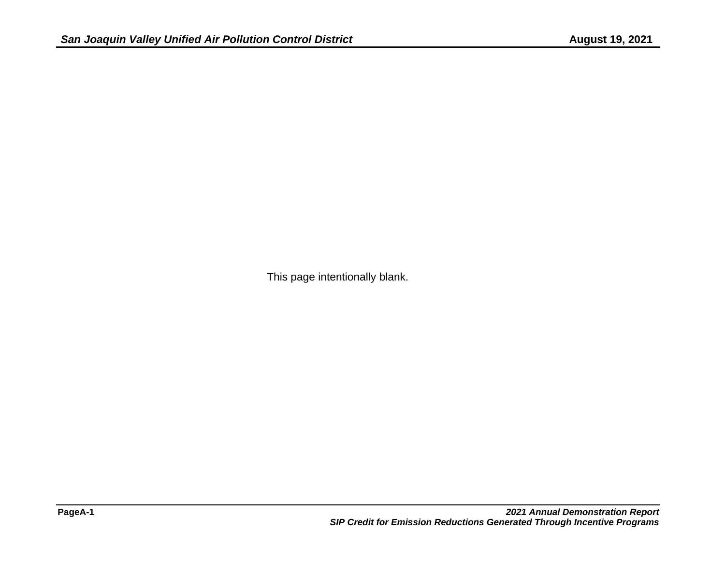This page intentionally blank.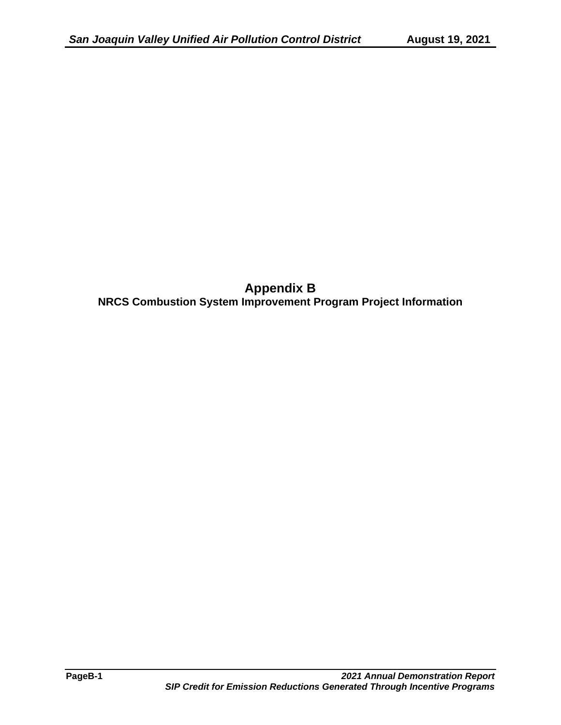**Appendix B NRCS Combustion System Improvement Program Project Information**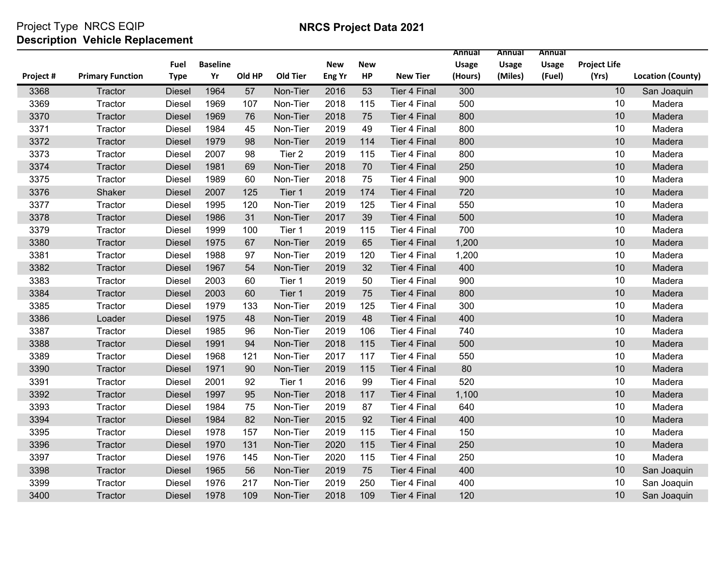|           |                         |               |                 |        |                   |            |            |                     | Annual       | Annual       | Annual       |                     |                          |
|-----------|-------------------------|---------------|-----------------|--------|-------------------|------------|------------|---------------------|--------------|--------------|--------------|---------------------|--------------------------|
|           |                         | Fuel          | <b>Baseline</b> |        |                   | <b>New</b> | <b>New</b> |                     | <b>Usage</b> | <b>Usage</b> | <b>Usage</b> | <b>Project Life</b> |                          |
| Project # | <b>Primary Function</b> | <b>Type</b>   | Yr              | Old HP | Old Tier          | Eng Yr     | HP         | <b>New Tier</b>     | (Hours)      | (Miles)      | (Fuel)       | (Yrs)               | <b>Location (County)</b> |
| 3368      | Tractor                 | <b>Diesel</b> | 1964            | 57     | Non-Tier          | 2016       | 53         | <b>Tier 4 Final</b> | 300          |              |              | 10                  | San Joaquin              |
| 3369      | Tractor                 | <b>Diesel</b> | 1969            | 107    | Non-Tier          | 2018       | 115        | Tier 4 Final        | 500          |              |              | 10                  | Madera                   |
| 3370      | Tractor                 | <b>Diesel</b> | 1969            | 76     | Non-Tier          | 2018       | 75         | Tier 4 Final        | 800          |              |              | 10                  | Madera                   |
| 3371      | Tractor                 | <b>Diesel</b> | 1984            | 45     | Non-Tier          | 2019       | 49         | Tier 4 Final        | 800          |              |              | 10                  | Madera                   |
| 3372      | Tractor                 | <b>Diesel</b> | 1979            | 98     | Non-Tier          | 2019       | 114        | <b>Tier 4 Final</b> | 800          |              |              | 10                  | Madera                   |
| 3373      | Tractor                 | Diesel        | 2007            | 98     | Tier <sub>2</sub> | 2019       | 115        | <b>Tier 4 Final</b> | 800          |              |              | 10                  | Madera                   |
| 3374      | Tractor                 | <b>Diesel</b> | 1981            | 69     | Non-Tier          | 2018       | 70         | <b>Tier 4 Final</b> | 250          |              |              | 10                  | Madera                   |
| 3375      | Tractor                 | Diesel        | 1989            | 60     | Non-Tier          | 2018       | 75         | Tier 4 Final        | 900          |              |              | 10                  | Madera                   |
| 3376      | Shaker                  | <b>Diesel</b> | 2007            | 125    | Tier 1            | 2019       | 174        | <b>Tier 4 Final</b> | 720          |              |              | 10                  | Madera                   |
| 3377      | Tractor                 | Diesel        | 1995            | 120    | Non-Tier          | 2019       | 125        | <b>Tier 4 Final</b> | 550          |              |              | 10                  | Madera                   |
| 3378      | Tractor                 | <b>Diesel</b> | 1986            | 31     | Non-Tier          | 2017       | 39         | Tier 4 Final        | 500          |              |              | 10                  | Madera                   |
| 3379      | Tractor                 | Diesel        | 1999            | 100    | Tier 1            | 2019       | 115        | <b>Tier 4 Final</b> | 700          |              |              | 10                  | Madera                   |
| 3380      | Tractor                 | <b>Diesel</b> | 1975            | 67     | Non-Tier          | 2019       | 65         | Tier 4 Final        | 1,200        |              |              | 10                  | Madera                   |
| 3381      | Tractor                 | Diesel        | 1988            | 97     | Non-Tier          | 2019       | 120        | Tier 4 Final        | 1,200        |              |              | 10                  | Madera                   |
| 3382      | Tractor                 | <b>Diesel</b> | 1967            | 54     | Non-Tier          | 2019       | 32         | <b>Tier 4 Final</b> | 400          |              |              | 10                  | Madera                   |
| 3383      | Tractor                 | Diesel        | 2003            | 60     | Tier 1            | 2019       | 50         | <b>Tier 4 Final</b> | 900          |              |              | 10                  | Madera                   |
| 3384      | Tractor                 | <b>Diesel</b> | 2003            | 60     | Tier 1            | 2019       | 75         | <b>Tier 4 Final</b> | 800          |              |              | 10                  | Madera                   |
| 3385      | Tractor                 | Diesel        | 1979            | 133    | Non-Tier          | 2019       | 125        | Tier 4 Final        | 300          |              |              | 10                  | Madera                   |
| 3386      | Loader                  | <b>Diesel</b> | 1975            | 48     | Non-Tier          | 2019       | 48         | <b>Tier 4 Final</b> | 400          |              |              | 10                  | Madera                   |
| 3387      | Tractor                 | Diesel        | 1985            | 96     | Non-Tier          | 2019       | 106        | <b>Tier 4 Final</b> | 740          |              |              | 10                  | Madera                   |
| 3388      | Tractor                 | <b>Diesel</b> | 1991            | 94     | Non-Tier          | 2018       | 115        | Tier 4 Final        | 500          |              |              | 10                  | Madera                   |
| 3389      | Tractor                 | <b>Diesel</b> | 1968            | 121    | Non-Tier          | 2017       | 117        | Tier 4 Final        | 550          |              |              | 10                  | Madera                   |
| 3390      | Tractor                 | <b>Diesel</b> | 1971            | 90     | Non-Tier          | 2019       | 115        | Tier 4 Final        | 80           |              |              | 10                  | Madera                   |
| 3391      | Tractor                 | Diesel        | 2001            | 92     | Tier 1            | 2016       | 99         | Tier 4 Final        | 520          |              |              | 10                  | Madera                   |
| 3392      | Tractor                 | <b>Diesel</b> | 1997            | 95     | Non-Tier          | 2018       | 117        | <b>Tier 4 Final</b> | 1,100        |              |              | 10                  | Madera                   |
| 3393      | Tractor                 | Diesel        | 1984            | 75     | Non-Tier          | 2019       | 87         | <b>Tier 4 Final</b> | 640          |              |              | 10                  | Madera                   |
| 3394      | Tractor                 | <b>Diesel</b> | 1984            | 82     | Non-Tier          | 2015       | 92         | <b>Tier 4 Final</b> | 400          |              |              | 10                  | Madera                   |
| 3395      | Tractor                 | Diesel        | 1978            | 157    | Non-Tier          | 2019       | 115        | <b>Tier 4 Final</b> | 150          |              |              | 10                  | Madera                   |
| 3396      | Tractor                 | <b>Diesel</b> | 1970            | 131    | Non-Tier          | 2020       | 115        | <b>Tier 4 Final</b> | 250          |              |              | 10                  | Madera                   |
| 3397      | Tractor                 | Diesel        | 1976            | 145    | Non-Tier          | 2020       | 115        | <b>Tier 4 Final</b> | 250          |              |              | 10                  | Madera                   |
| 3398      | Tractor                 | <b>Diesel</b> | 1965            | 56     | Non-Tier          | 2019       | 75         | Tier 4 Final        | 400          |              |              | 10                  | San Joaquin              |
| 3399      | Tractor                 | Diesel        | 1976            | 217    | Non-Tier          | 2019       | 250        | <b>Tier 4 Final</b> | 400          |              |              | 10                  | San Joaquin              |
| 3400      | Tractor                 | <b>Diesel</b> | 1978            | 109    | Non-Tier          | 2018       | 109        | <b>Tier 4 Final</b> | 120          |              |              | 10                  | San Joaquin              |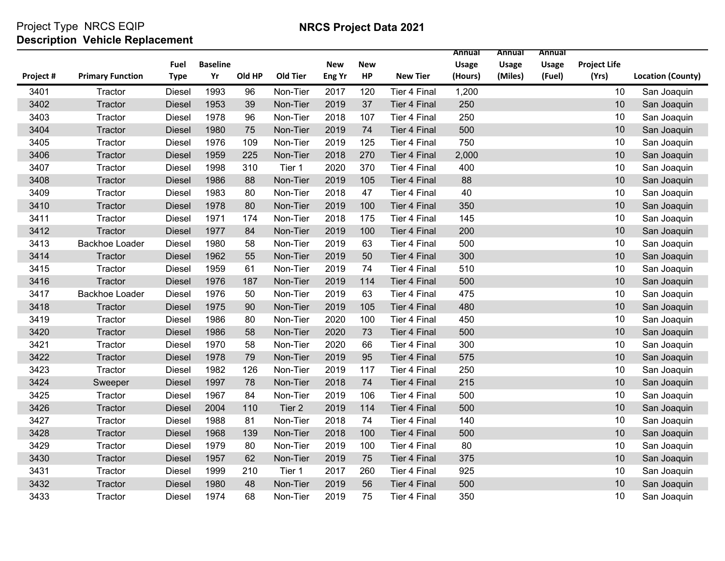|          |                         |               |                 |        |                   |               |            |                     | Annual  | Annual       | Annual       |                     |                          |
|----------|-------------------------|---------------|-----------------|--------|-------------------|---------------|------------|---------------------|---------|--------------|--------------|---------------------|--------------------------|
|          |                         | Fuel          | <b>Baseline</b> |        |                   | <b>New</b>    | <b>New</b> |                     | Usage   | <b>Usage</b> | <b>Usage</b> | <b>Project Life</b> |                          |
| Project# | <b>Primary Function</b> | <b>Type</b>   | Yr              | Old HP | Old Tier          | <b>Eng Yr</b> | HP         | <b>New Tier</b>     | (Hours) | (Miles)      | (Fuel)       | (Yrs)               | <b>Location (County)</b> |
| 3401     | Tractor                 | <b>Diesel</b> | 1993            | 96     | Non-Tier          | 2017          | 120        | <b>Tier 4 Final</b> | 1,200   |              |              | 10                  | San Joaquin              |
| 3402     | Tractor                 | <b>Diesel</b> | 1953            | 39     | Non-Tier          | 2019          | 37         | <b>Tier 4 Final</b> | 250     |              |              | 10                  | San Joaquin              |
| 3403     | Tractor                 | <b>Diesel</b> | 1978            | 96     | Non-Tier          | 2018          | 107        | <b>Tier 4 Final</b> | 250     |              |              | 10                  | San Joaquin              |
| 3404     | Tractor                 | <b>Diesel</b> | 1980            | 75     | Non-Tier          | 2019          | 74         | <b>Tier 4 Final</b> | 500     |              |              | 10                  | San Joaquin              |
| 3405     | Tractor                 | <b>Diesel</b> | 1976            | 109    | Non-Tier          | 2019          | 125        | <b>Tier 4 Final</b> | 750     |              |              | 10                  | San Joaquin              |
| 3406     | Tractor                 | <b>Diesel</b> | 1959            | 225    | Non-Tier          | 2018          | 270        | <b>Tier 4 Final</b> | 2,000   |              |              | 10                  | San Joaquin              |
| 3407     | Tractor                 | <b>Diesel</b> | 1998            | 310    | Tier 1            | 2020          | 370        | <b>Tier 4 Final</b> | 400     |              |              | 10                  | San Joaquin              |
| 3408     | Tractor                 | <b>Diesel</b> | 1986            | 88     | Non-Tier          | 2019          | 105        | <b>Tier 4 Final</b> | 88      |              |              | 10                  | San Joaquin              |
| 3409     | Tractor                 | <b>Diesel</b> | 1983            | 80     | Non-Tier          | 2018          | 47         | <b>Tier 4 Final</b> | 40      |              |              | 10                  | San Joaquin              |
| 3410     | Tractor                 | <b>Diesel</b> | 1978            | 80     | Non-Tier          | 2019          | 100        | <b>Tier 4 Final</b> | 350     |              |              | 10                  | San Joaquin              |
| 3411     | Tractor                 | <b>Diesel</b> | 1971            | 174    | Non-Tier          | 2018          | 175        | <b>Tier 4 Final</b> | 145     |              |              | 10                  | San Joaquin              |
| 3412     | Tractor                 | <b>Diesel</b> | 1977            | 84     | Non-Tier          | 2019          | 100        | <b>Tier 4 Final</b> | 200     |              |              | 10                  | San Joaquin              |
| 3413     | <b>Backhoe Loader</b>   | <b>Diesel</b> | 1980            | 58     | Non-Tier          | 2019          | 63         | <b>Tier 4 Final</b> | 500     |              |              | 10                  | San Joaquin              |
| 3414     | Tractor                 | <b>Diesel</b> | 1962            | 55     | Non-Tier          | 2019          | 50         | <b>Tier 4 Final</b> | 300     |              |              | 10                  | San Joaquin              |
| 3415     | Tractor                 | <b>Diesel</b> | 1959            | 61     | Non-Tier          | 2019          | 74         | <b>Tier 4 Final</b> | 510     |              |              | 10                  | San Joaquin              |
| 3416     | Tractor                 | <b>Diesel</b> | 1976            | 187    | Non-Tier          | 2019          | 114        | <b>Tier 4 Final</b> | 500     |              |              | 10                  | San Joaquin              |
| 3417     | <b>Backhoe Loader</b>   | <b>Diesel</b> | 1976            | 50     | Non-Tier          | 2019          | 63         | <b>Tier 4 Final</b> | 475     |              |              | 10                  | San Joaquin              |
| 3418     | Tractor                 | <b>Diesel</b> | 1975            | 90     | Non-Tier          | 2019          | 105        | <b>Tier 4 Final</b> | 480     |              |              | 10                  | San Joaquin              |
| 3419     | Tractor                 | Diesel        | 1986            | 80     | Non-Tier          | 2020          | 100        | <b>Tier 4 Final</b> | 450     |              |              | 10                  | San Joaquin              |
| 3420     | Tractor                 | Diesel        | 1986            | 58     | Non-Tier          | 2020          | 73         | <b>Tier 4 Final</b> | 500     |              |              | 10                  | San Joaquin              |
| 3421     | Tractor                 | Diesel        | 1970            | 58     | Non-Tier          | 2020          | 66         | <b>Tier 4 Final</b> | 300     |              |              | 10                  | San Joaquin              |
| 3422     | Tractor                 | <b>Diesel</b> | 1978            | 79     | Non-Tier          | 2019          | 95         | <b>Tier 4 Final</b> | 575     |              |              | 10                  | San Joaquin              |
| 3423     | Tractor                 | <b>Diesel</b> | 1982            | 126    | Non-Tier          | 2019          | 117        | <b>Tier 4 Final</b> | 250     |              |              | 10                  | San Joaquin              |
| 3424     | Sweeper                 | <b>Diesel</b> | 1997            | 78     | Non-Tier          | 2018          | 74         | <b>Tier 4 Final</b> | 215     |              |              | 10                  | San Joaquin              |
| 3425     | Tractor                 | <b>Diesel</b> | 1967            | 84     | Non-Tier          | 2019          | 106        | <b>Tier 4 Final</b> | 500     |              |              | 10                  | San Joaquin              |
| 3426     | Tractor                 | <b>Diesel</b> | 2004            | 110    | Tier <sub>2</sub> | 2019          | 114        | <b>Tier 4 Final</b> | 500     |              |              | 10                  | San Joaquin              |
| 3427     | Tractor                 | <b>Diesel</b> | 1988            | 81     | Non-Tier          | 2018          | 74         | <b>Tier 4 Final</b> | 140     |              |              | 10                  | San Joaquin              |
| 3428     | Tractor                 | <b>Diesel</b> | 1968            | 139    | Non-Tier          | 2018          | 100        | <b>Tier 4 Final</b> | 500     |              |              | 10                  | San Joaquin              |
| 3429     | Tractor                 | <b>Diesel</b> | 1979            | 80     | Non-Tier          | 2019          | 100        | <b>Tier 4 Final</b> | 80      |              |              | 10                  | San Joaquin              |
| 3430     | Tractor                 | <b>Diesel</b> | 1957            | 62     | Non-Tier          | 2019          | 75         | <b>Tier 4 Final</b> | 375     |              |              | 10                  | San Joaquin              |
| 3431     | Tractor                 | Diesel        | 1999            | 210    | Tier 1            | 2017          | 260        | <b>Tier 4 Final</b> | 925     |              |              | 10                  | San Joaquin              |
| 3432     | Tractor                 | Diesel        | 1980            | 48     | Non-Tier          | 2019          | 56         | <b>Tier 4 Final</b> | 500     |              |              | 10                  | San Joaquin              |
| 3433     | Tractor                 | <b>Diesel</b> | 1974            | 68     | Non-Tier          | 2019          | 75         | <b>Tier 4 Final</b> | 350     |              |              | 10                  | San Joaquin              |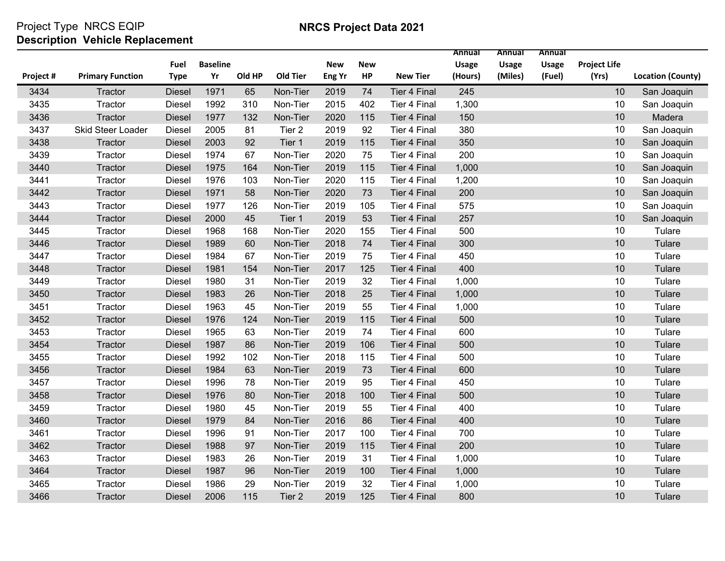|           |                          |               |                 |        |                   |            |            |                     | Annual       | Annual       | Annual       |                     |                          |
|-----------|--------------------------|---------------|-----------------|--------|-------------------|------------|------------|---------------------|--------------|--------------|--------------|---------------------|--------------------------|
|           |                          | Fuel          | <b>Baseline</b> |        |                   | <b>New</b> | <b>New</b> |                     | <b>Usage</b> | <b>Usage</b> | <b>Usage</b> | <b>Project Life</b> |                          |
| Project # | <b>Primary Function</b>  | <b>Type</b>   | Yr              | Old HP | Old Tier          | Eng Yr     | HP         | <b>New Tier</b>     | (Hours)      | (Miles)      | (Fuel)       | (Yrs)               | <b>Location (County)</b> |
| 3434      | Tractor                  | <b>Diesel</b> | 1971            | 65     | Non-Tier          | 2019       | 74         | <b>Tier 4 Final</b> | 245          |              |              | 10                  | San Joaquin              |
| 3435      | Tractor                  | Diesel        | 1992            | 310    | Non-Tier          | 2015       | 402        | <b>Tier 4 Final</b> | 1,300        |              |              | 10                  | San Joaquin              |
| 3436      | Tractor                  | <b>Diesel</b> | 1977            | 132    | Non-Tier          | 2020       | 115        | <b>Tier 4 Final</b> | 150          |              |              | 10                  | Madera                   |
| 3437      | <b>Skid Steer Loader</b> | Diesel        | 2005            | 81     | Tier <sub>2</sub> | 2019       | 92         | <b>Tier 4 Final</b> | 380          |              |              | 10                  | San Joaquin              |
| 3438      | Tractor                  | <b>Diesel</b> | 2003            | 92     | Tier 1            | 2019       | 115        | <b>Tier 4 Final</b> | 350          |              |              | 10                  | San Joaquin              |
| 3439      | Tractor                  | Diesel        | 1974            | 67     | Non-Tier          | 2020       | 75         | <b>Tier 4 Final</b> | 200          |              |              | 10                  | San Joaquin              |
| 3440      | Tractor                  | Diesel        | 1975            | 164    | Non-Tier          | 2019       | 115        | <b>Tier 4 Final</b> | 1,000        |              |              | 10                  | San Joaquin              |
| 3441      | Tractor                  | Diesel        | 1976            | 103    | Non-Tier          | 2020       | 115        | <b>Tier 4 Final</b> | 1,200        |              |              | 10                  | San Joaquin              |
| 3442      | Tractor                  | <b>Diesel</b> | 1971            | 58     | Non-Tier          | 2020       | 73         | <b>Tier 4 Final</b> | 200          |              |              | 10                  | San Joaquin              |
| 3443      | Tractor                  | Diesel        | 1977            | 126    | Non-Tier          | 2019       | 105        | <b>Tier 4 Final</b> | 575          |              |              | 10                  | San Joaquin              |
| 3444      | Tractor                  | <b>Diesel</b> | 2000            | 45     | Tier 1            | 2019       | 53         | <b>Tier 4 Final</b> | 257          |              |              | 10                  | San Joaquin              |
| 3445      | Tractor                  | <b>Diesel</b> | 1968            | 168    | Non-Tier          | 2020       | 155        | <b>Tier 4 Final</b> | 500          |              |              | 10                  | Tulare                   |
| 3446      | Tractor                  | <b>Diesel</b> | 1989            | 60     | Non-Tier          | 2018       | 74         | <b>Tier 4 Final</b> | 300          |              |              | 10                  | Tulare                   |
| 3447      | Tractor                  | Diesel        | 1984            | 67     | Non-Tier          | 2019       | 75         | <b>Tier 4 Final</b> | 450          |              |              | 10                  | Tulare                   |
| 3448      | Tractor                  | <b>Diesel</b> | 1981            | 154    | Non-Tier          | 2017       | 125        | Tier 4 Final        | 400          |              |              | 10                  | Tulare                   |
| 3449      | Tractor                  | Diesel        | 1980            | 31     | Non-Tier          | 2019       | 32         | <b>Tier 4 Final</b> | 1,000        |              |              | 10                  | Tulare                   |
| 3450      | Tractor                  | <b>Diesel</b> | 1983            | 26     | Non-Tier          | 2018       | 25         | <b>Tier 4 Final</b> | 1,000        |              |              | 10                  | Tulare                   |
| 3451      | Tractor                  | Diesel        | 1963            | 45     | Non-Tier          | 2019       | 55         | Tier 4 Final        | 1,000        |              |              | 10                  | Tulare                   |
| 3452      | Tractor                  | <b>Diesel</b> | 1976            | 124    | Non-Tier          | 2019       | 115        | Tier 4 Final        | 500          |              |              | 10                  | Tulare                   |
| 3453      | Tractor                  | Diesel        | 1965            | 63     | Non-Tier          | 2019       | 74         | Tier 4 Final        | 600          |              |              | 10                  | Tulare                   |
| 3454      | Tractor                  | <b>Diesel</b> | 1987            | 86     | Non-Tier          | 2019       | 106        | <b>Tier 4 Final</b> | 500          |              |              | 10                  | Tulare                   |
| 3455      | Tractor                  | Diesel        | 1992            | 102    | Non-Tier          | 2018       | 115        | <b>Tier 4 Final</b> | 500          |              |              | 10                  | Tulare                   |
| 3456      | Tractor                  | <b>Diesel</b> | 1984            | 63     | Non-Tier          | 2019       | 73         | <b>Tier 4 Final</b> | 600          |              |              | 10                  | Tulare                   |
| 3457      | Tractor                  | <b>Diesel</b> | 1996            | 78     | Non-Tier          | 2019       | 95         | <b>Tier 4 Final</b> | 450          |              |              | 10                  | Tulare                   |
| 3458      | Tractor                  | <b>Diesel</b> | 1976            | 80     | Non-Tier          | 2018       | 100        | <b>Tier 4 Final</b> | 500          |              |              | 10                  | Tulare                   |
| 3459      | Tractor                  | <b>Diesel</b> | 1980            | 45     | Non-Tier          | 2019       | 55         | <b>Tier 4 Final</b> | 400          |              |              | 10                  | Tulare                   |
| 3460      | Tractor                  | <b>Diesel</b> | 1979            | 84     | Non-Tier          | 2016       | 86         | <b>Tier 4 Final</b> | 400          |              |              | 10                  | Tulare                   |
| 3461      | Tractor                  | Diesel        | 1996            | 91     | Non-Tier          | 2017       | 100        | <b>Tier 4 Final</b> | 700          |              |              | 10                  | Tulare                   |
| 3462      | Tractor                  | <b>Diesel</b> | 1988            | 97     | Non-Tier          | 2019       | 115        | <b>Tier 4 Final</b> | 200          |              |              | 10                  | Tulare                   |
| 3463      | Tractor                  | Diesel        | 1983            | 26     | Non-Tier          | 2019       | 31         | <b>Tier 4 Final</b> | 1,000        |              |              | 10                  | Tulare                   |
| 3464      | Tractor                  | <b>Diesel</b> | 1987            | 96     | Non-Tier          | 2019       | 100        | <b>Tier 4 Final</b> | 1,000        |              |              | 10                  | Tulare                   |
| 3465      | Tractor                  | Diesel        | 1986            | 29     | Non-Tier          | 2019       | 32         | <b>Tier 4 Final</b> | 1,000        |              |              | 10                  | Tulare                   |
| 3466      | Tractor                  | <b>Diesel</b> | 2006            | 115    | Tier 2            | 2019       | 125        | <b>Tier 4 Final</b> | 800          |              |              | 10                  | Tulare                   |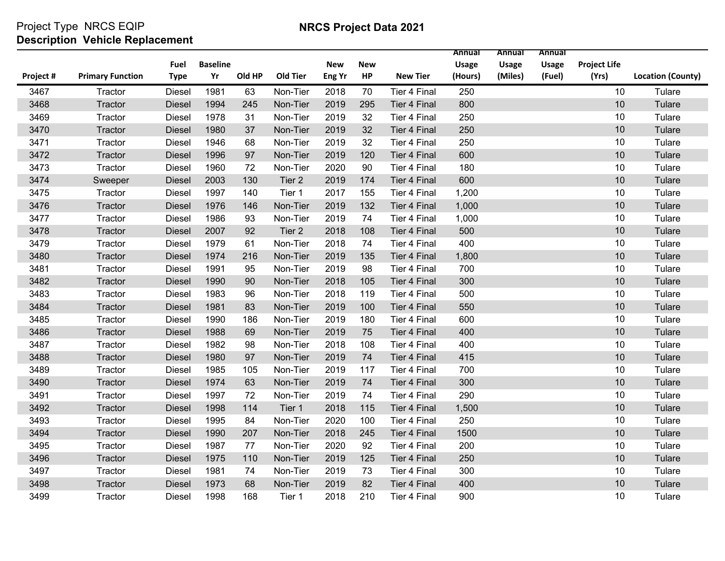|           |                         |               |                 |        |          |            |            |                     | Annual       | Annual       | Annual       |                     |                          |
|-----------|-------------------------|---------------|-----------------|--------|----------|------------|------------|---------------------|--------------|--------------|--------------|---------------------|--------------------------|
|           |                         | Fuel          | <b>Baseline</b> |        |          | <b>New</b> | <b>New</b> |                     | <b>Usage</b> | <b>Usage</b> | <b>Usage</b> | <b>Project Life</b> |                          |
| Project # | <b>Primary Function</b> | <b>Type</b>   | Yr              | Old HP | Old Tier | Eng Yr     | <b>HP</b>  | <b>New Tier</b>     | (Hours)      | (Miles)      | (Fuel)       | (Yrs)               | <b>Location (County)</b> |
| 3467      | Tractor                 | Diesel        | 1981            | 63     | Non-Tier | 2018       | 70         | <b>Tier 4 Final</b> | 250          |              |              | 10                  | Tulare                   |
| 3468      | Tractor                 | <b>Diesel</b> | 1994            | 245    | Non-Tier | 2019       | 295        | Tier 4 Final        | 800          |              |              | 10                  | Tulare                   |
| 3469      | Tractor                 | <b>Diesel</b> | 1978            | 31     | Non-Tier | 2019       | 32         | <b>Tier 4 Final</b> | 250          |              |              | 10                  | Tulare                   |
| 3470      | Tractor                 | <b>Diesel</b> | 1980            | 37     | Non-Tier | 2019       | 32         | <b>Tier 4 Final</b> | 250          |              |              | 10                  | Tulare                   |
| 3471      | Tractor                 | Diesel        | 1946            | 68     | Non-Tier | 2019       | 32         | <b>Tier 4 Final</b> | 250          |              |              | 10                  | Tulare                   |
| 3472      | Tractor                 | <b>Diesel</b> | 1996            | 97     | Non-Tier | 2019       | 120        | Tier 4 Final        | 600          |              |              | 10                  | Tulare                   |
| 3473      | Tractor                 | Diesel        | 1960            | 72     | Non-Tier | 2020       | 90         | Tier 4 Final        | 180          |              |              | 10                  | Tulare                   |
| 3474      | Sweeper                 | <b>Diesel</b> | 2003            | 130    | Tier 2   | 2019       | 174        | <b>Tier 4 Final</b> | 600          |              |              | 10                  | Tulare                   |
| 3475      | Tractor                 | <b>Diesel</b> | 1997            | 140    | Tier 1   | 2017       | 155        | <b>Tier 4 Final</b> | 1,200        |              |              | 10                  | Tulare                   |
| 3476      | Tractor                 | <b>Diesel</b> | 1976            | 146    | Non-Tier | 2019       | 132        | Tier 4 Final        | 1,000        |              |              | 10                  | Tulare                   |
| 3477      | Tractor                 | Diesel        | 1986            | 93     | Non-Tier | 2019       | 74         | Tier 4 Final        | 1,000        |              |              | 10                  | Tulare                   |
| 3478      | Tractor                 | <b>Diesel</b> | 2007            | 92     | Tier 2   | 2018       | 108        | Tier 4 Final        | 500          |              |              | 10                  | Tulare                   |
| 3479      | Tractor                 | <b>Diesel</b> | 1979            | 61     | Non-Tier | 2018       | 74         | <b>Tier 4 Final</b> | 400          |              |              | 10                  | Tulare                   |
| 3480      | Tractor                 | <b>Diesel</b> | 1974            | 216    | Non-Tier | 2019       | 135        | <b>Tier 4 Final</b> | 1,800        |              |              | 10                  | Tulare                   |
| 3481      | Tractor                 | Diesel        | 1991            | 95     | Non-Tier | 2019       | 98         | <b>Tier 4 Final</b> | 700          |              |              | 10                  | Tulare                   |
| 3482      | Tractor                 | Diesel        | 1990            | 90     | Non-Tier | 2018       | 105        | <b>Tier 4 Final</b> | 300          |              |              | 10                  | Tulare                   |
| 3483      | Tractor                 | Diesel        | 1983            | 96     | Non-Tier | 2018       | 119        | Tier 4 Final        | 500          |              |              | 10                  | Tulare                   |
| 3484      | Tractor                 | Diesel        | 1981            | 83     | Non-Tier | 2019       | 100        | <b>Tier 4 Final</b> | 550          |              |              | 10                  | Tulare                   |
| 3485      | Tractor                 | Diesel        | 1990            | 186    | Non-Tier | 2019       | 180        | <b>Tier 4 Final</b> | 600          |              |              | 10                  | Tulare                   |
| 3486      | Tractor                 | <b>Diesel</b> | 1988            | 69     | Non-Tier | 2019       | 75         | Tier 4 Final        | 400          |              |              | 10                  | Tulare                   |
| 3487      | Tractor                 | Diesel        | 1982            | 98     | Non-Tier | 2018       | 108        | Tier 4 Final        | 400          |              |              | 10                  | Tulare                   |
| 3488      | Tractor                 | <b>Diesel</b> | 1980            | 97     | Non-Tier | 2019       | 74         | Tier 4 Final        | 415          |              |              | 10                  | Tulare                   |
| 3489      | Tractor                 | Diesel        | 1985            | 105    | Non-Tier | 2019       | 117        | <b>Tier 4 Final</b> | 700          |              |              | 10                  | Tulare                   |
| 3490      | Tractor                 | <b>Diesel</b> | 1974            | 63     | Non-Tier | 2019       | 74         | Tier 4 Final        | 300          |              |              | 10                  | Tulare                   |
| 3491      | Tractor                 | Diesel        | 1997            | 72     | Non-Tier | 2019       | 74         | <b>Tier 4 Final</b> | 290          |              |              | 10                  | Tulare                   |
| 3492      | Tractor                 | <b>Diesel</b> | 1998            | 114    | Tier 1   | 2018       | 115        | <b>Tier 4 Final</b> | 1,500        |              |              | 10                  | Tulare                   |
| 3493      | Tractor                 | Diesel        | 1995            | 84     | Non-Tier | 2020       | 100        | Tier 4 Final        | 250          |              |              | 10                  | Tulare                   |
| 3494      | Tractor                 | <b>Diesel</b> | 1990            | 207    | Non-Tier | 2018       | 245        | <b>Tier 4 Final</b> | 1500         |              |              | 10                  | Tulare                   |
| 3495      | Tractor                 | <b>Diesel</b> | 1987            | 77     | Non-Tier | 2020       | 92         | <b>Tier 4 Final</b> | 200          |              |              | 10                  | Tulare                   |
| 3496      | Tractor                 | <b>Diesel</b> | 1975            | 110    | Non-Tier | 2019       | 125        | Tier 4 Final        | 250          |              |              | 10                  | Tulare                   |
| 3497      | Tractor                 | Diesel        | 1981            | 74     | Non-Tier | 2019       | 73         | Tier 4 Final        | 300          |              |              | 10                  | Tulare                   |
| 3498      | Tractor                 | <b>Diesel</b> | 1973            | 68     | Non-Tier | 2019       | 82         | Tier 4 Final        | 400          |              |              | 10                  | Tulare                   |
| 3499      | Tractor                 | Diesel        | 1998            | 168    | Tier 1   | 2018       | 210        | <b>Tier 4 Final</b> | 900          |              |              | 10                  | Tulare                   |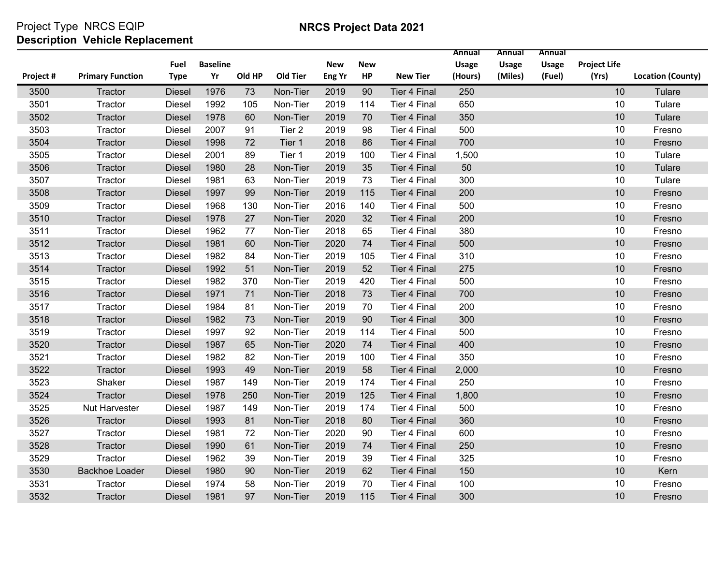|           |                         |               |                 |        |          |            |            |                     | Annual       | <b>Annual</b> | Annual       |                     |                          |
|-----------|-------------------------|---------------|-----------------|--------|----------|------------|------------|---------------------|--------------|---------------|--------------|---------------------|--------------------------|
|           |                         | Fuel          | <b>Baseline</b> |        |          | <b>New</b> | <b>New</b> |                     | <b>Usage</b> | Usage         | <b>Usage</b> | <b>Project Life</b> |                          |
| Project # | <b>Primary Function</b> | <b>Type</b>   | Yr              | Old HP | Old Tier | Eng Yr     | HP         | <b>New Tier</b>     | (Hours)      | (Miles)       | (Fuel)       | (Yrs)               | <b>Location (County)</b> |
| 3500      | Tractor                 | <b>Diesel</b> | 1976            | 73     | Non-Tier | 2019       | 90         | <b>Tier 4 Final</b> | 250          |               |              | 10                  | Tulare                   |
| 3501      | Tractor                 | <b>Diesel</b> | 1992            | 105    | Non-Tier | 2019       | 114        | Tier 4 Final        | 650          |               |              | 10                  | Tulare                   |
| 3502      | Tractor                 | <b>Diesel</b> | 1978            | 60     | Non-Tier | 2019       | 70         | <b>Tier 4 Final</b> | 350          |               |              | 10                  | Tulare                   |
| 3503      | Tractor                 | <b>Diesel</b> | 2007            | 91     | Tier 2   | 2019       | 98         | <b>Tier 4 Final</b> | 500          |               |              | 10                  | Fresno                   |
| 3504      | Tractor                 | <b>Diesel</b> | 1998            | 72     | Tier 1   | 2018       | 86         | <b>Tier 4 Final</b> | 700          |               |              | 10                  | Fresno                   |
| 3505      | Tractor                 | <b>Diesel</b> | 2001            | 89     | Tier 1   | 2019       | 100        | <b>Tier 4 Final</b> | 1,500        |               |              | 10                  | Tulare                   |
| 3506      | Tractor                 | <b>Diesel</b> | 1980            | 28     | Non-Tier | 2019       | 35         | <b>Tier 4 Final</b> | 50           |               |              | 10                  | Tulare                   |
| 3507      | Tractor                 | Diesel        | 1981            | 63     | Non-Tier | 2019       | 73         | <b>Tier 4 Final</b> | 300          |               |              | 10                  | Tulare                   |
| 3508      | Tractor                 | <b>Diesel</b> | 1997            | 99     | Non-Tier | 2019       | 115        | <b>Tier 4 Final</b> | 200          |               |              | 10                  | Fresno                   |
| 3509      | Tractor                 | <b>Diesel</b> | 1968            | 130    | Non-Tier | 2016       | 140        | <b>Tier 4 Final</b> | 500          |               |              | 10                  | Fresno                   |
| 3510      | Tractor                 | <b>Diesel</b> | 1978            | 27     | Non-Tier | 2020       | 32         | <b>Tier 4 Final</b> | 200          |               |              | 10                  | Fresno                   |
| 3511      | Tractor                 | <b>Diesel</b> | 1962            | 77     | Non-Tier | 2018       | 65         | <b>Tier 4 Final</b> | 380          |               |              | 10                  | Fresno                   |
| 3512      | Tractor                 | <b>Diesel</b> | 1981            | 60     | Non-Tier | 2020       | 74         | <b>Tier 4 Final</b> | 500          |               |              | 10                  | Fresno                   |
| 3513      | Tractor                 | <b>Diesel</b> | 1982            | 84     | Non-Tier | 2019       | 105        | <b>Tier 4 Final</b> | 310          |               |              | 10                  | Fresno                   |
| 3514      | Tractor                 | <b>Diesel</b> | 1992            | 51     | Non-Tier | 2019       | 52         | <b>Tier 4 Final</b> | 275          |               |              | 10                  | Fresno                   |
| 3515      | Tractor                 | <b>Diesel</b> | 1982            | 370    | Non-Tier | 2019       | 420        | Tier 4 Final        | 500          |               |              | 10                  | Fresno                   |
| 3516      | Tractor                 | <b>Diesel</b> | 1971            | 71     | Non-Tier | 2018       | 73         | <b>Tier 4 Final</b> | 700          |               |              | 10                  | Fresno                   |
| 3517      | Tractor                 | Diesel        | 1984            | 81     | Non-Tier | 2019       | 70         | Tier 4 Final        | 200          |               |              | 10                  | Fresno                   |
| 3518      | Tractor                 | <b>Diesel</b> | 1982            | 73     | Non-Tier | 2019       | 90         | <b>Tier 4 Final</b> | 300          |               |              | 10                  | Fresno                   |
| 3519      | Tractor                 | Diesel        | 1997            | 92     | Non-Tier | 2019       | 114        | <b>Tier 4 Final</b> | 500          |               |              | 10                  | Fresno                   |
| 3520      | Tractor                 | <b>Diesel</b> | 1987            | 65     | Non-Tier | 2020       | 74         | <b>Tier 4 Final</b> | 400          |               |              | 10                  | Fresno                   |
| 3521      | Tractor                 | Diesel        | 1982            | 82     | Non-Tier | 2019       | 100        | <b>Tier 4 Final</b> | 350          |               |              | 10                  | Fresno                   |
| 3522      | Tractor                 | <b>Diesel</b> | 1993            | 49     | Non-Tier | 2019       | 58         | Tier 4 Final        | 2,000        |               |              | 10                  | Fresno                   |
| 3523      | Shaker                  | <b>Diesel</b> | 1987            | 149    | Non-Tier | 2019       | 174        | Tier 4 Final        | 250          |               |              | 10                  | Fresno                   |
| 3524      | Tractor                 | <b>Diesel</b> | 1978            | 250    | Non-Tier | 2019       | 125        | <b>Tier 4 Final</b> | 1,800        |               |              | 10                  | Fresno                   |
| 3525      | <b>Nut Harvester</b>    | <b>Diesel</b> | 1987            | 149    | Non-Tier | 2019       | 174        | <b>Tier 4 Final</b> | 500          |               |              | 10                  | Fresno                   |
| 3526      | Tractor                 | <b>Diesel</b> | 1993            | 81     | Non-Tier | 2018       | 80         | <b>Tier 4 Final</b> | 360          |               |              | 10                  | Fresno                   |
| 3527      | Tractor                 | <b>Diesel</b> | 1981            | 72     | Non-Tier | 2020       | 90         | <b>Tier 4 Final</b> | 600          |               |              | 10                  | Fresno                   |
| 3528      | Tractor                 | <b>Diesel</b> | 1990            | 61     | Non-Tier | 2019       | 74         | <b>Tier 4 Final</b> | 250          |               |              | 10                  | Fresno                   |
| 3529      | Tractor                 | Diesel        | 1962            | 39     | Non-Tier | 2019       | 39         | Tier 4 Final        | 325          |               |              | 10                  | Fresno                   |
| 3530      | <b>Backhoe Loader</b>   | <b>Diesel</b> | 1980            | 90     | Non-Tier | 2019       | 62         | <b>Tier 4 Final</b> | 150          |               |              | 10                  | Kern                     |
| 3531      | Tractor                 | <b>Diesel</b> | 1974            | 58     | Non-Tier | 2019       | 70         | Tier 4 Final        | 100          |               |              | 10                  | Fresno                   |
| 3532      | Tractor                 | <b>Diesel</b> | 1981            | 97     | Non-Tier | 2019       | 115        | <b>Tier 4 Final</b> | 300          |               |              | 10                  | Fresno                   |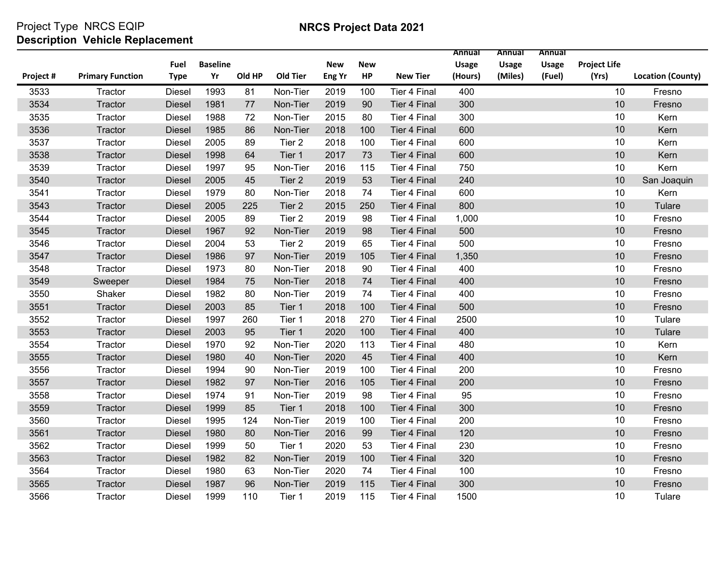|           |                         |               |                 |        |                   |            |            |                     | Annual       | Annual  | Annual       |                     |                          |
|-----------|-------------------------|---------------|-----------------|--------|-------------------|------------|------------|---------------------|--------------|---------|--------------|---------------------|--------------------------|
|           |                         | Fuel          | <b>Baseline</b> |        |                   | <b>New</b> | <b>New</b> |                     | <b>Usage</b> | Usage   | <b>Usage</b> | <b>Project Life</b> |                          |
| Project # | <b>Primary Function</b> | <b>Type</b>   | Yr              | Old HP | Old Tier          | Eng Yr     | HP         | <b>New Tier</b>     | (Hours)      | (Miles) | (Fuel)       | (Yrs)               | <b>Location (County)</b> |
| 3533      | Tractor                 | <b>Diesel</b> | 1993            | 81     | Non-Tier          | 2019       | 100        | <b>Tier 4 Final</b> | 400          |         |              | 10                  | Fresno                   |
| 3534      | Tractor                 | <b>Diesel</b> | 1981            | 77     | Non-Tier          | 2019       | 90         | Tier 4 Final        | 300          |         |              | 10                  | Fresno                   |
| 3535      | Tractor                 | <b>Diesel</b> | 1988            | 72     | Non-Tier          | 2015       | 80         | Tier 4 Final        | 300          |         |              | 10                  | Kern                     |
| 3536      | Tractor                 | <b>Diesel</b> | 1985            | 86     | Non-Tier          | 2018       | 100        | <b>Tier 4 Final</b> | 600          |         |              | 10                  | Kern                     |
| 3537      | Tractor                 | <b>Diesel</b> | 2005            | 89     | Tier 2            | 2018       | 100        | <b>Tier 4 Final</b> | 600          |         |              | 10                  | Kern                     |
| 3538      | Tractor                 | <b>Diesel</b> | 1998            | 64     | Tier 1            | 2017       | 73         | <b>Tier 4 Final</b> | 600          |         |              | 10                  | Kern                     |
| 3539      | Tractor                 | <b>Diesel</b> | 1997            | 95     | Non-Tier          | 2016       | 115        | <b>Tier 4 Final</b> | 750          |         |              | 10                  | Kern                     |
| 3540      | Tractor                 | <b>Diesel</b> | 2005            | 45     | Tier 2            | 2019       | 53         | <b>Tier 4 Final</b> | 240          |         |              | 10                  | San Joaquin              |
| 3541      | Tractor                 | <b>Diesel</b> | 1979            | 80     | Non-Tier          | 2018       | 74         | Tier 4 Final        | 600          |         |              | 10                  | Kern                     |
| 3543      | Tractor                 | <b>Diesel</b> | 2005            | 225    | Tier 2            | 2015       | 250        | Tier 4 Final        | 800          |         |              | 10                  | Tulare                   |
| 3544      | Tractor                 | <b>Diesel</b> | 2005            | 89     | Tier <sub>2</sub> | 2019       | 98         | Tier 4 Final        | 1,000        |         |              | 10                  | Fresno                   |
| 3545      | Tractor                 | <b>Diesel</b> | 1967            | 92     | Non-Tier          | 2019       | 98         | Tier 4 Final        | 500          |         |              | 10                  | Fresno                   |
| 3546      | Tractor                 | <b>Diesel</b> | 2004            | 53     | Tier 2            | 2019       | 65         | Tier 4 Final        | 500          |         |              | 10                  | Fresno                   |
| 3547      | Tractor                 | <b>Diesel</b> | 1986            | 97     | Non-Tier          | 2019       | 105        | Tier 4 Final        | 1,350        |         |              | 10                  | Fresno                   |
| 3548      | Tractor                 | <b>Diesel</b> | 1973            | 80     | Non-Tier          | 2018       | 90         | <b>Tier 4 Final</b> | 400          |         |              | 10                  | Fresno                   |
| 3549      | Sweeper                 | <b>Diesel</b> | 1984            | 75     | Non-Tier          | 2018       | 74         | Tier 4 Final        | 400          |         |              | 10                  | Fresno                   |
| 3550      | Shaker                  | <b>Diesel</b> | 1982            | 80     | Non-Tier          | 2019       | 74         | <b>Tier 4 Final</b> | 400          |         |              | 10                  | Fresno                   |
| 3551      | Tractor                 | <b>Diesel</b> | 2003            | 85     | Tier 1            | 2018       | 100        | <b>Tier 4 Final</b> | 500          |         |              | 10                  | Fresno                   |
| 3552      | Tractor                 | <b>Diesel</b> | 1997            | 260    | Tier 1            | 2018       | 270        | <b>Tier 4 Final</b> | 2500         |         |              | 10                  | Tulare                   |
| 3553      | Tractor                 | <b>Diesel</b> | 2003            | 95     | Tier 1            | 2020       | 100        | <b>Tier 4 Final</b> | 400          |         |              | 10                  | Tulare                   |
| 3554      | Tractor                 | <b>Diesel</b> | 1970            | 92     | Non-Tier          | 2020       | 113        | <b>Tier 4 Final</b> | 480          |         |              | 10                  | Kern                     |
| 3555      | Tractor                 | <b>Diesel</b> | 1980            | 40     | Non-Tier          | 2020       | 45         | <b>Tier 4 Final</b> | 400          |         |              | 10                  | Kern                     |
| 3556      | Tractor                 | <b>Diesel</b> | 1994            | 90     | Non-Tier          | 2019       | 100        | Tier 4 Final        | 200          |         |              | 10                  | Fresno                   |
| 3557      | Tractor                 | <b>Diesel</b> | 1982            | 97     | Non-Tier          | 2016       | 105        | Tier 4 Final        | 200          |         |              | 10                  | Fresno                   |
| 3558      | Tractor                 | <b>Diesel</b> | 1974            | 91     | Non-Tier          | 2019       | 98         | <b>Tier 4 Final</b> | 95           |         |              | 10                  | Fresno                   |
| 3559      | Tractor                 | <b>Diesel</b> | 1999            | 85     | Tier 1            | 2018       | 100        | Tier 4 Final        | 300          |         |              | 10                  | Fresno                   |
| 3560      | Tractor                 | <b>Diesel</b> | 1995            | 124    | Non-Tier          | 2019       | 100        | <b>Tier 4 Final</b> | 200          |         |              | 10                  | Fresno                   |
| 3561      | Tractor                 | <b>Diesel</b> | 1980            | 80     | Non-Tier          | 2016       | 99         | <b>Tier 4 Final</b> | 120          |         |              | 10                  | Fresno                   |
| 3562      | Tractor                 | <b>Diesel</b> | 1999            | 50     | Tier 1            | 2020       | 53         | <b>Tier 4 Final</b> | 230          |         |              | 10                  | Fresno                   |
| 3563      | Tractor                 | <b>Diesel</b> | 1982            | 82     | Non-Tier          | 2019       | 100        | Tier 4 Final        | 320          |         |              | 10                  | Fresno                   |
| 3564      | Tractor                 | <b>Diesel</b> | 1980            | 63     | Non-Tier          | 2020       | 74         | Tier 4 Final        | 100          |         |              | 10                  | Fresno                   |
| 3565      | Tractor                 | <b>Diesel</b> | 1987            | 96     | Non-Tier          | 2019       | 115        | <b>Tier 4 Final</b> | 300          |         |              | 10                  | Fresno                   |
| 3566      | Tractor                 | <b>Diesel</b> | 1999            | 110    | Tier 1            | 2019       | 115        | <b>Tier 4 Final</b> | 1500         |         |              | 10                  | Tulare                   |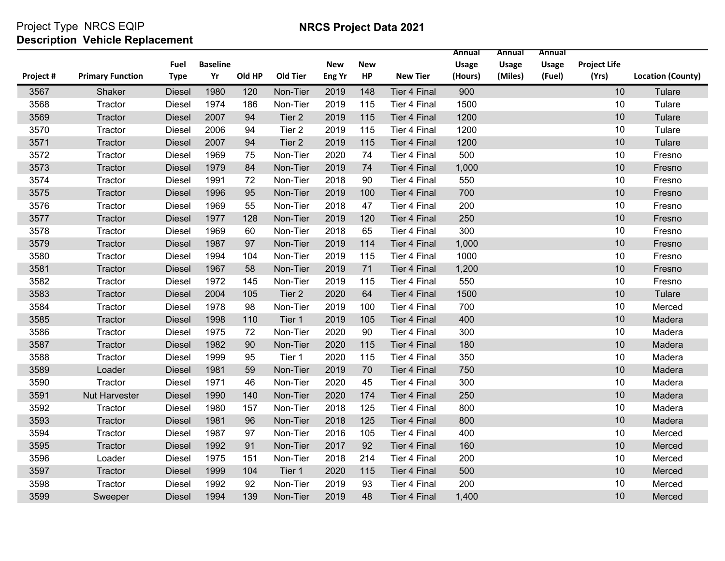|           |                         |               |                 |        |                   |            |            |                     | Annual       | Annual  | Annual       |                     |                          |
|-----------|-------------------------|---------------|-----------------|--------|-------------------|------------|------------|---------------------|--------------|---------|--------------|---------------------|--------------------------|
|           |                         | Fuel          | <b>Baseline</b> |        |                   | <b>New</b> | <b>New</b> |                     | <b>Usage</b> | Usage   | <b>Usage</b> | <b>Project Life</b> |                          |
| Project # | <b>Primary Function</b> | <b>Type</b>   | Yr              | Old HP | Old Tier          | Eng Yr     | HP         | <b>New Tier</b>     | (Hours)      | (Miles) | (Fuel)       | (Yrs)               | <b>Location (County)</b> |
| 3567      | Shaker                  | <b>Diesel</b> | 1980            | 120    | Non-Tier          | 2019       | 148        | <b>Tier 4 Final</b> | 900          |         |              | 10                  | Tulare                   |
| 3568      | Tractor                 | <b>Diesel</b> | 1974            | 186    | Non-Tier          | 2019       | 115        | <b>Tier 4 Final</b> | 1500         |         |              | 10                  | Tulare                   |
| 3569      | Tractor                 | <b>Diesel</b> | 2007            | 94     | Tier <sub>2</sub> | 2019       | 115        | <b>Tier 4 Final</b> | 1200         |         |              | 10                  | Tulare                   |
| 3570      | Tractor                 | <b>Diesel</b> | 2006            | 94     | Tier <sub>2</sub> | 2019       | 115        | <b>Tier 4 Final</b> | 1200         |         |              | 10                  | Tulare                   |
| 3571      | Tractor                 | <b>Diesel</b> | 2007            | 94     | Tier <sub>2</sub> | 2019       | 115        | <b>Tier 4 Final</b> | 1200         |         |              | 10                  | Tulare                   |
| 3572      | Tractor                 | <b>Diesel</b> | 1969            | 75     | Non-Tier          | 2020       | 74         | <b>Tier 4 Final</b> | 500          |         |              | 10                  | Fresno                   |
| 3573      | Tractor                 | <b>Diesel</b> | 1979            | 84     | Non-Tier          | 2019       | 74         | <b>Tier 4 Final</b> | 1,000        |         |              | 10                  | Fresno                   |
| 3574      | Tractor                 | <b>Diesel</b> | 1991            | 72     | Non-Tier          | 2018       | 90         | Tier 4 Final        | 550          |         |              | 10                  | Fresno                   |
| 3575      | Tractor                 | <b>Diesel</b> | 1996            | 95     | Non-Tier          | 2019       | 100        | <b>Tier 4 Final</b> | 700          |         |              | 10                  | Fresno                   |
| 3576      | Tractor                 | <b>Diesel</b> | 1969            | 55     | Non-Tier          | 2018       | 47         | <b>Tier 4 Final</b> | 200          |         |              | 10                  | Fresno                   |
| 3577      | Tractor                 | <b>Diesel</b> | 1977            | 128    | Non-Tier          | 2019       | 120        | <b>Tier 4 Final</b> | 250          |         |              | 10                  | Fresno                   |
| 3578      | Tractor                 | <b>Diesel</b> | 1969            | 60     | Non-Tier          | 2018       | 65         | <b>Tier 4 Final</b> | 300          |         |              | 10                  | Fresno                   |
| 3579      | Tractor                 | <b>Diesel</b> | 1987            | 97     | Non-Tier          | 2019       | 114        | <b>Tier 4 Final</b> | 1,000        |         |              | 10                  | Fresno                   |
| 3580      | Tractor                 | <b>Diesel</b> | 1994            | 104    | Non-Tier          | 2019       | 115        | <b>Tier 4 Final</b> | 1000         |         |              | 10                  | Fresno                   |
| 3581      | Tractor                 | <b>Diesel</b> | 1967            | 58     | Non-Tier          | 2019       | 71         | <b>Tier 4 Final</b> | 1,200        |         |              | 10                  | Fresno                   |
| 3582      | Tractor                 | <b>Diesel</b> | 1972            | 145    | Non-Tier          | 2019       | 115        | <b>Tier 4 Final</b> | 550          |         |              | 10                  | Fresno                   |
| 3583      | Tractor                 | <b>Diesel</b> | 2004            | 105    | Tier 2            | 2020       | 64         | <b>Tier 4 Final</b> | 1500         |         |              | 10                  | Tulare                   |
| 3584      | Tractor                 | <b>Diesel</b> | 1978            | 98     | Non-Tier          | 2019       | 100        | <b>Tier 4 Final</b> | 700          |         |              | 10                  | Merced                   |
| 3585      | Tractor                 | Diesel        | 1998            | 110    | Tier 1            | 2019       | 105        | <b>Tier 4 Final</b> | 400          |         |              | 10                  | Madera                   |
| 3586      | Tractor                 | <b>Diesel</b> | 1975            | 72     | Non-Tier          | 2020       | 90         | <b>Tier 4 Final</b> | 300          |         |              | 10                  | Madera                   |
| 3587      | Tractor                 | <b>Diesel</b> | 1982            | 90     | Non-Tier          | 2020       | 115        | <b>Tier 4 Final</b> | 180          |         |              | 10                  | Madera                   |
| 3588      | Tractor                 | <b>Diesel</b> | 1999            | 95     | Tier 1            | 2020       | 115        | Tier 4 Final        | 350          |         |              | 10                  | Madera                   |
| 3589      | Loader                  | <b>Diesel</b> | 1981            | 59     | Non-Tier          | 2019       | 70         | <b>Tier 4 Final</b> | 750          |         |              | 10                  | Madera                   |
| 3590      | Tractor                 | <b>Diesel</b> | 1971            | 46     | Non-Tier          | 2020       | 45         | <b>Tier 4 Final</b> | 300          |         |              | 10                  | Madera                   |
| 3591      | <b>Nut Harvester</b>    | <b>Diesel</b> | 1990            | 140    | Non-Tier          | 2020       | 174        | <b>Tier 4 Final</b> | 250          |         |              | 10                  | Madera                   |
| 3592      | Tractor                 | <b>Diesel</b> | 1980            | 157    | Non-Tier          | 2018       | 125        | <b>Tier 4 Final</b> | 800          |         |              | 10                  | Madera                   |
| 3593      | Tractor                 | <b>Diesel</b> | 1981            | 96     | Non-Tier          | 2018       | 125        | <b>Tier 4 Final</b> | 800          |         |              | 10                  | Madera                   |
| 3594      | Tractor                 | Diesel        | 1987            | 97     | Non-Tier          | 2016       | 105        | Tier 4 Final        | 400          |         |              | 10                  | Merced                   |
| 3595      | Tractor                 | <b>Diesel</b> | 1992            | 91     | Non-Tier          | 2017       | 92         | <b>Tier 4 Final</b> | 160          |         |              | 10                  | Merced                   |
| 3596      | Loader                  | <b>Diesel</b> | 1975            | 151    | Non-Tier          | 2018       | 214        | <b>Tier 4 Final</b> | 200          |         |              | 10                  | Merced                   |
| 3597      | Tractor                 | <b>Diesel</b> | 1999            | 104    | Tier 1            | 2020       | 115        | <b>Tier 4 Final</b> | 500          |         |              | 10                  | Merced                   |
| 3598      | Tractor                 | <b>Diesel</b> | 1992            | 92     | Non-Tier          | 2019       | 93         | Tier 4 Final        | 200          |         |              | 10                  | Merced                   |
| 3599      | Sweeper                 | <b>Diesel</b> | 1994            | 139    | Non-Tier          | 2019       | 48         | <b>Tier 4 Final</b> | 1,400        |         |              | 10                  | Merced                   |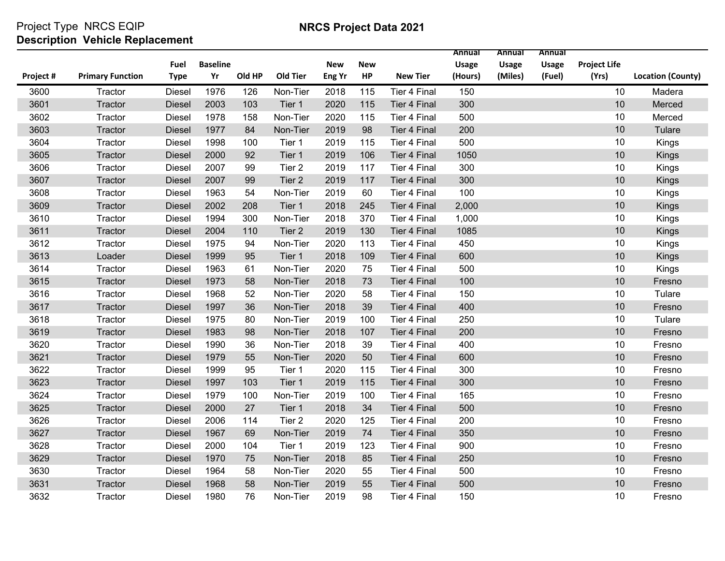|           |                         |               |                 |        |                   |               |            |                     | Annual       | Annual  | Annual       |                     |                          |
|-----------|-------------------------|---------------|-----------------|--------|-------------------|---------------|------------|---------------------|--------------|---------|--------------|---------------------|--------------------------|
|           |                         | Fuel          | <b>Baseline</b> |        |                   | <b>New</b>    | <b>New</b> |                     | <b>Usage</b> | Usage   | <b>Usage</b> | <b>Project Life</b> |                          |
| Project # | <b>Primary Function</b> | <b>Type</b>   | Yr              | Old HP | Old Tier          | <b>Eng Yr</b> | HP         | <b>New Tier</b>     | (Hours)      | (Miles) | (Fuel)       | (Yrs)               | <b>Location (County)</b> |
| 3600      | Tractor                 | <b>Diesel</b> | 1976            | 126    | Non-Tier          | 2018          | 115        | <b>Tier 4 Final</b> | 150          |         |              | 10                  | Madera                   |
| 3601      | Tractor                 | <b>Diesel</b> | 2003            | 103    | Tier 1            | 2020          | 115        | <b>Tier 4 Final</b> | 300          |         |              | 10                  | Merced                   |
| 3602      | Tractor                 | <b>Diesel</b> | 1978            | 158    | Non-Tier          | 2020          | 115        | <b>Tier 4 Final</b> | 500          |         |              | 10                  | Merced                   |
| 3603      | Tractor                 | <b>Diesel</b> | 1977            | 84     | Non-Tier          | 2019          | 98         | <b>Tier 4 Final</b> | 200          |         |              | 10                  | Tulare                   |
| 3604      | Tractor                 | <b>Diesel</b> | 1998            | 100    | Tier 1            | 2019          | 115        | <b>Tier 4 Final</b> | 500          |         |              | 10                  | Kings                    |
| 3605      | Tractor                 | <b>Diesel</b> | 2000            | 92     | Tier 1            | 2019          | 106        | <b>Tier 4 Final</b> | 1050         |         |              | 10                  | Kings                    |
| 3606      | Tractor                 | Diesel        | 2007            | 99     | Tier <sub>2</sub> | 2019          | 117        | <b>Tier 4 Final</b> | 300          |         |              | 10                  | Kings                    |
| 3607      | Tractor                 | <b>Diesel</b> | 2007            | 99     | Tier <sub>2</sub> | 2019          | 117        | <b>Tier 4 Final</b> | 300          |         |              | 10                  | Kings                    |
| 3608      | Tractor                 | <b>Diesel</b> | 1963            | 54     | Non-Tier          | 2019          | 60         | <b>Tier 4 Final</b> | 100          |         |              | 10                  | Kings                    |
| 3609      | Tractor                 | <b>Diesel</b> | 2002            | 208    | Tier 1            | 2018          | 245        | <b>Tier 4 Final</b> | 2,000        |         |              | 10                  | Kings                    |
| 3610      | Tractor                 | <b>Diesel</b> | 1994            | 300    | Non-Tier          | 2018          | 370        | <b>Tier 4 Final</b> | 1,000        |         |              | 10                  | Kings                    |
| 3611      | Tractor                 | <b>Diesel</b> | 2004            | 110    | Tier 2            | 2019          | 130        | <b>Tier 4 Final</b> | 1085         |         |              | $10$                | Kings                    |
| 3612      | Tractor                 | <b>Diesel</b> | 1975            | 94     | Non-Tier          | 2020          | 113        | Tier 4 Final        | 450          |         |              | 10                  | Kings                    |
| 3613      | Loader                  | <b>Diesel</b> | 1999            | 95     | Tier 1            | 2018          | 109        | <b>Tier 4 Final</b> | 600          |         |              | 10                  | Kings                    |
| 3614      | Tractor                 | <b>Diesel</b> | 1963            | 61     | Non-Tier          | 2020          | 75         | <b>Tier 4 Final</b> | 500          |         |              | 10                  | Kings                    |
| 3615      | Tractor                 | <b>Diesel</b> | 1973            | 58     | Non-Tier          | 2018          | 73         | <b>Tier 4 Final</b> | 100          |         |              | 10                  | Fresno                   |
| 3616      | Tractor                 | Diesel        | 1968            | 52     | Non-Tier          | 2020          | 58         | <b>Tier 4 Final</b> | 150          |         |              | 10                  | Tulare                   |
| 3617      | Tractor                 | <b>Diesel</b> | 1997            | 36     | Non-Tier          | 2018          | 39         | <b>Tier 4 Final</b> | 400          |         |              | 10                  | Fresno                   |
| 3618      | Tractor                 | <b>Diesel</b> | 1975            | 80     | Non-Tier          | 2019          | 100        | <b>Tier 4 Final</b> | 250          |         |              | 10                  | Tulare                   |
| 3619      | Tractor                 | <b>Diesel</b> | 1983            | 98     | Non-Tier          | 2018          | 107        | <b>Tier 4 Final</b> | 200          |         |              | 10                  | Fresno                   |
| 3620      | Tractor                 | <b>Diesel</b> | 1990            | 36     | Non-Tier          | 2018          | 39         | <b>Tier 4 Final</b> | 400          |         |              | 10                  | Fresno                   |
| 3621      | Tractor                 | <b>Diesel</b> | 1979            | 55     | Non-Tier          | 2020          | 50         | Tier 4 Final        | 600          |         |              | 10                  | Fresno                   |
| 3622      | Tractor                 | <b>Diesel</b> | 1999            | 95     | Tier 1            | 2020          | 115        | Tier 4 Final        | 300          |         |              | 10                  | Fresno                   |
| 3623      | Tractor                 | <b>Diesel</b> | 1997            | 103    | Tier 1            | 2019          | 115        | <b>Tier 4 Final</b> | 300          |         |              | 10                  | Fresno                   |
| 3624      | Tractor                 | <b>Diesel</b> | 1979            | 100    | Non-Tier          | 2019          | 100        | <b>Tier 4 Final</b> | 165          |         |              | 10                  | Fresno                   |
| 3625      | Tractor                 | <b>Diesel</b> | 2000            | 27     | Tier 1            | 2018          | 34         | <b>Tier 4 Final</b> | 500          |         |              | 10                  | Fresno                   |
| 3626      | Tractor                 | Diesel        | 2006            | 114    | Tier <sub>2</sub> | 2020          | 125        | Tier 4 Final        | 200          |         |              | 10                  | Fresno                   |
| 3627      | Tractor                 | <b>Diesel</b> | 1967            | 69     | Non-Tier          | 2019          | 74         | <b>Tier 4 Final</b> | 350          |         |              | 10                  | Fresno                   |
| 3628      | Tractor                 | <b>Diesel</b> | 2000            | 104    | Tier 1            | 2019          | 123        | <b>Tier 4 Final</b> | 900          |         |              | 10                  | Fresno                   |
| 3629      | Tractor                 | <b>Diesel</b> | 1970            | 75     | Non-Tier          | 2018          | 85         | <b>Tier 4 Final</b> | 250          |         |              | 10                  | Fresno                   |
| 3630      | Tractor                 | Diesel        | 1964            | 58     | Non-Tier          | 2020          | 55         | <b>Tier 4 Final</b> | 500          |         |              | 10                  | Fresno                   |
| 3631      | Tractor                 | <b>Diesel</b> | 1968            | 58     | Non-Tier          | 2019          | 55         | <b>Tier 4 Final</b> | 500          |         |              | 10                  | Fresno                   |
| 3632      | Tractor                 | <b>Diesel</b> | 1980            | 76     | Non-Tier          | 2019          | 98         | <b>Tier 4 Final</b> | 150          |         |              | 10                  | Fresno                   |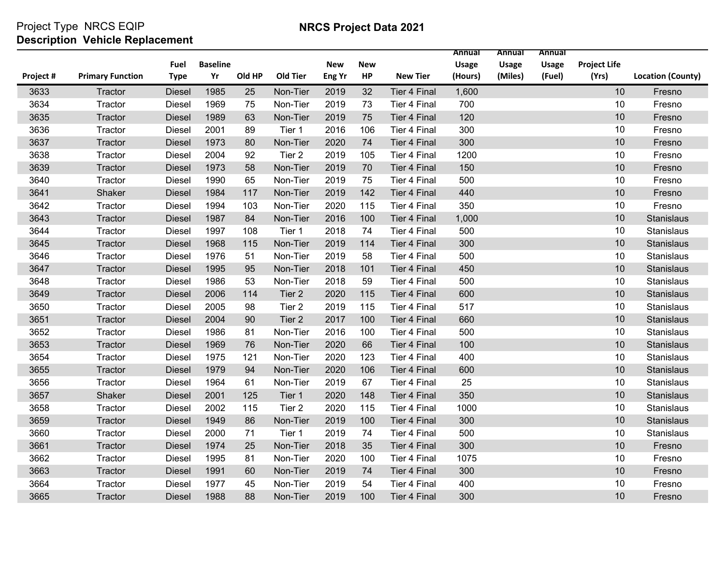|          |                         |               |                 |        |                   |            |            |                     | Annual       | Annual  | Annual       |                     |                          |
|----------|-------------------------|---------------|-----------------|--------|-------------------|------------|------------|---------------------|--------------|---------|--------------|---------------------|--------------------------|
|          |                         | Fuel          | <b>Baseline</b> |        |                   | <b>New</b> | <b>New</b> |                     | <b>Usage</b> | Usage   | <b>Usage</b> | <b>Project Life</b> |                          |
| Project# | <b>Primary Function</b> | <b>Type</b>   | Yr              | Old HP | Old Tier          | Eng Yr     | HP         | <b>New Tier</b>     | (Hours)      | (Miles) | (Fuel)       | (Yrs)               | <b>Location (County)</b> |
| 3633     | Tractor                 | <b>Diesel</b> | 1985            | 25     | Non-Tier          | 2019       | 32         | <b>Tier 4 Final</b> | 1,600        |         |              | 10                  | Fresno                   |
| 3634     | Tractor                 | <b>Diesel</b> | 1969            | 75     | Non-Tier          | 2019       | 73         | <b>Tier 4 Final</b> | 700          |         |              | 10                  | Fresno                   |
| 3635     | Tractor                 | <b>Diesel</b> | 1989            | 63     | Non-Tier          | 2019       | 75         | <b>Tier 4 Final</b> | 120          |         |              | 10                  | Fresno                   |
| 3636     | Tractor                 | <b>Diesel</b> | 2001            | 89     | Tier 1            | 2016       | 106        | <b>Tier 4 Final</b> | 300          |         |              | 10                  | Fresno                   |
| 3637     | Tractor                 | <b>Diesel</b> | 1973            | 80     | Non-Tier          | 2020       | 74         | <b>Tier 4 Final</b> | 300          |         |              | 10                  | Fresno                   |
| 3638     | Tractor                 | <b>Diesel</b> | 2004            | 92     | Tier <sub>2</sub> | 2019       | 105        | <b>Tier 4 Final</b> | 1200         |         |              | 10                  | Fresno                   |
| 3639     | Tractor                 | <b>Diesel</b> | 1973            | 58     | Non-Tier          | 2019       | 70         | <b>Tier 4 Final</b> | 150          |         |              | 10                  | Fresno                   |
| 3640     | Tractor                 | <b>Diesel</b> | 1990            | 65     | Non-Tier          | 2019       | 75         | <b>Tier 4 Final</b> | 500          |         |              | 10                  | Fresno                   |
| 3641     | Shaker                  | <b>Diesel</b> | 1984            | 117    | Non-Tier          | 2019       | 142        | <b>Tier 4 Final</b> | 440          |         |              | 10                  | Fresno                   |
| 3642     | Tractor                 | <b>Diesel</b> | 1994            | 103    | Non-Tier          | 2020       | 115        | <b>Tier 4 Final</b> | 350          |         |              | 10                  | Fresno                   |
| 3643     | Tractor                 | <b>Diesel</b> | 1987            | 84     | Non-Tier          | 2016       | 100        | Tier 4 Final        | 1,000        |         |              | 10                  | Stanislaus               |
| 3644     | Tractor                 | <b>Diesel</b> | 1997            | 108    | Tier 1            | 2018       | 74         | Tier 4 Final        | 500          |         |              | 10                  | Stanislaus               |
| 3645     | Tractor                 | <b>Diesel</b> | 1968            | 115    | Non-Tier          | 2019       | 114        | <b>Tier 4 Final</b> | 300          |         |              | 10                  | Stanislaus               |
| 3646     | Tractor                 | <b>Diesel</b> | 1976            | 51     | Non-Tier          | 2019       | 58         | <b>Tier 4 Final</b> | 500          |         |              | 10                  | Stanislaus               |
| 3647     | Tractor                 | <b>Diesel</b> | 1995            | 95     | Non-Tier          | 2018       | 101        | <b>Tier 4 Final</b> | 450          |         |              | 10                  | Stanislaus               |
| 3648     | Tractor                 | Diesel        | 1986            | 53     | Non-Tier          | 2018       | 59         | <b>Tier 4 Final</b> | 500          |         |              | 10                  | Stanislaus               |
| 3649     | Tractor                 | Diesel        | 2006            | 114    | Tier 2            | 2020       | 115        | <b>Tier 4 Final</b> | 600          |         |              | 10                  | Stanislaus               |
| 3650     | Tractor                 | Diesel        | 2005            | 98     | Tier <sub>2</sub> | 2019       | 115        | <b>Tier 4 Final</b> | 517          |         |              | 10                  | Stanislaus               |
| 3651     | Tractor                 | <b>Diesel</b> | 2004            | 90     | Tier <sub>2</sub> | 2017       | 100        | <b>Tier 4 Final</b> | 660          |         |              | 10                  | Stanislaus               |
| 3652     | Tractor                 | <b>Diesel</b> | 1986            | 81     | Non-Tier          | 2016       | 100        | <b>Tier 4 Final</b> | 500          |         |              | 10                  | Stanislaus               |
| 3653     | Tractor                 | <b>Diesel</b> | 1969            | 76     | Non-Tier          | 2020       | 66         | <b>Tier 4 Final</b> | 100          |         |              | 10                  | Stanislaus               |
| 3654     | Tractor                 | <b>Diesel</b> | 1975            | 121    | Non-Tier          | 2020       | 123        | <b>Tier 4 Final</b> | 400          |         |              | 10                  | Stanislaus               |
| 3655     | Tractor                 | <b>Diesel</b> | 1979            | 94     | Non-Tier          | 2020       | 106        | <b>Tier 4 Final</b> | 600          |         |              | 10                  | <b>Stanislaus</b>        |
| 3656     | Tractor                 | <b>Diesel</b> | 1964            | 61     | Non-Tier          | 2019       | 67         | <b>Tier 4 Final</b> | 25           |         |              | 10                  | Stanislaus               |
| 3657     | Shaker                  | <b>Diesel</b> | 2001            | 125    | Tier 1            | 2020       | 148        | <b>Tier 4 Final</b> | 350          |         |              | 10                  | Stanislaus               |
| 3658     | Tractor                 | <b>Diesel</b> | 2002            | 115    | Tier <sub>2</sub> | 2020       | 115        | <b>Tier 4 Final</b> | 1000         |         |              | 10                  | Stanislaus               |
| 3659     | Tractor                 | <b>Diesel</b> | 1949            | 86     | Non-Tier          | 2019       | 100        | <b>Tier 4 Final</b> | 300          |         |              | 10                  | Stanislaus               |
| 3660     | Tractor                 | <b>Diesel</b> | 2000            | 71     | Tier 1            | 2019       | 74         | <b>Tier 4 Final</b> | 500          |         |              | 10                  | Stanislaus               |
| 3661     | Tractor                 | <b>Diesel</b> | 1974            | 25     | Non-Tier          | 2018       | 35         | <b>Tier 4 Final</b> | 300          |         |              | 10                  | Fresno                   |
| 3662     | Tractor                 | <b>Diesel</b> | 1995            | 81     | Non-Tier          | 2020       | 100        | <b>Tier 4 Final</b> | 1075         |         |              | 10                  | Fresno                   |
| 3663     | Tractor                 | <b>Diesel</b> | 1991            | 60     | Non-Tier          | 2019       | 74         | Tier 4 Final        | 300          |         |              | 10                  | Fresno                   |
| 3664     | Tractor                 | <b>Diesel</b> | 1977            | 45     | Non-Tier          | 2019       | 54         | <b>Tier 4 Final</b> | 400          |         |              | 10                  | Fresno                   |
| 3665     | Tractor                 | <b>Diesel</b> | 1988            | 88     | Non-Tier          | 2019       | 100        | <b>Tier 4 Final</b> | 300          |         |              | 10                  | Fresno                   |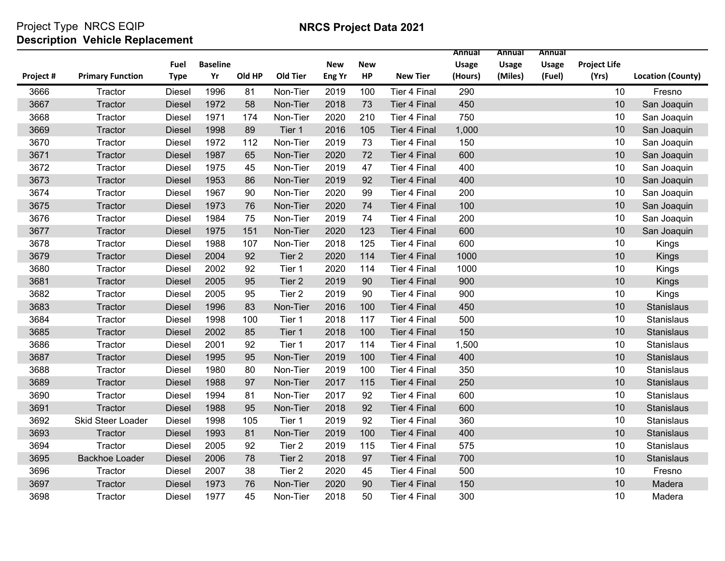|           |                          |               |                 |        |                   |            |            |                     | Annual       | Annual  | Annual       |                     |                          |
|-----------|--------------------------|---------------|-----------------|--------|-------------------|------------|------------|---------------------|--------------|---------|--------------|---------------------|--------------------------|
|           |                          | Fuel          | <b>Baseline</b> |        |                   | <b>New</b> | <b>New</b> |                     | <b>Usage</b> | Usage   | <b>Usage</b> | <b>Project Life</b> |                          |
| Project # | <b>Primary Function</b>  | <b>Type</b>   | Yr              | Old HP | Old Tier          | Eng Yr     | HP         | <b>New Tier</b>     | (Hours)      | (Miles) | (Fuel)       | (Yrs)               | <b>Location (County)</b> |
| 3666      | Tractor                  | <b>Diesel</b> | 1996            | 81     | Non-Tier          | 2019       | 100        | <b>Tier 4 Final</b> | 290          |         |              | 10                  | Fresno                   |
| 3667      | Tractor                  | <b>Diesel</b> | 1972            | 58     | Non-Tier          | 2018       | 73         | <b>Tier 4 Final</b> | 450          |         |              | 10                  | San Joaquin              |
| 3668      | Tractor                  | <b>Diesel</b> | 1971            | 174    | Non-Tier          | 2020       | 210        | <b>Tier 4 Final</b> | 750          |         |              | 10                  | San Joaquin              |
| 3669      | Tractor                  | <b>Diesel</b> | 1998            | 89     | Tier 1            | 2016       | 105        | <b>Tier 4 Final</b> | 1,000        |         |              | 10                  | San Joaquin              |
| 3670      | Tractor                  | <b>Diesel</b> | 1972            | 112    | Non-Tier          | 2019       | 73         | <b>Tier 4 Final</b> | 150          |         |              | 10                  | San Joaquin              |
| 3671      | Tractor                  | <b>Diesel</b> | 1987            | 65     | Non-Tier          | 2020       | 72         | <b>Tier 4 Final</b> | 600          |         |              | 10                  | San Joaquin              |
| 3672      | Tractor                  | <b>Diesel</b> | 1975            | 45     | Non-Tier          | 2019       | 47         | <b>Tier 4 Final</b> | 400          |         |              | 10                  | San Joaquin              |
| 3673      | Tractor                  | <b>Diesel</b> | 1953            | 86     | Non-Tier          | 2019       | 92         | <b>Tier 4 Final</b> | 400          |         |              | 10                  | San Joaquin              |
| 3674      | Tractor                  | <b>Diesel</b> | 1967            | 90     | Non-Tier          | 2020       | 99         | <b>Tier 4 Final</b> | 200          |         |              | 10                  | San Joaquin              |
| 3675      | Tractor                  | <b>Diesel</b> | 1973            | 76     | Non-Tier          | 2020       | 74         | <b>Tier 4 Final</b> | 100          |         |              | 10                  | San Joaquin              |
| 3676      | Tractor                  | <b>Diesel</b> | 1984            | 75     | Non-Tier          | 2019       | 74         | <b>Tier 4 Final</b> | 200          |         |              | 10                  | San Joaquin              |
| 3677      | Tractor                  | <b>Diesel</b> | 1975            | 151    | Non-Tier          | 2020       | 123        | <b>Tier 4 Final</b> | 600          |         |              | 10                  | San Joaquin              |
| 3678      | Tractor                  | <b>Diesel</b> | 1988            | 107    | Non-Tier          | 2018       | 125        | <b>Tier 4 Final</b> | 600          |         |              | 10                  | Kings                    |
| 3679      | Tractor                  | <b>Diesel</b> | 2004            | 92     | Tier 2            | 2020       | 114        | <b>Tier 4 Final</b> | 1000         |         |              | 10                  | Kings                    |
| 3680      | Tractor                  | <b>Diesel</b> | 2002            | 92     | Tier 1            | 2020       | 114        | <b>Tier 4 Final</b> | 1000         |         |              | 10                  | Kings                    |
| 3681      | Tractor                  | <b>Diesel</b> | 2005            | 95     | Tier <sub>2</sub> | 2019       | 90         | <b>Tier 4 Final</b> | 900          |         |              | 10                  | Kings                    |
| 3682      | Tractor                  | <b>Diesel</b> | 2005            | 95     | Tier <sub>2</sub> | 2019       | 90         | <b>Tier 4 Final</b> | 900          |         |              | 10                  | Kings                    |
| 3683      | Tractor                  | <b>Diesel</b> | 1996            | 83     | Non-Tier          | 2016       | 100        | <b>Tier 4 Final</b> | 450          |         |              | 10                  | Stanislaus               |
| 3684      | Tractor                  | <b>Diesel</b> | 1998            | 100    | Tier 1            | 2018       | 117        | Tier 4 Final        | 500          |         |              | 10                  | Stanislaus               |
| 3685      | Tractor                  | <b>Diesel</b> | 2002            | 85     | Tier 1            | 2018       | 100        | <b>Tier 4 Final</b> | 150          |         |              | 10                  | Stanislaus               |
| 3686      | Tractor                  | <b>Diesel</b> | 2001            | 92     | Tier 1            | 2017       | 114        | <b>Tier 4 Final</b> | 1,500        |         |              | 10                  | <b>Stanislaus</b>        |
| 3687      | Tractor                  | <b>Diesel</b> | 1995            | 95     | Non-Tier          | 2019       | 100        | <b>Tier 4 Final</b> | 400          |         |              | 10                  | Stanislaus               |
| 3688      | Tractor                  | <b>Diesel</b> | 1980            | 80     | Non-Tier          | 2019       | 100        | <b>Tier 4 Final</b> | 350          |         |              | 10                  | <b>Stanislaus</b>        |
| 3689      | Tractor                  | <b>Diesel</b> | 1988            | 97     | Non-Tier          | 2017       | 115        | Tier 4 Final        | 250          |         |              | 10                  | Stanislaus               |
| 3690      | Tractor                  | <b>Diesel</b> | 1994            | 81     | Non-Tier          | 2017       | 92         | Tier 4 Final        | 600          |         |              | 10                  | Stanislaus               |
| 3691      | Tractor                  | <b>Diesel</b> | 1988            | 95     | Non-Tier          | 2018       | 92         | <b>Tier 4 Final</b> | 600          |         |              | 10                  | <b>Stanislaus</b>        |
| 3692      | <b>Skid Steer Loader</b> | <b>Diesel</b> | 1998            | 105    | Tier 1            | 2019       | 92         | <b>Tier 4 Final</b> | 360          |         |              | 10                  | Stanislaus               |
| 3693      | Tractor                  | <b>Diesel</b> | 1993            | 81     | Non-Tier          | 2019       | 100        | <b>Tier 4 Final</b> | 400          |         |              | 10                  | Stanislaus               |
| 3694      | Tractor                  | <b>Diesel</b> | 2005            | 92     | Tier <sub>2</sub> | 2019       | 115        | <b>Tier 4 Final</b> | 575          |         |              | 10                  | <b>Stanislaus</b>        |
| 3695      | <b>Backhoe Loader</b>    | <b>Diesel</b> | 2006            | 78     | Tier 2            | 2018       | 97         | <b>Tier 4 Final</b> | 700          |         |              | 10                  | Stanislaus               |
| 3696      | Tractor                  | <b>Diesel</b> | 2007            | 38     | Tier 2            | 2020       | 45         | Tier 4 Final        | 500          |         |              | 10                  | Fresno                   |
| 3697      | Tractor                  | <b>Diesel</b> | 1973            | 76     | Non-Tier          | 2020       | 90         | <b>Tier 4 Final</b> | 150          |         |              | 10                  | Madera                   |
| 3698      | Tractor                  | <b>Diesel</b> | 1977            | 45     | Non-Tier          | 2018       | 50         | <b>Tier 4 Final</b> | 300          |         |              | 10                  | Madera                   |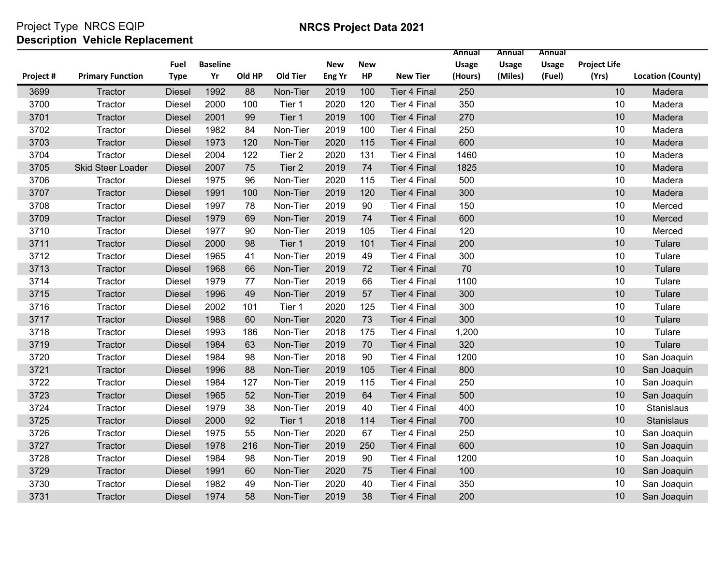|           |                          |               |                 |        |                   |            |            |                     | Annual       | Annual  | Annual       |                     |                          |
|-----------|--------------------------|---------------|-----------------|--------|-------------------|------------|------------|---------------------|--------------|---------|--------------|---------------------|--------------------------|
|           |                          | Fuel          | <b>Baseline</b> |        |                   | <b>New</b> | <b>New</b> |                     | <b>Usage</b> | Usage   | <b>Usage</b> | <b>Project Life</b> |                          |
| Project # | <b>Primary Function</b>  | <b>Type</b>   | Yr              | Old HP | <b>Old Tier</b>   | Eng Yr     | <b>HP</b>  | <b>New Tier</b>     | (Hours)      | (Miles) | (Fuel)       | (Yrs)               | <b>Location (County)</b> |
| 3699      | Tractor                  | <b>Diesel</b> | 1992            | 88     | Non-Tier          | 2019       | 100        | <b>Tier 4 Final</b> | 250          |         |              | 10                  | Madera                   |
| 3700      | Tractor                  | Diesel        | 2000            | 100    | Tier 1            | 2020       | 120        | <b>Tier 4 Final</b> | 350          |         |              | 10                  | Madera                   |
| 3701      | Tractor                  | <b>Diesel</b> | 2001            | 99     | Tier 1            | 2019       | 100        | Tier 4 Final        | 270          |         |              | 10                  | Madera                   |
| 3702      | Tractor                  | <b>Diesel</b> | 1982            | 84     | Non-Tier          | 2019       | 100        | <b>Tier 4 Final</b> | 250          |         |              | 10                  | Madera                   |
| 3703      | Tractor                  | <b>Diesel</b> | 1973            | 120    | Non-Tier          | 2020       | 115        | <b>Tier 4 Final</b> | 600          |         |              | 10                  | Madera                   |
| 3704      | Tractor                  | Diesel        | 2004            | 122    | Tier 2            | 2020       | 131        | <b>Tier 4 Final</b> | 1460         |         |              | 10                  | Madera                   |
| 3705      | <b>Skid Steer Loader</b> | <b>Diesel</b> | 2007            | 75     | Tier <sub>2</sub> | 2019       | 74         | <b>Tier 4 Final</b> | 1825         |         |              | 10                  | Madera                   |
| 3706      | Tractor                  | Diesel        | 1975            | 96     | Non-Tier          | 2020       | 115        | <b>Tier 4 Final</b> | 500          |         |              | 10                  | Madera                   |
| 3707      | Tractor                  | <b>Diesel</b> | 1991            | 100    | Non-Tier          | 2019       | 120        | <b>Tier 4 Final</b> | 300          |         |              | 10                  | Madera                   |
| 3708      | Tractor                  | Diesel        | 1997            | 78     | Non-Tier          | 2019       | 90         | <b>Tier 4 Final</b> | 150          |         |              | 10                  | Merced                   |
| 3709      | Tractor                  | <b>Diesel</b> | 1979            | 69     | Non-Tier          | 2019       | 74         | <b>Tier 4 Final</b> | 600          |         |              | 10                  | Merced                   |
| 3710      | Tractor                  | Diesel        | 1977            | 90     | Non-Tier          | 2019       | 105        | <b>Tier 4 Final</b> | 120          |         |              | 10                  | Merced                   |
| 3711      | Tractor                  | <b>Diesel</b> | 2000            | 98     | Tier 1            | 2019       | 101        | <b>Tier 4 Final</b> | 200          |         |              | 10                  | Tulare                   |
| 3712      | Tractor                  | <b>Diesel</b> | 1965            | 41     | Non-Tier          | 2019       | 49         | <b>Tier 4 Final</b> | 300          |         |              | 10                  | Tulare                   |
| 3713      | Tractor                  | <b>Diesel</b> | 1968            | 66     | Non-Tier          | 2019       | 72         | <b>Tier 4 Final</b> | 70           |         |              | 10                  | Tulare                   |
| 3714      | Tractor                  | <b>Diesel</b> | 1979            | 77     | Non-Tier          | 2019       | 66         | <b>Tier 4 Final</b> | 1100         |         |              | 10                  | Tulare                   |
| 3715      | Tractor                  | Diesel        | 1996            | 49     | Non-Tier          | 2019       | 57         | <b>Tier 4 Final</b> | 300          |         |              | 10                  | Tulare                   |
| 3716      | Tractor                  | Diesel        | 2002            | 101    | Tier 1            | 2020       | 125        | <b>Tier 4 Final</b> | 300          |         |              | 10                  | Tulare                   |
| 3717      | Tractor                  | <b>Diesel</b> | 1988            | 60     | Non-Tier          | 2020       | 73         | <b>Tier 4 Final</b> | 300          |         |              | 10                  | Tulare                   |
| 3718      | Tractor                  | Diesel        | 1993            | 186    | Non-Tier          | 2018       | 175        | <b>Tier 4 Final</b> | 1,200        |         |              | 10                  | Tulare                   |
| 3719      | Tractor                  | <b>Diesel</b> | 1984            | 63     | Non-Tier          | 2019       | 70         | <b>Tier 4 Final</b> | 320          |         |              | 10                  | Tulare                   |
| 3720      | Tractor                  | Diesel        | 1984            | 98     | Non-Tier          | 2018       | 90         | Tier 4 Final        | 1200         |         |              | 10                  | San Joaquin              |
| 3721      | Tractor                  | <b>Diesel</b> | 1996            | 88     | Non-Tier          | 2019       | 105        | Tier 4 Final        | 800          |         |              | 10                  | San Joaquin              |
| 3722      | Tractor                  | <b>Diesel</b> | 1984            | 127    | Non-Tier          | 2019       | 115        | <b>Tier 4 Final</b> | 250          |         |              | 10                  | San Joaquin              |
| 3723      | Tractor                  | <b>Diesel</b> | 1965            | 52     | Non-Tier          | 2019       | 64         | <b>Tier 4 Final</b> | 500          |         |              | 10                  | San Joaquin              |
| 3724      | Tractor                  | <b>Diesel</b> | 1979            | 38     | Non-Tier          | 2019       | 40         | <b>Tier 4 Final</b> | 400          |         |              | 10                  | Stanislaus               |
| 3725      | Tractor                  | <b>Diesel</b> | 2000            | 92     | Tier 1            | 2018       | 114        | Tier 4 Final        | 700          |         |              | 10                  | Stanislaus               |
| 3726      | Tractor                  | Diesel        | 1975            | 55     | Non-Tier          | 2020       | 67         | <b>Tier 4 Final</b> | 250          |         |              | 10                  | San Joaquin              |
| 3727      | Tractor                  | Diesel        | 1978            | 216    | Non-Tier          | 2019       | 250        | <b>Tier 4 Final</b> | 600          |         |              | 10                  | San Joaquin              |
| 3728      | Tractor                  | <b>Diesel</b> | 1984            | 98     | Non-Tier          | 2019       | 90         | <b>Tier 4 Final</b> | 1200         |         |              | 10                  | San Joaquin              |
| 3729      | Tractor                  | <b>Diesel</b> | 1991            | 60     | Non-Tier          | 2020       | 75         | <b>Tier 4 Final</b> | 100          |         |              | 10                  | San Joaquin              |
| 3730      | Tractor                  | <b>Diesel</b> | 1982            | 49     | Non-Tier          | 2020       | 40         | <b>Tier 4 Final</b> | 350          |         |              | 10                  | San Joaquin              |
| 3731      | Tractor                  | <b>Diesel</b> | 1974            | 58     | Non-Tier          | 2019       | 38         | <b>Tier 4 Final</b> | 200          |         |              | 10                  | San Joaquin              |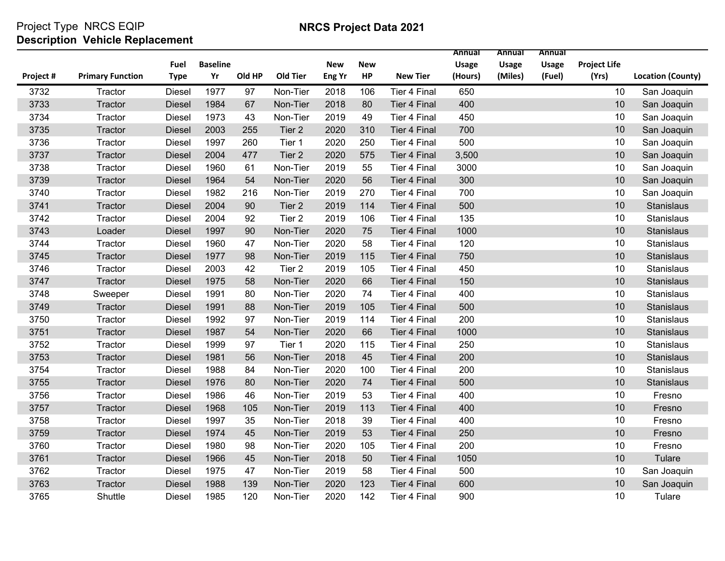|           |                         |               |                 |        |                   |            |            |                     | Annual       | Annual  | Annual       |                     |                   |
|-----------|-------------------------|---------------|-----------------|--------|-------------------|------------|------------|---------------------|--------------|---------|--------------|---------------------|-------------------|
|           |                         | Fuel          | <b>Baseline</b> |        |                   | <b>New</b> | <b>New</b> |                     | <b>Usage</b> | Usage   | <b>Usage</b> | <b>Project Life</b> |                   |
| Project # | <b>Primary Function</b> | <b>Type</b>   | Yr              | Old HP | Old Tier          | Eng Yr     | HP         | <b>New Tier</b>     | (Hours)      | (Miles) | (Fuel)       | (Yrs)               | Location (County) |
| 3732      | Tractor                 | <b>Diesel</b> | 1977            | 97     | Non-Tier          | 2018       | 106        | <b>Tier 4 Final</b> | 650          |         |              | 10                  | San Joaquin       |
| 3733      | Tractor                 | <b>Diesel</b> | 1984            | 67     | Non-Tier          | 2018       | 80         | <b>Tier 4 Final</b> | 400          |         |              | 10                  | San Joaquin       |
| 3734      | Tractor                 | Diesel        | 1973            | 43     | Non-Tier          | 2019       | 49         | <b>Tier 4 Final</b> | 450          |         |              | 10                  | San Joaquin       |
| 3735      | Tractor                 | <b>Diesel</b> | 2003            | 255    | Tier <sub>2</sub> | 2020       | 310        | <b>Tier 4 Final</b> | 700          |         |              | 10                  | San Joaquin       |
| 3736      | Tractor                 | <b>Diesel</b> | 1997            | 260    | Tier 1            | 2020       | 250        | <b>Tier 4 Final</b> | 500          |         |              | 10                  | San Joaquin       |
| 3737      | Tractor                 | <b>Diesel</b> | 2004            | 477    | Tier <sub>2</sub> | 2020       | 575        | Tier 4 Final        | 3,500        |         |              | 10                  | San Joaquin       |
| 3738      | Tractor                 | <b>Diesel</b> | 1960            | 61     | Non-Tier          | 2019       | 55         | <b>Tier 4 Final</b> | 3000         |         |              | 10                  | San Joaquin       |
| 3739      | Tractor                 | <b>Diesel</b> | 1964            | 54     | Non-Tier          | 2020       | 56         | <b>Tier 4 Final</b> | 300          |         |              | 10                  | San Joaquin       |
| 3740      | Tractor                 | <b>Diesel</b> | 1982            | 216    | Non-Tier          | 2019       | 270        | <b>Tier 4 Final</b> | 700          |         |              | 10                  | San Joaquin       |
| 3741      | Tractor                 | <b>Diesel</b> | 2004            | 90     | Tier <sub>2</sub> | 2019       | 114        | <b>Tier 4 Final</b> | 500          |         |              | 10                  | <b>Stanislaus</b> |
| 3742      | Tractor                 | <b>Diesel</b> | 2004            | 92     | Tier <sub>2</sub> | 2019       | 106        | <b>Tier 4 Final</b> | 135          |         |              | 10                  | <b>Stanislaus</b> |
| 3743      | Loader                  | <b>Diesel</b> | 1997            | 90     | Non-Tier          | 2020       | 75         | <b>Tier 4 Final</b> | 1000         |         |              | $10$                | Stanislaus        |
| 3744      | Tractor                 | <b>Diesel</b> | 1960            | 47     | Non-Tier          | 2020       | 58         | <b>Tier 4 Final</b> | 120          |         |              | 10                  | Stanislaus        |
| 3745      | Tractor                 | <b>Diesel</b> | 1977            | 98     | Non-Tier          | 2019       | 115        | <b>Tier 4 Final</b> | 750          |         |              | 10                  | Stanislaus        |
| 3746      | Tractor                 | Diesel        | 2003            | 42     | Tier <sub>2</sub> | 2019       | 105        | <b>Tier 4 Final</b> | 450          |         |              | 10                  | Stanislaus        |
| 3747      | Tractor                 | <b>Diesel</b> | 1975            | 58     | Non-Tier          | 2020       | 66         | <b>Tier 4 Final</b> | 150          |         |              | 10                  | Stanislaus        |
| 3748      | Sweeper                 | <b>Diesel</b> | 1991            | 80     | Non-Tier          | 2020       | 74         | Tier 4 Final        | 400          |         |              | 10                  | Stanislaus        |
| 3749      | Tractor                 | <b>Diesel</b> | 1991            | 88     | Non-Tier          | 2019       | 105        | Tier 4 Final        | 500          |         |              | 10                  | Stanislaus        |
| 3750      | Tractor                 | <b>Diesel</b> | 1992            | 97     | Non-Tier          | 2019       | 114        | <b>Tier 4 Final</b> | 200          |         |              | 10                  | Stanislaus        |
| 3751      | Tractor                 | <b>Diesel</b> | 1987            | 54     | Non-Tier          | 2020       | 66         | <b>Tier 4 Final</b> | 1000         |         |              | 10                  | Stanislaus        |
| 3752      | Tractor                 | <b>Diesel</b> | 1999            | 97     | Tier 1            | 2020       | 115        | <b>Tier 4 Final</b> | 250          |         |              | 10                  | Stanislaus        |
| 3753      | Tractor                 | <b>Diesel</b> | 1981            | 56     | Non-Tier          | 2018       | 45         | <b>Tier 4 Final</b> | 200          |         |              | 10                  | Stanislaus        |
| 3754      | Tractor                 | <b>Diesel</b> | 1988            | 84     | Non-Tier          | 2020       | 100        | <b>Tier 4 Final</b> | 200          |         |              | 10                  | <b>Stanislaus</b> |
| 3755      | Tractor                 | <b>Diesel</b> | 1976            | 80     | Non-Tier          | 2020       | 74         | <b>Tier 4 Final</b> | 500          |         |              | 10                  | Stanislaus        |
| 3756      | Tractor                 | <b>Diesel</b> | 1986            | 46     | Non-Tier          | 2019       | 53         | <b>Tier 4 Final</b> | 400          |         |              | 10                  | Fresno            |
| 3757      | Tractor                 | <b>Diesel</b> | 1968            | 105    | Non-Tier          | 2019       | 113        | <b>Tier 4 Final</b> | 400          |         |              | 10                  | Fresno            |
| 3758      | Tractor                 | <b>Diesel</b> | 1997            | 35     | Non-Tier          | 2018       | 39         | <b>Tier 4 Final</b> | 400          |         |              | 10                  | Fresno            |
| 3759      | Tractor                 | <b>Diesel</b> | 1974            | 45     | Non-Tier          | 2019       | 53         | <b>Tier 4 Final</b> | 250          |         |              | 10                  | Fresno            |
| 3760      | Tractor                 | <b>Diesel</b> | 1980            | 98     | Non-Tier          | 2020       | 105        | <b>Tier 4 Final</b> | 200          |         |              | 10                  | Fresno            |
| 3761      | Tractor                 | <b>Diesel</b> | 1966            | 45     | Non-Tier          | 2018       | 50         | <b>Tier 4 Final</b> | 1050         |         |              | 10                  | Tulare            |
| 3762      | Tractor                 | <b>Diesel</b> | 1975            | 47     | Non-Tier          | 2019       | 58         | Tier 4 Final        | 500          |         |              | 10                  | San Joaquin       |
| 3763      | Tractor                 | <b>Diesel</b> | 1988            | 139    | Non-Tier          | 2020       | 123        | <b>Tier 4 Final</b> | 600          |         |              | 10                  | San Joaquin       |
| 3765      | Shuttle                 | Diesel        | 1985            | 120    | Non-Tier          | 2020       | 142        | <b>Tier 4 Final</b> | 900          |         |              | 10                  | Tulare            |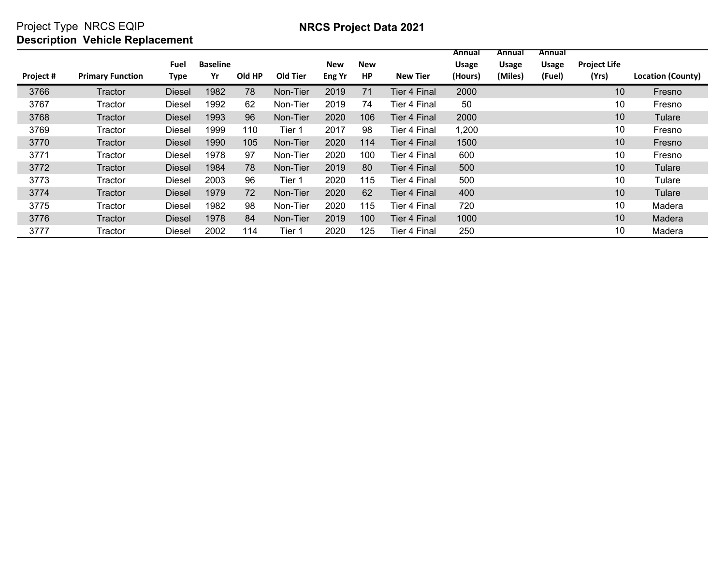|           |                         |               |                 |        |          |            |            |                     | Annual  | Annual       | <b>Annual</b> |                     |                   |
|-----------|-------------------------|---------------|-----------------|--------|----------|------------|------------|---------------------|---------|--------------|---------------|---------------------|-------------------|
|           |                         | Fuel          | <b>Baseline</b> |        |          | <b>New</b> | <b>New</b> |                     | Usage   | <b>Usage</b> | Usage         | <b>Project Life</b> |                   |
| Project # | <b>Primary Function</b> | Type          | Yr              | Old HP | Old Tier | Eng Yr     | <b>HP</b>  | <b>New Tier</b>     | (Hours) | (Miles)      | (Fuel)        | (Yrs)               | Location (County) |
| 3766      | Tractor                 | <b>Diesel</b> | 1982            | 78     | Non-Tier | 2019       | 71         | Tier 4 Final        | 2000    |              |               | 10                  | Fresno            |
| 3767      | Tractor                 | <b>Diesel</b> | 1992            | 62     | Non-Tier | 2019       | 74         | Tier 4 Final        | 50      |              |               | 10                  | Fresno            |
| 3768      | Tractor                 | <b>Diesel</b> | 1993            | 96     | Non-Tier | 2020       | 106        | <b>Tier 4 Final</b> | 2000    |              |               | 10                  | Tulare            |
| 3769      | Tractor                 | <b>Diesel</b> | 1999            | 110    | Tier 1   | 2017       | 98         | Tier 4 Final        | 200, ا  |              |               | 10                  | Fresno            |
| 3770      | Tractor                 | <b>Diesel</b> | 1990            | 105    | Non-Tier | 2020       | 114        | Tier 4 Final        | 1500    |              |               | 10                  | Fresno            |
| 3771      | Tractor                 | <b>Diesel</b> | 1978            | 97     | Non-Tier | 2020       | 100        | Tier 4 Final        | 600     |              |               | 10                  | Fresno            |
| 3772      | Tractor                 | <b>Diesel</b> | 1984            | 78     | Non-Tier | 2019       | 80         | Tier 4 Final        | 500     |              |               | 10                  | Tulare            |
| 3773      | Tractor                 | <b>Diesel</b> | 2003            | 96     | Tier 1   | 2020       | 115        | Tier 4 Final        | 500     |              |               | 10                  | Tulare            |
| 3774      | Tractor                 | <b>Diesel</b> | 1979            | 72     | Non-Tier | 2020       | 62         | <b>Tier 4 Final</b> | 400     |              |               | 10                  | Tulare            |
| 3775      | Tractor                 | <b>Diesel</b> | 1982            | 98     | Non-Tier | 2020       | 115        | Tier 4 Final        | 720     |              |               | 10                  | Madera            |
| 3776      | Tractor                 | <b>Diesel</b> | 1978            | 84     | Non-Tier | 2019       | 100        | <b>Tier 4 Final</b> | 1000    |              |               | 10                  | Madera            |
| 3777      | Tractor                 | <b>Diesel</b> | 2002            | 114    | Tier 1   | 2020       | 125        | <b>Tier 4 Final</b> | 250     |              |               | 10                  | Madera            |